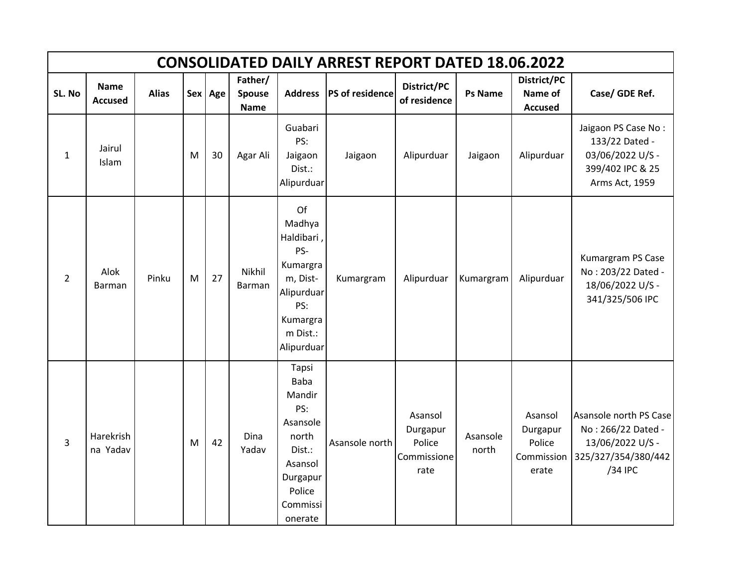|                | <b>CONSOLIDATED DAILY ARREST REPORT DATED 18.06.2022</b> |              |   |         |                                  |                                                                                                                              |                 |                                                      |                   |                                                      |                                                                                                    |  |  |  |
|----------------|----------------------------------------------------------|--------------|---|---------|----------------------------------|------------------------------------------------------------------------------------------------------------------------------|-----------------|------------------------------------------------------|-------------------|------------------------------------------------------|----------------------------------------------------------------------------------------------------|--|--|--|
| SL. No         | <b>Name</b><br><b>Accused</b>                            | <b>Alias</b> |   | Sex Age | Father/<br>Spouse<br><b>Name</b> | <b>Address</b>                                                                                                               | PS of residence | District/PC<br>of residence                          | <b>Ps Name</b>    | District/PC<br>Name of<br><b>Accused</b>             | Case/ GDE Ref.                                                                                     |  |  |  |
| $\mathbf 1$    | Jairul<br>Islam                                          |              | M | 30      | Agar Ali                         | Guabari<br>PS:<br>Jaigaon<br>Dist.:<br>Alipurduar                                                                            | Jaigaon         | Alipurduar                                           | Jaigaon           | Alipurduar                                           | Jaigaon PS Case No:<br>133/22 Dated -<br>03/06/2022 U/S -<br>399/402 IPC & 25<br>Arms Act, 1959    |  |  |  |
| $\overline{2}$ | Alok<br>Barman                                           | Pinku        | M | 27      | Nikhil<br><b>Barman</b>          | Of<br>Madhya<br>Haldibari,<br>PS-<br>Kumargra<br>m, Dist-<br>Alipurduar<br>PS:<br>Kumargra<br>m Dist.:<br>Alipurduar         | Kumargram       | Alipurduar                                           | Kumargram         | Alipurduar                                           | Kumargram PS Case<br>No: 203/22 Dated -<br>18/06/2022 U/S -<br>341/325/506 IPC                     |  |  |  |
| 3              | Harekrish<br>na Yadav                                    |              | M | 42      | Dina<br>Yadav                    | Tapsi<br><b>Baba</b><br>Mandir<br>PS:<br>Asansole<br>north<br>Dist.:<br>Asansol<br>Durgapur<br>Police<br>Commissi<br>onerate | Asansole north  | Asansol<br>Durgapur<br>Police<br>Commissione<br>rate | Asansole<br>north | Asansol<br>Durgapur<br>Police<br>Commission<br>erate | Asansole north PS Case<br>No: 266/22 Dated -<br>13/06/2022 U/S -<br>325/327/354/380/442<br>/34 IPC |  |  |  |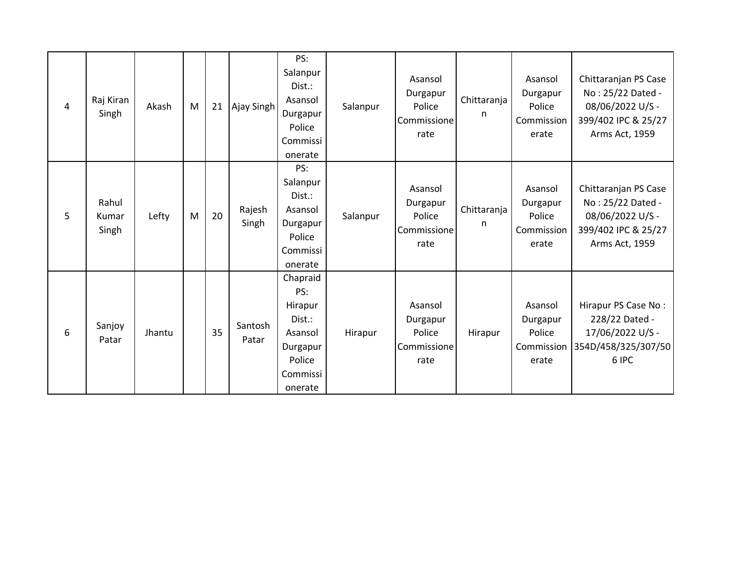| 4 | Raj Kiran<br>Singh      | Akash  | M | 21 | Ajay Singh       | PS:<br>Salanpur<br>Dist.:<br>Asansol<br>Durgapur<br>Police<br>Commissi<br>onerate            | Salanpur | Asansol<br>Durgapur<br>Police<br>Commissione<br>rate | Chittaranja<br>n | Asansol<br>Durgapur<br>Police<br>Commission<br>erate | Chittaranjan PS Case<br>No: 25/22 Dated -<br>08/06/2022 U/S -<br>399/402 IPC & 25/27<br>Arms Act, 1959 |
|---|-------------------------|--------|---|----|------------------|----------------------------------------------------------------------------------------------|----------|------------------------------------------------------|------------------|------------------------------------------------------|--------------------------------------------------------------------------------------------------------|
| 5 | Rahul<br>Kumar<br>Singh | Lefty  | M | 20 | Rajesh<br>Singh  | PS:<br>Salanpur<br>Dist.:<br>Asansol<br>Durgapur<br>Police<br>Commissi<br>onerate            | Salanpur | Asansol<br>Durgapur<br>Police<br>Commissione<br>rate | Chittaranja<br>n | Asansol<br>Durgapur<br>Police<br>Commission<br>erate | Chittaranjan PS Case<br>No: 25/22 Dated -<br>08/06/2022 U/S -<br>399/402 IPC & 25/27<br>Arms Act, 1959 |
| 6 | Sanjoy<br>Patar         | Jhantu |   | 35 | Santosh<br>Patar | Chapraid<br>PS:<br>Hirapur<br>Dist.:<br>Asansol<br>Durgapur<br>Police<br>Commissi<br>onerate | Hirapur  | Asansol<br>Durgapur<br>Police<br>Commissione<br>rate | Hirapur          | Asansol<br>Durgapur<br>Police<br>Commission<br>erate | Hirapur PS Case No:<br>228/22 Dated -<br>17/06/2022 U/S -<br>354D/458/325/307/50<br>6 IPC              |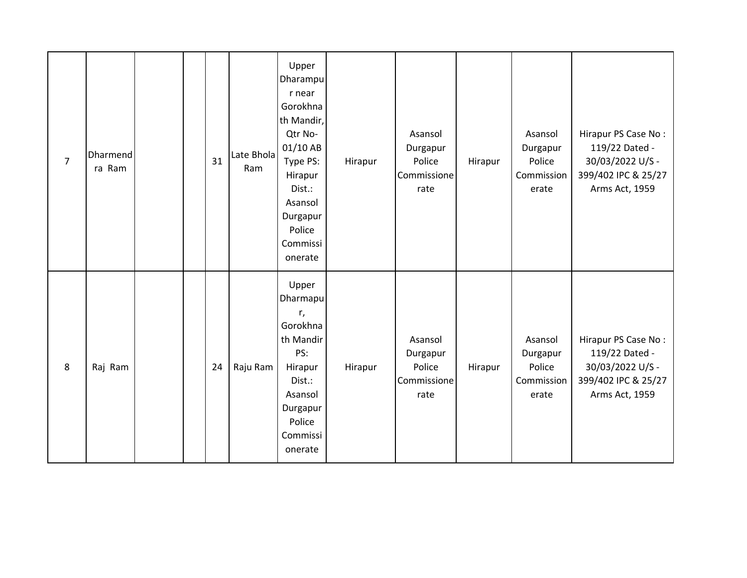| $\overline{7}$ | Dharmend<br>ra Ram |  | 31 | Late Bhola<br>Ram | Upper<br>Dharampu<br>r near<br>Gorokhna<br>th Mandir,<br>Qtr No-<br>01/10 AB<br>Type PS:<br>Hirapur<br>Dist.:<br>Asansol<br>Durgapur<br>Police<br>Commissi<br>onerate | Hirapur | Asansol<br>Durgapur<br>Police<br>Commissione<br>rate | Hirapur | Asansol<br>Durgapur<br>Police<br>Commission<br>erate | Hirapur PS Case No:<br>119/22 Dated -<br>30/03/2022 U/S -<br>399/402 IPC & 25/27<br>Arms Act, 1959 |
|----------------|--------------------|--|----|-------------------|-----------------------------------------------------------------------------------------------------------------------------------------------------------------------|---------|------------------------------------------------------|---------|------------------------------------------------------|----------------------------------------------------------------------------------------------------|
| 8              | Raj Ram            |  | 24 | Raju Ram          | Upper<br>Dharmapu<br>r,<br>Gorokhna<br>th Mandir<br>PS:<br>Hirapur<br>Dist.:<br>Asansol<br>Durgapur<br>Police<br>Commissi<br>onerate                                  | Hirapur | Asansol<br>Durgapur<br>Police<br>Commissione<br>rate | Hirapur | Asansol<br>Durgapur<br>Police<br>Commission<br>erate | Hirapur PS Case No:<br>119/22 Dated -<br>30/03/2022 U/S -<br>399/402 IPC & 25/27<br>Arms Act, 1959 |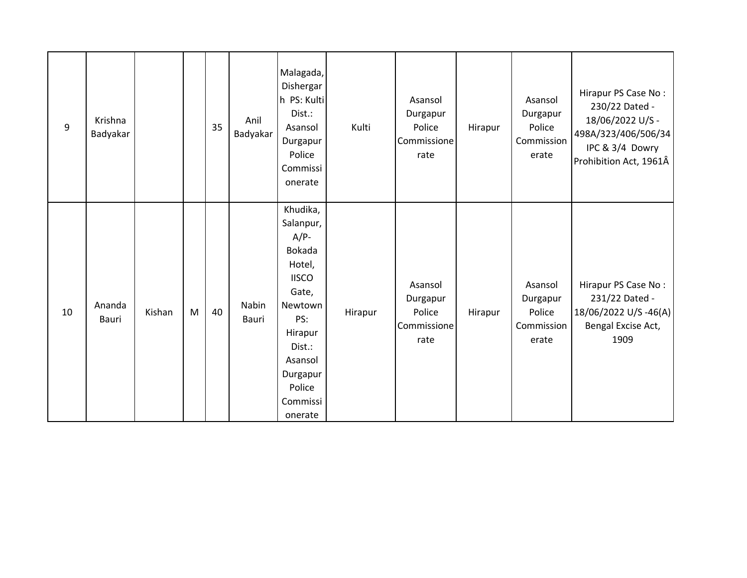| 9  | Krishna<br>Badyakar |        |   | 35 | Anil<br>Badyakar | Malagada,<br>Dishergar<br>h PS: Kulti<br>Dist.:<br>Asansol<br>Durgapur<br>Police<br>Commissi<br>onerate                                                                     | Kulti   | Asansol<br>Durgapur<br>Police<br>Commissione<br>rate | Hirapur | Asansol<br>Durgapur<br>Police<br>Commission<br>erate | Hirapur PS Case No:<br>230/22 Dated -<br>18/06/2022 U/S -<br>498A/323/406/506/34<br>IPC & 3/4 Dowry<br>Prohibition Act, 1961Â |
|----|---------------------|--------|---|----|------------------|-----------------------------------------------------------------------------------------------------------------------------------------------------------------------------|---------|------------------------------------------------------|---------|------------------------------------------------------|-------------------------------------------------------------------------------------------------------------------------------|
| 10 | Ananda<br>Bauri     | Kishan | M | 40 | Nabin<br>Bauri   | Khudika,<br>Salanpur,<br>$A/P-$<br>Bokada<br>Hotel,<br><b>IISCO</b><br>Gate,<br>Newtown<br>PS:<br>Hirapur<br>Dist.:<br>Asansol<br>Durgapur<br>Police<br>Commissi<br>onerate | Hirapur | Asansol<br>Durgapur<br>Police<br>Commissione<br>rate | Hirapur | Asansol<br>Durgapur<br>Police<br>Commission<br>erate | Hirapur PS Case No:<br>231/22 Dated -<br>18/06/2022 U/S-46(A)<br>Bengal Excise Act,<br>1909                                   |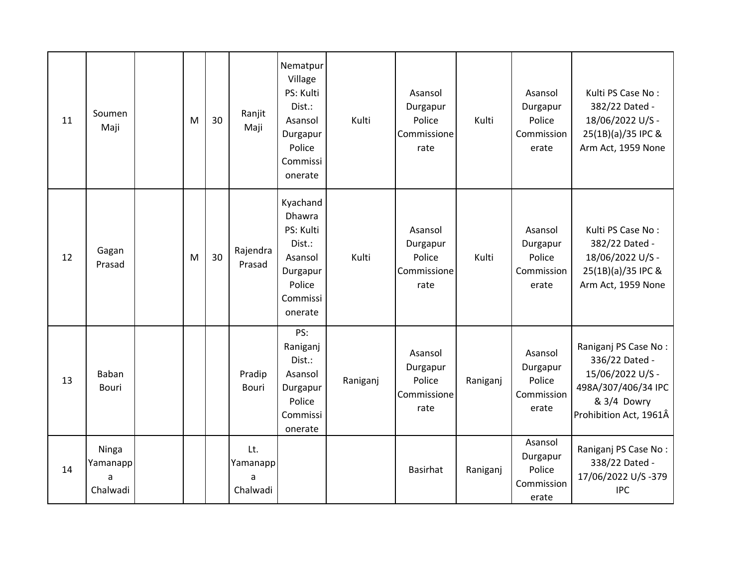| 11 | Soumen<br>Maji                     | M | 30 | Ranjit<br>Maji                   | Nematpur<br>Village<br>PS: Kulti<br>Dist.:<br>Asansol<br>Durgapur<br>Police<br>Commissi<br>onerate       | Kulti    | Asansol<br>Durgapur<br>Police<br>Commissione<br>rate | Kulti    | Asansol<br>Durgapur<br>Police<br>Commission<br>erate | Kulti PS Case No:<br>382/22 Dated -<br>18/06/2022 U/S -<br>25(1B)(a)/35 IPC &<br>Arm Act, 1959 None                        |
|----|------------------------------------|---|----|----------------------------------|----------------------------------------------------------------------------------------------------------|----------|------------------------------------------------------|----------|------------------------------------------------------|----------------------------------------------------------------------------------------------------------------------------|
| 12 | Gagan<br>Prasad                    | M | 30 | Rajendra<br>Prasad               | Kyachand<br><b>Dhawra</b><br>PS: Kulti<br>Dist.:<br>Asansol<br>Durgapur<br>Police<br>Commissi<br>onerate | Kulti    | Asansol<br>Durgapur<br>Police<br>Commissione<br>rate | Kulti    | Asansol<br>Durgapur<br>Police<br>Commission<br>erate | Kulti PS Case No:<br>382/22 Dated -<br>18/06/2022 U/S -<br>25(1B)(a)/35 IPC &<br>Arm Act, 1959 None                        |
| 13 | Baban<br><b>Bouri</b>              |   |    | Pradip<br><b>Bouri</b>           | PS:<br>Raniganj<br>Dist.:<br>Asansol<br>Durgapur<br>Police<br>Commissi<br>onerate                        | Raniganj | Asansol<br>Durgapur<br>Police<br>Commissione<br>rate | Raniganj | Asansol<br>Durgapur<br>Police<br>Commission<br>erate | Raniganj PS Case No:<br>336/22 Dated -<br>15/06/2022 U/S -<br>498A/307/406/34 IPC<br>& 3/4 Dowry<br>Prohibition Act, 1961Â |
| 14 | Ninga<br>Yamanapp<br>a<br>Chalwadi |   |    | Lt.<br>Yamanapp<br>a<br>Chalwadi |                                                                                                          |          | <b>Basirhat</b>                                      | Raniganj | Asansol<br>Durgapur<br>Police<br>Commission<br>erate | Raniganj PS Case No:<br>338/22 Dated -<br>17/06/2022 U/S-379<br><b>IPC</b>                                                 |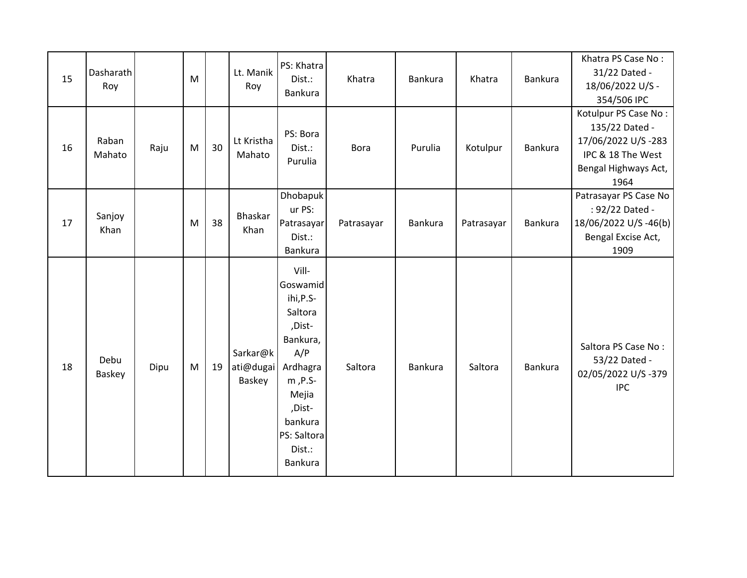| 15 | Dasharath<br>Roy |      | M |    | Lt. Manik<br>Roy                | PS: Khatra<br>Dist.:<br><b>Bankura</b>                                                                                                                          | Khatra      | Bankura | Khatra     | Bankura        | Khatra PS Case No:<br>31/22 Dated -<br>18/06/2022 U/S -<br>354/506 IPC                                            |
|----|------------------|------|---|----|---------------------------------|-----------------------------------------------------------------------------------------------------------------------------------------------------------------|-------------|---------|------------|----------------|-------------------------------------------------------------------------------------------------------------------|
| 16 | Raban<br>Mahato  | Raju | M | 30 | Lt Kristha<br>Mahato            | PS: Bora<br>Dist.:<br>Purulia                                                                                                                                   | <b>Bora</b> | Purulia | Kotulpur   | <b>Bankura</b> | Kotulpur PS Case No:<br>135/22 Dated -<br>17/06/2022 U/S-283<br>IPC & 18 The West<br>Bengal Highways Act,<br>1964 |
| 17 | Sanjoy<br>Khan   |      | M | 38 | Bhaskar<br>Khan                 | Dhobapuk<br>ur PS:<br>Patrasayar<br>Dist.:<br><b>Bankura</b>                                                                                                    | Patrasayar  | Bankura | Patrasayar | Bankura        | Patrasayar PS Case No<br>: 92/22 Dated -<br>18/06/2022 U/S-46(b)<br>Bengal Excise Act,<br>1909                    |
| 18 | Debu<br>Baskey   | Dipu | M | 19 | Sarkar@k<br>ati@dugai<br>Baskey | Vill-<br>Goswamid<br>ihi, P.S-<br>Saltora<br>,Dist-<br>Bankura,<br>A/P<br>Ardhagra<br>m, P.S-<br>Mejia<br>,Dist-<br>bankura<br>PS: Saltora<br>Dist.:<br>Bankura | Saltora     | Bankura | Saltora    | Bankura        | Saltora PS Case No:<br>53/22 Dated -<br>02/05/2022 U/S-379<br><b>IPC</b>                                          |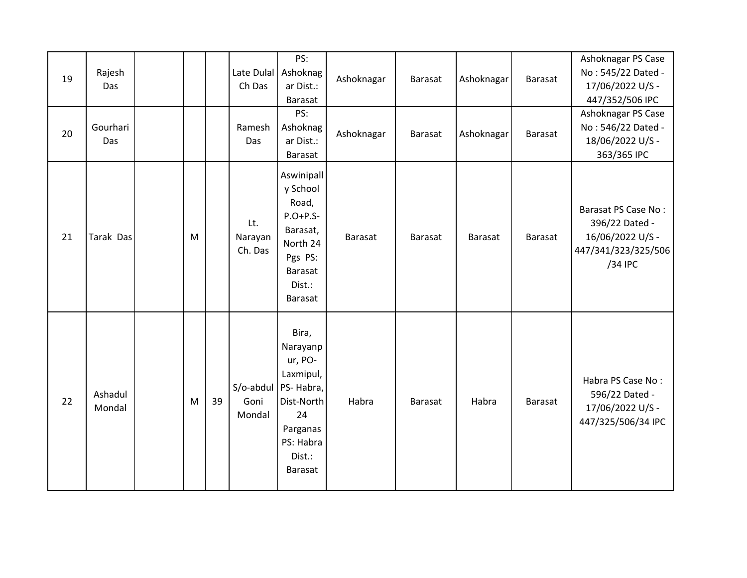| 19<br>20 | Rajesh<br>Das<br>Gourhari<br>Das |   |    | Ch Das<br>Ramesh<br>Das     | PS:<br>Late Dulal Ashoknag<br>ar Dist.:<br>Barasat<br>PS:<br>Ashoknag<br>ar Dist.:<br>Barasat                            | Ashoknagar<br>Ashoknagar | Barasat<br>Barasat | Ashoknagar<br>Ashoknagar | Barasat<br><b>Barasat</b> | Ashoknagar PS Case<br>No: 545/22 Dated -<br>17/06/2022 U/S -<br>447/352/506 IPC<br>Ashoknagar PS Case<br>No: 546/22 Dated -<br>18/06/2022 U/S -<br>363/365 IPC |
|----------|----------------------------------|---|----|-----------------------------|--------------------------------------------------------------------------------------------------------------------------|--------------------------|--------------------|--------------------------|---------------------------|----------------------------------------------------------------------------------------------------------------------------------------------------------------|
| 21       | Tarak Das                        | M |    | Lt.<br>Narayan<br>Ch. Das   | Aswinipall<br>y School<br>Road,<br>$P.O+P.S-$<br>Barasat,<br>North 24<br>Pgs PS:<br><b>Barasat</b><br>Dist.:<br>Barasat  | Barasat                  | Barasat            | Barasat                  | Barasat                   | Barasat PS Case No:<br>396/22 Dated -<br>16/06/2022 U/S -<br>447/341/323/325/506<br>/34 IPC                                                                    |
| 22       | Ashadul<br>Mondal                | M | 39 | S/o-abdul<br>Goni<br>Mondal | Bira,<br>Narayanp<br>ur, PO-<br>Laxmipul,<br>PS-Habra,<br>Dist-North<br>24<br>Parganas<br>PS: Habra<br>Dist.:<br>Barasat | Habra                    | <b>Barasat</b>     | Habra                    | Barasat                   | Habra PS Case No:<br>596/22 Dated -<br>17/06/2022 U/S -<br>447/325/506/34 IPC                                                                                  |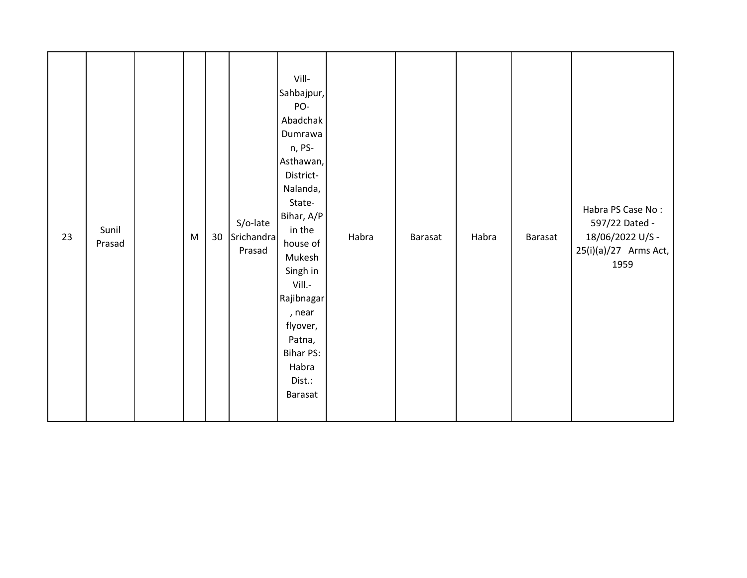| 23 | Sunil<br>Prasad |  | ${\sf M}$ | 30 <sup>°</sup> | S/o-late<br>Srichandra<br>Prasad | Vill-<br>Sahbajpur,<br>PO-<br>Abadchak<br>Dumrawa<br>n, PS-<br>Asthawan,<br>District-<br>Nalanda,<br>State-<br>Bihar, A/P<br>in the<br>house of<br>Mukesh<br>Singh in<br>Vill.-<br>Rajibnagar<br>, near<br>flyover,<br>Patna,<br>Bihar PS:<br>Habra<br>Dist.:<br>Barasat | Habra | Barasat | Habra | Barasat | Habra PS Case No:<br>597/22 Dated -<br>18/06/2022 U/S -<br>25(i)(a)/27 Arms Act,<br>1959 |
|----|-----------------|--|-----------|-----------------|----------------------------------|--------------------------------------------------------------------------------------------------------------------------------------------------------------------------------------------------------------------------------------------------------------------------|-------|---------|-------|---------|------------------------------------------------------------------------------------------|
|----|-----------------|--|-----------|-----------------|----------------------------------|--------------------------------------------------------------------------------------------------------------------------------------------------------------------------------------------------------------------------------------------------------------------------|-------|---------|-------|---------|------------------------------------------------------------------------------------------|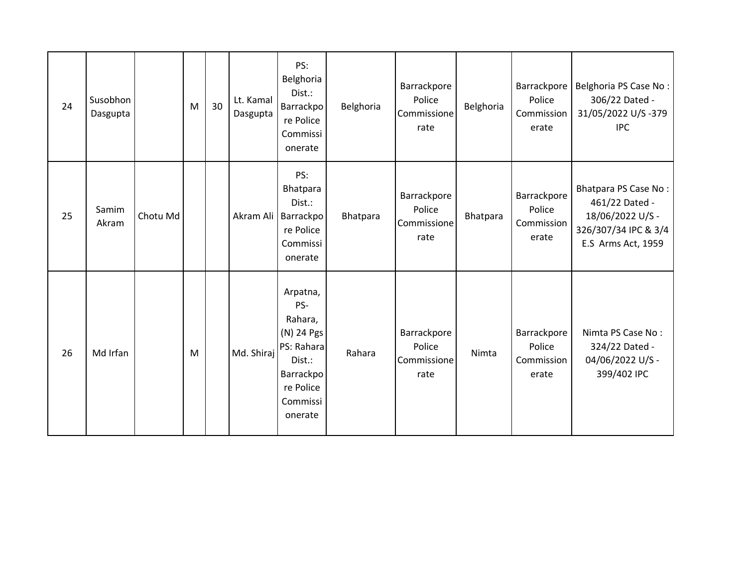| 24 | Susobhon<br>Dasgupta |          | M | 30 | Lt. Kamal<br>Dasgupta | PS:<br>Belghoria<br>Dist.:<br>Barrackpo<br>re Police<br>Commissi<br>onerate                                       | Belghoria | Barrackpore<br>Police<br>Commissione<br>rate | Belghoria | Barrackpore<br>Police<br>Commission<br>erate | Belghoria PS Case No:<br>306/22 Dated -<br>31/05/2022 U/S-379<br><b>IPC</b>                              |
|----|----------------------|----------|---|----|-----------------------|-------------------------------------------------------------------------------------------------------------------|-----------|----------------------------------------------|-----------|----------------------------------------------|----------------------------------------------------------------------------------------------------------|
| 25 | Samim<br>Akram       | Chotu Md |   |    |                       | PS:<br>Bhatpara<br>Dist.:<br>Akram Ali   Barrackpo<br>re Police<br>Commissi<br>onerate                            | Bhatpara  | Barrackpore<br>Police<br>Commissione<br>rate | Bhatpara  | Barrackpore<br>Police<br>Commission<br>erate | Bhatpara PS Case No:<br>461/22 Dated -<br>18/06/2022 U/S -<br>326/307/34 IPC & 3/4<br>E.S Arms Act, 1959 |
| 26 | Md Irfan             |          | M |    | Md. Shiraj            | Arpatna,<br>PS-<br>Rahara,<br>(N) 24 Pgs<br>PS: Rahara<br>Dist.:<br>Barrackpo<br>re Police<br>Commissi<br>onerate | Rahara    | Barrackpore<br>Police<br>Commissione<br>rate | Nimta     | Barrackpore<br>Police<br>Commission<br>erate | Nimta PS Case No:<br>324/22 Dated -<br>04/06/2022 U/S -<br>399/402 IPC                                   |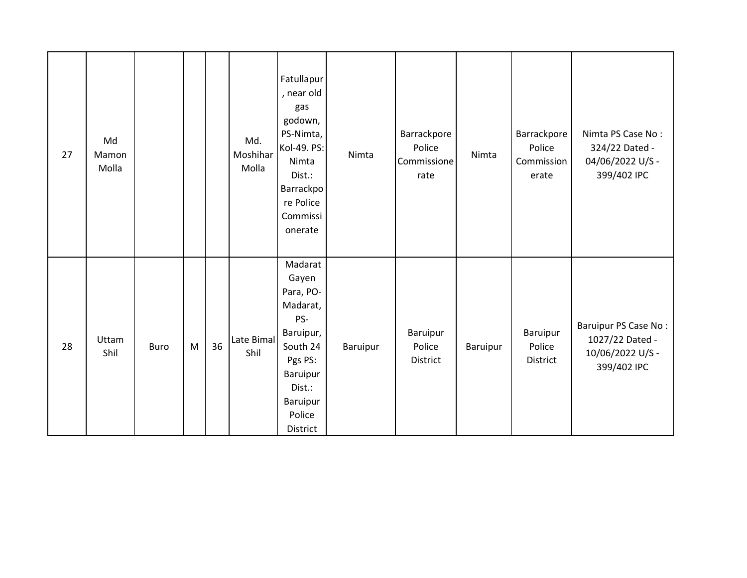| 27 | Md<br>Mamon<br>Molla |             |   |    | Md.<br>Moshihar<br>Molla | Fatullapur<br>, near old<br>gas<br>godown,<br>PS-Nimta,<br>Kol-49. PS:<br>Nimta<br>Dist.:<br>Barrackpo<br>re Police<br>Commissi<br>onerate   | Nimta    | Barrackpore<br>Police<br>Commissione<br>rate | Nimta    | Barrackpore<br>Police<br>Commission<br>erate | Nimta PS Case No:<br>324/22 Dated -<br>04/06/2022 U/S -<br>399/402 IPC     |
|----|----------------------|-------------|---|----|--------------------------|----------------------------------------------------------------------------------------------------------------------------------------------|----------|----------------------------------------------|----------|----------------------------------------------|----------------------------------------------------------------------------|
| 28 | Uttam<br>Shil        | <b>Buro</b> | M | 36 | Late Bimal<br>Shil       | Madarat<br>Gayen<br>Para, PO-<br>Madarat,<br>PS-<br>Baruipur,<br>South 24<br>Pgs PS:<br>Baruipur<br>Dist.:<br>Baruipur<br>Police<br>District | Baruipur | Baruipur<br>Police<br>District               | Baruipur | Baruipur<br>Police<br>District               | Baruipur PS Case No:<br>1027/22 Dated -<br>10/06/2022 U/S -<br>399/402 IPC |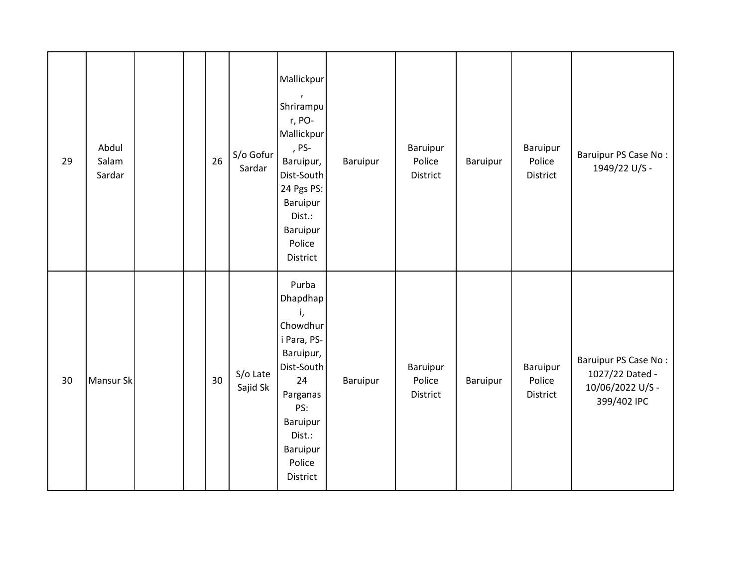| 29 | Abdul<br>Salam<br>Sardar |  | 26 | S/o Gofur<br>Sardar  | Mallickpur<br>$\lambda$<br>Shrirampu<br>r, PO-<br>Mallickpur<br>, PS-<br>Baruipur,<br>Dist-South<br>24 Pgs PS:<br>Baruipur<br>Dist.:<br>Baruipur<br>Police<br>District | Baruipur | Baruipur<br>Police<br>District        | Baruipur | Baruipur<br>Police<br>District        | Baruipur PS Case No:<br>1949/22 U/S -                                      |
|----|--------------------------|--|----|----------------------|------------------------------------------------------------------------------------------------------------------------------------------------------------------------|----------|---------------------------------------|----------|---------------------------------------|----------------------------------------------------------------------------|
| 30 | Mansur Sk                |  | 30 | S/o Late<br>Sajid Sk | Purba<br>Dhapdhap<br>i,<br>Chowdhur<br>i Para, PS-<br>Baruipur,<br>Dist-South<br>24<br>Parganas<br>PS:<br>Baruipur<br>Dist.:<br>Baruipur<br>Police<br>District         | Baruipur | Baruipur<br>Police<br><b>District</b> | Baruipur | Baruipur<br>Police<br><b>District</b> | Baruipur PS Case No:<br>1027/22 Dated -<br>10/06/2022 U/S -<br>399/402 IPC |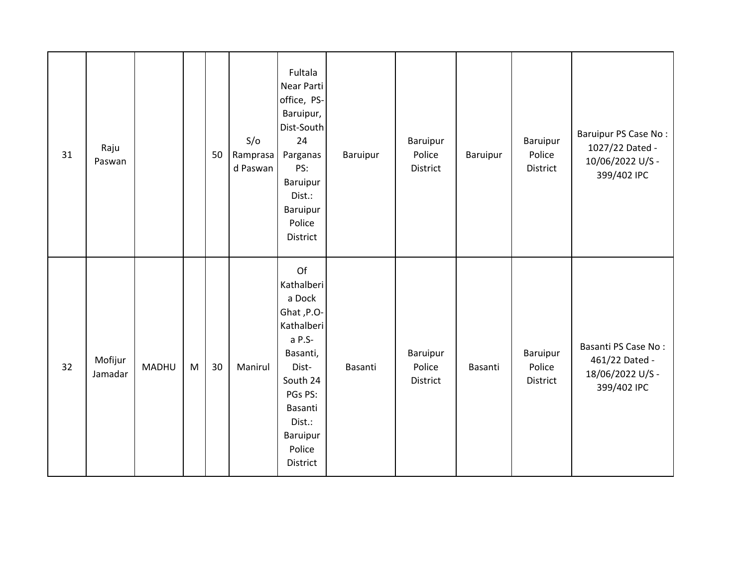| 31 | Raju<br>Paswan     |              |   | 50 | S/O<br>Ramprasa<br>d Paswan | Fultala<br>Near Parti<br>office, PS-<br>Baruipur,<br>Dist-South<br>24<br>Parganas<br>PS:<br>Baruipur<br>Dist.:<br>Baruipur<br>Police<br>District                    | Baruipur | Baruipur<br>Police<br>District        | Baruipur | Baruipur<br>Police<br>District | Baruipur PS Case No:<br>1027/22 Dated -<br>10/06/2022 U/S -<br>399/402 IPC |
|----|--------------------|--------------|---|----|-----------------------------|---------------------------------------------------------------------------------------------------------------------------------------------------------------------|----------|---------------------------------------|----------|--------------------------------|----------------------------------------------------------------------------|
| 32 | Mofijur<br>Jamadar | <b>MADHU</b> | M | 30 | Manirul                     | Of<br>Kathalberi<br>a Dock<br>Ghat, P.O-<br>Kathalberi<br>a P.S-<br>Basanti,<br>Dist-<br>South 24<br>PGs PS:<br>Basanti<br>Dist.:<br>Baruipur<br>Police<br>District | Basanti  | Baruipur<br>Police<br><b>District</b> | Basanti  | Baruipur<br>Police<br>District | Basanti PS Case No:<br>461/22 Dated -<br>18/06/2022 U/S -<br>399/402 IPC   |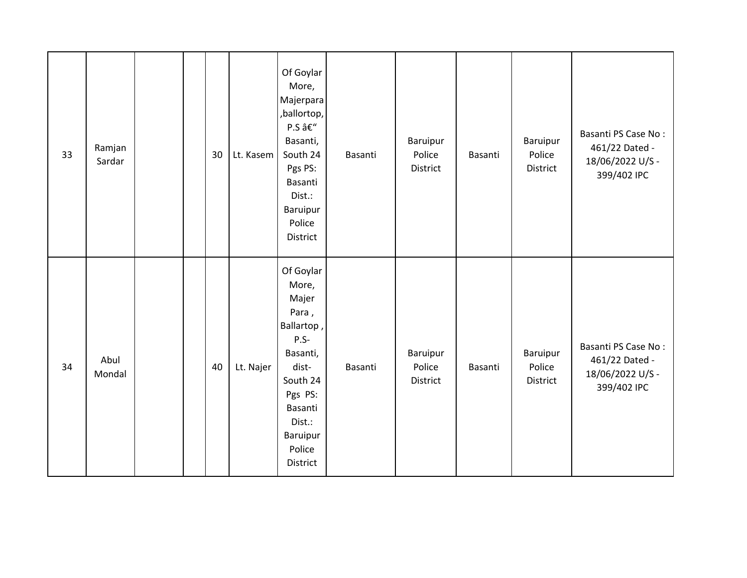| 33 | Ramjan<br>Sardar |  | 30 | Lt. Kasem | Of Goylar<br>More,<br>Majerpara<br>,ballortop,<br>P.S –<br>Basanti,<br>South 24<br>Pgs PS:<br>Basanti<br>Dist.:<br>Baruipur<br>Police<br><b>District</b>        | Basanti | Baruipur<br>Police<br>District | Basanti | Baruipur<br>Police<br>District | Basanti PS Case No:<br>461/22 Dated -<br>18/06/2022 U/S -<br>399/402 IPC |
|----|------------------|--|----|-----------|-----------------------------------------------------------------------------------------------------------------------------------------------------------------|---------|--------------------------------|---------|--------------------------------|--------------------------------------------------------------------------|
| 34 | Abul<br>Mondal   |  | 40 | Lt. Najer | Of Goylar<br>More,<br>Majer<br>Para,<br>Ballartop,<br>$P.S-$<br>Basanti,<br>dist-<br>South 24<br>Pgs PS:<br>Basanti<br>Dist.:<br>Baruipur<br>Police<br>District | Basanti | Baruipur<br>Police<br>District | Basanti | Baruipur<br>Police<br>District | Basanti PS Case No:<br>461/22 Dated -<br>18/06/2022 U/S -<br>399/402 IPC |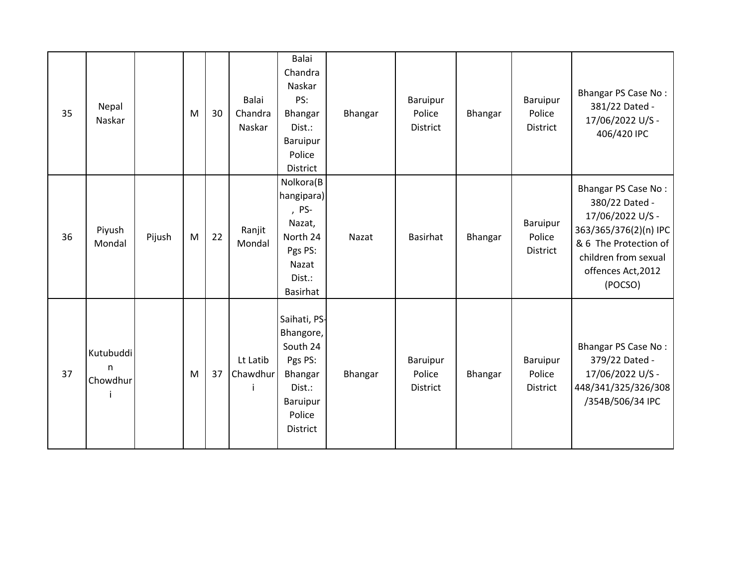| 35 | Nepal<br>Naskar                       |        | M | 30 | Balai<br>Chandra<br>Naskar | <b>Balai</b><br>Chandra<br>Naskar<br>PS:<br>Bhangar<br>Dist.:<br>Baruipur<br>Police<br><b>District</b>                | Bhangar | Baruipur<br>Police<br><b>District</b> | Bhangar | Baruipur<br>Police<br><b>District</b> | <b>Bhangar PS Case No:</b><br>381/22 Dated -<br>17/06/2022 U/S -<br>406/420 IPC                                                                                      |
|----|---------------------------------------|--------|---|----|----------------------------|-----------------------------------------------------------------------------------------------------------------------|---------|---------------------------------------|---------|---------------------------------------|----------------------------------------------------------------------------------------------------------------------------------------------------------------------|
| 36 | Piyush<br>Mondal                      | Pijush | M | 22 | Ranjit<br>Mondal           | Nolkora(B<br>hangipara)<br>, PS-<br>Nazat,<br>North 24<br>Pgs PS:<br>Nazat<br>Dist.:<br>Basirhat                      | Nazat   | <b>Basirhat</b>                       | Bhangar | Baruipur<br>Police<br>District        | Bhangar PS Case No:<br>380/22 Dated -<br>17/06/2022 U/S -<br>363/365/376(2)(n) IPC<br>& 6 The Protection of<br>children from sexual<br>offences Act, 2012<br>(POCSO) |
| 37 | Kutubuddi<br>$\mathsf{n}$<br>Chowdhur |        | M | 37 | Lt Latib<br>Chawdhur       | Saihati, PS-<br>Bhangore,<br>South 24<br>Pgs PS:<br><b>Bhangar</b><br>Dist.:<br>Baruipur<br>Police<br><b>District</b> | Bhangar | Baruipur<br>Police<br>District        | Bhangar | Baruipur<br>Police<br>District        | Bhangar PS Case No:<br>379/22 Dated -<br>17/06/2022 U/S -<br>448/341/325/326/308<br>/354B/506/34 IPC                                                                 |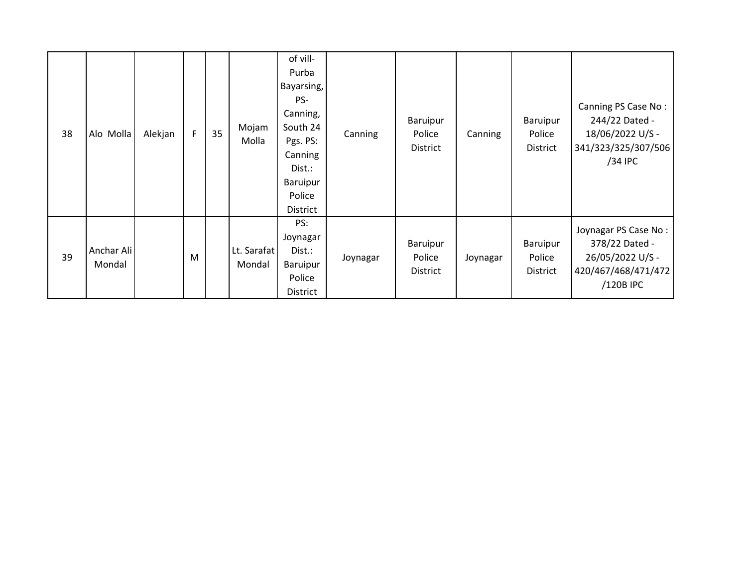| 38 | Alo Molla            | Alekjan | F | 35 | Mojam<br>Molla        | of vill-<br>Purba<br>Bayarsing,<br>PS-<br>Canning,<br>South 24<br>Pgs. PS:<br>Canning<br>Dist.:<br>Baruipur<br>Police<br>District | Canning  | Baruipur<br>Police<br>District | Canning  | Baruipur<br>Police<br>District | Canning PS Case No:<br>244/22 Dated -<br>18/06/2022 U/S -<br>341/323/325/307/506<br>/34 IPC    |
|----|----------------------|---------|---|----|-----------------------|-----------------------------------------------------------------------------------------------------------------------------------|----------|--------------------------------|----------|--------------------------------|------------------------------------------------------------------------------------------------|
| 39 | Anchar Ali<br>Mondal |         | M |    | Lt. Sarafat<br>Mondal | PS:<br>Joynagar<br>Dist.:<br>Baruipur<br>Police<br>District                                                                       | Joynagar | Baruipur<br>Police<br>District | Joynagar | Baruipur<br>Police<br>District | Joynagar PS Case No:<br>378/22 Dated -<br>26/05/2022 U/S -<br>420/467/468/471/472<br>/120B IPC |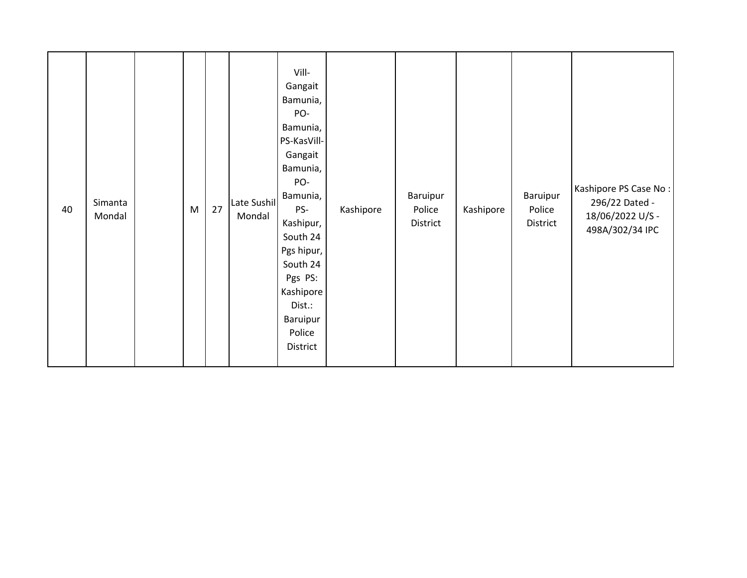| 40 | Simanta<br>Mondal |  | M | 27 | Late Sushil<br>Mondal | Vill-<br>Gangait<br>Bamunia,<br>PO-<br>Bamunia,<br>PS-KasVill-<br>Gangait<br>Bamunia,<br>PO-<br>Bamunia,<br>PS-<br>Kashipur,<br>South 24<br>Pgs hipur,<br>South 24<br>Pgs PS:<br>Kashipore<br>Dist.:<br>Baruipur<br>Police<br>District | Kashipore | Baruipur<br>Police<br>District | Kashipore | Baruipur<br>Police<br>District | Kashipore PS Case No:<br>296/22 Dated -<br>18/06/2022 U/S -<br>498A/302/34 IPC |
|----|-------------------|--|---|----|-----------------------|----------------------------------------------------------------------------------------------------------------------------------------------------------------------------------------------------------------------------------------|-----------|--------------------------------|-----------|--------------------------------|--------------------------------------------------------------------------------|
|----|-------------------|--|---|----|-----------------------|----------------------------------------------------------------------------------------------------------------------------------------------------------------------------------------------------------------------------------------|-----------|--------------------------------|-----------|--------------------------------|--------------------------------------------------------------------------------|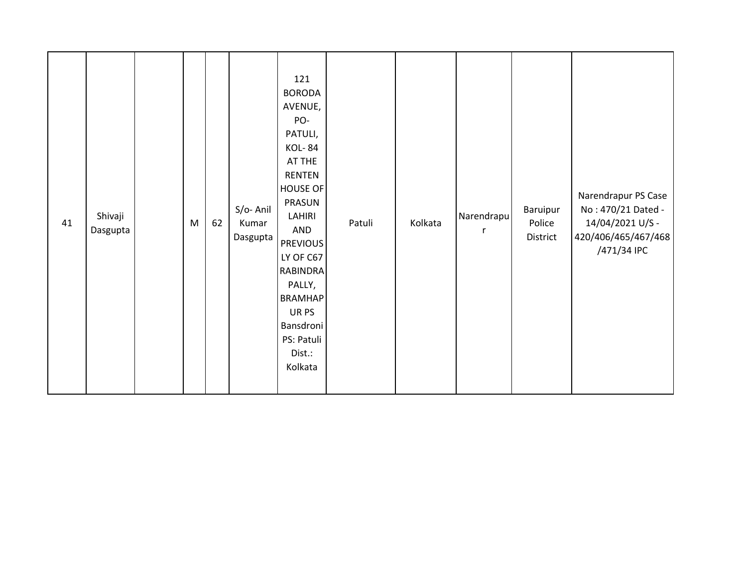| 41 | Shivaji<br>Dasgupta |  | ${\sf M}$ | 62 | S/o-Anil<br>Kumar<br>Dasgupta | 121<br><b>BORODA</b><br>AVENUE,<br>PO-<br>PATULI,<br><b>KOL-84</b><br>AT THE<br>RENTEN<br><b>HOUSE OF</b><br>PRASUN<br>LAHIRI<br>AND<br><b>PREVIOUS</b><br>LY OF C67<br><b>RABINDRA</b><br>PALLY,<br><b>BRAMHAP</b><br>UR PS<br>Bansdroni<br>PS: Patuli<br>Dist.:<br>Kolkata | Patuli | Kolkata | Narendrapu<br>r | Baruipur<br>Police<br>District | Narendrapur PS Case<br>No: 470/21 Dated -<br>14/04/2021 U/S -<br>420/406/465/467/468<br>/471/34 IPC |
|----|---------------------|--|-----------|----|-------------------------------|------------------------------------------------------------------------------------------------------------------------------------------------------------------------------------------------------------------------------------------------------------------------------|--------|---------|-----------------|--------------------------------|-----------------------------------------------------------------------------------------------------|
|----|---------------------|--|-----------|----|-------------------------------|------------------------------------------------------------------------------------------------------------------------------------------------------------------------------------------------------------------------------------------------------------------------------|--------|---------|-----------------|--------------------------------|-----------------------------------------------------------------------------------------------------|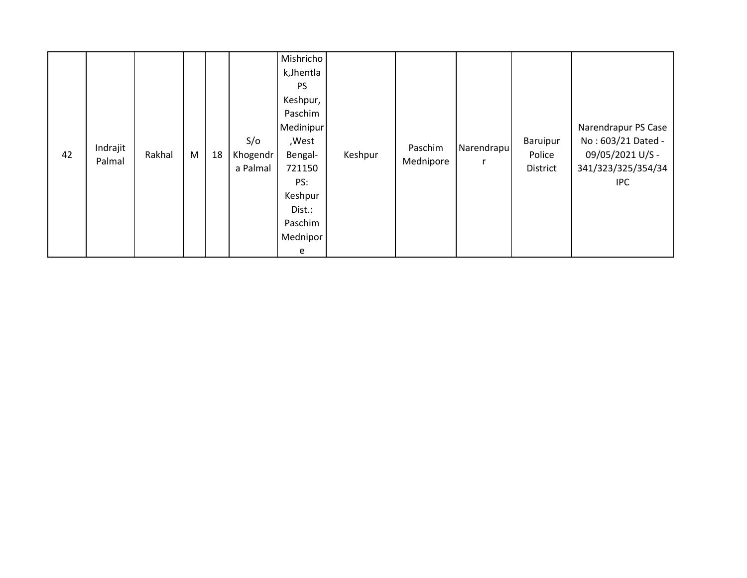| 42 | Indrajit<br>Palmal | Rakhal | M | 18 | S/O<br>Khogendr<br>a Palmal | Mishricho<br>k, Jhentla<br><b>PS</b><br>Keshpur,<br>Paschim<br>Medinipur<br>,West<br>Bengal-<br>721150<br>PS:<br>Keshpur<br>Dist.:<br>Paschim<br>Mednipor<br>e | Keshpur | Paschim<br>Mednipore | Narendrapu<br>r | Baruipur<br>Police<br>District | Narendrapur PS Case<br>No: 603/21 Dated -<br>09/05/2021 U/S -<br>341/323/325/354/34<br><b>IPC</b> |
|----|--------------------|--------|---|----|-----------------------------|----------------------------------------------------------------------------------------------------------------------------------------------------------------|---------|----------------------|-----------------|--------------------------------|---------------------------------------------------------------------------------------------------|
|----|--------------------|--------|---|----|-----------------------------|----------------------------------------------------------------------------------------------------------------------------------------------------------------|---------|----------------------|-----------------|--------------------------------|---------------------------------------------------------------------------------------------------|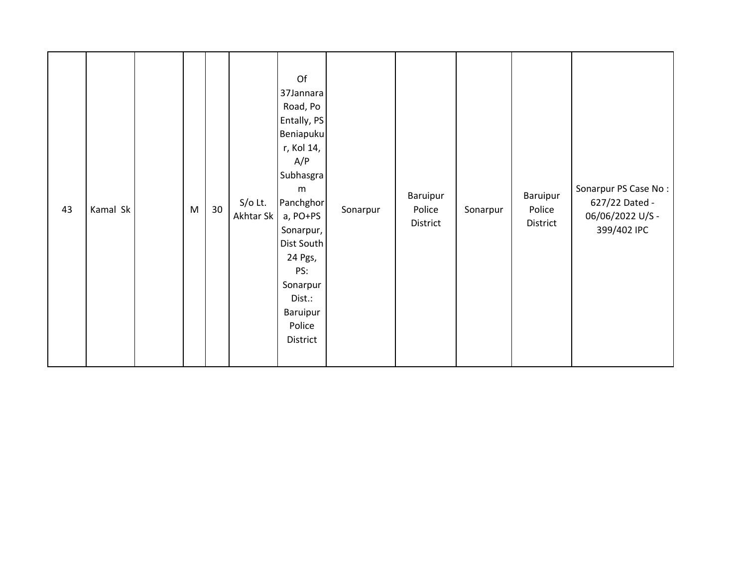| 43 | Kamal Sk |  | ${\sf M}$ | 30 <sub>o</sub> | $S/O$ Lt.<br>Akhtar Sk | Of<br>37Jannara<br>Road, Po<br>Entally, PS<br>Beniapuku<br>r, Kol 14,<br>A/P<br>Subhasgra<br>m<br>Panchghor<br>a, PO+PS<br>Sonarpur,<br>Dist South<br>24 Pgs,<br>PS:<br>Sonarpur<br>Dist.:<br>Baruipur<br>Police<br>District | Sonarpur | Baruipur<br>Police<br>District | Sonarpur | Baruipur<br>Police<br>District | Sonarpur PS Case No:<br>627/22 Dated -<br>06/06/2022 U/S -<br>399/402 IPC |
|----|----------|--|-----------|-----------------|------------------------|------------------------------------------------------------------------------------------------------------------------------------------------------------------------------------------------------------------------------|----------|--------------------------------|----------|--------------------------------|---------------------------------------------------------------------------|
|----|----------|--|-----------|-----------------|------------------------|------------------------------------------------------------------------------------------------------------------------------------------------------------------------------------------------------------------------------|----------|--------------------------------|----------|--------------------------------|---------------------------------------------------------------------------|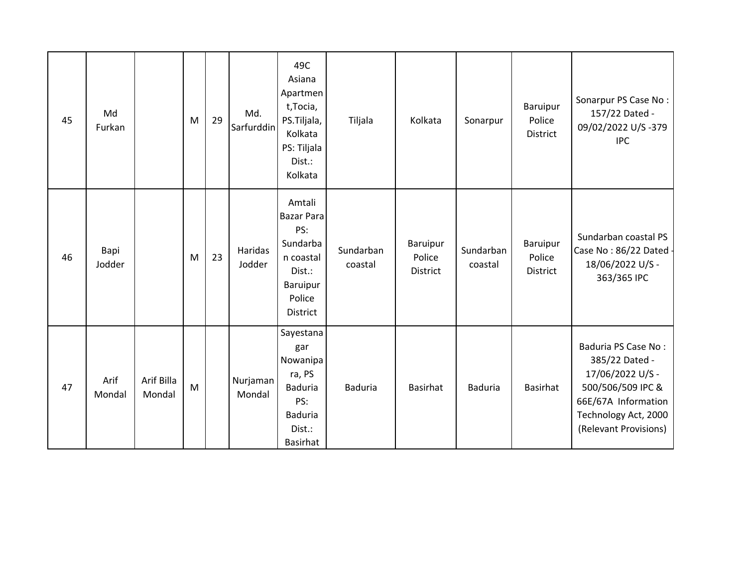| 45 | Md<br>Furkan   |                      | M | 29 | Md.<br>Sarfurddin  | 49C<br>Asiana<br>Apartmen<br>t, Tocia,<br>PS.Tiljala,<br>Kolkata<br>PS: Tiljala<br>Dist.:<br>Kolkata           | Tiljala              | Kolkata                        | Sonarpur             | Baruipur<br>Police<br>District | Sonarpur PS Case No:<br>157/22 Dated -<br>09/02/2022 U/S-379<br><b>IPC</b>                                                                             |
|----|----------------|----------------------|---|----|--------------------|----------------------------------------------------------------------------------------------------------------|----------------------|--------------------------------|----------------------|--------------------------------|--------------------------------------------------------------------------------------------------------------------------------------------------------|
| 46 | Bapi<br>Jodder |                      | M | 23 | Haridas<br>Jodder  | Amtali<br><b>Bazar Para</b><br>PS:<br>Sundarba<br>n coastal<br>Dist.:<br><b>Baruipur</b><br>Police<br>District | Sundarban<br>coastal | Baruipur<br>Police<br>District | Sundarban<br>coastal | Baruipur<br>Police<br>District | Sundarban coastal PS<br>Case No: 86/22 Dated -<br>18/06/2022 U/S -<br>363/365 IPC                                                                      |
| 47 | Arif<br>Mondal | Arif Billa<br>Mondal | M |    | Nurjaman<br>Mondal | Sayestana<br>gar<br>Nowanipa<br>ra, PS<br><b>Baduria</b><br>PS:<br><b>Baduria</b><br>Dist.:<br><b>Basirhat</b> | <b>Baduria</b>       | <b>Basirhat</b>                | <b>Baduria</b>       | Basirhat                       | Baduria PS Case No:<br>385/22 Dated -<br>17/06/2022 U/S -<br>500/506/509 IPC &<br>66E/67A Information<br>Technology Act, 2000<br>(Relevant Provisions) |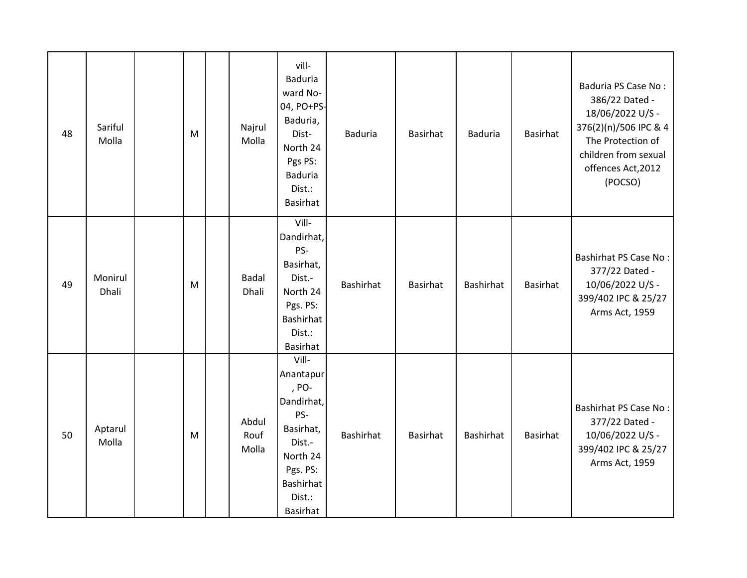| 48 | Sariful<br>Molla | M | Najrul<br>Molla        | vill-<br><b>Baduria</b><br>ward No-<br>04, PO+PS-<br>Baduria,<br>Dist-<br>North 24<br>Pgs PS:<br><b>Baduria</b><br>Dist.:<br>Basirhat     | <b>Baduria</b> | Basirhat        | <b>Baduria</b> | Basirhat | Baduria PS Case No:<br>386/22 Dated -<br>18/06/2022 U/S -<br>376(2)(n)/506 IPC & 4<br>The Protection of<br>children from sexual<br>offences Act, 2012<br>(POCSO) |
|----|------------------|---|------------------------|-------------------------------------------------------------------------------------------------------------------------------------------|----------------|-----------------|----------------|----------|------------------------------------------------------------------------------------------------------------------------------------------------------------------|
| 49 | Monirul<br>Dhali | M | <b>Badal</b><br>Dhali  | Vill-<br>Dandirhat,<br>PS-<br>Basirhat,<br>Dist.-<br>North 24<br>Pgs. PS:<br><b>Bashirhat</b><br>Dist.:<br><b>Basirhat</b>                | Bashirhat      | <b>Basirhat</b> | Bashirhat      | Basirhat | Bashirhat PS Case No:<br>377/22 Dated -<br>10/06/2022 U/S -<br>399/402 IPC & 25/27<br>Arms Act, 1959                                                             |
| 50 | Aptarul<br>Molla | M | Abdul<br>Rouf<br>Molla | Vill-<br>Anantapur<br>, PO-<br>Dandirhat,<br>PS-<br>Basirhat,<br>Dist.-<br>North 24<br>Pgs. PS:<br><b>Bashirhat</b><br>Dist.:<br>Basirhat | Bashirhat      | Basirhat        | Bashirhat      | Basirhat | Bashirhat PS Case No:<br>377/22 Dated -<br>10/06/2022 U/S -<br>399/402 IPC & 25/27<br>Arms Act, 1959                                                             |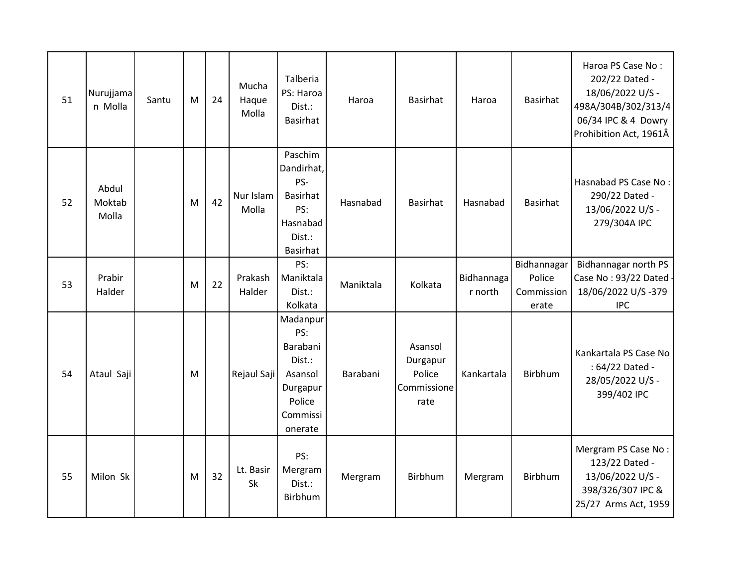| 51 | Nurujjama<br>n Molla     | Santu | M | 24 | Mucha<br>Haque<br>Molla | Talberia<br>PS: Haroa<br>Dist.:<br>Basirhat                                                   | Haroa     | Basirhat                                             | Haroa                 | <b>Basirhat</b>                              | Haroa PS Case No:<br>202/22 Dated -<br>18/06/2022 U/S -<br>498A/304B/302/313/4<br>06/34 IPC & 4 Dowry<br>Prohibition Act, 1961Â |
|----|--------------------------|-------|---|----|-------------------------|-----------------------------------------------------------------------------------------------|-----------|------------------------------------------------------|-----------------------|----------------------------------------------|---------------------------------------------------------------------------------------------------------------------------------|
| 52 | Abdul<br>Moktab<br>Molla |       | M | 42 | Nur Islam<br>Molla      | Paschim<br>Dandirhat,<br>PS-<br><b>Basirhat</b><br>PS:<br>Hasnabad<br>Dist.:<br>Basirhat      | Hasnabad  | <b>Basirhat</b>                                      | Hasnabad              | <b>Basirhat</b>                              | Hasnabad PS Case No:<br>290/22 Dated -<br>13/06/2022 U/S -<br>279/304A IPC                                                      |
| 53 | Prabir<br>Halder         |       | M | 22 | Prakash<br>Halder       | PS:<br>Maniktala<br>Dist.:<br>Kolkata                                                         | Maniktala | Kolkata                                              | Bidhannaga<br>r north | Bidhannagar<br>Police<br>Commission<br>erate | Bidhannagar north PS<br>Case No: 93/22 Dated -<br>18/06/2022 U/S-379<br><b>IPC</b>                                              |
| 54 | Ataul Saji               |       | M |    | Rejaul Saji             | Madanpur<br>PS:<br>Barabani<br>Dist.:<br>Asansol<br>Durgapur<br>Police<br>Commissi<br>onerate | Barabani  | Asansol<br>Durgapur<br>Police<br>Commissione<br>rate | Kankartala            | <b>Birbhum</b>                               | Kankartala PS Case No<br>: 64/22 Dated -<br>28/05/2022 U/S -<br>399/402 IPC                                                     |
| 55 | Milon Sk                 |       | M | 32 | Lt. Basir<br>Sk         | PS:<br>Mergram<br>Dist.:<br>Birbhum                                                           | Mergram   | Birbhum                                              | Mergram               | Birbhum                                      | Mergram PS Case No:<br>123/22 Dated -<br>13/06/2022 U/S -<br>398/326/307 IPC &<br>25/27 Arms Act, 1959                          |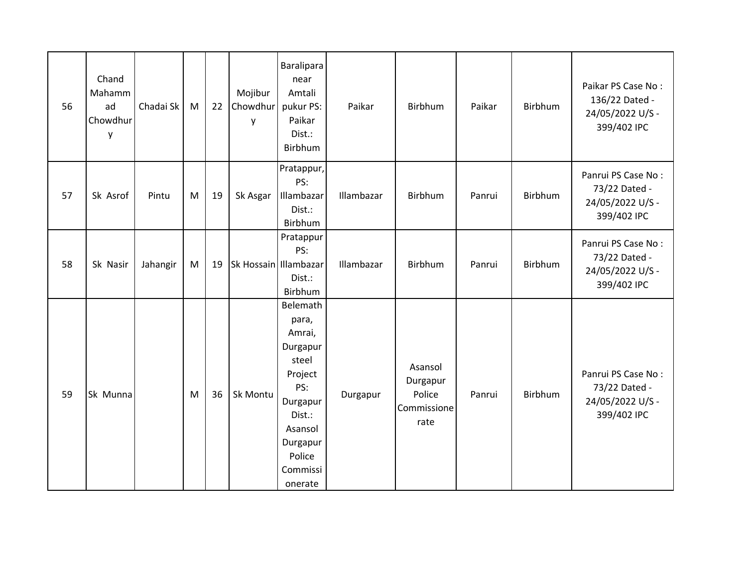| 56 | Chand<br>Mahamm<br>ad<br>Chowdhur<br>y | Chadai Sk | M | 22 | Mojibur<br>Chowdhur<br>y | Baralipara<br>near<br>Amtali<br>pukur PS:<br>Paikar<br>Dist.:<br>Birbhum                                                                         | Paikar     | Birbhum                                              | Paikar | Birbhum        | Paikar PS Case No:<br>136/22 Dated -<br>24/05/2022 U/S -<br>399/402 IPC |
|----|----------------------------------------|-----------|---|----|--------------------------|--------------------------------------------------------------------------------------------------------------------------------------------------|------------|------------------------------------------------------|--------|----------------|-------------------------------------------------------------------------|
| 57 | Sk Asrof                               | Pintu     | M | 19 | Sk Asgar                 | Pratappur,<br>PS:<br>Illambazar<br>Dist.:<br>Birbhum                                                                                             | Illambazar | Birbhum                                              | Panrui | <b>Birbhum</b> | Panrui PS Case No:<br>73/22 Dated -<br>24/05/2022 U/S -<br>399/402 IPC  |
| 58 | Sk Nasir                               | Jahangir  | M | 19 | Sk Hossain Illambazar    | Pratappur<br>PS:<br>Dist.:<br>Birbhum                                                                                                            | Illambazar | Birbhum                                              | Panrui | Birbhum        | Panrui PS Case No:<br>73/22 Dated -<br>24/05/2022 U/S -<br>399/402 IPC  |
| 59 | Sk Munna                               |           | M | 36 | Sk Montu                 | Belemath<br>para,<br>Amrai,<br>Durgapur<br>steel<br>Project<br>PS:<br>Durgapur<br>Dist.:<br>Asansol<br>Durgapur<br>Police<br>Commissi<br>onerate | Durgapur   | Asansol<br>Durgapur<br>Police<br>Commissione<br>rate | Panrui | Birbhum        | Panrui PS Case No:<br>73/22 Dated -<br>24/05/2022 U/S -<br>399/402 IPC  |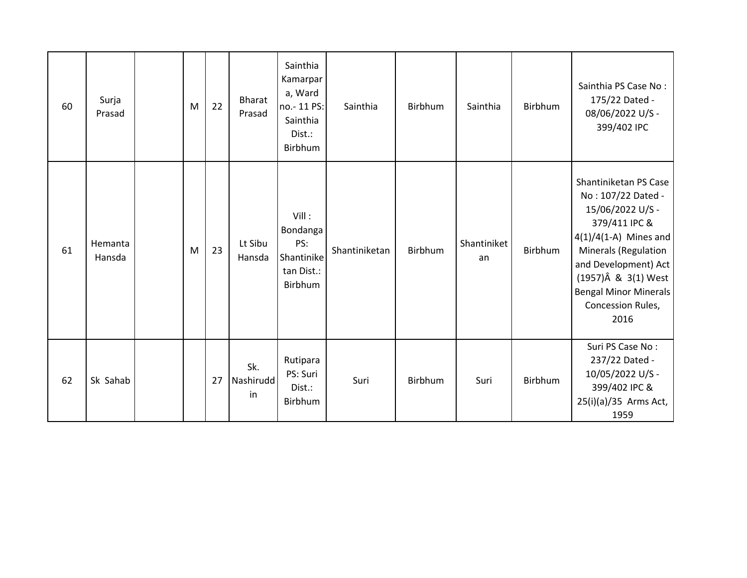| 60 | Surja<br>Prasad   | M | 22 | <b>Bharat</b><br>Prasad | Sainthia<br>Kamarpar<br>a, Ward<br>no.-11 PS:<br>Sainthia<br>Dist.:<br>Birbhum | Sainthia      | Birbhum        | Sainthia          | Birbhum | Sainthia PS Case No:<br>175/22 Dated -<br>08/06/2022 U/S -<br>399/402 IPC                                                                                                                                                                                      |
|----|-------------------|---|----|-------------------------|--------------------------------------------------------------------------------|---------------|----------------|-------------------|---------|----------------------------------------------------------------------------------------------------------------------------------------------------------------------------------------------------------------------------------------------------------------|
| 61 | Hemanta<br>Hansda | M | 23 | Lt Sibu<br>Hansda       | Vill:<br>Bondanga<br>PS:<br>Shantinike<br>tan Dist.:<br>Birbhum                | Shantiniketan | <b>Birbhum</b> | Shantiniket<br>an | Birbhum | Shantiniketan PS Case<br>No: 107/22 Dated -<br>15/06/2022 U/S -<br>379/411 IPC &<br>$4(1)/4(1-A)$ Mines and<br><b>Minerals (Regulation</b><br>and Development) Act<br>$(1957)\hat{A}$ & 3(1) West<br><b>Bengal Minor Minerals</b><br>Concession Rules,<br>2016 |
| 62 | Sk Sahab          |   | 27 | Sk.<br>Nashirudd<br>in  | Rutipara<br>PS: Suri<br>Dist.:<br>Birbhum                                      | Suri          | <b>Birbhum</b> | Suri              | Birbhum | Suri PS Case No:<br>237/22 Dated -<br>10/05/2022 U/S -<br>399/402 IPC &<br>25(i)(a)/35 Arms Act,<br>1959                                                                                                                                                       |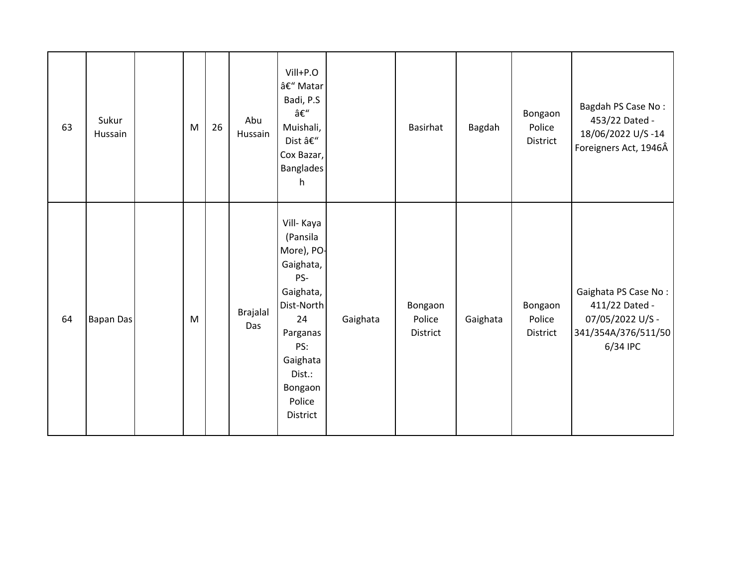| 63 | Sukur<br>Hussain | ${\sf M}$ | 26 | Abu<br>Hussain         | Vill+P.O<br>– Matar<br>Badi, P.S<br>–<br>Muishali,<br>Dist –<br>Cox Bazar,<br><b>Banglades</b><br>h                                                                 |          | Basirhat                      | Bagdah   | Bongaon<br>Police<br>District | Bagdah PS Case No:<br>453/22 Dated -<br>18/06/2022 U/S-14<br>Foreigners Act, 1946Â            |
|----|------------------|-----------|----|------------------------|---------------------------------------------------------------------------------------------------------------------------------------------------------------------|----------|-------------------------------|----------|-------------------------------|-----------------------------------------------------------------------------------------------|
| 64 | <b>Bapan Das</b> | ${\sf M}$ |    | <b>Brajalal</b><br>Das | Vill- Kaya<br>(Pansila<br>More), PO-<br>Gaighata,<br>PS-<br>Gaighata,<br>Dist-North<br>24<br>Parganas<br>PS:<br>Gaighata<br>Dist.:<br>Bongaon<br>Police<br>District | Gaighata | Bongaon<br>Police<br>District | Gaighata | Bongaon<br>Police<br>District | Gaighata PS Case No:<br>411/22 Dated -<br>07/05/2022 U/S -<br>341/354A/376/511/50<br>6/34 IPC |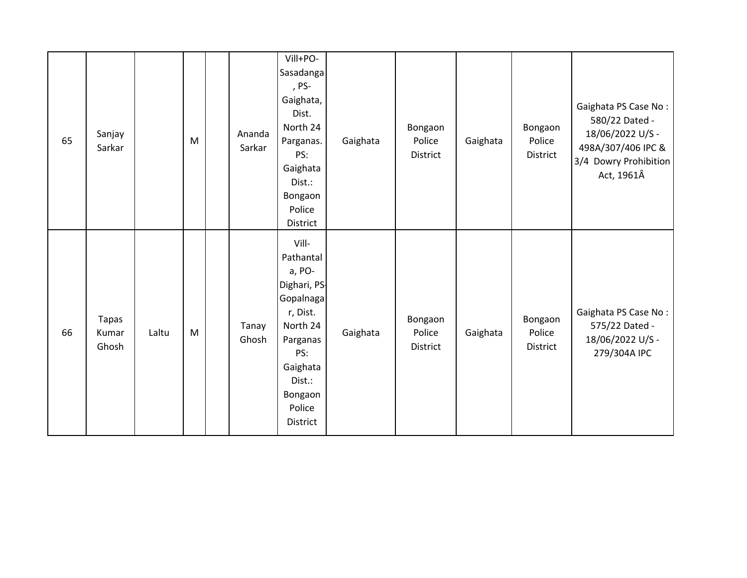| 65 | Sanjay<br>Sarkar        |       | M | Ananda<br>Sarkar | Vill+PO-<br>Sasadanga<br>, PS-<br>Gaighata,<br>Dist.<br>North 24<br>Parganas.<br>PS:<br>Gaighata<br>Dist.:<br>Bongaon<br>Police<br>District                 | Gaighata | Bongaon<br>Police<br>District | Gaighata | Bongaon<br>Police<br>District | Gaighata PS Case No:<br>580/22 Dated -<br>18/06/2022 U/S -<br>498A/307/406 IPC &<br>3/4 Dowry Prohibition<br>Act, 1961Â |
|----|-------------------------|-------|---|------------------|-------------------------------------------------------------------------------------------------------------------------------------------------------------|----------|-------------------------------|----------|-------------------------------|-------------------------------------------------------------------------------------------------------------------------|
| 66 | Tapas<br>Kumar<br>Ghosh | Laltu | M | Tanay<br>Ghosh   | Vill-<br>Pathantal<br>a, PO-<br>Dighari, PS-<br>Gopalnaga<br>r, Dist.<br>North 24<br>Parganas<br>PS:<br>Gaighata<br>Dist.:<br>Bongaon<br>Police<br>District | Gaighata | Bongaon<br>Police<br>District | Gaighata | Bongaon<br>Police<br>District | Gaighata PS Case No:<br>575/22 Dated -<br>18/06/2022 U/S -<br>279/304A IPC                                              |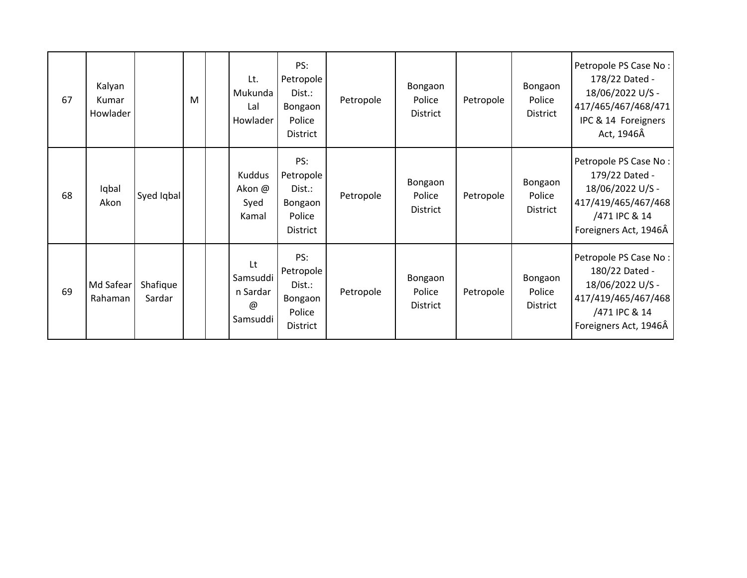| 67 | Kalyan<br>Kumar<br>Howlader |                    | M | Lt.<br>Mukunda<br>Lal<br>Howlader                     | PS:<br>Petropole<br>Dist.:<br>Bongaon<br>Police<br>District        | Petropole | Bongaon<br>Police<br><b>District</b> | Petropole | Bongaon<br>Police<br>District | Petropole PS Case No:<br>178/22 Dated -<br>18/06/2022 U/S -<br>417/465/467/468/471<br>IPC & 14 Foreigners<br>Act, 1946Â      |
|----|-----------------------------|--------------------|---|-------------------------------------------------------|--------------------------------------------------------------------|-----------|--------------------------------------|-----------|-------------------------------|------------------------------------------------------------------------------------------------------------------------------|
| 68 | Iqbal<br>Akon               | Syed Iqbal         |   | Kuddus<br>Akon @<br>Syed<br>Kamal                     | PS:<br>Petropole<br>Dist.:<br>Bongaon<br>Police<br><b>District</b> | Petropole | Bongaon<br>Police<br><b>District</b> | Petropole | Bongaon<br>Police<br>District | Petropole PS Case No:<br>179/22 Dated -<br>18/06/2022 U/S -<br>417/419/465/467/468<br>/471 IPC & 14<br>Foreigners Act, 1946Â |
| 69 | Md Safear<br>Rahaman        | Shafique<br>Sardar |   | Lt<br>Samsuddi<br>n Sardar<br>$^{\omega}$<br>Samsuddi | PS:<br>Petropole<br>Dist.:<br>Bongaon<br>Police<br><b>District</b> | Petropole | Bongaon<br>Police<br><b>District</b> | Petropole | Bongaon<br>Police<br>District | Petropole PS Case No:<br>180/22 Dated -<br>18/06/2022 U/S -<br>417/419/465/467/468<br>/471 IPC & 14<br>Foreigners Act, 1946Â |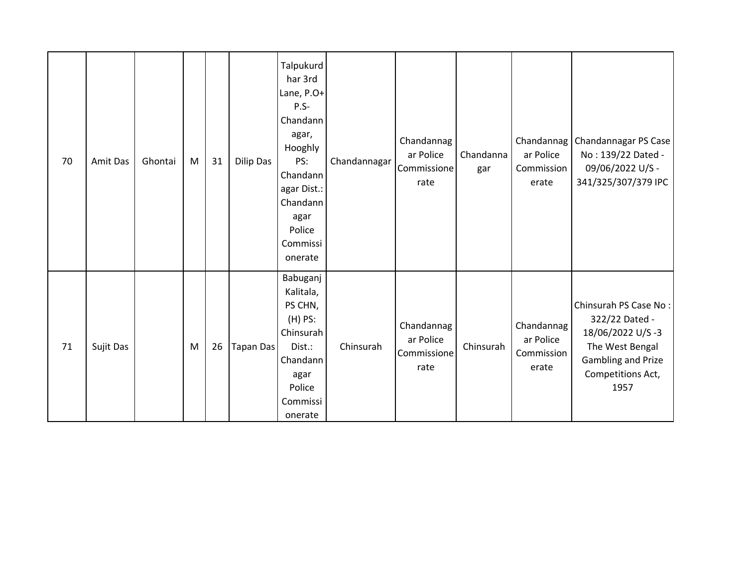| 70 | <b>Amit Das</b> | Ghontai | M | 31 | Dilip Das        | Talpukurd<br>har 3rd<br>Lane, P.O+<br>P.S-<br>Chandann<br>agar,<br>Hooghly<br>PS:<br>Chandann<br>agar Dist.:<br>Chandann<br>agar<br>Police<br>Commissi<br>onerate | Chandannagar | Chandannag<br>ar Police<br>Commissione<br>rate | Chandanna<br>gar | ar Police<br>Commission<br>erate               | Chandannag   Chandannagar PS Case  <br>No: 139/22 Dated -<br>09/06/2022 U/S -<br>341/325/307/379 IPC                              |
|----|-----------------|---------|---|----|------------------|-------------------------------------------------------------------------------------------------------------------------------------------------------------------|--------------|------------------------------------------------|------------------|------------------------------------------------|-----------------------------------------------------------------------------------------------------------------------------------|
| 71 | Sujit Das       |         | M | 26 | <b>Tapan Das</b> | Babuganj<br>Kalitala,<br>PS CHN,<br>$(H)$ PS:<br>Chinsurah<br>Dist.:<br>Chandann<br>agar<br>Police<br>Commissi<br>onerate                                         | Chinsurah    | Chandannag<br>ar Police<br>Commissione<br>rate | Chinsurah        | Chandannag<br>ar Police<br>Commission<br>erate | Chinsurah PS Case No:<br>322/22 Dated -<br>18/06/2022 U/S-3<br>The West Bengal<br>Gambling and Prize<br>Competitions Act,<br>1957 |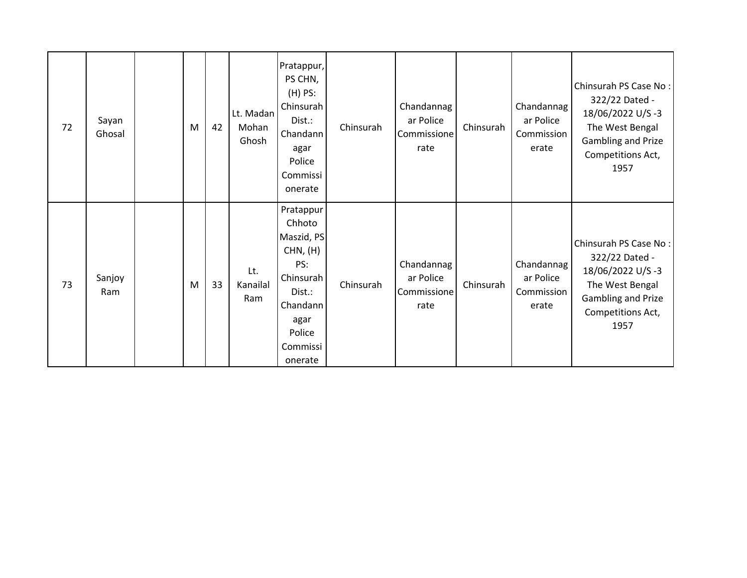| 72 | Sayan<br>Ghosal | M | 42 | Lt. Madan<br>Mohan<br>Ghosh | Pratappur,<br>PS CHN,<br>$(H)$ PS:<br>Chinsurah<br>Dist.:<br>Chandann<br>agar<br>Police<br>Commissi<br>onerate                   | Chinsurah | Chandannag<br>ar Police<br>Commissione<br>rate | Chinsurah | Chandannag<br>ar Police<br>Commission<br>erate | Chinsurah PS Case No:<br>322/22 Dated -<br>18/06/2022 U/S-3<br>The West Bengal<br>Gambling and Prize<br>Competitions Act,<br>1957        |
|----|-----------------|---|----|-----------------------------|----------------------------------------------------------------------------------------------------------------------------------|-----------|------------------------------------------------|-----------|------------------------------------------------|------------------------------------------------------------------------------------------------------------------------------------------|
| 73 | Sanjoy<br>Ram   | M | 33 | Lt.<br>Kanailal<br>Ram      | Pratappur<br>Chhoto<br>Maszid, PS<br>CHN, (H)<br>PS:<br>Chinsurah<br>Dist.:<br>Chandann<br>agar<br>Police<br>Commissi<br>onerate | Chinsurah | Chandannag<br>ar Police<br>Commissione<br>rate | Chinsurah | Chandannag<br>ar Police<br>Commission<br>erate | Chinsurah PS Case No:<br>322/22 Dated -<br>18/06/2022 U/S-3<br>The West Bengal<br><b>Gambling and Prize</b><br>Competitions Act,<br>1957 |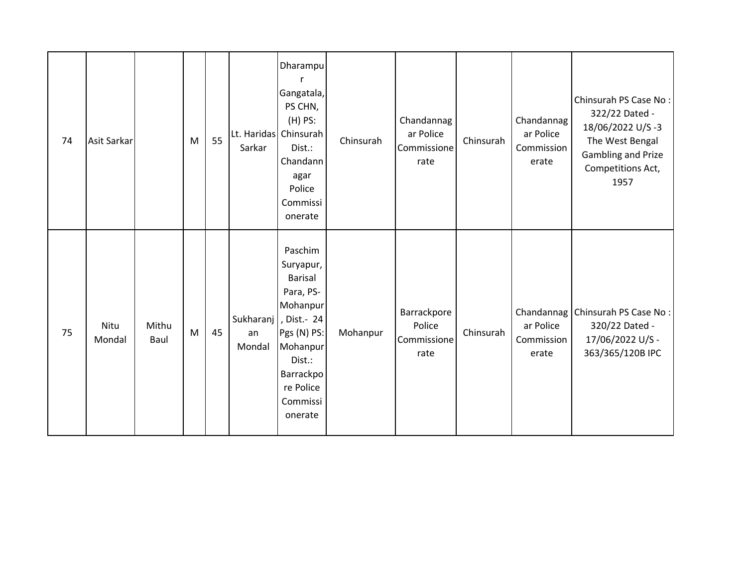| 74 | <b>Asit Sarkar</b> |               | M | 55 | Sarkar       | Dharampu<br>r<br>Gangatala,<br>PS CHN,<br>$(H)$ PS:<br>Lt. Haridas Chinsurah<br>Dist.:<br>Chandann<br>agar<br>Police<br>Commissi<br>onerate                                      | Chinsurah | Chandannag<br>ar Police<br>Commissione<br>rate | Chinsurah | Chandannag<br>ar Police<br>Commission<br>erate | Chinsurah PS Case No:<br>322/22 Dated -<br>18/06/2022 U/S-3<br>The West Bengal<br>Gambling and Prize<br>Competitions Act,<br>1957 |
|----|--------------------|---------------|---|----|--------------|----------------------------------------------------------------------------------------------------------------------------------------------------------------------------------|-----------|------------------------------------------------|-----------|------------------------------------------------|-----------------------------------------------------------------------------------------------------------------------------------|
| 75 | Nitu<br>Mondal     | Mithu<br>Baul | M | 45 | an<br>Mondal | Paschim<br>Suryapur,<br><b>Barisal</b><br>Para, PS-<br>Mohanpur<br>Sukharanj   , Dist.- 24<br>Pgs (N) PS:<br>Mohanpur<br>Dist.:<br>Barrackpo<br>re Police<br>Commissi<br>onerate | Mohanpur  | Barrackpore<br>Police<br>Commissione<br>rate   | Chinsurah | ar Police<br>Commission<br>erate               | Chandannag   Chinsurah PS Case No :<br>320/22 Dated -<br>17/06/2022 U/S -<br>363/365/120B IPC                                     |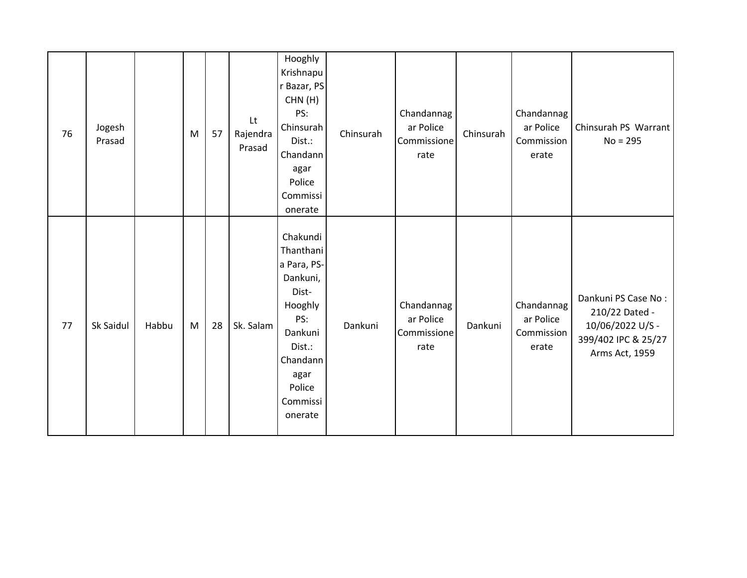| 76 | Jogesh<br>Prasad |       | M | 57 | $\mathsf{L}\mathsf{t}$<br>Rajendra<br>Prasad | Hooghly<br>Krishnapu<br>r Bazar, PS<br>CHN(H)<br>PS:<br>Chinsurah<br>Dist.:<br>Chandann<br>agar<br>Police<br>Commissi<br>onerate                      | Chinsurah | Chandannag<br>ar Police<br>Commissione<br>rate | Chinsurah | Chandannag<br>ar Police<br>Commission<br>erate | Chinsurah PS Warrant<br>$No = 295$                                                                 |
|----|------------------|-------|---|----|----------------------------------------------|-------------------------------------------------------------------------------------------------------------------------------------------------------|-----------|------------------------------------------------|-----------|------------------------------------------------|----------------------------------------------------------------------------------------------------|
| 77 | Sk Saidul        | Habbu | M | 28 | Sk. Salam                                    | Chakundi<br>Thanthani<br>a Para, PS-<br>Dankuni,<br>Dist-<br>Hooghly<br>PS:<br>Dankuni<br>Dist.:<br>Chandann<br>agar<br>Police<br>Commissi<br>onerate | Dankuni   | Chandannag<br>ar Police<br>Commissione<br>rate | Dankuni   | Chandannag<br>ar Police<br>Commission<br>erate | Dankuni PS Case No:<br>210/22 Dated -<br>10/06/2022 U/S -<br>399/402 IPC & 25/27<br>Arms Act, 1959 |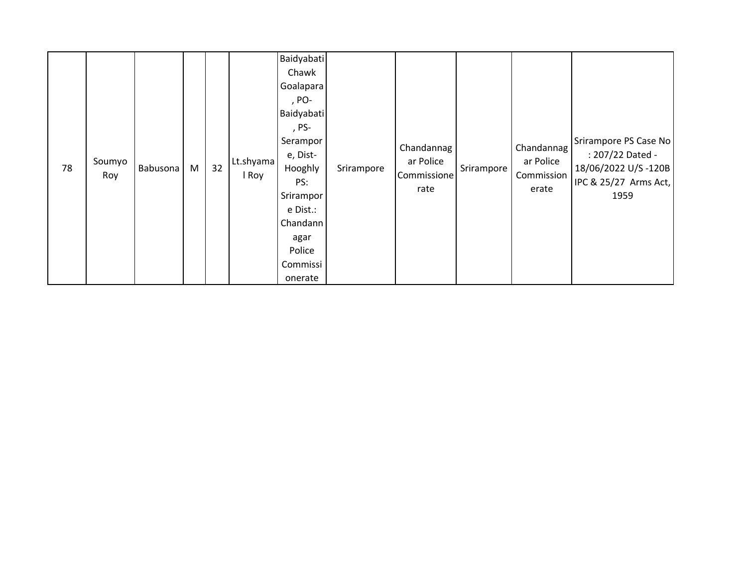| 78 | Soumyo<br>Roy | Babusona | M | 32 | Lt.shyama<br>I Roy | <b>Baidyabati</b><br>Chawk<br>Goalapara<br>, PO-<br>Baidyabati<br>, PS-<br>Serampor<br>e, Dist-<br>Hooghly<br>PS:<br>Srirampor<br>e Dist.:<br>Chandann<br>agar<br>Police<br>Commissi<br>onerate | Srirampore | Chandannag<br>ar Police<br>Commissione<br>rate | Srirampore | Chandannag<br>ar Police<br>Commission<br>erate | Srirampore PS Case No<br>: 207/22 Dated -<br>18/06/2022 U/S-120B<br>IPC & 25/27 Arms Act,<br>1959 |
|----|---------------|----------|---|----|--------------------|-------------------------------------------------------------------------------------------------------------------------------------------------------------------------------------------------|------------|------------------------------------------------|------------|------------------------------------------------|---------------------------------------------------------------------------------------------------|
|----|---------------|----------|---|----|--------------------|-------------------------------------------------------------------------------------------------------------------------------------------------------------------------------------------------|------------|------------------------------------------------|------------|------------------------------------------------|---------------------------------------------------------------------------------------------------|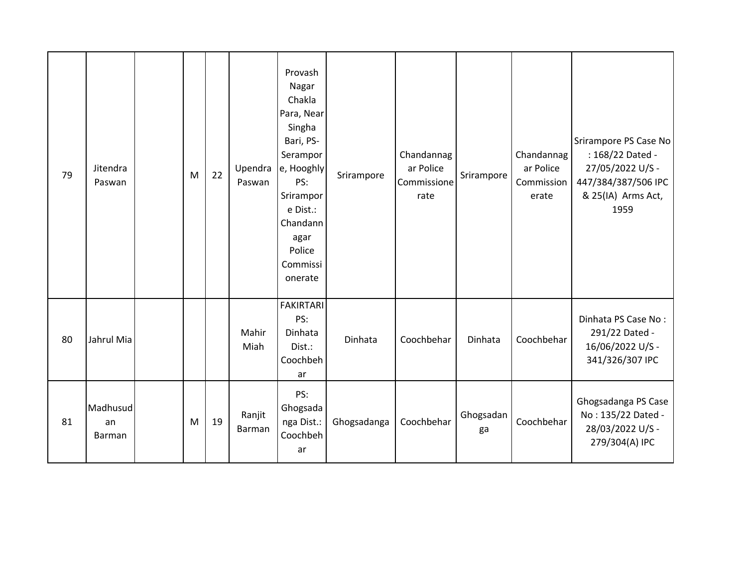| 79 | Jitendra<br>Paswan       | M | 22 | Upendra<br>Paswan | Provash<br>Nagar<br>Chakla<br>Para, Near<br>Singha<br>Bari, PS-<br>Serampor<br>e, Hooghly<br>PS:<br>Srirampor<br>e Dist.:<br>Chandann<br>agar<br>Police<br>Commissi<br>onerate | Srirampore  | Chandannag<br>ar Police<br>Commissione<br>rate | Srirampore      | Chandannag<br>ar Police<br>Commission<br>erate | Srirampore PS Case No<br>: 168/22 Dated -<br>27/05/2022 U/S -<br>447/384/387/506 IPC<br>& 25(IA) Arms Act,<br>1959 |
|----|--------------------------|---|----|-------------------|--------------------------------------------------------------------------------------------------------------------------------------------------------------------------------|-------------|------------------------------------------------|-----------------|------------------------------------------------|--------------------------------------------------------------------------------------------------------------------|
| 80 | Jahrul Mia               |   |    | Mahir<br>Miah     | <b>FAKIRTARI</b><br>PS:<br>Dinhata<br>Dist.:<br>Coochbeh<br>ar                                                                                                                 | Dinhata     | Coochbehar                                     | Dinhata         | Coochbehar                                     | Dinhata PS Case No:<br>291/22 Dated -<br>16/06/2022 U/S -<br>341/326/307 IPC                                       |
| 81 | Madhusud<br>an<br>Barman | M | 19 | Ranjit<br>Barman  | PS:<br>Ghogsada<br>nga Dist.:<br>Coochbeh<br>ar                                                                                                                                | Ghogsadanga | Coochbehar                                     | Ghogsadan<br>ga | Coochbehar                                     | Ghogsadanga PS Case<br>No: 135/22 Dated -<br>28/03/2022 U/S -<br>279/304(A) IPC                                    |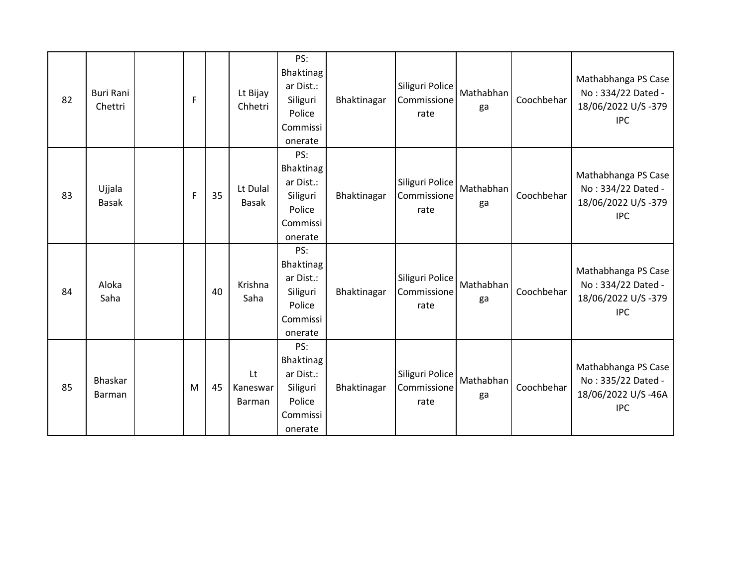| 82 | <b>Buri Rani</b><br>Chettri | F            |    | Lt Bijay<br>Chhetri      | PS:<br>Bhaktinag<br>ar Dist.:<br>Siliguri<br>Police<br>Commissi<br>onerate | Bhaktinagar | Siliguri Police<br>Commissione<br>rate | Mathabhan<br>ga | Coochbehar | Mathabhanga PS Case<br>No: 334/22 Dated -<br>18/06/2022 U/S-379<br><b>IPC</b> |
|----|-----------------------------|--------------|----|--------------------------|----------------------------------------------------------------------------|-------------|----------------------------------------|-----------------|------------|-------------------------------------------------------------------------------|
| 83 | Ujjala<br><b>Basak</b>      | $\mathsf{F}$ | 35 | Lt Dulal<br>Basak        | PS:<br>Bhaktinag<br>ar Dist.:<br>Siliguri<br>Police<br>Commissi<br>onerate | Bhaktinagar | Siliguri Police<br>Commissione<br>rate | Mathabhan<br>ga | Coochbehar | Mathabhanga PS Case<br>No: 334/22 Dated -<br>18/06/2022 U/S-379<br><b>IPC</b> |
| 84 | Aloka<br>Saha               |              | 40 | Krishna<br>Saha          | PS:<br>Bhaktinag<br>ar Dist.:<br>Siliguri<br>Police<br>Commissi<br>onerate | Bhaktinagar | Siliguri Police<br>Commissione<br>rate | Mathabhan<br>ga | Coochbehar | Mathabhanga PS Case<br>No: 334/22 Dated -<br>18/06/2022 U/S-379<br><b>IPC</b> |
| 85 | Bhaskar<br><b>Barman</b>    | M            | 45 | Lt<br>Kaneswar<br>Barman | PS:<br>Bhaktinag<br>ar Dist.:<br>Siliguri<br>Police<br>Commissi<br>onerate | Bhaktinagar | Siliguri Police<br>Commissione<br>rate | Mathabhan<br>ga | Coochbehar | Mathabhanga PS Case<br>No: 335/22 Dated -<br>18/06/2022 U/S-46A<br><b>IPC</b> |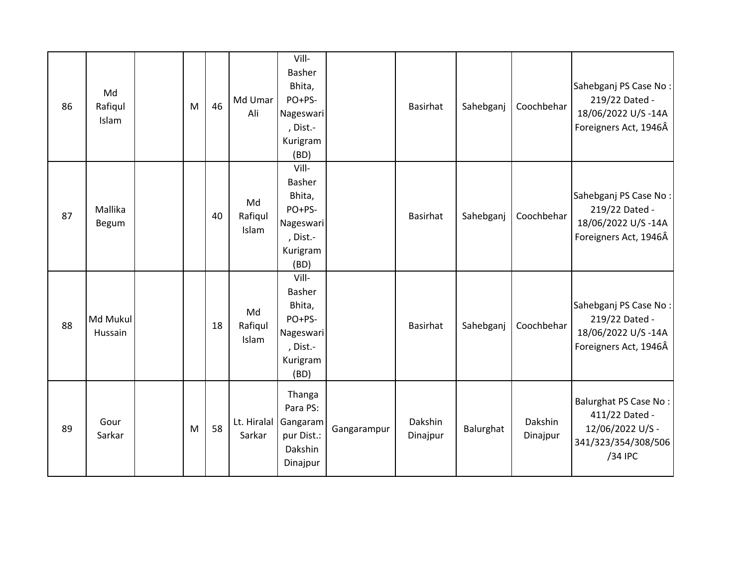| 86 | Md<br>Rafiqul<br>Islam | M | 46 | Md Umar<br>Ali         | Vill-<br>Basher<br>Bhita,<br>PO+PS-<br>Nageswari<br>, Dist.-<br>Kurigram<br>(BD) |             | Basirhat            | Sahebganj | Coochbehar          | Sahebganj PS Case No:<br>219/22 Dated -<br>18/06/2022 U/S-14A<br>Foreigners Act, 1946Â        |
|----|------------------------|---|----|------------------------|----------------------------------------------------------------------------------|-------------|---------------------|-----------|---------------------|-----------------------------------------------------------------------------------------------|
| 87 | Mallika<br>Begum       |   | 40 | Md<br>Rafiqul<br>Islam | Vill-<br>Basher<br>Bhita,<br>PO+PS-<br>Nageswari<br>, Dist.-<br>Kurigram<br>(BD) |             | Basirhat            | Sahebganj | Coochbehar          | Sahebganj PS Case No:<br>219/22 Dated -<br>18/06/2022 U/S-14A<br>Foreigners Act, 1946Â        |
| 88 | Md Mukul<br>Hussain    |   | 18 | Md<br>Rafiqul<br>Islam | Vill-<br>Basher<br>Bhita,<br>PO+PS-<br>Nageswari<br>, Dist.-<br>Kurigram<br>(BD) |             | Basirhat            | Sahebganj | Coochbehar          | Sahebganj PS Case No:<br>219/22 Dated -<br>18/06/2022 U/S-14A<br>Foreigners Act, 1946Â        |
| 89 | Gour<br>Sarkar         | M | 58 | Lt. Hiralal<br>Sarkar  | Thanga<br>Para PS:<br>Gangaram<br>pur Dist.:<br>Dakshin<br>Dinajpur              | Gangarampur | Dakshin<br>Dinajpur | Balurghat | Dakshin<br>Dinajpur | Balurghat PS Case No:<br>411/22 Dated -<br>12/06/2022 U/S -<br>341/323/354/308/506<br>/34 IPC |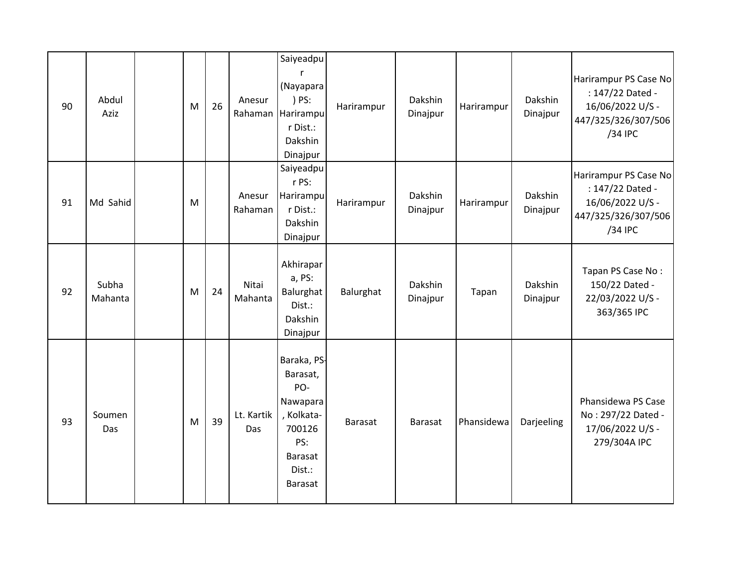| 90 | Abdul<br>Aziz    | M | 26 | Anesur            | Saiyeadpu<br>r<br>(Nayapara<br>) PS:<br>Rahaman Harirampu<br>r Dist.:<br>Dakshin<br>Dinajpur                     | Harirampur     | Dakshin<br>Dinajpur | Harirampur | Dakshin<br>Dinajpur | Harirampur PS Case No<br>: 147/22 Dated -<br>16/06/2022 U/S -<br>447/325/326/307/506<br>/34 IPC |
|----|------------------|---|----|-------------------|------------------------------------------------------------------------------------------------------------------|----------------|---------------------|------------|---------------------|-------------------------------------------------------------------------------------------------|
| 91 | Md Sahid         | M |    | Anesur<br>Rahaman | Saiyeadpu<br>r PS:<br>Harirampu<br>r Dist.:<br>Dakshin<br>Dinajpur                                               | Harirampur     | Dakshin<br>Dinajpur | Harirampur | Dakshin<br>Dinajpur | Harirampur PS Case No<br>: 147/22 Dated -<br>16/06/2022 U/S -<br>447/325/326/307/506<br>/34 IPC |
| 92 | Subha<br>Mahanta | M | 24 | Nitai<br>Mahanta  | Akhirapar<br>a, PS:<br>Balurghat<br>Dist.:<br>Dakshin<br>Dinajpur                                                | Balurghat      | Dakshin<br>Dinajpur | Tapan      | Dakshin<br>Dinajpur | Tapan PS Case No:<br>150/22 Dated -<br>22/03/2022 U/S -<br>363/365 IPC                          |
| 93 | Soumen<br>Das    | M | 39 | Lt. Kartik<br>Das | Baraka, PS-<br>Barasat,<br>PO-<br>Nawapara<br>, Kolkata-<br>700126<br>PS:<br><b>Barasat</b><br>Dist.:<br>Barasat | <b>Barasat</b> | Barasat             | Phansidewa | Darjeeling          | Phansidewa PS Case<br>No: 297/22 Dated -<br>17/06/2022 U/S -<br>279/304A IPC                    |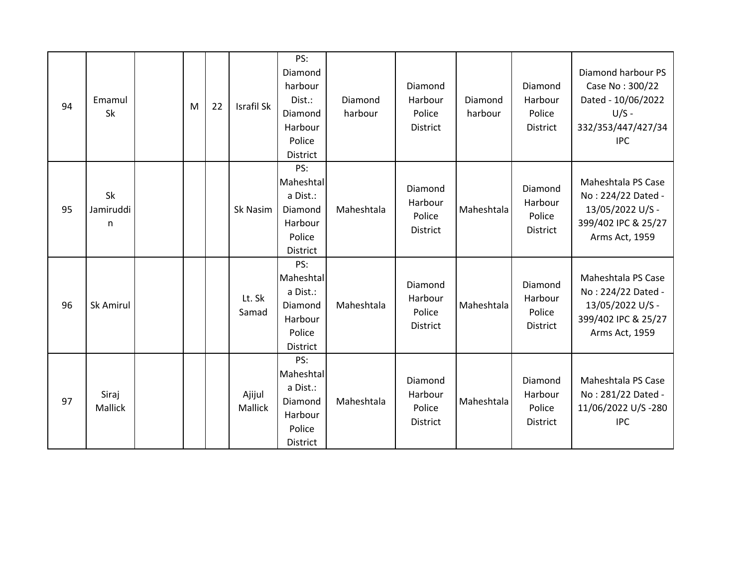| 94 | Emamul<br><b>Sk</b>     | M | 22 | Israfil Sk               | PS:<br>Diamond<br>harbour<br>Dist.:<br>Diamond<br>Harbour<br>Police<br>District | Diamond<br>harbour | Diamond<br>Harbour<br>Police<br>District        | Diamond<br>harbour | Diamond<br>Harbour<br>Police<br>District        | Diamond harbour PS<br>Case No: 300/22<br>Dated - 10/06/2022<br>$U/S -$<br>332/353/447/427/34<br><b>IPC</b> |
|----|-------------------------|---|----|--------------------------|---------------------------------------------------------------------------------|--------------------|-------------------------------------------------|--------------------|-------------------------------------------------|------------------------------------------------------------------------------------------------------------|
| 95 | Sk<br>Jamiruddi<br>n    |   |    | Sk Nasim                 | PS:<br>Maheshtal<br>a Dist.:<br>Diamond<br>Harbour<br>Police<br><b>District</b> | Maheshtala         | Diamond<br>Harbour<br>Police<br><b>District</b> | Maheshtala         | Diamond<br>Harbour<br>Police<br><b>District</b> | Maheshtala PS Case<br>No: 224/22 Dated -<br>13/05/2022 U/S -<br>399/402 IPC & 25/27<br>Arms Act, 1959      |
| 96 | Sk Amirul               |   |    | Lt. Sk<br>Samad          | PS:<br>Maheshtal<br>a Dist.:<br>Diamond<br>Harbour<br>Police<br><b>District</b> | Maheshtala         | Diamond<br>Harbour<br>Police<br>District        | Maheshtala         | Diamond<br>Harbour<br>Police<br>District        | Maheshtala PS Case<br>No: 224/22 Dated -<br>13/05/2022 U/S -<br>399/402 IPC & 25/27<br>Arms Act, 1959      |
| 97 | Siraj<br><b>Mallick</b> |   |    | Ajijul<br><b>Mallick</b> | PS:<br>Maheshtal<br>a Dist.:<br>Diamond<br>Harbour<br>Police<br><b>District</b> | Maheshtala         | Diamond<br>Harbour<br>Police<br>District        | Maheshtala         | Diamond<br>Harbour<br>Police<br>District        | Maheshtala PS Case<br>No: 281/22 Dated -<br>11/06/2022 U/S-280<br><b>IPC</b>                               |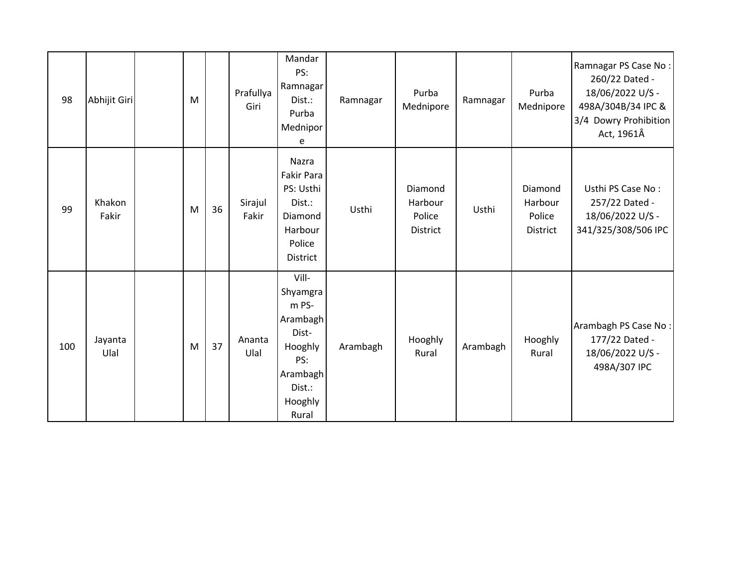| 98  | Abhijit Giri    | M |    | Prafullya<br>Giri | Mandar<br>PS:<br>Ramnagar<br>Dist.:<br>Purba<br>Mednipor<br>e                                               | Ramnagar | Purba<br>Mednipore                              | Ramnagar | Purba<br>Mednipore                       | Ramnagar PS Case No:<br>260/22 Dated -<br>18/06/2022 U/S -<br>498A/304B/34 IPC &<br>3/4 Dowry Prohibition<br>Act, 1961Â |
|-----|-----------------|---|----|-------------------|-------------------------------------------------------------------------------------------------------------|----------|-------------------------------------------------|----------|------------------------------------------|-------------------------------------------------------------------------------------------------------------------------|
| 99  | Khakon<br>Fakir | M | 36 | Sirajul<br>Fakir  | Nazra<br><b>Fakir Para</b><br>PS: Usthi<br>Dist.:<br>Diamond<br>Harbour<br>Police<br><b>District</b>        | Usthi    | Diamond<br>Harbour<br>Police<br><b>District</b> | Usthi    | Diamond<br>Harbour<br>Police<br>District | Usthi PS Case No:<br>257/22 Dated -<br>18/06/2022 U/S -<br>341/325/308/506 IPC                                          |
| 100 | Jayanta<br>Ulal | M | 37 | Ananta<br>Ulal    | Vill-<br>Shyamgra<br>m PS-<br>Arambagh<br>Dist-<br>Hooghly<br>PS:<br>Arambagh<br>Dist.:<br>Hooghly<br>Rural | Arambagh | Hooghly<br>Rural                                | Arambagh | Hooghly<br>Rural                         | Arambagh PS Case No:<br>177/22 Dated -<br>18/06/2022 U/S -<br>498A/307 IPC                                              |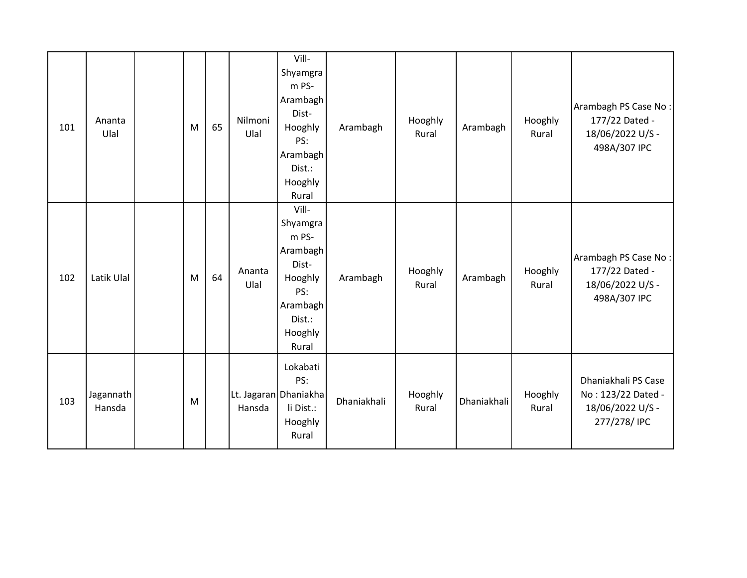| 101 | Ananta<br>Ulal      | M | 65 | Nilmoni<br>Ulal | Vill-<br>Shyamgra<br>m PS-<br>Arambagh<br>Dist-<br>Hooghly<br>PS:<br>Arambagh<br>Dist.:<br>Hooghly<br>Rural | Arambagh    | Hooghly<br>Rural | Arambagh    | Hooghly<br>Rural | Arambagh PS Case No:<br>177/22 Dated -<br>18/06/2022 U/S -<br>498A/307 IPC    |
|-----|---------------------|---|----|-----------------|-------------------------------------------------------------------------------------------------------------|-------------|------------------|-------------|------------------|-------------------------------------------------------------------------------|
| 102 | Latik Ulal          | M | 64 | Ananta<br>Ulal  | Vill-<br>Shyamgra<br>m PS-<br>Arambagh<br>Dist-<br>Hooghly<br>PS:<br>Arambagh<br>Dist.:<br>Hooghly<br>Rural | Arambagh    | Hooghly<br>Rural | Arambagh    | Hooghly<br>Rural | Arambagh PS Case No:<br>177/22 Dated -<br>18/06/2022 U/S -<br>498A/307 IPC    |
| 103 | Jagannath<br>Hansda | M |    | Hansda          | Lokabati<br>PS:<br>Lt. Jagaran Dhaniakha<br>li Dist.:<br>Hooghly<br>Rural                                   | Dhaniakhali | Hooghly<br>Rural | Dhaniakhali | Hooghly<br>Rural | Dhaniakhali PS Case<br>No: 123/22 Dated -<br>18/06/2022 U/S -<br>277/278/ IPC |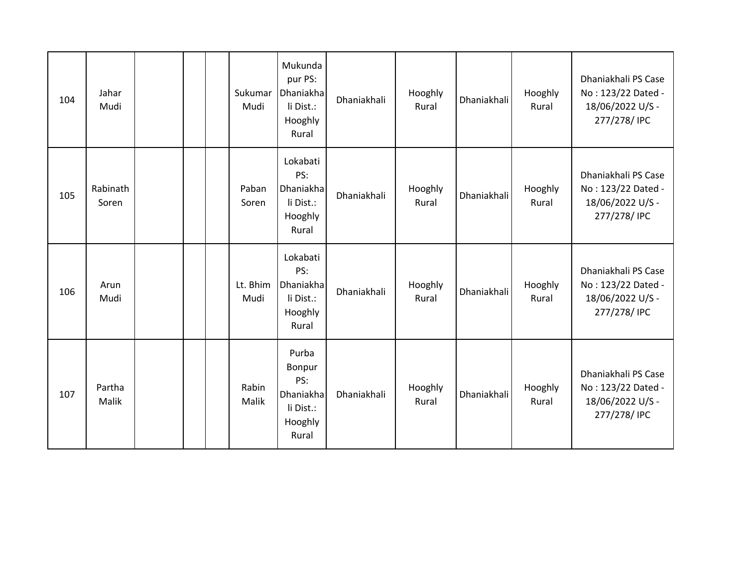| 104 | Jahar<br>Mudi     |  | Sukumar<br>Mudi  | Mukunda<br>pur PS:<br>Dhaniakha<br>li Dist.:<br>Hooghly<br>Rural     | Dhaniakhali | Hooghly<br>Rural | <b>Dhaniakhali</b> | Hooghly<br>Rural | Dhaniakhali PS Case<br>No: 123/22 Dated -<br>18/06/2022 U/S -<br>277/278/ IPC |
|-----|-------------------|--|------------------|----------------------------------------------------------------------|-------------|------------------|--------------------|------------------|-------------------------------------------------------------------------------|
| 105 | Rabinath<br>Soren |  | Paban<br>Soren   | Lokabati<br>PS:<br>Dhaniakha<br>li Dist.:<br>Hooghly<br>Rural        | Dhaniakhali | Hooghly<br>Rural | <b>Dhaniakhali</b> | Hooghly<br>Rural | Dhaniakhali PS Case<br>No: 123/22 Dated -<br>18/06/2022 U/S -<br>277/278/ IPC |
| 106 | Arun<br>Mudi      |  | Lt. Bhim<br>Mudi | Lokabati<br>PS:<br>Dhaniakha<br>li Dist.:<br>Hooghly<br>Rural        | Dhaniakhali | Hooghly<br>Rural | Dhaniakhali        | Hooghly<br>Rural | Dhaniakhali PS Case<br>No: 123/22 Dated -<br>18/06/2022 U/S -<br>277/278/ IPC |
| 107 | Partha<br>Malik   |  | Rabin<br>Malik   | Purba<br>Bonpur<br>PS:<br>Dhaniakha<br>li Dist.:<br>Hooghly<br>Rural | Dhaniakhali | Hooghly<br>Rural | Dhaniakhali        | Hooghly<br>Rural | Dhaniakhali PS Case<br>No: 123/22 Dated -<br>18/06/2022 U/S -<br>277/278/ IPC |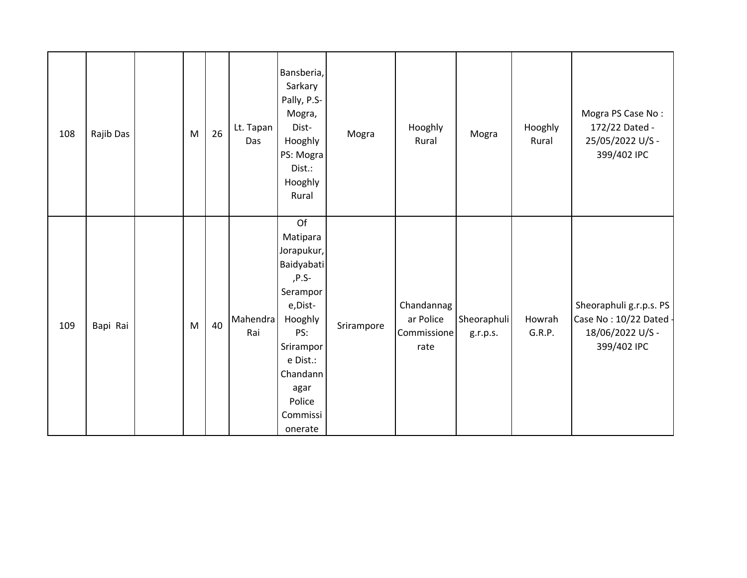| 108 | Rajib Das | M | 26 | Lt. Tapan<br>Das | Bansberia,<br>Sarkary<br>Pally, P.S-<br>Mogra,<br>Dist-<br>Hooghly<br>PS: Mogra<br>Dist.:<br>Hooghly<br>Rural                                                                | Mogra      | Hooghly<br>Rural                               | Mogra                   | Hooghly<br>Rural | Mogra PS Case No:<br>172/22 Dated -<br>25/05/2022 U/S -<br>399/402 IPC               |
|-----|-----------|---|----|------------------|------------------------------------------------------------------------------------------------------------------------------------------------------------------------------|------------|------------------------------------------------|-------------------------|------------------|--------------------------------------------------------------------------------------|
| 109 | Bapi Rai  | M | 40 | Mahendra<br>Rai  | Of<br>Matipara<br>Jorapukur,<br>Baidyabati<br>$P.S-$<br>Serampor<br>e, Dist-<br>Hooghly<br>PS:<br>Srirampor<br>e Dist.:<br>Chandann<br>agar<br>Police<br>Commissi<br>onerate | Srirampore | Chandannag<br>ar Police<br>Commissione<br>rate | Sheoraphuli<br>g.r.p.s. | Howrah<br>G.R.P. | Sheoraphuli g.r.p.s. PS<br>Case No: 10/22 Dated -<br>18/06/2022 U/S -<br>399/402 IPC |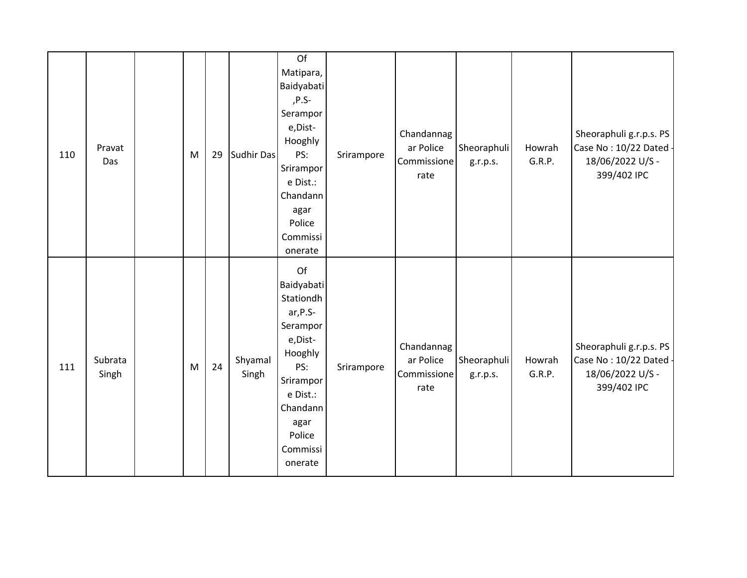| 110 | Pravat<br>Das    | M | 29 | Sudhir Das       | Of<br>Matipara,<br>Baidyabati<br>,P.S-<br>Serampor<br>e, Dist-<br>Hooghly<br>PS:<br>Srirampor<br>e Dist.:<br>Chandann<br>agar<br>Police<br>Commissi<br>onerate    | Srirampore | Chandannag<br>ar Police<br>Commissione<br>rate | Sheoraphuli<br>g.r.p.s. | Howrah<br>G.R.P. | Sheoraphuli g.r.p.s. PS<br>Case No: 10/22 Dated -<br>18/06/2022 U/S -<br>399/402 IPC |
|-----|------------------|---|----|------------------|-------------------------------------------------------------------------------------------------------------------------------------------------------------------|------------|------------------------------------------------|-------------------------|------------------|--------------------------------------------------------------------------------------|
| 111 | Subrata<br>Singh | M | 24 | Shyamal<br>Singh | Of<br>Baidyabati<br>Stationdh<br>ar, P.S-<br>Serampor<br>e, Dist-<br>Hooghly<br>PS:<br>Srirampor<br>e Dist.:<br>Chandann<br>agar<br>Police<br>Commissi<br>onerate | Srirampore | Chandannag<br>ar Police<br>Commissione<br>rate | Sheoraphuli<br>g.r.p.s. | Howrah<br>G.R.P. | Sheoraphuli g.r.p.s. PS<br>Case No: 10/22 Dated -<br>18/06/2022 U/S -<br>399/402 IPC |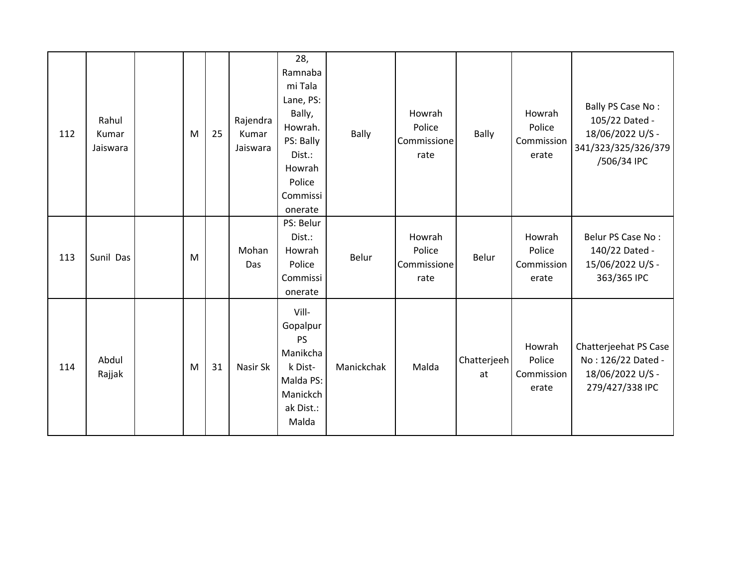| 112 | Rahul<br>Kumar<br>Jaiswara | M | 25 | Rajendra<br>Kumar<br>Jaiswara | 28,<br>Ramnaba<br>mi Tala<br>Lane, PS:<br>Bally,<br>Howrah.<br>PS: Bally<br>Dist.:<br>Howrah<br>Police<br>Commissi<br>onerate | Bally      | Howrah<br>Police<br>Commissione<br>rate | <b>Bally</b>      | Howrah<br>Police<br>Commission<br>erate | Bally PS Case No:<br>105/22 Dated -<br>18/06/2022 U/S -<br>341/323/325/326/379<br>/506/34 IPC |
|-----|----------------------------|---|----|-------------------------------|-------------------------------------------------------------------------------------------------------------------------------|------------|-----------------------------------------|-------------------|-----------------------------------------|-----------------------------------------------------------------------------------------------|
| 113 | Sunil Das                  | M |    | Mohan<br>Das                  | PS: Belur<br>Dist.:<br>Howrah<br>Police<br>Commissi<br>onerate                                                                | Belur      | Howrah<br>Police<br>Commissione<br>rate | Belur             | Howrah<br>Police<br>Commission<br>erate | Belur PS Case No:<br>140/22 Dated -<br>15/06/2022 U/S -<br>363/365 IPC                        |
| 114 | Abdul<br>Rajjak            | M | 31 | Nasir Sk                      | Vill-<br>Gopalpur<br><b>PS</b><br>Manikcha<br>k Dist-<br>Malda PS:<br>Manickch<br>ak Dist.:<br>Malda                          | Manickchak | Malda                                   | Chatterjeeh<br>at | Howrah<br>Police<br>Commission<br>erate | Chatterjeehat PS Case<br>No: 126/22 Dated -<br>18/06/2022 U/S -<br>279/427/338 IPC            |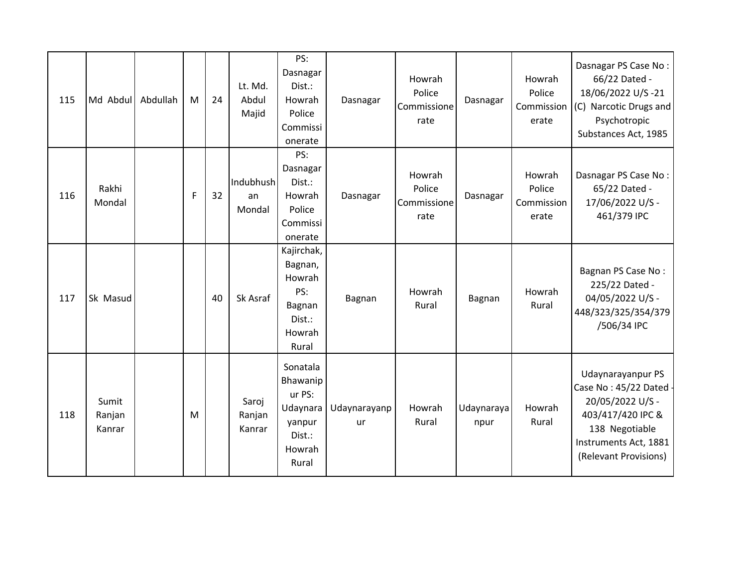| 115 | Md Abdul                  | Abdullah | M | 24 | Lt. Md.<br>Abdul<br>Majid | PS:<br>Dasnagar<br>Dist.:<br>Howrah<br>Police<br>Commissi<br>onerate              | Dasnagar           | Howrah<br>Police<br>Commissione<br>rate | Dasnagar           | Howrah<br>Police<br>Commission<br>erate | Dasnagar PS Case No:<br>66/22 Dated -<br>18/06/2022 U/S-21<br>(C) Narcotic Drugs and<br>Psychotropic<br>Substances Act, 1985                             |
|-----|---------------------------|----------|---|----|---------------------------|-----------------------------------------------------------------------------------|--------------------|-----------------------------------------|--------------------|-----------------------------------------|----------------------------------------------------------------------------------------------------------------------------------------------------------|
| 116 | Rakhi<br>Mondal           |          | F | 32 | Indubhush<br>an<br>Mondal | PS:<br>Dasnagar<br>Dist.:<br>Howrah<br>Police<br>Commissi<br>onerate              | Dasnagar           | Howrah<br>Police<br>Commissione<br>rate | Dasnagar           | Howrah<br>Police<br>Commission<br>erate | Dasnagar PS Case No:<br>65/22 Dated -<br>17/06/2022 U/S -<br>461/379 IPC                                                                                 |
| 117 | Sk Masud                  |          |   | 40 | Sk Asraf                  | Kajirchak,<br>Bagnan,<br>Howrah<br>PS:<br>Bagnan<br>Dist.:<br>Howrah<br>Rural     | Bagnan             | Howrah<br>Rural                         | Bagnan             | Howrah<br>Rural                         | Bagnan PS Case No:<br>225/22 Dated -<br>04/05/2022 U/S -<br>448/323/325/354/379<br>/506/34 IPC                                                           |
| 118 | Sumit<br>Ranjan<br>Kanrar |          | M |    | Saroj<br>Ranjan<br>Kanrar | Sonatala<br>Bhawanip<br>ur PS:<br>Udaynara<br>yanpur<br>Dist.:<br>Howrah<br>Rural | Udaynarayanp<br>ur | Howrah<br>Rural                         | Udaynaraya<br>npur | Howrah<br>Rural                         | Udaynarayanpur PS<br>Case No: 45/22 Dated -<br>20/05/2022 U/S -<br>403/417/420 IPC &<br>138 Negotiable<br>Instruments Act, 1881<br>(Relevant Provisions) |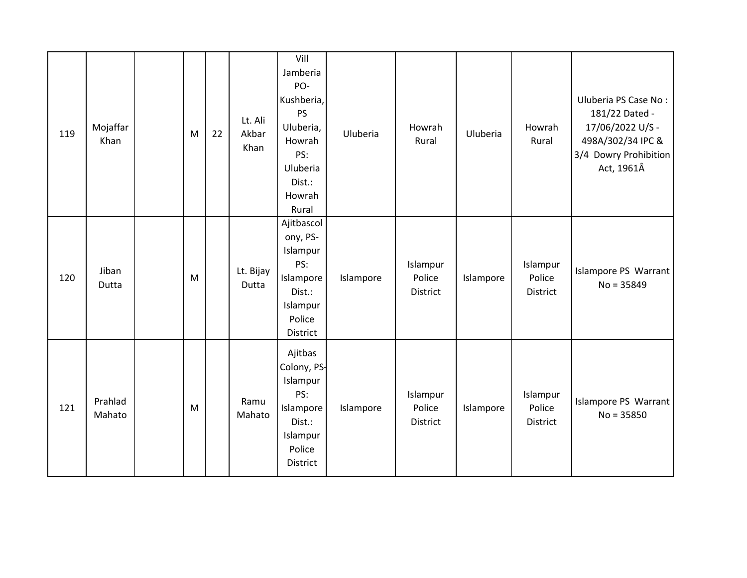| 119 | Mojaffar<br>Khan  | M | 22 | Lt. Ali<br>Akbar<br>Khan | Vill<br>Jamberia<br>PO-<br>Kushberia,<br><b>PS</b><br>Uluberia,<br>Howrah<br>PS:<br>Uluberia<br>Dist.:<br>Howrah<br>Rural | Uluberia  | Howrah<br>Rural                | Uluberia  | Howrah<br>Rural                | Uluberia PS Case No:<br>181/22 Dated -<br>17/06/2022 U/S -<br>498A/302/34 IPC &<br>3/4 Dowry Prohibition<br>Act, 1961Â |
|-----|-------------------|---|----|--------------------------|---------------------------------------------------------------------------------------------------------------------------|-----------|--------------------------------|-----------|--------------------------------|------------------------------------------------------------------------------------------------------------------------|
| 120 | Jiban<br>Dutta    | M |    | Lt. Bijay<br>Dutta       | Ajitbascol<br>ony, PS-<br>Islampur<br>PS:<br>Islampore<br>Dist.:<br>Islampur<br>Police<br>District                        | Islampore | Islampur<br>Police<br>District | Islampore | Islampur<br>Police<br>District | Islampore PS Warrant<br>$No = 35849$                                                                                   |
| 121 | Prahlad<br>Mahato | M |    | Ramu<br>Mahato           | Ajitbas<br>Colony, PS-<br>Islampur<br>PS:<br>Islampore<br>Dist.:<br>Islampur<br>Police<br>District                        | Islampore | Islampur<br>Police<br>District | Islampore | Islampur<br>Police<br>District | Islampore PS Warrant<br>$No = 35850$                                                                                   |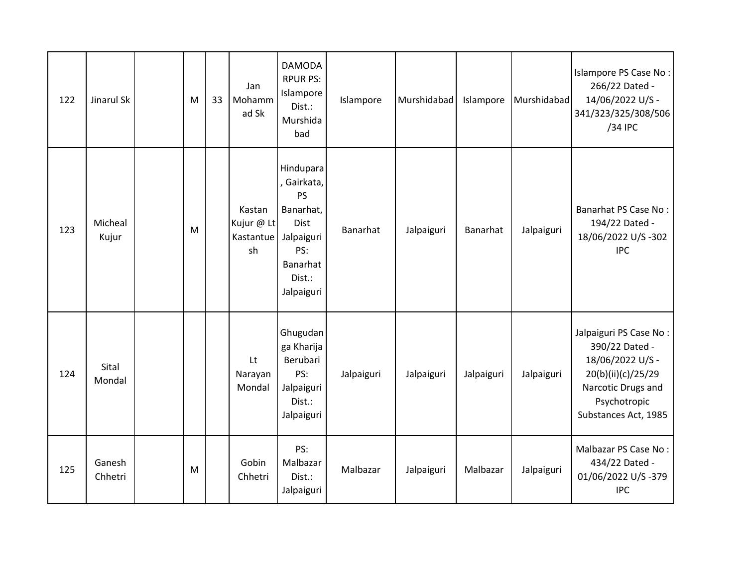| 122 | Jinarul Sk        | M | 33 | Jan<br>Mohamm<br>ad Sk                  | <b>DAMODA</b><br><b>RPUR PS:</b><br>Islampore<br>Dist.:<br>Murshida<br>bad                                          | Islampore  | Murshidabad | Islampore  | Murshidabad | Islampore PS Case No:<br>266/22 Dated -<br>14/06/2022 U/S -<br>341/323/325/308/506<br>/34 IPC                                                    |
|-----|-------------------|---|----|-----------------------------------------|---------------------------------------------------------------------------------------------------------------------|------------|-------------|------------|-------------|--------------------------------------------------------------------------------------------------------------------------------------------------|
| 123 | Micheal<br>Kujur  | M |    | Kastan<br>Kujur @ Lt<br>Kastantue<br>sh | Hindupara<br>, Gairkata,<br><b>PS</b><br>Banarhat,<br>Dist<br>Jalpaiguri<br>PS:<br>Banarhat<br>Dist.:<br>Jalpaiguri | Banarhat   | Jalpaiguri  | Banarhat   | Jalpaiguri  | Banarhat PS Case No:<br>194/22 Dated -<br>18/06/2022 U/S-302<br><b>IPC</b>                                                                       |
| 124 | Sital<br>Mondal   |   |    | Lt<br>Narayan<br>Mondal                 | Ghugudan<br>ga Kharija<br>Berubari<br>PS:<br>Jalpaiguri<br>Dist.:<br>Jalpaiguri                                     | Jalpaiguri | Jalpaiguri  | Jalpaiguri | Jalpaiguri  | Jalpaiguri PS Case No:<br>390/22 Dated -<br>18/06/2022 U/S -<br>20(b)(ii)(c)/25/29<br>Narcotic Drugs and<br>Psychotropic<br>Substances Act, 1985 |
| 125 | Ganesh<br>Chhetri | M |    | Gobin<br>Chhetri                        | PS:<br>Malbazar<br>Dist.:<br>Jalpaiguri                                                                             | Malbazar   | Jalpaiguri  | Malbazar   | Jalpaiguri  | Malbazar PS Case No:<br>434/22 Dated -<br>01/06/2022 U/S-379<br><b>IPC</b>                                                                       |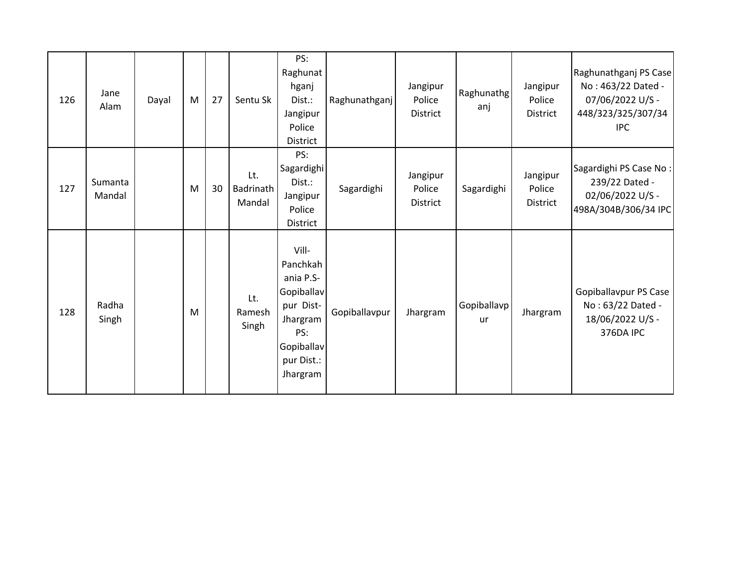| 126 | Jane<br>Alam      | Dayal | M | 27 | Sentu Sk                   | PS:<br>Raghunat<br>hganj<br>Dist.:<br>Jangipur<br>Police<br>District                                                 | Raghunathganj | Jangipur<br>Police<br>District        | Raghunathg<br>anj        | Jangipur<br>Police<br>District | Raghunathganj PS Case<br>No: 463/22 Dated -<br>07/06/2022 U/S -<br>448/323/325/307/34<br><b>IPC</b> |
|-----|-------------------|-------|---|----|----------------------------|----------------------------------------------------------------------------------------------------------------------|---------------|---------------------------------------|--------------------------|--------------------------------|-----------------------------------------------------------------------------------------------------|
| 127 | Sumanta<br>Mandal |       | M | 30 | Lt.<br>Badrinath<br>Mandal | PS:<br>Sagardighi<br>Dist.:<br>Jangipur<br>Police<br>District                                                        | Sagardighi    | Jangipur<br>Police<br><b>District</b> | Sagardighi               | Jangipur<br>Police<br>District | Sagardighi PS Case No:<br>239/22 Dated -<br>02/06/2022 U/S -<br>498A/304B/306/34 IPC                |
| 128 | Radha<br>Singh    |       | M |    | Lt.<br>Ramesh<br>Singh     | Vill-<br>Panchkah<br>ania P.S-<br>Gopiballav<br>pur Dist-<br>Jhargram<br>PS:<br>Gopiballav<br>pur Dist.:<br>Jhargram | Gopiballavpur | Jhargram                              | Gopiballavp<br><b>ur</b> | Jhargram                       | Gopiballavpur PS Case<br>No: 63/22 Dated -<br>18/06/2022 U/S -<br>376DA IPC                         |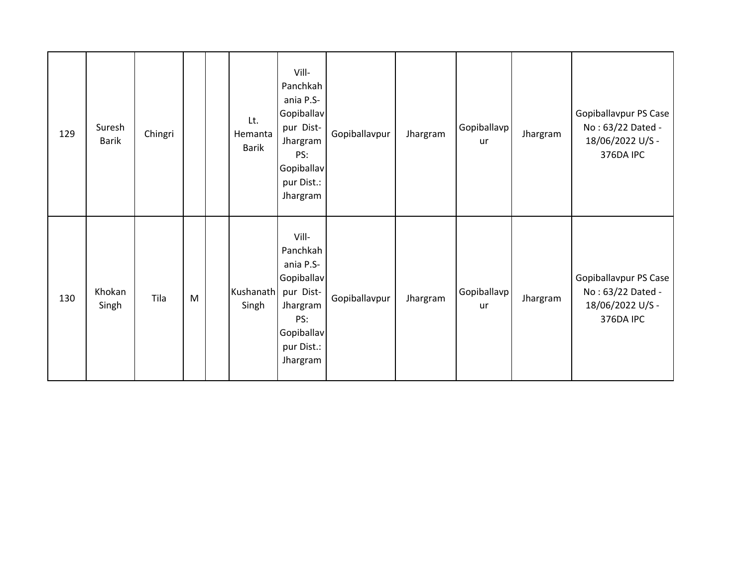| 129 | Suresh<br><b>Barik</b> | Chingri |   | Lt.<br>Hemanta<br><b>Barik</b> | Vill-<br>Panchkah<br>ania P.S-<br>Gopiballav<br>pur Dist-<br>Jhargram<br>PS:<br>Gopiballav<br>pur Dist.:<br>Jhargram | Gopiballavpur | Jhargram | Gopiballavp<br>ur | Jhargram | Gopiballavpur PS Case<br>No: 63/22 Dated -<br>18/06/2022 U/S -<br>376DA IPC |
|-----|------------------------|---------|---|--------------------------------|----------------------------------------------------------------------------------------------------------------------|---------------|----------|-------------------|----------|-----------------------------------------------------------------------------|
| 130 | Khokan<br>Singh        | Tila    | M | Kushanath<br>Singh             | Vill-<br>Panchkah<br>ania P.S-<br>Gopiballav<br>pur Dist-<br>Jhargram<br>PS:<br>Gopiballav<br>pur Dist.:<br>Jhargram | Gopiballavpur | Jhargram | Gopiballavp<br>ur | Jhargram | Gopiballavpur PS Case<br>No: 63/22 Dated -<br>18/06/2022 U/S -<br>376DA IPC |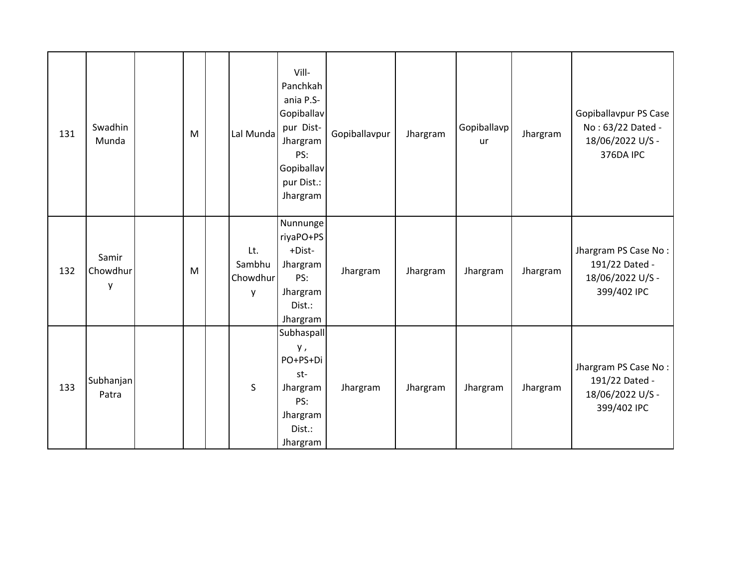| 131 | Swadhin<br>Munda       | M | Lal Munda                      | Vill-<br>Panchkah<br>ania P.S-<br>Gopiballav<br>pur Dist-<br>Jhargram<br>PS:<br>Gopiballav<br>pur Dist.:<br>Jhargram | Gopiballavpur | Jhargram | Gopiballavp<br>ur | Jhargram | Gopiballavpur PS Case<br>No: 63/22 Dated -<br>18/06/2022 U/S -<br>376DA IPC |
|-----|------------------------|---|--------------------------------|----------------------------------------------------------------------------------------------------------------------|---------------|----------|-------------------|----------|-----------------------------------------------------------------------------|
| 132 | Samir<br>Chowdhur<br>у | M | Lt.<br>Sambhu<br>Chowdhur<br>y | Nunnunge<br>riyaPO+PS<br>+Dist-<br>Jhargram<br>PS:<br>Jhargram<br>Dist.:<br>Jhargram                                 | Jhargram      | Jhargram | Jhargram          | Jhargram | Jhargram PS Case No:<br>191/22 Dated -<br>18/06/2022 U/S -<br>399/402 IPC   |
| 133 | Subhanjan<br>Patra     |   | $\sf S$                        | Subhaspall<br>у,<br>PO+PS+Di<br>st-<br>Jhargram<br>PS:<br>Jhargram<br>Dist.:<br>Jhargram                             | Jhargram      | Jhargram | Jhargram          | Jhargram | Jhargram PS Case No:<br>191/22 Dated -<br>18/06/2022 U/S -<br>399/402 IPC   |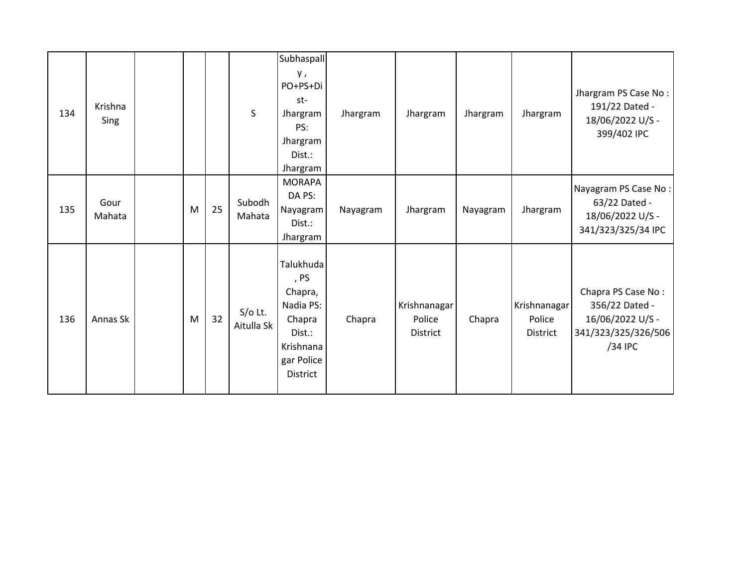| 134 | Krishna<br>Sing |   |    | $\sf S$                 | Subhaspall<br>у,<br>PO+PS+Di<br>st-<br>Jhargram<br>PS:<br>Jhargram<br>Dist.:<br>Jhargram                    | Jhargram | Jhargram                           | Jhargram | Jhargram                           | Jhargram PS Case No:<br>191/22 Dated -<br>18/06/2022 U/S -<br>399/402 IPC                  |
|-----|-----------------|---|----|-------------------------|-------------------------------------------------------------------------------------------------------------|----------|------------------------------------|----------|------------------------------------|--------------------------------------------------------------------------------------------|
| 135 | Gour<br>Mahata  | M | 25 | Subodh<br>Mahata        | <b>MORAPA</b><br>DA PS:<br>Nayagram<br>Dist.:<br>Jhargram                                                   | Nayagram | Jhargram                           | Nayagram | Jhargram                           | Nayagram PS Case No:<br>63/22 Dated -<br>18/06/2022 U/S -<br>341/323/325/34 IPC            |
| 136 | Annas Sk        | M | 32 | $S/O$ Lt.<br>Aitulla Sk | Talukhuda<br>, PS<br>Chapra,<br>Nadia PS:<br>Chapra<br>Dist.:<br>Krishnana<br>gar Police<br><b>District</b> | Chapra   | Krishnanagar<br>Police<br>District | Chapra   | Krishnanagar<br>Police<br>District | Chapra PS Case No:<br>356/22 Dated -<br>16/06/2022 U/S -<br>341/323/325/326/506<br>/34 IPC |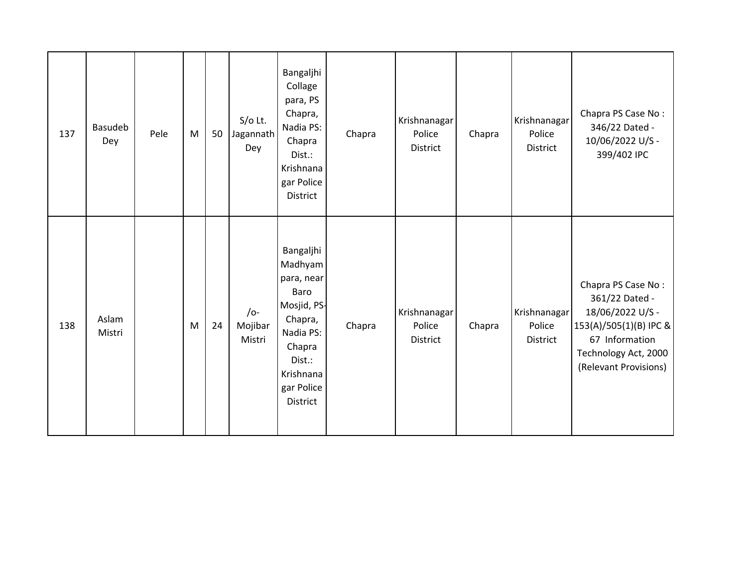| 137 | Basudeb<br>Dey  | Pele | M | 50 | $S/O$ Lt.<br>Jagannath<br>Dey     | Bangaljhi<br>Collage<br>para, PS<br>Chapra,<br>Nadia PS:<br>Chapra<br>Dist.:<br>Krishnana<br>gar Police<br><b>District</b>                   | Chapra | Krishnanagar<br>Police<br><b>District</b> | Chapra | Krishnanagar<br>Police<br>District | Chapra PS Case No:<br>346/22 Dated -<br>10/06/2022 U/S -<br>399/402 IPC                                                                               |
|-----|-----------------|------|---|----|-----------------------------------|----------------------------------------------------------------------------------------------------------------------------------------------|--------|-------------------------------------------|--------|------------------------------------|-------------------------------------------------------------------------------------------------------------------------------------------------------|
| 138 | Aslam<br>Mistri |      | M | 24 | $\sqrt{o}$ -<br>Mojibar<br>Mistri | Bangaljhi<br>Madhyam<br>para, near<br>Baro<br>Mosjid, PS-<br>Chapra,<br>Nadia PS:<br>Chapra<br>Dist.:<br>Krishnana<br>gar Police<br>District | Chapra | Krishnanagar<br>Police<br><b>District</b> | Chapra | Krishnanagar<br>Police<br>District | Chapra PS Case No:<br>361/22 Dated -<br>18/06/2022 U/S -<br>153(A)/505(1)(B) IPC &<br>67 Information<br>Technology Act, 2000<br>(Relevant Provisions) |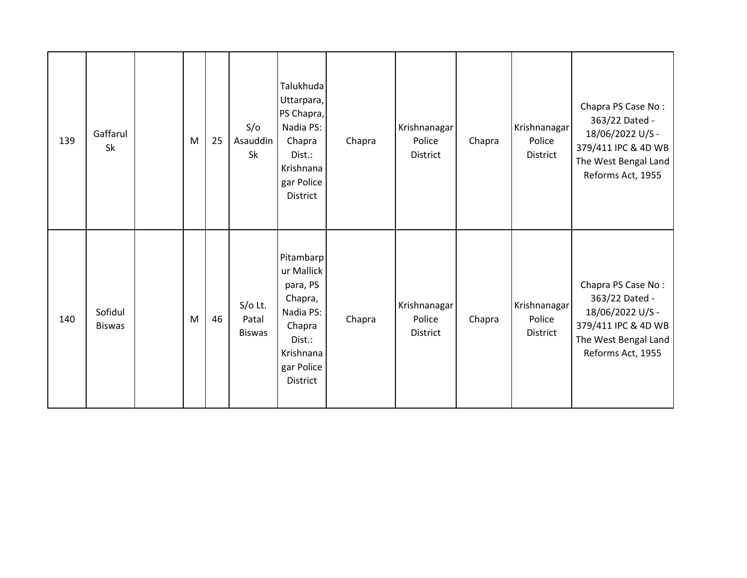| 139 | Gaffarul<br>Sk           | M | 25 | S/O<br>Asauddin<br>Sk               | Talukhuda<br>Uttarpara,<br>PS Chapra,<br>Nadia PS:<br>Chapra<br>Dist.:<br>Krishnana<br>gar Police<br>District                 | Chapra | Krishnanagar<br>Police<br>District        | Chapra | Krishnanagar<br>Police<br>District        | Chapra PS Case No:<br>363/22 Dated -<br>18/06/2022 U/S -<br>379/411 IPC & 4D WB<br>The West Bengal Land<br>Reforms Act, 1955 |
|-----|--------------------------|---|----|-------------------------------------|-------------------------------------------------------------------------------------------------------------------------------|--------|-------------------------------------------|--------|-------------------------------------------|------------------------------------------------------------------------------------------------------------------------------|
| 140 | Sofidul<br><b>Biswas</b> | M | 46 | $S/O$ Lt.<br>Patal<br><b>Biswas</b> | Pitambarp<br>ur Mallick<br>para, PS<br>Chapra,<br>Nadia PS:<br>Chapra<br>Dist.:<br>Krishnana<br>gar Police<br><b>District</b> | Chapra | Krishnanagar<br>Police<br><b>District</b> | Chapra | Krishnanagar<br>Police<br><b>District</b> | Chapra PS Case No:<br>363/22 Dated -<br>18/06/2022 U/S -<br>379/411 IPC & 4D WB<br>The West Bengal Land<br>Reforms Act, 1955 |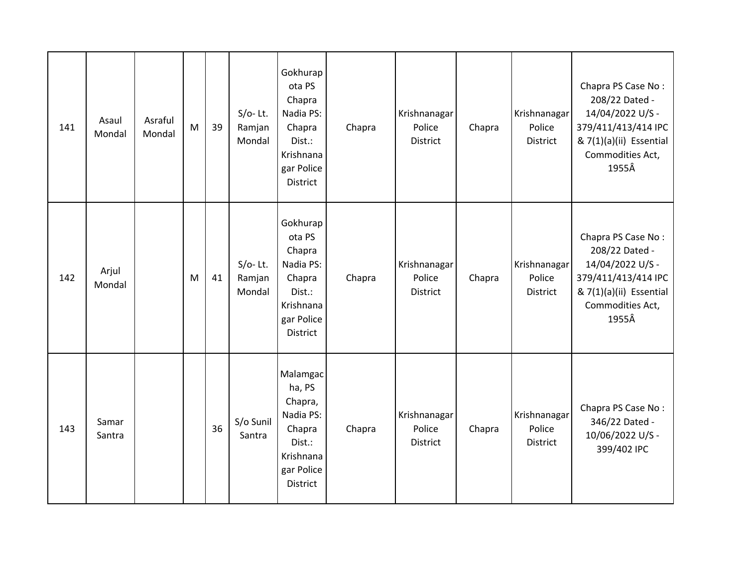| 141 | Asaul<br>Mondal | Asraful<br>Mondal | M | 39 | $S/O-$ Lt.<br>Ramjan<br>Mondal | Gokhurap<br>ota PS<br>Chapra<br>Nadia PS:<br>Chapra<br>Dist.:<br>Krishnana<br>gar Police<br>District        | Chapra | Krishnanagar<br>Police<br><b>District</b> | Chapra | Krishnanagar<br>Police<br>District        | Chapra PS Case No:<br>208/22 Dated -<br>14/04/2022 U/S -<br>379/411/413/414 IPC<br>& 7(1)(a)(ii) Essential<br>Commodities Act,<br>1955Â |
|-----|-----------------|-------------------|---|----|--------------------------------|-------------------------------------------------------------------------------------------------------------|--------|-------------------------------------------|--------|-------------------------------------------|-----------------------------------------------------------------------------------------------------------------------------------------|
| 142 | Arjul<br>Mondal |                   | M | 41 | $S/O-$ Lt.<br>Ramjan<br>Mondal | Gokhurap<br>ota PS<br>Chapra<br>Nadia PS:<br>Chapra<br>Dist.:<br>Krishnana<br>gar Police<br><b>District</b> | Chapra | Krishnanagar<br>Police<br><b>District</b> | Chapra | Krishnanagar<br>Police<br>District        | Chapra PS Case No:<br>208/22 Dated -<br>14/04/2022 U/S -<br>379/411/413/414 IPC<br>& 7(1)(a)(ii) Essential<br>Commodities Act,<br>1955Â |
| 143 | Samar<br>Santra |                   |   | 36 | S/o Sunil<br>Santra            | Malamgac<br>ha, PS<br>Chapra,<br>Nadia PS:<br>Chapra<br>Dist.:<br>Krishnana<br>gar Police<br>District       | Chapra | Krishnanagar<br>Police<br><b>District</b> | Chapra | Krishnanagar<br>Police<br><b>District</b> | Chapra PS Case No:<br>346/22 Dated -<br>10/06/2022 U/S -<br>399/402 IPC                                                                 |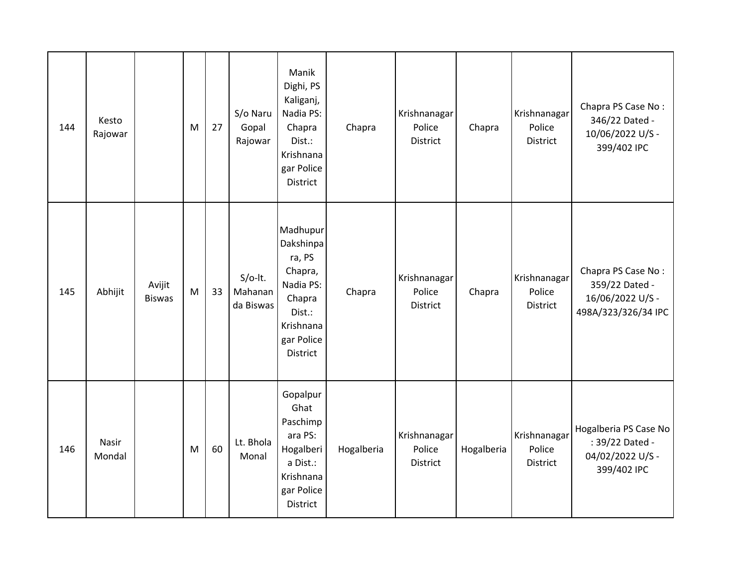| 144 | Kesto<br>Rajowar |                         | M | 27 | S/o Naru<br>Gopal<br>Rajowar      | Manik<br>Dighi, PS<br>Kaliganj,<br>Nadia PS:<br>Chapra<br>Dist.:<br>Krishnana<br>gar Police<br>District            | Chapra     | Krishnanagar<br>Police<br><b>District</b> | Chapra     | Krishnanagar<br>Police<br><b>District</b> | Chapra PS Case No:<br>346/22 Dated -<br>10/06/2022 U/S -<br>399/402 IPC         |
|-----|------------------|-------------------------|---|----|-----------------------------------|--------------------------------------------------------------------------------------------------------------------|------------|-------------------------------------------|------------|-------------------------------------------|---------------------------------------------------------------------------------|
| 145 | Abhijit          | Avijit<br><b>Biswas</b> | M | 33 | $S/O-It.$<br>Mahanan<br>da Biswas | Madhupur<br>Dakshinpa<br>ra, PS<br>Chapra,<br>Nadia PS:<br>Chapra<br>Dist.:<br>Krishnana<br>gar Police<br>District | Chapra     | Krishnanagar<br>Police<br><b>District</b> | Chapra     | Krishnanagar<br>Police<br><b>District</b> | Chapra PS Case No:<br>359/22 Dated -<br>16/06/2022 U/S -<br>498A/323/326/34 IPC |
| 146 | Nasir<br>Mondal  |                         | M | 60 | Lt. Bhola<br>Monal                | Gopalpur<br>Ghat<br>Paschimp<br>ara PS:<br>Hogalberi<br>a Dist.:<br>Krishnana<br>gar Police<br>District            | Hogalberia | Krishnanagar<br>Police<br>District        | Hogalberia | Krishnanagar<br>Police<br>District        | Hogalberia PS Case No<br>: 39/22 Dated -<br>04/02/2022 U/S -<br>399/402 IPC     |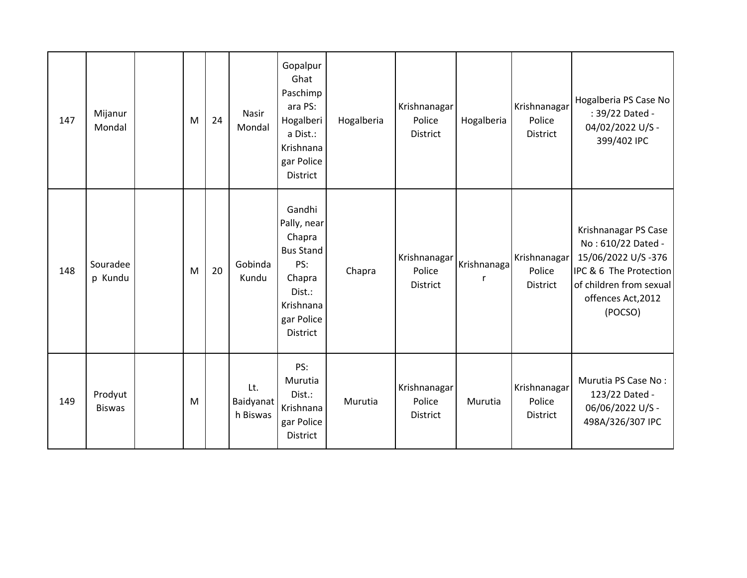| 147 | Mijanur<br>Mondal        | M | 24 | Nasir<br>Mondal              | Gopalpur<br>Ghat<br>Paschimp<br>ara PS:<br>Hogalberi<br>a Dist.:<br>Krishnana<br>gar Police<br>District                      | Hogalberia | Krishnanagar<br>Police<br><b>District</b> | Hogalberia  | Krishnanagar<br>Police<br>District        | Hogalberia PS Case No<br>: 39/22 Dated -<br>04/02/2022 U/S -<br>399/402 IPC                                                                            |
|-----|--------------------------|---|----|------------------------------|------------------------------------------------------------------------------------------------------------------------------|------------|-------------------------------------------|-------------|-------------------------------------------|--------------------------------------------------------------------------------------------------------------------------------------------------------|
| 148 | Souradee<br>p Kundu      | M | 20 | Gobinda<br>Kundu             | Gandhi<br>Pally, near<br>Chapra<br><b>Bus Stand</b><br>PS:<br>Chapra<br>Dist.:<br>Krishnana<br>gar Police<br><b>District</b> | Chapra     | Krishnanagar<br>Police<br>District        | Krishnanaga | Krishnanagar<br>Police<br>District        | Krishnanagar PS Case<br>No: 610/22 Dated -<br>15/06/2022 U/S-376<br>IPC & 6 The Protection<br>of children from sexual<br>offences Act, 2012<br>(POCSO) |
| 149 | Prodyut<br><b>Biswas</b> | M |    | Lt.<br>Baidyanat<br>h Biswas | PS:<br>Murutia<br>Dist.:<br>Krishnana<br>gar Police<br>District                                                              | Murutia    | Krishnanagar<br>Police<br>District        | Murutia     | Krishnanagar<br>Police<br><b>District</b> | Murutia PS Case No:<br>123/22 Dated -<br>06/06/2022 U/S -<br>498A/326/307 IPC                                                                          |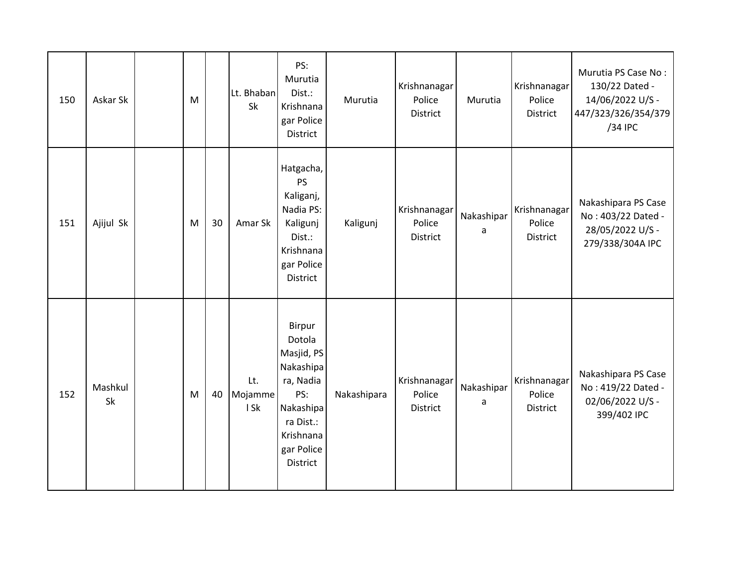| 150 | Askar Sk      | M |    | Lt. Bhaban<br><b>Sk</b> | PS:<br>Murutia<br>Dist.:<br>Krishnana<br>gar Police<br><b>District</b>                                                                  | Murutia     | Krishnanagar<br>Police<br>District | Murutia         | Krishnanagar<br>Police<br>District | Murutia PS Case No:<br>130/22 Dated -<br>14/06/2022 U/S -<br>447/323/326/354/379<br>/34 IPC |
|-----|---------------|---|----|-------------------------|-----------------------------------------------------------------------------------------------------------------------------------------|-------------|------------------------------------|-----------------|------------------------------------|---------------------------------------------------------------------------------------------|
| 151 | Ajijul Sk     | M | 30 | Amar Sk                 | Hatgacha,<br>PS<br>Kaliganj,<br>Nadia PS:<br>Kaligunj<br>Dist.:<br>Krishnana<br>gar Police<br>District                                  | Kaligunj    | Krishnanagar<br>Police<br>District | Nakashipar<br>a | Krishnanagar<br>Police<br>District | Nakashipara PS Case<br>No: 403/22 Dated -<br>28/05/2022 U/S -<br>279/338/304A IPC           |
| 152 | Mashkul<br>Sk | M | 40 | Lt.<br>Mojamme<br>I Sk  | Birpur<br>Dotola<br>Masjid, PS<br>Nakashipa<br>ra, Nadia<br>PS:<br>Nakashipa<br>ra Dist.:<br>Krishnana<br>gar Police<br><b>District</b> | Nakashipara | Krishnanagar<br>Police<br>District | Nakashipar<br>a | Krishnanagar<br>Police<br>District | Nakashipara PS Case<br>No: 419/22 Dated -<br>02/06/2022 U/S -<br>399/402 IPC                |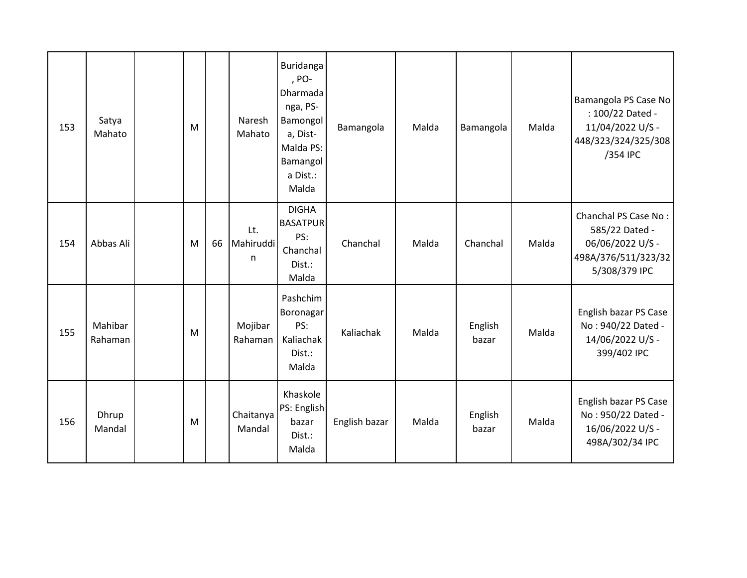| 153 | Satya<br>Mahato    | M |    | Naresh<br>Mahato      | Buridanga<br>, PO-<br>Dharmada<br>nga, PS-<br>Bamongol<br>a, Dist-<br>Malda PS:<br>Bamangol<br>a Dist.:<br>Malda | Bamangola     | Malda | Bamangola        | Malda | Bamangola PS Case No<br>: 100/22 Dated -<br>11/04/2022 U/S -<br>448/323/324/325/308<br>/354 IPC    |
|-----|--------------------|---|----|-----------------------|------------------------------------------------------------------------------------------------------------------|---------------|-------|------------------|-------|----------------------------------------------------------------------------------------------------|
| 154 | Abbas Ali          | M | 66 | Lt.<br>Mahiruddi<br>n | <b>DIGHA</b><br><b>BASATPUR</b><br>PS:<br>Chanchal<br>Dist.:<br>Malda                                            | Chanchal      | Malda | Chanchal         | Malda | Chanchal PS Case No:<br>585/22 Dated -<br>06/06/2022 U/S -<br>498A/376/511/323/32<br>5/308/379 IPC |
| 155 | Mahibar<br>Rahaman | M |    | Mojibar<br>Rahaman    | Pashchim<br>Boronagar<br>PS:<br>Kaliachak<br>Dist.:<br>Malda                                                     | Kaliachak     | Malda | English<br>bazar | Malda | English bazar PS Case<br>No: 940/22 Dated -<br>14/06/2022 U/S -<br>399/402 IPC                     |
| 156 | Dhrup<br>Mandal    | M |    | Chaitanya<br>Mandal   | Khaskole<br>PS: English<br>bazar<br>Dist.:<br>Malda                                                              | English bazar | Malda | English<br>bazar | Malda | English bazar PS Case<br>No: 950/22 Dated -<br>16/06/2022 U/S -<br>498A/302/34 IPC                 |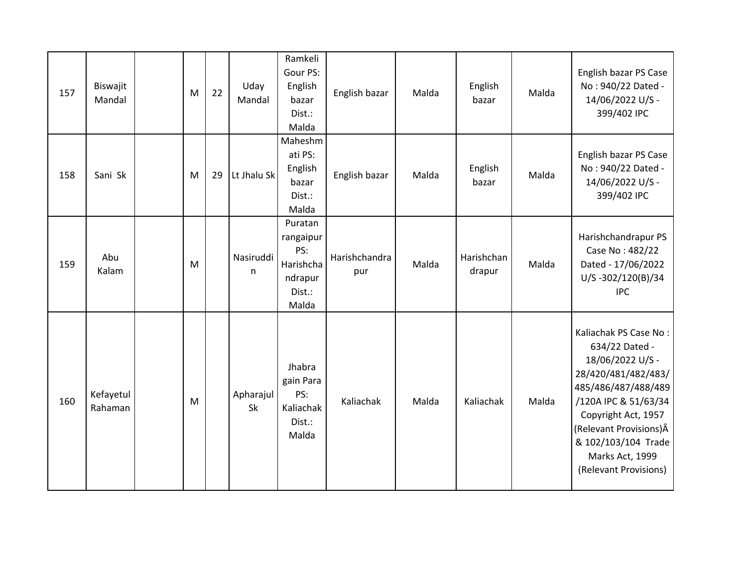| 157 | Biswajit<br>Mandal   | M | 22 | Uday<br>Mandal  | Ramkeli<br>Gour PS:<br>English<br>bazar<br>Dist.:<br>Malda             | English bazar        | Malda | English<br>bazar     | Malda | English bazar PS Case<br>No: 940/22 Dated -<br>14/06/2022 U/S -<br>399/402 IPC                                                                                                                                                                         |
|-----|----------------------|---|----|-----------------|------------------------------------------------------------------------|----------------------|-------|----------------------|-------|--------------------------------------------------------------------------------------------------------------------------------------------------------------------------------------------------------------------------------------------------------|
| 158 | Sani Sk              | M | 29 | Lt Jhalu Sk     | Maheshm<br>ati PS:<br>English<br>bazar<br>Dist.:<br>Malda              | English bazar        | Malda | English<br>bazar     | Malda | English bazar PS Case<br>No: 940/22 Dated -<br>14/06/2022 U/S -<br>399/402 IPC                                                                                                                                                                         |
| 159 | Abu<br>Kalam         | M |    | Nasiruddi<br>n  | Puratan<br>rangaipur<br>PS:<br>Harishcha<br>ndrapur<br>Dist.:<br>Malda | Harishchandra<br>pur | Malda | Harishchan<br>drapur | Malda | Harishchandrapur PS<br>Case No: 482/22<br>Dated - 17/06/2022<br>U/S-302/120(B)/34<br><b>IPC</b>                                                                                                                                                        |
| 160 | Kefayetul<br>Rahaman | M |    | Apharajul<br>Sk | Jhabra<br>gain Para<br>PS:<br>Kaliachak<br>Dist.:<br>Malda             | Kaliachak            | Malda | Kaliachak            | Malda | Kaliachak PS Case No:<br>634/22 Dated -<br>18/06/2022 U/S -<br>28/420/481/482/483/<br>485/486/487/488/489<br>/120A IPC & 51/63/34<br>Copyright Act, 1957<br>(Relevant Provisions) Â<br>& 102/103/104 Trade<br>Marks Act, 1999<br>(Relevant Provisions) |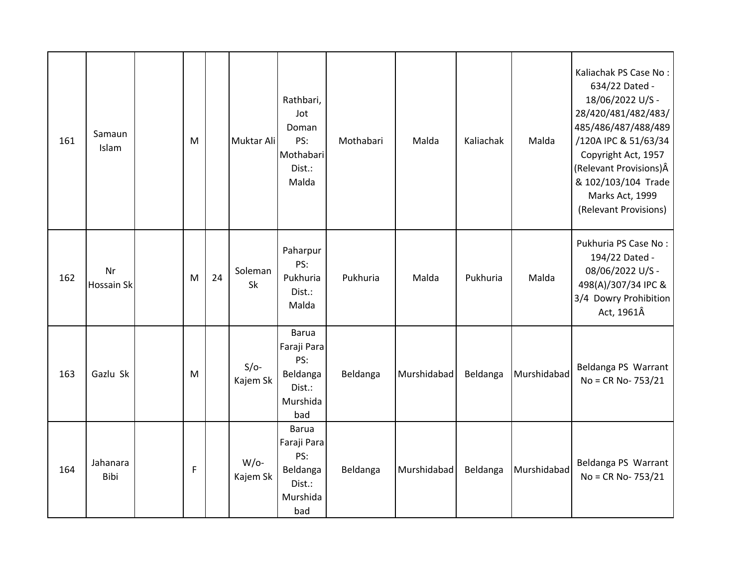| 161 | Samaun<br>Islam  | M           |    | Muktar Ali          | Rathbari,<br>Jot<br>Doman<br>PS:<br>Mothabari<br>Dist.:<br>Malda            | Mothabari | Malda       | Kaliachak | Malda       | Kaliachak PS Case No:<br>634/22 Dated -<br>18/06/2022 U/S -<br>28/420/481/482/483/<br>485/486/487/488/489<br>/120A IPC & 51/63/34<br>Copyright Act, 1957<br>(Relevant Provisions) Â<br>& 102/103/104 Trade<br>Marks Act, 1999<br>(Relevant Provisions) |
|-----|------------------|-------------|----|---------------------|-----------------------------------------------------------------------------|-----------|-------------|-----------|-------------|--------------------------------------------------------------------------------------------------------------------------------------------------------------------------------------------------------------------------------------------------------|
| 162 | Nr<br>Hossain Sk | M           | 24 | Soleman<br>Sk       | Paharpur<br>PS:<br>Pukhuria<br>Dist.:<br>Malda                              | Pukhuria  | Malda       | Pukhuria  | Malda       | Pukhuria PS Case No:<br>194/22 Dated -<br>08/06/2022 U/S -<br>498(A)/307/34 IPC &<br>3/4 Dowry Prohibition<br>Act, 1961Â                                                                                                                               |
| 163 | Gazlu Sk         | M           |    | $S/O-$<br>Kajem Sk  | <b>Barua</b><br>Faraji Para<br>PS:<br>Beldanga<br>Dist.:<br>Murshida<br>bad | Beldanga  | Murshidabad | Beldanga  | Murshidabad | Beldanga PS Warrant<br>No = CR No- 753/21                                                                                                                                                                                                              |
| 164 | Jahanara<br>Bibi | $\mathsf F$ |    | $W$ /o-<br>Kajem Sk | <b>Barua</b><br>Faraji Para<br>PS:<br>Beldanga<br>Dist.:<br>Murshida<br>bad | Beldanga  | Murshidabad | Beldanga  | Murshidabad | Beldanga PS Warrant<br>No = CR No- 753/21                                                                                                                                                                                                              |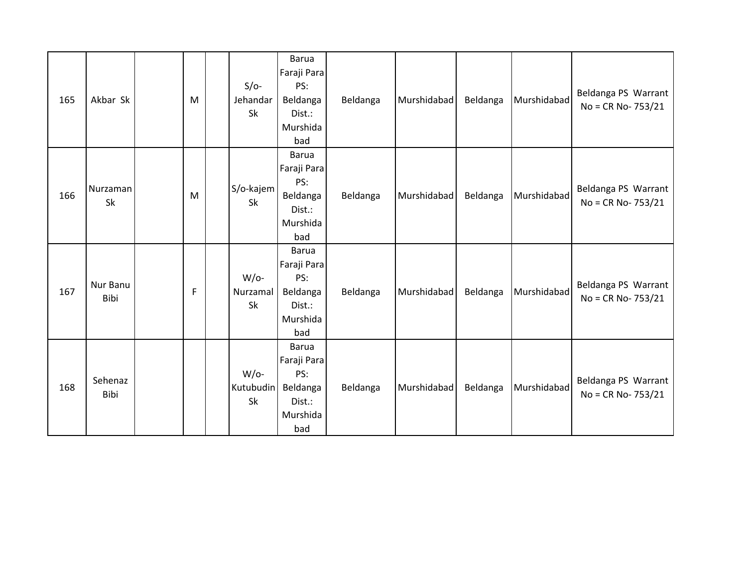| 165 | Akbar Sk         | M            | $S/O-$<br>Jehandar<br>Sk   | <b>Barua</b><br>Faraji Para<br>PS:<br>Beldanga<br>Dist.:<br>Murshida<br>bad | Beldanga | Murshidabad | Beldanga | Murshidabad | Beldanga PS Warrant<br>No = CR No- 753/21    |
|-----|------------------|--------------|----------------------------|-----------------------------------------------------------------------------|----------|-------------|----------|-------------|----------------------------------------------|
| 166 | Nurzaman<br>Sk   | M            | S/o-kajem<br><b>Sk</b>     | <b>Barua</b><br>Faraji Para<br>PS:<br>Beldanga<br>Dist.:<br>Murshida<br>bad | Beldanga | Murshidabad | Beldanga | Murshidabad | Beldanga PS Warrant<br>$No = CR No - 753/21$ |
| 167 | Nur Banu<br>Bibi | $\mathsf{F}$ | $W$ /o-<br>Nurzamal<br>Sk  | <b>Barua</b><br>Faraji Para<br>PS:<br>Beldanga<br>Dist.:<br>Murshida<br>bad | Beldanga | Murshidabad | Beldanga | Murshidabad | Beldanga PS Warrant<br>$No = CR No - 753/21$ |
| 168 | Sehenaz<br>Bibi  |              | $W$ /o-<br>Kutubudin<br>Sk | <b>Barua</b><br>Faraji Para<br>PS:<br>Beldanga<br>Dist.:<br>Murshida<br>bad | Beldanga | Murshidabad | Beldanga | Murshidabad | Beldanga PS Warrant<br>No = CR No- 753/21    |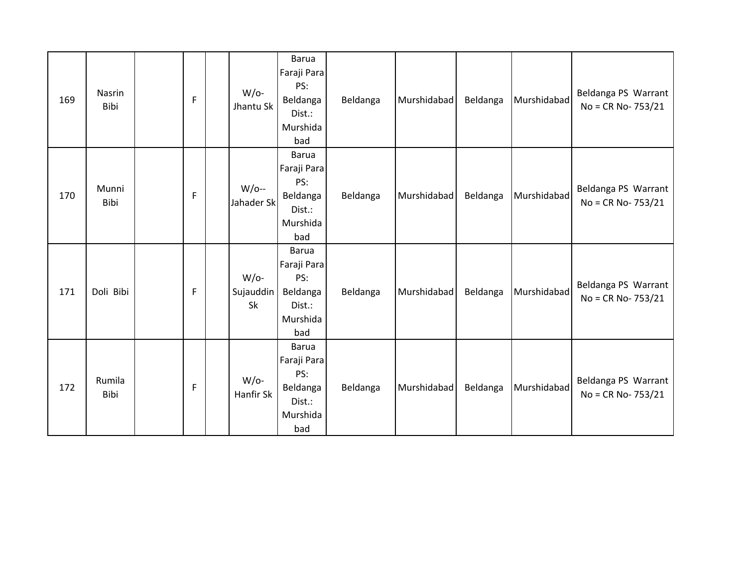| 169 | Nasrin<br>Bibi | F | $W$ /o-<br>Jhantu Sk       | <b>Barua</b><br>Faraji Para<br>PS:<br>Beldanga<br>Dist.:<br>Murshida<br>bad | Beldanga | Murshidabad | Beldanga | Murshidabad | Beldanga PS Warrant<br>No = CR No- 753/21    |
|-----|----------------|---|----------------------------|-----------------------------------------------------------------------------|----------|-------------|----------|-------------|----------------------------------------------|
| 170 | Munni<br>Bibi  | F | $W/O$ --<br>Jahader Sk     | Barua<br>Faraji Para<br>PS:<br>Beldanga<br>Dist.:<br>Murshida<br>bad        | Beldanga | Murshidabad | Beldanga | Murshidabad | Beldanga PS Warrant<br>No = CR No- 753/21    |
| 171 | Doli Bibi      | F | $W$ /o-<br>Sujauddin<br>Sk | <b>Barua</b><br>Faraji Para<br>PS:<br>Beldanga<br>Dist.:<br>Murshida<br>bad | Beldanga | Murshidabad | Beldanga | Murshidabad | Beldanga PS Warrant<br>$No = CR No - 753/21$ |
| 172 | Rumila<br>Bibi | F | $W$ /o-<br>Hanfir Sk       | <b>Barua</b><br>Faraji Para<br>PS:<br>Beldanga<br>Dist.:<br>Murshida<br>bad | Beldanga | Murshidabad | Beldanga | Murshidabad | Beldanga PS Warrant<br>No = CR No- 753/21    |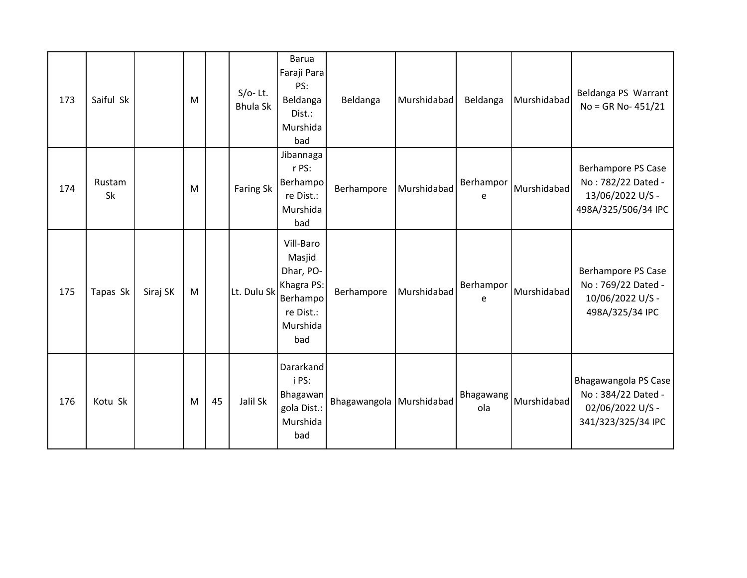| 173 | Saiful Sk    |          | M |    | $S/O-$ Lt.<br><b>Bhula Sk</b> | <b>Barua</b><br>Faraji Para<br>PS:<br>Beldanga<br>Dist.:<br>Murshida<br>bad                | Beldanga                   | Murshidabad | Beldanga         | Murshidabad | Beldanga PS Warrant<br>$No = GR No - 451/21$                                               |
|-----|--------------|----------|---|----|-------------------------------|--------------------------------------------------------------------------------------------|----------------------------|-------------|------------------|-------------|--------------------------------------------------------------------------------------------|
| 174 | Rustam<br>Sk |          | M |    | <b>Faring Sk</b>              | Jibannaga<br>r PS:<br>Berhampo<br>re Dist.:<br>Murshida<br>bad                             | Berhampore                 | Murshidabad | Berhampor<br>e   | Murshidabad | <b>Berhampore PS Case</b><br>No: 782/22 Dated -<br>13/06/2022 U/S -<br>498A/325/506/34 IPC |
| 175 | Tapas Sk     | Siraj SK | M |    | Lt. Dulu Sk                   | Vill-Baro<br>Masjid<br>Dhar, PO-<br>Khagra PS:<br>Berhampo<br>re Dist.:<br>Murshida<br>bad | Berhampore                 | Murshidabad | Berhampor<br>e   | Murshidabad | <b>Berhampore PS Case</b><br>No: 769/22 Dated -<br>10/06/2022 U/S -<br>498A/325/34 IPC     |
| 176 | Kotu Sk      |          | M | 45 | Jalil Sk                      | Dararkand<br>i PS:<br>Bhagawan<br>gola Dist.:<br>Murshida<br>bad                           | Bhagawangola   Murshidabad |             | Bhagawang<br>ola | Murshidabad | Bhagawangola PS Case<br>No: 384/22 Dated -<br>02/06/2022 U/S -<br>341/323/325/34 IPC       |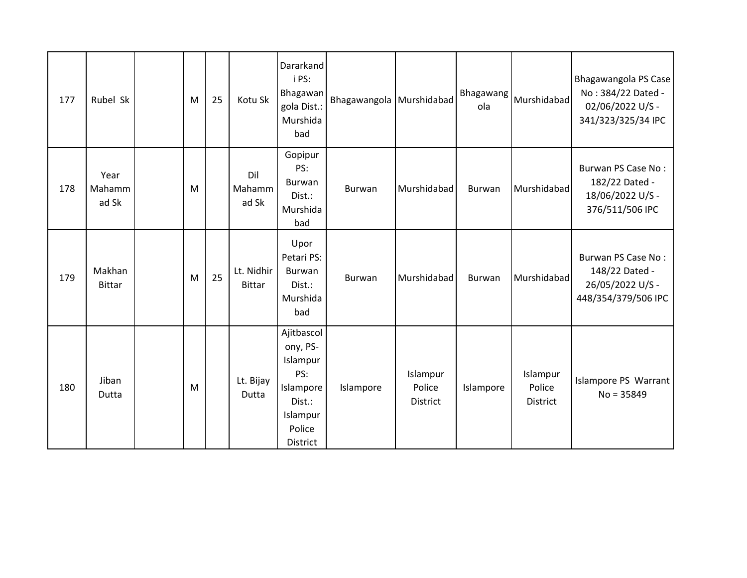| 177 | Rubel Sk                | M | 25 | Kotu Sk                     | Dararkand<br>i PS:<br>Bhagawan<br>gola Dist.:<br>Murshida<br>bad                                   | Bhagawangola Murshidabad |                                       | Bhagawang<br>ola | Murshidabad                           | Bhagawangola PS Case<br>No: 384/22 Dated -<br>02/06/2022 U/S -<br>341/323/325/34 IPC |
|-----|-------------------------|---|----|-----------------------------|----------------------------------------------------------------------------------------------------|--------------------------|---------------------------------------|------------------|---------------------------------------|--------------------------------------------------------------------------------------|
| 178 | Year<br>Mahamm<br>ad Sk | M |    | Dil<br>Mahamm<br>ad Sk      | Gopipur<br>PS:<br>Burwan<br>Dist.:<br>Murshida<br>bad                                              | Burwan                   | Murshidabad                           | Burwan           | Murshidabad                           | Burwan PS Case No:<br>182/22 Dated -<br>18/06/2022 U/S -<br>376/511/506 IPC          |
| 179 | Makhan<br><b>Bittar</b> | M | 25 | Lt. Nidhir<br><b>Bittar</b> | Upor<br>Petari PS:<br>Burwan<br>Dist.:<br>Murshida<br>bad                                          | Burwan                   | Murshidabad                           | Burwan           | Murshidabad                           | Burwan PS Case No:<br>148/22 Dated -<br>26/05/2022 U/S -<br>448/354/379/506 IPC      |
| 180 | Jiban<br>Dutta          | M |    | Lt. Bijay<br>Dutta          | Ajitbascol<br>ony, PS-<br>Islampur<br>PS:<br>Islampore<br>Dist.:<br>Islampur<br>Police<br>District | Islampore                | Islampur<br>Police<br><b>District</b> | Islampore        | Islampur<br>Police<br><b>District</b> | Islampore PS Warrant<br>$No = 35849$                                                 |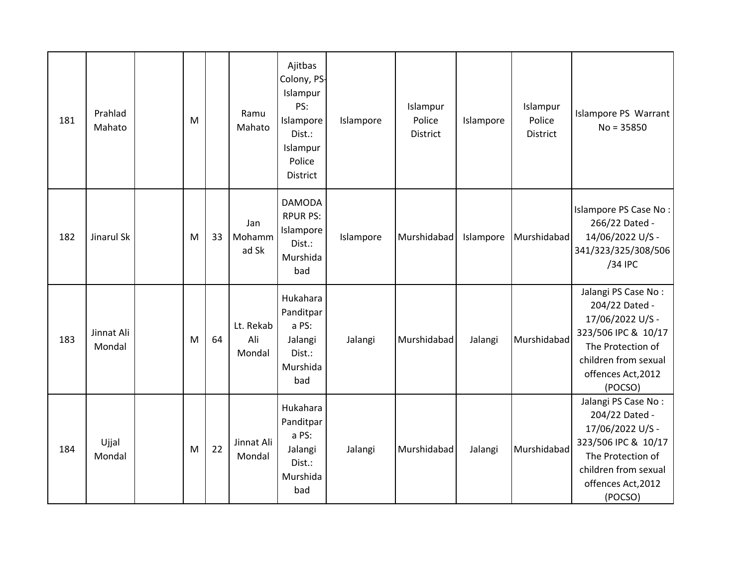| 181 | Prahlad<br>Mahato    | M |    | Ramu<br>Mahato             | Ajitbas<br>Colony, PS-<br>Islampur<br>PS:<br>Islampore<br>Dist.:<br>Islampur<br>Police<br><b>District</b> | Islampore | Islampur<br>Police<br>District | Islampore | Islampur<br>Police<br>District | Islampore PS Warrant<br>$No = 35850$                                                                                                                           |
|-----|----------------------|---|----|----------------------------|-----------------------------------------------------------------------------------------------------------|-----------|--------------------------------|-----------|--------------------------------|----------------------------------------------------------------------------------------------------------------------------------------------------------------|
| 182 | Jinarul Sk           | M | 33 | Jan<br>Mohamm<br>ad Sk     | <b>DAMODA</b><br><b>RPUR PS:</b><br>Islampore<br>Dist.:<br>Murshida<br>bad                                | Islampore | Murshidabad                    | Islampore | Murshidabad                    | Islampore PS Case No:<br>266/22 Dated -<br>14/06/2022 U/S -<br>341/323/325/308/506<br>/34 IPC                                                                  |
| 183 | Jinnat Ali<br>Mondal | M | 64 | Lt. Rekab<br>Ali<br>Mondal | Hukahara<br>Panditpar<br>a PS:<br>Jalangi<br>Dist.:<br>Murshida<br>bad                                    | Jalangi   | Murshidabad                    | Jalangi   | Murshidabad                    | Jalangi PS Case No:<br>204/22 Dated -<br>17/06/2022 U/S -<br>323/506 IPC & 10/17<br>The Protection of<br>children from sexual<br>offences Act, 2012<br>(POCSO) |
| 184 | Ujjal<br>Mondal      | M | 22 | Jinnat Ali<br>Mondal       | Hukahara<br>Panditpar<br>a PS:<br>Jalangi<br>Dist.:<br>Murshida<br>bad                                    | Jalangi   | Murshidabad                    | Jalangi   | Murshidabad                    | Jalangi PS Case No:<br>204/22 Dated -<br>17/06/2022 U/S -<br>323/506 IPC & 10/17<br>The Protection of<br>children from sexual<br>offences Act, 2012<br>(POCSO) |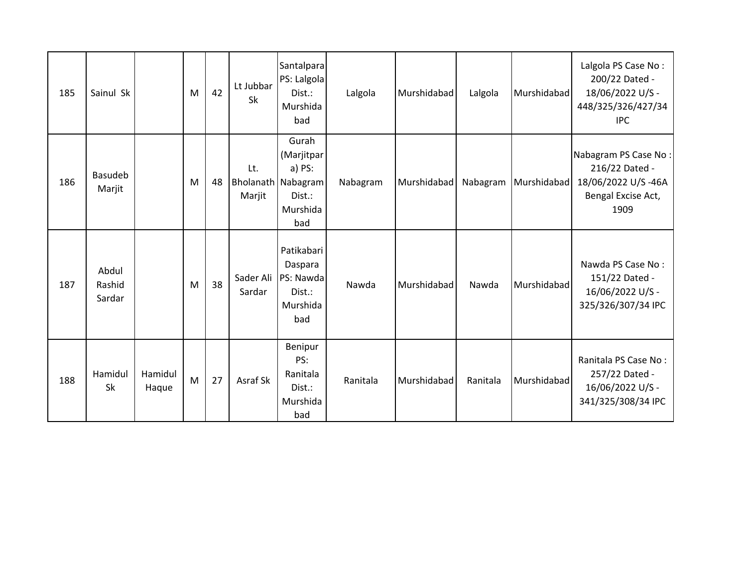| 185 | Sainul Sk                 |                  | M | 42 | Lt Jubbar<br><b>Sk</b> | Santalpara<br>PS: Lalgola<br>Dist.:<br>Murshida<br>bad                                  | Lalgola  | Murshidabad | Lalgola  | Murshidabad            | Lalgola PS Case No:<br>200/22 Dated -<br>18/06/2022 U/S -<br>448/325/326/427/34<br><b>IPC</b> |
|-----|---------------------------|------------------|---|----|------------------------|-----------------------------------------------------------------------------------------|----------|-------------|----------|------------------------|-----------------------------------------------------------------------------------------------|
| 186 | <b>Basudeb</b><br>Marjit  |                  | M | 48 | Lt.<br>Marjit          | Gurah<br>(Marjitpar<br>a) PS:<br><b>Bholanath Nabagram</b><br>Dist.:<br>Murshida<br>bad | Nabagram | Murshidabad |          | Nabagram   Murshidabad | Nabagram PS Case No:<br>216/22 Dated -<br>18/06/2022 U/S-46A<br>Bengal Excise Act,<br>1909    |
| 187 | Abdul<br>Rashid<br>Sardar |                  | M | 38 | Sader Ali<br>Sardar    | Patikabari<br>Daspara<br>PS: Nawda<br>Dist.:<br>Murshida<br>bad                         | Nawda    | Murshidabad | Nawda    | Murshidabad            | Nawda PS Case No:<br>151/22 Dated -<br>16/06/2022 U/S -<br>325/326/307/34 IPC                 |
| 188 | Hamidul<br><b>Sk</b>      | Hamidul<br>Haque | M | 27 | Asraf Sk               | Benipur<br>PS:<br>Ranitala<br>Dist.:<br>Murshida<br>bad                                 | Ranitala | Murshidabad | Ranitala | Murshidabad            | Ranitala PS Case No:<br>257/22 Dated -<br>16/06/2022 U/S -<br>341/325/308/34 IPC              |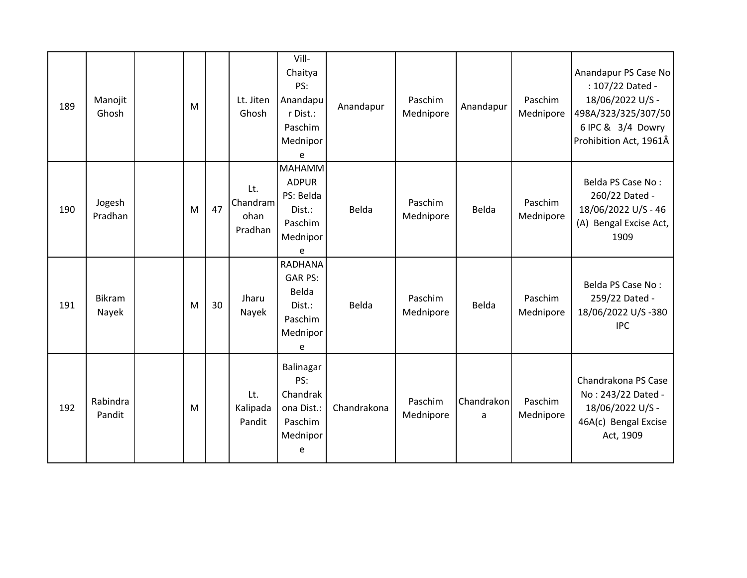| 189 | Manojit<br>Ghosh   | M |    | Lt. Jiten<br>Ghosh                 | Vill-<br>Chaitya<br>PS:<br>Anandapu<br>r Dist.:<br>Paschim<br>Mednipor<br>e      | Anandapur   | Paschim<br>Mednipore | Anandapur       | Paschim<br>Mednipore | Anandapur PS Case No<br>: 107/22 Dated -<br>18/06/2022 U/S -<br>498A/323/325/307/50<br>6 IPC & 3/4 Dowry<br>Prohibition Act, 1961Â |
|-----|--------------------|---|----|------------------------------------|----------------------------------------------------------------------------------|-------------|----------------------|-----------------|----------------------|------------------------------------------------------------------------------------------------------------------------------------|
| 190 | Jogesh<br>Pradhan  | M | 47 | Lt.<br>Chandram<br>ohan<br>Pradhan | <b>MAHAMM</b><br><b>ADPUR</b><br>PS: Belda<br>Dist.:<br>Paschim<br>Mednipor<br>e | Belda       | Paschim<br>Mednipore | Belda           | Paschim<br>Mednipore | Belda PS Case No:<br>260/22 Dated -<br>18/06/2022 U/S - 46<br>(A) Bengal Excise Act,<br>1909                                       |
| 191 | Bikram<br>Nayek    | M | 30 | Jharu<br>Nayek                     | <b>RADHANA</b><br><b>GAR PS:</b><br>Belda<br>Dist.:<br>Paschim<br>Mednipor<br>e  | Belda       | Paschim<br>Mednipore | Belda           | Paschim<br>Mednipore | Belda PS Case No:<br>259/22 Dated -<br>18/06/2022 U/S-380<br><b>IPC</b>                                                            |
| 192 | Rabindra<br>Pandit | M |    | Lt.<br>Kalipada<br>Pandit          | Balinagar<br>PS:<br>Chandrak<br>ona Dist.:<br>Paschim<br>Mednipor<br>e           | Chandrakona | Paschim<br>Mednipore | Chandrakon<br>a | Paschim<br>Mednipore | Chandrakona PS Case<br>No: 243/22 Dated -<br>18/06/2022 U/S -<br>46A(c) Bengal Excise<br>Act, 1909                                 |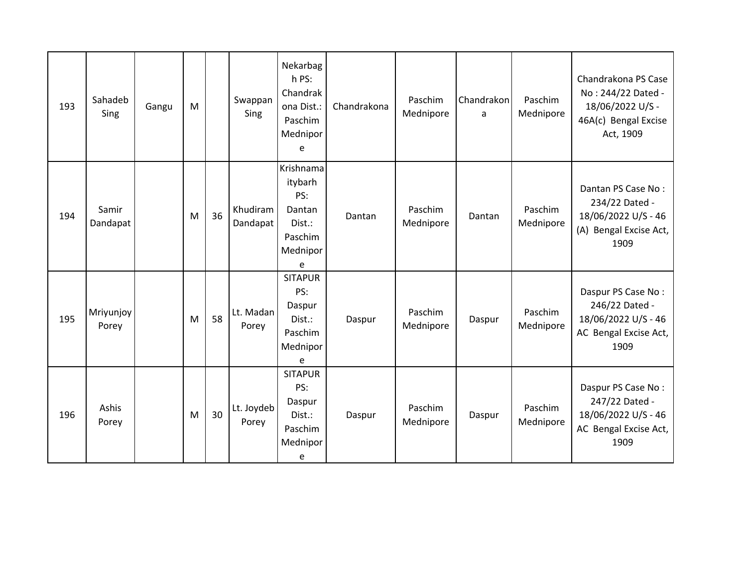| 193 | Sahadeb<br>Sing    | Gangu | M |    | Swappan<br>Sing      | Nekarbag<br>h PS:<br>Chandrak<br>ona Dist.:<br>Paschim<br>Mednipor<br>e     | Chandrakona | Paschim<br>Mednipore | Chandrakon<br>a | Paschim<br>Mednipore | Chandrakona PS Case<br>No: 244/22 Dated -<br>18/06/2022 U/S -<br>46A(c) Bengal Excise<br>Act, 1909 |
|-----|--------------------|-------|---|----|----------------------|-----------------------------------------------------------------------------|-------------|----------------------|-----------------|----------------------|----------------------------------------------------------------------------------------------------|
| 194 | Samir<br>Dandapat  |       | M | 36 | Khudiram<br>Dandapat | Krishnama<br>itybarh<br>PS:<br>Dantan<br>Dist.:<br>Paschim<br>Mednipor<br>e | Dantan      | Paschim<br>Mednipore | Dantan          | Paschim<br>Mednipore | Dantan PS Case No:<br>234/22 Dated -<br>18/06/2022 U/S - 46<br>(A) Bengal Excise Act,<br>1909      |
| 195 | Mriyunjoy<br>Porey |       | M | 58 | Lt. Madan<br>Porey   | <b>SITAPUR</b><br>PS:<br>Daspur<br>Dist.:<br>Paschim<br>Mednipor<br>e       | Daspur      | Paschim<br>Mednipore | Daspur          | Paschim<br>Mednipore | Daspur PS Case No:<br>246/22 Dated -<br>18/06/2022 U/S - 46<br>AC Bengal Excise Act,<br>1909       |
| 196 | Ashis<br>Porey     |       | M | 30 | Lt. Joydeb<br>Porey  | <b>SITAPUR</b><br>PS:<br>Daspur<br>Dist.:<br>Paschim<br>Mednipor<br>e       | Daspur      | Paschim<br>Mednipore | Daspur          | Paschim<br>Mednipore | Daspur PS Case No:<br>247/22 Dated -<br>18/06/2022 U/S - 46<br>AC Bengal Excise Act,<br>1909       |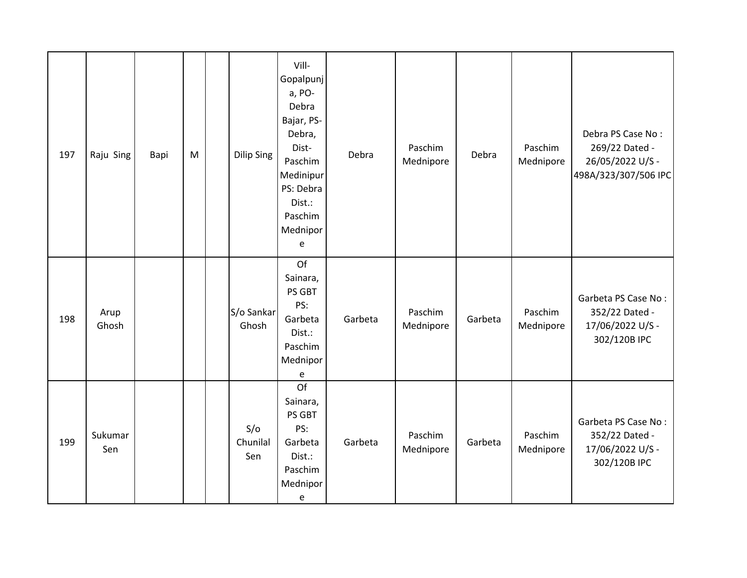| 197 | Raju Sing      | Bapi | M | Dilip Sing             | Vill-<br>Gopalpunj<br>a, PO-<br>Debra<br>Bajar, PS-<br>Debra,<br>Dist-<br>Paschim<br>Medinipur<br>PS: Debra<br>Dist.:<br>Paschim<br>Mednipor<br>e | Debra   | Paschim<br>Mednipore | Debra   | Paschim<br>Mednipore | Debra PS Case No:<br>269/22 Dated -<br>26/05/2022 U/S -<br>498A/323/307/506 IPC |
|-----|----------------|------|---|------------------------|---------------------------------------------------------------------------------------------------------------------------------------------------|---------|----------------------|---------|----------------------|---------------------------------------------------------------------------------|
| 198 | Arup<br>Ghosh  |      |   | S/o Sankar<br>Ghosh    | Of<br>Sainara,<br>PS GBT<br>PS:<br>Garbeta<br>Dist.:<br>Paschim<br>Mednipor<br>e                                                                  | Garbeta | Paschim<br>Mednipore | Garbeta | Paschim<br>Mednipore | Garbeta PS Case No:<br>352/22 Dated -<br>17/06/2022 U/S -<br>302/120B IPC       |
| 199 | Sukumar<br>Sen |      |   | S/O<br>Chunilal<br>Sen | Of<br>Sainara,<br>PS GBT<br>PS:<br>Garbeta<br>Dist.:<br>Paschim<br>Mednipor<br>e                                                                  | Garbeta | Paschim<br>Mednipore | Garbeta | Paschim<br>Mednipore | Garbeta PS Case No:<br>352/22 Dated -<br>17/06/2022 U/S -<br>302/120B IPC       |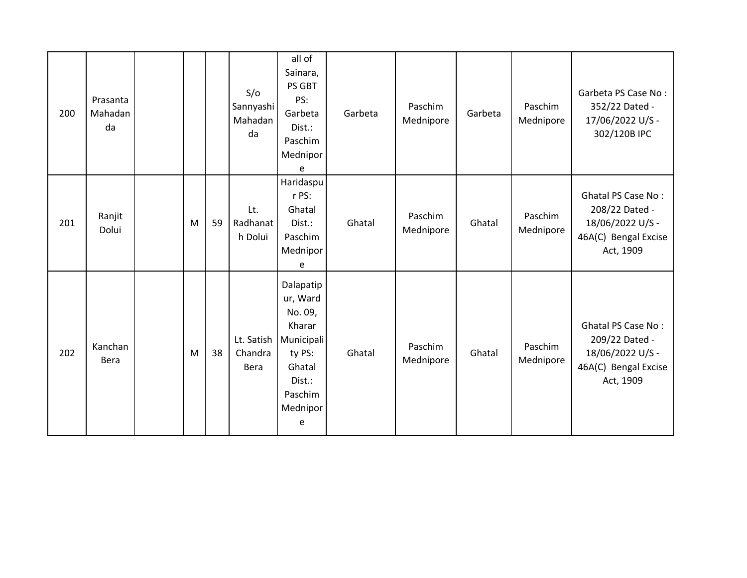| 200 | Prasanta<br>Mahadan<br>da |   |    | S/O<br>Sannyashi<br>Mahadan<br>da | all of<br>Sainara,<br>PS GBT<br>PS:<br>Garbeta<br>Dist.:<br>Paschim<br>Mednipor<br>e                               | Garbeta | Paschim<br>Mednipore | Garbeta | Paschim<br>Mednipore | Garbeta PS Case No:<br>352/22 Dated -<br>17/06/2022 U/S -<br>302/120B IPC                            |
|-----|---------------------------|---|----|-----------------------------------|--------------------------------------------------------------------------------------------------------------------|---------|----------------------|---------|----------------------|------------------------------------------------------------------------------------------------------|
| 201 | Ranjit<br>Dolui           | M | 59 | Lt.<br>Radhanat<br>h Dolui        | Haridaspu<br>r PS:<br>Ghatal<br>Dist.:<br>Paschim<br>Mednipor<br>e                                                 | Ghatal  | Paschim<br>Mednipore | Ghatal  | Paschim<br>Mednipore | <b>Ghatal PS Case No:</b><br>208/22 Dated -<br>18/06/2022 U/S -<br>46A(C) Bengal Excise<br>Act, 1909 |
| 202 | Kanchan<br>Bera           | M | 38 | Lt. Satish<br>Chandra<br>Bera     | Dalapatip<br>ur, Ward<br>No. 09,<br>Kharar<br>Municipali<br>ty PS:<br>Ghatal<br>Dist.:<br>Paschim<br>Mednipor<br>e | Ghatal  | Paschim<br>Mednipore | Ghatal  | Paschim<br>Mednipore | <b>Ghatal PS Case No:</b><br>209/22 Dated -<br>18/06/2022 U/S -<br>46A(C) Bengal Excise<br>Act, 1909 |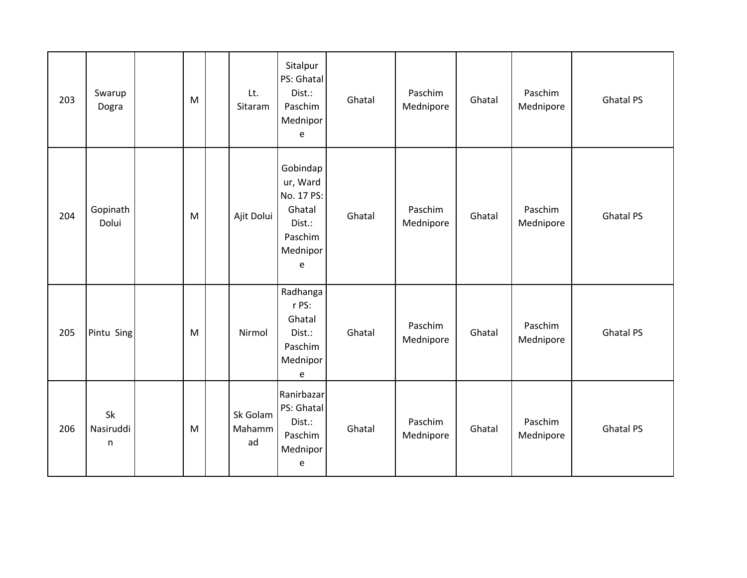| 203 | Swarup<br>Dogra                 | M | Lt.<br>Sitaram           | Sitalpur<br>PS: Ghatal<br>Dist.:<br>Paschim<br>Mednipor<br>e                       | Ghatal | Paschim<br>Mednipore | Ghatal | Paschim<br>Mednipore | <b>Ghatal PS</b> |
|-----|---------------------------------|---|--------------------------|------------------------------------------------------------------------------------|--------|----------------------|--------|----------------------|------------------|
| 204 | Gopinath<br>Dolui               | M | Ajit Dolui               | Gobindap<br>ur, Ward<br>No. 17 PS:<br>Ghatal<br>Dist.:<br>Paschim<br>Mednipor<br>e | Ghatal | Paschim<br>Mednipore | Ghatal | Paschim<br>Mednipore | <b>Ghatal PS</b> |
| 205 | Pintu Sing                      | M | Nirmol                   | Radhanga<br>r PS:<br>Ghatal<br>Dist.:<br>Paschim<br>Mednipor<br>e                  | Ghatal | Paschim<br>Mednipore | Ghatal | Paschim<br>Mednipore | <b>Ghatal PS</b> |
| 206 | Sk<br>Nasiruddi<br>$\mathsf{n}$ | M | Sk Golam<br>Mahamm<br>ad | Ranirbazar<br>PS: Ghatal<br>Dist.:<br>Paschim<br>Mednipor<br>e                     | Ghatal | Paschim<br>Mednipore | Ghatal | Paschim<br>Mednipore | <b>Ghatal PS</b> |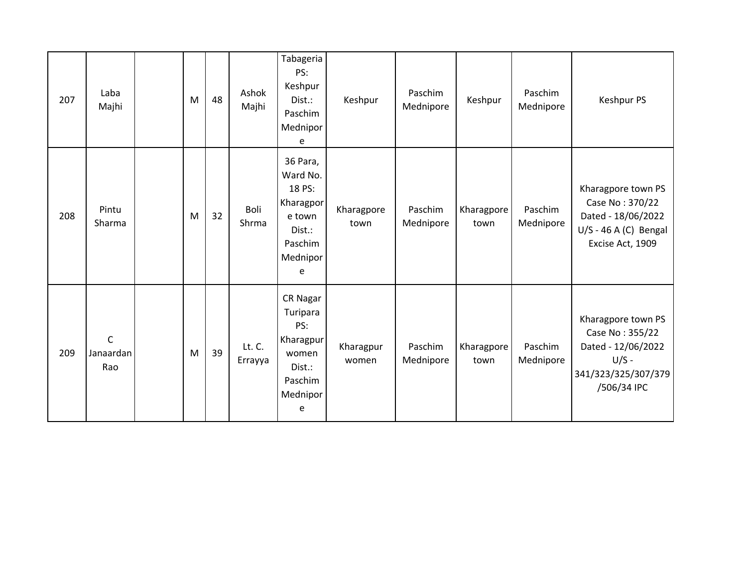| 207 | Laba<br>Majhi                   | M | 48 | Ashok<br>Majhi    | Tabageria<br>PS:<br>Keshpur<br>Dist.:<br>Paschim<br>Mednipor<br>e                           | Keshpur            | Paschim<br>Mednipore | Keshpur            | Paschim<br>Mednipore | Keshpur PS                                                                                                   |
|-----|---------------------------------|---|----|-------------------|---------------------------------------------------------------------------------------------|--------------------|----------------------|--------------------|----------------------|--------------------------------------------------------------------------------------------------------------|
| 208 | Pintu<br>Sharma                 | M | 32 | Boli<br>Shrma     | 36 Para,<br>Ward No.<br>18 PS:<br>Kharagpor<br>e town<br>Dist.:<br>Paschim<br>Mednipor<br>e | Kharagpore<br>town | Paschim<br>Mednipore | Kharagpore<br>town | Paschim<br>Mednipore | Kharagpore town PS<br>Case No: 370/22<br>Dated - 18/06/2022<br>$U/S - 46 A (C)$ Bengal<br>Excise Act, 1909   |
| 209 | $\mathsf C$<br>Janaardan<br>Rao | M | 39 | Lt. C.<br>Errayya | CR Nagar<br>Turipara<br>PS:<br>Kharagpur<br>women<br>Dist.:<br>Paschim<br>Mednipor<br>e     | Kharagpur<br>women | Paschim<br>Mednipore | Kharagpore<br>town | Paschim<br>Mednipore | Kharagpore town PS<br>Case No: 355/22<br>Dated - 12/06/2022<br>$U/S -$<br>341/323/325/307/379<br>/506/34 IPC |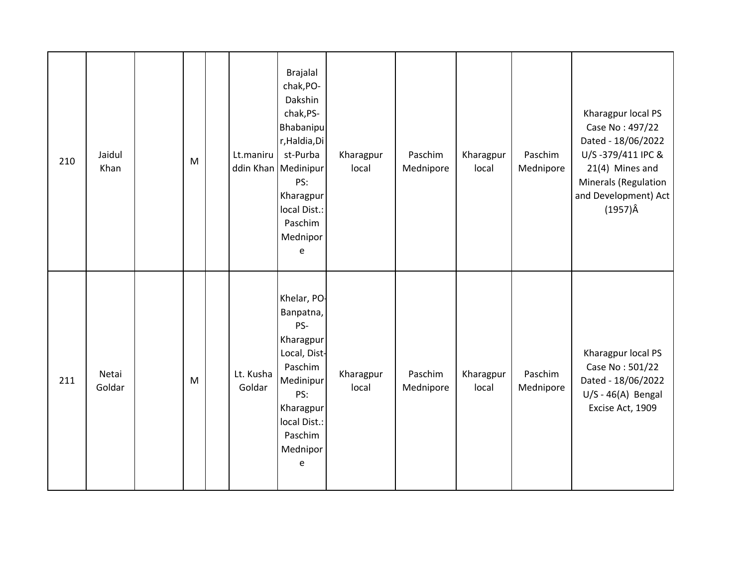| 210 | Jaidul<br>Khan  | M | Lt.maniru           | <b>Brajalal</b><br>chak, PO-<br>Dakshin<br>chak, PS-<br>Bhabanipu<br>r, Haldia, Di<br>st-Purba<br>ddin Khan   Medinipur<br>PS:<br>Kharagpur<br>local Dist.:<br>Paschim<br>Mednipor<br>e | Kharagpur<br>local | Paschim<br>Mednipore | Kharagpur<br>local | Paschim<br>Mednipore | Kharagpur local PS<br>Case No: 497/22<br>Dated - 18/06/2022<br>U/S-379/411 IPC &<br>21(4) Mines and<br>Minerals (Regulation<br>and Development) Act<br>$(1957)\hat{A}$ |
|-----|-----------------|---|---------------------|-----------------------------------------------------------------------------------------------------------------------------------------------------------------------------------------|--------------------|----------------------|--------------------|----------------------|------------------------------------------------------------------------------------------------------------------------------------------------------------------------|
| 211 | Netai<br>Goldar | M | Lt. Kusha<br>Goldar | Khelar, PO-<br>Banpatna,<br>PS-<br>Kharagpur<br>Local, Dist-<br>Paschim<br>Medinipur<br>PS:<br>Kharagpur<br>local Dist.:<br>Paschim<br>Mednipor<br>e                                    | Kharagpur<br>local | Paschim<br>Mednipore | Kharagpur<br>local | Paschim<br>Mednipore | Kharagpur local PS<br>Case No: 501/22<br>Dated - 18/06/2022<br>$U/S - 46(A)$ Bengal<br>Excise Act, 1909                                                                |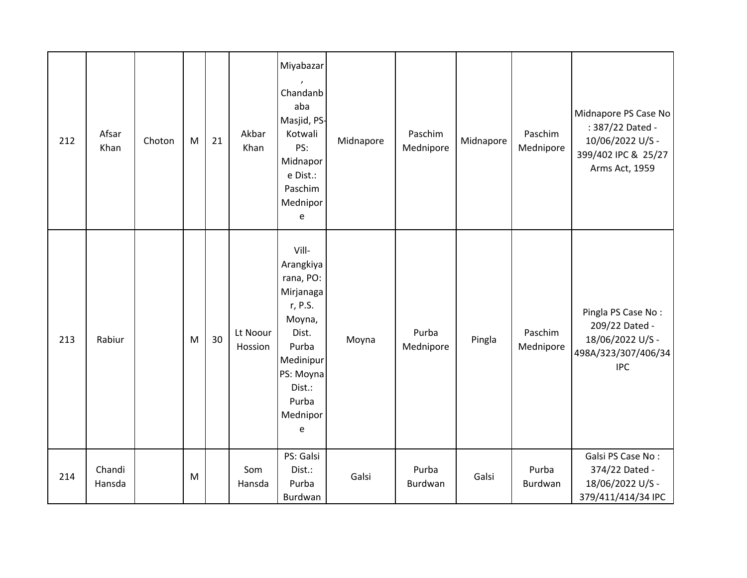| 212 | Afsar<br>Khan    | Choton | M | 21 | Akbar<br>Khan       | Miyabazar<br>Chandanb<br>aba<br>Masjid, PS-<br>Kotwali<br>PS:<br>Midnapor<br>e Dist.:<br>Paschim<br>Mednipor<br>e                                 | Midnapore | Paschim<br>Mednipore | Midnapore | Paschim<br>Mednipore | Midnapore PS Case No<br>: 387/22 Dated -<br>10/06/2022 U/S -<br>399/402 IPC & 25/27<br>Arms Act, 1959 |
|-----|------------------|--------|---|----|---------------------|---------------------------------------------------------------------------------------------------------------------------------------------------|-----------|----------------------|-----------|----------------------|-------------------------------------------------------------------------------------------------------|
| 213 | Rabiur           |        | M | 30 | Lt Noour<br>Hossion | Vill-<br>Arangkiya<br>rana, PO:<br>Mirjanaga<br>r, P.S.<br>Moyna,<br>Dist.<br>Purba<br>Medinipur<br>PS: Moyna<br>Dist.:<br>Purba<br>Mednipor<br>e | Moyna     | Purba<br>Mednipore   | Pingla    | Paschim<br>Mednipore | Pingla PS Case No:<br>209/22 Dated -<br>18/06/2022 U/S -<br>498A/323/307/406/34<br><b>IPC</b>         |
| 214 | Chandi<br>Hansda |        | M |    | Som<br>Hansda       | PS: Galsi<br>Dist.:<br>Purba<br>Burdwan                                                                                                           | Galsi     | Purba<br>Burdwan     | Galsi     | Purba<br>Burdwan     | Galsi PS Case No:<br>374/22 Dated -<br>18/06/2022 U/S -<br>379/411/414/34 IPC                         |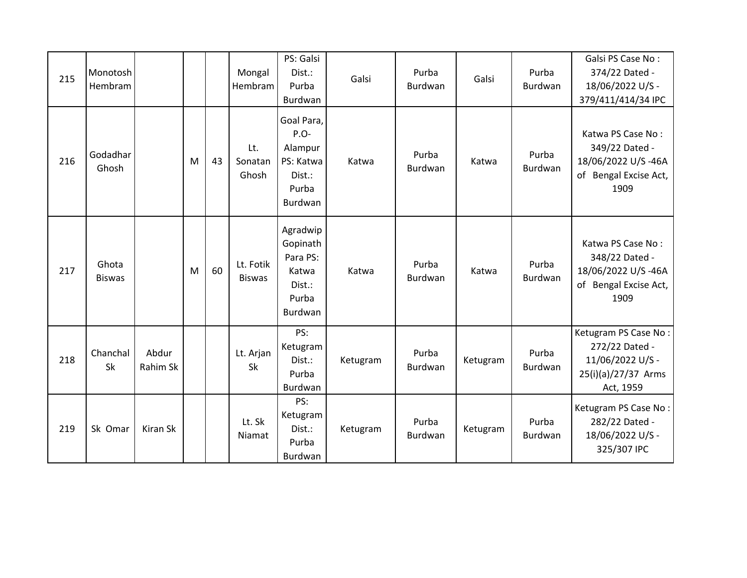| 215 | Monotosh<br>Hembram    |                   |   |    | Mongal<br>Hembram          | PS: Galsi<br>Dist.:<br>Purba<br>Burdwan                                    | Galsi    | Purba<br>Burdwan        | Galsi    | Purba<br>Burdwan        | Galsi PS Case No:<br>374/22 Dated -<br>18/06/2022 U/S -<br>379/411/414/34 IPC                  |
|-----|------------------------|-------------------|---|----|----------------------------|----------------------------------------------------------------------------|----------|-------------------------|----------|-------------------------|------------------------------------------------------------------------------------------------|
| 216 | Godadhar<br>Ghosh      |                   | M | 43 | Lt.<br>Sonatan<br>Ghosh    | Goal Para,<br>$P.O-$<br>Alampur<br>PS: Katwa<br>Dist.:<br>Purba<br>Burdwan | Katwa    | Purba<br><b>Burdwan</b> | Katwa    | Purba<br>Burdwan        | Katwa PS Case No:<br>349/22 Dated -<br>18/06/2022 U/S-46A<br>of Bengal Excise Act,<br>1909     |
| 217 | Ghota<br><b>Biswas</b> |                   | M | 60 | Lt. Fotik<br><b>Biswas</b> | Agradwip<br>Gopinath<br>Para PS:<br>Katwa<br>Dist.:<br>Purba<br>Burdwan    | Katwa    | Purba<br><b>Burdwan</b> | Katwa    | Purba<br><b>Burdwan</b> | Katwa PS Case No:<br>348/22 Dated -<br>18/06/2022 U/S-46A<br>of Bengal Excise Act,<br>1909     |
| 218 | Chanchal<br>Sk         | Abdur<br>Rahim Sk |   |    | Lt. Arjan<br>Sk            | PS:<br>Ketugram<br>Dist.:<br>Purba<br>Burdwan                              | Ketugram | Purba<br><b>Burdwan</b> | Ketugram | Purba<br>Burdwan        | Ketugram PS Case No:<br>272/22 Dated -<br>11/06/2022 U/S -<br>25(i)(a)/27/37 Arms<br>Act, 1959 |
| 219 | Sk Omar                | Kiran Sk          |   |    | Lt. Sk<br>Niamat           | PS:<br>Ketugram<br>Dist.:<br>Purba<br>Burdwan                              | Ketugram | Purba<br>Burdwan        | Ketugram | Purba<br>Burdwan        | Ketugram PS Case No:<br>282/22 Dated -<br>18/06/2022 U/S -<br>325/307 IPC                      |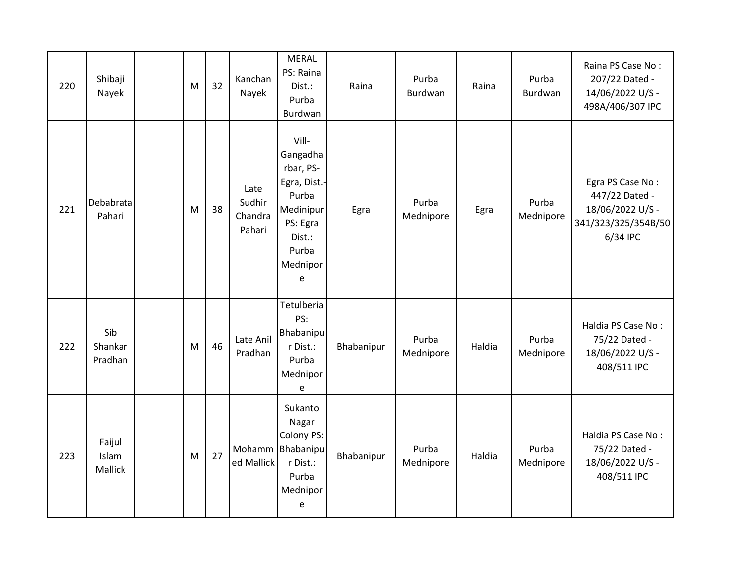| 220 | Shibaji<br>Nayek           | M | 32 | Kanchan<br>Nayek                    | <b>MERAL</b><br>PS: Raina<br>Dist.:<br>Purba<br>Burdwan                                                              | Raina      | Purba<br>Burdwan   | Raina  | Purba<br>Burdwan   | Raina PS Case No:<br>207/22 Dated -<br>14/06/2022 U/S -<br>498A/406/307 IPC               |
|-----|----------------------------|---|----|-------------------------------------|----------------------------------------------------------------------------------------------------------------------|------------|--------------------|--------|--------------------|-------------------------------------------------------------------------------------------|
| 221 | Debabrata<br>Pahari        | M | 38 | Late<br>Sudhir<br>Chandra<br>Pahari | Vill-<br>Gangadha<br>rbar, PS-<br>Egra, Dist.-<br>Purba<br>Medinipur<br>PS: Egra<br>Dist.:<br>Purba<br>Mednipor<br>e | Egra       | Purba<br>Mednipore | Egra   | Purba<br>Mednipore | Egra PS Case No:<br>447/22 Dated -<br>18/06/2022 U/S -<br>341/323/325/354B/50<br>6/34 IPC |
| 222 | Sib<br>Shankar<br>Pradhan  | M | 46 | Late Anil<br>Pradhan                | Tetulberia<br>PS:<br>Bhabanipu<br>r Dist.:<br>Purba<br>Mednipor<br>e                                                 | Bhabanipur | Purba<br>Mednipore | Haldia | Purba<br>Mednipore | Haldia PS Case No:<br>75/22 Dated -<br>18/06/2022 U/S -<br>408/511 IPC                    |
| 223 | Faijul<br>Islam<br>Mallick | M | 27 | Mohamm<br>ed Mallick                | Sukanto<br>Nagar<br>Colony PS:<br>Bhabanipu<br>r Dist.:<br>Purba<br>Mednipor<br>e                                    | Bhabanipur | Purba<br>Mednipore | Haldia | Purba<br>Mednipore | Haldia PS Case No:<br>75/22 Dated -<br>18/06/2022 U/S -<br>408/511 IPC                    |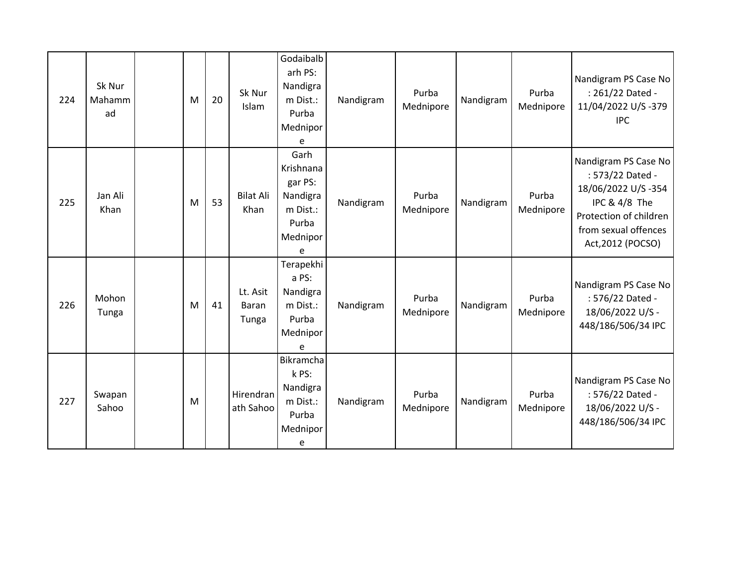| 224 | Sk Nur<br>Mahamm<br>ad | M | 20 | Sk Nur<br>Islam            | Godaibalb<br>arh PS:<br>Nandigra<br>m Dist.:<br>Purba<br>Mednipor<br>e         | Nandigram | Purba<br>Mednipore | Nandigram | Purba<br>Mednipore | Nandigram PS Case No<br>: 261/22 Dated -<br>11/04/2022 U/S-379<br><b>IPC</b>                                                                           |
|-----|------------------------|---|----|----------------------------|--------------------------------------------------------------------------------|-----------|--------------------|-----------|--------------------|--------------------------------------------------------------------------------------------------------------------------------------------------------|
| 225 | Jan Ali<br>Khan        | M | 53 | <b>Bilat Ali</b><br>Khan   | Garh<br>Krishnana<br>gar PS:<br>Nandigra<br>m Dist.:<br>Purba<br>Mednipor<br>e | Nandigram | Purba<br>Mednipore | Nandigram | Purba<br>Mednipore | Nandigram PS Case No<br>: 573/22 Dated -<br>18/06/2022 U/S-354<br>IPC & 4/8 The<br>Protection of children<br>from sexual offences<br>Act, 2012 (POCSO) |
| 226 | Mohon<br>Tunga         | M | 41 | Lt. Asit<br>Baran<br>Tunga | Terapekhi<br>a PS:<br>Nandigra<br>m Dist.:<br>Purba<br>Mednipor<br>e           | Nandigram | Purba<br>Mednipore | Nandigram | Purba<br>Mednipore | Nandigram PS Case No<br>: 576/22 Dated -<br>18/06/2022 U/S -<br>448/186/506/34 IPC                                                                     |
| 227 | Swapan<br>Sahoo        | M |    | Hirendran<br>ath Sahoo     | Bikramcha<br>k PS:<br>Nandigra<br>m Dist.:<br>Purba<br>Mednipor<br>e           | Nandigram | Purba<br>Mednipore | Nandigram | Purba<br>Mednipore | Nandigram PS Case No<br>: 576/22 Dated -<br>18/06/2022 U/S -<br>448/186/506/34 IPC                                                                     |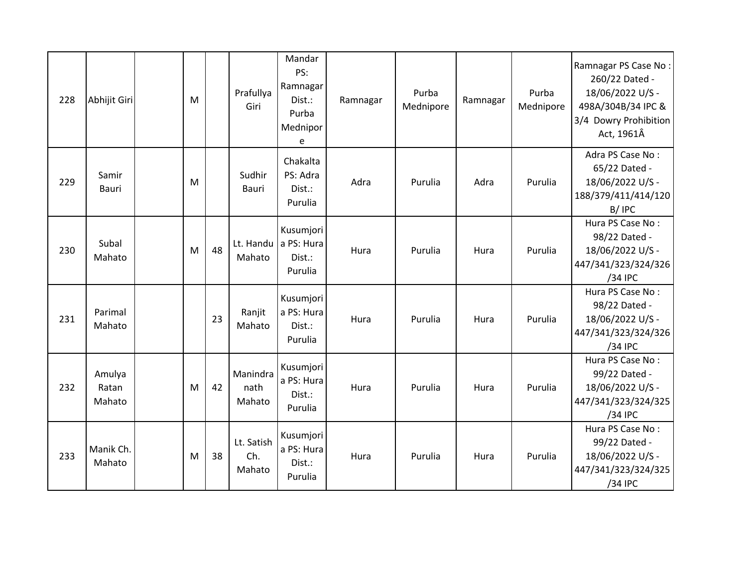| 228 | Abhijit Giri              | M |    | Prafullya<br>Giri           | Mandar<br>PS:<br>Ramnagar<br>Dist.:<br>Purba<br>Mednipor<br>e | Ramnagar | Purba<br>Mednipore | Ramnagar | Purba<br>Mednipore | Ramnagar PS Case No:<br>260/22 Dated -<br>18/06/2022 U/S -<br>498A/304B/34 IPC &<br>3/4 Dowry Prohibition<br>Act, 1961Â |
|-----|---------------------------|---|----|-----------------------------|---------------------------------------------------------------|----------|--------------------|----------|--------------------|-------------------------------------------------------------------------------------------------------------------------|
| 229 | Samir<br>Bauri            | M |    | Sudhir<br>Bauri             | Chakalta<br>PS: Adra<br>Dist.:<br>Purulia                     | Adra     | Purulia            | Adra     | Purulia            | Adra PS Case No:<br>65/22 Dated -<br>18/06/2022 U/S -<br>188/379/411/414/120<br>B/IPC                                   |
| 230 | Subal<br>Mahato           | M | 48 | Mahato                      | Kusumjori<br>Lt. Handu a PS: Hura<br>Dist.:<br>Purulia        | Hura     | Purulia            | Hura     | Purulia            | Hura PS Case No:<br>98/22 Dated -<br>18/06/2022 U/S -<br>447/341/323/324/326<br>/34 IPC                                 |
| 231 | Parimal<br>Mahato         |   | 23 | Ranjit<br>Mahato            | Kusumjori<br>a PS: Hura<br>Dist.:<br>Purulia                  | Hura     | Purulia            | Hura     | Purulia            | Hura PS Case No:<br>98/22 Dated -<br>18/06/2022 U/S -<br>447/341/323/324/326<br>/34 IPC                                 |
| 232 | Amulya<br>Ratan<br>Mahato | M | 42 | Manindra<br>nath<br>Mahato  | Kusumjori<br>a PS: Hura<br>Dist.:<br>Purulia                  | Hura     | Purulia            | Hura     | Purulia            | Hura PS Case No:<br>99/22 Dated -<br>18/06/2022 U/S -<br>447/341/323/324/325<br>/34 IPC                                 |
| 233 | Manik Ch.<br>Mahato       | M | 38 | Lt. Satish<br>Ch.<br>Mahato | Kusumjori<br>a PS: Hura<br>Dist.:<br>Purulia                  | Hura     | Purulia            | Hura     | Purulia            | Hura PS Case No:<br>99/22 Dated -<br>18/06/2022 U/S -<br>447/341/323/324/325<br>/34 IPC                                 |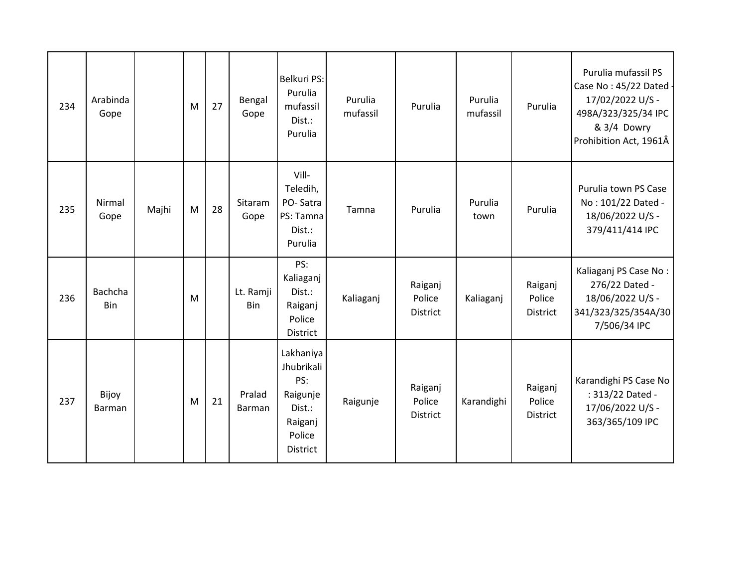| 234 | Arabinda<br>Gope |       | M | 27 | Bengal<br>Gope   | Belkuri PS:<br>Purulia<br>mufassil<br>Dist.:<br>Purulia                               | Purulia<br>mufassil | Purulia                              | Purulia<br>mufassil | Purulia                       | Purulia mufassil PS<br>Case No: 45/22 Dated -<br>17/02/2022 U/S -<br>498A/323/325/34 IPC<br>& 3/4 Dowry<br>Prohibition Act, 1961Â |
|-----|------------------|-------|---|----|------------------|---------------------------------------------------------------------------------------|---------------------|--------------------------------------|---------------------|-------------------------------|-----------------------------------------------------------------------------------------------------------------------------------|
| 235 | Nirmal<br>Gope   | Majhi | M | 28 | Sitaram<br>Gope  | Vill-<br>Teledih,<br>PO-Satra<br>PS: Tamna<br>Dist.:<br>Purulia                       | Tamna               | Purulia                              | Purulia<br>town     | Purulia                       | Purulia town PS Case<br>No: 101/22 Dated -<br>18/06/2022 U/S -<br>379/411/414 IPC                                                 |
| 236 | Bachcha<br>Bin   |       | M |    | Lt. Ramji<br>Bin | PS:<br>Kaliaganj<br>Dist.:<br>Raiganj<br>Police<br>District                           | Kaliaganj           | Raiganj<br>Police<br>District        | Kaliaganj           | Raiganj<br>Police<br>District | Kaliaganj PS Case No:<br>276/22 Dated -<br>18/06/2022 U/S -<br>341/323/325/354A/30<br>7/506/34 IPC                                |
| 237 | Bijoy<br>Barman  |       | M | 21 | Pralad<br>Barman | Lakhaniya<br>Jhubrikali<br>PS:<br>Raigunje<br>Dist.:<br>Raiganj<br>Police<br>District | Raigunje            | Raiganj<br>Police<br><b>District</b> | Karandighi          | Raiganj<br>Police<br>District | Karandighi PS Case No<br>: 313/22 Dated -<br>17/06/2022 U/S -<br>363/365/109 IPC                                                  |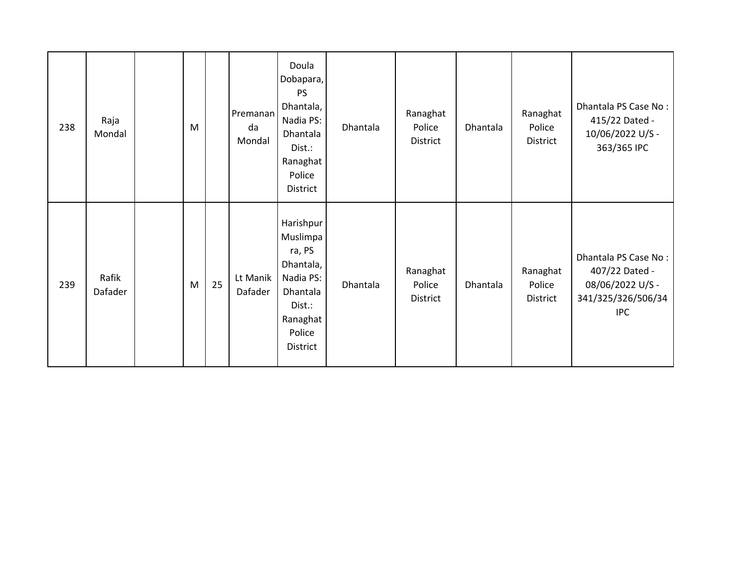| 238 | Raja<br>Mondal   | M |    | Premanan<br>da<br>Mondal | Doula<br>Dobapara,<br><b>PS</b><br>Dhantala,<br>Nadia PS:<br>Dhantala<br>Dist.:<br>Ranaghat<br>Police<br>District | Dhantala | Ranaghat<br>Police<br>District | Dhantala | Ranaghat<br>Police<br>District | Dhantala PS Case No:<br>415/22 Dated -<br>10/06/2022 U/S -<br>363/365 IPC                      |
|-----|------------------|---|----|--------------------------|-------------------------------------------------------------------------------------------------------------------|----------|--------------------------------|----------|--------------------------------|------------------------------------------------------------------------------------------------|
| 239 | Rafik<br>Dafader | M | 25 | Lt Manik<br>Dafader      | Harishpur<br>Muslimpa<br>ra, PS<br>Dhantala,<br>Nadia PS:<br>Dhantala<br>Dist.:<br>Ranaghat<br>Police<br>District | Dhantala | Ranaghat<br>Police<br>District | Dhantala | Ranaghat<br>Police<br>District | Dhantala PS Case No:<br>407/22 Dated -<br>08/06/2022 U/S -<br>341/325/326/506/34<br><b>IPC</b> |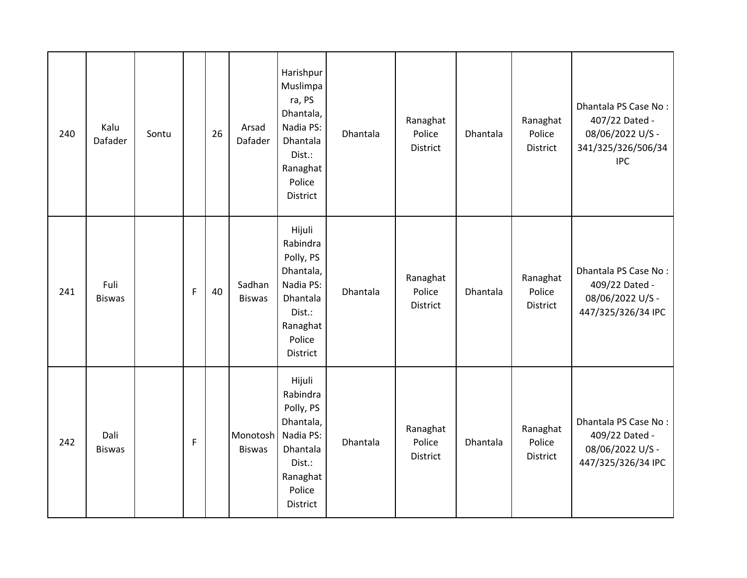| 240 | Kalu<br>Dafader       | Sontu |             | 26 | Arsad<br>Dafader          | Harishpur<br>Muslimpa<br>ra, PS<br>Dhantala,<br>Nadia PS:<br>Dhantala<br>Dist.:<br>Ranaghat<br>Police<br><b>District</b> | Dhantala | Ranaghat<br>Police<br>District        | Dhantala | Ranaghat<br>Police<br>District | Dhantala PS Case No:<br>407/22 Dated -<br>08/06/2022 U/S -<br>341/325/326/506/34<br><b>IPC</b> |
|-----|-----------------------|-------|-------------|----|---------------------------|--------------------------------------------------------------------------------------------------------------------------|----------|---------------------------------------|----------|--------------------------------|------------------------------------------------------------------------------------------------|
| 241 | Fuli<br><b>Biswas</b> |       | $\mathsf F$ | 40 | Sadhan<br><b>Biswas</b>   | Hijuli<br>Rabindra<br>Polly, PS<br>Dhantala,<br>Nadia PS:<br>Dhantala<br>Dist.:<br>Ranaghat<br>Police<br>District        | Dhantala | Ranaghat<br>Police<br>District        | Dhantala | Ranaghat<br>Police<br>District | Dhantala PS Case No:<br>409/22 Dated -<br>08/06/2022 U/S -<br>447/325/326/34 IPC               |
| 242 | Dali<br><b>Biswas</b> |       | $\mathsf F$ |    | Monotosh<br><b>Biswas</b> | Hijuli<br>Rabindra<br>Polly, PS<br>Dhantala,<br>Nadia PS:<br>Dhantala<br>Dist.:<br>Ranaghat<br>Police<br>District        | Dhantala | Ranaghat<br>Police<br><b>District</b> | Dhantala | Ranaghat<br>Police<br>District | Dhantala PS Case No:<br>409/22 Dated -<br>08/06/2022 U/S -<br>447/325/326/34 IPC               |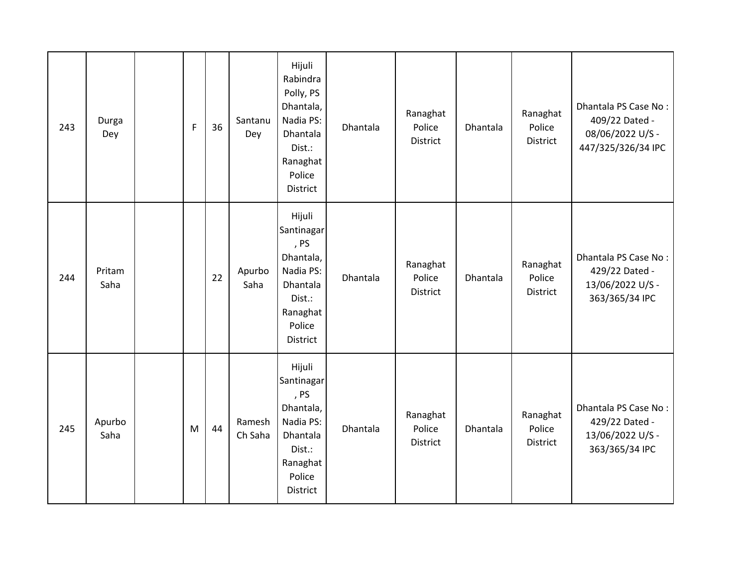| 243 | Durga<br>Dey   | F | 36 | Santanu<br>Dey    | Hijuli<br>Rabindra<br>Polly, PS<br>Dhantala,<br>Nadia PS:<br>Dhantala<br>Dist.:<br>Ranaghat<br>Police<br><b>District</b> | Dhantala | Ranaghat<br>Police<br><b>District</b> | Dhantala | Ranaghat<br>Police<br>District        | Dhantala PS Case No:<br>409/22 Dated -<br>08/06/2022 U/S -<br>447/325/326/34 IPC |
|-----|----------------|---|----|-------------------|--------------------------------------------------------------------------------------------------------------------------|----------|---------------------------------------|----------|---------------------------------------|----------------------------------------------------------------------------------|
| 244 | Pritam<br>Saha |   | 22 | Apurbo<br>Saha    | Hijuli<br>Santinagar<br>, PS<br>Dhantala,<br>Nadia PS:<br>Dhantala<br>Dist.:<br>Ranaghat<br>Police<br><b>District</b>    | Dhantala | Ranaghat<br>Police<br>District        | Dhantala | Ranaghat<br>Police<br>District        | Dhantala PS Case No:<br>429/22 Dated -<br>13/06/2022 U/S -<br>363/365/34 IPC     |
| 245 | Apurbo<br>Saha | M | 44 | Ramesh<br>Ch Saha | Hijuli<br>Santinagar<br>, PS<br>Dhantala,<br>Nadia PS:<br>Dhantala<br>Dist.:<br>Ranaghat<br>Police<br>District           | Dhantala | Ranaghat<br>Police<br><b>District</b> | Dhantala | Ranaghat<br>Police<br><b>District</b> | Dhantala PS Case No:<br>429/22 Dated -<br>13/06/2022 U/S -<br>363/365/34 IPC     |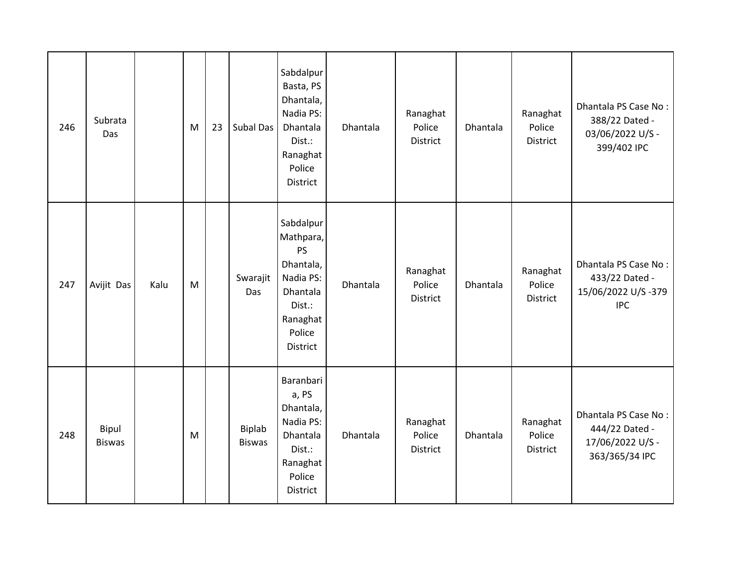| 246 | Subrata<br>Das         |      | M | 23 | Subal Das               | Sabdalpur<br>Basta, PS<br>Dhantala,<br>Nadia PS:<br>Dhantala<br>Dist.:<br>Ranaghat<br>Police<br><b>District</b>              | Dhantala | Ranaghat<br>Police<br><b>District</b> | Dhantala | Ranaghat<br>Police<br>District        | Dhantala PS Case No:<br>388/22 Dated -<br>03/06/2022 U/S -<br>399/402 IPC    |
|-----|------------------------|------|---|----|-------------------------|------------------------------------------------------------------------------------------------------------------------------|----------|---------------------------------------|----------|---------------------------------------|------------------------------------------------------------------------------|
| 247 | Avijit Das             | Kalu | M |    | Swarajit<br>Das         | Sabdalpur<br>Mathpara,<br><b>PS</b><br>Dhantala,<br>Nadia PS:<br>Dhantala<br>Dist.:<br>Ranaghat<br>Police<br><b>District</b> | Dhantala | Ranaghat<br>Police<br><b>District</b> | Dhantala | Ranaghat<br>Police<br><b>District</b> | Dhantala PS Case No:<br>433/22 Dated -<br>15/06/2022 U/S-379<br><b>IPC</b>   |
| 248 | Bipul<br><b>Biswas</b> |      | M |    | Biplab<br><b>Biswas</b> | Baranbari<br>a, PS<br>Dhantala,<br>Nadia PS:<br>Dhantala<br>Dist.:<br>Ranaghat<br>Police<br>District                         | Dhantala | Ranaghat<br>Police<br>District        | Dhantala | Ranaghat<br>Police<br>District        | Dhantala PS Case No:<br>444/22 Dated -<br>17/06/2022 U/S -<br>363/365/34 IPC |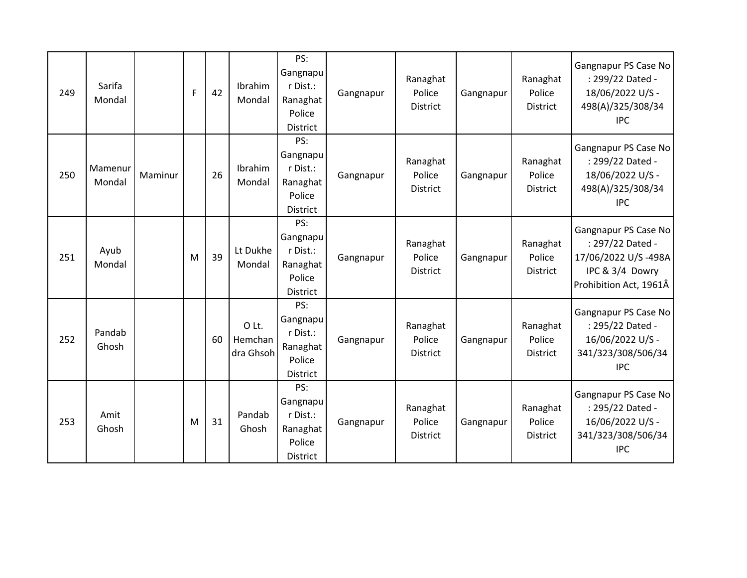| 249 | Sarifa<br>Mondal  |         | F | 42 | Ibrahim<br>Mondal             | PS:<br>Gangnapu<br>r Dist.:<br>Ranaghat<br>Police<br><b>District</b> | Gangnapur | Ranaghat<br>Police<br><b>District</b> | Gangnapur | Ranaghat<br>Police<br><b>District</b> | Gangnapur PS Case No<br>: 299/22 Dated -<br>18/06/2022 U/S -<br>498(A)/325/308/34<br><b>IPC</b>              |
|-----|-------------------|---------|---|----|-------------------------------|----------------------------------------------------------------------|-----------|---------------------------------------|-----------|---------------------------------------|--------------------------------------------------------------------------------------------------------------|
| 250 | Mamenur<br>Mondal | Maminur |   | 26 | Ibrahim<br>Mondal             | PS:<br>Gangnapu<br>r Dist.:<br>Ranaghat<br>Police<br>District        | Gangnapur | Ranaghat<br>Police<br><b>District</b> | Gangnapur | Ranaghat<br>Police<br><b>District</b> | Gangnapur PS Case No<br>: 299/22 Dated -<br>18/06/2022 U/S -<br>498(A)/325/308/34<br><b>IPC</b>              |
| 251 | Ayub<br>Mondal    |         | M | 39 | Lt Dukhe<br>Mondal            | PS:<br>Gangnapu<br>r Dist.:<br>Ranaghat<br>Police<br>District        | Gangnapur | Ranaghat<br>Police<br><b>District</b> | Gangnapur | Ranaghat<br>Police<br>District        | Gangnapur PS Case No<br>: 297/22 Dated -<br>17/06/2022 U/S-498A<br>IPC & 3/4 Dowry<br>Prohibition Act, 1961Â |
| 252 | Pandab<br>Ghosh   |         |   | 60 | O Lt.<br>Hemchan<br>dra Ghsoh | PS:<br>Gangnapu<br>r Dist.:<br>Ranaghat<br>Police<br>District        | Gangnapur | Ranaghat<br>Police<br><b>District</b> | Gangnapur | Ranaghat<br>Police<br><b>District</b> | Gangnapur PS Case No<br>: 295/22 Dated -<br>16/06/2022 U/S -<br>341/323/308/506/34<br><b>IPC</b>             |
| 253 | Amit<br>Ghosh     |         | M | 31 | Pandab<br>Ghosh               | PS:<br>Gangnapu<br>r Dist.:<br>Ranaghat<br>Police<br><b>District</b> | Gangnapur | Ranaghat<br>Police<br><b>District</b> | Gangnapur | Ranaghat<br>Police<br><b>District</b> | Gangnapur PS Case No<br>: 295/22 Dated -<br>16/06/2022 U/S -<br>341/323/308/506/34<br><b>IPC</b>             |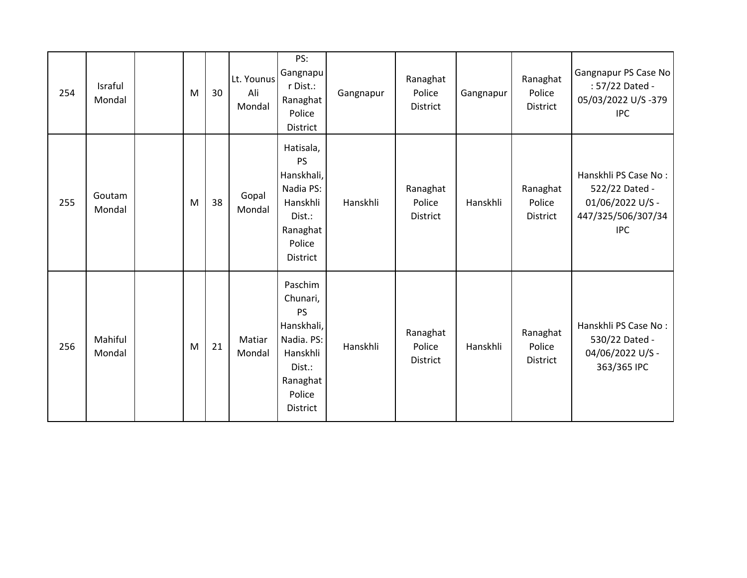| 254 | Israful<br>Mondal | M | 30 | Lt. Younus<br>Ali<br>Mondal | PS:<br>Gangnapu<br>r Dist.:<br>Ranaghat<br>Police<br>District                                                               | Gangnapur | Ranaghat<br>Police<br>District        | Gangnapur | Ranaghat<br>Police<br>District        | Gangnapur PS Case No<br>: 57/22 Dated -<br>05/03/2022 U/S-379<br><b>IPC</b>                    |
|-----|-------------------|---|----|-----------------------------|-----------------------------------------------------------------------------------------------------------------------------|-----------|---------------------------------------|-----------|---------------------------------------|------------------------------------------------------------------------------------------------|
| 255 | Goutam<br>Mondal  | M | 38 | Gopal<br>Mondal             | Hatisala,<br><b>PS</b><br>Hanskhali,<br>Nadia PS:<br>Hanskhli<br>Dist.:<br>Ranaghat<br>Police<br><b>District</b>            | Hanskhli  | Ranaghat<br>Police<br><b>District</b> | Hanskhli  | Ranaghat<br>Police<br><b>District</b> | Hanskhli PS Case No:<br>522/22 Dated -<br>01/06/2022 U/S -<br>447/325/506/307/34<br><b>IPC</b> |
| 256 | Mahiful<br>Mondal | M | 21 | Matiar<br>Mondal            | Paschim<br>Chunari,<br><b>PS</b><br>Hanskhali,<br>Nadia. PS:<br>Hanskhli<br>Dist.:<br>Ranaghat<br>Police<br><b>District</b> | Hanskhli  | Ranaghat<br>Police<br>District        | Hanskhli  | Ranaghat<br>Police<br>District        | Hanskhli PS Case No:<br>530/22 Dated -<br>04/06/2022 U/S -<br>363/365 IPC                      |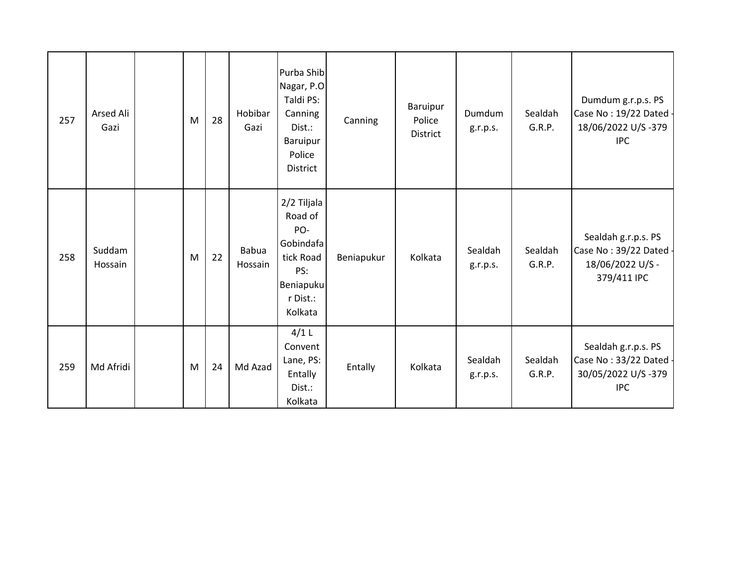| 257 | Arsed Ali<br>Gazi | M | 28 | Hobibar<br>Gazi         | Purba Shib<br>Nagar, P.O<br>Taldi PS:<br>Canning<br>Dist.:<br>Baruipur<br>Police<br><b>District</b> | Canning    | Baruipur<br>Police<br><b>District</b> | Dumdum<br>g.r.p.s.  | Sealdah<br>G.R.P. | Dumdum g.r.p.s. PS<br>Case No: 19/22 Dated -<br>18/06/2022 U/S-379<br><b>IPC</b>  |
|-----|-------------------|---|----|-------------------------|-----------------------------------------------------------------------------------------------------|------------|---------------------------------------|---------------------|-------------------|-----------------------------------------------------------------------------------|
| 258 | Suddam<br>Hossain | M | 22 | <b>Babua</b><br>Hossain | 2/2 Tiljala<br>Road of<br>PO-<br>Gobindafa<br>tick Road<br>PS:<br>Beniapuku<br>r Dist.:<br>Kolkata  | Beniapukur | Kolkata                               | Sealdah<br>g.r.p.s. | Sealdah<br>G.R.P. | Sealdah g.r.p.s. PS<br>Case No: 39/22 Dated -<br>18/06/2022 U/S -<br>379/411 IPC  |
| 259 | Md Afridi         | M | 24 | Md Azad                 | $4/1$ L<br>Convent<br>Lane, PS:<br>Entally<br>Dist.:<br>Kolkata                                     | Entally    | Kolkata                               | Sealdah<br>g.r.p.s. | Sealdah<br>G.R.P. | Sealdah g.r.p.s. PS<br>Case No: 33/22 Dated -<br>30/05/2022 U/S-379<br><b>IPC</b> |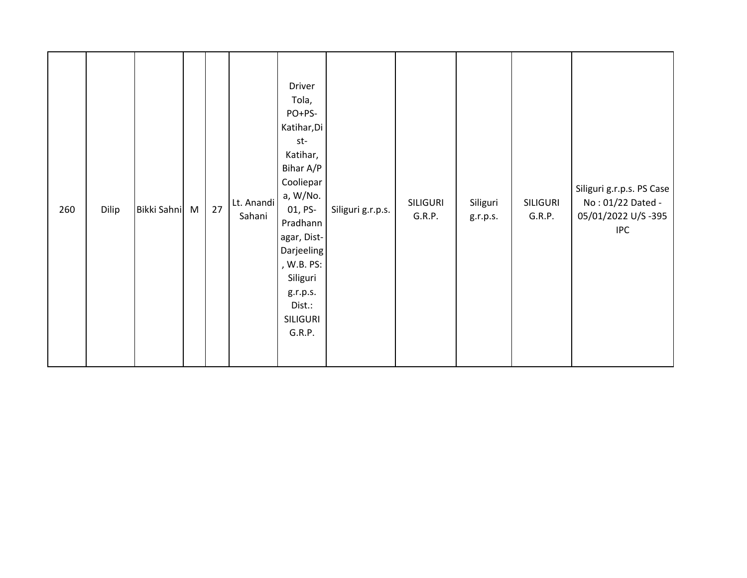| 260 | Dilip | Bikki Sahni | M | 27 | Lt. Anandi<br>Sahani | Driver<br>Tola,<br>PO+PS-<br>Katihar, Di<br>st-<br>Katihar,<br>Bihar A/P<br>Cooliepar<br>a, W/No.<br>01, PS-<br>Pradhann<br>agar, Dist-<br>Darjeeling<br>, W.B. PS:<br>Siliguri<br>g.r.p.s.<br>Dist.:<br>SILIGURI<br>G.R.P. | Siliguri g.r.p.s. | <b>SILIGURI</b><br>G.R.P. | Siliguri<br>g.r.p.s. | <b>SILIGURI</b><br>G.R.P. | Siliguri g.r.p.s. PS Case<br>No: 01/22 Dated -<br>05/01/2022 U/S-395<br><b>IPC</b> |
|-----|-------|-------------|---|----|----------------------|-----------------------------------------------------------------------------------------------------------------------------------------------------------------------------------------------------------------------------|-------------------|---------------------------|----------------------|---------------------------|------------------------------------------------------------------------------------|
|-----|-------|-------------|---|----|----------------------|-----------------------------------------------------------------------------------------------------------------------------------------------------------------------------------------------------------------------------|-------------------|---------------------------|----------------------|---------------------------|------------------------------------------------------------------------------------|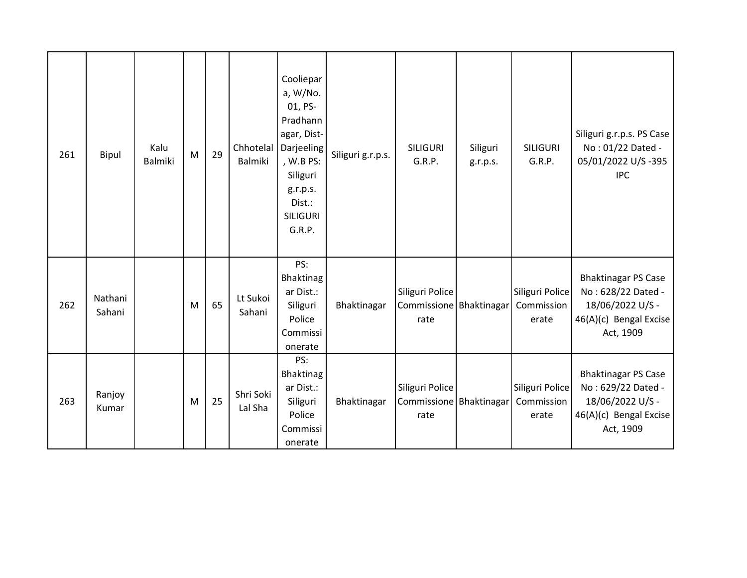| 261 | Bipul             | Kalu<br>Balmiki | M | 29 | Chhotelal<br>Balmiki | Cooliepar<br>a, W/No.<br>01, PS-<br>Pradhann<br>agar, Dist-<br>Darjeeling<br>, W.B PS:<br>Siliguri<br>g.r.p.s.<br>Dist.:<br><b>SILIGURI</b><br>G.R.P. | Siliguri g.r.p.s. | <b>SILIGURI</b><br>G.R.P.                          | Siliguri<br>g.r.p.s. | <b>SILIGURI</b><br>G.R.P.              | Siliguri g.r.p.s. PS Case<br>No: 01/22 Dated -<br>05/01/2022 U/S-395<br><b>IPC</b>                          |
|-----|-------------------|-----------------|---|----|----------------------|-------------------------------------------------------------------------------------------------------------------------------------------------------|-------------------|----------------------------------------------------|----------------------|----------------------------------------|-------------------------------------------------------------------------------------------------------------|
| 262 | Nathani<br>Sahani |                 | M | 65 | Lt Sukoi<br>Sahani   | PS:<br>Bhaktinag<br>ar Dist.:<br>Siliguri<br>Police<br>Commissi<br>onerate                                                                            | Bhaktinagar       | Siliguri Police<br>Commissione Bhaktinagar<br>rate |                      | Siliguri Police<br>Commission<br>erate | <b>Bhaktinagar PS Case</b><br>No: 628/22 Dated -<br>18/06/2022 U/S -<br>46(A)(c) Bengal Excise<br>Act, 1909 |
| 263 | Ranjoy<br>Kumar   |                 | M | 25 | Shri Soki<br>Lal Sha | PS:<br>Bhaktinag<br>ar Dist.:<br>Siliguri<br>Police<br>Commissi<br>onerate                                                                            | Bhaktinagar       | Siliguri Police<br>Commissione Bhaktinagar<br>rate |                      | Siliguri Police<br>Commission<br>erate | <b>Bhaktinagar PS Case</b><br>No: 629/22 Dated -<br>18/06/2022 U/S -<br>46(A)(c) Bengal Excise<br>Act, 1909 |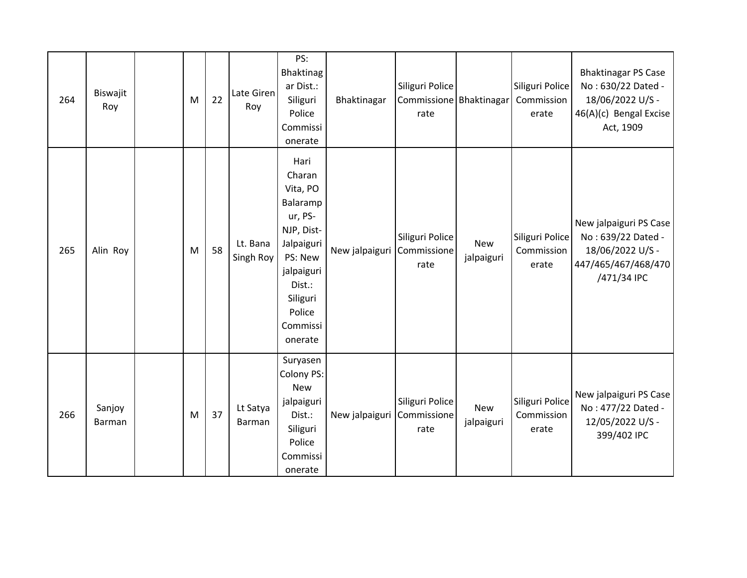| 264 | Biswajit<br>Roy  | M | 22 | Late Giren<br>Roy     | PS:<br>Bhaktinag<br>ar Dist.:<br>Siliguri<br>Police<br>Commissi<br>onerate                                                                                    | Bhaktinagar    | Siliguri Police<br>Commissione Bhaktinagar<br>rate |                          | Siliguri Police<br>Commission<br>erate | <b>Bhaktinagar PS Case</b><br>No: 630/22 Dated -<br>18/06/2022 U/S -<br>46(A)(c) Bengal Excise<br>Act, 1909 |
|-----|------------------|---|----|-----------------------|---------------------------------------------------------------------------------------------------------------------------------------------------------------|----------------|----------------------------------------------------|--------------------------|----------------------------------------|-------------------------------------------------------------------------------------------------------------|
| 265 | Alin Roy         | M | 58 | Lt. Bana<br>Singh Roy | Hari<br>Charan<br>Vita, PO<br>Balaramp<br>ur, PS-<br>NJP, Dist-<br>Jalpaiguri<br>PS: New<br>jalpaiguri<br>Dist.:<br>Siliguri<br>Police<br>Commissi<br>onerate | New jalpaiguri | Siliguri Police<br>Commissione<br>rate             | <b>New</b><br>jalpaiguri | Siliguri Police<br>Commission<br>erate | New jalpaiguri PS Case<br>No: 639/22 Dated -<br>18/06/2022 U/S -<br>447/465/467/468/470<br>/471/34 IPC      |
| 266 | Sanjoy<br>Barman | M | 37 | Lt Satya<br>Barman    | Suryasen<br>Colony PS:<br><b>New</b><br>jalpaiguri<br>Dist.:<br>Siliguri<br>Police<br>Commissi<br>onerate                                                     | New jalpaiguri | Siliguri Police<br>Commissione<br>rate             | New<br>jalpaiguri        | Siliguri Police<br>Commission<br>erate | New jalpaiguri PS Case<br>No: 477/22 Dated -<br>12/05/2022 U/S -<br>399/402 IPC                             |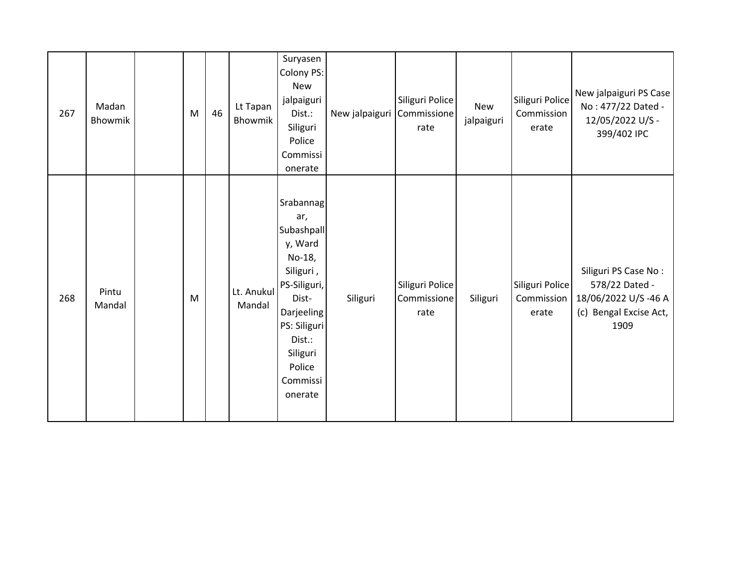| 267 | Madan<br><b>Bhowmik</b> | M | 46 | Lt Tapan<br>Bhowmik  | Suryasen<br>Colony PS:<br>New<br>jalpaiguri<br>Dist.:<br>Siliguri<br>Police<br>Commissi<br>onerate                                                                             | New jalpaiguri | Siliguri Police<br>Commissione<br>rate | New<br>jalpaiguri | Siliguri Police<br>Commission<br>erate | New jalpaiguri PS Case<br>No: 477/22 Dated -<br>12/05/2022 U/S -<br>399/402 IPC                 |
|-----|-------------------------|---|----|----------------------|--------------------------------------------------------------------------------------------------------------------------------------------------------------------------------|----------------|----------------------------------------|-------------------|----------------------------------------|-------------------------------------------------------------------------------------------------|
| 268 | Pintu<br>Mandal         | M |    | Lt. Anukul<br>Mandal | Srabannag<br>ar,<br>Subashpall<br>y, Ward<br>No-18,<br>Siliguri,<br>PS-Siliguri,<br>Dist-<br>Darjeeling<br>PS: Siliguri<br>Dist.:<br>Siliguri<br>Police<br>Commissi<br>onerate | Siliguri       | Siliguri Police<br>Commissione<br>rate | Siliguri          | Siliguri Police<br>Commission<br>erate | Siliguri PS Case No:<br>578/22 Dated -<br>18/06/2022 U/S-46 A<br>(c) Bengal Excise Act,<br>1909 |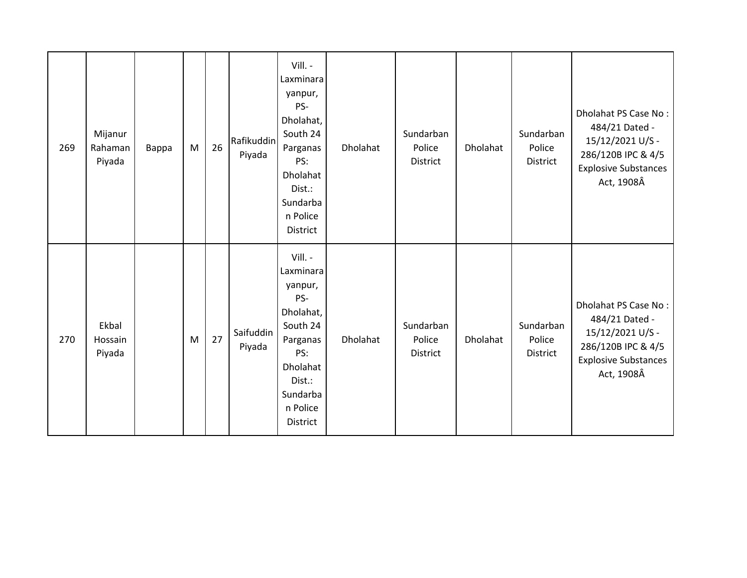| 269 | Mijanur<br>Rahaman<br>Piyada | Bappa | M | 26 | Rafikuddin<br>Piyada | Vill. -<br>Laxminara<br>yanpur,<br>PS-<br>Dholahat,<br>South 24<br>Parganas<br>PS:<br><b>Dholahat</b><br>Dist.:<br>Sundarba<br>n Police<br>District | Dholahat | Sundarban<br>Police<br>District | Dholahat | Sundarban<br>Police<br><b>District</b> | Dholahat PS Case No:<br>484/21 Dated -<br>15/12/2021 U/S -<br>286/120B IPC & 4/5<br><b>Explosive Substances</b><br>Act, 1908Â |
|-----|------------------------------|-------|---|----|----------------------|-----------------------------------------------------------------------------------------------------------------------------------------------------|----------|---------------------------------|----------|----------------------------------------|-------------------------------------------------------------------------------------------------------------------------------|
| 270 | Ekbal<br>Hossain<br>Piyada   |       | M | 27 | Saifuddin<br>Piyada  | Vill. -<br>Laxminara<br>yanpur,<br>PS-<br>Dholahat,<br>South 24<br>Parganas<br>PS:<br>Dholahat<br>Dist.:<br>Sundarba<br>n Police<br>District        | Dholahat | Sundarban<br>Police<br>District | Dholahat | Sundarban<br>Police<br><b>District</b> | Dholahat PS Case No:<br>484/21 Dated -<br>15/12/2021 U/S -<br>286/120B IPC & 4/5<br><b>Explosive Substances</b><br>Act, 1908Â |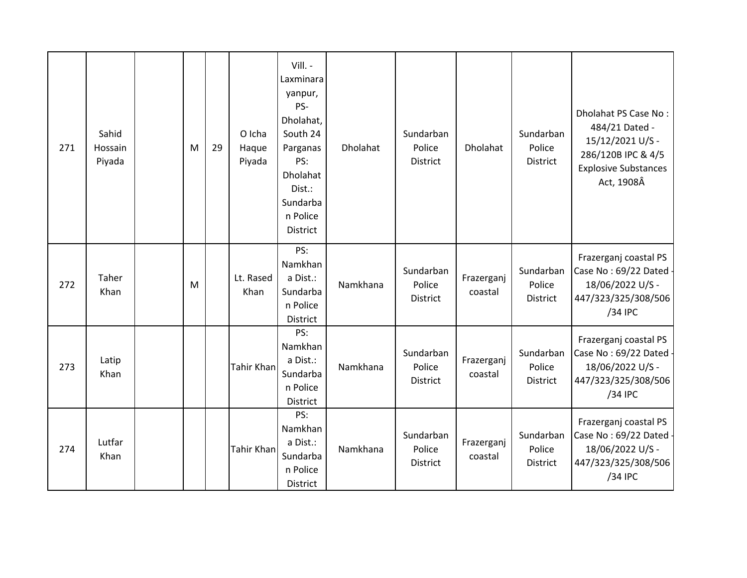| 271 | Sahid<br>Hossain<br>Piyada | M | 29 | O Icha<br>Haque<br>Piyada | Vill. -<br>Laxminara<br>yanpur,<br>PS-<br>Dholahat,<br>South 24<br>Parganas<br>PS:<br><b>Dholahat</b><br>Dist.:<br>Sundarba<br>n Police<br>District | Dholahat | Sundarban<br>Police<br><b>District</b> | Dholahat              | Sundarban<br>Police<br>District | Dholahat PS Case No:<br>484/21 Dated -<br>15/12/2021 U/S -<br>286/120B IPC & 4/5<br><b>Explosive Substances</b><br>Act, 1908Â |
|-----|----------------------------|---|----|---------------------------|-----------------------------------------------------------------------------------------------------------------------------------------------------|----------|----------------------------------------|-----------------------|---------------------------------|-------------------------------------------------------------------------------------------------------------------------------|
| 272 | Taher<br>Khan              | M |    | Lt. Rased<br>Khan         | PS:<br>Namkhan<br>a Dist.:<br>Sundarba<br>n Police<br>District                                                                                      | Namkhana | Sundarban<br>Police<br><b>District</b> | Frazerganj<br>coastal | Sundarban<br>Police<br>District | Frazerganj coastal PS<br>Case No: 69/22 Dated -<br>18/06/2022 U/S -<br>447/323/325/308/506<br>/34 IPC                         |
| 273 | Latip<br>Khan              |   |    | Tahir Khan                | PS:<br>Namkhan<br>a Dist.:<br>Sundarba<br>n Police<br>District                                                                                      | Namkhana | Sundarban<br>Police<br><b>District</b> | Frazerganj<br>coastal | Sundarban<br>Police<br>District | Frazerganj coastal PS<br>Case No: 69/22 Dated -<br>18/06/2022 U/S -<br>447/323/325/308/506<br>/34 IPC                         |
| 274 | Lutfar<br>Khan             |   |    | Tahir Khan                | PS:<br>Namkhan<br>a Dist.:<br>Sundarba<br>n Police<br>District                                                                                      | Namkhana | Sundarban<br>Police<br>District        | Frazerganj<br>coastal | Sundarban<br>Police<br>District | Frazerganj coastal PS<br>Case No: 69/22 Dated -<br>18/06/2022 U/S -<br>447/323/325/308/506<br>/34 IPC                         |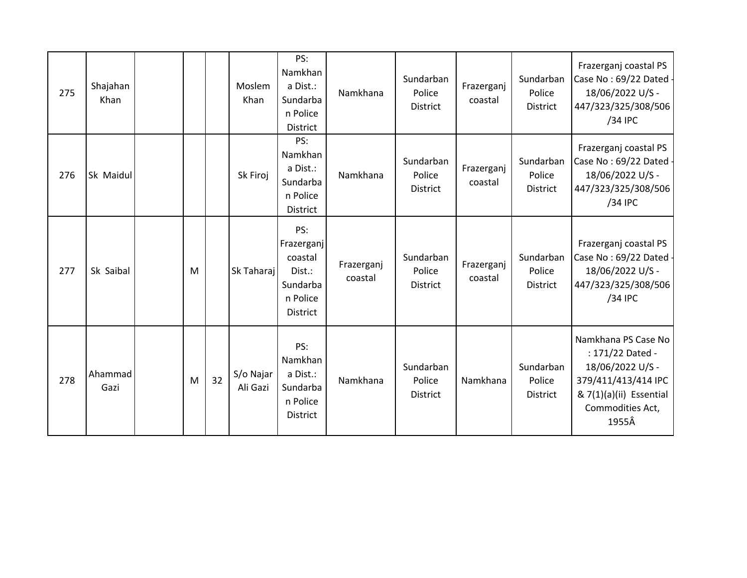| 275 | Shajahan<br>Khan |   |    | Moslem<br>Khan        | PS:<br>Namkhan<br>a Dist.:<br>Sundarba<br>n Police<br><b>District</b>             | Namkhana              | Sundarban<br>Police<br><b>District</b> | Frazerganj<br>coastal | Sundarban<br>Police<br>District        | Frazerganj coastal PS<br>Case No: 69/22 Dated -<br>18/06/2022 U/S -<br>447/323/325/308/506<br>/34 IPC                                      |
|-----|------------------|---|----|-----------------------|-----------------------------------------------------------------------------------|-----------------------|----------------------------------------|-----------------------|----------------------------------------|--------------------------------------------------------------------------------------------------------------------------------------------|
| 276 | Sk Maidul        |   |    | Sk Firoj              | PS:<br>Namkhan<br>a Dist.:<br>Sundarba<br>n Police<br>District                    | Namkhana              | Sundarban<br>Police<br><b>District</b> | Frazerganj<br>coastal | Sundarban<br>Police<br>District        | Frazerganj coastal PS<br>Case No: 69/22 Dated -<br>18/06/2022 U/S -<br>447/323/325/308/506<br>/34 IPC                                      |
| 277 | Sk Saibal        | M |    | Sk Taharaj            | PS:<br>Frazerganj<br>coastal<br>Dist.:<br>Sundarba<br>n Police<br><b>District</b> | Frazerganj<br>coastal | Sundarban<br>Police<br><b>District</b> | Frazerganj<br>coastal | Sundarban<br>Police<br><b>District</b> | Frazerganj coastal PS<br>Case No: 69/22 Dated -<br>18/06/2022 U/S -<br>447/323/325/308/506<br>/34 IPC                                      |
| 278 | Ahammad<br>Gazi  | M | 32 | S/o Najar<br>Ali Gazi | PS:<br>Namkhan<br>a Dist.:<br>Sundarba<br>n Police<br>District                    | Namkhana              | Sundarban<br>Police<br><b>District</b> | Namkhana              | Sundarban<br>Police<br>District        | Namkhana PS Case No<br>: 171/22 Dated -<br>18/06/2022 U/S -<br>379/411/413/414 IPC<br>& 7(1)(a)(ii) Essential<br>Commodities Act,<br>1955Â |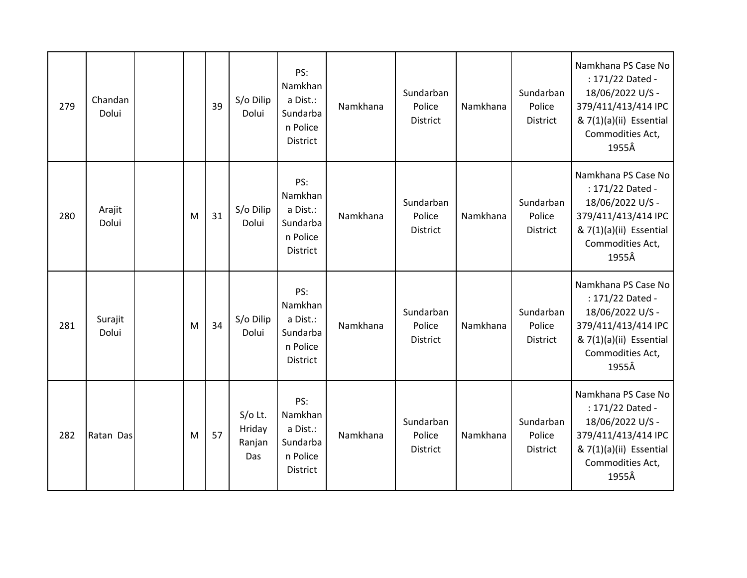| 279 | Chandan<br>Dolui |   | 39 | S/o Dilip<br>Dolui                   | PS:<br>Namkhan<br>a Dist.:<br>Sundarba<br>n Police<br><b>District</b> | Namkhana | Sundarban<br>Police<br>District        | Namkhana | Sundarban<br>Police<br>District | Namkhana PS Case No<br>: 171/22 Dated -<br>18/06/2022 U/S -<br>379/411/413/414 IPC<br>& 7(1)(a)(ii) Essential<br>Commodities Act,<br>1955Â |
|-----|------------------|---|----|--------------------------------------|-----------------------------------------------------------------------|----------|----------------------------------------|----------|---------------------------------|--------------------------------------------------------------------------------------------------------------------------------------------|
| 280 | Arajit<br>Dolui  | M | 31 | S/o Dilip<br>Dolui                   | PS:<br>Namkhan<br>a Dist.:<br>Sundarba<br>n Police<br><b>District</b> | Namkhana | Sundarban<br>Police<br><b>District</b> | Namkhana | Sundarban<br>Police<br>District | Namkhana PS Case No<br>: 171/22 Dated -<br>18/06/2022 U/S -<br>379/411/413/414 IPC<br>& 7(1)(a)(ii) Essential<br>Commodities Act,<br>1955Â |
| 281 | Surajit<br>Dolui | M | 34 | S/o Dilip<br>Dolui                   | PS:<br>Namkhan<br>a Dist.:<br>Sundarba<br>n Police<br>District        | Namkhana | Sundarban<br>Police<br><b>District</b> | Namkhana | Sundarban<br>Police<br>District | Namkhana PS Case No<br>: 171/22 Dated -<br>18/06/2022 U/S -<br>379/411/413/414 IPC<br>& 7(1)(a)(ii) Essential<br>Commodities Act,<br>1955Â |
| 282 | Ratan Das        | M | 57 | $S/O$ Lt.<br>Hriday<br>Ranjan<br>Das | PS:<br>Namkhan<br>a Dist.:<br>Sundarba<br>n Police<br>District        | Namkhana | Sundarban<br>Police<br>District        | Namkhana | Sundarban<br>Police<br>District | Namkhana PS Case No<br>: 171/22 Dated -<br>18/06/2022 U/S -<br>379/411/413/414 IPC<br>& 7(1)(a)(ii) Essential<br>Commodities Act,<br>1955Â |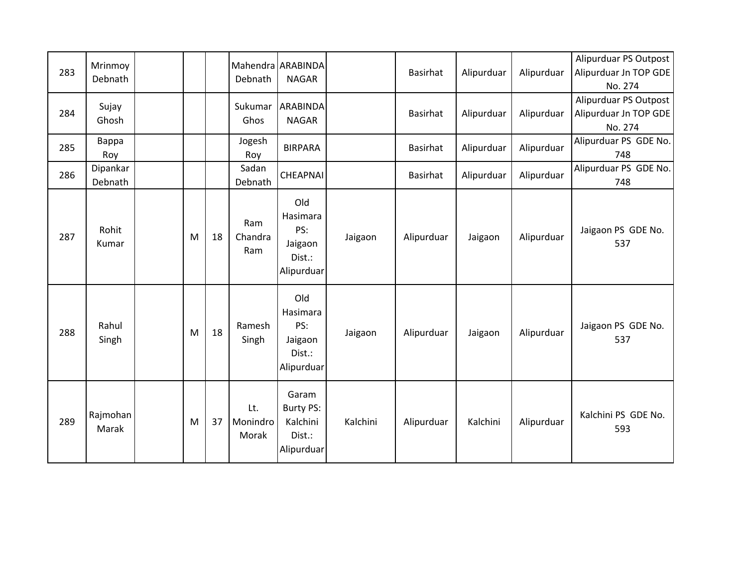| 283 | Mrinmoy<br>Debnath  |   |    | Debnath                  | Mahendra ARABINDA<br><b>NAGAR</b>                             |          | Basirhat   | Alipurduar | Alipurduar | Alipurduar PS Outpost<br>Alipurduar Jn TOP GDE<br>No. 274 |
|-----|---------------------|---|----|--------------------------|---------------------------------------------------------------|----------|------------|------------|------------|-----------------------------------------------------------|
| 284 | Sujay<br>Ghosh      |   |    | Sukumar<br>Ghos          | <b>ARABINDA</b><br><b>NAGAR</b>                               |          | Basirhat   | Alipurduar | Alipurduar | Alipurduar PS Outpost<br>Alipurduar Jn TOP GDE<br>No. 274 |
| 285 | Bappa<br>Roy        |   |    | Jogesh<br>Roy            | <b>BIRPARA</b>                                                |          | Basirhat   | Alipurduar | Alipurduar | Alipurduar PS GDE No.<br>748                              |
| 286 | Dipankar<br>Debnath |   |    | Sadan<br>Debnath         | <b>CHEAPNAI</b>                                               |          | Basirhat   | Alipurduar | Alipurduar | Alipurduar PS GDE No.<br>748                              |
| 287 | Rohit<br>Kumar      | M | 18 | Ram<br>Chandra<br>Ram    | Old<br>Hasimara<br>PS:<br>Jaigaon<br>Dist.:<br>Alipurduar     | Jaigaon  | Alipurduar | Jaigaon    | Alipurduar | Jaigaon PS GDE No.<br>537                                 |
| 288 | Rahul<br>Singh      | M | 18 | Ramesh<br>Singh          | Old<br>Hasimara<br>PS:<br>Jaigaon<br>Dist.:<br>Alipurduar     | Jaigaon  | Alipurduar | Jaigaon    | Alipurduar | Jaigaon PS GDE No.<br>537                                 |
| 289 | Rajmohan<br>Marak   | M | 37 | Lt.<br>Monindro<br>Morak | Garam<br><b>Burty PS:</b><br>Kalchini<br>Dist.:<br>Alipurduar | Kalchini | Alipurduar | Kalchini   | Alipurduar | Kalchini PS GDE No.<br>593                                |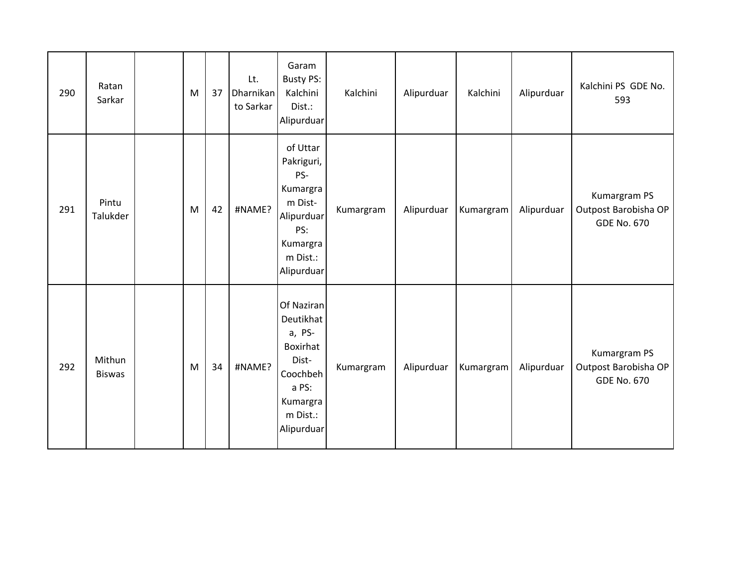| 290 | Ratan<br>Sarkar         | M | 37 | Lt.<br>Dharnikan<br>to Sarkar | Garam<br><b>Busty PS:</b><br>Kalchini<br>Dist.:<br>Alipurduar                                                     | Kalchini  | Alipurduar | Kalchini  | Alipurduar | Kalchini PS GDE No.<br>593                                 |
|-----|-------------------------|---|----|-------------------------------|-------------------------------------------------------------------------------------------------------------------|-----------|------------|-----------|------------|------------------------------------------------------------|
| 291 | Pintu<br>Talukder       | M | 42 | #NAME?                        | of Uttar<br>Pakriguri,<br>PS-<br>Kumargra<br>m Dist-<br>Alipurduar<br>PS:<br>Kumargra<br>m Dist.:<br>Alipurduar   | Kumargram | Alipurduar | Kumargram | Alipurduar | Kumargram PS<br>Outpost Barobisha OP<br><b>GDE No. 670</b> |
| 292 | Mithun<br><b>Biswas</b> | M | 34 | #NAME?                        | Of Naziran<br>Deutikhat<br>a, PS-<br>Boxirhat<br>Dist-<br>Coochbeh<br>a PS:<br>Kumargra<br>m Dist.:<br>Alipurduar | Kumargram | Alipurduar | Kumargram | Alipurduar | Kumargram PS<br>Outpost Barobisha OP<br><b>GDE No. 670</b> |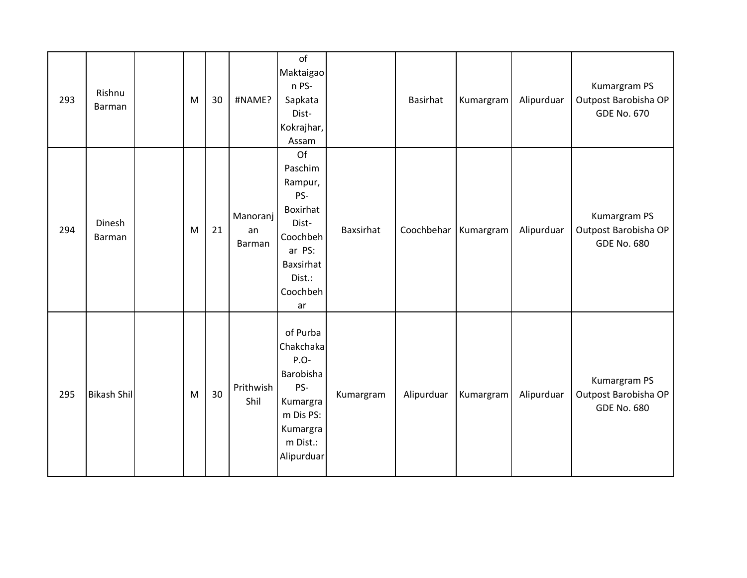| 293 | Rishnu<br>Barman        | M | 30 | #NAME?                   | of<br>Maktaigao<br>n PS-<br>Sapkata<br>Dist-<br>Kokrajhar,<br>Assam                                                 |                  | <b>Basirhat</b> | Kumargram | Alipurduar | Kumargram PS<br>Outpost Barobisha OP<br><b>GDE No. 670</b> |
|-----|-------------------------|---|----|--------------------------|---------------------------------------------------------------------------------------------------------------------|------------------|-----------------|-----------|------------|------------------------------------------------------------|
| 294 | Dinesh<br><b>Barman</b> | M | 21 | Manoranj<br>an<br>Barman | Of<br>Paschim<br>Rampur,<br>PS-<br>Boxirhat<br>Dist-<br>Coochbeh<br>ar PS:<br>Baxsirhat<br>Dist.:<br>Coochbeh<br>ar | <b>Baxsirhat</b> | Coochbehar      | Kumargram | Alipurduar | Kumargram PS<br>Outpost Barobisha OP<br><b>GDE No. 680</b> |
| 295 | <b>Bikash Shil</b>      | M | 30 | Prithwish<br>Shil        | of Purba<br>Chakchaka<br>$P.O-$<br>Barobisha<br>PS-<br>Kumargra<br>m Dis PS:<br>Kumargra<br>m Dist.:<br>Alipurduar  | Kumargram        | Alipurduar      | Kumargram | Alipurduar | Kumargram PS<br>Outpost Barobisha OP<br><b>GDE No. 680</b> |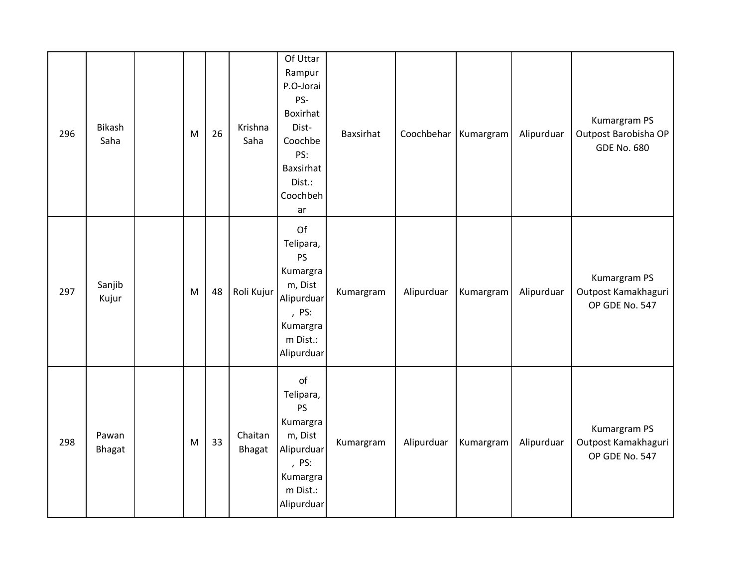| 296 | Bikash<br>Saha  | M | 26 | Krishna<br>Saha          | Of Uttar<br>Rampur<br>P.O-Jorai<br>PS-<br>Boxirhat<br>Dist-<br>Coochbe<br>PS:<br>Baxsirhat<br>Dist.:<br>Coochbeh<br>ar | <b>Baxsirhat</b> | Coochbehar | Kumargram | Alipurduar | Kumargram PS<br>Outpost Barobisha OP<br><b>GDE No. 680</b> |
|-----|-----------------|---|----|--------------------------|------------------------------------------------------------------------------------------------------------------------|------------------|------------|-----------|------------|------------------------------------------------------------|
| 297 | Sanjib<br>Kujur | M | 48 | Roli Kujur               | Of<br>Telipara,<br><b>PS</b><br>Kumargra<br>m, Dist<br>Alipurduar<br>, PS:<br>Kumargra<br>m Dist.:<br>Alipurduar       | Kumargram        | Alipurduar | Kumargram | Alipurduar | Kumargram PS<br>Outpost Kamakhaguri<br>OP GDE No. 547      |
| 298 | Pawan<br>Bhagat | M | 33 | Chaitan<br><b>Bhagat</b> | of<br>Telipara,<br><b>PS</b><br>Kumargra<br>m, Dist<br>Alipurduar<br>, PS:<br>Kumargra<br>m Dist.:<br>Alipurduar       | Kumargram        | Alipurduar | Kumargram | Alipurduar | Kumargram PS<br>Outpost Kamakhaguri<br>OP GDE No. 547      |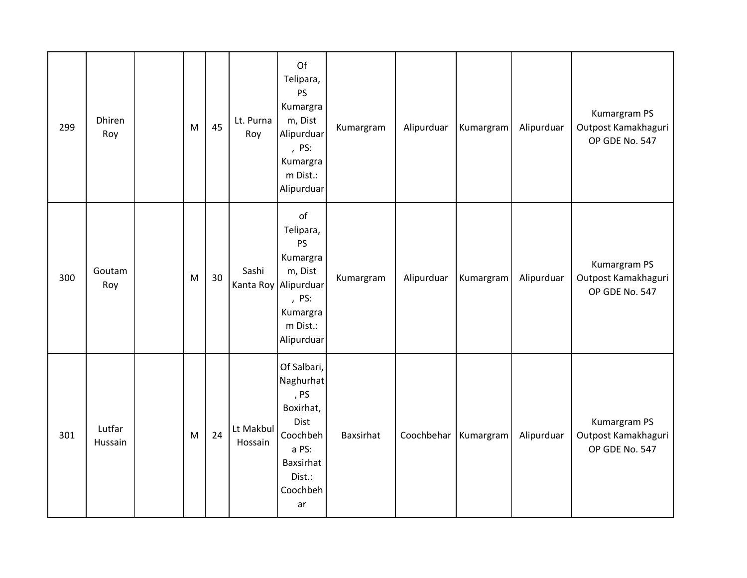| 299 | Dhiren<br>Roy     | M         | 45 | Lt. Purna<br>Roy     | Of<br>Telipara,<br><b>PS</b><br>Kumargra<br>m, Dist<br>Alipurduar<br>, PS:<br>Kumargra<br>m Dist.:<br>Alipurduar    | Kumargram | Alipurduar | Kumargram | Alipurduar | Kumargram PS<br>Outpost Kamakhaguri<br>OP GDE No. 547 |
|-----|-------------------|-----------|----|----------------------|---------------------------------------------------------------------------------------------------------------------|-----------|------------|-----------|------------|-------------------------------------------------------|
| 300 | Goutam<br>Roy     | M         | 30 | Sashi<br>Kanta Roy   | of<br>Telipara,<br><b>PS</b><br>Kumargra<br>m, Dist<br>Alipurduar<br>, PS:<br>Kumargra<br>m Dist.:<br>Alipurduar    | Kumargram | Alipurduar | Kumargram | Alipurduar | Kumargram PS<br>Outpost Kamakhaguri<br>OP GDE No. 547 |
| 301 | Lutfar<br>Hussain | ${\sf M}$ | 24 | Lt Makbul<br>Hossain | Of Salbari,<br>Naghurhat<br>, PS<br>Boxirhat,<br>Dist<br>Coochbeh<br>a PS:<br>Baxsirhat<br>Dist.:<br>Coochbeh<br>ar | Baxsirhat | Coochbehar | Kumargram | Alipurduar | Kumargram PS<br>Outpost Kamakhaguri<br>OP GDE No. 547 |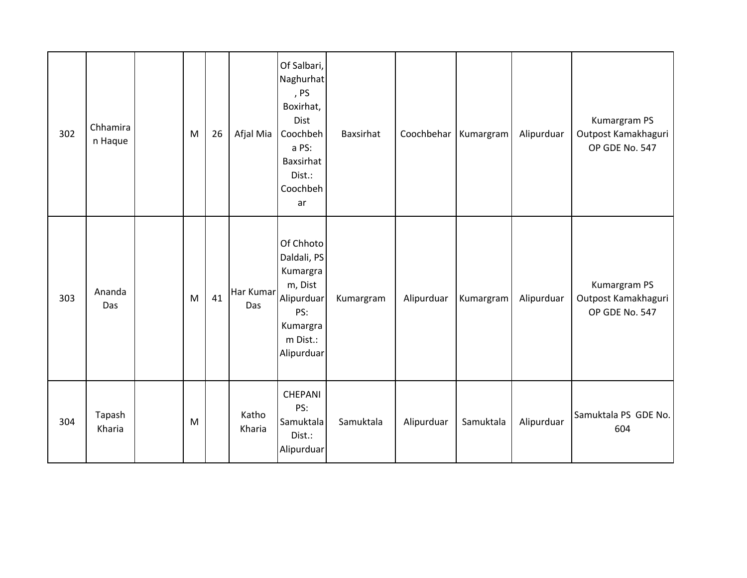| 302 | Chhamira<br>n Haque | M | 26 | Afjal Mia        | Of Salbari,<br>Naghurhat<br>, PS<br>Boxirhat,<br>Dist<br>Coochbeh<br>a PS:<br>Baxsirhat<br>Dist.:<br>Coochbeh<br>ar | Baxsirhat | Coochbehar | Kumargram | Alipurduar | Kumargram PS<br>Outpost Kamakhaguri<br>OP GDE No. 547 |
|-----|---------------------|---|----|------------------|---------------------------------------------------------------------------------------------------------------------|-----------|------------|-----------|------------|-------------------------------------------------------|
| 303 | Ananda<br>Das       | M | 41 | Har Kumar<br>Das | Of Chhoto<br>Daldali, PS<br>Kumargra<br>m, Dist<br>Alipurduar<br>PS:<br>Kumargra<br>m Dist.:<br>Alipurduar          | Kumargram | Alipurduar | Kumargram | Alipurduar | Kumargram PS<br>Outpost Kamakhaguri<br>OP GDE No. 547 |
| 304 | Tapash<br>Kharia    | M |    | Katho<br>Kharia  | <b>CHEPANI</b><br>PS:<br>Samuktala<br>Dist.:<br>Alipurduar                                                          | Samuktala | Alipurduar | Samuktala | Alipurduar | Samuktala PS GDE No.<br>604                           |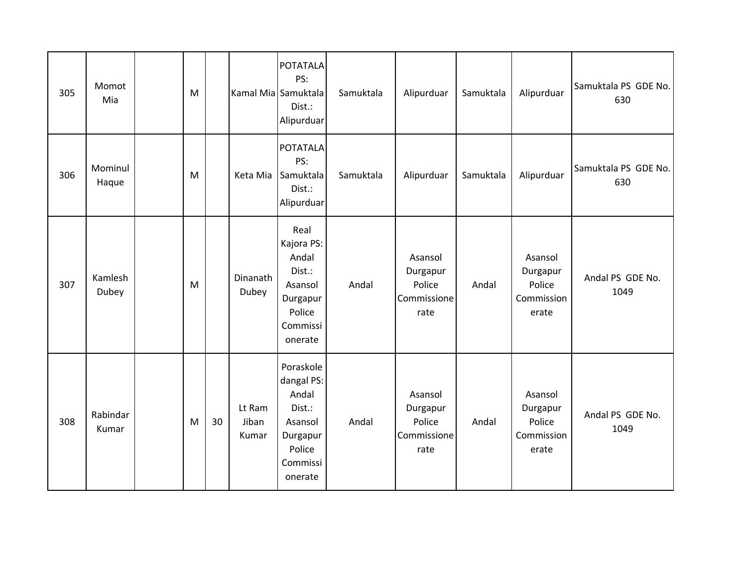| 305 | Momot<br>Mia      | M |    |                          | <b>POTATALA</b><br>PS:<br>Kamal Mia Samuktala<br>Dist.:<br>Alipurduar                              | Samuktala | Alipurduar                                           | Samuktala | Alipurduar                                           | Samuktala PS GDE No.<br>630 |
|-----|-------------------|---|----|--------------------------|----------------------------------------------------------------------------------------------------|-----------|------------------------------------------------------|-----------|------------------------------------------------------|-----------------------------|
| 306 | Mominul<br>Haque  | M |    | Keta Mia                 | POTATALA<br>PS:<br>Samuktala<br>Dist.:<br>Alipurduar                                               | Samuktala | Alipurduar                                           | Samuktala | Alipurduar                                           | Samuktala PS GDE No.<br>630 |
| 307 | Kamlesh<br>Dubey  | M |    | Dinanath<br>Dubey        | Real<br>Kajora PS:<br>Andal<br>Dist.:<br>Asansol<br>Durgapur<br>Police<br>Commissi<br>onerate      | Andal     | Asansol<br>Durgapur<br>Police<br>Commissione<br>rate | Andal     | Asansol<br>Durgapur<br>Police<br>Commission<br>erate | Andal PS GDE No.<br>1049    |
| 308 | Rabindar<br>Kumar | M | 30 | Lt Ram<br>Jiban<br>Kumar | Poraskole<br>dangal PS:<br>Andal<br>Dist.:<br>Asansol<br>Durgapur<br>Police<br>Commissi<br>onerate | Andal     | Asansol<br>Durgapur<br>Police<br>Commissione<br>rate | Andal     | Asansol<br>Durgapur<br>Police<br>Commission<br>erate | Andal PS GDE No.<br>1049    |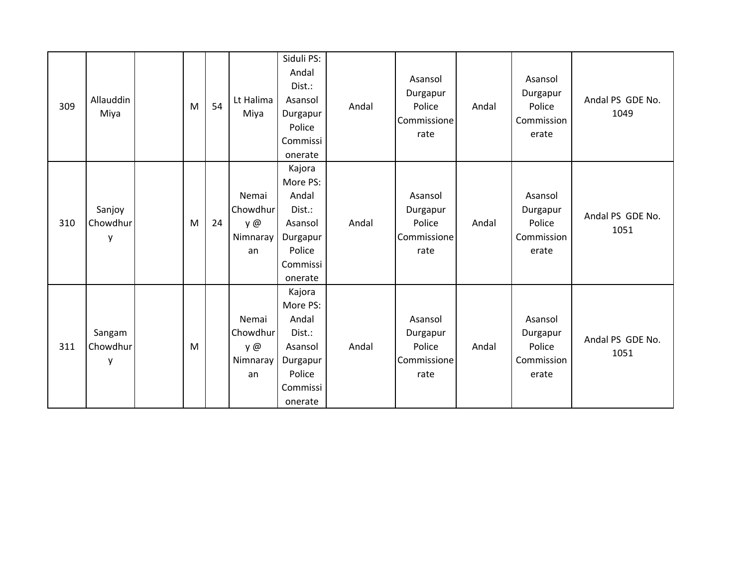| 309 | Allauddin<br>Miya       | M | 54 | Lt Halima<br>Miya                          | Siduli PS:<br>Andal<br>Dist.:<br>Asansol<br>Durgapur<br>Police<br>Commissi<br>onerate         | Andal | Asansol<br>Durgapur<br>Police<br>Commissione<br>rate | Andal | Asansol<br>Durgapur<br>Police<br>Commission<br>erate | Andal PS GDE No.<br>1049 |
|-----|-------------------------|---|----|--------------------------------------------|-----------------------------------------------------------------------------------------------|-------|------------------------------------------------------|-------|------------------------------------------------------|--------------------------|
| 310 | Sanjoy<br>Chowdhur<br>у | M | 24 | Nemai<br>Chowdhur<br>y @<br>Nimnaray<br>an | Kajora<br>More PS:<br>Andal<br>Dist.:<br>Asansol<br>Durgapur<br>Police<br>Commissi<br>onerate | Andal | Asansol<br>Durgapur<br>Police<br>Commissione<br>rate | Andal | Asansol<br>Durgapur<br>Police<br>Commission<br>erate | Andal PS GDE No.<br>1051 |
| 311 | Sangam<br>Chowdhur<br>y | M |    | Nemai<br>Chowdhur<br>y @<br>Nimnaray<br>an | Kajora<br>More PS:<br>Andal<br>Dist.:<br>Asansol<br>Durgapur<br>Police<br>Commissi<br>onerate | Andal | Asansol<br>Durgapur<br>Police<br>Commissione<br>rate | Andal | Asansol<br>Durgapur<br>Police<br>Commission<br>erate | Andal PS GDE No.<br>1051 |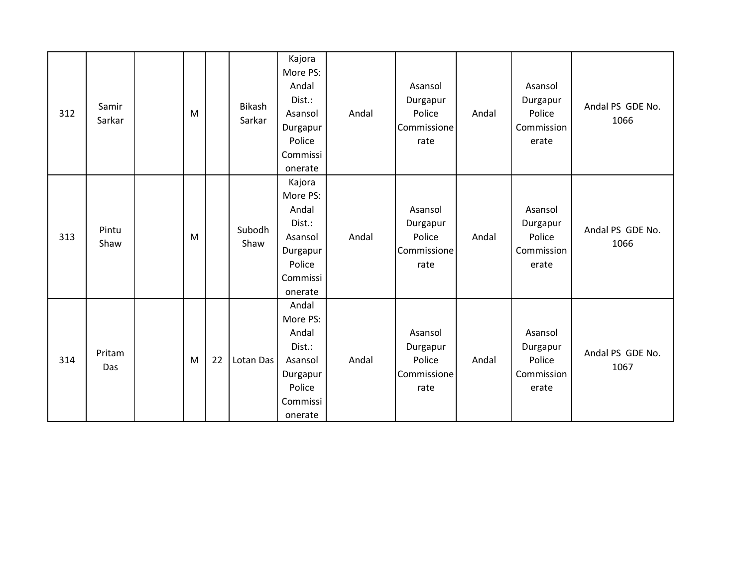| 312 | Samir<br>Sarkar | M |    | <b>Bikash</b><br>Sarkar | Kajora<br>More PS:<br>Andal<br>Dist.:<br>Asansol<br>Durgapur<br>Police<br>Commissi<br>onerate | Andal | Asansol<br>Durgapur<br>Police<br>Commissione<br>rate | Andal | Asansol<br>Durgapur<br>Police<br>Commission<br>erate | Andal PS GDE No.<br>1066 |
|-----|-----------------|---|----|-------------------------|-----------------------------------------------------------------------------------------------|-------|------------------------------------------------------|-------|------------------------------------------------------|--------------------------|
| 313 | Pintu<br>Shaw   | M |    | Subodh<br>Shaw          | Kajora<br>More PS:<br>Andal<br>Dist.:<br>Asansol<br>Durgapur<br>Police<br>Commissi<br>onerate | Andal | Asansol<br>Durgapur<br>Police<br>Commissione<br>rate | Andal | Asansol<br>Durgapur<br>Police<br>Commission<br>erate | Andal PS GDE No.<br>1066 |
| 314 | Pritam<br>Das   | M | 22 | Lotan Das               | Andal<br>More PS:<br>Andal<br>Dist.:<br>Asansol<br>Durgapur<br>Police<br>Commissi<br>onerate  | Andal | Asansol<br>Durgapur<br>Police<br>Commissione<br>rate | Andal | Asansol<br>Durgapur<br>Police<br>Commission<br>erate | Andal PS GDE No.<br>1067 |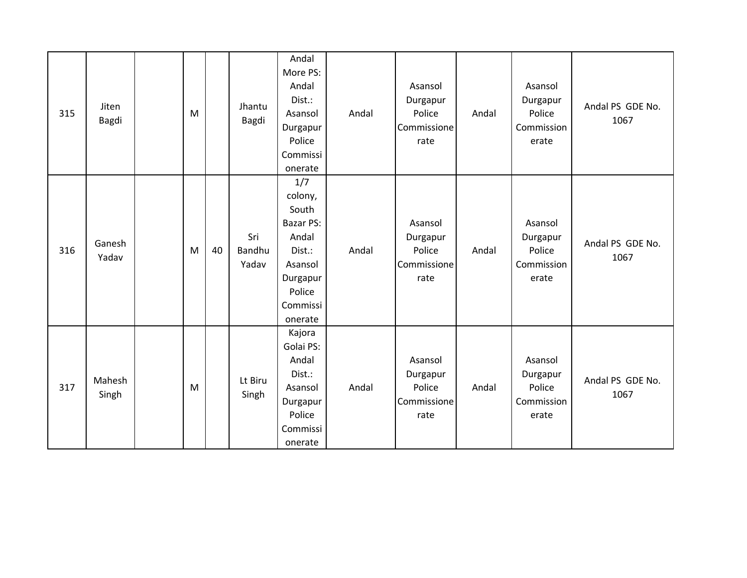| 315 | Jiten<br>Bagdi  | M |    | Jhantu<br>Bagdi        | Andal<br>More PS:<br>Andal<br>Dist.:<br>Asansol<br>Durgapur<br>Police<br>Commissi<br>onerate                    | Andal | Asansol<br>Durgapur<br>Police<br>Commissione<br>rate | Andal | Asansol<br>Durgapur<br>Police<br>Commission<br>erate | Andal PS GDE No.<br>1067 |
|-----|-----------------|---|----|------------------------|-----------------------------------------------------------------------------------------------------------------|-------|------------------------------------------------------|-------|------------------------------------------------------|--------------------------|
| 316 | Ganesh<br>Yadav | M | 40 | Sri<br>Bandhu<br>Yadav | 1/7<br>colony,<br>South<br>Bazar PS:<br>Andal<br>Dist.:<br>Asansol<br>Durgapur<br>Police<br>Commissi<br>onerate | Andal | Asansol<br>Durgapur<br>Police<br>Commissione<br>rate | Andal | Asansol<br>Durgapur<br>Police<br>Commission<br>erate | Andal PS GDE No.<br>1067 |
| 317 | Mahesh<br>Singh | M |    | Lt Biru<br>Singh       | Kajora<br>Golai PS:<br>Andal<br>Dist.:<br>Asansol<br>Durgapur<br>Police<br>Commissi<br>onerate                  | Andal | Asansol<br>Durgapur<br>Police<br>Commissione<br>rate | Andal | Asansol<br>Durgapur<br>Police<br>Commission<br>erate | Andal PS GDE No.<br>1067 |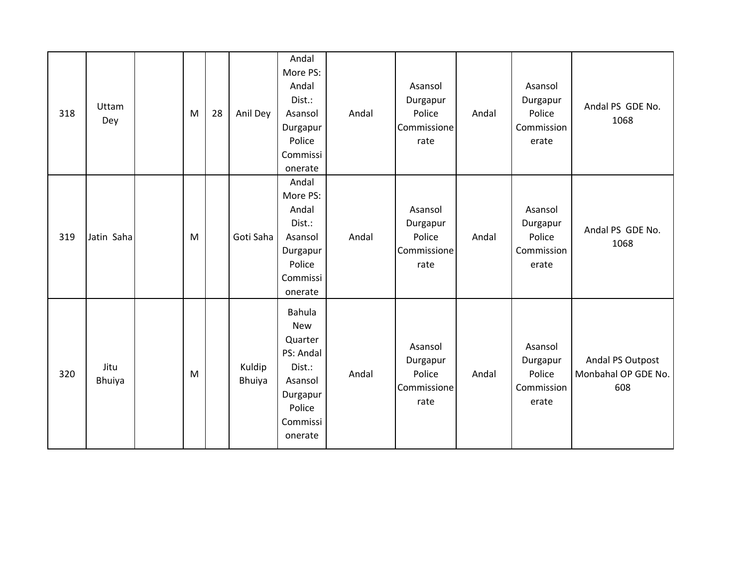| 318 | Uttam<br>Dey          | M         | 28 | Anil Dey         | Andal<br>More PS:<br>Andal<br>Dist.:<br>Asansol<br>Durgapur<br>Police<br>Commissi<br>onerate                   | Andal | Asansol<br>Durgapur<br>Police<br>Commissione<br>rate | Andal | Asansol<br>Durgapur<br>Police<br>Commission<br>erate | Andal PS GDE No.<br>1068                       |
|-----|-----------------------|-----------|----|------------------|----------------------------------------------------------------------------------------------------------------|-------|------------------------------------------------------|-------|------------------------------------------------------|------------------------------------------------|
| 319 | Jatin Saha            | M         |    | Goti Saha        | Andal<br>More PS:<br>Andal<br>Dist.:<br>Asansol<br>Durgapur<br>Police<br>Commissi<br>onerate                   | Andal | Asansol<br>Durgapur<br>Police<br>Commissione<br>rate | Andal | Asansol<br>Durgapur<br>Police<br>Commission<br>erate | Andal PS GDE No.<br>1068                       |
| 320 | Jitu<br><b>Bhuiya</b> | ${\sf M}$ |    | Kuldip<br>Bhuiya | Bahula<br><b>New</b><br>Quarter<br>PS: Andal<br>Dist.:<br>Asansol<br>Durgapur<br>Police<br>Commissi<br>onerate | Andal | Asansol<br>Durgapur<br>Police<br>Commissione<br>rate | Andal | Asansol<br>Durgapur<br>Police<br>Commission<br>erate | Andal PS Outpost<br>Monbahal OP GDE No.<br>608 |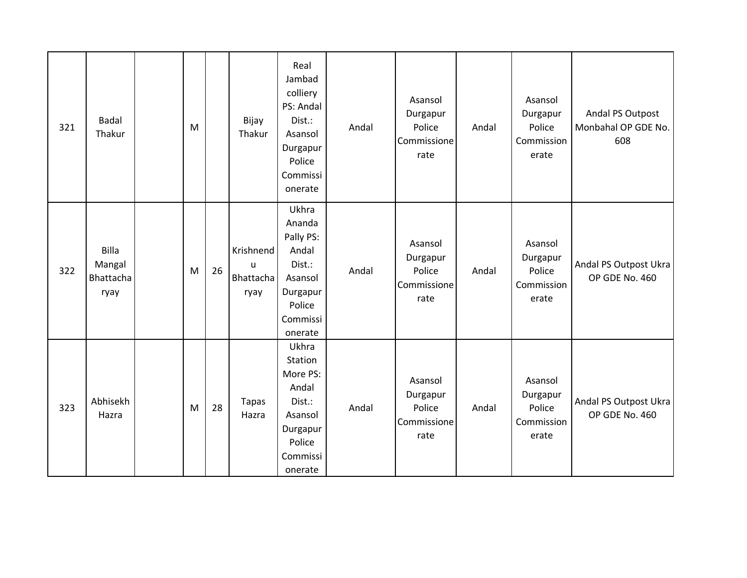| 321 | <b>Badal</b><br>Thakur               | M |    | Bijay<br>Thakur                     | Real<br>Jambad<br>colliery<br>PS: Andal<br>Dist.:<br>Asansol<br>Durgapur<br>Police<br>Commissi<br>onerate | Andal | Asansol<br>Durgapur<br>Police<br>Commissione<br>rate | Andal | Asansol<br>Durgapur<br>Police<br>Commission<br>erate | Andal PS Outpost<br>Monbahal OP GDE No.<br>608 |
|-----|--------------------------------------|---|----|-------------------------------------|-----------------------------------------------------------------------------------------------------------|-------|------------------------------------------------------|-------|------------------------------------------------------|------------------------------------------------|
| 322 | Billa<br>Mangal<br>Bhattacha<br>ryay | M | 26 | Krishnend<br>u<br>Bhattacha<br>ryay | Ukhra<br>Ananda<br>Pally PS:<br>Andal<br>Dist.:<br>Asansol<br>Durgapur<br>Police<br>Commissi<br>onerate   | Andal | Asansol<br>Durgapur<br>Police<br>Commissione<br>rate | Andal | Asansol<br>Durgapur<br>Police<br>Commission<br>erate | Andal PS Outpost Ukra<br>OP GDE No. 460        |
| 323 | Abhisekh<br>Hazra                    | M | 28 | <b>Tapas</b><br>Hazra               | Ukhra<br>Station<br>More PS:<br>Andal<br>Dist.:<br>Asansol<br>Durgapur<br>Police<br>Commissi<br>onerate   | Andal | Asansol<br>Durgapur<br>Police<br>Commissione<br>rate | Andal | Asansol<br>Durgapur<br>Police<br>Commission<br>erate | Andal PS Outpost Ukra<br>OP GDE No. 460        |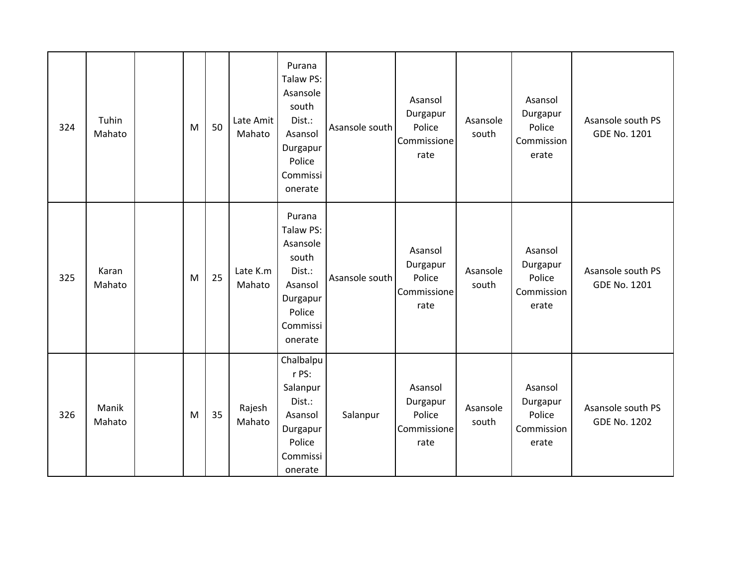| 324 | Tuhin<br>Mahato | M | 50 | Late Amit<br>Mahato | Purana<br>Talaw PS:<br>Asansole<br>south<br>Dist.:<br>Asansol<br>Durgapur<br>Police<br>Commissi<br>onerate | Asansole south | Asansol<br>Durgapur<br>Police<br>Commissione<br>rate | Asansole<br>south | Asansol<br>Durgapur<br>Police<br>Commission<br>erate | Asansole south PS<br><b>GDE No. 1201</b> |
|-----|-----------------|---|----|---------------------|------------------------------------------------------------------------------------------------------------|----------------|------------------------------------------------------|-------------------|------------------------------------------------------|------------------------------------------|
| 325 | Karan<br>Mahato | M | 25 | Late K.m<br>Mahato  | Purana<br>Talaw PS:<br>Asansole<br>south<br>Dist.:<br>Asansol<br>Durgapur<br>Police<br>Commissi<br>onerate | Asansole south | Asansol<br>Durgapur<br>Police<br>Commissione<br>rate | Asansole<br>south | Asansol<br>Durgapur<br>Police<br>Commission<br>erate | Asansole south PS<br><b>GDE No. 1201</b> |
| 326 | Manik<br>Mahato | M | 35 | Rajesh<br>Mahato    | Chalbalpu<br>r PS:<br>Salanpur<br>Dist.:<br>Asansol<br>Durgapur<br>Police<br>Commissi<br>onerate           | Salanpur       | Asansol<br>Durgapur<br>Police<br>Commissione<br>rate | Asansole<br>south | Asansol<br>Durgapur<br>Police<br>Commission<br>erate | Asansole south PS<br><b>GDE No. 1202</b> |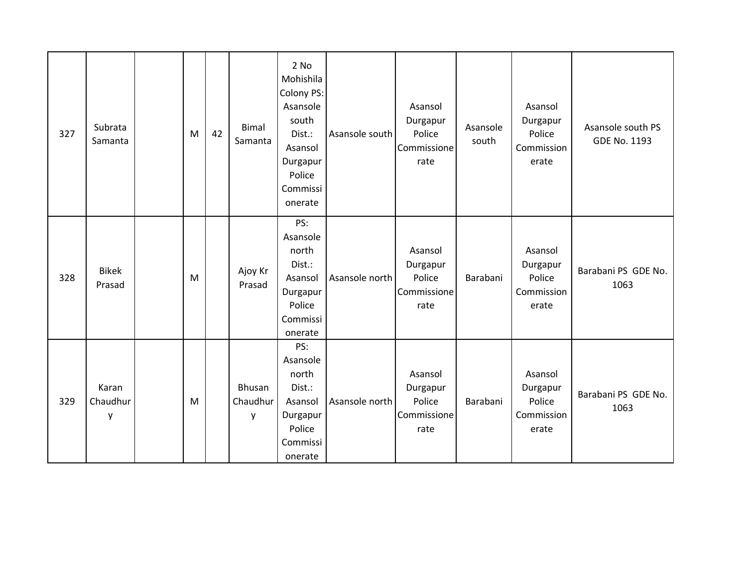| 327 | Subrata<br>Samanta     | M | 42 | <b>Bimal</b><br>Samanta | 2 No<br>Mohishila<br>Colony PS:<br>Asansole<br>south<br>Dist.:<br>Asansol<br>Durgapur<br>Police<br>Commissi<br>onerate | Asansole south | Asansol<br>Durgapur<br>Police<br>Commissione<br>rate | Asansole<br>south | Asansol<br>Durgapur<br>Police<br>Commission<br>erate | Asansole south PS<br>GDE No. 1193 |
|-----|------------------------|---|----|-------------------------|------------------------------------------------------------------------------------------------------------------------|----------------|------------------------------------------------------|-------------------|------------------------------------------------------|-----------------------------------|
| 328 | <b>Bikek</b><br>Prasad | M |    | Ajoy Kr<br>Prasad       | PS:<br>Asansole<br>north<br>Dist.:<br>Asansol<br>Durgapur<br>Police<br>Commissi<br>onerate                             | Asansole north | Asansol<br>Durgapur<br>Police<br>Commissione<br>rate | Barabani          | Asansol<br>Durgapur<br>Police<br>Commission<br>erate | Barabani PS GDE No.<br>1063       |
| 329 | Karan<br>Chaudhur<br>y | M |    | Bhusan<br>Chaudhur<br>y | PS:<br>Asansole<br>north<br>Dist.:<br>Asansol<br>Durgapur<br>Police<br>Commissi<br>onerate                             | Asansole north | Asansol<br>Durgapur<br>Police<br>Commissione<br>rate | Barabani          | Asansol<br>Durgapur<br>Police<br>Commission<br>erate | Barabani PS GDE No.<br>1063       |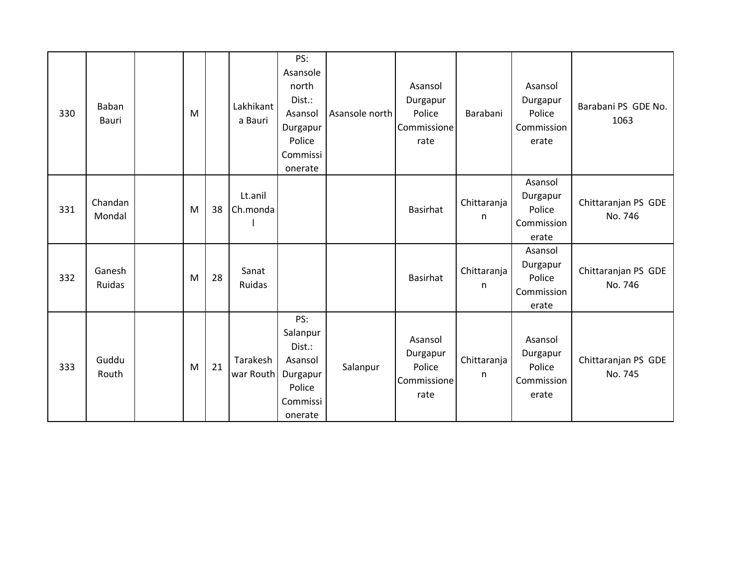| 330 | Baban<br>Bauri    | M |    | Lakhikant<br>a Bauri  | PS:<br>Asansole<br>north<br>Dist.:<br>Asansol<br>Durgapur<br>Police<br>Commissi<br>onerate | Asansole north | Asansol<br>Durgapur<br>Police<br>Commissione<br>rate | Barabani         | Asansol<br>Durgapur<br>Police<br>Commission<br>erate | Barabani PS GDE No.<br>1063    |
|-----|-------------------|---|----|-----------------------|--------------------------------------------------------------------------------------------|----------------|------------------------------------------------------|------------------|------------------------------------------------------|--------------------------------|
| 331 | Chandan<br>Mondal | M | 38 | Lt.anil<br>Ch.monda   |                                                                                            |                | Basirhat                                             | Chittaranja<br>n | Asansol<br>Durgapur<br>Police<br>Commission<br>erate | Chittaranjan PS GDE<br>No. 746 |
| 332 | Ganesh<br>Ruidas  | M | 28 | Sanat<br>Ruidas       |                                                                                            |                | Basirhat                                             | Chittaranja<br>n | Asansol<br>Durgapur<br>Police<br>Commission<br>erate | Chittaranjan PS GDE<br>No. 746 |
| 333 | Guddu<br>Routh    | M | 21 | Tarakesh<br>war Routh | PS:<br>Salanpur<br>Dist.:<br>Asansol<br>Durgapur<br>Police<br>Commissi<br>onerate          | Salanpur       | Asansol<br>Durgapur<br>Police<br>Commissione<br>rate | Chittaranja<br>n | Asansol<br>Durgapur<br>Police<br>Commission<br>erate | Chittaranjan PS GDE<br>No. 745 |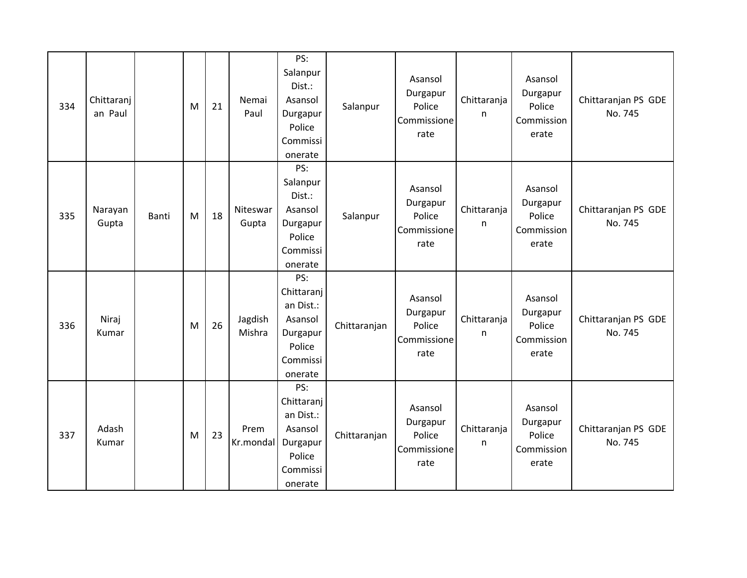| 334 | Chittaranj<br>an Paul |       | M | 21 | Nemai<br>Paul     | PS:<br>Salanpur<br>Dist.:<br>Asansol<br>Durgapur<br>Police<br>Commissi<br>onerate      | Salanpur     | Asansol<br>Durgapur<br>Police<br>Commissione<br>rate | Chittaranja<br>n | Asansol<br>Durgapur<br>Police<br>Commission<br>erate | Chittaranjan PS GDE<br>No. 745 |
|-----|-----------------------|-------|---|----|-------------------|----------------------------------------------------------------------------------------|--------------|------------------------------------------------------|------------------|------------------------------------------------------|--------------------------------|
| 335 | Narayan<br>Gupta      | Banti | M | 18 | Niteswar<br>Gupta | PS:<br>Salanpur<br>Dist.:<br>Asansol<br>Durgapur<br>Police<br>Commissi<br>onerate      | Salanpur     | Asansol<br>Durgapur<br>Police<br>Commissione<br>rate | Chittaranja<br>n | Asansol<br>Durgapur<br>Police<br>Commission<br>erate | Chittaranjan PS GDE<br>No. 745 |
| 336 | Niraj<br>Kumar        |       | M | 26 | Jagdish<br>Mishra | PS:<br>Chittaranj<br>an Dist.:<br>Asansol<br>Durgapur<br>Police<br>Commissi<br>onerate | Chittaranjan | Asansol<br>Durgapur<br>Police<br>Commissione<br>rate | Chittaranja<br>n | Asansol<br>Durgapur<br>Police<br>Commission<br>erate | Chittaranjan PS GDE<br>No. 745 |
| 337 | Adash<br>Kumar        |       | M | 23 | Prem<br>Kr.mondal | PS:<br>Chittaranj<br>an Dist.:<br>Asansol<br>Durgapur<br>Police<br>Commissi<br>onerate | Chittaranjan | Asansol<br>Durgapur<br>Police<br>Commissione<br>rate | Chittaranja<br>n | Asansol<br>Durgapur<br>Police<br>Commission<br>erate | Chittaranjan PS GDE<br>No. 745 |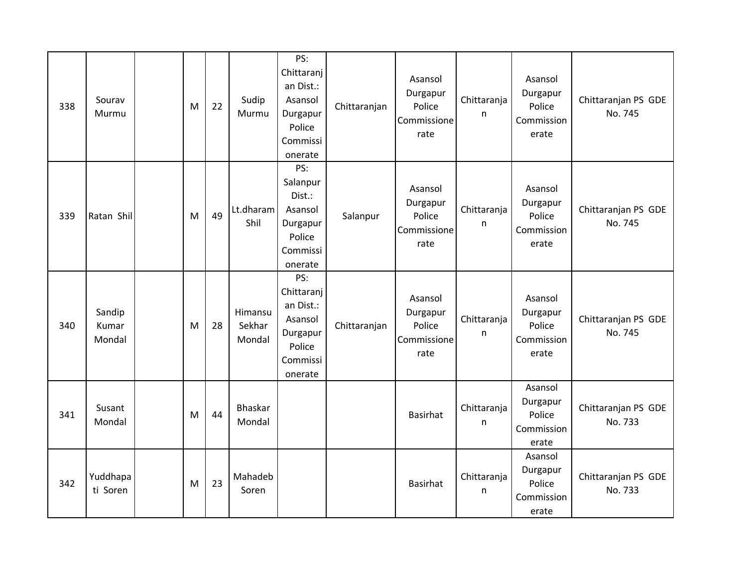| 338 | Sourav<br>Murmu           | M | 22 | Sudip<br>Murmu              | PS:<br>Chittaranj<br>an Dist.:<br>Asansol<br>Durgapur<br>Police<br>Commissi<br>onerate | Chittaranjan | Asansol<br>Durgapur<br>Police<br>Commissione<br>rate | Chittaranja<br>n | Asansol<br>Durgapur<br>Police<br>Commission<br>erate | Chittaranjan PS GDE<br>No. 745 |
|-----|---------------------------|---|----|-----------------------------|----------------------------------------------------------------------------------------|--------------|------------------------------------------------------|------------------|------------------------------------------------------|--------------------------------|
| 339 | Ratan Shil                | M | 49 | Lt.dharam<br>Shil           | PS:<br>Salanpur<br>Dist.:<br>Asansol<br>Durgapur<br>Police<br>Commissi<br>onerate      | Salanpur     | Asansol<br>Durgapur<br>Police<br>Commissione<br>rate | Chittaranja<br>n | Asansol<br>Durgapur<br>Police<br>Commission<br>erate | Chittaranjan PS GDE<br>No. 745 |
| 340 | Sandip<br>Kumar<br>Mondal | M | 28 | Himansu<br>Sekhar<br>Mondal | PS:<br>Chittaranj<br>an Dist.:<br>Asansol<br>Durgapur<br>Police<br>Commissi<br>onerate | Chittaranjan | Asansol<br>Durgapur<br>Police<br>Commissione<br>rate | Chittaranja<br>n | Asansol<br>Durgapur<br>Police<br>Commission<br>erate | Chittaranjan PS GDE<br>No. 745 |
| 341 | Susant<br>Mondal          | M | 44 | Bhaskar<br>Mondal           |                                                                                        |              | <b>Basirhat</b>                                      | Chittaranja<br>n | Asansol<br>Durgapur<br>Police<br>Commission<br>erate | Chittaranjan PS GDE<br>No. 733 |
| 342 | Yuddhapa<br>ti Soren      | M | 23 | Mahadeb<br>Soren            |                                                                                        |              | <b>Basirhat</b>                                      | Chittaranja<br>n | Asansol<br>Durgapur<br>Police<br>Commission<br>erate | Chittaranjan PS GDE<br>No. 733 |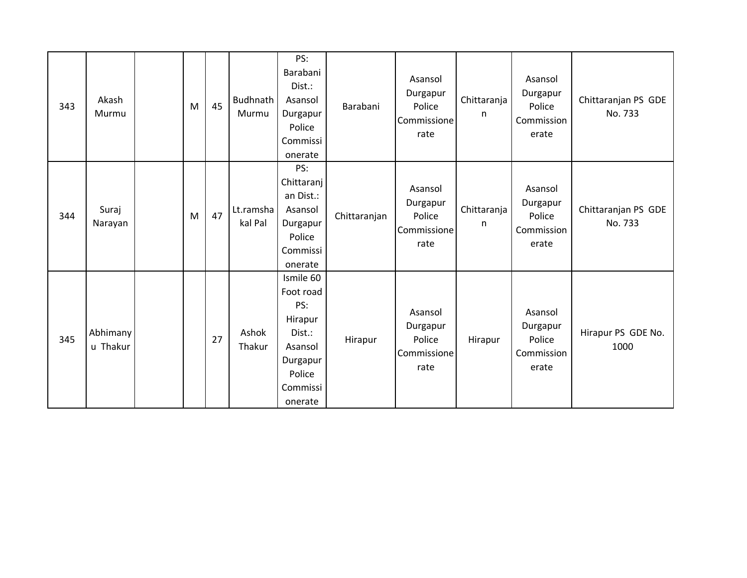| 343 | Akash<br>Murmu       | M | 45 | Budhnath<br>Murmu    | PS:<br>Barabani<br>Dist.:<br>Asansol<br>Durgapur<br>Police<br>Commissi<br>onerate                          | Barabani     | Asansol<br>Durgapur<br>Police<br>Commissione<br>rate | Chittaranja<br>n | Asansol<br>Durgapur<br>Police<br>Commission<br>erate | Chittaranjan PS GDE<br>No. 733 |
|-----|----------------------|---|----|----------------------|------------------------------------------------------------------------------------------------------------|--------------|------------------------------------------------------|------------------|------------------------------------------------------|--------------------------------|
| 344 | Suraj<br>Narayan     | M | 47 | Lt.ramsha<br>kal Pal | PS:<br>Chittaranj<br>an Dist.:<br>Asansol<br>Durgapur<br>Police<br>Commissi<br>onerate                     | Chittaranjan | Asansol<br>Durgapur<br>Police<br>Commissione<br>rate | Chittaranja<br>n | Asansol<br>Durgapur<br>Police<br>Commission<br>erate | Chittaranjan PS GDE<br>No. 733 |
| 345 | Abhimany<br>u Thakur |   | 27 | Ashok<br>Thakur      | Ismile 60<br>Foot road<br>PS:<br>Hirapur<br>Dist.:<br>Asansol<br>Durgapur<br>Police<br>Commissi<br>onerate | Hirapur      | Asansol<br>Durgapur<br>Police<br>Commissione<br>rate | Hirapur          | Asansol<br>Durgapur<br>Police<br>Commission<br>erate | Hirapur PS GDE No.<br>1000     |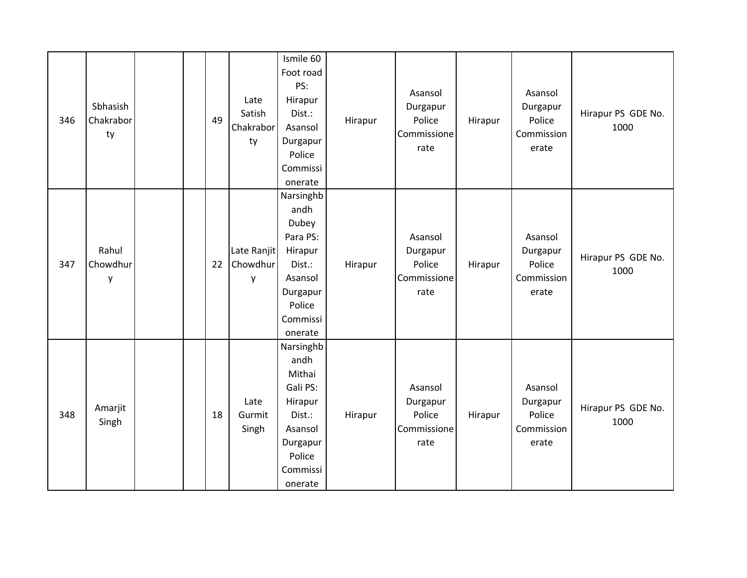| 346 | Sbhasish<br>Chakrabor<br>ty | 49 | Late<br>Satish<br>Chakrabor<br>ty | Ismile 60<br>Foot road<br>PS:<br>Hirapur<br>Dist.:<br>Asansol<br>Durgapur<br>Police<br>Commissi<br>onerate           | Hirapur | Asansol<br>Durgapur<br>Police<br>Commissione<br>rate | Hirapur | Asansol<br>Durgapur<br>Police<br>Commission<br>erate | Hirapur PS GDE No.<br>1000 |
|-----|-----------------------------|----|-----------------------------------|----------------------------------------------------------------------------------------------------------------------|---------|------------------------------------------------------|---------|------------------------------------------------------|----------------------------|
| 347 | Rahul<br>Chowdhur<br>y      | 22 | Late Ranjit<br>Chowdhur<br>y      | Narsinghb<br>andh<br>Dubey<br>Para PS:<br>Hirapur<br>Dist.:<br>Asansol<br>Durgapur<br>Police<br>Commissi<br>onerate  | Hirapur | Asansol<br>Durgapur<br>Police<br>Commissione<br>rate | Hirapur | Asansol<br>Durgapur<br>Police<br>Commission<br>erate | Hirapur PS GDE No.<br>1000 |
| 348 | Amarjit<br>Singh            | 18 | Late<br>Gurmit<br>Singh           | Narsinghb<br>andh<br>Mithai<br>Gali PS:<br>Hirapur<br>Dist.:<br>Asansol<br>Durgapur<br>Police<br>Commissi<br>onerate | Hirapur | Asansol<br>Durgapur<br>Police<br>Commissione<br>rate | Hirapur | Asansol<br>Durgapur<br>Police<br>Commission<br>erate | Hirapur PS GDE No.<br>1000 |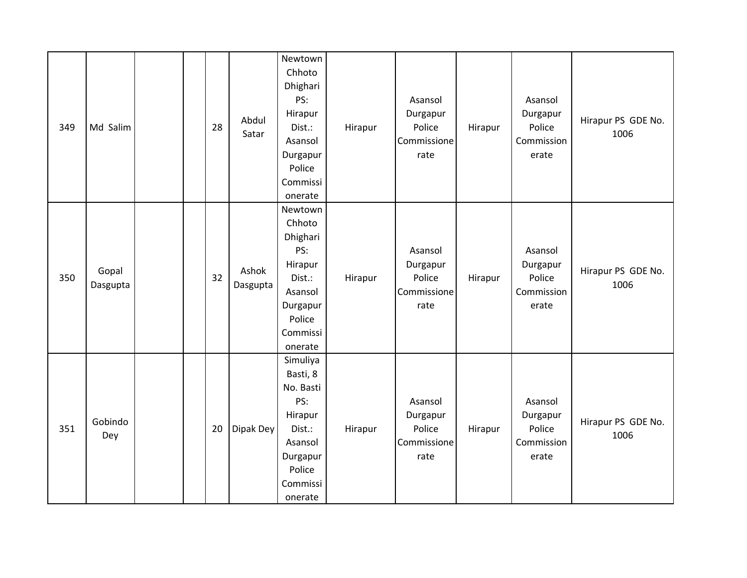| 349 | Md Salim          |  | 28 | Abdul<br>Satar    | Newtown<br>Chhoto<br>Dhighari<br>PS:<br>Hirapur<br>Dist.:<br>Asansol<br>Durgapur<br>Police<br>Commissi<br>onerate     | Hirapur | Asansol<br>Durgapur<br>Police<br>Commissione<br>rate | Hirapur | Asansol<br>Durgapur<br>Police<br>Commission<br>erate | Hirapur PS GDE No.<br>1006 |
|-----|-------------------|--|----|-------------------|-----------------------------------------------------------------------------------------------------------------------|---------|------------------------------------------------------|---------|------------------------------------------------------|----------------------------|
| 350 | Gopal<br>Dasgupta |  | 32 | Ashok<br>Dasgupta | Newtown<br>Chhoto<br>Dhighari<br>PS:<br>Hirapur<br>Dist.:<br>Asansol<br>Durgapur<br>Police<br>Commissi<br>onerate     | Hirapur | Asansol<br>Durgapur<br>Police<br>Commissione<br>rate | Hirapur | Asansol<br>Durgapur<br>Police<br>Commission<br>erate | Hirapur PS GDE No.<br>1006 |
| 351 | Gobindo<br>Dey    |  | 20 | Dipak Dey         | Simuliya<br>Basti, 8<br>No. Basti<br>PS:<br>Hirapur<br>Dist.:<br>Asansol<br>Durgapur<br>Police<br>Commissi<br>onerate | Hirapur | Asansol<br>Durgapur<br>Police<br>Commissione<br>rate | Hirapur | Asansol<br>Durgapur<br>Police<br>Commission<br>erate | Hirapur PS GDE No.<br>1006 |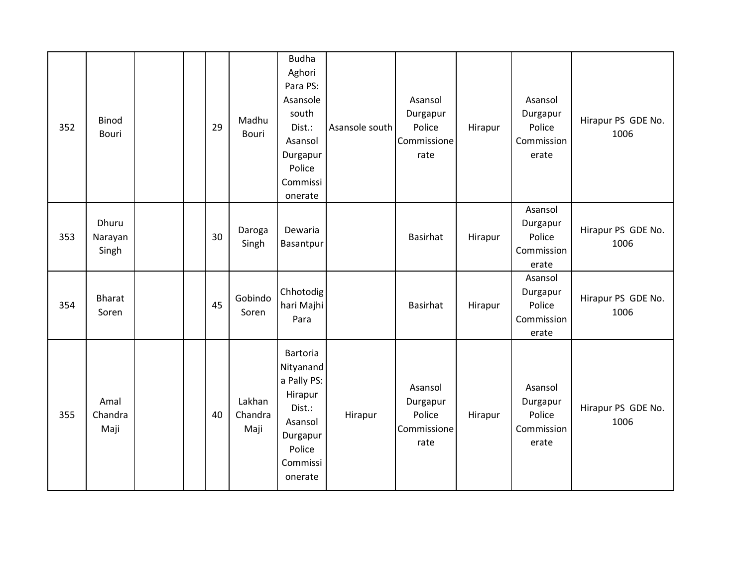| 352 | <b>Binod</b><br>Bouri     |  | 29 | Madhu<br>Bouri            | <b>Budha</b><br>Aghori<br>Para PS:<br>Asansole<br>south<br>Dist.:<br>Asansol<br>Durgapur<br>Police<br>Commissi<br>onerate | Asansole south | Asansol<br>Durgapur<br>Police<br>Commissione<br>rate | Hirapur | Asansol<br>Durgapur<br>Police<br>Commission<br>erate | Hirapur PS GDE No.<br>1006 |
|-----|---------------------------|--|----|---------------------------|---------------------------------------------------------------------------------------------------------------------------|----------------|------------------------------------------------------|---------|------------------------------------------------------|----------------------------|
| 353 | Dhuru<br>Narayan<br>Singh |  | 30 | Daroga<br>Singh           | Dewaria<br>Basantpur                                                                                                      |                | Basirhat                                             | Hirapur | Asansol<br>Durgapur<br>Police<br>Commission<br>erate | Hirapur PS GDE No.<br>1006 |
| 354 | <b>Bharat</b><br>Soren    |  | 45 | Gobindo<br>Soren          | Chhotodig<br>hari Majhi<br>Para                                                                                           |                | <b>Basirhat</b>                                      | Hirapur | Asansol<br>Durgapur<br>Police<br>Commission<br>erate | Hirapur PS GDE No.<br>1006 |
| 355 | Amal<br>Chandra<br>Maji   |  | 40 | Lakhan<br>Chandra<br>Maji | Bartoria<br>Nityanand<br>a Pally PS:<br>Hirapur<br>Dist.:<br>Asansol<br>Durgapur<br>Police<br>Commissi<br>onerate         | Hirapur        | Asansol<br>Durgapur<br>Police<br>Commissione<br>rate | Hirapur | Asansol<br>Durgapur<br>Police<br>Commission<br>erate | Hirapur PS GDE No.<br>1006 |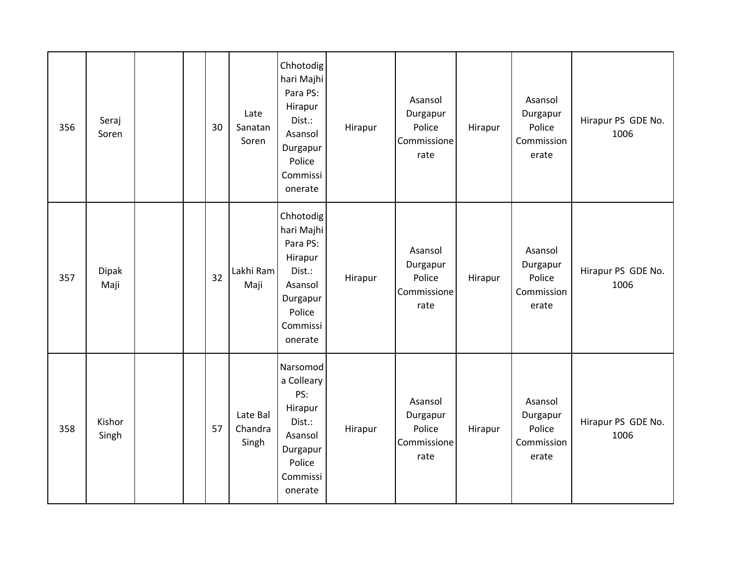| 356 | Seraj<br>Soren  |  | 30 | Late<br>Sanatan<br>Soren     | Chhotodig<br>hari Majhi<br>Para PS:<br>Hirapur<br>Dist.:<br>Asansol<br>Durgapur<br>Police<br>Commissi<br>onerate | Hirapur | Asansol<br>Durgapur<br>Police<br>Commissione<br>rate | Hirapur | Asansol<br>Durgapur<br>Police<br>Commission<br>erate | Hirapur PS GDE No.<br>1006 |
|-----|-----------------|--|----|------------------------------|------------------------------------------------------------------------------------------------------------------|---------|------------------------------------------------------|---------|------------------------------------------------------|----------------------------|
| 357 | Dipak<br>Maji   |  | 32 | Lakhi Ram<br>Maji            | Chhotodig<br>hari Majhi<br>Para PS:<br>Hirapur<br>Dist.:<br>Asansol<br>Durgapur<br>Police<br>Commissi<br>onerate | Hirapur | Asansol<br>Durgapur<br>Police<br>Commissione<br>rate | Hirapur | Asansol<br>Durgapur<br>Police<br>Commission<br>erate | Hirapur PS GDE No.<br>1006 |
| 358 | Kishor<br>Singh |  | 57 | Late Bal<br>Chandra<br>Singh | Narsomod<br>a Colleary<br>PS:<br>Hirapur<br>Dist.:<br>Asansol<br>Durgapur<br>Police<br>Commissi<br>onerate       | Hirapur | Asansol<br>Durgapur<br>Police<br>Commissione<br>rate | Hirapur | Asansol<br>Durgapur<br>Police<br>Commission<br>erate | Hirapur PS GDE No.<br>1006 |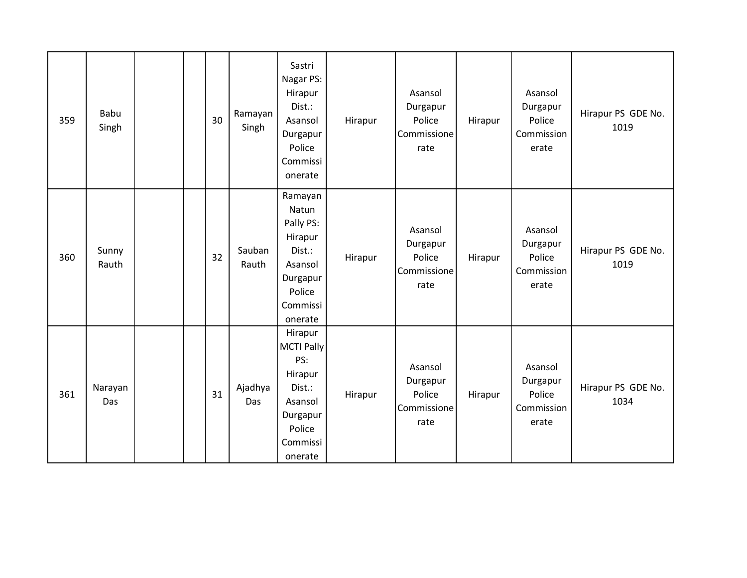| 359 | Babu<br>Singh  |  | 30 | Ramayan<br>Singh | Sastri<br>Nagar PS:<br>Hirapur<br>Dist.:<br>Asansol<br>Durgapur<br>Police<br>Commissi<br>onerate                 | Hirapur | Asansol<br>Durgapur<br>Police<br>Commissione<br>rate | Hirapur | Asansol<br>Durgapur<br>Police<br>Commission<br>erate | Hirapur PS GDE No.<br>1019 |
|-----|----------------|--|----|------------------|------------------------------------------------------------------------------------------------------------------|---------|------------------------------------------------------|---------|------------------------------------------------------|----------------------------|
| 360 | Sunny<br>Rauth |  | 32 | Sauban<br>Rauth  | Ramayan<br>Natun<br>Pally PS:<br>Hirapur<br>Dist.:<br>Asansol<br>Durgapur<br>Police<br>Commissi<br>onerate       | Hirapur | Asansol<br>Durgapur<br>Police<br>Commissione<br>rate | Hirapur | Asansol<br>Durgapur<br>Police<br>Commission<br>erate | Hirapur PS GDE No.<br>1019 |
| 361 | Narayan<br>Das |  | 31 | Ajadhya<br>Das   | Hirapur<br><b>MCTI Pally</b><br>PS:<br>Hirapur<br>Dist.:<br>Asansol<br>Durgapur<br>Police<br>Commissi<br>onerate | Hirapur | Asansol<br>Durgapur<br>Police<br>Commissione<br>rate | Hirapur | Asansol<br>Durgapur<br>Police<br>Commission<br>erate | Hirapur PS GDE No.<br>1034 |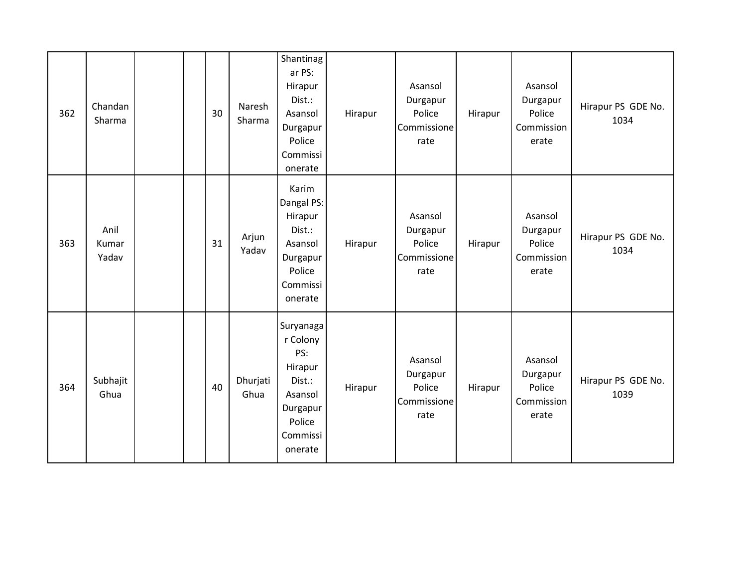| 362 | Chandan<br>Sharma      |  | 30 | Naresh<br>Sharma | Shantinag<br>ar PS:<br>Hirapur<br>Dist.:<br>Asansol<br>Durgapur<br>Police<br>Commissi<br>onerate          | Hirapur | Asansol<br>Durgapur<br>Police<br>Commissione<br>rate | Hirapur | Asansol<br>Durgapur<br>Police<br>Commission<br>erate | Hirapur PS GDE No.<br>1034 |
|-----|------------------------|--|----|------------------|-----------------------------------------------------------------------------------------------------------|---------|------------------------------------------------------|---------|------------------------------------------------------|----------------------------|
| 363 | Anil<br>Kumar<br>Yadav |  | 31 | Arjun<br>Yadav   | Karim<br>Dangal PS:<br>Hirapur<br>Dist.:<br>Asansol<br>Durgapur<br>Police<br>Commissi<br>onerate          | Hirapur | Asansol<br>Durgapur<br>Police<br>Commissione<br>rate | Hirapur | Asansol<br>Durgapur<br>Police<br>Commission<br>erate | Hirapur PS GDE No.<br>1034 |
| 364 | Subhajit<br>Ghua       |  | 40 | Dhurjati<br>Ghua | Suryanaga<br>r Colony<br>PS:<br>Hirapur<br>Dist.:<br>Asansol<br>Durgapur<br>Police<br>Commissi<br>onerate | Hirapur | Asansol<br>Durgapur<br>Police<br>Commissione<br>rate | Hirapur | Asansol<br>Durgapur<br>Police<br>Commission<br>erate | Hirapur PS GDE No.<br>1039 |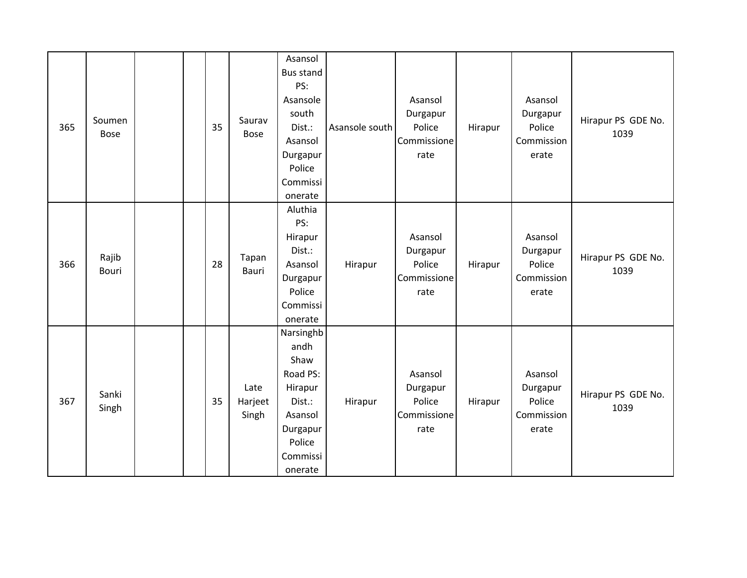| 365 | Soumen<br><b>Bose</b> |  | 35 | Saurav<br><b>Bose</b>    | Asansol<br><b>Bus stand</b><br>PS:<br>Asansole<br>south<br>Dist.:<br>Asansol<br>Durgapur<br>Police<br>Commissi<br>onerate | Asansole south | Asansol<br>Durgapur<br>Police<br>Commissione<br>rate | Hirapur | Asansol<br>Durgapur<br>Police<br>Commission<br>erate | Hirapur PS GDE No.<br>1039 |
|-----|-----------------------|--|----|--------------------------|---------------------------------------------------------------------------------------------------------------------------|----------------|------------------------------------------------------|---------|------------------------------------------------------|----------------------------|
| 366 | Rajib<br>Bouri        |  | 28 | Tapan<br>Bauri           | Aluthia<br>PS:<br>Hirapur<br>Dist.:<br>Asansol<br>Durgapur<br>Police<br>Commissi<br>onerate                               | Hirapur        | Asansol<br>Durgapur<br>Police<br>Commissione<br>rate | Hirapur | Asansol<br>Durgapur<br>Police<br>Commission<br>erate | Hirapur PS GDE No.<br>1039 |
| 367 | Sanki<br>Singh        |  | 35 | Late<br>Harjeet<br>Singh | Narsinghb<br>andh<br>Shaw<br>Road PS:<br>Hirapur<br>Dist.:<br>Asansol<br>Durgapur<br>Police<br>Commissi<br>onerate        | Hirapur        | Asansol<br>Durgapur<br>Police<br>Commissione<br>rate | Hirapur | Asansol<br>Durgapur<br>Police<br>Commission<br>erate | Hirapur PS GDE No.<br>1039 |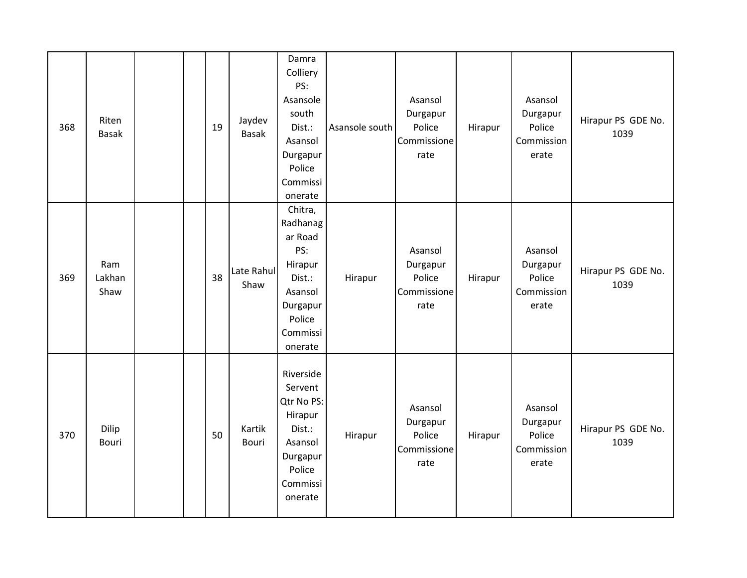| 368 | Riten<br><b>Basak</b> |  | 19 | Jaydev<br><b>Basak</b> | Damra<br>Colliery<br>PS:<br>Asansole<br>south<br>Dist.:<br>Asansol<br>Durgapur<br>Police<br>Commissi<br>onerate    | Asansole south | Asansol<br>Durgapur<br>Police<br>Commissione<br>rate | Hirapur | Asansol<br>Durgapur<br>Police<br>Commission<br>erate | Hirapur PS GDE No.<br>1039 |
|-----|-----------------------|--|----|------------------------|--------------------------------------------------------------------------------------------------------------------|----------------|------------------------------------------------------|---------|------------------------------------------------------|----------------------------|
| 369 | Ram<br>Lakhan<br>Shaw |  | 38 | Late Rahul<br>Shaw     | Chitra,<br>Radhanag<br>ar Road<br>PS:<br>Hirapur<br>Dist.:<br>Asansol<br>Durgapur<br>Police<br>Commissi<br>onerate | Hirapur        | Asansol<br>Durgapur<br>Police<br>Commissione<br>rate | Hirapur | Asansol<br>Durgapur<br>Police<br>Commission<br>erate | Hirapur PS GDE No.<br>1039 |
| 370 | Dilip<br>Bouri        |  | 50 | Kartik<br>Bouri        | Riverside<br>Servent<br>Qtr No PS:<br>Hirapur<br>Dist.:<br>Asansol<br>Durgapur<br>Police<br>Commissi<br>onerate    | Hirapur        | Asansol<br>Durgapur<br>Police<br>Commissione<br>rate | Hirapur | Asansol<br>Durgapur<br>Police<br>Commission<br>erate | Hirapur PS GDE No.<br>1039 |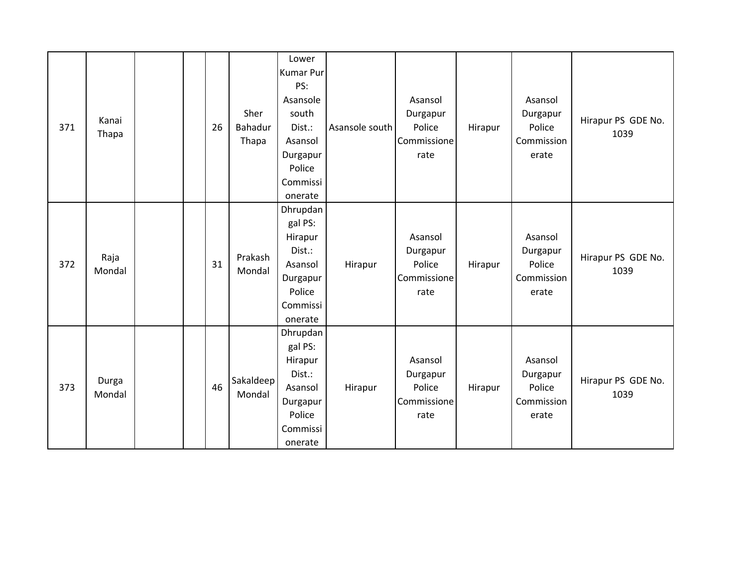| 371 | Kanai<br>Thapa  |  | 26 | Sher<br>Bahadur<br>Thapa | Lower<br><b>Kumar Pur</b><br>PS:<br>Asansole<br>south<br>Dist.:<br>Asansol<br>Durgapur<br>Police<br>Commissi<br>onerate | Asansole south | Asansol<br>Durgapur<br>Police<br>Commissione<br>rate | Hirapur | Asansol<br>Durgapur<br>Police<br>Commission<br>erate | Hirapur PS GDE No.<br>1039 |
|-----|-----------------|--|----|--------------------------|-------------------------------------------------------------------------------------------------------------------------|----------------|------------------------------------------------------|---------|------------------------------------------------------|----------------------------|
| 372 | Raja<br>Mondal  |  | 31 | Prakash<br>Mondal        | Dhrupdan<br>gal PS:<br>Hirapur<br>Dist.:<br>Asansol<br>Durgapur<br>Police<br>Commissi<br>onerate                        | Hirapur        | Asansol<br>Durgapur<br>Police<br>Commissione<br>rate | Hirapur | Asansol<br>Durgapur<br>Police<br>Commission<br>erate | Hirapur PS GDE No.<br>1039 |
| 373 | Durga<br>Mondal |  | 46 | Sakaldeep<br>Mondal      | Dhrupdan<br>gal PS:<br>Hirapur<br>Dist.:<br>Asansol<br>Durgapur<br>Police<br>Commissi<br>onerate                        | Hirapur        | Asansol<br>Durgapur<br>Police<br>Commissione<br>rate | Hirapur | Asansol<br>Durgapur<br>Police<br>Commission<br>erate | Hirapur PS GDE No.<br>1039 |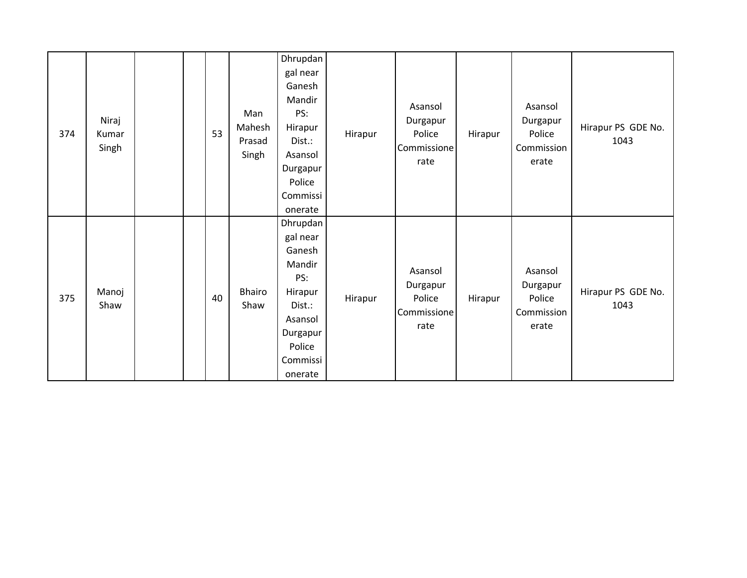| 374 | Niraj<br>Kumar<br>Singh |  | 53 | Man<br>Mahesh<br>Prasad<br>Singh | Dhrupdan<br>gal near<br>Ganesh<br>Mandir<br>PS:<br>Hirapur<br>Dist.:<br>Asansol<br>Durgapur<br>Police<br>Commissi<br>onerate | Hirapur | Asansol<br>Durgapur<br>Police<br>Commissione<br>rate | Hirapur | Asansol<br>Durgapur<br>Police<br>Commission<br>erate | Hirapur PS GDE No.<br>1043 |
|-----|-------------------------|--|----|----------------------------------|------------------------------------------------------------------------------------------------------------------------------|---------|------------------------------------------------------|---------|------------------------------------------------------|----------------------------|
| 375 | Manoj<br>Shaw           |  | 40 | Bhairo<br>Shaw                   | Dhrupdan<br>gal near<br>Ganesh<br>Mandir<br>PS:<br>Hirapur<br>Dist.:<br>Asansol<br>Durgapur<br>Police<br>Commissi<br>onerate | Hirapur | Asansol<br>Durgapur<br>Police<br>Commissione<br>rate | Hirapur | Asansol<br>Durgapur<br>Police<br>Commission<br>erate | Hirapur PS GDE No.<br>1043 |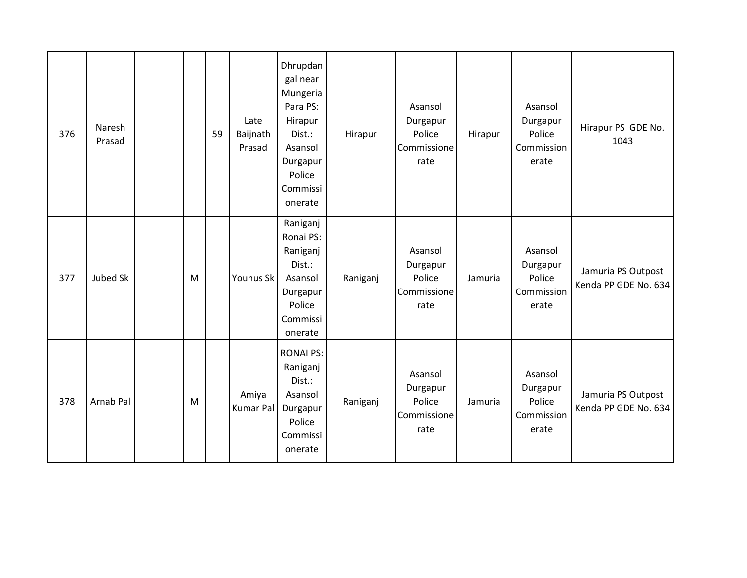| 376 | Naresh<br>Prasad |   | 59 | Late<br>Baijnath<br>Prasad | Dhrupdan<br>gal near<br>Mungeria<br>Para PS:<br>Hirapur<br>Dist.:<br>Asansol<br>Durgapur<br>Police<br>Commissi<br>onerate | Hirapur  | Asansol<br>Durgapur<br>Police<br>Commissione<br>rate | Hirapur | Asansol<br>Durgapur<br>Police<br>Commission<br>erate | Hirapur PS GDE No.<br>1043                 |
|-----|------------------|---|----|----------------------------|---------------------------------------------------------------------------------------------------------------------------|----------|------------------------------------------------------|---------|------------------------------------------------------|--------------------------------------------|
| 377 | Jubed Sk         | M |    | Younus Sk                  | Raniganj<br>Ronai PS:<br>Raniganj<br>Dist.:<br>Asansol<br>Durgapur<br>Police<br>Commissi<br>onerate                       | Raniganj | Asansol<br>Durgapur<br>Police<br>Commissione<br>rate | Jamuria | Asansol<br>Durgapur<br>Police<br>Commission<br>erate | Jamuria PS Outpost<br>Kenda PP GDE No. 634 |
| 378 | Arnab Pal        | M |    | Amiya<br>Kumar Pal         | <b>RONAI PS:</b><br>Raniganj<br>Dist.:<br>Asansol<br>Durgapur<br>Police<br>Commissi<br>onerate                            | Raniganj | Asansol<br>Durgapur<br>Police<br>Commissione<br>rate | Jamuria | Asansol<br>Durgapur<br>Police<br>Commission<br>erate | Jamuria PS Outpost<br>Kenda PP GDE No. 634 |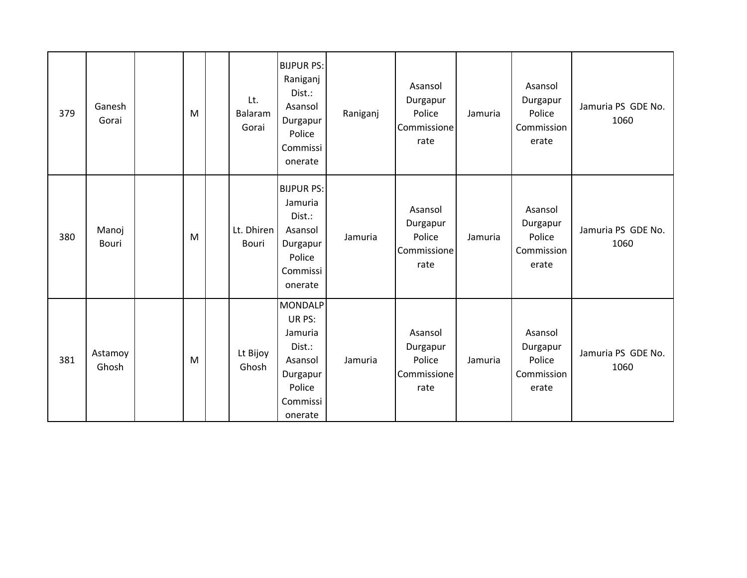| 379 | Ganesh<br>Gorai  | M | Lt.<br>Balaram<br>Gorai | <b>BIJPUR PS:</b><br>Raniganj<br>Dist.:<br>Asansol<br>Durgapur<br>Police<br>Commissi<br>onerate       | Raniganj | Asansol<br>Durgapur<br>Police<br>Commissione<br>rate | Jamuria | Asansol<br>Durgapur<br>Police<br>Commission<br>erate | Jamuria PS GDE No.<br>1060 |
|-----|------------------|---|-------------------------|-------------------------------------------------------------------------------------------------------|----------|------------------------------------------------------|---------|------------------------------------------------------|----------------------------|
| 380 | Manoj<br>Bouri   | M | Lt. Dhiren<br>Bouri     | <b>BIJPUR PS:</b><br>Jamuria<br>Dist.:<br>Asansol<br>Durgapur<br>Police<br>Commissi<br>onerate        | Jamuria  | Asansol<br>Durgapur<br>Police<br>Commissione<br>rate | Jamuria | Asansol<br>Durgapur<br>Police<br>Commission<br>erate | Jamuria PS GDE No.<br>1060 |
| 381 | Astamoy<br>Ghosh | M | Lt Bijoy<br>Ghosh       | <b>MONDALP</b><br>UR PS:<br>Jamuria<br>Dist.:<br>Asansol<br>Durgapur<br>Police<br>Commissi<br>onerate | Jamuria  | Asansol<br>Durgapur<br>Police<br>Commissione<br>rate | Jamuria | Asansol<br>Durgapur<br>Police<br>Commission<br>erate | Jamuria PS GDE No.<br>1060 |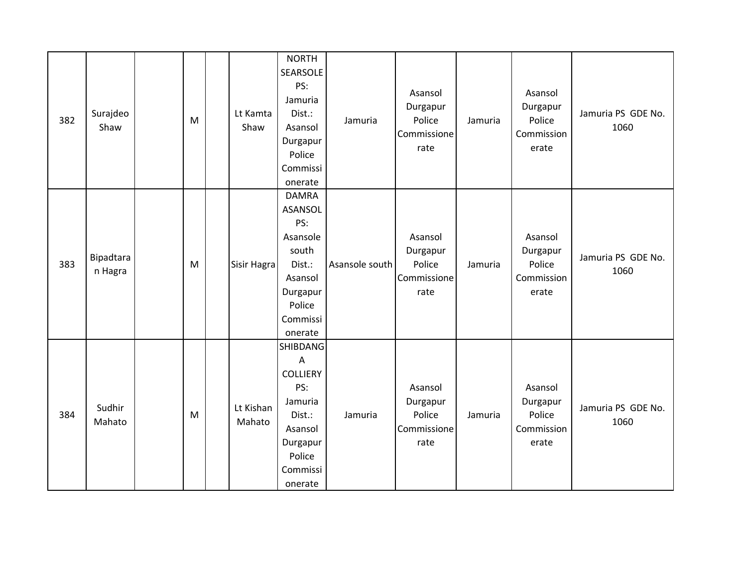| 382 | Surajdeo<br>Shaw     | M | Lt Kamta<br>Shaw    | <b>NORTH</b><br>SEARSOLE<br>PS:<br>Jamuria<br>Dist.:<br>Asansol<br>Durgapur<br>Police<br>Commissi<br>onerate                                        | Jamuria        | Asansol<br>Durgapur<br>Police<br>Commissione<br>rate | Jamuria | Asansol<br>Durgapur<br>Police<br>Commission<br>erate | Jamuria PS GDE No.<br>1060 |
|-----|----------------------|---|---------------------|-----------------------------------------------------------------------------------------------------------------------------------------------------|----------------|------------------------------------------------------|---------|------------------------------------------------------|----------------------------|
| 383 | Bipadtara<br>n Hagra | M | Sisir Hagra         | <b>DAMRA</b><br><b>ASANSOL</b><br>PS:<br>Asansole<br>south<br>Dist.:<br>Asansol<br>Durgapur<br>Police<br>Commissi<br>onerate                        | Asansole south | Asansol<br>Durgapur<br>Police<br>Commissione<br>rate | Jamuria | Asansol<br>Durgapur<br>Police<br>Commission<br>erate | Jamuria PS GDE No.<br>1060 |
| 384 | Sudhir<br>Mahato     | M | Lt Kishan<br>Mahato | <b>SHIBDANG</b><br>$\boldsymbol{\mathsf{A}}$<br><b>COLLIERY</b><br>PS:<br>Jamuria<br>Dist.:<br>Asansol<br>Durgapur<br>Police<br>Commissi<br>onerate | Jamuria        | Asansol<br>Durgapur<br>Police<br>Commissione<br>rate | Jamuria | Asansol<br>Durgapur<br>Police<br>Commission<br>erate | Jamuria PS GDE No.<br>1060 |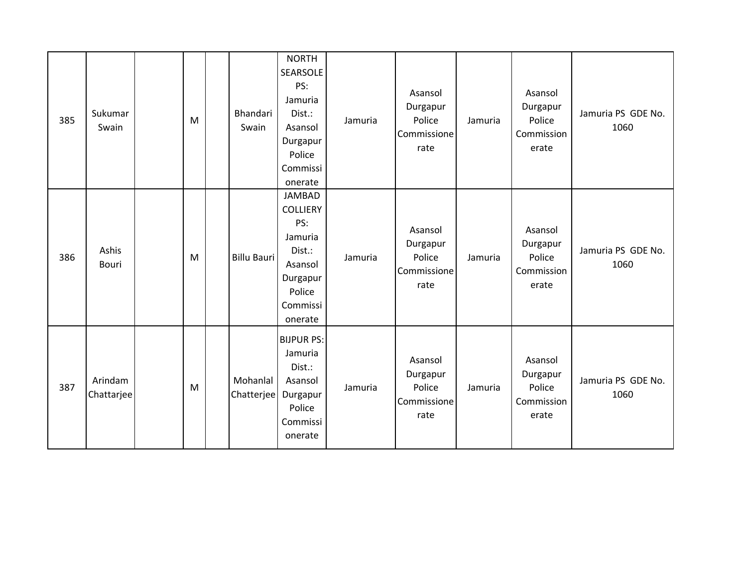| 385 | Sukumar<br>Swain      | M | Bhandari<br>Swain      | <b>NORTH</b><br><b>SEARSOLE</b><br>PS:<br>Jamuria<br>Dist.:<br>Asansol<br>Durgapur<br>Police<br>Commissi<br>onerate  | Jamuria | Asansol<br>Durgapur<br>Police<br>Commissione<br>rate | Jamuria | Asansol<br>Durgapur<br>Police<br>Commission<br>erate | Jamuria PS GDE No.<br>1060 |
|-----|-----------------------|---|------------------------|----------------------------------------------------------------------------------------------------------------------|---------|------------------------------------------------------|---------|------------------------------------------------------|----------------------------|
| 386 | Ashis<br>Bouri        | M | <b>Billu Bauri</b>     | <b>JAMBAD</b><br><b>COLLIERY</b><br>PS:<br>Jamuria<br>Dist.:<br>Asansol<br>Durgapur<br>Police<br>Commissi<br>onerate | Jamuria | Asansol<br>Durgapur<br>Police<br>Commissione<br>rate | Jamuria | Asansol<br>Durgapur<br>Police<br>Commission<br>erate | Jamuria PS GDE No.<br>1060 |
| 387 | Arindam<br>Chattarjee | M | Mohanlal<br>Chatterjee | <b>BIJPUR PS:</b><br>Jamuria<br>Dist.:<br>Asansol<br>Durgapur<br>Police<br>Commissi<br>onerate                       | Jamuria | Asansol<br>Durgapur<br>Police<br>Commissione<br>rate | Jamuria | Asansol<br>Durgapur<br>Police<br>Commission<br>erate | Jamuria PS GDE No.<br>1060 |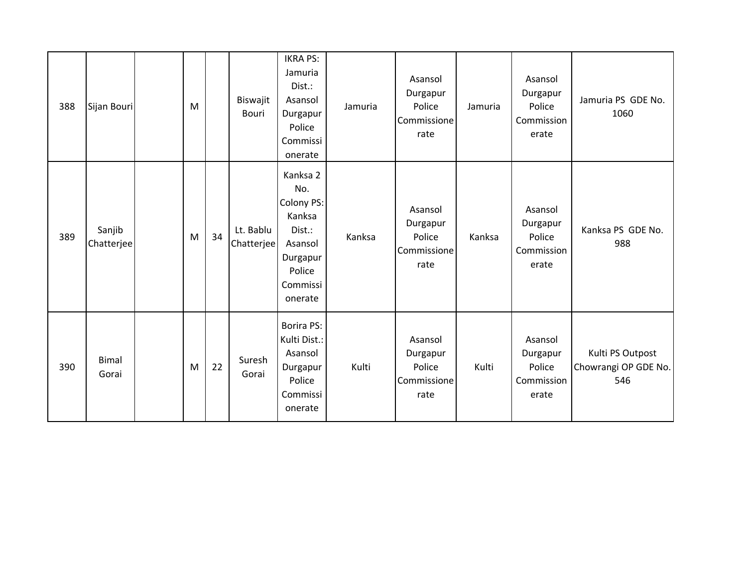| 388 | Sijan Bouri           | M |    | Biswajit<br>Bouri       | <b>IKRA PS:</b><br>Jamuria<br>Dist.:<br>Asansol<br>Durgapur<br>Police<br>Commissi<br>onerate              | Jamuria | Asansol<br>Durgapur<br>Police<br>Commissione<br>rate | Jamuria | Asansol<br>Durgapur<br>Police<br>Commission<br>erate | Jamuria PS GDE No.<br>1060                      |
|-----|-----------------------|---|----|-------------------------|-----------------------------------------------------------------------------------------------------------|---------|------------------------------------------------------|---------|------------------------------------------------------|-------------------------------------------------|
| 389 | Sanjib<br>Chatterjee  | M | 34 | Lt. Bablu<br>Chatterjee | Kanksa 2<br>No.<br>Colony PS:<br>Kanksa<br>Dist.:<br>Asansol<br>Durgapur<br>Police<br>Commissi<br>onerate | Kanksa  | Asansol<br>Durgapur<br>Police<br>Commissione<br>rate | Kanksa  | Asansol<br>Durgapur<br>Police<br>Commission<br>erate | Kanksa PS GDE No.<br>988                        |
| 390 | <b>Bimal</b><br>Gorai | M | 22 | Suresh<br>Gorai         | <b>Borira PS:</b><br>Kulti Dist.:<br>Asansol<br>Durgapur<br>Police<br>Commissi<br>onerate                 | Kulti   | Asansol<br>Durgapur<br>Police<br>Commissione<br>rate | Kulti   | Asansol<br>Durgapur<br>Police<br>Commission<br>erate | Kulti PS Outpost<br>Chowrangi OP GDE No.<br>546 |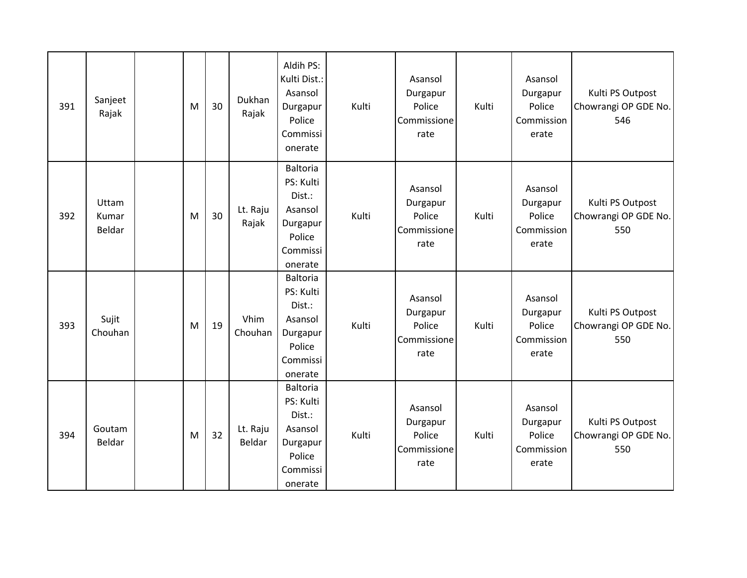| 391 | Sanjeet<br>Rajak         | M | 30 | Dukhan<br>Rajak    | Aldih PS:<br>Kulti Dist.:<br>Asansol<br>Durgapur<br>Police<br>Commissi<br>onerate              | Kulti | Asansol<br>Durgapur<br>Police<br>Commissione<br>rate | Kulti | Asansol<br>Durgapur<br>Police<br>Commission<br>erate | Kulti PS Outpost<br>Chowrangi OP GDE No.<br>546 |
|-----|--------------------------|---|----|--------------------|------------------------------------------------------------------------------------------------|-------|------------------------------------------------------|-------|------------------------------------------------------|-------------------------------------------------|
| 392 | Uttam<br>Kumar<br>Beldar | M | 30 | Lt. Raju<br>Rajak  | <b>Baltoria</b><br>PS: Kulti<br>Dist.:<br>Asansol<br>Durgapur<br>Police<br>Commissi<br>onerate | Kulti | Asansol<br>Durgapur<br>Police<br>Commissione<br>rate | Kulti | Asansol<br>Durgapur<br>Police<br>Commission<br>erate | Kulti PS Outpost<br>Chowrangi OP GDE No.<br>550 |
| 393 | Sujit<br>Chouhan         | M | 19 | Vhim<br>Chouhan    | Baltoria<br>PS: Kulti<br>Dist.:<br>Asansol<br>Durgapur<br>Police<br>Commissi<br>onerate        | Kulti | Asansol<br>Durgapur<br>Police<br>Commissione<br>rate | Kulti | Asansol<br>Durgapur<br>Police<br>Commission<br>erate | Kulti PS Outpost<br>Chowrangi OP GDE No.<br>550 |
| 394 | Goutam<br>Beldar         | M | 32 | Lt. Raju<br>Beldar | <b>Baltoria</b><br>PS: Kulti<br>Dist.:<br>Asansol<br>Durgapur<br>Police<br>Commissi<br>onerate | Kulti | Asansol<br>Durgapur<br>Police<br>Commissione<br>rate | Kulti | Asansol<br>Durgapur<br>Police<br>Commission<br>erate | Kulti PS Outpost<br>Chowrangi OP GDE No.<br>550 |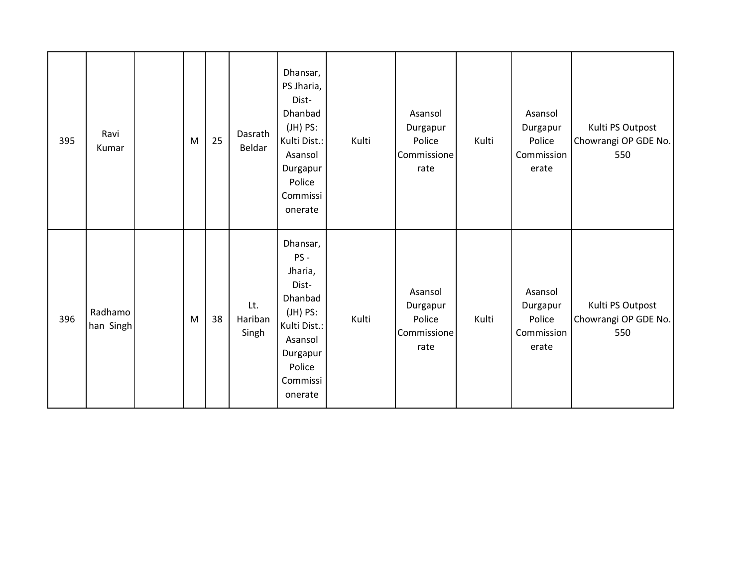| 395 | Ravi<br>Kumar        | M | 25 | Dasrath<br>Beldar       | Dhansar,<br>PS Jharia,<br>Dist-<br>Dhanbad<br>$(JH)$ PS:<br>Kulti Dist.:<br>Asansol<br>Durgapur<br>Police<br>Commissi<br>onerate    | Kulti | Asansol<br>Durgapur<br>Police<br>Commissione<br>rate | Kulti | Asansol<br>Durgapur<br>Police<br>Commission<br>erate | Kulti PS Outpost<br>Chowrangi OP GDE No.<br>550 |
|-----|----------------------|---|----|-------------------------|-------------------------------------------------------------------------------------------------------------------------------------|-------|------------------------------------------------------|-------|------------------------------------------------------|-------------------------------------------------|
| 396 | Radhamo<br>han Singh | M | 38 | Lt.<br>Hariban<br>Singh | Dhansar,<br>PS-<br>Jharia,<br>Dist-<br>Dhanbad<br>$(H)$ PS:<br>Kulti Dist.:<br>Asansol<br>Durgapur<br>Police<br>Commissi<br>onerate | Kulti | Asansol<br>Durgapur<br>Police<br>Commissione<br>rate | Kulti | Asansol<br>Durgapur<br>Police<br>Commission<br>erate | Kulti PS Outpost<br>Chowrangi OP GDE No.<br>550 |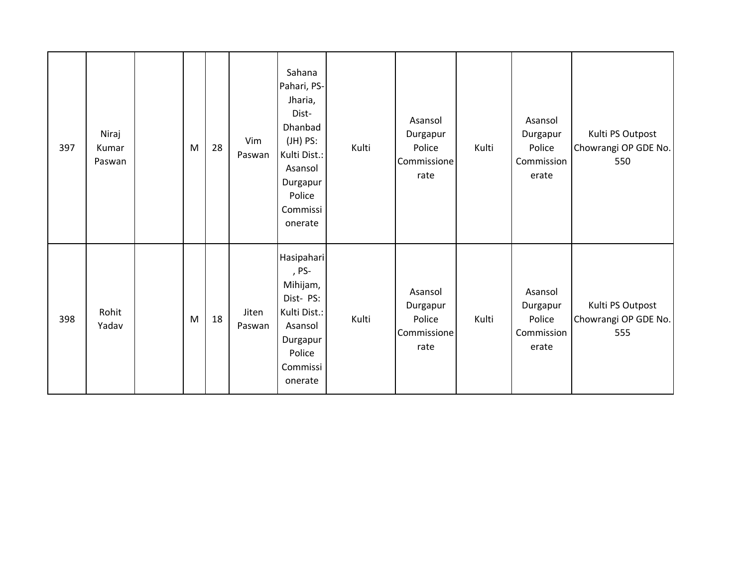| 397 | Niraj<br>Kumar<br>Paswan | M | 28 | Vim<br>Paswan   | Sahana<br>Pahari, PS-<br>Jharia,<br>Dist-<br>Dhanbad<br>$(JH)$ PS:<br>Kulti Dist.:<br>Asansol<br>Durgapur<br>Police<br>Commissi<br>onerate | Kulti | Asansol<br>Durgapur<br>Police<br>Commissione<br>rate | Kulti | Asansol<br>Durgapur<br>Police<br>Commission<br>erate | Kulti PS Outpost<br>Chowrangi OP GDE No.<br>550 |
|-----|--------------------------|---|----|-----------------|--------------------------------------------------------------------------------------------------------------------------------------------|-------|------------------------------------------------------|-------|------------------------------------------------------|-------------------------------------------------|
| 398 | Rohit<br>Yadav           | M | 18 | Jiten<br>Paswan | Hasipahari<br>, PS-<br>Mihijam,<br>Dist-PS:<br>Kulti Dist.:<br>Asansol<br>Durgapur<br>Police<br>Commissi<br>onerate                        | Kulti | Asansol<br>Durgapur<br>Police<br>Commissione<br>rate | Kulti | Asansol<br>Durgapur<br>Police<br>Commission<br>erate | Kulti PS Outpost<br>Chowrangi OP GDE No.<br>555 |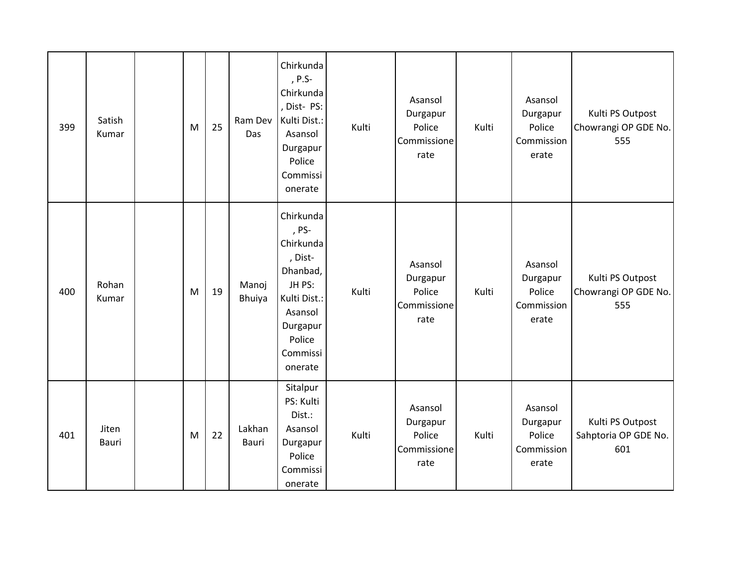| 399 | Satish<br>Kumar | M | 25 | Ram Dev<br>Das  | Chirkunda<br>, P.S-<br>Chirkunda<br>, Dist- PS:<br>Kulti Dist.:<br>Asansol<br>Durgapur<br>Police<br>Commissi<br>onerate                  | Kulti | Asansol<br>Durgapur<br>Police<br>Commissione<br>rate | Kulti | Asansol<br>Durgapur<br>Police<br>Commission<br>erate | Kulti PS Outpost<br>Chowrangi OP GDE No.<br>555 |
|-----|-----------------|---|----|-----------------|------------------------------------------------------------------------------------------------------------------------------------------|-------|------------------------------------------------------|-------|------------------------------------------------------|-------------------------------------------------|
| 400 | Rohan<br>Kumar  | M | 19 | Manoj<br>Bhuiya | Chirkunda<br>, PS-<br>Chirkunda<br>, Dist-<br>Dhanbad,<br>JH PS:<br>Kulti Dist.:<br>Asansol<br>Durgapur<br>Police<br>Commissi<br>onerate | Kulti | Asansol<br>Durgapur<br>Police<br>Commissione<br>rate | Kulti | Asansol<br>Durgapur<br>Police<br>Commission<br>erate | Kulti PS Outpost<br>Chowrangi OP GDE No.<br>555 |
| 401 | Jiten<br>Bauri  | M | 22 | Lakhan<br>Bauri | Sitalpur<br>PS: Kulti<br>Dist.:<br>Asansol<br>Durgapur<br>Police<br>Commissi<br>onerate                                                  | Kulti | Asansol<br>Durgapur<br>Police<br>Commissione<br>rate | Kulti | Asansol<br>Durgapur<br>Police<br>Commission<br>erate | Kulti PS Outpost<br>Sahptoria OP GDE No.<br>601 |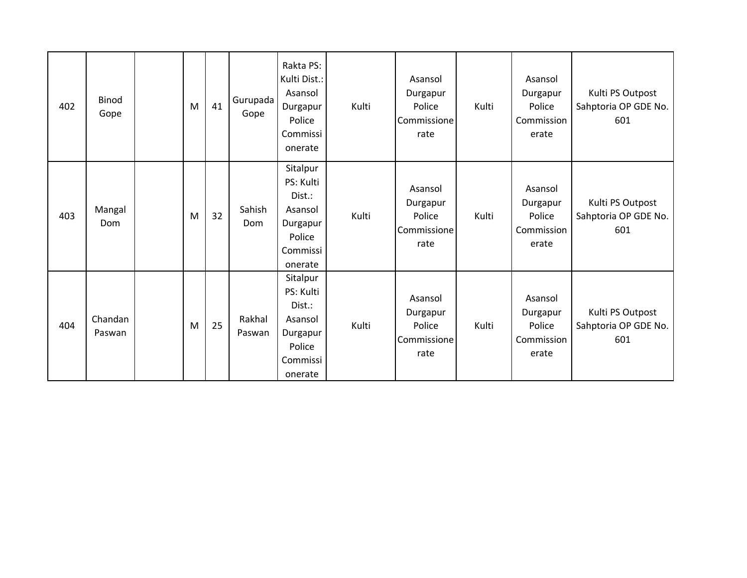| 402 | <b>Binod</b><br>Gope | M | 41 | Gurupada<br>Gope | Rakta PS:<br>Kulti Dist.:<br>Asansol<br>Durgapur<br>Police<br>Commissi<br>onerate       | Kulti | Asansol<br>Durgapur<br>Police<br>Commissione<br>rate | Kulti | Asansol<br>Durgapur<br>Police<br>Commission<br>erate | Kulti PS Outpost<br>Sahptoria OP GDE No.<br>601 |
|-----|----------------------|---|----|------------------|-----------------------------------------------------------------------------------------|-------|------------------------------------------------------|-------|------------------------------------------------------|-------------------------------------------------|
| 403 | Mangal<br>Dom        | M | 32 | Sahish<br>Dom    | Sitalpur<br>PS: Kulti<br>Dist.:<br>Asansol<br>Durgapur<br>Police<br>Commissi<br>onerate | Kulti | Asansol<br>Durgapur<br>Police<br>Commissione<br>rate | Kulti | Asansol<br>Durgapur<br>Police<br>Commission<br>erate | Kulti PS Outpost<br>Sahptoria OP GDE No.<br>601 |
| 404 | Chandan<br>Paswan    | M | 25 | Rakhal<br>Paswan | Sitalpur<br>PS: Kulti<br>Dist.:<br>Asansol<br>Durgapur<br>Police<br>Commissi<br>onerate | Kulti | Asansol<br>Durgapur<br>Police<br>Commissione<br>rate | Kulti | Asansol<br>Durgapur<br>Police<br>Commission<br>erate | Kulti PS Outpost<br>Sahptoria OP GDE No.<br>601 |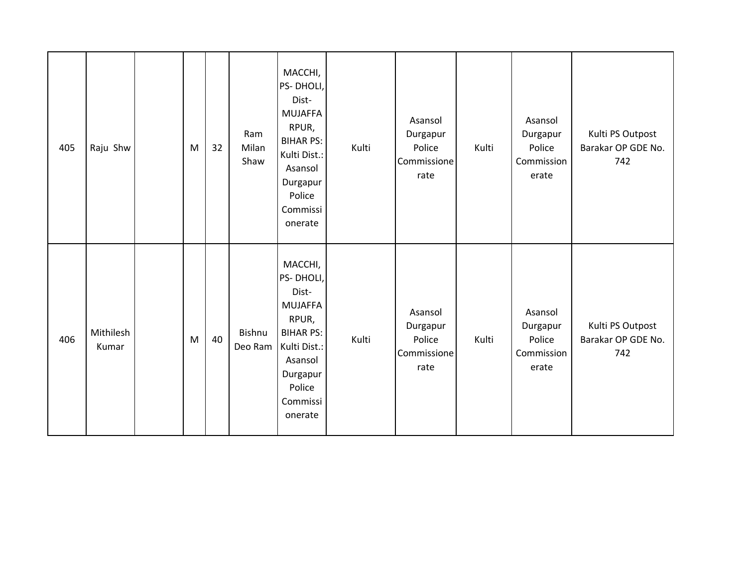| 405 | Raju Shw           | M | 32 | Ram<br>Milan<br>Shaw | MACCHI,<br>PS-DHOLI,<br>Dist-<br><b>MUJAFFA</b><br>RPUR,<br><b>BIHAR PS:</b><br>Kulti Dist.:<br>Asansol<br>Durgapur<br>Police<br>Commissi<br>onerate | Kulti | Asansol<br>Durgapur<br>Police<br>Commissione<br>rate | Kulti | Asansol<br>Durgapur<br>Police<br>Commission<br>erate | Kulti PS Outpost<br>Barakar OP GDE No.<br>742 |
|-----|--------------------|---|----|----------------------|------------------------------------------------------------------------------------------------------------------------------------------------------|-------|------------------------------------------------------|-------|------------------------------------------------------|-----------------------------------------------|
| 406 | Mithilesh<br>Kumar | M | 40 | Bishnu<br>Deo Ram    | MACCHI,<br>PS-DHOLI,<br>Dist-<br><b>MUJAFFA</b><br>RPUR,<br><b>BIHAR PS:</b><br>Kulti Dist.:<br>Asansol<br>Durgapur<br>Police<br>Commissi<br>onerate | Kulti | Asansol<br>Durgapur<br>Police<br>Commissione<br>rate | Kulti | Asansol<br>Durgapur<br>Police<br>Commission<br>erate | Kulti PS Outpost<br>Barakar OP GDE No.<br>742 |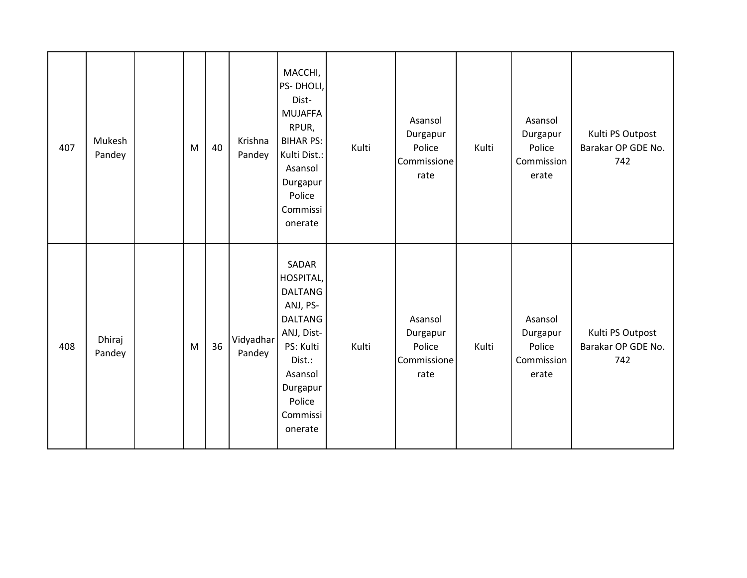| 407 | Mukesh<br>Pandey | M         | 40 | Krishna<br>Pandey   | MACCHI,<br>PS-DHOLI,<br>Dist-<br><b>MUJAFFA</b><br>RPUR,<br><b>BIHAR PS:</b><br>Kulti Dist.:<br>Asansol<br>Durgapur<br>Police<br>Commissi<br>onerate            | Kulti | Asansol<br>Durgapur<br>Police<br>Commissione<br>rate | Kulti | Asansol<br>Durgapur<br>Police<br>Commission<br>erate | Kulti PS Outpost<br>Barakar OP GDE No.<br>742 |
|-----|------------------|-----------|----|---------------------|-----------------------------------------------------------------------------------------------------------------------------------------------------------------|-------|------------------------------------------------------|-------|------------------------------------------------------|-----------------------------------------------|
| 408 | Dhiraj<br>Pandey | ${\sf M}$ | 36 | Vidyadhar<br>Pandey | SADAR<br>HOSPITAL,<br><b>DALTANG</b><br>ANJ, PS-<br><b>DALTANG</b><br>ANJ, Dist-<br>PS: Kulti<br>Dist.:<br>Asansol<br>Durgapur<br>Police<br>Commissi<br>onerate | Kulti | Asansol<br>Durgapur<br>Police<br>Commissione<br>rate | Kulti | Asansol<br>Durgapur<br>Police<br>Commission<br>erate | Kulti PS Outpost<br>Barakar OP GDE No.<br>742 |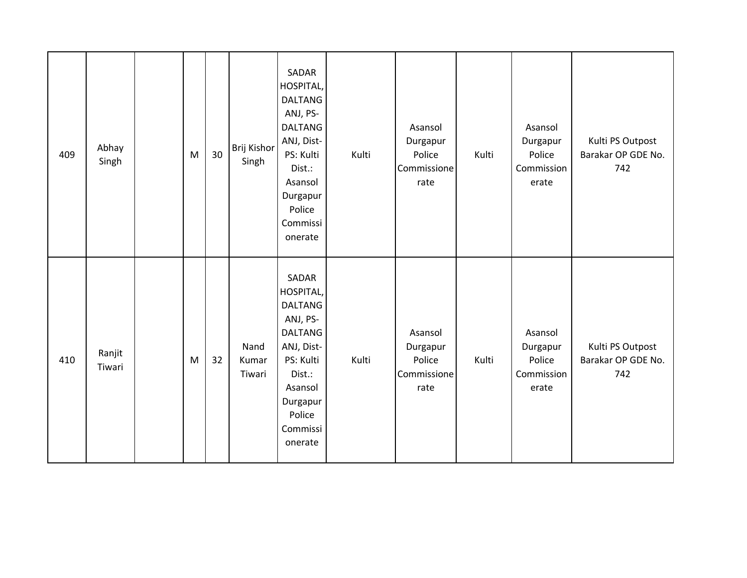| 409 | Abhay<br>Singh   | M | 30 | Brij Kishor<br>Singh    | SADAR<br>HOSPITAL,<br><b>DALTANG</b><br>ANJ, PS-<br><b>DALTANG</b><br>ANJ, Dist-<br>PS: Kulti<br>Dist.:<br>Asansol<br>Durgapur<br>Police<br>Commissi<br>onerate | Kulti | Asansol<br>Durgapur<br>Police<br>Commissione<br>rate | Kulti | Asansol<br>Durgapur<br>Police<br>Commission<br>erate | Kulti PS Outpost<br>Barakar OP GDE No.<br>742 |
|-----|------------------|---|----|-------------------------|-----------------------------------------------------------------------------------------------------------------------------------------------------------------|-------|------------------------------------------------------|-------|------------------------------------------------------|-----------------------------------------------|
| 410 | Ranjit<br>Tiwari | M | 32 | Nand<br>Kumar<br>Tiwari | SADAR<br>HOSPITAL,<br><b>DALTANG</b><br>ANJ, PS-<br><b>DALTANG</b><br>ANJ, Dist-<br>PS: Kulti<br>Dist.:<br>Asansol<br>Durgapur<br>Police<br>Commissi<br>onerate | Kulti | Asansol<br>Durgapur<br>Police<br>Commissione<br>rate | Kulti | Asansol<br>Durgapur<br>Police<br>Commission<br>erate | Kulti PS Outpost<br>Barakar OP GDE No.<br>742 |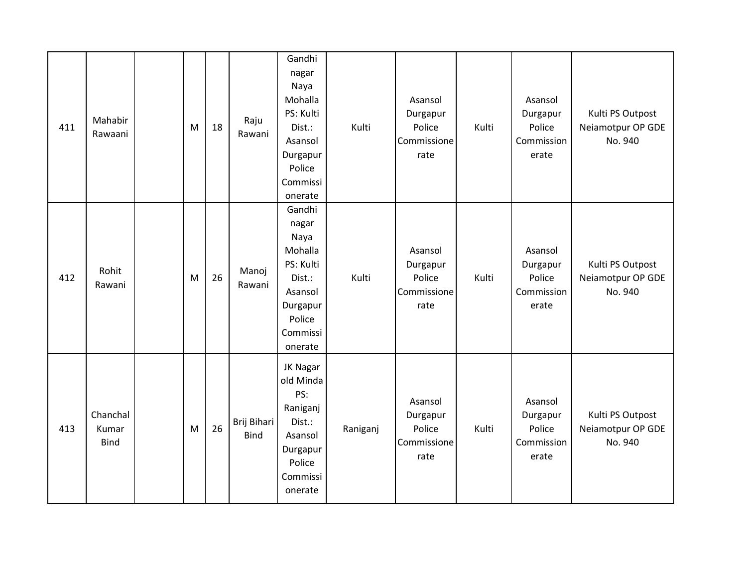| 411 | Mahabir<br>Rawaani               | M | 18 | Raju<br>Rawani             | Gandhi<br>nagar<br>Naya<br>Mohalla<br>PS: Kulti<br>Dist.:<br>Asansol<br>Durgapur<br>Police<br>Commissi<br>onerate | Kulti    | Asansol<br>Durgapur<br>Police<br>Commissione<br>rate | Kulti | Asansol<br>Durgapur<br>Police<br>Commission<br>erate | Kulti PS Outpost<br>Neiamotpur OP GDE<br>No. 940 |
|-----|----------------------------------|---|----|----------------------------|-------------------------------------------------------------------------------------------------------------------|----------|------------------------------------------------------|-------|------------------------------------------------------|--------------------------------------------------|
| 412 | Rohit<br>Rawani                  | M | 26 | Manoj<br>Rawani            | Gandhi<br>nagar<br>Naya<br>Mohalla<br>PS: Kulti<br>Dist.:<br>Asansol<br>Durgapur<br>Police<br>Commissi<br>onerate | Kulti    | Asansol<br>Durgapur<br>Police<br>Commissione<br>rate | Kulti | Asansol<br>Durgapur<br>Police<br>Commission<br>erate | Kulti PS Outpost<br>Neiamotpur OP GDE<br>No. 940 |
| 413 | Chanchal<br>Kumar<br><b>Bind</b> | M | 26 | Brij Bihari<br><b>Bind</b> | JK Nagar<br>old Minda<br>PS:<br>Raniganj<br>Dist.:<br>Asansol<br>Durgapur<br>Police<br>Commissi<br>onerate        | Raniganj | Asansol<br>Durgapur<br>Police<br>Commissione<br>rate | Kulti | Asansol<br>Durgapur<br>Police<br>Commission<br>erate | Kulti PS Outpost<br>Neiamotpur OP GDE<br>No. 940 |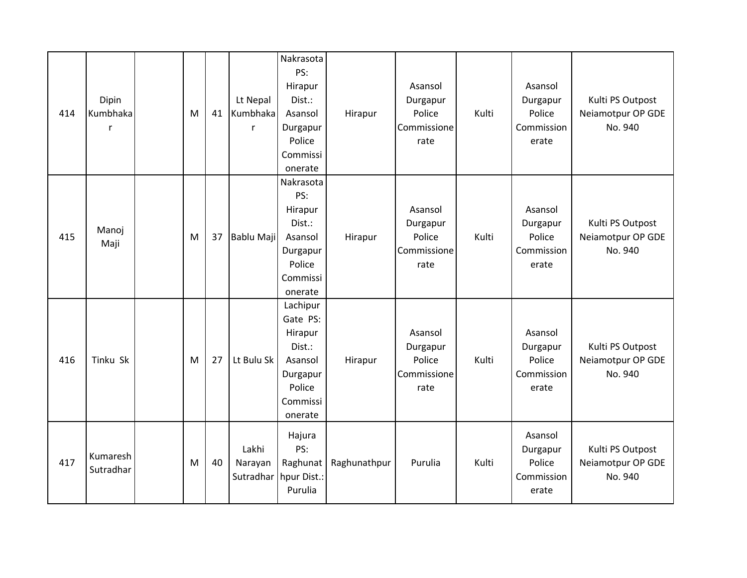| 414 | Dipin<br>Kumbhaka     | M | 41 | Lt Nepal<br>Kumbhaka<br>r     | Nakrasota<br>PS:<br>Hirapur<br>Dist.:<br>Asansol<br>Durgapur<br>Police<br>Commissi<br>onerate     | Hirapur      | Asansol<br>Durgapur<br>Police<br>Commissione<br>rate | Kulti | Asansol<br>Durgapur<br>Police<br>Commission<br>erate | Kulti PS Outpost<br>Neiamotpur OP GDE<br>No. 940 |
|-----|-----------------------|---|----|-------------------------------|---------------------------------------------------------------------------------------------------|--------------|------------------------------------------------------|-------|------------------------------------------------------|--------------------------------------------------|
| 415 | Manoj<br>Maji         | M | 37 | Bablu Maji                    | Nakrasota<br>PS:<br>Hirapur<br>Dist.:<br>Asansol<br>Durgapur<br>Police<br>Commissi<br>onerate     | Hirapur      | Asansol<br>Durgapur<br>Police<br>Commissione<br>rate | Kulti | Asansol<br>Durgapur<br>Police<br>Commission<br>erate | Kulti PS Outpost<br>Neiamotpur OP GDE<br>No. 940 |
| 416 | Tinku Sk              | M | 27 | Lt Bulu Sk                    | Lachipur<br>Gate PS:<br>Hirapur<br>Dist.:<br>Asansol<br>Durgapur<br>Police<br>Commissi<br>onerate | Hirapur      | Asansol<br>Durgapur<br>Police<br>Commissione<br>rate | Kulti | Asansol<br>Durgapur<br>Police<br>Commission<br>erate | Kulti PS Outpost<br>Neiamotpur OP GDE<br>No. 940 |
| 417 | Kumaresh<br>Sutradhar | M | 40 | Lakhi<br>Narayan<br>Sutradhar | Hajura<br>PS:<br>Raghunat<br>hpur Dist.:<br>Purulia                                               | Raghunathpur | Purulia                                              | Kulti | Asansol<br>Durgapur<br>Police<br>Commission<br>erate | Kulti PS Outpost<br>Neiamotpur OP GDE<br>No. 940 |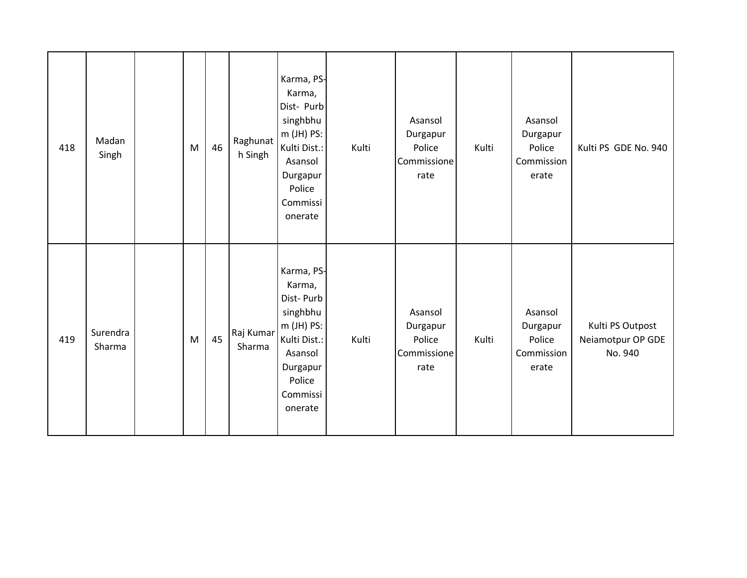| 418 | Madan<br>Singh     | ${\sf M}$ | 46 | Raghunat<br>h Singh | Karma, PS-<br>Karma,<br>Dist- Purb<br>singhbhu<br>$m$ (JH) PS:<br>Kulti Dist.:<br>Asansol<br>Durgapur<br>Police<br>Commissi<br>onerate | Kulti | Asansol<br>Durgapur<br>Police<br>Commissione<br>rate | Kulti | Asansol<br>Durgapur<br>Police<br>Commission<br>erate | Kulti PS GDE No. 940                             |
|-----|--------------------|-----------|----|---------------------|----------------------------------------------------------------------------------------------------------------------------------------|-------|------------------------------------------------------|-------|------------------------------------------------------|--------------------------------------------------|
| 419 | Surendra<br>Sharma | M         | 45 | Raj Kumar<br>Sharma | Karma, PS-<br>Karma,<br>Dist-Purb<br>singhbhu<br>$m$ (JH) PS:<br>Kulti Dist.:<br>Asansol<br>Durgapur<br>Police<br>Commissi<br>onerate  | Kulti | Asansol<br>Durgapur<br>Police<br>Commissione<br>rate | Kulti | Asansol<br>Durgapur<br>Police<br>Commission<br>erate | Kulti PS Outpost<br>Neiamotpur OP GDE<br>No. 940 |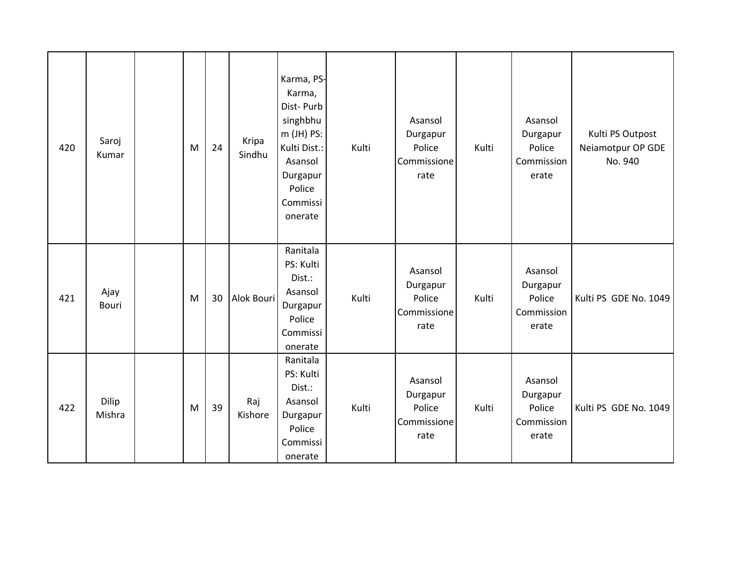| 420 | Saroj<br>Kumar  | M | 24 | Kripa<br>Sindhu | Karma, PS-<br>Karma,<br>Dist-Purb<br>singhbhu<br>m (JH) PS:<br>Kulti Dist.:<br>Asansol<br>Durgapur<br>Police<br>Commissi<br>onerate | Kulti | Asansol<br>Durgapur<br>Police<br>Commissione<br>rate | Kulti | Asansol<br>Durgapur<br>Police<br>Commission<br>erate | Kulti PS Outpost<br>Neiamotpur OP GDE<br>No. 940 |
|-----|-----------------|---|----|-----------------|-------------------------------------------------------------------------------------------------------------------------------------|-------|------------------------------------------------------|-------|------------------------------------------------------|--------------------------------------------------|
| 421 | Ajay<br>Bouri   | M | 30 | Alok Bouri      | Ranitala<br>PS: Kulti<br>Dist.:<br>Asansol<br>Durgapur<br>Police<br>Commissi<br>onerate                                             | Kulti | Asansol<br>Durgapur<br>Police<br>Commissione<br>rate | Kulti | Asansol<br>Durgapur<br>Police<br>Commission<br>erate | Kulti PS GDE No. 1049                            |
| 422 | Dilip<br>Mishra | M | 39 | Raj<br>Kishore  | Ranitala<br>PS: Kulti<br>Dist.:<br>Asansol<br>Durgapur<br>Police<br>Commissi<br>onerate                                             | Kulti | Asansol<br>Durgapur<br>Police<br>Commissione<br>rate | Kulti | Asansol<br>Durgapur<br>Police<br>Commission<br>erate | Kulti PS GDE No. 1049                            |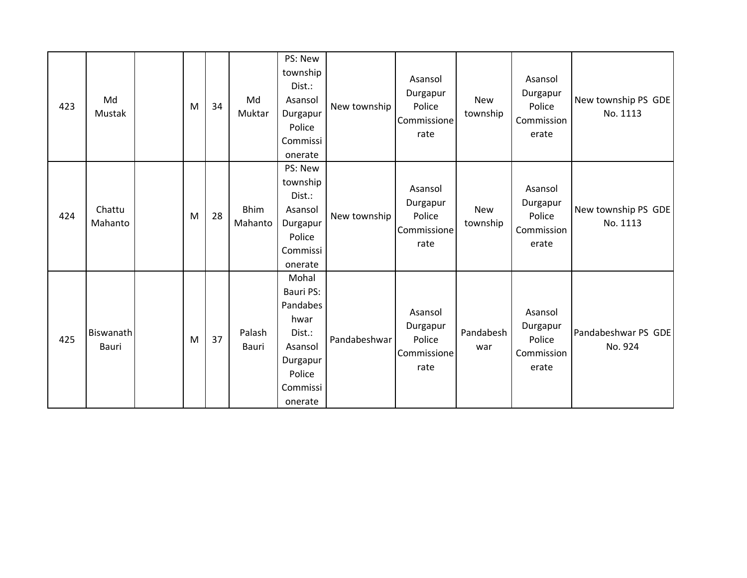| 423 | Md<br>Mustak       | M | 34 | Md<br>Muktar           | PS: New<br>township<br>Dist.:<br>Asansol<br>Durgapur<br>Police<br>Commissi<br>onerate                    | New township | Asansol<br>Durgapur<br>Police<br>Commissione<br>rate | New<br>township        | Asansol<br>Durgapur<br>Police<br>Commission<br>erate | New township PS GDE<br>No. 1113 |
|-----|--------------------|---|----|------------------------|----------------------------------------------------------------------------------------------------------|--------------|------------------------------------------------------|------------------------|------------------------------------------------------|---------------------------------|
| 424 | Chattu<br>Mahanto  | M | 28 | <b>Bhim</b><br>Mahanto | PS: New<br>township<br>Dist.:<br>Asansol<br>Durgapur<br>Police<br>Commissi<br>onerate                    | New township | Asansol<br>Durgapur<br>Police<br>Commissione<br>rate | <b>New</b><br>township | Asansol<br>Durgapur<br>Police<br>Commission<br>erate | New township PS GDE<br>No. 1113 |
| 425 | Biswanath<br>Bauri | M | 37 | Palash<br>Bauri        | Mohal<br>Bauri PS:<br>Pandabes<br>hwar<br>Dist.:<br>Asansol<br>Durgapur<br>Police<br>Commissi<br>onerate | Pandabeshwar | Asansol<br>Durgapur<br>Police<br>Commissione<br>rate | Pandabesh<br>war       | Asansol<br>Durgapur<br>Police<br>Commission<br>erate | Pandabeshwar PS GDE<br>No. 924  |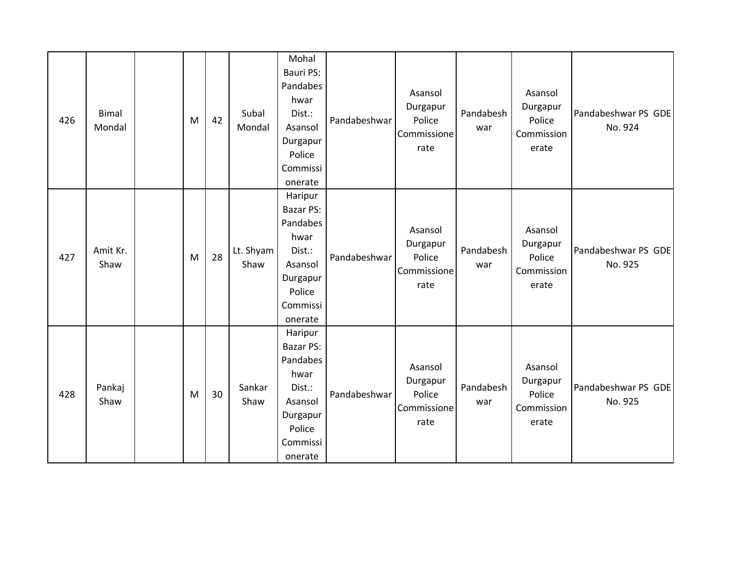| 426 | <b>Bimal</b><br>Mondal | M | 42 | Subal<br>Mondal   | Mohal<br>Bauri PS:<br>Pandabes<br>hwar<br>Dist.:<br>Asansol<br>Durgapur<br>Police<br>Commissi<br>onerate          | Pandabeshwar | Asansol<br>Durgapur<br>Police<br>Commissione<br>rate | Pandabesh<br>war | Asansol<br>Durgapur<br>Police<br>Commission<br>erate | Pandabeshwar PS GDE<br>No. 924 |
|-----|------------------------|---|----|-------------------|-------------------------------------------------------------------------------------------------------------------|--------------|------------------------------------------------------|------------------|------------------------------------------------------|--------------------------------|
| 427 | Amit Kr.<br>Shaw       | M | 28 | Lt. Shyam<br>Shaw | Haripur<br><b>Bazar PS:</b><br>Pandabes<br>hwar<br>Dist.:<br>Asansol<br>Durgapur<br>Police<br>Commissi<br>onerate | Pandabeshwar | Asansol<br>Durgapur<br>Police<br>Commissione<br>rate | Pandabesh<br>war | Asansol<br>Durgapur<br>Police<br>Commission<br>erate | Pandabeshwar PS GDE<br>No. 925 |
| 428 | Pankaj<br>Shaw         | M | 30 | Sankar<br>Shaw    | Haripur<br><b>Bazar PS:</b><br>Pandabes<br>hwar<br>Dist.:<br>Asansol<br>Durgapur<br>Police<br>Commissi<br>onerate | Pandabeshwar | Asansol<br>Durgapur<br>Police<br>Commissione<br>rate | Pandabesh<br>war | Asansol<br>Durgapur<br>Police<br>Commission<br>erate | Pandabeshwar PS GDE<br>No. 925 |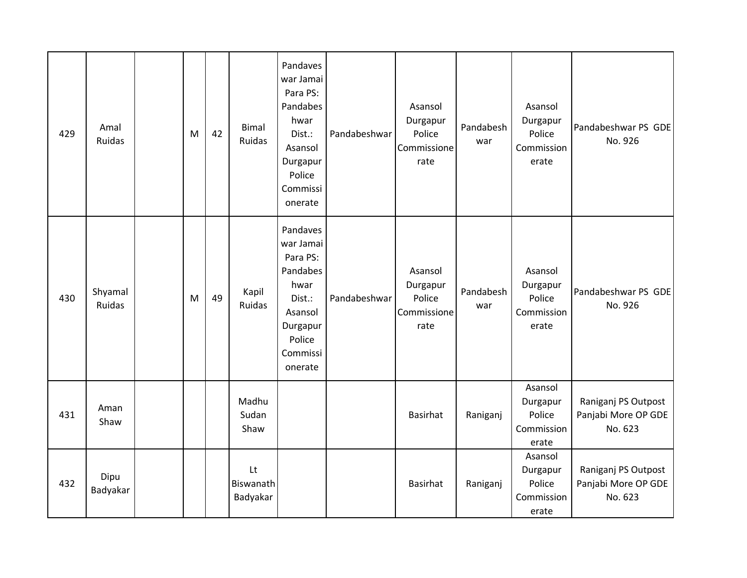| 429 | Amal<br>Ruidas    | M | 42 | <b>Bimal</b><br>Ruidas      | Pandaves<br>war Jamai<br>Para PS:<br>Pandabes<br>hwar<br>Dist.:<br>Asansol<br>Durgapur<br>Police<br>Commissi<br>onerate | Pandabeshwar | Asansol<br>Durgapur<br>Police<br>Commissione<br>rate | Pandabesh<br>war | Asansol<br>Durgapur<br>Police<br>Commission<br>erate | Pandabeshwar PS GDE<br>No. 926                        |
|-----|-------------------|---|----|-----------------------------|-------------------------------------------------------------------------------------------------------------------------|--------------|------------------------------------------------------|------------------|------------------------------------------------------|-------------------------------------------------------|
| 430 | Shyamal<br>Ruidas | M | 49 | Kapil<br>Ruidas             | Pandaves<br>war Jamai<br>Para PS:<br>Pandabes<br>hwar<br>Dist.:<br>Asansol<br>Durgapur<br>Police<br>Commissi<br>onerate | Pandabeshwar | Asansol<br>Durgapur<br>Police<br>Commissione<br>rate | Pandabesh<br>war | Asansol<br>Durgapur<br>Police<br>Commission<br>erate | Pandabeshwar PS GDE<br>No. 926                        |
| 431 | Aman<br>Shaw      |   |    | Madhu<br>Sudan<br>Shaw      |                                                                                                                         |              | Basirhat                                             | Raniganj         | Asansol<br>Durgapur<br>Police<br>Commission<br>erate | Raniganj PS Outpost<br>Panjabi More OP GDE<br>No. 623 |
| 432 | Dipu<br>Badyakar  |   |    | Lt<br>Biswanath<br>Badyakar |                                                                                                                         |              | Basirhat                                             | Raniganj         | Asansol<br>Durgapur<br>Police<br>Commission<br>erate | Raniganj PS Outpost<br>Panjabi More OP GDE<br>No. 623 |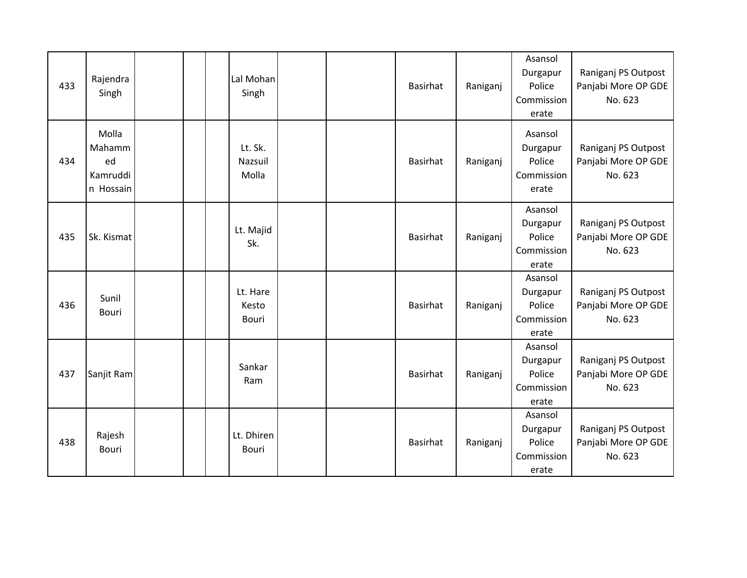| 433 | Rajendra<br>Singh                              |  | Lal Mohan<br>Singh          |  | <b>Basirhat</b> | Raniganj | Asansol<br>Durgapur<br>Police<br>Commission<br>erate | Raniganj PS Outpost<br>Panjabi More OP GDE<br>No. 623 |
|-----|------------------------------------------------|--|-----------------------------|--|-----------------|----------|------------------------------------------------------|-------------------------------------------------------|
| 434 | Molla<br>Mahamm<br>ed<br>Kamruddi<br>n Hossain |  | Lt. Sk.<br>Nazsuil<br>Molla |  | Basirhat        | Raniganj | Asansol<br>Durgapur<br>Police<br>Commission<br>erate | Raniganj PS Outpost<br>Panjabi More OP GDE<br>No. 623 |
| 435 | Sk. Kismat                                     |  | Lt. Majid<br>Sk.            |  | Basirhat        | Raniganj | Asansol<br>Durgapur<br>Police<br>Commission<br>erate | Raniganj PS Outpost<br>Panjabi More OP GDE<br>No. 623 |
| 436 | Sunil<br>Bouri                                 |  | Lt. Hare<br>Kesto<br>Bouri  |  | Basirhat        | Raniganj | Asansol<br>Durgapur<br>Police<br>Commission<br>erate | Raniganj PS Outpost<br>Panjabi More OP GDE<br>No. 623 |
| 437 | Sanjit Ram                                     |  | Sankar<br>Ram               |  | <b>Basirhat</b> | Raniganj | Asansol<br>Durgapur<br>Police<br>Commission<br>erate | Raniganj PS Outpost<br>Panjabi More OP GDE<br>No. 623 |
| 438 | Rajesh<br>Bouri                                |  | Lt. Dhiren<br><b>Bouri</b>  |  | <b>Basirhat</b> | Raniganj | Asansol<br>Durgapur<br>Police<br>Commission<br>erate | Raniganj PS Outpost<br>Panjabi More OP GDE<br>No. 623 |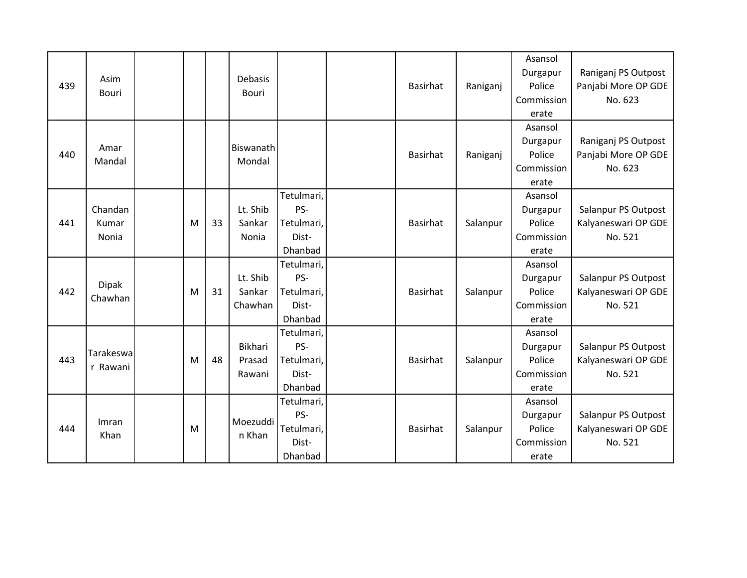| 439 | Asim<br><b>Bouri</b>      |   |    | <b>Debasis</b><br>Bouri            |                                                     | <b>Basirhat</b> | Raniganj | Asansol<br>Durgapur<br>Police<br>Commission<br>erate | Raniganj PS Outpost<br>Panjabi More OP GDE<br>No. 623 |
|-----|---------------------------|---|----|------------------------------------|-----------------------------------------------------|-----------------|----------|------------------------------------------------------|-------------------------------------------------------|
| 440 | Amar<br>Mandal            |   |    | Biswanath<br>Mondal                |                                                     | Basirhat        | Raniganj | Asansol<br>Durgapur<br>Police<br>Commission<br>erate | Raniganj PS Outpost<br>Panjabi More OP GDE<br>No. 623 |
| 441 | Chandan<br>Kumar<br>Nonia | M | 33 | Lt. Shib<br>Sankar<br>Nonia        | Tetulmari,<br>PS-<br>Tetulmari,<br>Dist-<br>Dhanbad | <b>Basirhat</b> | Salanpur | Asansol<br>Durgapur<br>Police<br>Commission<br>erate | Salanpur PS Outpost<br>Kalyaneswari OP GDE<br>No. 521 |
| 442 | <b>Dipak</b><br>Chawhan   | M | 31 | Lt. Shib<br>Sankar<br>Chawhan      | Tetulmari,<br>PS-<br>Tetulmari,<br>Dist-<br>Dhanbad | <b>Basirhat</b> | Salanpur | Asansol<br>Durgapur<br>Police<br>Commission<br>erate | Salanpur PS Outpost<br>Kalyaneswari OP GDE<br>No. 521 |
| 443 | Tarakeswa<br>r Rawani     | M | 48 | <b>Bikhari</b><br>Prasad<br>Rawani | Tetulmari,<br>PS-<br>Tetulmari,<br>Dist-<br>Dhanbad | <b>Basirhat</b> | Salanpur | Asansol<br>Durgapur<br>Police<br>Commission<br>erate | Salanpur PS Outpost<br>Kalyaneswari OP GDE<br>No. 521 |
| 444 | Imran<br>Khan             | M |    | Moezuddi<br>n Khan                 | Tetulmari,<br>PS-<br>Tetulmari,<br>Dist-<br>Dhanbad | <b>Basirhat</b> | Salanpur | Asansol<br>Durgapur<br>Police<br>Commission<br>erate | Salanpur PS Outpost<br>Kalyaneswari OP GDE<br>No. 521 |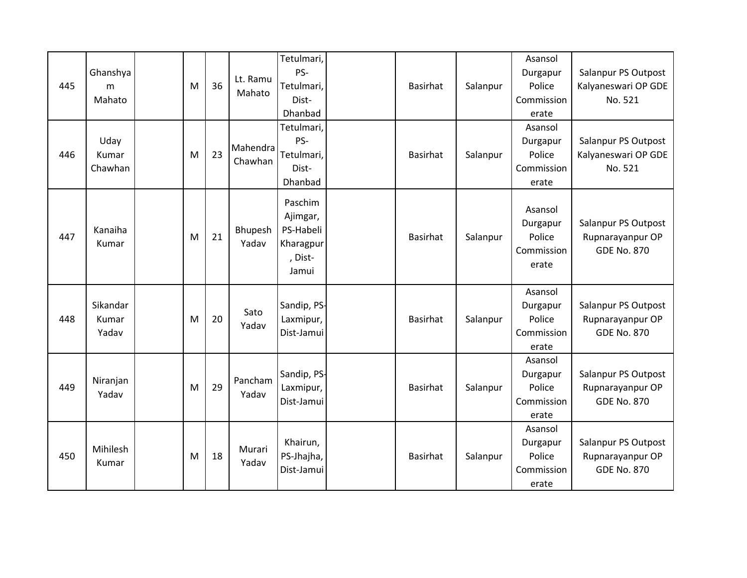| 445 | Ghanshya<br>m<br>Mahato    | M | 36 | Lt. Ramu<br>Mahato  | Tetulmari,<br>PS-<br>Tetulmari,<br>Dist-<br>Dhanbad               | <b>Basirhat</b> | Salanpur | Asansol<br>Durgapur<br>Police<br>Commission<br>erate | Salanpur PS Outpost<br>Kalyaneswari OP GDE<br>No. 521         |
|-----|----------------------------|---|----|---------------------|-------------------------------------------------------------------|-----------------|----------|------------------------------------------------------|---------------------------------------------------------------|
| 446 | Uday<br>Kumar<br>Chawhan   | M | 23 | Mahendra<br>Chawhan | Tetulmari,<br>PS-<br>Tetulmari,<br>Dist-<br>Dhanbad               | <b>Basirhat</b> | Salanpur | Asansol<br>Durgapur<br>Police<br>Commission<br>erate | Salanpur PS Outpost<br>Kalyaneswari OP GDE<br>No. 521         |
| 447 | Kanaiha<br>Kumar           | M | 21 | Bhupesh<br>Yadav    | Paschim<br>Ajimgar,<br>PS-Habeli<br>Kharagpur<br>, Dist-<br>Jamui | <b>Basirhat</b> | Salanpur | Asansol<br>Durgapur<br>Police<br>Commission<br>erate | Salanpur PS Outpost<br>Rupnarayanpur OP<br><b>GDE No. 870</b> |
| 448 | Sikandar<br>Kumar<br>Yadav | M | 20 | Sato<br>Yadav       | Sandip, PS-<br>Laxmipur,<br>Dist-Jamui                            | <b>Basirhat</b> | Salanpur | Asansol<br>Durgapur<br>Police<br>Commission<br>erate | Salanpur PS Outpost<br>Rupnarayanpur OP<br><b>GDE No. 870</b> |
| 449 | Niranjan<br>Yadav          | M | 29 | Pancham<br>Yadav    | Sandip, PS-<br>Laxmipur,<br>Dist-Jamui                            | <b>Basirhat</b> | Salanpur | Asansol<br>Durgapur<br>Police<br>Commission<br>erate | Salanpur PS Outpost<br>Rupnarayanpur OP<br><b>GDE No. 870</b> |
| 450 | Mihilesh<br>Kumar          | M | 18 | Murari<br>Yadav     | Khairun,<br>PS-Jhajha,<br>Dist-Jamui                              | <b>Basirhat</b> | Salanpur | Asansol<br>Durgapur<br>Police<br>Commission<br>erate | Salanpur PS Outpost<br>Rupnarayanpur OP<br><b>GDE No. 870</b> |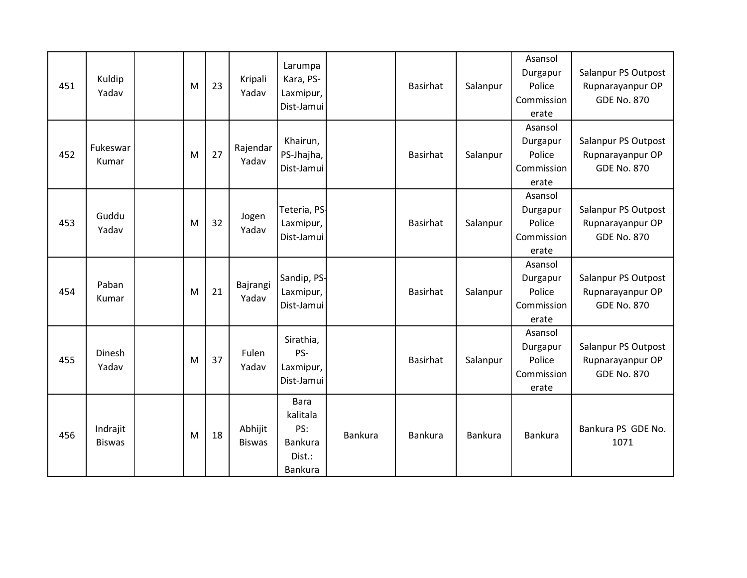| 451 | Kuldip<br>Yadav           | M | 23 | Kripali<br>Yadav         | Larumpa<br>Kara, PS-<br>Laxmipur,<br>Dist-Jamui                |                | <b>Basirhat</b> | Salanpur | Asansol<br>Durgapur<br>Police<br>Commission<br>erate | Salanpur PS Outpost<br>Rupnarayanpur OP<br><b>GDE No. 870</b> |
|-----|---------------------------|---|----|--------------------------|----------------------------------------------------------------|----------------|-----------------|----------|------------------------------------------------------|---------------------------------------------------------------|
| 452 | Fukeswar<br>Kumar         | M | 27 | Rajendar<br>Yadav        | Khairun,<br>PS-Jhajha,<br>Dist-Jamui                           |                | <b>Basirhat</b> | Salanpur | Asansol<br>Durgapur<br>Police<br>Commission<br>erate | Salanpur PS Outpost<br>Rupnarayanpur OP<br><b>GDE No. 870</b> |
| 453 | Guddu<br>Yadav            | M | 32 | Jogen<br>Yadav           | Teteria, PS-<br>Laxmipur,<br>Dist-Jamui                        |                | <b>Basirhat</b> | Salanpur | Asansol<br>Durgapur<br>Police<br>Commission<br>erate | Salanpur PS Outpost<br>Rupnarayanpur OP<br><b>GDE No. 870</b> |
| 454 | Paban<br>Kumar            | M | 21 | Bajrangi<br>Yadav        | Sandip, PS-<br>Laxmipur,<br>Dist-Jamui                         |                | <b>Basirhat</b> | Salanpur | Asansol<br>Durgapur<br>Police<br>Commission<br>erate | Salanpur PS Outpost<br>Rupnarayanpur OP<br><b>GDE No. 870</b> |
| 455 | Dinesh<br>Yadav           | M | 37 | Fulen<br>Yadav           | Sirathia,<br>PS-<br>Laxmipur,<br>Dist-Jamui                    |                | <b>Basirhat</b> | Salanpur | Asansol<br>Durgapur<br>Police<br>Commission<br>erate | Salanpur PS Outpost<br>Rupnarayanpur OP<br><b>GDE No. 870</b> |
| 456 | Indrajit<br><b>Biswas</b> | M | 18 | Abhijit<br><b>Biswas</b> | <b>Bara</b><br>kalitala<br>PS:<br>Bankura<br>Dist.:<br>Bankura | <b>Bankura</b> | <b>Bankura</b>  | Bankura  | Bankura                                              | Bankura PS GDE No.<br>1071                                    |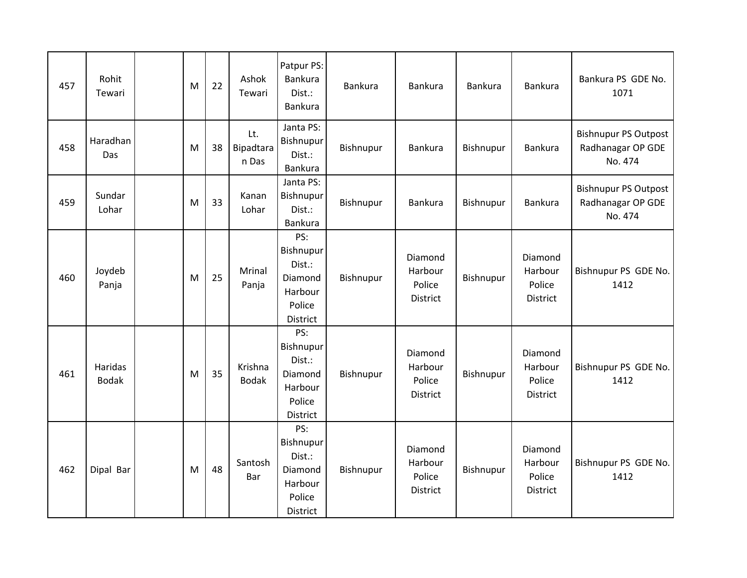| 457 | Rohit<br>Tewari         | M | 22 | Ashok<br>Tewari           | Patpur PS:<br>Bankura<br>Dist.:<br><b>Bankura</b>                      | <b>Bankura</b> | Bankura                                         | Bankura   | Bankura                                  | Bankura PS GDE No.<br>1071                                  |
|-----|-------------------------|---|----|---------------------------|------------------------------------------------------------------------|----------------|-------------------------------------------------|-----------|------------------------------------------|-------------------------------------------------------------|
| 458 | Haradhan<br>Das         | M | 38 | Lt.<br>Bipadtara<br>n Das | Janta PS:<br>Bishnupur<br>Dist.:<br>Bankura                            | Bishnupur      | Bankura                                         | Bishnupur | <b>Bankura</b>                           | <b>Bishnupur PS Outpost</b><br>Radhanagar OP GDE<br>No. 474 |
| 459 | Sundar<br>Lohar         | M | 33 | Kanan<br>Lohar            | Janta PS:<br>Bishnupur<br>Dist.:<br>Bankura                            | Bishnupur      | <b>Bankura</b>                                  | Bishnupur | Bankura                                  | <b>Bishnupur PS Outpost</b><br>Radhanagar OP GDE<br>No. 474 |
| 460 | Joydeb<br>Panja         | M | 25 | Mrinal<br>Panja           | PS:<br>Bishnupur<br>Dist.:<br>Diamond<br>Harbour<br>Police<br>District | Bishnupur      | Diamond<br>Harbour<br>Police<br>District        | Bishnupur | Diamond<br>Harbour<br>Police<br>District | Bishnupur PS GDE No.<br>1412                                |
| 461 | Haridas<br><b>Bodak</b> | M | 35 | Krishna<br><b>Bodak</b>   | PS:<br>Bishnupur<br>Dist.:<br>Diamond<br>Harbour<br>Police<br>District | Bishnupur      | Diamond<br>Harbour<br>Police<br><b>District</b> | Bishnupur | Diamond<br>Harbour<br>Police<br>District | Bishnupur PS GDE No.<br>1412                                |
| 462 | Dipal Bar               | M | 48 | Santosh<br>Bar            | PS:<br>Bishnupur<br>Dist.:<br>Diamond<br>Harbour<br>Police<br>District | Bishnupur      | Diamond<br>Harbour<br>Police<br>District        | Bishnupur | Diamond<br>Harbour<br>Police<br>District | Bishnupur PS GDE No.<br>1412                                |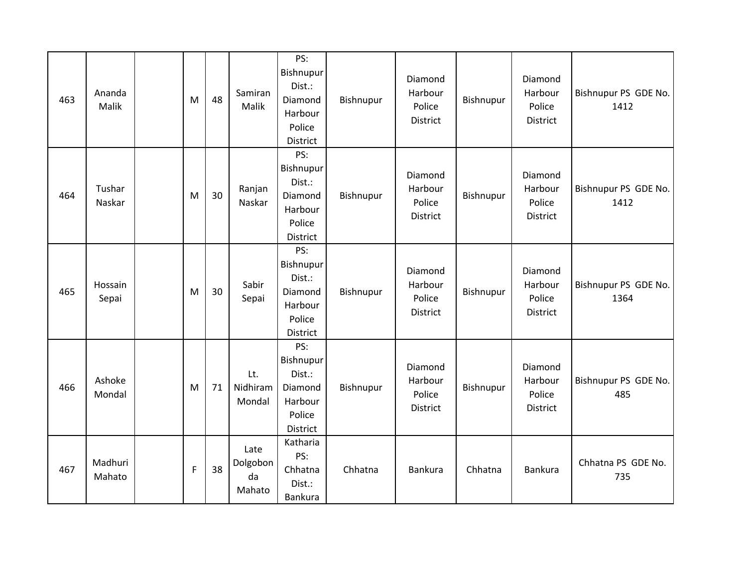| 463 | Ananda<br>Malik   | M           | 48 | Samiran<br>Malik                 | PS:<br>Bishnupur<br>Dist.:<br>Diamond<br>Harbour<br>Police<br>District | Bishnupur | Diamond<br>Harbour<br>Police<br><b>District</b> | Bishnupur | Diamond<br>Harbour<br>Police<br><b>District</b> | Bishnupur PS GDE No.<br>1412 |
|-----|-------------------|-------------|----|----------------------------------|------------------------------------------------------------------------|-----------|-------------------------------------------------|-----------|-------------------------------------------------|------------------------------|
| 464 | Tushar<br>Naskar  | M           | 30 | Ranjan<br>Naskar                 | PS:<br>Bishnupur<br>Dist.:<br>Diamond<br>Harbour<br>Police<br>District | Bishnupur | Diamond<br>Harbour<br>Police<br>District        | Bishnupur | Diamond<br>Harbour<br>Police<br>District        | Bishnupur PS GDE No.<br>1412 |
| 465 | Hossain<br>Sepai  | M           | 30 | Sabir<br>Sepai                   | PS:<br>Bishnupur<br>Dist.:<br>Diamond<br>Harbour<br>Police<br>District | Bishnupur | Diamond<br>Harbour<br>Police<br><b>District</b> | Bishnupur | Diamond<br>Harbour<br>Police<br><b>District</b> | Bishnupur PS GDE No.<br>1364 |
| 466 | Ashoke<br>Mondal  | M           | 71 | Lt.<br>Nidhiram<br>Mondal        | PS:<br>Bishnupur<br>Dist.:<br>Diamond<br>Harbour<br>Police<br>District | Bishnupur | Diamond<br>Harbour<br>Police<br><b>District</b> | Bishnupur | Diamond<br>Harbour<br>Police<br><b>District</b> | Bishnupur PS GDE No.<br>485  |
| 467 | Madhuri<br>Mahato | $\mathsf F$ | 38 | Late<br>Dolgobon<br>da<br>Mahato | Katharia<br>PS:<br>Chhatna<br>Dist.:<br><b>Bankura</b>                 | Chhatna   | Bankura                                         | Chhatna   | <b>Bankura</b>                                  | Chhatna PS GDE No.<br>735    |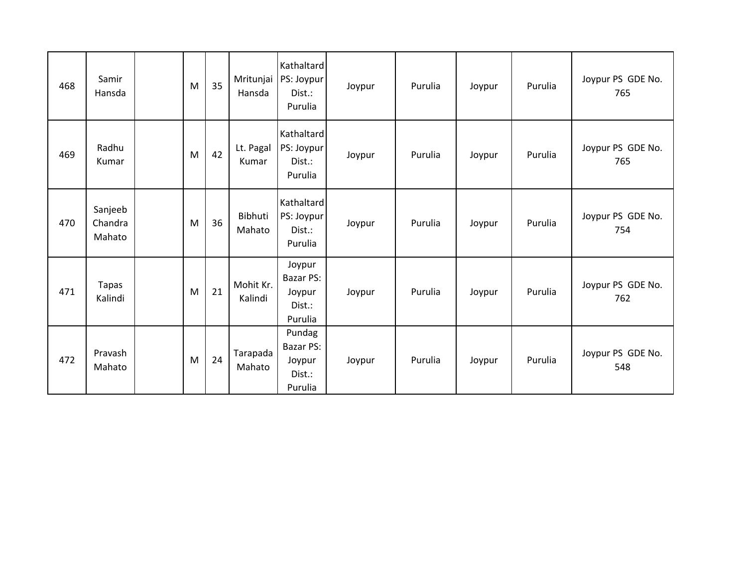| 468 | Samir<br>Hansda              | M | 35 | Mritunjai<br>Hansda  | Kathaltard<br>PS: Joypur<br>Dist.:<br>Purulia             | Joypur | Purulia | Joypur | Purulia | Joypur PS GDE No.<br>765 |
|-----|------------------------------|---|----|----------------------|-----------------------------------------------------------|--------|---------|--------|---------|--------------------------|
| 469 | Radhu<br>Kumar               | M | 42 | Lt. Pagal<br>Kumar   | Kathaltard<br>PS: Joypur<br>Dist.:<br>Purulia             | Joypur | Purulia | Joypur | Purulia | Joypur PS GDE No.<br>765 |
| 470 | Sanjeeb<br>Chandra<br>Mahato | M | 36 | Bibhuti<br>Mahato    | Kathaltard<br>PS: Joypur<br>Dist.:<br>Purulia             | Joypur | Purulia | Joypur | Purulia | Joypur PS GDE No.<br>754 |
| 471 | <b>Tapas</b><br>Kalindi      | M | 21 | Mohit Kr.<br>Kalindi | Joypur<br><b>Bazar PS:</b><br>Joypur<br>Dist.:<br>Purulia | Joypur | Purulia | Joypur | Purulia | Joypur PS GDE No.<br>762 |
| 472 | Pravash<br>Mahato            | M | 24 | Tarapada<br>Mahato   | Pundag<br><b>Bazar PS:</b><br>Joypur<br>Dist.:<br>Purulia | Joypur | Purulia | Joypur | Purulia | Joypur PS GDE No.<br>548 |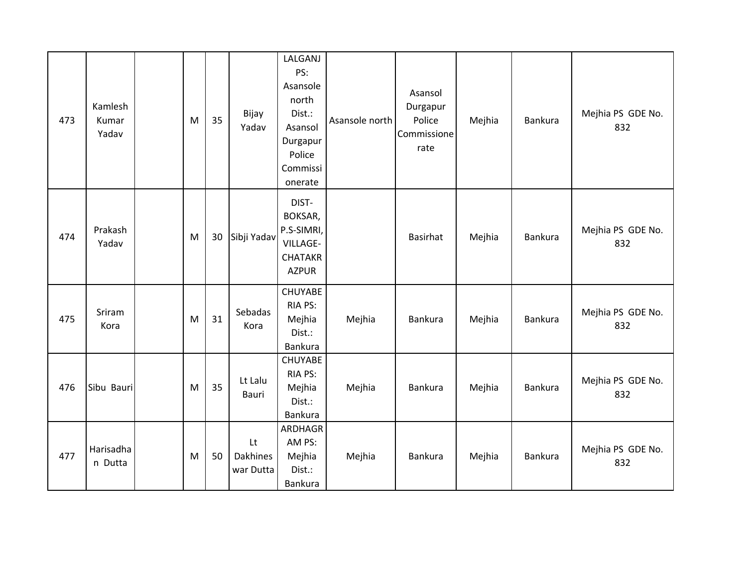| 473 | Kamlesh<br>Kumar<br>Yadav | M | 35 | Bijay<br>Yadav                     | LALGANJ<br>PS:<br>Asansole<br>north<br>Dist.:<br>Asansol<br>Durgapur<br>Police<br>Commissi<br>onerate | Asansole north | Asansol<br>Durgapur<br>Police<br>Commissione<br>rate | Mejhia | Bankura | Mejhia PS GDE No.<br>832 |
|-----|---------------------------|---|----|------------------------------------|-------------------------------------------------------------------------------------------------------|----------------|------------------------------------------------------|--------|---------|--------------------------|
| 474 | Prakash<br>Yadav          | M | 30 | Sibji Yadav                        | DIST-<br>BOKSAR,<br>P.S-SIMRI,<br><b>VILLAGE-</b><br><b>CHATAKR</b><br><b>AZPUR</b>                   |                | <b>Basirhat</b>                                      | Mejhia | Bankura | Mejhia PS GDE No.<br>832 |
| 475 | Sriram<br>Kora            | M | 31 | Sebadas<br>Kora                    | <b>CHUYABE</b><br>RIA PS:<br>Mejhia<br>Dist.:<br>Bankura                                              | Mejhia         | Bankura                                              | Mejhia | Bankura | Mejhia PS GDE No.<br>832 |
| 476 | Sibu Bauri                | M | 35 | Lt Lalu<br>Bauri                   | <b>CHUYABE</b><br>RIA PS:<br>Mejhia<br>Dist.:<br><b>Bankura</b>                                       | Mejhia         | Bankura                                              | Mejhia | Bankura | Mejhia PS GDE No.<br>832 |
| 477 | Harisadha<br>n Dutta      | M | 50 | Lt<br><b>Dakhines</b><br>war Dutta | <b>ARDHAGR</b><br>AM PS:<br>Mejhia<br>Dist.:<br><b>Bankura</b>                                        | Mejhia         | Bankura                                              | Mejhia | Bankura | Mejhia PS GDE No.<br>832 |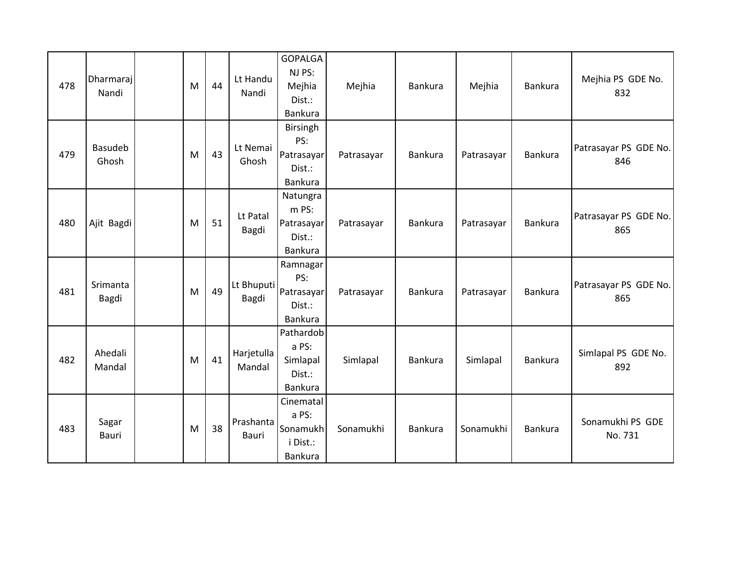| 478 | Dharmaraj<br>Nandi      | M | 44 | Lt Handu<br>Nandi    | <b>GOPALGA</b><br>NJ PS:<br>Mejhia<br>Dist.:<br>Bankura          | Mejhia     | Bankura | Mejhia     | Bankura | Mejhia PS GDE No.<br>832     |
|-----|-------------------------|---|----|----------------------|------------------------------------------------------------------|------------|---------|------------|---------|------------------------------|
| 479 | <b>Basudeb</b><br>Ghosh | M | 43 | Lt Nemai<br>Ghosh    | <b>Birsingh</b><br>PS:<br>Patrasayar<br>Dist.:<br><b>Bankura</b> | Patrasayar | Bankura | Patrasayar | Bankura | Patrasayar PS GDE No.<br>846 |
| 480 | Ajit Bagdi              | M | 51 | Lt Patal<br>Bagdi    | Natungra<br>m PS:<br>Patrasayar<br>Dist.:<br>Bankura             | Patrasayar | Bankura | Patrasayar | Bankura | Patrasayar PS GDE No.<br>865 |
| 481 | Srimanta<br>Bagdi       | M | 49 | Lt Bhuputi<br>Bagdi  | Ramnagar<br>PS:<br>Patrasayar<br>Dist.:<br><b>Bankura</b>        | Patrasayar | Bankura | Patrasayar | Bankura | Patrasayar PS GDE No.<br>865 |
| 482 | Ahedali<br>Mandal       | M | 41 | Harjetulla<br>Mandal | Pathardob<br>a PS:<br>Simlapal<br>Dist.:<br>Bankura              | Simlapal   | Bankura | Simlapal   | Bankura | Simlapal PS GDE No.<br>892   |
| 483 | Sagar<br>Bauri          | M | 38 | Prashanta<br>Bauri   | Cinematal<br>a PS:<br>Sonamukh<br>i Dist.:<br>Bankura            | Sonamukhi  | Bankura | Sonamukhi  | Bankura | Sonamukhi PS GDE<br>No. 731  |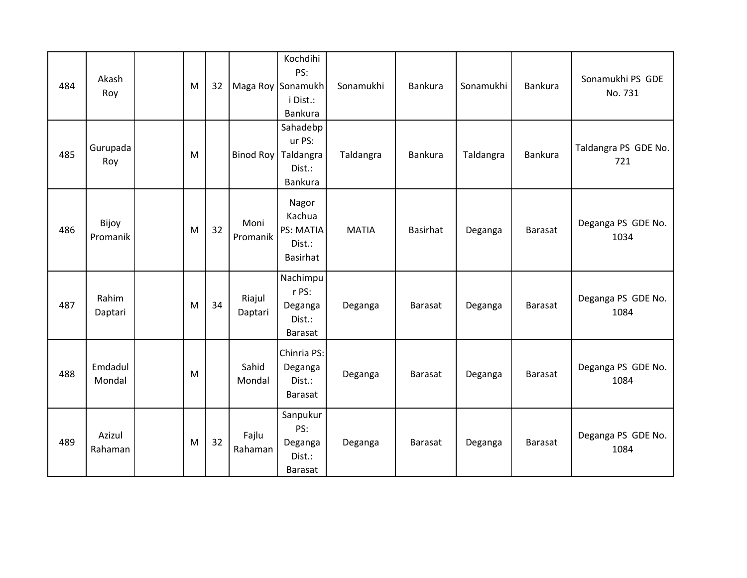| 484 | Akash<br>Roy      | M | 32 |                   | Kochdihi<br>PS:<br>Maga Roy Sonamukh<br>i Dist.:<br>Bankura      | Sonamukhi    | <b>Bankura</b> | Sonamukhi | Bankura        | Sonamukhi PS GDE<br>No. 731 |
|-----|-------------------|---|----|-------------------|------------------------------------------------------------------|--------------|----------------|-----------|----------------|-----------------------------|
| 485 | Gurupada<br>Roy   | M |    |                   | Sahadebp<br>ur PS:<br>Binod Roy   Taldangra<br>Dist.:<br>Bankura | Taldangra    | Bankura        | Taldangra | Bankura        | Taldangra PS GDE No.<br>721 |
| 486 | Bijoy<br>Promanik | M | 32 | Moni<br>Promanik  | Nagor<br>Kachua<br>PS: MATIA<br>Dist.:<br>Basirhat               | <b>MATIA</b> | Basirhat       | Deganga   | Barasat        | Deganga PS GDE No.<br>1034  |
| 487 | Rahim<br>Daptari  | M | 34 | Riajul<br>Daptari | Nachimpu<br>r PS:<br>Deganga<br>Dist.:<br>Barasat                | Deganga      | Barasat        | Deganga   | Barasat        | Deganga PS GDE No.<br>1084  |
| 488 | Emdadul<br>Mondal | M |    | Sahid<br>Mondal   | Chinria PS:<br>Deganga<br>Dist.:<br><b>Barasat</b>               | Deganga      | Barasat        | Deganga   | Barasat        | Deganga PS GDE No.<br>1084  |
| 489 | Azizul<br>Rahaman | M | 32 | Fajlu<br>Rahaman  | Sanpukur<br>PS:<br>Deganga<br>Dist.:<br>Barasat                  | Deganga      | Barasat        | Deganga   | <b>Barasat</b> | Deganga PS GDE No.<br>1084  |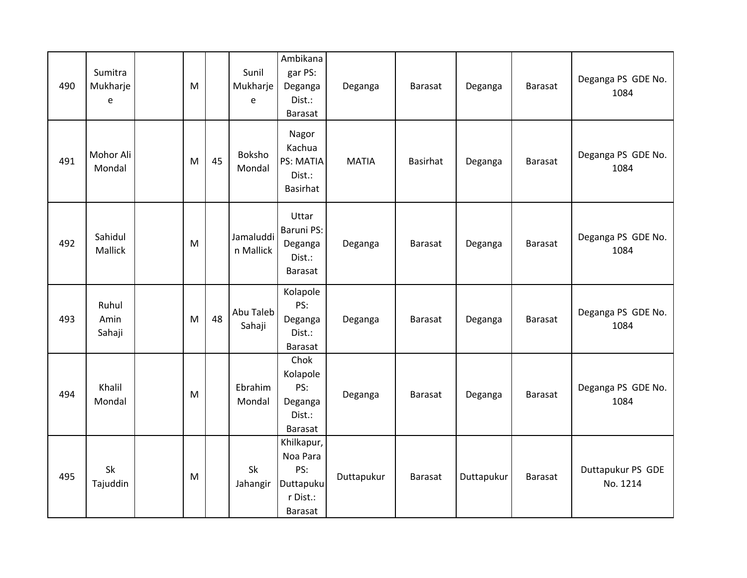| 490 | Sumitra<br>Mukharje<br>e | M |    | Sunil<br>Mukharje<br>e | Ambikana<br>gar PS:<br>Deganga<br>Dist.:<br>Barasat               | Deganga      | Barasat        | Deganga    | <b>Barasat</b> | Deganga PS GDE No.<br>1084    |
|-----|--------------------------|---|----|------------------------|-------------------------------------------------------------------|--------------|----------------|------------|----------------|-------------------------------|
| 491 | Mohor Ali<br>Mondal      | M | 45 | Boksho<br>Mondal       | Nagor<br>Kachua<br>PS: MATIA<br>Dist.:<br><b>Basirhat</b>         | <b>MATIA</b> | Basirhat       | Deganga    | Barasat        | Deganga PS GDE No.<br>1084    |
| 492 | Sahidul<br>Mallick       | M |    | Jamaluddi<br>n Mallick | Uttar<br><b>Baruni PS:</b><br>Deganga<br>Dist.:<br><b>Barasat</b> | Deganga      | Barasat        | Deganga    | Barasat        | Deganga PS GDE No.<br>1084    |
| 493 | Ruhul<br>Amin<br>Sahaji  | M | 48 | Abu Taleb<br>Sahaji    | Kolapole<br>PS:<br>Deganga<br>Dist.:<br><b>Barasat</b>            | Deganga      | Barasat        | Deganga    | Barasat        | Deganga PS GDE No.<br>1084    |
| 494 | Khalil<br>Mondal         | M |    | Ebrahim<br>Mondal      | Chok<br>Kolapole<br>PS:<br>Deganga<br>Dist.:<br>Barasat           | Deganga      | <b>Barasat</b> | Deganga    | Barasat        | Deganga PS GDE No.<br>1084    |
| 495 | Sk<br>Tajuddin           | M |    | Sk<br>Jahangir         | Khilkapur,<br>Noa Para<br>PS:<br>Duttapuku<br>r Dist.:<br>Barasat | Duttapukur   | <b>Barasat</b> | Duttapukur | <b>Barasat</b> | Duttapukur PS GDE<br>No. 1214 |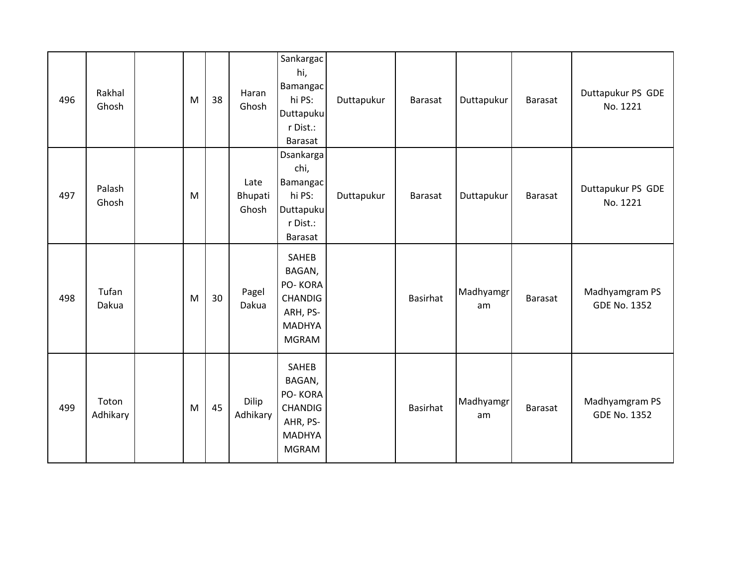| 496 | Rakhal<br>Ghosh   | M | 38 | Haran<br>Ghosh           | Sankargac<br>hi,<br><b>Bamangac</b><br>hi PS:<br>Duttapuku<br>r Dist.:<br>Barasat                | Duttapukur | Barasat         | Duttapukur      | Barasat        | Duttapukur PS GDE<br>No. 1221         |
|-----|-------------------|---|----|--------------------------|--------------------------------------------------------------------------------------------------|------------|-----------------|-----------------|----------------|---------------------------------------|
| 497 | Palash<br>Ghosh   | M |    | Late<br>Bhupati<br>Ghosh | Dsankarga<br>chi,<br>Bamangac<br>hi PS:<br>Duttapuku<br>r Dist.:<br><b>Barasat</b>               | Duttapukur | Barasat         | Duttapukur      | <b>Barasat</b> | Duttapukur PS GDE<br>No. 1221         |
| 498 | Tufan<br>Dakua    | M | 30 | Pagel<br>Dakua           | SAHEB<br>BAGAN,<br>PO-KORA<br><b>CHANDIG</b><br>ARH, PS-<br><b>MADHYA</b><br><b>MGRAM</b>        |            | <b>Basirhat</b> | Madhyamgr<br>am | Barasat        | Madhyamgram PS<br><b>GDE No. 1352</b> |
| 499 | Toton<br>Adhikary | M | 45 | Dilip<br>Adhikary        | <b>SAHEB</b><br>BAGAN,<br>PO-KORA<br><b>CHANDIG</b><br>AHR, PS-<br><b>MADHYA</b><br><b>MGRAM</b> |            | <b>Basirhat</b> | Madhyamgr<br>am | <b>Barasat</b> | Madhyamgram PS<br><b>GDE No. 1352</b> |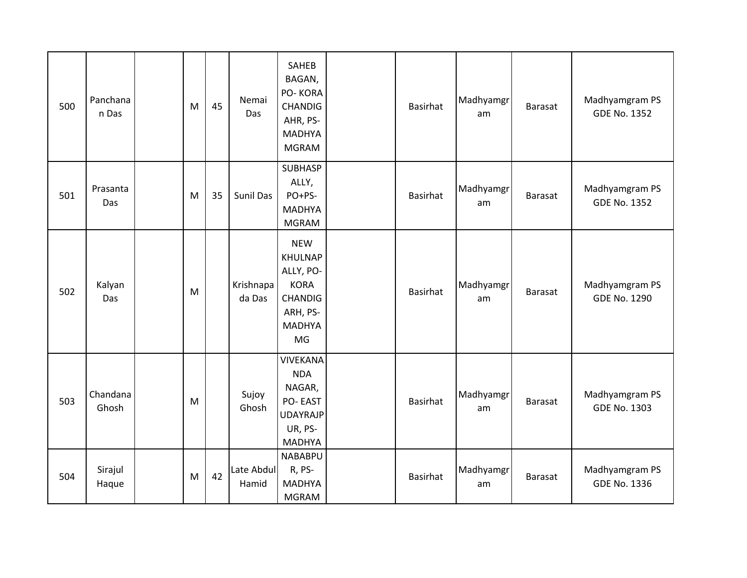| 500 | Panchana<br>n Das | M | 45 | Nemai<br>Das        | <b>SAHEB</b><br>BAGAN,<br>PO-KORA<br><b>CHANDIG</b><br>AHR, PS-<br><b>MADHYA</b><br><b>MGRAM</b>              | <b>Basirhat</b> | Madhyamgr<br>am | <b>Barasat</b> | Madhyamgram PS<br><b>GDE No. 1352</b> |
|-----|-------------------|---|----|---------------------|---------------------------------------------------------------------------------------------------------------|-----------------|-----------------|----------------|---------------------------------------|
| 501 | Prasanta<br>Das   | M | 35 | Sunil Das           | <b>SUBHASP</b><br>ALLY,<br>PO+PS-<br><b>MADHYA</b><br><b>MGRAM</b>                                            | <b>Basirhat</b> | Madhyamgr<br>am | Barasat        | Madhyamgram PS<br><b>GDE No. 1352</b> |
| 502 | Kalyan<br>Das     | M |    | Krishnapa<br>da Das | <b>NEW</b><br><b>KHULNAP</b><br>ALLY, PO-<br><b>KORA</b><br><b>CHANDIG</b><br>ARH, PS-<br><b>MADHYA</b><br>MG | <b>Basirhat</b> | Madhyamgr<br>am | Barasat        | Madhyamgram PS<br><b>GDE No. 1290</b> |
| 503 | Chandana<br>Ghosh | M |    | Sujoy<br>Ghosh      | <b>VIVEKANA</b><br><b>NDA</b><br>NAGAR,<br>PO-EAST<br><b>UDAYRAJP</b><br>UR, PS-<br><b>MADHYA</b>             | <b>Basirhat</b> | Madhyamgr<br>am | Barasat        | Madhyamgram PS<br><b>GDE No. 1303</b> |
| 504 | Sirajul<br>Haque  | M | 42 | Late Abdul<br>Hamid | <b>NABABPU</b><br>R, PS-<br><b>MADHYA</b><br><b>MGRAM</b>                                                     | <b>Basirhat</b> | Madhyamgr<br>am | Barasat        | Madhyamgram PS<br><b>GDE No. 1336</b> |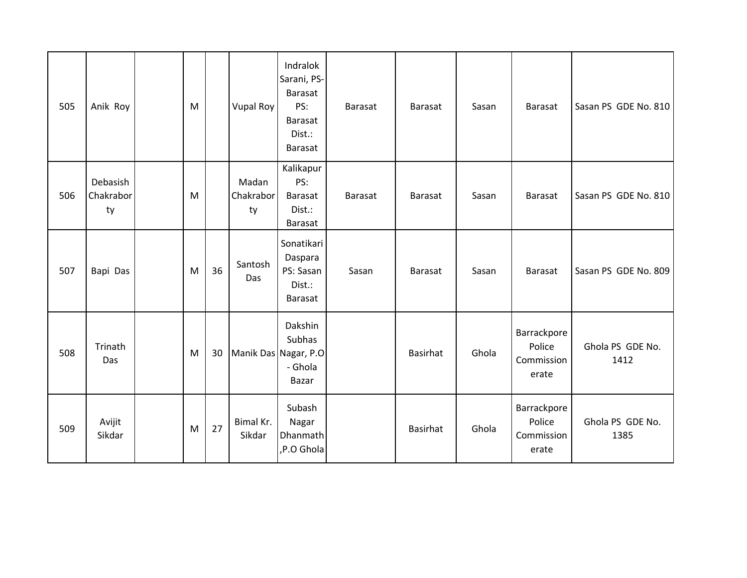| 505 | Anik Roy                    | M |    | <b>Vupal Roy</b>         | Indralok<br>Sarani, PS-<br>Barasat<br>PS:<br>Barasat<br>Dist.:<br>Barasat | Barasat        | Barasat        | Sasan | Barasat                                      | Sasan PS GDE No. 810     |
|-----|-----------------------------|---|----|--------------------------|---------------------------------------------------------------------------|----------------|----------------|-------|----------------------------------------------|--------------------------|
| 506 | Debasish<br>Chakrabor<br>ty | M |    | Madan<br>Chakrabor<br>ty | Kalikapur<br>PS:<br><b>Barasat</b><br>Dist.:<br><b>Barasat</b>            | <b>Barasat</b> | <b>Barasat</b> | Sasan | <b>Barasat</b>                               | Sasan PS GDE No. 810     |
| 507 | Bapi Das                    | M | 36 | Santosh<br>Das           | Sonatikari<br>Daspara<br>PS: Sasan<br>Dist.:<br>Barasat                   | Sasan          | <b>Barasat</b> | Sasan | Barasat                                      | Sasan PS GDE No. 809     |
| 508 | Trinath<br>Das              | M | 30 |                          | Dakshin<br>Subhas<br>Manik Das Nagar, P.O<br>- Ghola<br>Bazar             |                | Basirhat       | Ghola | Barrackpore<br>Police<br>Commission<br>erate | Ghola PS GDE No.<br>1412 |
| 509 | Avijit<br>Sikdar            | M | 27 | Bimal Kr.<br>Sikdar      | Subash<br>Nagar<br>Dhanmath<br>,P.O Ghola                                 |                | Basirhat       | Ghola | Barrackpore<br>Police<br>Commission<br>erate | Ghola PS GDE No.<br>1385 |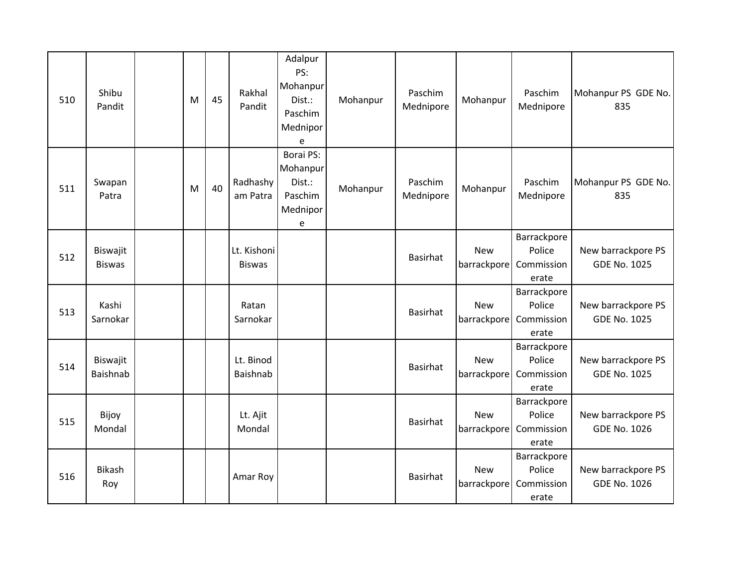| 510 | Shibu<br>Pandit           | M | 45 | Rakhal<br>Pandit             | Adalpur<br>PS:<br>Mohanpur<br>Dist.:<br>Paschim<br>Mednipor<br>e   | Mohanpur | Paschim<br>Mednipore | Mohanpur                  | Paschim<br>Mednipore                         | Mohanpur PS GDE No.<br>835                |
|-----|---------------------------|---|----|------------------------------|--------------------------------------------------------------------|----------|----------------------|---------------------------|----------------------------------------------|-------------------------------------------|
| 511 | Swapan<br>Patra           | M | 40 | Radhashy<br>am Patra         | <b>Borai PS:</b><br>Mohanpur<br>Dist.:<br>Paschim<br>Mednipor<br>e | Mohanpur | Paschim<br>Mednipore | Mohanpur                  | Paschim<br>Mednipore                         | Mohanpur PS GDE No.<br>835                |
| 512 | Biswajit<br><b>Biswas</b> |   |    | Lt. Kishoni<br><b>Biswas</b> |                                                                    |          | <b>Basirhat</b>      | <b>New</b><br>barrackpore | Barrackpore<br>Police<br>Commission<br>erate | New barrackpore PS<br><b>GDE No. 1025</b> |
| 513 | Kashi<br>Sarnokar         |   |    | Ratan<br>Sarnokar            |                                                                    |          | <b>Basirhat</b>      | <b>New</b><br>barrackpore | Barrackpore<br>Police<br>Commission<br>erate | New barrackpore PS<br><b>GDE No. 1025</b> |
| 514 | Biswajit<br>Baishnab      |   |    | Lt. Binod<br>Baishnab        |                                                                    |          | <b>Basirhat</b>      | <b>New</b><br>barrackpore | Barrackpore<br>Police<br>Commission<br>erate | New barrackpore PS<br><b>GDE No. 1025</b> |
| 515 | Bijoy<br>Mondal           |   |    | Lt. Ajit<br>Mondal           |                                                                    |          | <b>Basirhat</b>      | <b>New</b><br>barrackpore | Barrackpore<br>Police<br>Commission<br>erate | New barrackpore PS<br><b>GDE No. 1026</b> |
| 516 | <b>Bikash</b><br>Roy      |   |    | Amar Roy                     |                                                                    |          | <b>Basirhat</b>      | <b>New</b><br>barrackpore | Barrackpore<br>Police<br>Commission<br>erate | New barrackpore PS<br><b>GDE No. 1026</b> |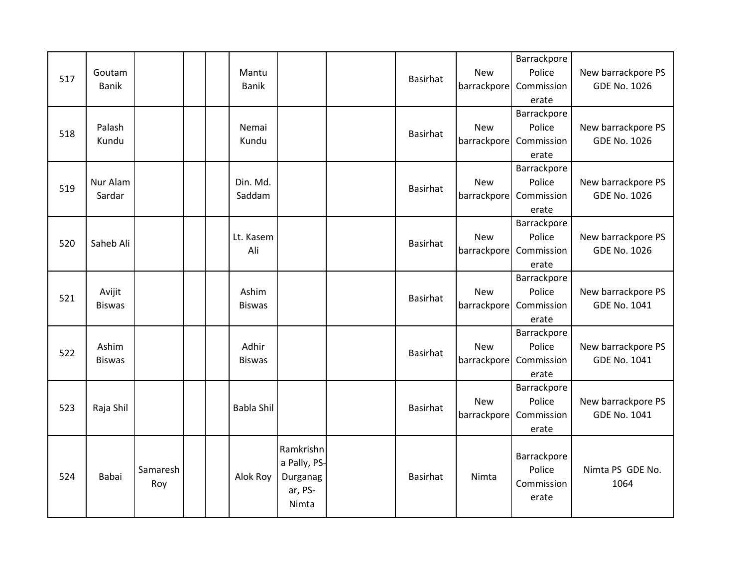| 517 | Goutam<br><b>Banik</b>  |                 | Mantu<br><b>Banik</b>  |                                                           | <b>Basirhat</b> | <b>New</b>                | Barrackpore<br>Police<br>barrackpore Commission<br>erate | New barrackpore PS<br><b>GDE No. 1026</b> |
|-----|-------------------------|-----------------|------------------------|-----------------------------------------------------------|-----------------|---------------------------|----------------------------------------------------------|-------------------------------------------|
| 518 | Palash<br>Kundu         |                 | Nemai<br>Kundu         |                                                           | Basirhat        | <b>New</b><br>barrackpore | Barrackpore<br>Police<br>Commission<br>erate             | New barrackpore PS<br><b>GDE No. 1026</b> |
| 519 | Nur Alam<br>Sardar      |                 | Din. Md.<br>Saddam     |                                                           | Basirhat        | <b>New</b><br>barrackpore | Barrackpore<br>Police<br>Commission<br>erate             | New barrackpore PS<br><b>GDE No. 1026</b> |
| 520 | Saheb Ali               |                 | Lt. Kasem<br>Ali       |                                                           | Basirhat        | <b>New</b><br>barrackpore | Barrackpore<br>Police<br>Commission<br>erate             | New barrackpore PS<br><b>GDE No. 1026</b> |
| 521 | Avijit<br><b>Biswas</b> |                 | Ashim<br><b>Biswas</b> |                                                           | <b>Basirhat</b> | <b>New</b><br>barrackpore | Barrackpore<br>Police<br>Commission<br>erate             | New barrackpore PS<br><b>GDE No. 1041</b> |
| 522 | Ashim<br><b>Biswas</b>  |                 | Adhir<br><b>Biswas</b> |                                                           | Basirhat        | <b>New</b><br>barrackpore | Barrackpore<br>Police<br>Commission<br>erate             | New barrackpore PS<br>GDE No. 1041        |
| 523 | Raja Shil               |                 | <b>Babla Shil</b>      |                                                           | <b>Basirhat</b> | <b>New</b><br>barrackpore | Barrackpore<br>Police<br>Commission<br>erate             | New barrackpore PS<br><b>GDE No. 1041</b> |
| 524 | Babai                   | Samaresh<br>Roy | Alok Roy               | Ramkrishn<br>a Pally, PS-<br>Durganag<br>ar, PS-<br>Nimta | Basirhat        | Nimta                     | Barrackpore<br>Police<br>Commission<br>erate             | Nimta PS GDE No.<br>1064                  |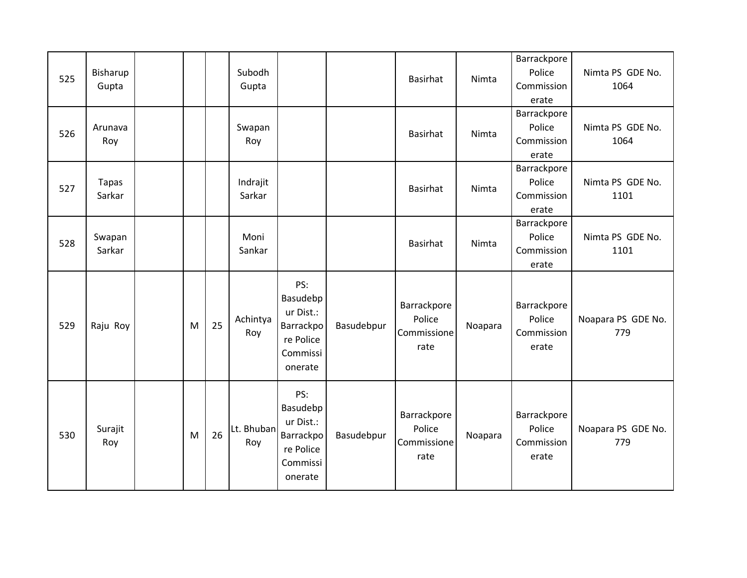| 525 | Bisharup<br>Gupta      |   |    | Subodh<br>Gupta    |                                                                               |            | <b>Basirhat</b>                              | Nimta   | Barrackpore<br>Police<br>Commission<br>erate | Nimta PS GDE No.<br>1064  |
|-----|------------------------|---|----|--------------------|-------------------------------------------------------------------------------|------------|----------------------------------------------|---------|----------------------------------------------|---------------------------|
| 526 | Arunava<br>Roy         |   |    | Swapan<br>Roy      |                                                                               |            | Basirhat                                     | Nimta   | Barrackpore<br>Police<br>Commission<br>erate | Nimta PS GDE No.<br>1064  |
| 527 | <b>Tapas</b><br>Sarkar |   |    | Indrajit<br>Sarkar |                                                                               |            | Basirhat                                     | Nimta   | Barrackpore<br>Police<br>Commission<br>erate | Nimta PS GDE No.<br>1101  |
| 528 | Swapan<br>Sarkar       |   |    | Moni<br>Sankar     |                                                                               |            | <b>Basirhat</b>                              | Nimta   | Barrackpore<br>Police<br>Commission<br>erate | Nimta PS GDE No.<br>1101  |
| 529 | Raju Roy               | M | 25 | Achintya<br>Roy    | PS:<br>Basudebp<br>ur Dist.:<br>Barrackpo<br>re Police<br>Commissi<br>onerate | Basudebpur | Barrackpore<br>Police<br>Commissione<br>rate | Noapara | Barrackpore<br>Police<br>Commission<br>erate | Noapara PS GDE No.<br>779 |
| 530 | Surajit<br>Roy         | M | 26 | Lt. Bhuban<br>Roy  | PS:<br>Basudebp<br>ur Dist.:<br>Barrackpo<br>re Police<br>Commissi<br>onerate | Basudebpur | Barrackpore<br>Police<br>Commissione<br>rate | Noapara | Barrackpore<br>Police<br>Commission<br>erate | Noapara PS GDE No.<br>779 |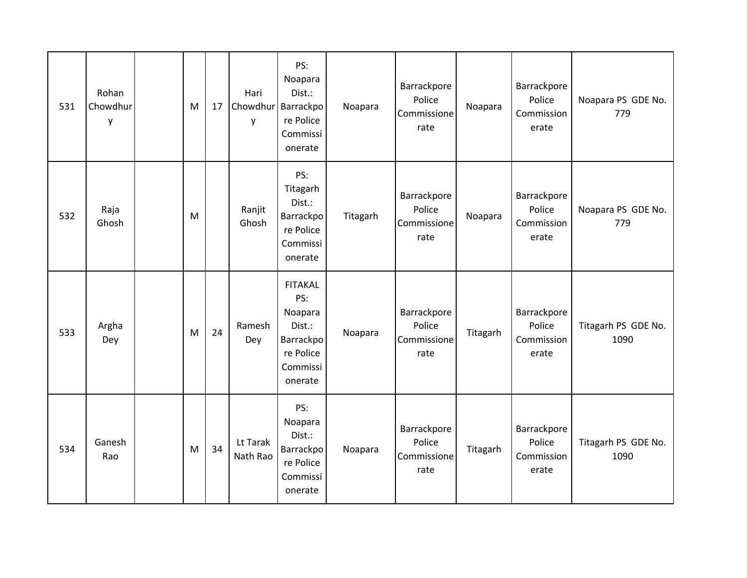| 531 | Rohan<br>Chowdhur<br>y | M | 17 | Hari<br>Chowdhur<br>y | PS:<br>Noapara<br>Dist.:<br>Barrackpo<br>re Police<br>Commissi<br>onerate                   | Noapara  | Barrackpore<br>Police<br>Commissione<br>rate | Noapara  | Barrackpore<br>Police<br>Commission<br>erate | Noapara PS GDE No.<br>779   |
|-----|------------------------|---|----|-----------------------|---------------------------------------------------------------------------------------------|----------|----------------------------------------------|----------|----------------------------------------------|-----------------------------|
| 532 | Raja<br>Ghosh          | M |    | Ranjit<br>Ghosh       | PS:<br>Titagarh<br>Dist.:<br>Barrackpo<br>re Police<br>Commissi<br>onerate                  | Titagarh | Barrackpore<br>Police<br>Commissione<br>rate | Noapara  | Barrackpore<br>Police<br>Commission<br>erate | Noapara PS GDE No.<br>779   |
| 533 | Argha<br>Dey           | M | 24 | Ramesh<br>Dey         | <b>FITAKAL</b><br>PS:<br>Noapara<br>Dist.:<br>Barrackpo<br>re Police<br>Commissi<br>onerate | Noapara  | Barrackpore<br>Police<br>Commissione<br>rate | Titagarh | Barrackpore<br>Police<br>Commission<br>erate | Titagarh PS GDE No.<br>1090 |
| 534 | Ganesh<br>Rao          | M | 34 | Lt Tarak<br>Nath Rao  | PS:<br>Noapara<br>Dist.:<br>Barrackpo<br>re Police<br>Commissi<br>onerate                   | Noapara  | Barrackpore<br>Police<br>Commissione<br>rate | Titagarh | Barrackpore<br>Police<br>Commission<br>erate | Titagarh PS GDE No.<br>1090 |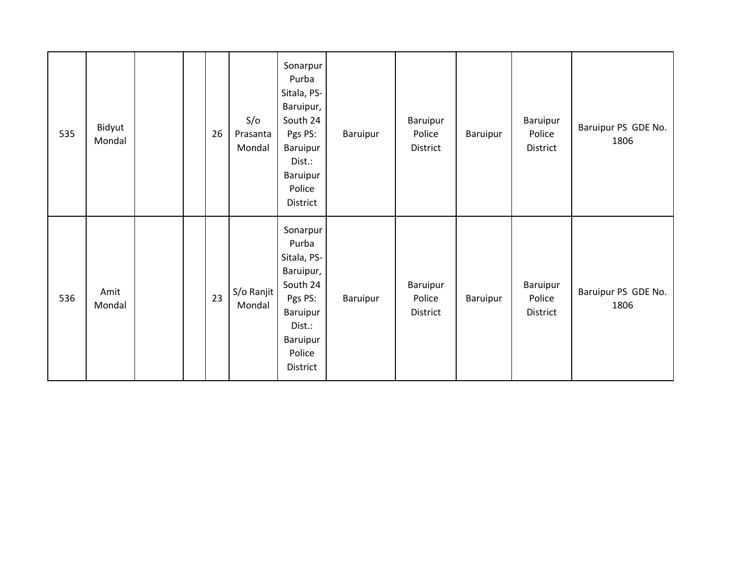| 535 | Bidyut<br>Mondal |  | 26 | S/O<br>Prasanta<br>Mondal | Sonarpur<br>Purba<br>Sitala, PS-<br>Baruipur,<br>South 24<br>Pgs PS:<br>Baruipur<br>Dist.:<br>Baruipur<br>Police<br>District | Baruipur | Baruipur<br>Police<br>District | Baruipur | Baruipur<br>Police<br>District | Baruipur PS GDE No.<br>1806 |
|-----|------------------|--|----|---------------------------|------------------------------------------------------------------------------------------------------------------------------|----------|--------------------------------|----------|--------------------------------|-----------------------------|
| 536 | Amit<br>Mondal   |  | 23 | S/o Ranjit<br>Mondal      | Sonarpur<br>Purba<br>Sitala, PS-<br>Baruipur,<br>South 24<br>Pgs PS:<br>Baruipur<br>Dist.:<br>Baruipur<br>Police<br>District | Baruipur | Baruipur<br>Police<br>District | Baruipur | Baruipur<br>Police<br>District | Baruipur PS GDE No.<br>1806 |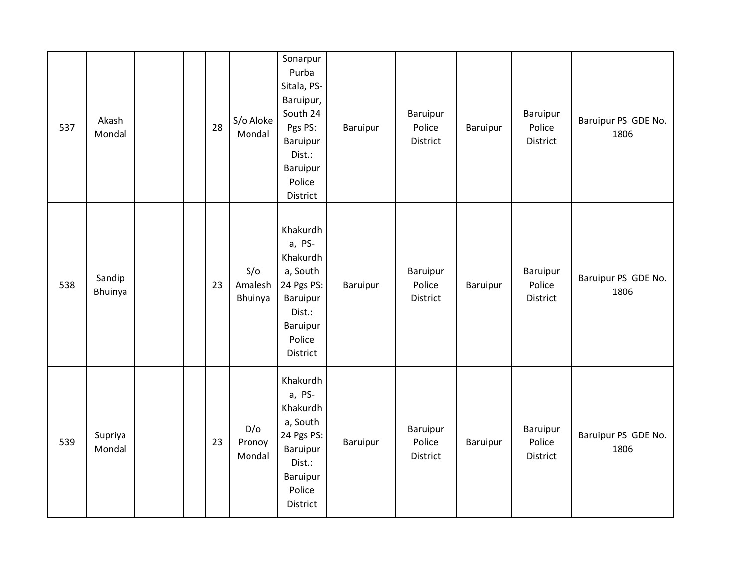| 537 | Akash<br>Mondal   |  | 28 | S/o Aloke<br>Mondal       | Sonarpur<br>Purba<br>Sitala, PS-<br>Baruipur,<br>South 24<br>Pgs PS:<br>Baruipur<br>Dist.:<br>Baruipur<br>Police<br>District | Baruipur | Baruipur<br>Police<br>District | Baruipur | Baruipur<br>Police<br>District | Baruipur PS GDE No.<br>1806 |
|-----|-------------------|--|----|---------------------------|------------------------------------------------------------------------------------------------------------------------------|----------|--------------------------------|----------|--------------------------------|-----------------------------|
| 538 | Sandip<br>Bhuinya |  | 23 | S/O<br>Amalesh<br>Bhuinya | Khakurdh<br>a, PS-<br>Khakurdh<br>a, South<br>24 Pgs PS:<br>Baruipur<br>Dist.:<br>Baruipur<br>Police<br>District             | Baruipur | Baruipur<br>Police<br>District | Baruipur | Baruipur<br>Police<br>District | Baruipur PS GDE No.<br>1806 |
| 539 | Supriya<br>Mondal |  | 23 | D/O<br>Pronoy<br>Mondal   | Khakurdh<br>a, PS-<br>Khakurdh<br>a, South<br>24 Pgs PS:<br>Baruipur<br>Dist.:<br>Baruipur<br>Police<br>District             | Baruipur | Baruipur<br>Police<br>District | Baruipur | Baruipur<br>Police<br>District | Baruipur PS GDE No.<br>1806 |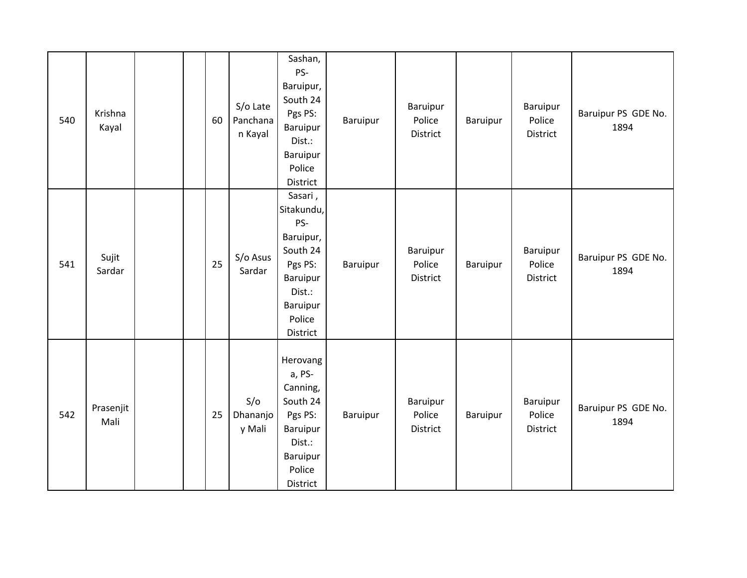| 540 | Krishna<br>Kayal  | 60 | S/o Late<br>Panchana<br>n Kayal | Sashan,<br>PS-<br>Baruipur,<br>South 24<br>Pgs PS:<br>Baruipur<br>Dist.:<br>Baruipur<br>Police<br>District               | Baruipur | Baruipur<br>Police<br>District | Baruipur        | Baruipur<br>Police<br>District        | Baruipur PS GDE No.<br>1894 |
|-----|-------------------|----|---------------------------------|--------------------------------------------------------------------------------------------------------------------------|----------|--------------------------------|-----------------|---------------------------------------|-----------------------------|
| 541 | Sujit<br>Sardar   | 25 | S/o Asus<br>Sardar              | Sasari,<br>Sitakundu,<br>PS-<br>Baruipur,<br>South 24<br>Pgs PS:<br>Baruipur<br>Dist.:<br>Baruipur<br>Police<br>District | Baruipur | Baruipur<br>Police<br>District | Baruipur        | Baruipur<br>Police<br><b>District</b> | Baruipur PS GDE No.<br>1894 |
| 542 | Prasenjit<br>Mali | 25 | S/O<br>Dhananjo<br>y Mali       | Herovang<br>a, PS-<br>Canning,<br>South 24<br>Pgs PS:<br>Baruipur<br>Dist.:<br>Baruipur<br>Police<br>District            | Baruipur | Baruipur<br>Police<br>District | <b>Baruipur</b> | Baruipur<br>Police<br>District        | Baruipur PS GDE No.<br>1894 |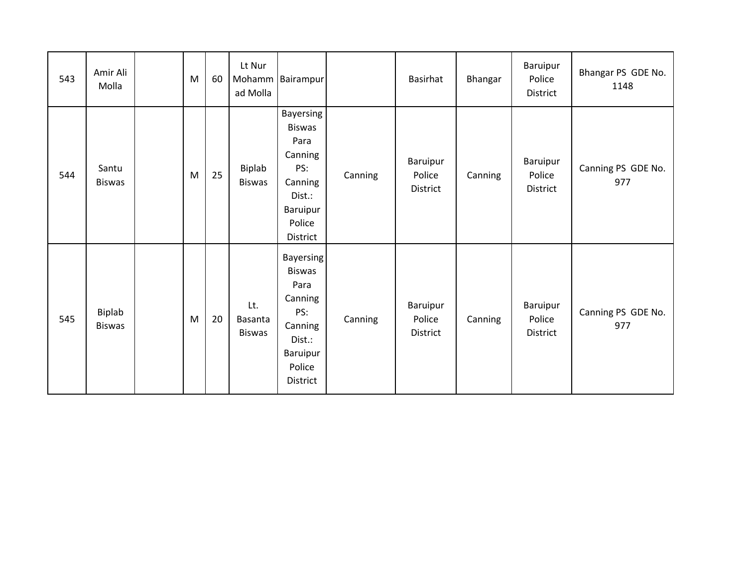| 543 | Amir Ali<br>Molla       | M | 60 | Lt Nur<br>ad Molla              | Mohamm Bairampur                                                                                                   |         | Basirhat                       | Bhangar | Baruipur<br>Police<br>District | Bhangar PS GDE No.<br>1148 |
|-----|-------------------------|---|----|---------------------------------|--------------------------------------------------------------------------------------------------------------------|---------|--------------------------------|---------|--------------------------------|----------------------------|
| 544 | Santu<br><b>Biswas</b>  | M | 25 | Biplab<br><b>Biswas</b>         | Bayersing<br><b>Biswas</b><br>Para<br>Canning<br>PS:<br>Canning<br>Dist.:<br>Baruipur<br>Police<br>District        | Canning | Baruipur<br>Police<br>District | Canning | Baruipur<br>Police<br>District | Canning PS GDE No.<br>977  |
| 545 | Biplab<br><b>Biswas</b> | M | 20 | Lt.<br>Basanta<br><b>Biswas</b> | <b>Bayersing</b><br><b>Biswas</b><br>Para<br>Canning<br>PS:<br>Canning<br>Dist.:<br>Baruipur<br>Police<br>District | Canning | Baruipur<br>Police<br>District | Canning | Baruipur<br>Police<br>District | Canning PS GDE No.<br>977  |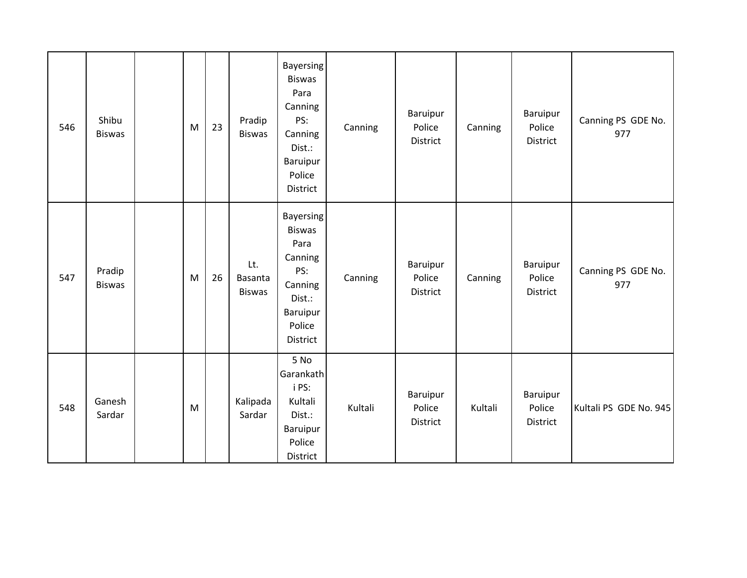| 546 | Shibu<br><b>Biswas</b>  | M | 23 | Pradip<br><b>Biswas</b>         | <b>Bayersing</b><br><b>Biswas</b><br>Para<br>Canning<br>PS:<br>Canning<br>Dist.:<br>Baruipur<br>Police<br>District | Canning | Baruipur<br>Police<br>District | Canning | Baruipur<br>Police<br>District | Canning PS GDE No.<br>977 |
|-----|-------------------------|---|----|---------------------------------|--------------------------------------------------------------------------------------------------------------------|---------|--------------------------------|---------|--------------------------------|---------------------------|
| 547 | Pradip<br><b>Biswas</b> | M | 26 | Lt.<br>Basanta<br><b>Biswas</b> | Bayersing<br><b>Biswas</b><br>Para<br>Canning<br>PS:<br>Canning<br>Dist.:<br>Baruipur<br>Police<br>District        | Canning | Baruipur<br>Police<br>District | Canning | Baruipur<br>Police<br>District | Canning PS GDE No.<br>977 |
| 548 | Ganesh<br>Sardar        | M |    | Kalipada<br>Sardar              | 5 No<br>Garankath<br>i PS:<br>Kultali<br>Dist.:<br>Baruipur<br>Police<br>District                                  | Kultali | Baruipur<br>Police<br>District | Kultali | Baruipur<br>Police<br>District | Kultali PS GDE No. 945    |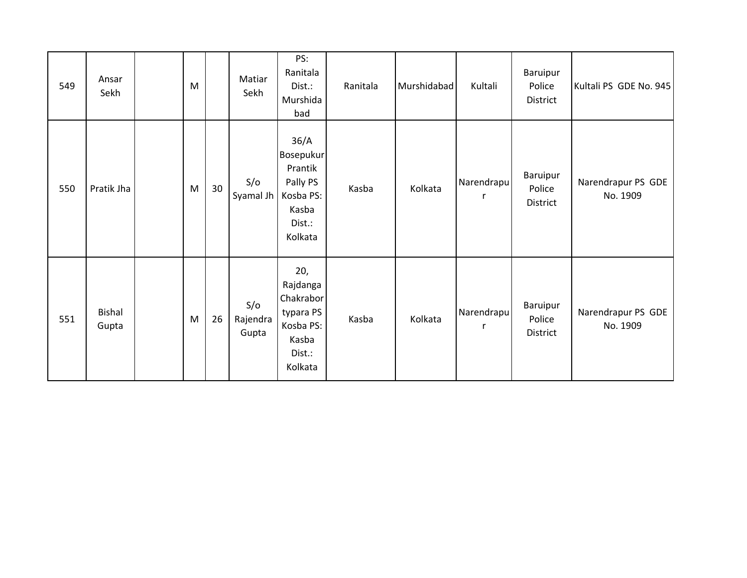| 549 | Ansar<br>Sekh          | M         |    | Matiar<br>Sekh           | PS:<br>Ranitala<br>Dist.:<br>Murshida<br>bad                                         | Ranitala | Murshidabad | Kultali    | Baruipur<br>Police<br>District | Kultali PS GDE No. 945         |
|-----|------------------------|-----------|----|--------------------------|--------------------------------------------------------------------------------------|----------|-------------|------------|--------------------------------|--------------------------------|
| 550 | Pratik Jha             | ${\sf M}$ | 30 | S/O<br>Syamal Jh         | 36/A<br>Bosepukur<br>Prantik<br>Pally PS<br>Kosba PS:<br>Kasba<br>Dist.:<br>Kolkata  | Kasba    | Kolkata     | Narendrapu | Baruipur<br>Police<br>District | Narendrapur PS GDE<br>No. 1909 |
| 551 | <b>Bishal</b><br>Gupta | M         | 26 | S/O<br>Rajendra<br>Gupta | 20,<br>Rajdanga<br>Chakrabor<br>typara PS<br>Kosba PS:<br>Kasba<br>Dist.:<br>Kolkata | Kasba    | Kolkata     | Narendrapu | Baruipur<br>Police<br>District | Narendrapur PS GDE<br>No. 1909 |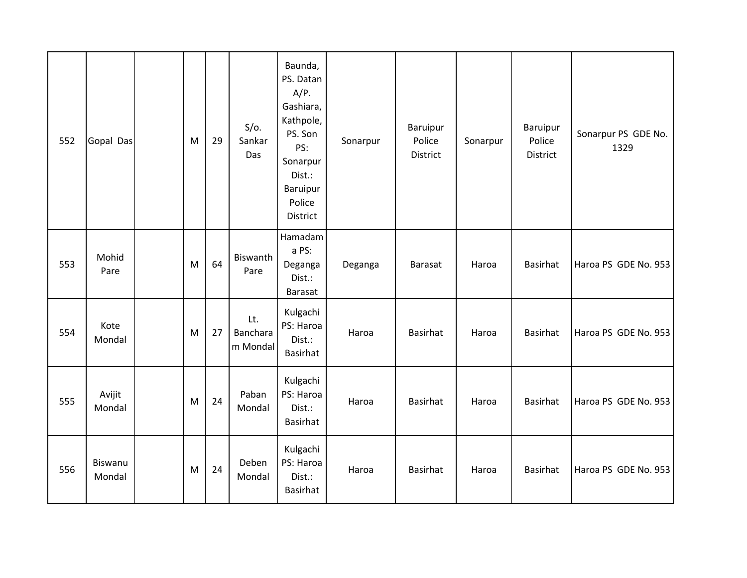| 552 | Gopal Das         | M | 29 | $S/O$ .<br>Sankar<br>Das    | Baunda,<br>PS. Datan<br>$A/P$ .<br>Gashiara,<br>Kathpole,<br>PS. Son<br>PS:<br>Sonarpur<br>Dist.:<br>Baruipur<br>Police<br>District | Sonarpur | <b>Baruipur</b><br>Police<br>District | Sonarpur | Baruipur<br>Police<br>District | Sonarpur PS GDE No.<br>1329 |
|-----|-------------------|---|----|-----------------------------|-------------------------------------------------------------------------------------------------------------------------------------|----------|---------------------------------------|----------|--------------------------------|-----------------------------|
| 553 | Mohid<br>Pare     | M | 64 | Biswanth<br>Pare            | Hamadam<br>a PS:<br>Deganga<br>Dist.:<br>Barasat                                                                                    | Deganga  | <b>Barasat</b>                        | Haroa    | Basirhat                       | Haroa PS GDE No. 953        |
| 554 | Kote<br>Mondal    | M | 27 | Lt.<br>Banchara<br>m Mondal | Kulgachi<br>PS: Haroa<br>Dist.:<br>Basirhat                                                                                         | Haroa    | Basirhat                              | Haroa    | Basirhat                       | Haroa PS GDE No. 953        |
| 555 | Avijit<br>Mondal  | M | 24 | Paban<br>Mondal             | Kulgachi<br>PS: Haroa<br>Dist.:<br>Basirhat                                                                                         | Haroa    | Basirhat                              | Haroa    | Basirhat                       | Haroa PS GDE No. 953        |
| 556 | Biswanu<br>Mondal | M | 24 | Deben<br>Mondal             | Kulgachi<br>PS: Haroa<br>Dist.:<br>Basirhat                                                                                         | Haroa    | Basirhat                              | Haroa    | Basirhat                       | Haroa PS GDE No. 953        |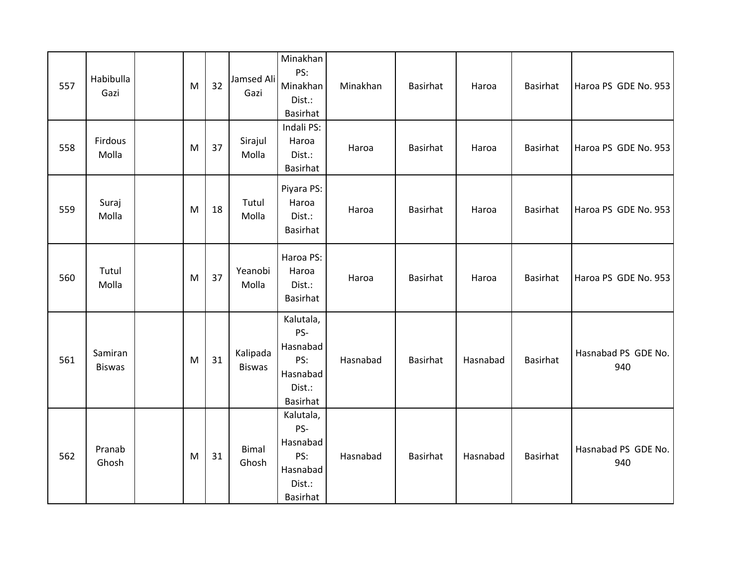| 557 | Habibulla<br>Gazi        | M | 32 | Jamsed Ali<br>Gazi        | Minakhan<br>PS:<br>Minakhan<br>Dist.:<br>Basirhat                            | Minakhan | Basirhat        | Haroa    | Basirhat        | Haroa PS GDE No. 953       |
|-----|--------------------------|---|----|---------------------------|------------------------------------------------------------------------------|----------|-----------------|----------|-----------------|----------------------------|
| 558 | Firdous<br>Molla         | M | 37 | Sirajul<br>Molla          | Indali PS:<br>Haroa<br>Dist.:<br><b>Basirhat</b>                             | Haroa    | Basirhat        | Haroa    | Basirhat        | Haroa PS GDE No. 953       |
| 559 | Suraj<br>Molla           | M | 18 | Tutul<br>Molla            | Piyara PS:<br>Haroa<br>Dist.:<br><b>Basirhat</b>                             | Haroa    | Basirhat        | Haroa    | Basirhat        | Haroa PS GDE No. 953       |
| 560 | Tutul<br>Molla           | M | 37 | Yeanobi<br>Molla          | Haroa PS:<br>Haroa<br>Dist.:<br>Basirhat                                     | Haroa    | Basirhat        | Haroa    | <b>Basirhat</b> | Haroa PS GDE No. 953       |
| 561 | Samiran<br><b>Biswas</b> | M | 31 | Kalipada<br><b>Biswas</b> | Kalutala,<br>PS-<br>Hasnabad<br>PS:<br>Hasnabad<br>Dist.:<br>Basirhat        | Hasnabad | Basirhat        | Hasnabad | Basirhat        | Hasnabad PS GDE No.<br>940 |
| 562 | Pranab<br>Ghosh          | M | 31 | <b>Bimal</b><br>Ghosh     | Kalutala,<br>PS-<br>Hasnabad<br>PS:<br>Hasnabad<br>Dist.:<br><b>Basirhat</b> | Hasnabad | <b>Basirhat</b> | Hasnabad | Basirhat        | Hasnabad PS GDE No.<br>940 |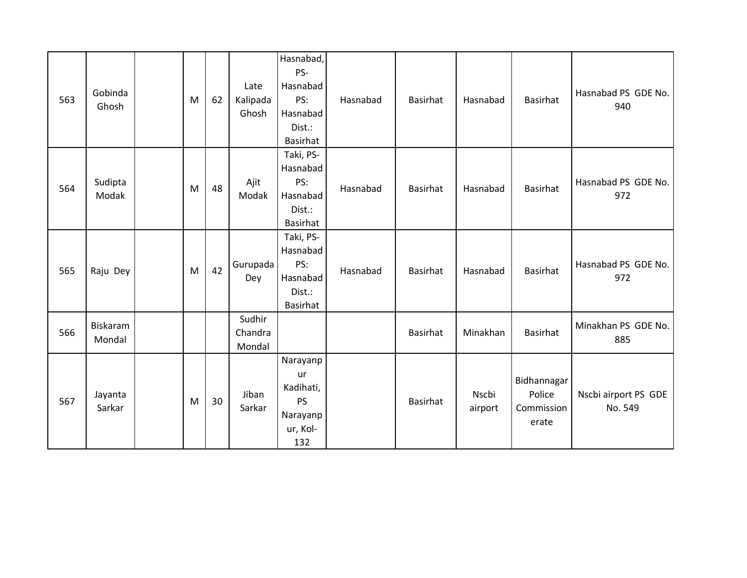| 563 | Gobinda<br>Ghosh   | M | 62 | Late<br>Kalipada<br>Ghosh   | Hasnabad,<br>PS-<br>Hasnabad<br>PS:<br>Hasnabad<br>Dist.:<br><b>Basirhat</b> | Hasnabad | Basirhat        | Hasnabad         | Basirhat                                     | Hasnabad PS GDE No.<br>940      |
|-----|--------------------|---|----|-----------------------------|------------------------------------------------------------------------------|----------|-----------------|------------------|----------------------------------------------|---------------------------------|
| 564 | Sudipta<br>Modak   | M | 48 | Ajit<br>Modak               | Taki, PS-<br>Hasnabad<br>PS:<br>Hasnabad<br>Dist.:<br>Basirhat               | Hasnabad | Basirhat        | Hasnabad         | Basirhat                                     | Hasnabad PS GDE No.<br>972      |
| 565 | Raju Dey           | M | 42 | Gurupada<br>Dey             | Taki, PS-<br>Hasnabad<br>PS:<br>Hasnabad<br>Dist.:<br><b>Basirhat</b>        | Hasnabad | <b>Basirhat</b> | Hasnabad         | Basirhat                                     | Hasnabad PS GDE No.<br>972      |
| 566 | Biskaram<br>Mondal |   |    | Sudhir<br>Chandra<br>Mondal |                                                                              |          | Basirhat        | Minakhan         | Basirhat                                     | Minakhan PS GDE No.<br>885      |
| 567 | Jayanta<br>Sarkar  | M | 30 | Jiban<br>Sarkar             | Narayanp<br>ur<br>Kadihati,<br><b>PS</b><br>Narayanp<br>ur, Kol-<br>132      |          | <b>Basirhat</b> | Nscbi<br>airport | Bidhannagar<br>Police<br>Commission<br>erate | Nscbi airport PS GDE<br>No. 549 |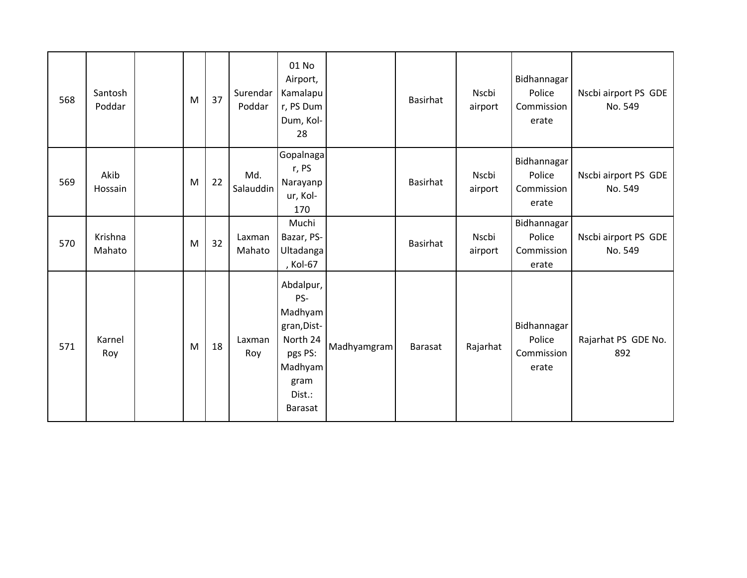| 568 | Santosh<br>Poddar | M | 37 | Surendar<br>Poddar | 01 No<br>Airport,<br>Kamalapu<br>r, PS Dum<br>Dum, Kol-<br>28                                                    |             | Basirhat       | Nscbi<br>airport | Bidhannagar<br>Police<br>Commission<br>erate | Nscbi airport PS GDE<br>No. 549 |
|-----|-------------------|---|----|--------------------|------------------------------------------------------------------------------------------------------------------|-------------|----------------|------------------|----------------------------------------------|---------------------------------|
| 569 | Akib<br>Hossain   | M | 22 | Md.<br>Salauddin   | Gopalnaga<br>r, PS<br>Narayanp<br>ur, Kol-<br>170                                                                |             | Basirhat       | Nscbi<br>airport | Bidhannagar<br>Police<br>Commission<br>erate | Nscbi airport PS GDE<br>No. 549 |
| 570 | Krishna<br>Mahato | M | 32 | Laxman<br>Mahato   | Muchi<br>Bazar, PS-<br>Ultadanga<br>, Kol-67                                                                     |             | Basirhat       | Nscbi<br>airport | Bidhannagar<br>Police<br>Commission<br>erate | Nscbi airport PS GDE<br>No. 549 |
| 571 | Karnel<br>Roy     | M | 18 | Laxman<br>Roy      | Abdalpur,<br>PS-<br>Madhyam<br>gran, Dist-<br>North 24<br>pgs PS:<br>Madhyam<br>gram<br>Dist.:<br><b>Barasat</b> | Madhyamgram | <b>Barasat</b> | Rajarhat         | Bidhannagar<br>Police<br>Commission<br>erate | Rajarhat PS GDE No.<br>892      |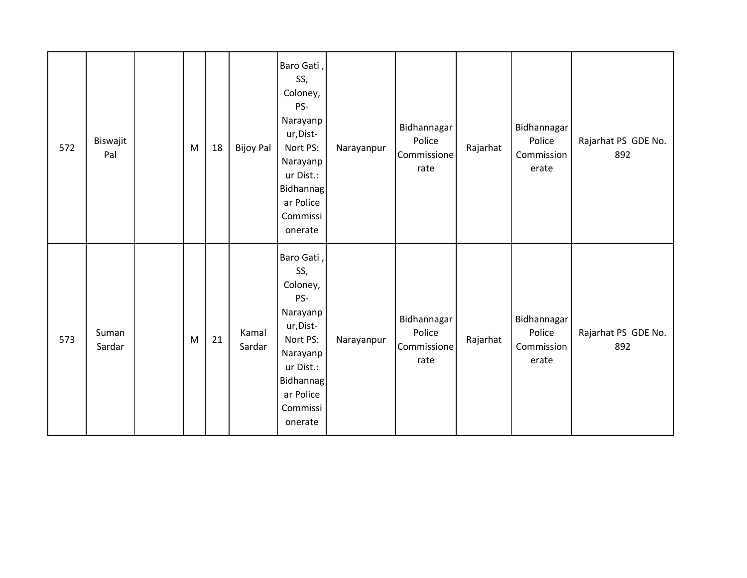| 572 | Biswajit<br>Pal | M | 18 | <b>Bijoy Pal</b> | Baro Gati,<br>SS,<br>Coloney,<br>PS-<br>Narayanp<br>ur, Dist-<br>Nort PS:<br>Narayanp<br>ur Dist.:<br><b>Bidhannag</b><br>ar Police<br>Commissi<br>onerate | Narayanpur | Bidhannagar<br>Police<br>Commissione<br>rate | Rajarhat | Bidhannagar<br>Police<br>Commission<br>erate | Rajarhat PS GDE No.<br>892 |
|-----|-----------------|---|----|------------------|------------------------------------------------------------------------------------------------------------------------------------------------------------|------------|----------------------------------------------|----------|----------------------------------------------|----------------------------|
| 573 | Suman<br>Sardar | M | 21 | Kamal<br>Sardar  | Baro Gati,<br>SS,<br>Coloney,<br>PS-<br>Narayanp<br>ur, Dist-<br>Nort PS:<br>Narayanp<br>ur Dist.:<br><b>Bidhannag</b><br>ar Police<br>Commissi<br>onerate | Narayanpur | Bidhannagar<br>Police<br>Commissione<br>rate | Rajarhat | Bidhannagar<br>Police<br>Commission<br>erate | Rajarhat PS GDE No.<br>892 |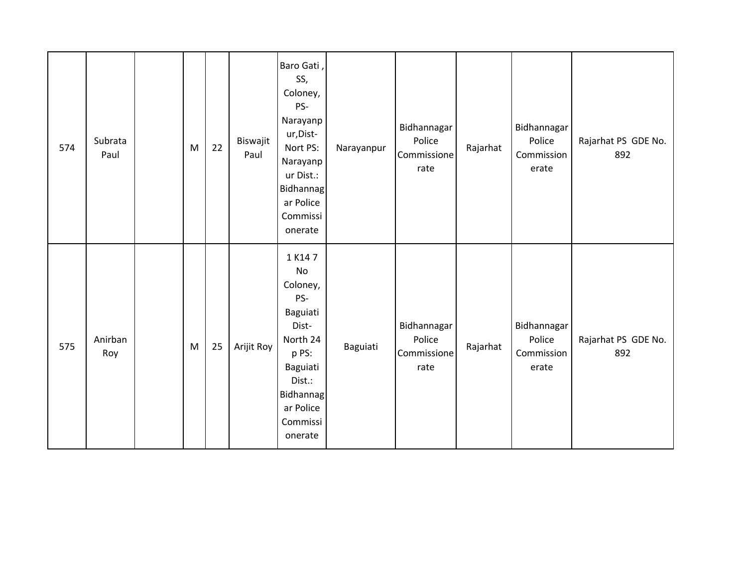| 574 | Subrata<br>Paul | M | 22 | Biswajit<br>Paul | Baro Gati,<br>SS,<br>Coloney,<br>PS-<br>Narayanp<br>ur, Dist-<br>Nort PS:<br>Narayanp<br>ur Dist.:<br>Bidhannag<br>ar Police<br>Commissi<br>onerate     | Narayanpur | Bidhannagar<br>Police<br>Commissione<br>rate | Rajarhat | Bidhannagar<br>Police<br>Commission<br>erate | Rajarhat PS GDE No.<br>892 |
|-----|-----------------|---|----|------------------|---------------------------------------------------------------------------------------------------------------------------------------------------------|------------|----------------------------------------------|----------|----------------------------------------------|----------------------------|
| 575 | Anirban<br>Roy  | M | 25 | Arijit Roy       | 1 K147<br><b>No</b><br>Coloney,<br>PS-<br>Baguiati<br>Dist-<br>North 24<br>p PS:<br>Baguiati<br>Dist.:<br>Bidhannag<br>ar Police<br>Commissi<br>onerate | Baguiati   | Bidhannagar<br>Police<br>Commissione<br>rate | Rajarhat | Bidhannagar<br>Police<br>Commission<br>erate | Rajarhat PS GDE No.<br>892 |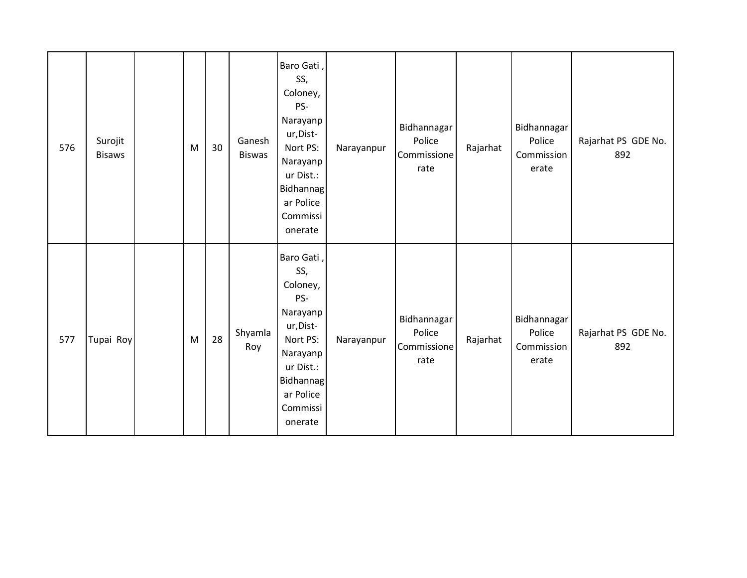| 576 | Surojit<br><b>Bisaws</b> | M | 30 | Ganesh<br><b>Biswas</b> | Baro Gati,<br>SS,<br>Coloney,<br>PS-<br>Narayanp<br>ur, Dist-<br>Nort PS:<br>Narayanp<br>ur Dist.:<br><b>Bidhannag</b><br>ar Police<br>Commissi<br>onerate | Narayanpur | Bidhannagar<br>Police<br>Commissione<br>rate | Rajarhat | Bidhannagar<br>Police<br>Commission<br>erate | Rajarhat PS GDE No.<br>892 |
|-----|--------------------------|---|----|-------------------------|------------------------------------------------------------------------------------------------------------------------------------------------------------|------------|----------------------------------------------|----------|----------------------------------------------|----------------------------|
| 577 | Tupai Roy                | M | 28 | Shyamla<br>Roy          | Baro Gati,<br>SS,<br>Coloney,<br>PS-<br>Narayanp<br>ur, Dist-<br>Nort PS:<br>Narayanp<br>ur Dist.:<br><b>Bidhannag</b><br>ar Police<br>Commissi<br>onerate | Narayanpur | Bidhannagar<br>Police<br>Commissione<br>rate | Rajarhat | Bidhannagar<br>Police<br>Commission<br>erate | Rajarhat PS GDE No.<br>892 |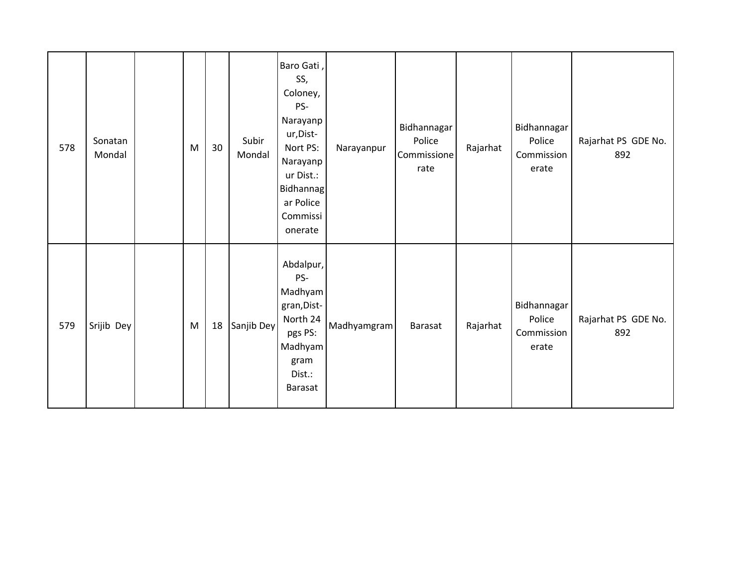| 578 | Sonatan<br>Mondal | M | 30 | Subir<br>Mondal | Baro Gati,<br>SS,<br>Coloney,<br>PS-<br>Narayanp<br>ur, Dist-<br>Nort PS:<br>Narayanp<br>ur Dist.:<br>Bidhannag<br>ar Police<br>Commissi<br>onerate | Narayanpur  | Bidhannagar<br>Police<br>Commissione<br>rate | Rajarhat | Bidhannagar<br>Police<br>Commission<br>erate | Rajarhat PS GDE No.<br>892 |
|-----|-------------------|---|----|-----------------|-----------------------------------------------------------------------------------------------------------------------------------------------------|-------------|----------------------------------------------|----------|----------------------------------------------|----------------------------|
| 579 | Srijib Dey        | M | 18 | Sanjib Dey      | Abdalpur,<br>PS-<br>Madhyam<br>gran, Dist-<br>North 24<br>pgs PS:<br>Madhyam<br>gram<br>Dist.:<br><b>Barasat</b>                                    | Madhyamgram | <b>Barasat</b>                               | Rajarhat | Bidhannagar<br>Police<br>Commission<br>erate | Rajarhat PS GDE No.<br>892 |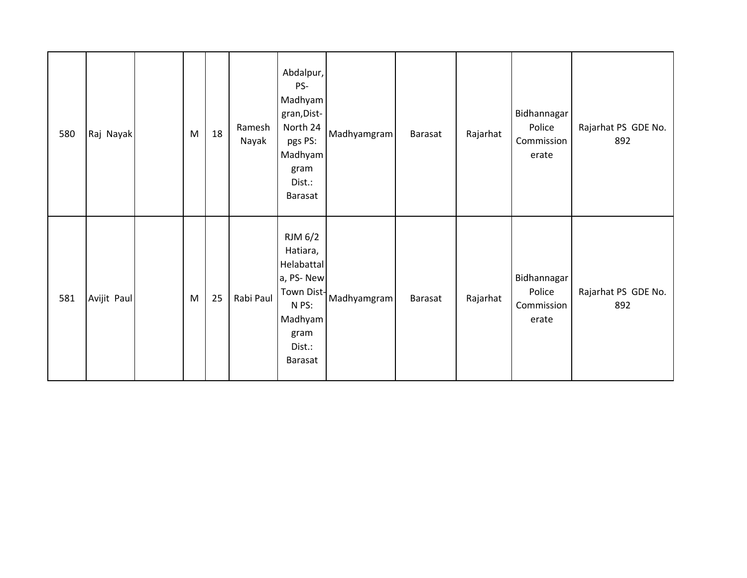| 580 | Raj Nayak   | M | 18 | Ramesh<br>Nayak | Abdalpur,<br>PS-<br>Madhyam<br>gran, Dist-<br>North 24<br>pgs PS:<br>Madhyam<br>gram<br>Dist.:<br><b>Barasat</b>     | Madhyamgram | Barasat | Rajarhat | Bidhannagar<br>Police<br>Commission<br>erate | Rajarhat PS GDE No.<br>892 |
|-----|-------------|---|----|-----------------|----------------------------------------------------------------------------------------------------------------------|-------------|---------|----------|----------------------------------------------|----------------------------|
| 581 | Avijit Paul | M | 25 | Rabi Paul       | RJM 6/2<br>Hatiara,<br>Helabattal<br>a, PS-New<br>Town Dist-<br>N PS:<br>Madhyam<br>gram<br>Dist.:<br><b>Barasat</b> | Madhyamgram | Barasat | Rajarhat | Bidhannagar<br>Police<br>Commission<br>erate | Rajarhat PS GDE No.<br>892 |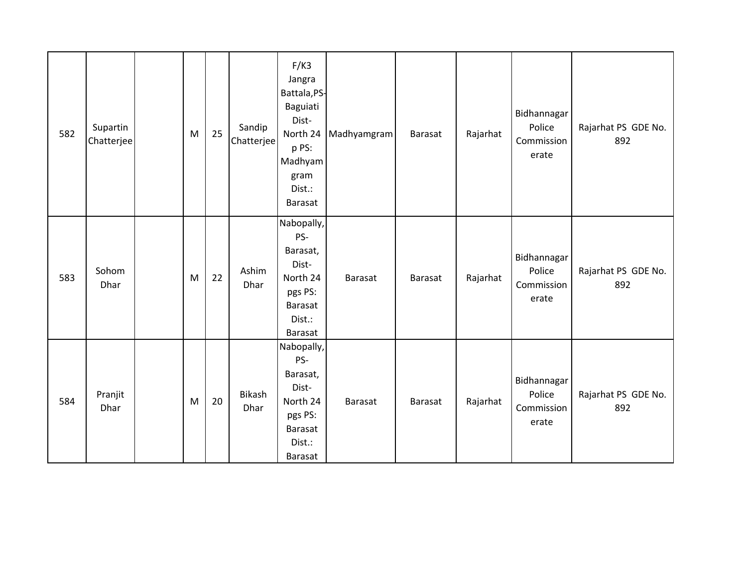| 582 | Supartin<br>Chatterjee | M | 25 | Sandip<br>Chatterjee | F/K3<br>Jangra<br>Battala, PS-<br>Baguiati<br>Dist-<br>North 24<br>p PS:<br>Madhyam<br>gram<br>Dist.:<br>Barasat | Madhyamgram    | <b>Barasat</b> | Rajarhat | Bidhannagar<br>Police<br>Commission<br>erate | Rajarhat PS GDE No.<br>892 |
|-----|------------------------|---|----|----------------------|------------------------------------------------------------------------------------------------------------------|----------------|----------------|----------|----------------------------------------------|----------------------------|
| 583 | Sohom<br>Dhar          | M | 22 | Ashim<br>Dhar        | Nabopally,<br>PS-<br>Barasat,<br>Dist-<br>North 24<br>pgs PS:<br><b>Barasat</b><br>Dist.:<br>Barasat             | <b>Barasat</b> | <b>Barasat</b> | Rajarhat | Bidhannagar<br>Police<br>Commission<br>erate | Rajarhat PS GDE No.<br>892 |
| 584 | Pranjit<br>Dhar        | M | 20 | Bikash<br>Dhar       | Nabopally,<br>PS-<br>Barasat,<br>Dist-<br>North 24<br>pgs PS:<br>Barasat<br>Dist.:<br>Barasat                    | <b>Barasat</b> | <b>Barasat</b> | Rajarhat | Bidhannagar<br>Police<br>Commission<br>erate | Rajarhat PS GDE No.<br>892 |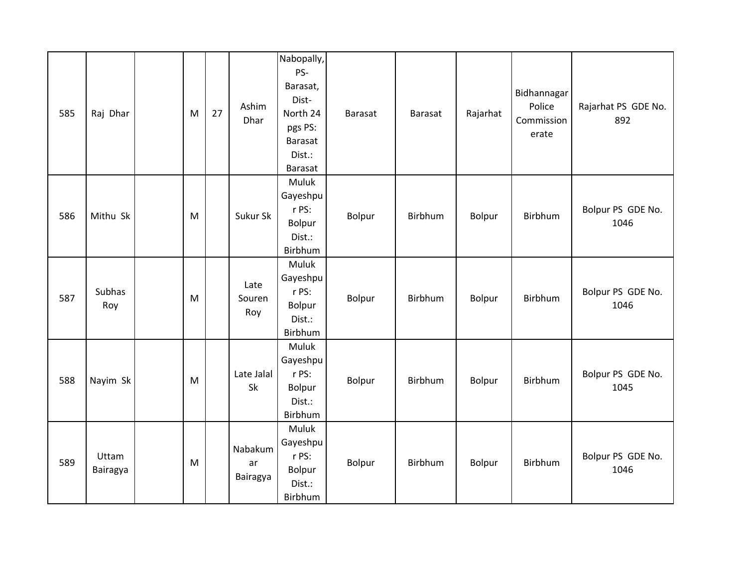| 585 | Raj Dhar          | M | 27 | Ashim<br>Dhar             | Nabopally,<br>PS-<br>Barasat,<br>Dist-<br>North 24<br>pgs PS:<br>Barasat<br>Dist.:<br>Barasat | Barasat | <b>Barasat</b> | Rajarhat | Bidhannagar<br>Police<br>Commission<br>erate | Rajarhat PS GDE No.<br>892 |
|-----|-------------------|---|----|---------------------------|-----------------------------------------------------------------------------------------------|---------|----------------|----------|----------------------------------------------|----------------------------|
| 586 | Mithu Sk          | M |    | Sukur Sk                  | Muluk<br>Gayeshpu<br>r PS:<br>Bolpur<br>Dist.:<br>Birbhum                                     | Bolpur  | Birbhum        | Bolpur   | Birbhum                                      | Bolpur PS GDE No.<br>1046  |
| 587 | Subhas<br>Roy     | M |    | Late<br>Souren<br>Roy     | Muluk<br>Gayeshpu<br>r PS:<br>Bolpur<br>Dist.:<br>Birbhum                                     | Bolpur  | Birbhum        | Bolpur   | Birbhum                                      | Bolpur PS GDE No.<br>1046  |
| 588 | Nayim Sk          | M |    | Late Jalal<br>Sk          | Muluk<br>Gayeshpu<br>r PS:<br>Bolpur<br>Dist.:<br>Birbhum                                     | Bolpur  | Birbhum        | Bolpur   | Birbhum                                      | Bolpur PS GDE No.<br>1045  |
| 589 | Uttam<br>Bairagya | M |    | Nabakum<br>ar<br>Bairagya | Muluk<br>Gayeshpu<br>r PS:<br>Bolpur<br>Dist.:<br>Birbhum                                     | Bolpur  | Birbhum        | Bolpur   | Birbhum                                      | Bolpur PS GDE No.<br>1046  |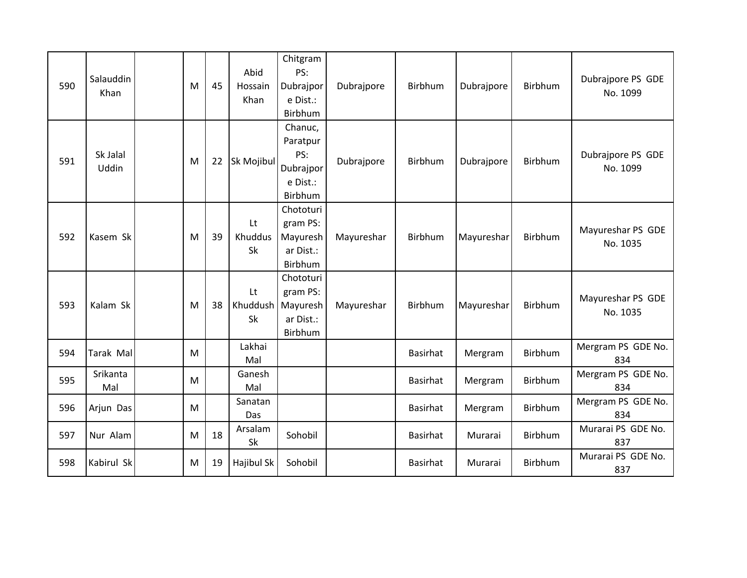| 590 | Salauddin<br>Khan | M | 45 | Abid<br>Hossain<br>Khan | Chitgram<br>PS:<br>Dubrajpor<br>e Dist.:<br>Birbhum                  | Dubrajpore | Birbhum         | Dubrajpore | <b>Birbhum</b> | Dubrajpore PS GDE<br>No. 1099 |
|-----|-------------------|---|----|-------------------------|----------------------------------------------------------------------|------------|-----------------|------------|----------------|-------------------------------|
| 591 | Sk Jalal<br>Uddin | M | 22 | Sk Mojibul              | Chanuc,<br>Paratpur<br>PS:<br>Dubrajpor<br>e Dist.:<br>Birbhum       | Dubrajpore | Birbhum         | Dubrajpore | Birbhum        | Dubrajpore PS GDE<br>No. 1099 |
| 592 | Kasem Sk          | M | 39 | Lt<br>Khuddus<br>Sk     | Chototuri<br>gram PS:<br>Mayuresh<br>ar Dist.:<br>Birbhum            | Mayureshar | Birbhum         | Mayureshar | Birbhum        | Mayureshar PS GDE<br>No. 1035 |
| 593 | Kalam Sk          | M | 38 | Lt<br><b>Sk</b>         | Chototuri<br>gram PS:<br>Khuddush   Mayuresh<br>ar Dist.:<br>Birbhum | Mayureshar | Birbhum         | Mayureshar | <b>Birbhum</b> | Mayureshar PS GDE<br>No. 1035 |
| 594 | Tarak Mal         | M |    | Lakhai<br>Mal           |                                                                      |            | Basirhat        | Mergram    | Birbhum        | Mergram PS GDE No.<br>834     |
| 595 | Srikanta<br>Mal   | M |    | Ganesh<br>Mal           |                                                                      |            | <b>Basirhat</b> | Mergram    | Birbhum        | Mergram PS GDE No.<br>834     |
| 596 | Arjun Das         | M |    | Sanatan<br>Das          |                                                                      |            | Basirhat        | Mergram    | Birbhum        | Mergram PS GDE No.<br>834     |
| 597 | Nur Alam          | M | 18 | Arsalam<br>Sk           | Sohobil                                                              |            | Basirhat        | Murarai    | Birbhum        | Murarai PS GDE No.<br>837     |
| 598 | Kabirul Sk        | M | 19 | Hajibul Sk              | Sohobil                                                              |            | Basirhat        | Murarai    | Birbhum        | Murarai PS GDE No.<br>837     |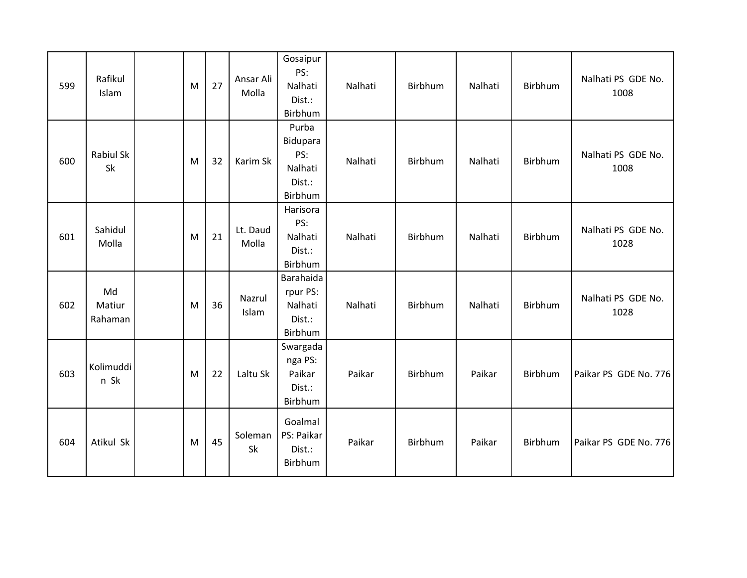| 599 | Rafikul<br>Islam        | M | 27 | Ansar Ali<br>Molla | Gosaipur<br>PS:<br>Nalhati<br>Dist.:<br>Birbhum          | Nalhati | Birbhum | Nalhati | Birbhum        | Nalhati PS GDE No.<br>1008 |
|-----|-------------------------|---|----|--------------------|----------------------------------------------------------|---------|---------|---------|----------------|----------------------------|
| 600 | Rabiul Sk<br>Sk         | M | 32 | Karim Sk           | Purba<br>Bidupara<br>PS:<br>Nalhati<br>Dist.:<br>Birbhum | Nalhati | Birbhum | Nalhati | Birbhum        | Nalhati PS GDE No.<br>1008 |
| 601 | Sahidul<br>Molla        | M | 21 | Lt. Daud<br>Molla  | Harisora<br>PS:<br>Nalhati<br>Dist.:<br>Birbhum          | Nalhati | Birbhum | Nalhati | Birbhum        | Nalhati PS GDE No.<br>1028 |
| 602 | Md<br>Matiur<br>Rahaman | M | 36 | Nazrul<br>Islam    | Barahaida<br>rpur PS:<br>Nalhati<br>Dist.:<br>Birbhum    | Nalhati | Birbhum | Nalhati | <b>Birbhum</b> | Nalhati PS GDE No.<br>1028 |
| 603 | Kolimuddi<br>n Sk       | M | 22 | Laltu Sk           | Swargada<br>nga PS:<br>Paikar<br>Dist.:<br>Birbhum       | Paikar  | Birbhum | Paikar  | Birbhum        | Paikar PS GDE No. 776      |
| 604 | Atikul Sk               | M | 45 | Soleman<br>Sk      | Goalmal<br>PS: Paikar<br>Dist.:<br>Birbhum               | Paikar  | Birbhum | Paikar  | Birbhum        | Paikar PS GDE No. 776      |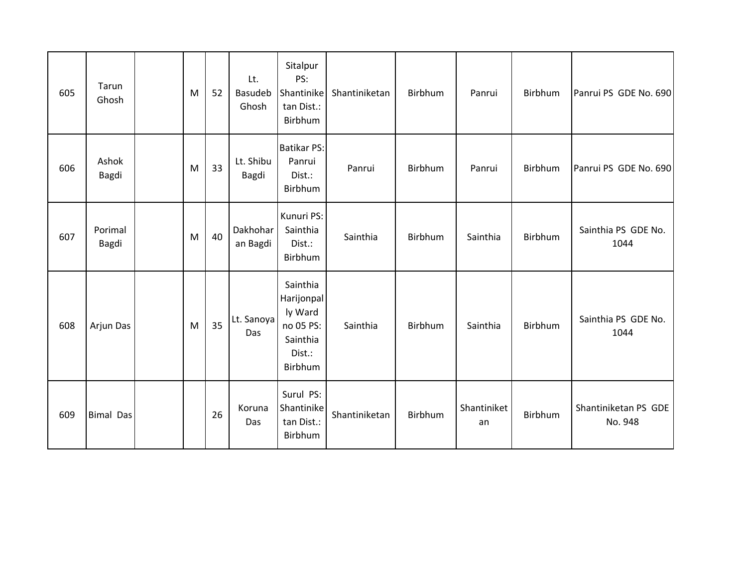| 605 | Tarun<br>Ghosh   | M | 52 | Lt.<br>Basudeb<br>Ghosh | Sitalpur<br>PS:<br>Shantinike<br>tan Dist.:<br>Birbhum                          | Shantiniketan | Birbhum | Panrui            | Birbhum | Panrui PS GDE No. 690           |
|-----|------------------|---|----|-------------------------|---------------------------------------------------------------------------------|---------------|---------|-------------------|---------|---------------------------------|
| 606 | Ashok<br>Bagdi   | M | 33 | Lt. Shibu<br>Bagdi      | <b>Batikar PS:</b><br>Panrui<br>Dist.:<br>Birbhum                               | Panrui        | Birbhum | Panrui            | Birbhum | Panrui PS GDE No. 690           |
| 607 | Porimal<br>Bagdi | M | 40 | Dakhohar<br>an Bagdi    | Kunuri PS:<br>Sainthia<br>Dist.:<br>Birbhum                                     | Sainthia      | Birbhum | Sainthia          | Birbhum | Sainthia PS GDE No.<br>1044     |
| 608 | Arjun Das        | M | 35 | Lt. Sanoya<br>Das       | Sainthia<br>Harijonpal<br>ly Ward<br>no 05 PS:<br>Sainthia<br>Dist.:<br>Birbhum | Sainthia      | Birbhum | Sainthia          | Birbhum | Sainthia PS GDE No.<br>1044     |
| 609 | <b>Bimal Das</b> |   | 26 | Koruna<br>Das           | Surul PS:<br>Shantinike<br>tan Dist.:<br>Birbhum                                | Shantiniketan | Birbhum | Shantiniket<br>an | Birbhum | Shantiniketan PS GDE<br>No. 948 |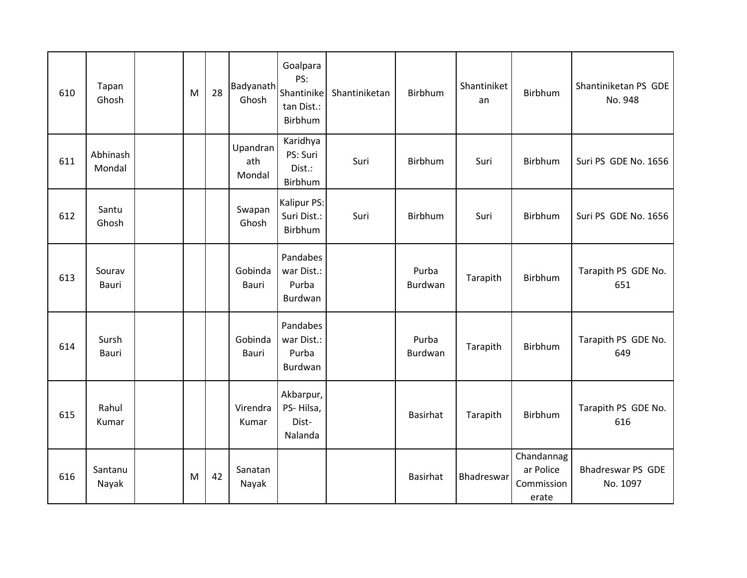| 610 | Tapan<br>Ghosh     | M | 28 | Badyanath<br>Ghosh        | Goalpara<br>PS:<br>Shantinike<br>tan Dist.:<br>Birbhum | Shantiniketan | Birbhum          | Shantiniket<br>an | <b>Birbhum</b>                                 | Shantiniketan PS GDE<br>No. 948      |
|-----|--------------------|---|----|---------------------------|--------------------------------------------------------|---------------|------------------|-------------------|------------------------------------------------|--------------------------------------|
| 611 | Abhinash<br>Mondal |   |    | Upandran<br>ath<br>Mondal | Karidhya<br>PS: Suri<br>Dist.:<br>Birbhum              | Suri          | Birbhum          | Suri              | Birbhum                                        | Suri PS GDE No. 1656                 |
| 612 | Santu<br>Ghosh     |   |    | Swapan<br>Ghosh           | Kalipur PS:<br>Suri Dist.:<br>Birbhum                  | Suri          | Birbhum          | Suri              | Birbhum                                        | Suri PS GDE No. 1656                 |
| 613 | Sourav<br>Bauri    |   |    | Gobinda<br>Bauri          | Pandabes<br>war Dist.:<br>Purba<br>Burdwan             |               | Purba<br>Burdwan | Tarapith          | Birbhum                                        | Tarapith PS GDE No.<br>651           |
| 614 | Sursh<br>Bauri     |   |    | Gobinda<br>Bauri          | Pandabes<br>war Dist.:<br>Purba<br>Burdwan             |               | Purba<br>Burdwan | Tarapith          | Birbhum                                        | Tarapith PS GDE No.<br>649           |
| 615 | Rahul<br>Kumar     |   |    | Virendra<br>Kumar         | Akbarpur,<br>PS-Hilsa,<br>Dist-<br>Nalanda             |               | <b>Basirhat</b>  | Tarapith          | <b>Birbhum</b>                                 | Tarapith PS GDE No.<br>616           |
| 616 | Santanu<br>Nayak   | M | 42 | Sanatan<br>Nayak          |                                                        |               | <b>Basirhat</b>  | Bhadreswar        | Chandannag<br>ar Police<br>Commission<br>erate | <b>Bhadreswar PS GDE</b><br>No. 1097 |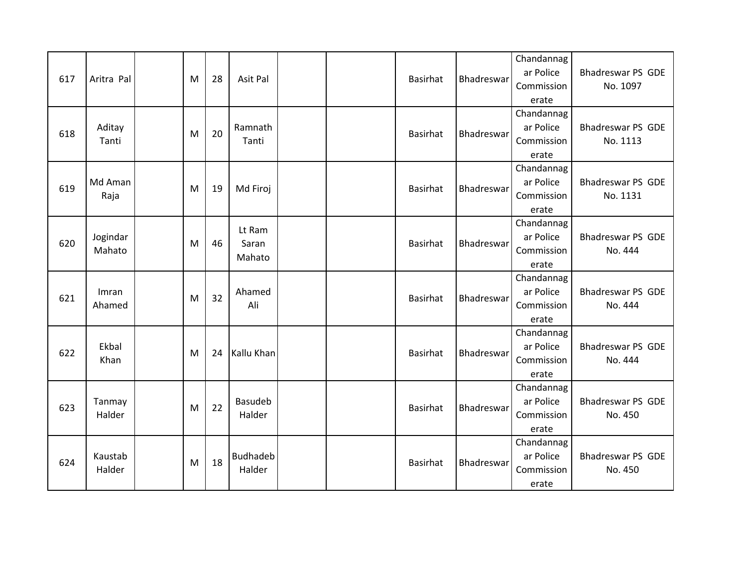| 617 | Aritra Pal         | M | 28 | Asit Pal                  |  | <b>Basirhat</b> | Bhadreswar | Chandannag<br>ar Police<br>Commission<br>erate | <b>Bhadreswar PS GDE</b><br>No. 1097 |
|-----|--------------------|---|----|---------------------------|--|-----------------|------------|------------------------------------------------|--------------------------------------|
| 618 | Aditay<br>Tanti    | M | 20 | Ramnath<br>Tanti          |  | <b>Basirhat</b> | Bhadreswar | Chandannag<br>ar Police<br>Commission<br>erate | <b>Bhadreswar PS GDE</b><br>No. 1113 |
| 619 | Md Aman<br>Raja    | M | 19 | Md Firoj                  |  | <b>Basirhat</b> | Bhadreswar | Chandannag<br>ar Police<br>Commission<br>erate | <b>Bhadreswar PS GDE</b><br>No. 1131 |
| 620 | Jogindar<br>Mahato | M | 46 | Lt Ram<br>Saran<br>Mahato |  | <b>Basirhat</b> | Bhadreswar | Chandannag<br>ar Police<br>Commission<br>erate | Bhadreswar PS GDE<br>No. 444         |
| 621 | Imran<br>Ahamed    | M | 32 | Ahamed<br>Ali             |  | <b>Basirhat</b> | Bhadreswar | Chandannag<br>ar Police<br>Commission<br>erate | <b>Bhadreswar PS GDE</b><br>No. 444  |
| 622 | Ekbal<br>Khan      | M | 24 | Kallu Khan                |  | <b>Basirhat</b> | Bhadreswar | Chandannag<br>ar Police<br>Commission<br>erate | <b>Bhadreswar PS GDE</b><br>No. 444  |
| 623 | Tanmay<br>Halder   | M | 22 | Basudeb<br>Halder         |  | <b>Basirhat</b> | Bhadreswar | Chandannag<br>ar Police<br>Commission<br>erate | <b>Bhadreswar PS GDE</b><br>No. 450  |
| 624 | Kaustab<br>Halder  | M | 18 | Budhadeb<br>Halder        |  | <b>Basirhat</b> | Bhadreswar | Chandannag<br>ar Police<br>Commission<br>erate | <b>Bhadreswar PS GDE</b><br>No. 450  |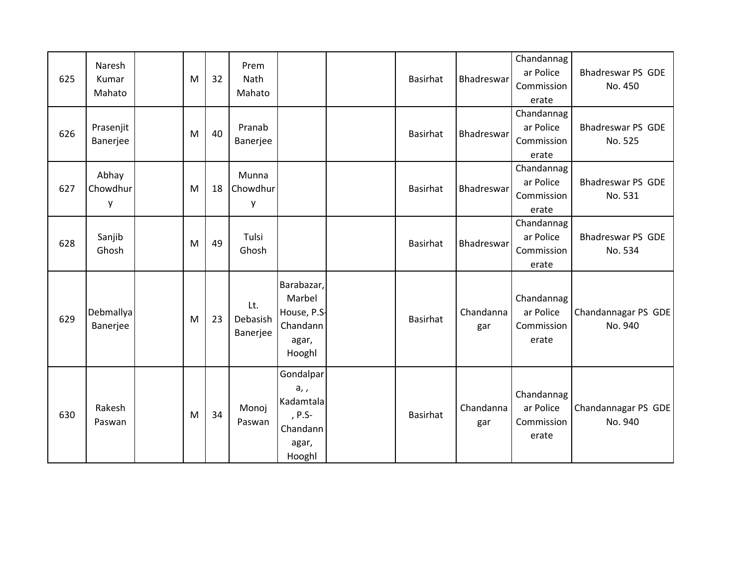| 625 | Naresh<br>Kumar<br>Mahato | M | 32 | Prem<br>Nath<br>Mahato      |                                                                           | <b>Basirhat</b> | Bhadreswar       | Chandannag<br>ar Police<br>Commission<br>erate | <b>Bhadreswar PS GDE</b><br>No. 450 |
|-----|---------------------------|---|----|-----------------------------|---------------------------------------------------------------------------|-----------------|------------------|------------------------------------------------|-------------------------------------|
| 626 | Prasenjit<br>Banerjee     | M | 40 | Pranab<br>Banerjee          |                                                                           | <b>Basirhat</b> | Bhadreswar       | Chandannag<br>ar Police<br>Commission<br>erate | <b>Bhadreswar PS GDE</b><br>No. 525 |
| 627 | Abhay<br>Chowdhur<br>y    | M | 18 | Munna<br>Chowdhur<br>у      |                                                                           | <b>Basirhat</b> | Bhadreswar       | Chandannag<br>ar Police<br>Commission<br>erate | <b>Bhadreswar PS GDE</b><br>No. 531 |
| 628 | Sanjib<br>Ghosh           | M | 49 | Tulsi<br>Ghosh              |                                                                           | <b>Basirhat</b> | Bhadreswar       | Chandannag<br>ar Police<br>Commission<br>erate | <b>Bhadreswar PS GDE</b><br>No. 534 |
| 629 | Debmallya<br>Banerjee     | M | 23 | Lt.<br>Debasish<br>Banerjee | Barabazar,<br>Marbel<br>House, P.S-<br>Chandann<br>agar,<br>Hooghl        | <b>Basirhat</b> | Chandanna<br>gar | Chandannag<br>ar Police<br>Commission<br>erate | Chandannagar PS GDE<br>No. 940      |
| 630 | Rakesh<br>Paswan          | M | 34 | Monoj<br>Paswan             | Gondalpar<br>$a,$ ,<br>Kadamtala<br>, P.S-<br>Chandann<br>agar,<br>Hooghl | <b>Basirhat</b> | Chandanna<br>gar | Chandannag<br>ar Police<br>Commission<br>erate | Chandannagar PS GDE<br>No. 940      |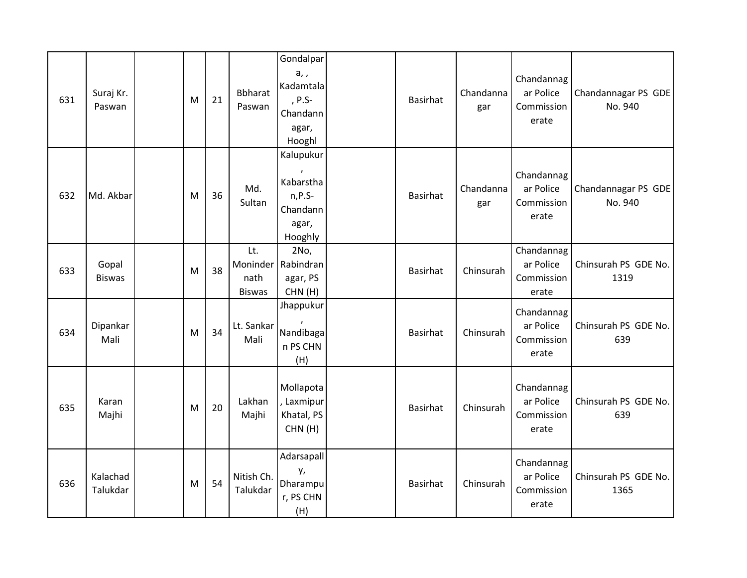| 631 | Suraj Kr.<br>Paswan    | M | 21 | <b>Bbharat</b><br>Paswan     | Gondalpar<br>a,,<br>Kadamtala<br>, P.S-<br>Chandann<br>agar,<br>Hooghl | <b>Basirhat</b> | Chandanna<br>gar | Chandannag<br>ar Police<br>Commission<br>erate | Chandannagar PS GDE<br>No. 940 |
|-----|------------------------|---|----|------------------------------|------------------------------------------------------------------------|-----------------|------------------|------------------------------------------------|--------------------------------|
| 632 | Md. Akbar              | M | 36 | Md.<br>Sultan                | Kalupukur<br>Kabarstha<br>$n, P.S-$<br>Chandann<br>agar,<br>Hooghly    | <b>Basirhat</b> | Chandanna<br>gar | Chandannag<br>ar Police<br>Commission<br>erate | Chandannagar PS GDE<br>No. 940 |
| 633 | Gopal<br><b>Biswas</b> | M | 38 | Lt.<br>nath<br><b>Biswas</b> | 2No,<br>Moninder   Rabindran<br>agar, PS<br>CHN(H)                     | <b>Basirhat</b> | Chinsurah        | Chandannag<br>ar Police<br>Commission<br>erate | Chinsurah PS GDE No.<br>1319   |
| 634 | Dipankar<br>Mali       | M | 34 | Lt. Sankar<br>Mali           | Jhappukur<br>Nandibaga<br>n PS CHN<br>(H)                              | <b>Basirhat</b> | Chinsurah        | Chandannag<br>ar Police<br>Commission<br>erate | Chinsurah PS GDE No.<br>639    |
| 635 | Karan<br>Majhi         | M | 20 | Lakhan<br>Majhi              | Mollapota<br>, Laxmipur<br>Khatal, PS<br>CHN(H)                        | <b>Basirhat</b> | Chinsurah        | Chandannag<br>ar Police<br>Commission<br>erate | Chinsurah PS GDE No.<br>639    |
| 636 | Kalachad<br>Talukdar   | M | 54 | Nitish Ch.<br>Talukdar       | Adarsapall<br>у,<br>Dharampu<br>r, PS CHN<br>(H)                       | <b>Basirhat</b> | Chinsurah        | Chandannag<br>ar Police<br>Commission<br>erate | Chinsurah PS GDE No.<br>1365   |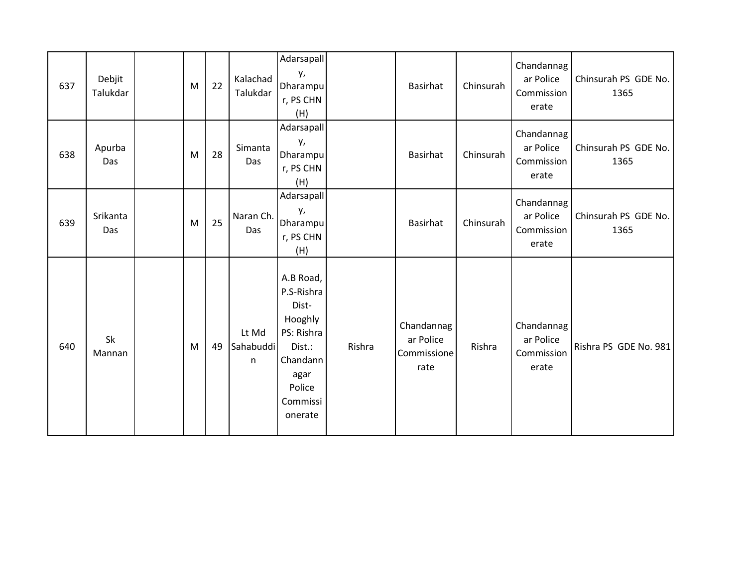| 637 | Debjit<br>Talukdar | M | 22 | Kalachad<br>Talukdar    | Adarsapall<br>у,<br>Dharampu<br>r, PS CHN<br>(H)                                                                         |        | Basirhat                                       | Chinsurah | Chandannag<br>ar Police<br>Commission<br>erate | Chinsurah PS GDE No.<br>1365 |
|-----|--------------------|---|----|-------------------------|--------------------------------------------------------------------------------------------------------------------------|--------|------------------------------------------------|-----------|------------------------------------------------|------------------------------|
| 638 | Apurba<br>Das      | M | 28 | Simanta<br>Das          | Adarsapall<br>у,<br>Dharampu<br>r, PS CHN<br>(H)                                                                         |        | Basirhat                                       | Chinsurah | Chandannag<br>ar Police<br>Commission<br>erate | Chinsurah PS GDE No.<br>1365 |
| 639 | Srikanta<br>Das    | M | 25 | Naran Ch.<br>Das        | Adarsapall<br>у,<br>Dharampu<br>r, PS CHN<br>(H)                                                                         |        | Basirhat                                       | Chinsurah | Chandannag<br>ar Police<br>Commission<br>erate | Chinsurah PS GDE No.<br>1365 |
| 640 | Sk<br>Mannan       | M | 49 | Lt Md<br>Sahabuddi<br>n | A.B Road,<br>P.S-Rishra<br>Dist-<br>Hooghly<br>PS: Rishra<br>Dist.:<br>Chandann<br>agar<br>Police<br>Commissi<br>onerate | Rishra | Chandannag<br>ar Police<br>Commissione<br>rate | Rishra    | Chandannag<br>ar Police<br>Commission<br>erate | Rishra PS GDE No. 981        |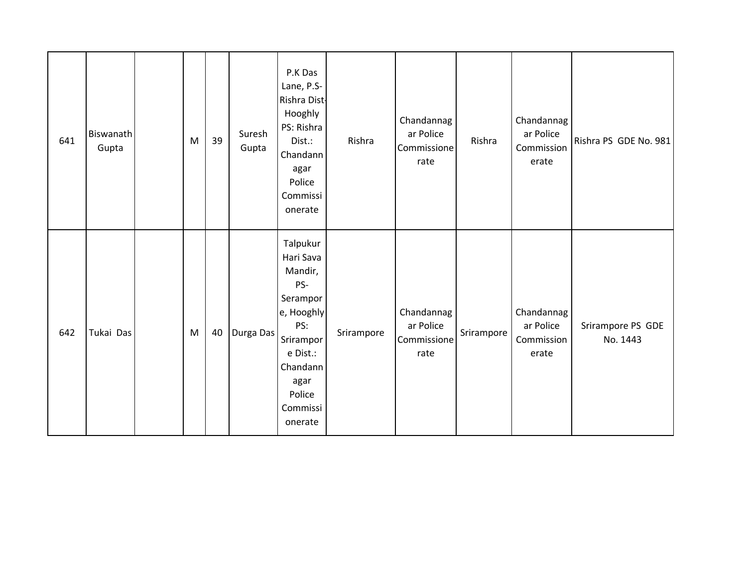| 641 | Biswanath<br>Gupta | M         | 39 | Suresh<br>Gupta | P.K Das<br>Lane, P.S-<br>Rishra Dist-<br>Hooghly<br>PS: Rishra<br>Dist.:<br>Chandann<br>agar<br>Police<br>Commissi<br>onerate                          | Rishra     | Chandannag<br>ar Police<br>Commissione<br>rate | Rishra     | Chandannag<br>ar Police<br>Commission<br>erate | Rishra PS GDE No. 981         |
|-----|--------------------|-----------|----|-----------------|--------------------------------------------------------------------------------------------------------------------------------------------------------|------------|------------------------------------------------|------------|------------------------------------------------|-------------------------------|
| 642 | Tukai Das          | ${\sf M}$ | 40 | Durga Das       | Talpukur<br>Hari Sava<br>Mandir,<br>PS-<br>Serampor<br>e, Hooghly<br>PS:<br>Srirampor<br>e Dist.:<br>Chandann<br>agar<br>Police<br>Commissi<br>onerate | Srirampore | Chandannag<br>ar Police<br>Commissione<br>rate | Srirampore | Chandannag<br>ar Police<br>Commission<br>erate | Srirampore PS GDE<br>No. 1443 |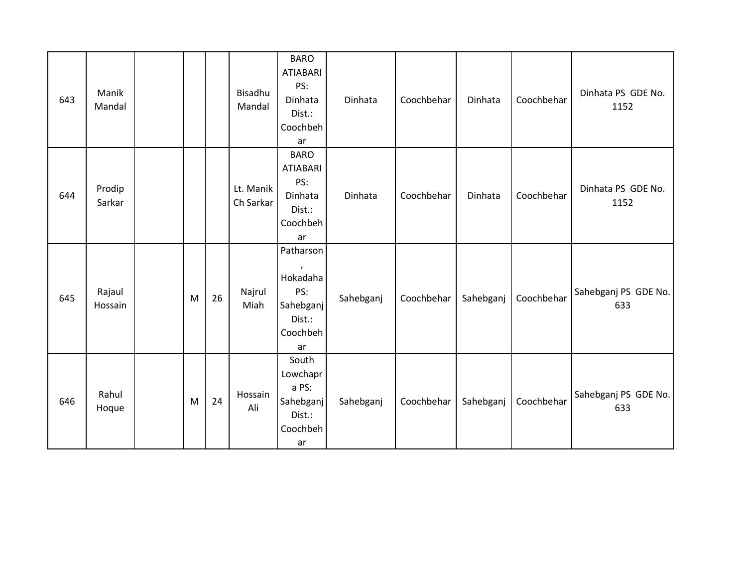| 643 | Manik<br>Mandal   |   |    | Bisadhu<br>Mandal      | <b>BARO</b><br><b>ATIABARI</b><br>PS:<br>Dinhata<br>Dist.:<br>Coochbeh<br>ar       | Dinhata   | Coochbehar | Dinhata   | Coochbehar | Dinhata PS GDE No.<br>1152  |
|-----|-------------------|---|----|------------------------|------------------------------------------------------------------------------------|-----------|------------|-----------|------------|-----------------------------|
| 644 | Prodip<br>Sarkar  |   |    | Lt. Manik<br>Ch Sarkar | <b>BARO</b><br><b>ATIABARI</b><br>PS:<br>Dinhata<br>Dist.:<br>Coochbeh<br>ar       | Dinhata   | Coochbehar | Dinhata   | Coochbehar | Dinhata PS GDE No.<br>1152  |
| 645 | Rajaul<br>Hossain | M | 26 | Najrul<br>Miah         | Patharson<br>$\lambda$<br>Hokadaha<br>PS:<br>Sahebganj<br>Dist.:<br>Coochbeh<br>ar | Sahebganj | Coochbehar | Sahebganj | Coochbehar | Sahebganj PS GDE No.<br>633 |
| 646 | Rahul<br>Hoque    | M | 24 | Hossain<br>Ali         | South<br>Lowchapr<br>a PS:<br>Sahebganj<br>Dist.:<br>Coochbeh<br>ar                | Sahebganj | Coochbehar | Sahebganj | Coochbehar | Sahebganj PS GDE No.<br>633 |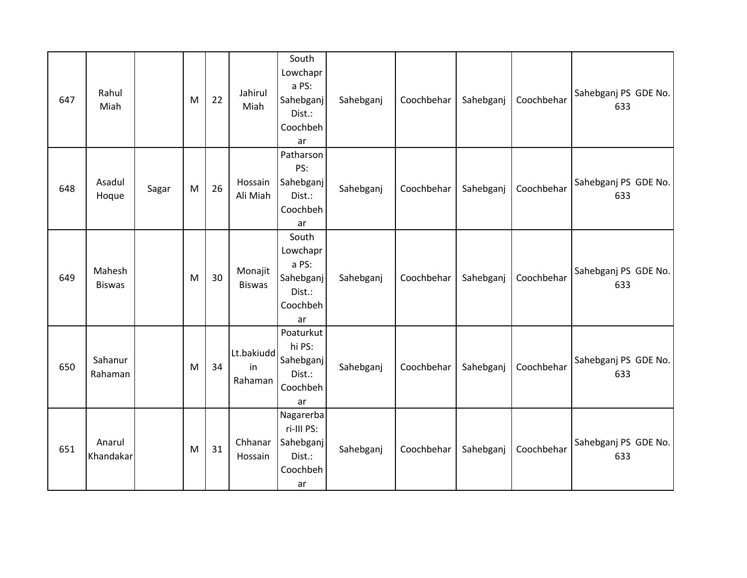| 647 | Rahul<br>Miah           |       | M | 22 | Jahirul<br>Miah             | South<br>Lowchapr<br>a PS:<br>Sahebganj<br>Dist.:<br>Coochbeh<br>ar | Sahebganj | Coochbehar | Sahebganj | Coochbehar | Sahebganj PS GDE No.<br>633 |
|-----|-------------------------|-------|---|----|-----------------------------|---------------------------------------------------------------------|-----------|------------|-----------|------------|-----------------------------|
| 648 | Asadul<br>Hoque         | Sagar | M | 26 | Hossain<br>Ali Miah         | Patharson<br>PS:<br>Sahebganj<br>Dist.:<br>Coochbeh<br>ar           | Sahebganj | Coochbehar | Sahebganj | Coochbehar | Sahebganj PS GDE No.<br>633 |
| 649 | Mahesh<br><b>Biswas</b> |       | M | 30 | Monajit<br><b>Biswas</b>    | South<br>Lowchapr<br>a PS:<br>Sahebganj<br>Dist.:<br>Coochbeh<br>ar | Sahebganj | Coochbehar | Sahebganj | Coochbehar | Sahebganj PS GDE No.<br>633 |
| 650 | Sahanur<br>Rahaman      |       | M | 34 | Lt.bakiudd<br>in<br>Rahaman | Poaturkut<br>hi PS:<br>Sahebganj<br>Dist.:<br>Coochbeh<br>ar        | Sahebganj | Coochbehar | Sahebganj | Coochbehar | Sahebganj PS GDE No.<br>633 |
| 651 | Anarul<br>Khandakar     |       | M | 31 | Chhanar<br>Hossain          | Nagarerba<br>ri-III PS:<br>Sahebganj<br>Dist.:<br>Coochbeh<br>ar    | Sahebganj | Coochbehar | Sahebganj | Coochbehar | Sahebganj PS GDE No.<br>633 |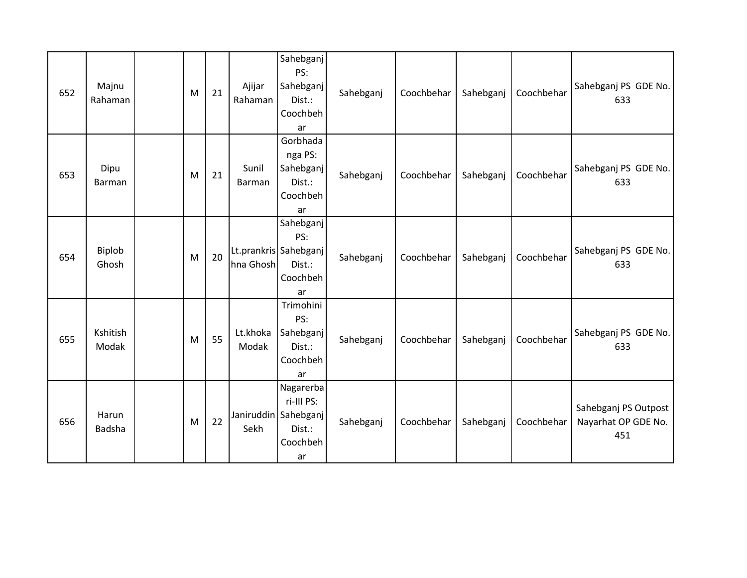| 652 | Majnu<br>Rahaman       | M | 21 | Ajijar<br>Rahaman | Sahebganj<br>PS:<br>Sahebganj<br>Dist.:<br>Coochbeh<br>ar                   | Sahebganj | Coochbehar | Sahebganj | Coochbehar | Sahebganj PS GDE No.<br>633                        |
|-----|------------------------|---|----|-------------------|-----------------------------------------------------------------------------|-----------|------------|-----------|------------|----------------------------------------------------|
| 653 | Dipu<br><b>Barman</b>  | M | 21 | Sunil<br>Barman   | Gorbhada<br>nga PS:<br>Sahebganj<br>Dist.:<br>Coochbeh<br>ar                | Sahebganj | Coochbehar | Sahebganj | Coochbehar | Sahebganj PS GDE No.<br>633                        |
| 654 | <b>Biplob</b><br>Ghosh | M | 20 | hna Ghosh         | Sahebganj<br>PS:<br>Lt.prankris Sahebganj<br>Dist.:<br>Coochbeh<br>ar       | Sahebganj | Coochbehar | Sahebganj | Coochbehar | Sahebganj PS GDE No.<br>633                        |
| 655 | Kshitish<br>Modak      | M | 55 | Lt.khoka<br>Modak | Trimohini<br>PS:<br>Sahebganj<br>Dist.:<br>Coochbeh<br>ar                   | Sahebganj | Coochbehar | Sahebganj | Coochbehar | Sahebganj PS GDE No.<br>633                        |
| 656 | Harun<br><b>Badsha</b> | M | 22 | Sekh              | Nagarerba<br>ri-III PS:<br>Janiruddin Sahebganj<br>Dist.:<br>Coochbeh<br>ar | Sahebganj | Coochbehar | Sahebganj | Coochbehar | Sahebganj PS Outpost<br>Nayarhat OP GDE No.<br>451 |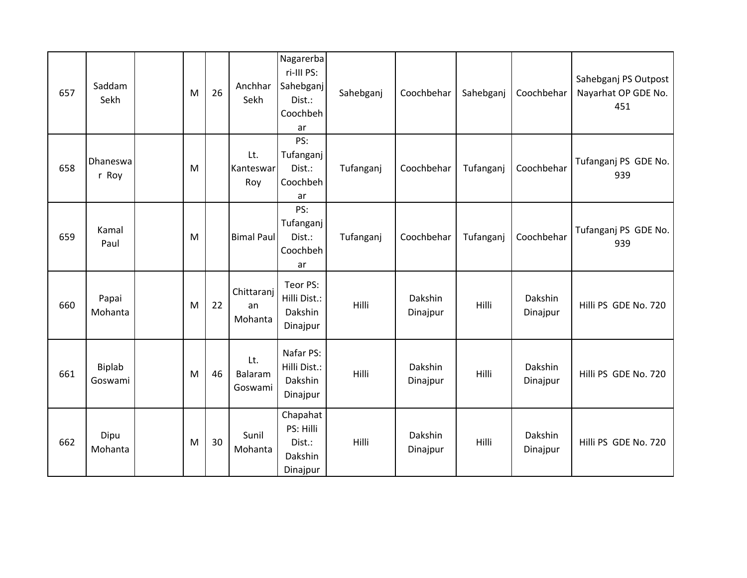| 657 | Saddam<br>Sekh           | M | 26 | Anchhar<br>Sekh             | Nagarerba<br>ri-III PS:<br>Sahebganj<br>Dist.:<br>Coochbeh<br>ar | Sahebganj | Coochbehar          | Sahebganj | Coochbehar          | Sahebganj PS Outpost<br>Nayarhat OP GDE No.<br>451 |
|-----|--------------------------|---|----|-----------------------------|------------------------------------------------------------------|-----------|---------------------|-----------|---------------------|----------------------------------------------------|
| 658 | Dhaneswa<br>r Roy        | M |    | Lt.<br>Kanteswar<br>Roy     | PS:<br>Tufanganj<br>Dist.:<br>Coochbeh<br>ar                     | Tufanganj | Coochbehar          | Tufanganj | Coochbehar          | Tufanganj PS GDE No.<br>939                        |
| 659 | Kamal<br>Paul            | M |    | <b>Bimal Paul</b>           | PS:<br>Tufanganj<br>Dist.:<br>Coochbeh<br>ar                     | Tufanganj | Coochbehar          | Tufanganj | Coochbehar          | Tufanganj PS GDE No.<br>939                        |
| 660 | Papai<br>Mohanta         | M | 22 | Chittaranj<br>an<br>Mohanta | Teor PS:<br>Hilli Dist.:<br>Dakshin<br>Dinajpur                  | Hilli     | Dakshin<br>Dinajpur | Hilli     | Dakshin<br>Dinajpur | Hilli PS GDE No. 720                               |
| 661 | <b>Biplab</b><br>Goswami | M | 46 | Lt.<br>Balaram<br>Goswami   | Nafar PS:<br>Hilli Dist.:<br>Dakshin<br>Dinajpur                 | Hilli     | Dakshin<br>Dinajpur | Hilli     | Dakshin<br>Dinajpur | Hilli PS GDE No. 720                               |
| 662 | Dipu<br>Mohanta          | M | 30 | Sunil<br>Mohanta            | Chapahat<br>PS: Hilli<br>Dist.:<br>Dakshin<br>Dinajpur           | Hilli     | Dakshin<br>Dinajpur | Hilli     | Dakshin<br>Dinajpur | Hilli PS GDE No. 720                               |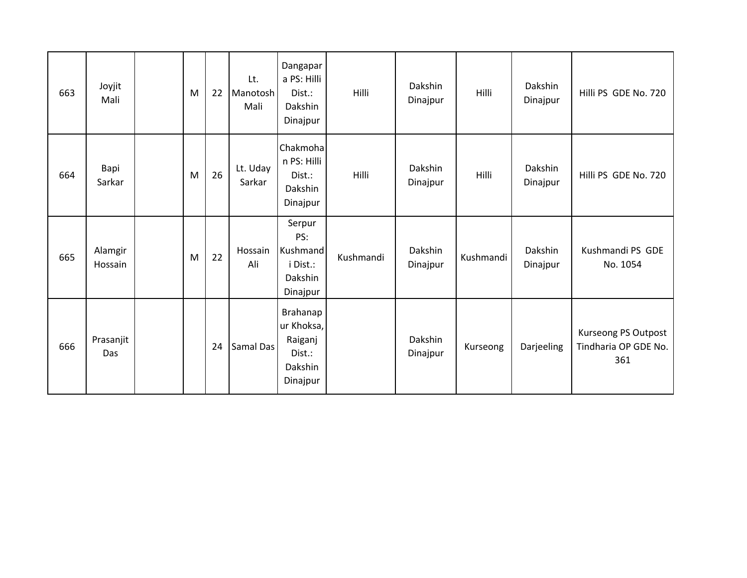| 663 | Joyjit<br>Mali     | M | 22 | Lt.<br>Manotosh<br>Mali | Dangapar<br>a PS: Hilli<br>Dist.:<br>Dakshin<br>Dinajpur           | Hilli     | Dakshin<br>Dinajpur | Hilli     | Dakshin<br>Dinajpur | Hilli PS GDE No. 720                               |
|-----|--------------------|---|----|-------------------------|--------------------------------------------------------------------|-----------|---------------------|-----------|---------------------|----------------------------------------------------|
| 664 | Bapi<br>Sarkar     | M | 26 | Lt. Uday<br>Sarkar      | Chakmoha<br>n PS: Hilli<br>Dist.:<br>Dakshin<br>Dinajpur           | Hilli     | Dakshin<br>Dinajpur | Hilli     | Dakshin<br>Dinajpur | Hilli PS GDE No. 720                               |
| 665 | Alamgir<br>Hossain | M | 22 | Hossain<br>Ali          | Serpur<br>PS:<br>Kushmand<br>i Dist.:<br>Dakshin<br>Dinajpur       | Kushmandi | Dakshin<br>Dinajpur | Kushmandi | Dakshin<br>Dinajpur | Kushmandi PS GDE<br>No. 1054                       |
| 666 | Prasanjit<br>Das   |   | 24 | Samal Das               | Brahanap<br>ur Khoksa,<br>Raiganj<br>Dist.:<br>Dakshin<br>Dinajpur |           | Dakshin<br>Dinajpur | Kurseong  | Darjeeling          | Kurseong PS Outpost<br>Tindharia OP GDE No.<br>361 |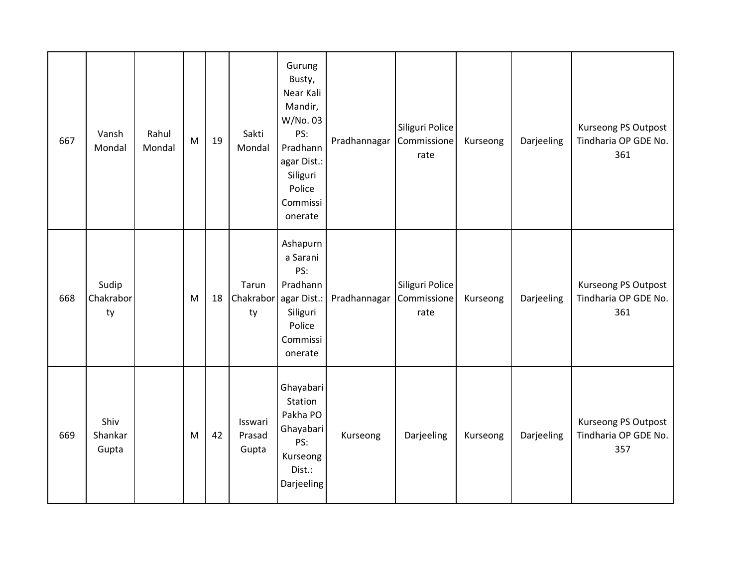| 667 | Vansh<br>Mondal          | Rahul<br>Mondal | M | 19 | Sakti<br>Mondal                      | Gurung<br>Busty,<br>Near Kali<br>Mandir,<br>W/No. 03<br>PS:<br>Pradhann<br>agar Dist.:<br>Siliguri<br>Police<br>Commissi<br>onerate | Pradhannagar | Siliguri Police<br>Commissione<br>rate | Kurseong | Darjeeling | Kurseong PS Outpost<br>Tindharia OP GDE No.<br>361 |
|-----|--------------------------|-----------------|---|----|--------------------------------------|-------------------------------------------------------------------------------------------------------------------------------------|--------------|----------------------------------------|----------|------------|----------------------------------------------------|
| 668 | Sudip<br>Chakrabor<br>ty |                 | M | 18 | Tarun<br>Chakrabor agar Dist.:<br>ty | Ashapurn<br>a Sarani<br>PS:<br>Pradhann<br>Siliguri<br>Police<br>Commissi<br>onerate                                                | Pradhannagar | Siliguri Police<br>Commissione<br>rate | Kurseong | Darjeeling | Kurseong PS Outpost<br>Tindharia OP GDE No.<br>361 |
| 669 | Shiv<br>Shankar<br>Gupta |                 | M | 42 | Isswari<br>Prasad<br>Gupta           | Ghayabari<br>Station<br>Pakha PO<br>Ghayabari<br>PS:<br>Kurseong<br>Dist.:<br>Darjeeling                                            | Kurseong     | Darjeeling                             | Kurseong | Darjeeling | Kurseong PS Outpost<br>Tindharia OP GDE No.<br>357 |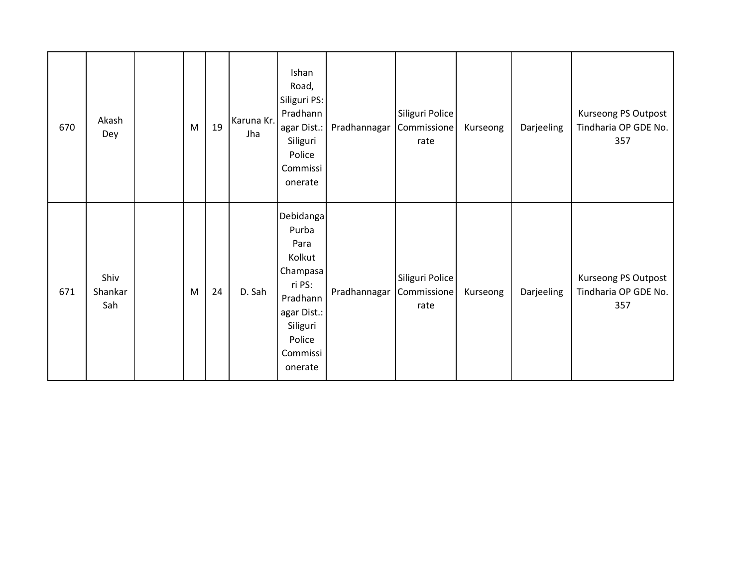| 670 | Akash<br>Dey           | M | 19 | Karuna Kr.<br>Jha | Ishan<br>Road,<br>Siliguri PS:<br>Pradhann<br>agar Dist.:<br>Siliguri<br>Police<br>Commissi<br>onerate                             | Pradhannagar Commissione | Siliguri Police<br>rate | Kurseong | Darjeeling | Kurseong PS Outpost<br>Tindharia OP GDE No.<br>357 |
|-----|------------------------|---|----|-------------------|------------------------------------------------------------------------------------------------------------------------------------|--------------------------|-------------------------|----------|------------|----------------------------------------------------|
| 671 | Shiv<br>Shankar<br>Sah | M | 24 | D. Sah            | Debidanga<br>Purba<br>Para<br>Kolkut<br>Champasa<br>ri PS:<br>Pradhann<br>agar Dist.:<br>Siliguri<br>Police<br>Commissi<br>onerate | Pradhannagar Commissione | Siliguri Police<br>rate | Kurseong | Darjeeling | Kurseong PS Outpost<br>Tindharia OP GDE No.<br>357 |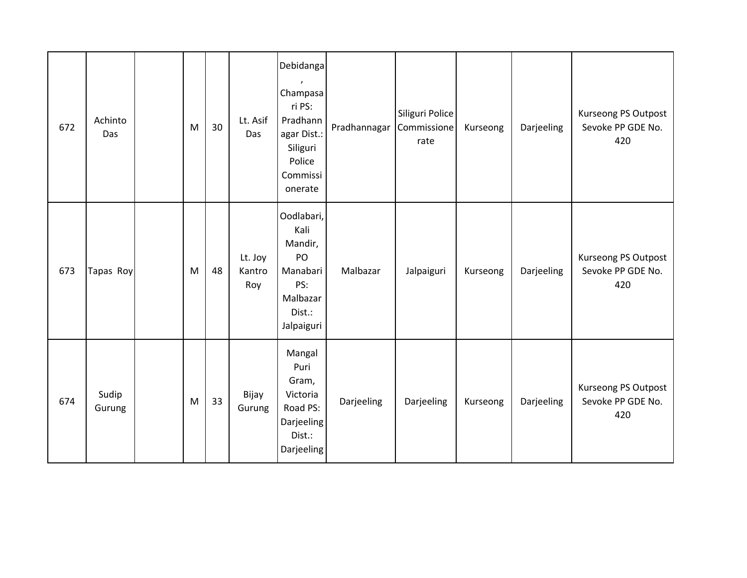| 672 | Achinto<br>Das  | M | 30 | Lt. Asif<br>Das          | Debidanga<br>Champasa<br>ri PS:<br>Pradhann<br>agar Dist.:<br>Siliguri<br>Police<br>Commissi<br>onerate | Pradhannagar | Siliguri Police<br>Commissione<br>rate | Kurseong | Darjeeling | Kurseong PS Outpost<br>Sevoke PP GDE No.<br>420 |
|-----|-----------------|---|----|--------------------------|---------------------------------------------------------------------------------------------------------|--------------|----------------------------------------|----------|------------|-------------------------------------------------|
| 673 | Tapas Roy       | M | 48 | Lt. Joy<br>Kantro<br>Roy | Oodlabari,<br>Kali<br>Mandir,<br>PO<br>Manabari<br>PS:<br>Malbazar<br>Dist.:<br>Jalpaiguri              | Malbazar     | Jalpaiguri                             | Kurseong | Darjeeling | Kurseong PS Outpost<br>Sevoke PP GDE No.<br>420 |
| 674 | Sudip<br>Gurung | M | 33 | Bijay<br>Gurung          | Mangal<br>Puri<br>Gram,<br>Victoria<br>Road PS:<br>Darjeeling<br>Dist.:<br>Darjeeling                   | Darjeeling   | Darjeeling                             | Kurseong | Darjeeling | Kurseong PS Outpost<br>Sevoke PP GDE No.<br>420 |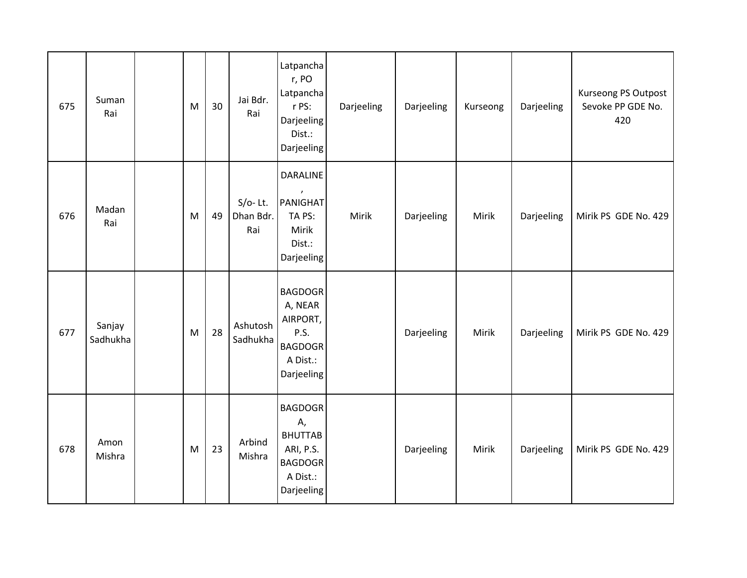| 675 | Suman<br>Rai       | M | 30 | Jai Bdr.<br>Rai                | Latpancha<br>r, PO<br>Latpancha<br>r PS:<br>Darjeeling<br>Dist.:<br>Darjeeling                  | Darjeeling | Darjeeling | Kurseong | Darjeeling | Kurseong PS Outpost<br>Sevoke PP GDE No.<br>420 |
|-----|--------------------|---|----|--------------------------------|-------------------------------------------------------------------------------------------------|------------|------------|----------|------------|-------------------------------------------------|
| 676 | Madan<br>Rai       | M | 49 | $S/O-$ Lt.<br>Dhan Bdr.<br>Rai | <b>DARALINE</b><br>PANIGHAT<br>TA PS:<br>Mirik<br>Dist.:<br>Darjeeling                          | Mirik      | Darjeeling | Mirik    | Darjeeling | Mirik PS GDE No. 429                            |
| 677 | Sanjay<br>Sadhukha | M | 28 | Ashutosh<br>Sadhukha           | <b>BAGDOGR</b><br>A, NEAR<br>AIRPORT,<br>P.S.<br><b>BAGDOGR</b><br>A Dist.:<br>Darjeeling       |            | Darjeeling | Mirik    | Darjeeling | Mirik PS GDE No. 429                            |
| 678 | Amon<br>Mishra     | M | 23 | Arbind<br>Mishra               | <b>BAGDOGR</b><br>Α,<br><b>BHUTTAB</b><br>ARI, P.S.<br><b>BAGDOGR</b><br>A Dist.:<br>Darjeeling |            | Darjeeling | Mirik    | Darjeeling | Mirik PS GDE No. 429                            |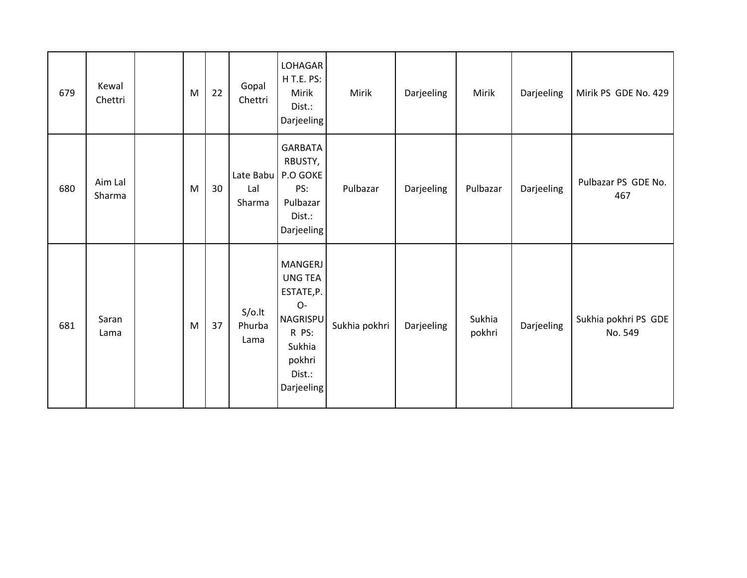| 679 | Kewal<br>Chettri  | M | 22 | Gopal<br>Chettri            | LOHAGAR<br>H T.E. PS:<br>Mirik<br>Dist.:<br><b>Darjeeling</b>                                                         | Mirik         | Darjeeling | Mirik            | Darjeeling | Mirik PS GDE No. 429            |
|-----|-------------------|---|----|-----------------------------|-----------------------------------------------------------------------------------------------------------------------|---------------|------------|------------------|------------|---------------------------------|
| 680 | Aim Lal<br>Sharma | M | 30 | Late Babu<br>Lal<br>Sharma  | <b>GARBATA</b><br>RBUSTY,<br>P.O GOKE<br>PS:<br>Pulbazar<br>Dist.:<br>Darjeeling                                      | Pulbazar      | Darjeeling | Pulbazar         | Darjeeling | Pulbazar PS GDE No.<br>467      |
| 681 | Saran<br>Lama     | M | 37 | $S/O$ .lt<br>Phurba<br>Lama | MANGERJ<br><b>UNG TEA</b><br>ESTATE, P.<br>O-<br><b>NAGRISPU</b><br>R PS:<br>Sukhia<br>pokhri<br>Dist.:<br>Darjeeling | Sukhia pokhri | Darjeeling | Sukhia<br>pokhri | Darjeeling | Sukhia pokhri PS GDE<br>No. 549 |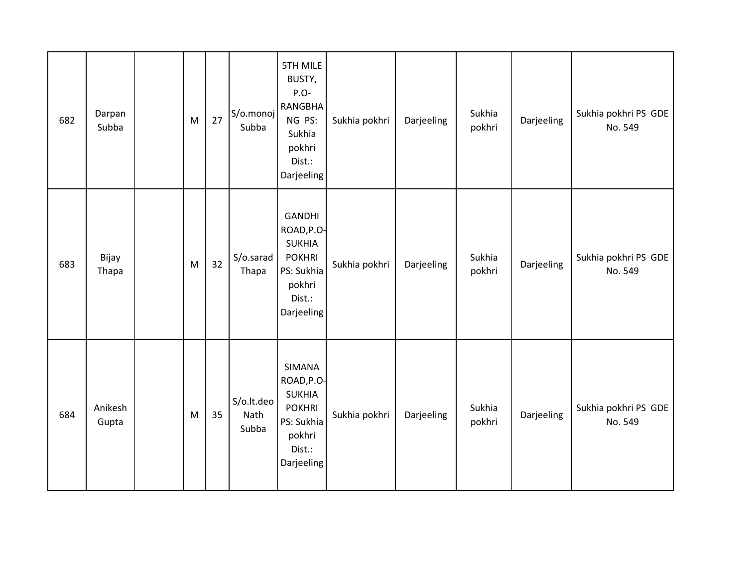| 682 | Darpan<br>Subba  | M | 27 | S/o.monoj<br>Subba          | <b>5TH MILE</b><br>BUSTY,<br>P.O-<br><b>RANGBHA</b><br>NG PS:<br>Sukhia<br>pokhri<br>Dist.:<br>Darjeeling     | Sukhia pokhri | Darjeeling | Sukhia<br>pokhri | Darjeeling | Sukhia pokhri PS GDE<br>No. 549 |
|-----|------------------|---|----|-----------------------------|---------------------------------------------------------------------------------------------------------------|---------------|------------|------------------|------------|---------------------------------|
| 683 | Bijay<br>Thapa   | M | 32 | S/o.sarad<br>Thapa          | <b>GANDHI</b><br>ROAD, P.O-<br><b>SUKHIA</b><br><b>POKHRI</b><br>PS: Sukhia<br>pokhri<br>Dist.:<br>Darjeeling | Sukhia pokhri | Darjeeling | Sukhia<br>pokhri | Darjeeling | Sukhia pokhri PS GDE<br>No. 549 |
| 684 | Anikesh<br>Gupta | M | 35 | S/o.lt.deo<br>Nath<br>Subba | <b>SIMANA</b><br>ROAD, P.O-<br><b>SUKHIA</b><br><b>POKHRI</b><br>PS: Sukhia<br>pokhri<br>Dist.:<br>Darjeeling | Sukhia pokhri | Darjeeling | Sukhia<br>pokhri | Darjeeling | Sukhia pokhri PS GDE<br>No. 549 |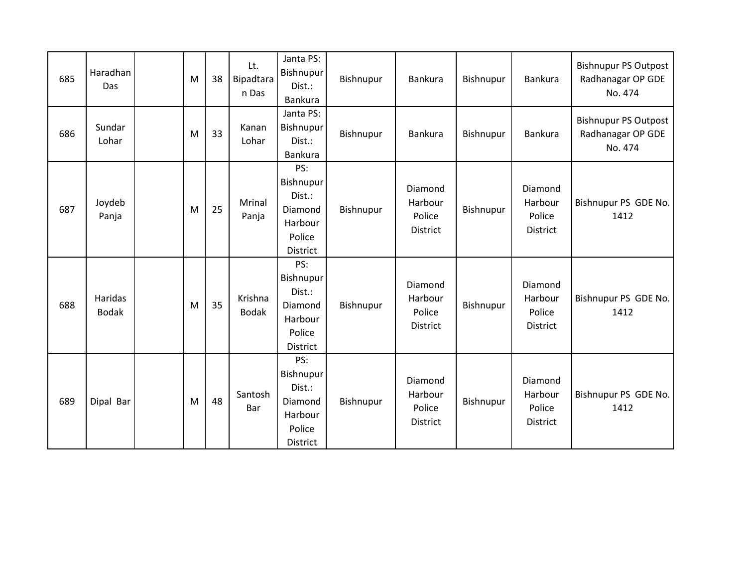| 685 | Haradhan<br>Das         | M | 38 | Lt.<br>Bipadtara<br>n Das | Janta PS:<br>Bishnupur<br>Dist.:<br>Bankura                            | Bishnupur | Bankura                                         | Bishnupur | Bankura                                  | <b>Bishnupur PS Outpost</b><br>Radhanagar OP GDE<br>No. 474 |
|-----|-------------------------|---|----|---------------------------|------------------------------------------------------------------------|-----------|-------------------------------------------------|-----------|------------------------------------------|-------------------------------------------------------------|
| 686 | Sundar<br>Lohar         | M | 33 | Kanan<br>Lohar            | Janta PS:<br>Bishnupur<br>Dist.:<br>Bankura                            | Bishnupur | Bankura                                         | Bishnupur | Bankura                                  | <b>Bishnupur PS Outpost</b><br>Radhanagar OP GDE<br>No. 474 |
| 687 | Joydeb<br>Panja         | M | 25 | Mrinal<br>Panja           | PS:<br>Bishnupur<br>Dist.:<br>Diamond<br>Harbour<br>Police<br>District | Bishnupur | Diamond<br>Harbour<br>Police<br><b>District</b> | Bishnupur | Diamond<br>Harbour<br>Police<br>District | Bishnupur PS GDE No.<br>1412                                |
| 688 | Haridas<br><b>Bodak</b> | M | 35 | Krishna<br><b>Bodak</b>   | PS:<br>Bishnupur<br>Dist.:<br>Diamond<br>Harbour<br>Police<br>District | Bishnupur | Diamond<br>Harbour<br>Police<br>District        | Bishnupur | Diamond<br>Harbour<br>Police<br>District | Bishnupur PS GDE No.<br>1412                                |
| 689 | Dipal Bar               | M | 48 | Santosh<br>Bar            | PS:<br>Bishnupur<br>Dist.:<br>Diamond<br>Harbour<br>Police<br>District | Bishnupur | Diamond<br>Harbour<br>Police<br>District        | Bishnupur | Diamond<br>Harbour<br>Police<br>District | Bishnupur PS GDE No.<br>1412                                |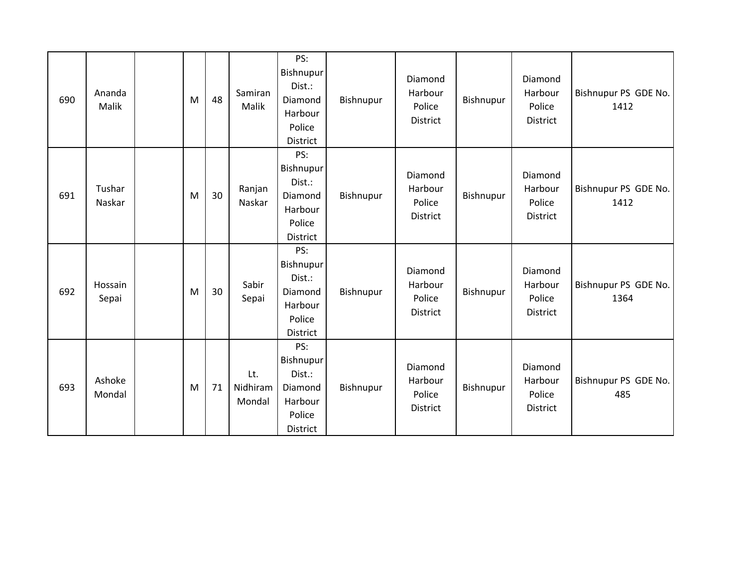| 690 | Ananda<br>Malik  | M | 48 | Samiran<br>Malik          | PS:<br>Bishnupur<br>Dist.:<br>Diamond<br>Harbour<br>Police<br>District        | Bishnupur | Diamond<br>Harbour<br>Police<br><b>District</b> | Bishnupur | Diamond<br>Harbour<br>Police<br>District | Bishnupur PS GDE No.<br>1412 |
|-----|------------------|---|----|---------------------------|-------------------------------------------------------------------------------|-----------|-------------------------------------------------|-----------|------------------------------------------|------------------------------|
| 691 | Tushar<br>Naskar | M | 30 | Ranjan<br>Naskar          | PS:<br>Bishnupur<br>Dist.:<br>Diamond<br>Harbour<br>Police<br><b>District</b> | Bishnupur | Diamond<br>Harbour<br>Police<br><b>District</b> | Bishnupur | Diamond<br>Harbour<br>Police<br>District | Bishnupur PS GDE No.<br>1412 |
| 692 | Hossain<br>Sepai | M | 30 | Sabir<br>Sepai            | PS:<br>Bishnupur<br>Dist.:<br>Diamond<br>Harbour<br>Police<br>District        | Bishnupur | Diamond<br>Harbour<br>Police<br>District        | Bishnupur | Diamond<br>Harbour<br>Police<br>District | Bishnupur PS GDE No.<br>1364 |
| 693 | Ashoke<br>Mondal | M | 71 | Lt.<br>Nidhiram<br>Mondal | PS:<br>Bishnupur<br>Dist.:<br>Diamond<br>Harbour<br>Police<br>District        | Bishnupur | Diamond<br>Harbour<br>Police<br><b>District</b> | Bishnupur | Diamond<br>Harbour<br>Police<br>District | Bishnupur PS GDE No.<br>485  |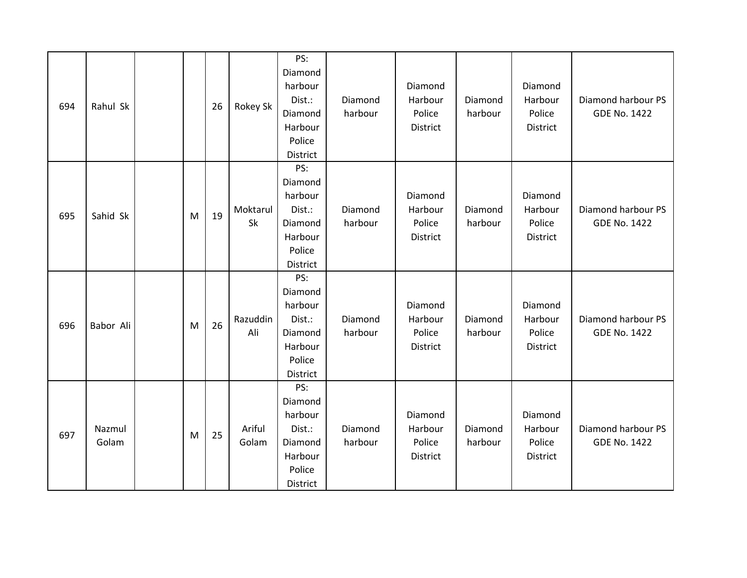| 694 | Rahul Sk        |   | 26 | Rokey Sk        | PS:<br>Diamond<br>harbour<br>Dist.:<br>Diamond<br>Harbour<br>Police<br>District | Diamond<br>harbour | Diamond<br>Harbour<br>Police<br>District | Diamond<br>harbour | Diamond<br>Harbour<br>Police<br>District | Diamond harbour PS<br><b>GDE No. 1422</b> |
|-----|-----------------|---|----|-----------------|---------------------------------------------------------------------------------|--------------------|------------------------------------------|--------------------|------------------------------------------|-------------------------------------------|
| 695 | Sahid Sk        | M | 19 | Moktarul<br>Sk  | PS:<br>Diamond<br>harbour<br>Dist.:<br>Diamond<br>Harbour<br>Police<br>District | Diamond<br>harbour | Diamond<br>Harbour<br>Police<br>District | Diamond<br>harbour | Diamond<br>Harbour<br>Police<br>District | Diamond harbour PS<br><b>GDE No. 1422</b> |
| 696 | Babor Ali       | M | 26 | Razuddin<br>Ali | PS:<br>Diamond<br>harbour<br>Dist.:<br>Diamond<br>Harbour<br>Police<br>District | Diamond<br>harbour | Diamond<br>Harbour<br>Police<br>District | Diamond<br>harbour | Diamond<br>Harbour<br>Police<br>District | Diamond harbour PS<br><b>GDE No. 1422</b> |
| 697 | Nazmul<br>Golam | M | 25 | Ariful<br>Golam | PS:<br>Diamond<br>harbour<br>Dist.:<br>Diamond<br>Harbour<br>Police<br>District | Diamond<br>harbour | Diamond<br>Harbour<br>Police<br>District | Diamond<br>harbour | Diamond<br>Harbour<br>Police<br>District | Diamond harbour PS<br><b>GDE No. 1422</b> |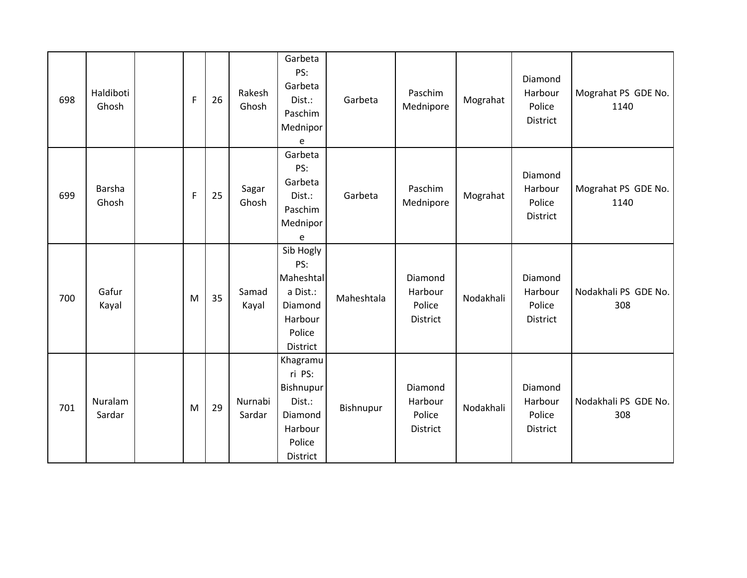| 698 | Haldiboti<br>Ghosh | F | 26 | Rakesh<br>Ghosh   | Garbeta<br>PS:<br>Garbeta<br>Dist.:<br>Paschim<br>Mednipor<br>e                       | Garbeta    | Paschim<br>Mednipore                            | Mograhat  | Diamond<br>Harbour<br>Police<br><b>District</b> | Mograhat PS GDE No.<br>1140 |
|-----|--------------------|---|----|-------------------|---------------------------------------------------------------------------------------|------------|-------------------------------------------------|-----------|-------------------------------------------------|-----------------------------|
| 699 | Barsha<br>Ghosh    | F | 25 | Sagar<br>Ghosh    | Garbeta<br>PS:<br>Garbeta<br>Dist.:<br>Paschim<br>Mednipor<br>e                       | Garbeta    | Paschim<br>Mednipore                            | Mograhat  | Diamond<br>Harbour<br>Police<br>District        | Mograhat PS GDE No.<br>1140 |
| 700 | Gafur<br>Kayal     | M | 35 | Samad<br>Kayal    | Sib Hogly<br>PS:<br>Maheshtal<br>a Dist.:<br>Diamond<br>Harbour<br>Police<br>District | Maheshtala | Diamond<br>Harbour<br>Police<br>District        | Nodakhali | Diamond<br>Harbour<br>Police<br><b>District</b> | Nodakhali PS GDE No.<br>308 |
| 701 | Nuralam<br>Sardar  | M | 29 | Nurnabi<br>Sardar | Khagramu<br>ri PS:<br>Bishnupur<br>Dist.:<br>Diamond<br>Harbour<br>Police<br>District | Bishnupur  | Diamond<br>Harbour<br>Police<br><b>District</b> | Nodakhali | Diamond<br>Harbour<br>Police<br><b>District</b> | Nodakhali PS GDE No.<br>308 |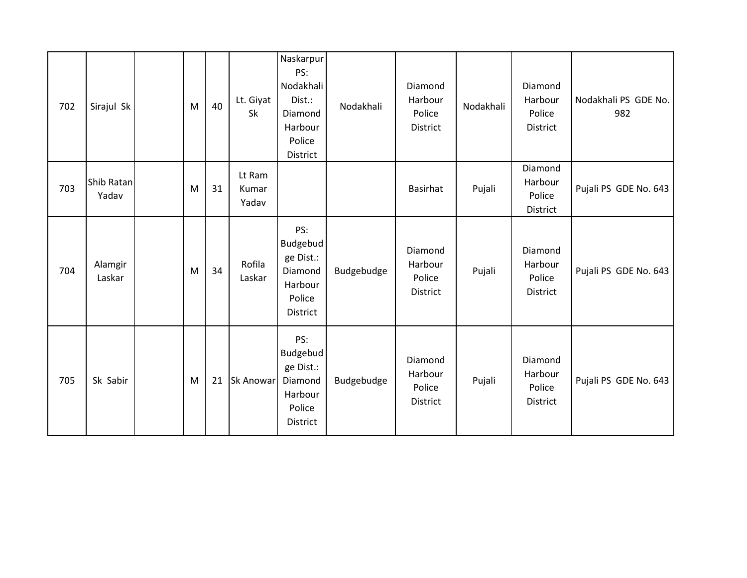| 702 | Sirajul Sk          | M | 40 | Lt. Giyat<br>Sk          | Naskarpur<br>PS:<br>Nodakhali<br>Dist.:<br>Diamond<br>Harbour<br>Police<br>District | Nodakhali  | Diamond<br>Harbour<br>Police<br>District | Nodakhali | Diamond<br>Harbour<br>Police<br>District | Nodakhali PS GDE No.<br>982 |
|-----|---------------------|---|----|--------------------------|-------------------------------------------------------------------------------------|------------|------------------------------------------|-----------|------------------------------------------|-----------------------------|
| 703 | Shib Ratan<br>Yadav | M | 31 | Lt Ram<br>Kumar<br>Yadav |                                                                                     |            | Basirhat                                 | Pujali    | Diamond<br>Harbour<br>Police<br>District | Pujali PS GDE No. 643       |
| 704 | Alamgir<br>Laskar   | M | 34 | Rofila<br>Laskar         | PS:<br>Budgebud<br>ge Dist.:<br>Diamond<br>Harbour<br>Police<br>District            | Budgebudge | Diamond<br>Harbour<br>Police<br>District | Pujali    | Diamond<br>Harbour<br>Police<br>District | Pujali PS GDE No. 643       |
| 705 | Sk Sabir            | M | 21 | <b>Sk Anowar</b>         | PS:<br>Budgebud<br>ge Dist.:<br>Diamond<br>Harbour<br>Police<br>District            | Budgebudge | Diamond<br>Harbour<br>Police<br>District | Pujali    | Diamond<br>Harbour<br>Police<br>District | Pujali PS GDE No. 643       |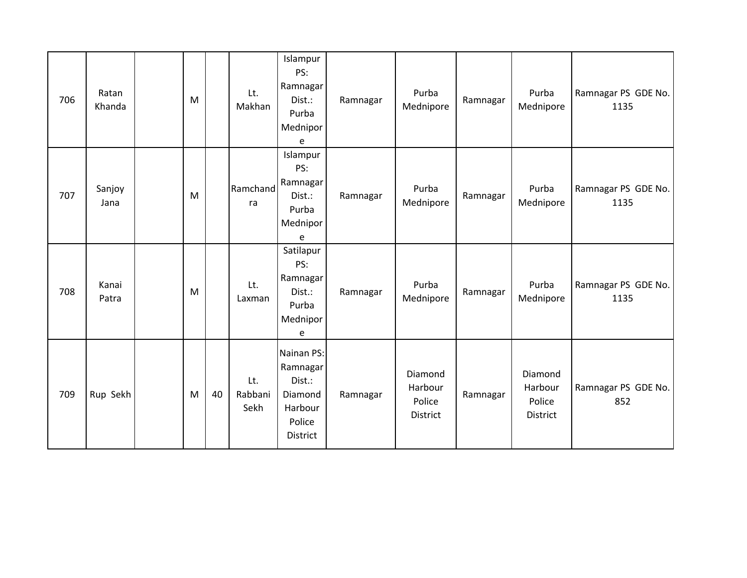| 706 | Ratan<br>Khanda | M |    | Lt.<br>Makhan          | Islampur<br>PS:<br>Ramnagar<br>Dist.:<br>Purba<br>Mednipor<br>e              | Ramnagar | Purba<br>Mednipore                       | Ramnagar | Purba<br>Mednipore                       | Ramnagar PS GDE No.<br>1135 |
|-----|-----------------|---|----|------------------------|------------------------------------------------------------------------------|----------|------------------------------------------|----------|------------------------------------------|-----------------------------|
| 707 | Sanjoy<br>Jana  | M |    | Ramchand<br>ra         | Islampur<br>PS:<br>Ramnagar<br>Dist.:<br>Purba<br>Mednipor<br>e              | Ramnagar | Purba<br>Mednipore                       | Ramnagar | Purba<br>Mednipore                       | Ramnagar PS GDE No.<br>1135 |
| 708 | Kanai<br>Patra  | M |    | Lt.<br>Laxman          | Satilapur<br>PS:<br>Ramnagar<br>Dist.:<br>Purba<br>Mednipor<br>e             | Ramnagar | Purba<br>Mednipore                       | Ramnagar | Purba<br>Mednipore                       | Ramnagar PS GDE No.<br>1135 |
| 709 | Rup Sekh        | M | 40 | Lt.<br>Rabbani<br>Sekh | Nainan PS:<br>Ramnagar<br>Dist.:<br>Diamond<br>Harbour<br>Police<br>District | Ramnagar | Diamond<br>Harbour<br>Police<br>District | Ramnagar | Diamond<br>Harbour<br>Police<br>District | Ramnagar PS GDE No.<br>852  |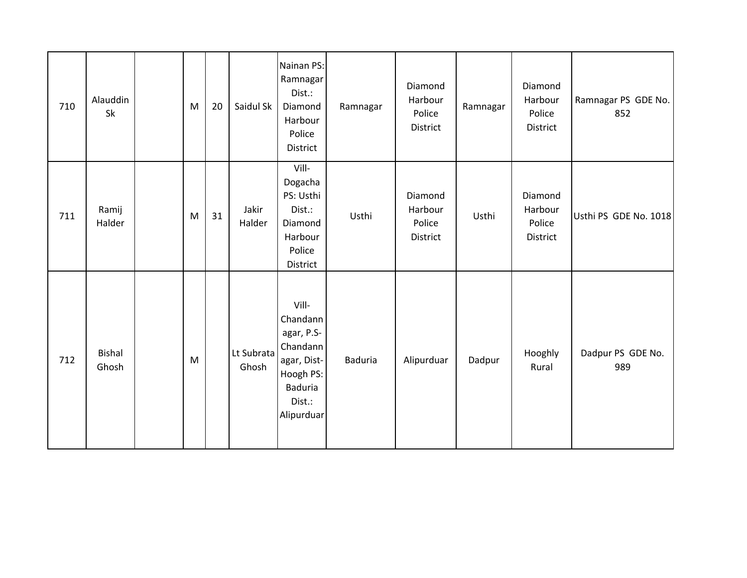| 710 | Alauddin<br>Sk         | M | 20 | Saidul Sk           | Nainan PS:<br>Ramnagar<br>Dist.:<br>Diamond<br>Harbour<br>Police<br>District                                      | Ramnagar       | Diamond<br>Harbour<br>Police<br>District | Ramnagar | Diamond<br>Harbour<br>Police<br>District | Ramnagar PS GDE No.<br>852 |
|-----|------------------------|---|----|---------------------|-------------------------------------------------------------------------------------------------------------------|----------------|------------------------------------------|----------|------------------------------------------|----------------------------|
| 711 | Ramij<br>Halder        | M | 31 | Jakir<br>Halder     | Vill-<br>Dogacha<br>PS: Usthi<br>Dist.:<br>Diamond<br>Harbour<br>Police<br>District                               | Usthi          | Diamond<br>Harbour<br>Police<br>District | Usthi    | Diamond<br>Harbour<br>Police<br>District | Usthi PS GDE No. 1018      |
| 712 | <b>Bishal</b><br>Ghosh | M |    | Lt Subrata<br>Ghosh | Vill-<br>Chandann<br>agar, P.S-<br>Chandann<br>agar, Dist-<br>Hoogh PS:<br><b>Baduria</b><br>Dist.:<br>Alipurduar | <b>Baduria</b> | Alipurduar                               | Dadpur   | Hooghly<br>Rural                         | Dadpur PS GDE No.<br>989   |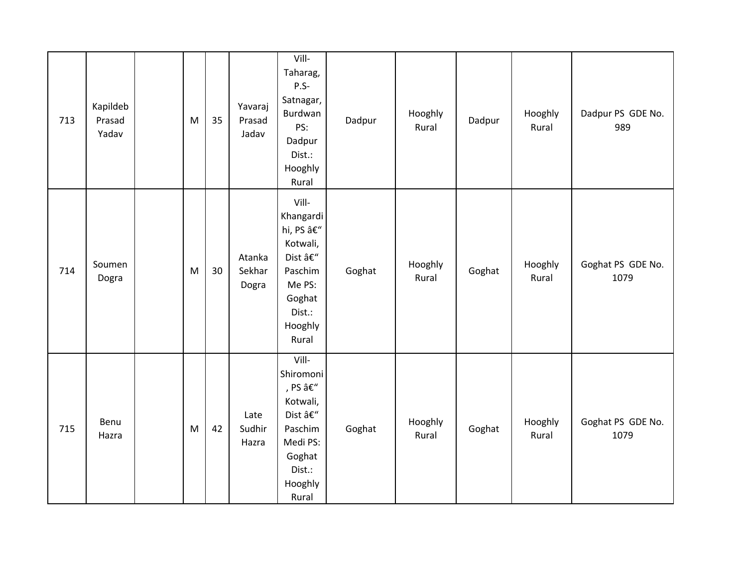| 713 | Kapildeb<br>Prasad<br>Yadav | ${\sf M}$ | 35 | Yavaraj<br>Prasad<br>Jadav | Vill-<br>Taharag,<br>$P.S-$<br>Satnagar,<br>Burdwan<br>PS:<br>Dadpur<br>Dist.:<br>Hooghly<br>Rural                                              | Dadpur | Hooghly<br>Rural | Dadpur | Hooghly<br>Rural | Dadpur PS GDE No.<br>989  |
|-----|-----------------------------|-----------|----|----------------------------|-------------------------------------------------------------------------------------------------------------------------------------------------|--------|------------------|--------|------------------|---------------------------|
| 714 | Soumen<br>Dogra             | M         | 30 | Atanka<br>Sekhar<br>Dogra  | Vill-<br>Khangardi<br>hi, PS –<br>Kotwali,<br>Dist –<br>Paschim<br>Me PS:<br>Goghat<br>Dist.:<br>Hooghly<br>Rural                               | Goghat | Hooghly<br>Rural | Goghat | Hooghly<br>Rural | Goghat PS GDE No.<br>1079 |
| 715 | Benu<br>Hazra               | M         | 42 | Late<br>Sudhir<br>Hazra    | Vill-<br>Shiromoni<br>, PS $\hat{\mathsf{a}} \mathsf{E}''$<br>Kotwali,<br>Dist –<br>Paschim<br>Medi PS:<br>Goghat<br>Dist.:<br>Hooghly<br>Rural | Goghat | Hooghly<br>Rural | Goghat | Hooghly<br>Rural | Goghat PS GDE No.<br>1079 |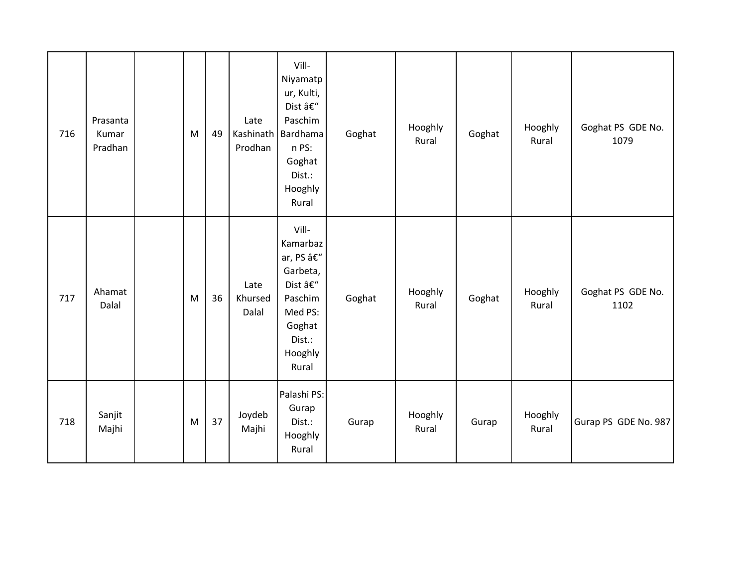| 716 | Prasanta<br>Kumar<br>Pradhan | M | 49 | Late<br>Kashinath<br>Prodhan | Vill-<br>Niyamatp<br>ur, Kulti,<br>Dist –<br>Paschim<br>Bardhama<br>n PS:<br>Goghat<br>Dist.:<br>Hooghly<br>Rural | Goghat | Hooghly<br>Rural | Goghat | Hooghly<br>Rural | Goghat PS GDE No.<br>1079 |
|-----|------------------------------|---|----|------------------------------|-------------------------------------------------------------------------------------------------------------------|--------|------------------|--------|------------------|---------------------------|
| 717 | Ahamat<br>Dalal              | M | 36 | Late<br>Khursed<br>Dalal     | Vill-<br>Kamarbaz<br>ar, PS –<br>Garbeta,<br>Dist –<br>Paschim<br>Med PS:<br>Goghat<br>Dist.:<br>Hooghly<br>Rural | Goghat | Hooghly<br>Rural | Goghat | Hooghly<br>Rural | Goghat PS GDE No.<br>1102 |
| 718 | Sanjit<br>Majhi              | M | 37 | Joydeb<br>Majhi              | Palashi PS:<br>Gurap<br>Dist.:<br>Hooghly<br>Rural                                                                | Gurap  | Hooghly<br>Rural | Gurap  | Hooghly<br>Rural | Gurap PS GDE No. 987      |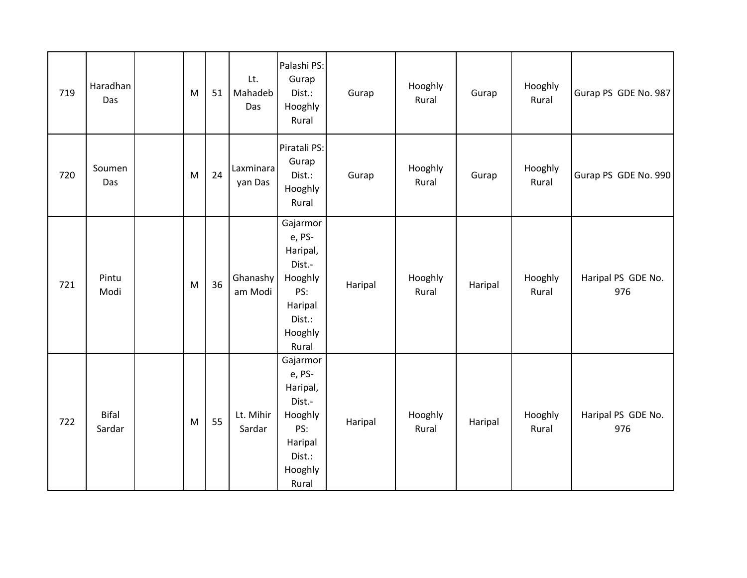| 719 | Haradhan<br>Das        | M | 51 | Lt.<br>Mahadeb<br>Das | Palashi PS:<br>Gurap<br>Dist.:<br>Hooghly<br>Rural                                                  | Gurap   | Hooghly<br>Rural | Gurap   | Hooghly<br>Rural | Gurap PS GDE No. 987      |
|-----|------------------------|---|----|-----------------------|-----------------------------------------------------------------------------------------------------|---------|------------------|---------|------------------|---------------------------|
| 720 | Soumen<br>Das          | M | 24 | Laxminara<br>yan Das  | Piratali PS:<br>Gurap<br>Dist.:<br>Hooghly<br>Rural                                                 | Gurap   | Hooghly<br>Rural | Gurap   | Hooghly<br>Rural | Gurap PS GDE No. 990      |
| 721 | Pintu<br>Modi          | M | 36 | Ghanashy<br>am Modi   | Gajarmor<br>e, PS-<br>Haripal,<br>Dist.-<br>Hooghly<br>PS:<br>Haripal<br>Dist.:<br>Hooghly<br>Rural | Haripal | Hooghly<br>Rural | Haripal | Hooghly<br>Rural | Haripal PS GDE No.<br>976 |
| 722 | <b>Bifal</b><br>Sardar | M | 55 | Lt. Mihir<br>Sardar   | Gajarmor<br>e, PS-<br>Haripal,<br>Dist.-<br>Hooghly<br>PS:<br>Haripal<br>Dist.:<br>Hooghly<br>Rural | Haripal | Hooghly<br>Rural | Haripal | Hooghly<br>Rural | Haripal PS GDE No.<br>976 |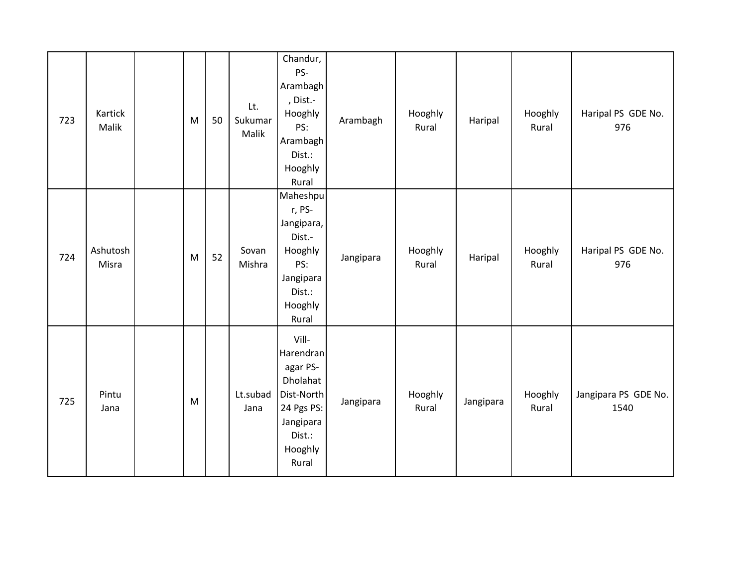| 723 | Kartick<br>Malik  | M | 50 | Lt.<br>Sukumar<br>Malik | Chandur,<br>PS-<br>Arambagh<br>, Dist.-<br>Hooghly<br>PS:<br>Arambagh<br>Dist.:<br>Hooghly<br>Rural               | Arambagh  | Hooghly<br>Rural | Haripal   | Hooghly<br>Rural | Haripal PS GDE No.<br>976    |
|-----|-------------------|---|----|-------------------------|-------------------------------------------------------------------------------------------------------------------|-----------|------------------|-----------|------------------|------------------------------|
| 724 | Ashutosh<br>Misra | M | 52 | Sovan<br>Mishra         | Maheshpu<br>r, PS-<br>Jangipara,<br>Dist.-<br>Hooghly<br>PS:<br>Jangipara<br>Dist.:<br>Hooghly<br>Rural           | Jangipara | Hooghly<br>Rural | Haripal   | Hooghly<br>Rural | Haripal PS GDE No.<br>976    |
| 725 | Pintu<br>Jana     | M |    | Lt.subad<br>Jana        | Vill-<br>Harendran<br>agar PS-<br>Dholahat<br>Dist-North<br>24 Pgs PS:<br>Jangipara<br>Dist.:<br>Hooghly<br>Rural | Jangipara | Hooghly<br>Rural | Jangipara | Hooghly<br>Rural | Jangipara PS GDE No.<br>1540 |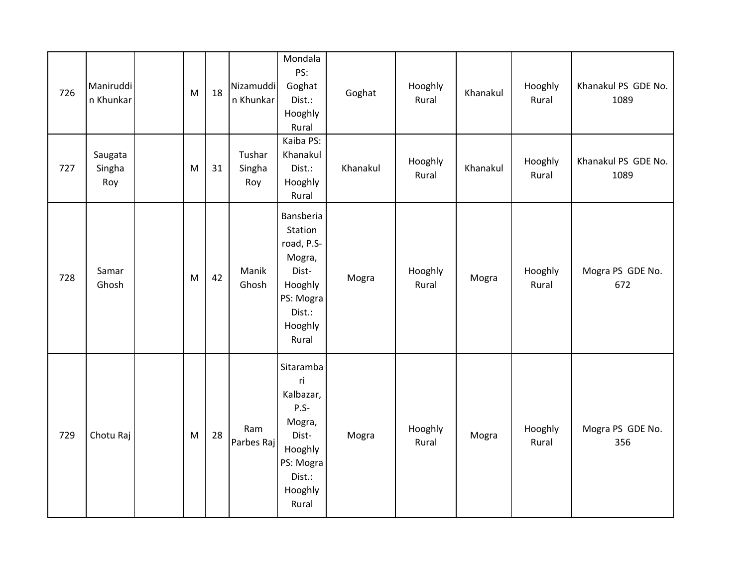| 726 | Maniruddi<br>n Khunkar   | M | 18 | Nizamuddi<br>n Khunkar  | Mondala<br>PS:<br>Goghat<br>Dist.:<br>Hooghly<br>Rural                                                          | Goghat   | Hooghly<br>Rural | Khanakul | Hooghly<br>Rural | Khanakul PS GDE No.<br>1089 |
|-----|--------------------------|---|----|-------------------------|-----------------------------------------------------------------------------------------------------------------|----------|------------------|----------|------------------|-----------------------------|
| 727 | Saugata<br>Singha<br>Roy | M | 31 | Tushar<br>Singha<br>Roy | Kaiba PS:<br>Khanakul<br>Dist.:<br>Hooghly<br>Rural                                                             | Khanakul | Hooghly<br>Rural | Khanakul | Hooghly<br>Rural | Khanakul PS GDE No.<br>1089 |
| 728 | Samar<br>Ghosh           | M | 42 | Manik<br>Ghosh          | Bansberia<br>Station<br>road, P.S-<br>Mogra,<br>Dist-<br>Hooghly<br>PS: Mogra<br>Dist.:<br>Hooghly<br>Rural     | Mogra    | Hooghly<br>Rural | Mogra    | Hooghly<br>Rural | Mogra PS GDE No.<br>672     |
| 729 | Chotu Raj                | M | 28 | Ram<br>Parbes Raj       | Sitaramba<br>ri<br>Kalbazar,<br>$P.S-$<br>Mogra,<br>Dist-<br>Hooghly<br>PS: Mogra<br>Dist.:<br>Hooghly<br>Rural | Mogra    | Hooghly<br>Rural | Mogra    | Hooghly<br>Rural | Mogra PS GDE No.<br>356     |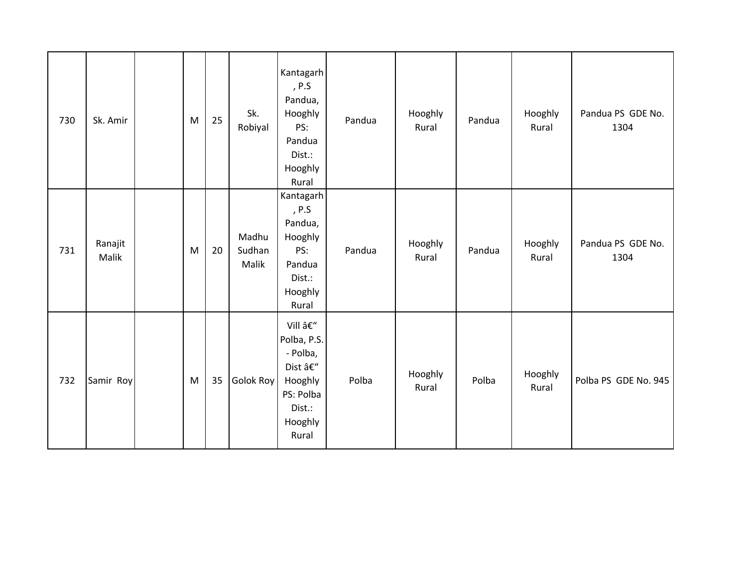| 730 | Sk. Amir         | M         | 25 | Sk.<br>Robiyal           | Kantagarh<br>, $P.S$<br>Pandua,<br>Hooghly<br>PS:<br>Pandua<br>Dist.:<br>Hooghly<br>Rural         | Pandua | Hooghly<br>Rural | Pandua | Hooghly<br>Rural | Pandua PS GDE No.<br>1304 |
|-----|------------------|-----------|----|--------------------------|---------------------------------------------------------------------------------------------------|--------|------------------|--------|------------------|---------------------------|
| 731 | Ranajit<br>Malik | ${\sf M}$ | 20 | Madhu<br>Sudhan<br>Malik | Kantagarh<br>, P.S<br>Pandua,<br>Hooghly<br>PS:<br>Pandua<br>Dist.:<br>Hooghly<br>Rural           | Pandua | Hooghly<br>Rural | Pandua | Hooghly<br>Rural | Pandua PS GDE No.<br>1304 |
| 732 | Samir Roy        | M         | 35 | <b>Golok Roy</b>         | Vill –<br>Polba, P.S.<br>- Polba,<br>Dist –<br>Hooghly<br>PS: Polba<br>Dist.:<br>Hooghly<br>Rural | Polba  | Hooghly<br>Rural | Polba  | Hooghly<br>Rural | Polba PS GDE No. 945      |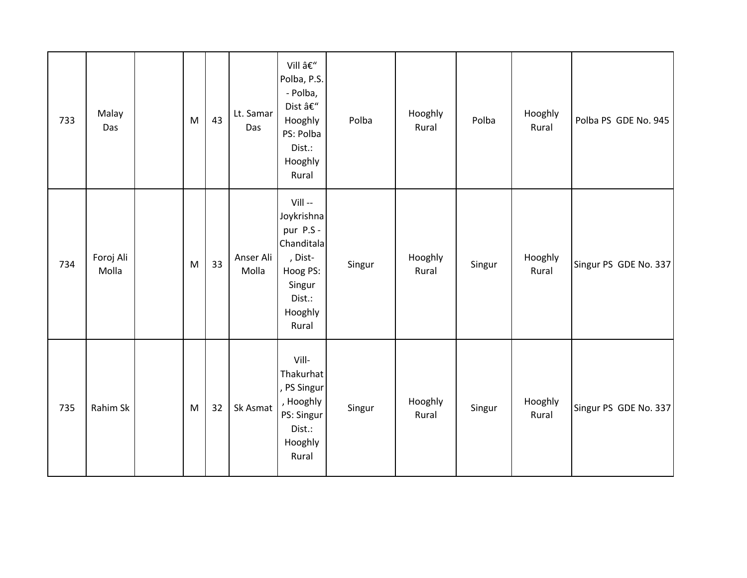| 733 | Malay<br>Das       | M         | 43 | Lt. Samar<br>Das   | Vill –<br>Polba, P.S.<br>- Polba,<br>Dist $\hat{a}\boldsymbol{\varepsilon}^{\boldsymbol{\prime\prime}}$<br>Hooghly<br>PS: Polba<br>Dist.:<br>Hooghly<br>Rural | Polba  | Hooghly<br>Rural | Polba  | Hooghly<br>Rural | Polba PS GDE No. 945  |
|-----|--------------------|-----------|----|--------------------|---------------------------------------------------------------------------------------------------------------------------------------------------------------|--------|------------------|--------|------------------|-----------------------|
| 734 | Foroj Ali<br>Molla | ${\sf M}$ | 33 | Anser Ali<br>Molla | Vill-<br>Joykrishna<br>pur P.S -<br>Chanditala<br>, Dist-<br>Hoog PS:<br>Singur<br>Dist.:<br>Hooghly<br>Rural                                                 | Singur | Hooghly<br>Rural | Singur | Hooghly<br>Rural | Singur PS GDE No. 337 |
| 735 | Rahim Sk           | M         | 32 | Sk Asmat           | Vill-<br>Thakurhat<br>, PS Singur<br>, Hooghly<br>PS: Singur<br>Dist.:<br>Hooghly<br>Rural                                                                    | Singur | Hooghly<br>Rural | Singur | Hooghly<br>Rural | Singur PS GDE No. 337 |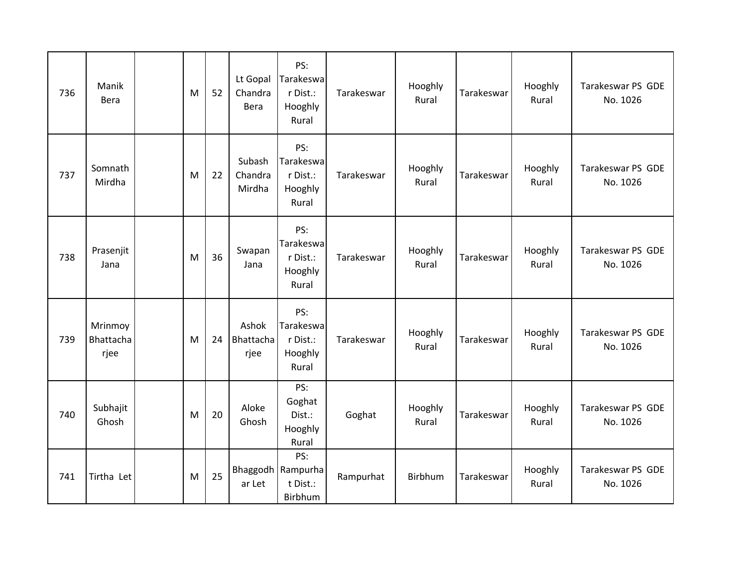| 736 | Manik<br>Bera                | M | 52 | Lt Gopal<br>Chandra<br>Bera | PS:<br>Tarakeswa<br>r Dist.:<br>Hooghly<br>Rural  | Tarakeswar | Hooghly<br>Rural | Tarakeswar | Hooghly<br>Rural | Tarakeswar PS GDE<br>No. 1026 |
|-----|------------------------------|---|----|-----------------------------|---------------------------------------------------|------------|------------------|------------|------------------|-------------------------------|
| 737 | Somnath<br>Mirdha            | M | 22 | Subash<br>Chandra<br>Mirdha | PS:<br>Tarakeswa<br>r Dist.:<br>Hooghly<br>Rural  | Tarakeswar | Hooghly<br>Rural | Tarakeswar | Hooghly<br>Rural | Tarakeswar PS GDE<br>No. 1026 |
| 738 | Prasenjit<br>Jana            | M | 36 | Swapan<br>Jana              | PS:<br>Tarakeswa<br>r Dist.:<br>Hooghly<br>Rural  | Tarakeswar | Hooghly<br>Rural | Tarakeswar | Hooghly<br>Rural | Tarakeswar PS GDE<br>No. 1026 |
| 739 | Mrinmoy<br>Bhattacha<br>rjee | M | 24 | Ashok<br>Bhattacha<br>rjee  | PS:<br>Tarakeswa<br>r Dist.:<br>Hooghly<br>Rural  | Tarakeswar | Hooghly<br>Rural | Tarakeswar | Hooghly<br>Rural | Tarakeswar PS GDE<br>No. 1026 |
| 740 | Subhajit<br>Ghosh            | M | 20 | Aloke<br>Ghosh              | PS:<br>Goghat<br>Dist.:<br>Hooghly<br>Rural       | Goghat     | Hooghly<br>Rural | Tarakeswar | Hooghly<br>Rural | Tarakeswar PS GDE<br>No. 1026 |
| 741 | Tirtha Let                   | M | 25 | ar Let                      | PS:<br>Bhaggodh   Rampurha<br>t Dist.:<br>Birbhum | Rampurhat  | Birbhum          | Tarakeswar | Hooghly<br>Rural | Tarakeswar PS GDE<br>No. 1026 |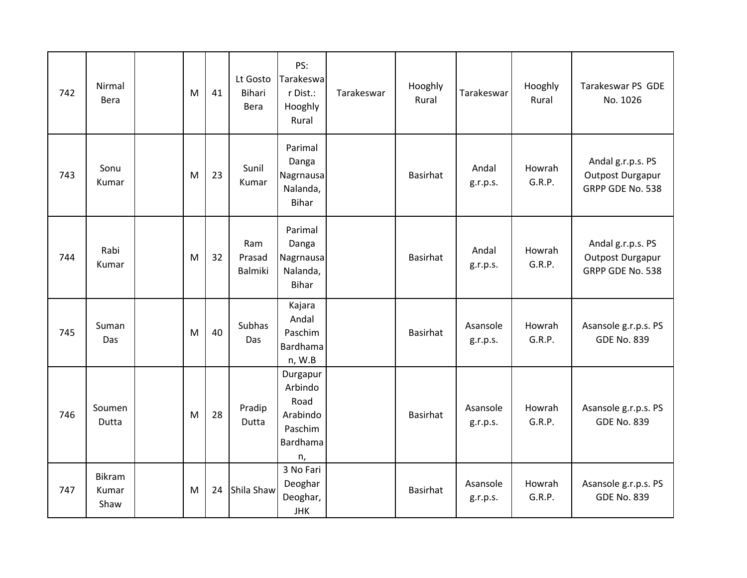| 742 | Nirmal<br>Bera          | M | 41 | Lt Gosto<br><b>Bihari</b><br>Bera | PS:<br>Tarakeswa<br>r Dist.:<br>Hooghly<br>Rural                     | Tarakeswar | Hooghly<br>Rural | Tarakeswar           | Hooghly<br>Rural | Tarakeswar PS GDE<br>No. 1026                             |
|-----|-------------------------|---|----|-----------------------------------|----------------------------------------------------------------------|------------|------------------|----------------------|------------------|-----------------------------------------------------------|
| 743 | Sonu<br>Kumar           | M | 23 | Sunil<br>Kumar                    | Parimal<br>Danga<br>Nagrnausa<br>Nalanda,<br><b>Bihar</b>            |            | <b>Basirhat</b>  | Andal<br>g.r.p.s.    | Howrah<br>G.R.P. | Andal g.r.p.s. PS<br>Outpost Durgapur<br>GRPP GDE No. 538 |
| 744 | Rabi<br>Kumar           | M | 32 | Ram<br>Prasad<br>Balmiki          | Parimal<br>Danga<br>Nagrnausa<br>Nalanda,<br><b>Bihar</b>            |            | <b>Basirhat</b>  | Andal<br>g.r.p.s.    | Howrah<br>G.R.P. | Andal g.r.p.s. PS<br>Outpost Durgapur<br>GRPP GDE No. 538 |
| 745 | Suman<br>Das            | M | 40 | Subhas<br>Das                     | Kajara<br>Andal<br>Paschim<br><b>Bardhama</b><br>n, W.B              |            | <b>Basirhat</b>  | Asansole<br>g.r.p.s. | Howrah<br>G.R.P. | Asansole g.r.p.s. PS<br><b>GDE No. 839</b>                |
| 746 | Soumen<br>Dutta         | M | 28 | Pradip<br>Dutta                   | Durgapur<br>Arbindo<br>Road<br>Arabindo<br>Paschim<br>Bardhama<br>n, |            | <b>Basirhat</b>  | Asansole<br>g.r.p.s. | Howrah<br>G.R.P. | Asansole g.r.p.s. PS<br><b>GDE No. 839</b>                |
| 747 | Bikram<br>Kumar<br>Shaw | M | 24 | Shila Shaw                        | 3 No Fari<br>Deoghar<br>Deoghar,<br><b>JHK</b>                       |            | <b>Basirhat</b>  | Asansole<br>g.r.p.s. | Howrah<br>G.R.P. | Asansole g.r.p.s. PS<br><b>GDE No. 839</b>                |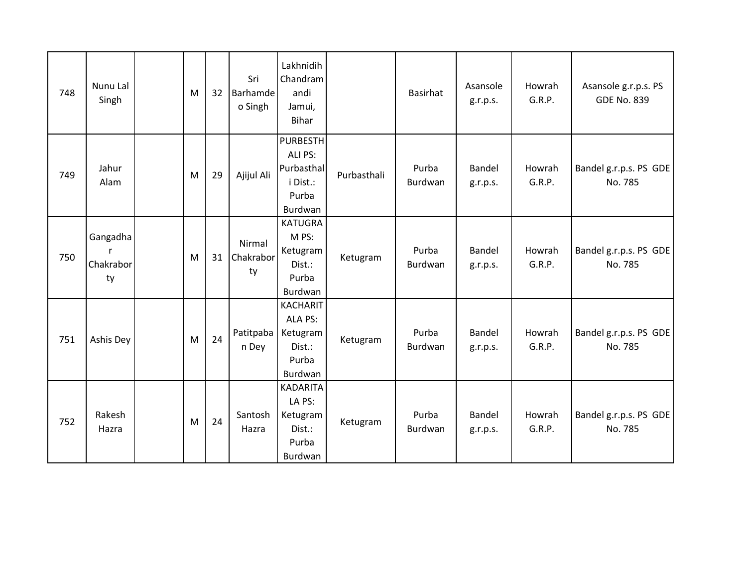| 748 | Nunu Lal<br>Singh           | M | 32 | Sri<br>Barhamde<br>o Singh | Lakhnidih<br>Chandram<br>andi<br>Jamui,<br><b>Bihar</b>                  |             | <b>Basirhat</b>  | Asansole<br>g.r.p.s. | Howrah<br>G.R.P. | Asansole g.r.p.s. PS<br><b>GDE No. 839</b> |
|-----|-----------------------------|---|----|----------------------------|--------------------------------------------------------------------------|-------------|------------------|----------------------|------------------|--------------------------------------------|
| 749 | Jahur<br>Alam               | M | 29 | Ajijul Ali                 | <b>PURBESTH</b><br>ALI PS:<br>Purbasthal<br>i Dist.:<br>Purba<br>Burdwan | Purbasthali | Purba<br>Burdwan | Bandel<br>g.r.p.s.   | Howrah<br>G.R.P. | Bandel g.r.p.s. PS GDE<br>No. 785          |
| 750 | Gangadha<br>Chakrabor<br>ty | M | 31 | Nirmal<br>Chakrabor<br>ty  | <b>KATUGRA</b><br>M PS:<br>Ketugram<br>Dist.:<br>Purba<br>Burdwan        | Ketugram    | Purba<br>Burdwan | Bandel<br>g.r.p.s.   | Howrah<br>G.R.P. | Bandel g.r.p.s. PS GDE<br>No. 785          |
| 751 | Ashis Dey                   | M | 24 | Patitpaba<br>n Dey         | <b>KACHARIT</b><br>ALA PS:<br>Ketugram<br>Dist.:<br>Purba<br>Burdwan     | Ketugram    | Purba<br>Burdwan | Bandel<br>g.r.p.s.   | Howrah<br>G.R.P. | Bandel g.r.p.s. PS GDE<br>No. 785          |
| 752 | Rakesh<br>Hazra             | M | 24 | Santosh<br>Hazra           | <b>KADARITA</b><br>LA PS:<br>Ketugram<br>Dist.:<br>Purba<br>Burdwan      | Ketugram    | Purba<br>Burdwan | Bandel<br>g.r.p.s.   | Howrah<br>G.R.P. | Bandel g.r.p.s. PS GDE<br>No. 785          |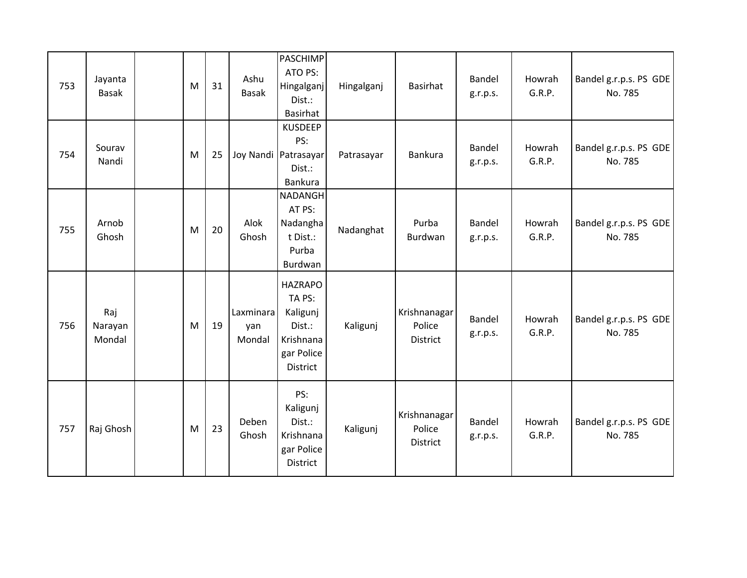| 753 | Jayanta<br><b>Basak</b>  | M | 31 | Ashu<br>Basak              | PASCHIMP<br>ATO PS:<br>Hingalganj<br>Dist.:<br>Basirhat                               | Hingalganj | <b>Basirhat</b>                    | Bandel<br>g.r.p.s. | Howrah<br>G.R.P. | Bandel g.r.p.s. PS GDE<br>No. 785 |
|-----|--------------------------|---|----|----------------------------|---------------------------------------------------------------------------------------|------------|------------------------------------|--------------------|------------------|-----------------------------------|
| 754 | Sourav<br>Nandi          | M | 25 |                            | <b>KUSDEEP</b><br>PS:<br>Joy Nandi Patrasayar<br>Dist.:<br>Bankura                    | Patrasayar | <b>Bankura</b>                     | Bandel<br>g.r.p.s. | Howrah<br>G.R.P. | Bandel g.r.p.s. PS GDE<br>No. 785 |
| 755 | Arnob<br>Ghosh           | M | 20 | Alok<br>Ghosh              | <b>NADANGH</b><br>AT PS:<br>Nadangha<br>t Dist.:<br>Purba<br>Burdwan                  | Nadanghat  | Purba<br>Burdwan                   | Bandel<br>g.r.p.s. | Howrah<br>G.R.P. | Bandel g.r.p.s. PS GDE<br>No. 785 |
| 756 | Raj<br>Narayan<br>Mondal | M | 19 | Laxminara<br>yan<br>Mondal | <b>HAZRAPO</b><br>TA PS:<br>Kaligunj<br>Dist.:<br>Krishnana<br>gar Police<br>District | Kaligunj   | Krishnanagar<br>Police<br>District | Bandel<br>g.r.p.s. | Howrah<br>G.R.P. | Bandel g.r.p.s. PS GDE<br>No. 785 |
| 757 | Raj Ghosh                | M | 23 | Deben<br>Ghosh             | PS:<br>Kaligunj<br>Dist.:<br>Krishnana<br>gar Police<br>District                      | Kaligunj   | Krishnanagar<br>Police<br>District | Bandel<br>g.r.p.s. | Howrah<br>G.R.P. | Bandel g.r.p.s. PS GDE<br>No. 785 |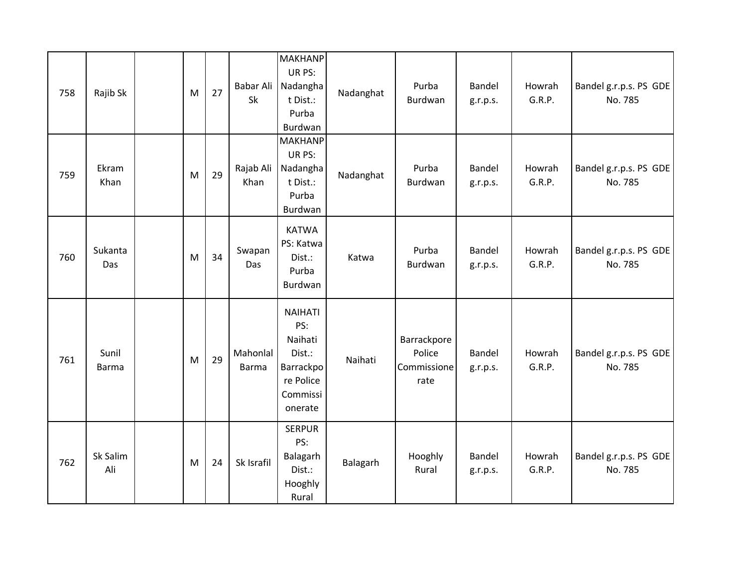| 758 | Rajib Sk              | M | 27 | Babar Ali<br>Sk          | <b>MAKHANP</b><br>UR PS:<br>Nadangha<br>t Dist.:<br>Purba<br>Burdwan                        | Nadanghat | Purba<br>Burdwan                             | <b>Bandel</b><br>g.r.p.s. | Howrah<br>G.R.P. | Bandel g.r.p.s. PS GDE<br>No. 785 |
|-----|-----------------------|---|----|--------------------------|---------------------------------------------------------------------------------------------|-----------|----------------------------------------------|---------------------------|------------------|-----------------------------------|
| 759 | Ekram<br>Khan         | M | 29 | Rajab Ali<br>Khan        | <b>MAKHANP</b><br>UR PS:<br>Nadangha<br>t Dist.:<br>Purba<br>Burdwan                        | Nadanghat | Purba<br>Burdwan                             | <b>Bandel</b><br>g.r.p.s. | Howrah<br>G.R.P. | Bandel g.r.p.s. PS GDE<br>No. 785 |
| 760 | Sukanta<br>Das        | M | 34 | Swapan<br>Das            | <b>KATWA</b><br>PS: Katwa<br>Dist.:<br>Purba<br>Burdwan                                     | Katwa     | Purba<br>Burdwan                             | Bandel<br>g.r.p.s.        | Howrah<br>G.R.P. | Bandel g.r.p.s. PS GDE<br>No. 785 |
| 761 | Sunil<br><b>Barma</b> | M | 29 | Mahonlal<br><b>Barma</b> | <b>NAIHATI</b><br>PS:<br>Naihati<br>Dist.:<br>Barrackpo<br>re Police<br>Commissi<br>onerate | Naihati   | Barrackpore<br>Police<br>Commissione<br>rate | <b>Bandel</b><br>g.r.p.s. | Howrah<br>G.R.P. | Bandel g.r.p.s. PS GDE<br>No. 785 |
| 762 | Sk Salim<br>Ali       | M | 24 | Sk Israfil               | <b>SERPUR</b><br>PS:<br>Balagarh<br>Dist.:<br>Hooghly<br>Rural                              | Balagarh  | Hooghly<br>Rural                             | Bandel<br>g.r.p.s.        | Howrah<br>G.R.P. | Bandel g.r.p.s. PS GDE<br>No. 785 |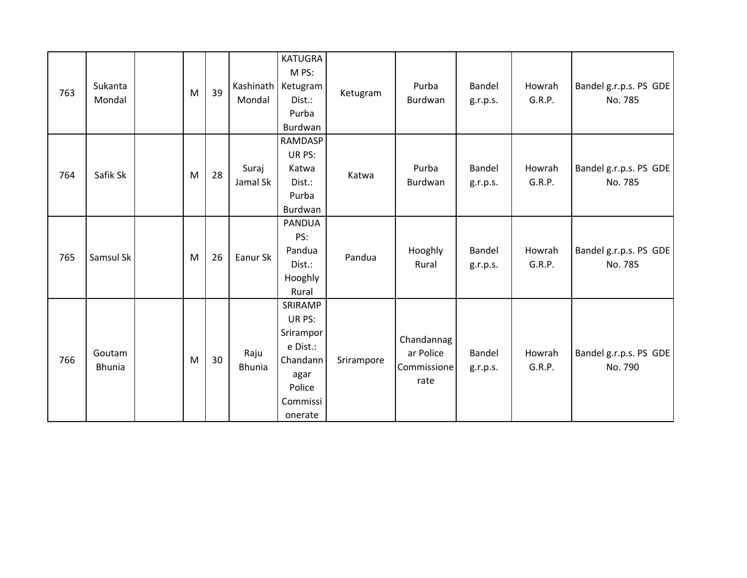| 763 | Sukanta<br>Mondal       | M | 39 | Mondal                | <b>KATUGRA</b><br>M PS:<br>Kashinath   Ketugram<br>Dist.:<br>Purba<br>Burdwan                   | Ketugram   | Purba<br>Burdwan                               | Bandel<br>g.r.p.s. | Howrah<br>G.R.P. | Bandel g.r.p.s. PS GDE<br>No. 785 |
|-----|-------------------------|---|----|-----------------------|-------------------------------------------------------------------------------------------------|------------|------------------------------------------------|--------------------|------------------|-----------------------------------|
| 764 | Safik Sk                | M | 28 | Suraj<br>Jamal Sk     | <b>RAMDASP</b><br>UR PS:<br>Katwa<br>Dist.:<br>Purba<br>Burdwan                                 | Katwa      | Purba<br>Burdwan                               | Bandel<br>g.r.p.s. | Howrah<br>G.R.P. | Bandel g.r.p.s. PS GDE<br>No. 785 |
| 765 | Samsul Sk               | M | 26 | Eanur Sk              | <b>PANDUA</b><br>PS:<br>Pandua<br>Dist.:<br>Hooghly<br>Rural                                    | Pandua     | Hooghly<br>Rural                               | Bandel<br>g.r.p.s. | Howrah<br>G.R.P. | Bandel g.r.p.s. PS GDE<br>No. 785 |
| 766 | Goutam<br><b>Bhunia</b> | M | 30 | Raju<br><b>Bhunia</b> | SRIRAMP<br>UR PS:<br>Srirampor<br>e Dist.:<br>Chandann<br>agar<br>Police<br>Commissi<br>onerate | Srirampore | Chandannag<br>ar Police<br>Commissione<br>rate | Bandel<br>g.r.p.s. | Howrah<br>G.R.P. | Bandel g.r.p.s. PS GDE<br>No. 790 |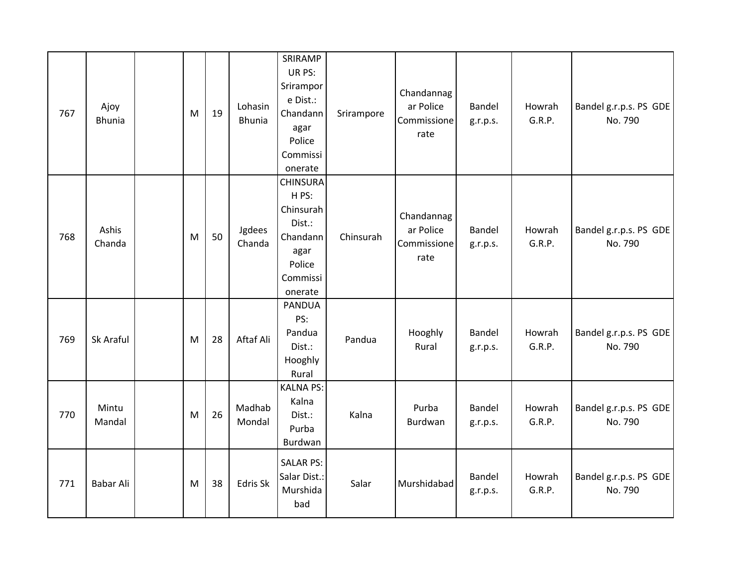| 767 | Ajoy<br><b>Bhunia</b> | M | 19 | Lohasin<br><b>Bhunia</b> | SRIRAMP<br>UR PS:<br>Srirampor<br>e Dist.:<br>Chandann<br>agar<br>Police<br>Commissi<br>onerate     | Srirampore | Chandannag<br>ar Police<br>Commissione<br>rate | <b>Bandel</b><br>g.r.p.s. | Howrah<br>G.R.P. | Bandel g.r.p.s. PS GDE<br>No. 790 |
|-----|-----------------------|---|----|--------------------------|-----------------------------------------------------------------------------------------------------|------------|------------------------------------------------|---------------------------|------------------|-----------------------------------|
| 768 | Ashis<br>Chanda       | M | 50 | Jgdees<br>Chanda         | <b>CHINSURA</b><br>HPS:<br>Chinsurah<br>Dist.:<br>Chandann<br>agar<br>Police<br>Commissi<br>onerate | Chinsurah  | Chandannag<br>ar Police<br>Commissione<br>rate | Bandel<br>g.r.p.s.        | Howrah<br>G.R.P. | Bandel g.r.p.s. PS GDE<br>No. 790 |
| 769 | Sk Araful             | M | 28 | Aftaf Ali                | <b>PANDUA</b><br>PS:<br>Pandua<br>Dist.:<br>Hooghly<br>Rural                                        | Pandua     | Hooghly<br>Rural                               | <b>Bandel</b><br>g.r.p.s. | Howrah<br>G.R.P. | Bandel g.r.p.s. PS GDE<br>No. 790 |
| 770 | Mintu<br>Mandal       | M | 26 | Madhab<br>Mondal         | <b>KALNA PS:</b><br>Kalna<br>Dist.:<br>Purba<br>Burdwan                                             | Kalna      | Purba<br>Burdwan                               | <b>Bandel</b><br>g.r.p.s. | Howrah<br>G.R.P. | Bandel g.r.p.s. PS GDE<br>No. 790 |
| 771 | Babar Ali             | M | 38 | Edris Sk                 | <b>SALAR PS:</b><br>Salar Dist.:<br>Murshida<br>bad                                                 | Salar      | Murshidabad                                    | <b>Bandel</b><br>g.r.p.s. | Howrah<br>G.R.P. | Bandel g.r.p.s. PS GDE<br>No. 790 |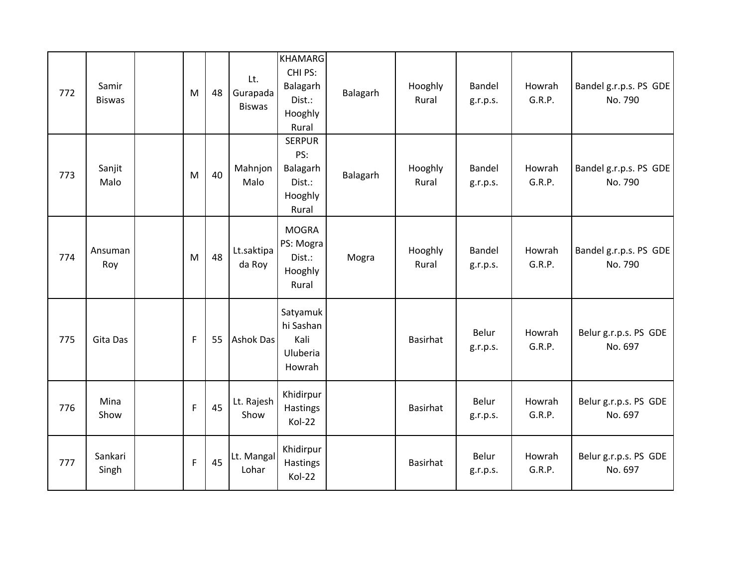| 772 | Samir<br><b>Biswas</b> | M            | 48 | Lt.<br>Gurapada<br><b>Biswas</b> | <b>KHAMARG</b><br>CHI PS:<br>Balagarh<br>Dist.:<br>Hooghly<br>Rural | Balagarh | Hooghly<br>Rural | Bandel<br>g.r.p.s. | Howrah<br>G.R.P. | Bandel g.r.p.s. PS GDE<br>No. 790 |
|-----|------------------------|--------------|----|----------------------------------|---------------------------------------------------------------------|----------|------------------|--------------------|------------------|-----------------------------------|
| 773 | Sanjit<br>Malo         | M            | 40 | Mahnjon<br>Malo                  | <b>SERPUR</b><br>PS:<br>Balagarh<br>Dist.:<br>Hooghly<br>Rural      | Balagarh | Hooghly<br>Rural | Bandel<br>g.r.p.s. | Howrah<br>G.R.P. | Bandel g.r.p.s. PS GDE<br>No. 790 |
| 774 | Ansuman<br>Roy         | M            | 48 | Lt.saktipa<br>da Roy             | <b>MOGRA</b><br>PS: Mogra<br>Dist.:<br>Hooghly<br>Rural             | Mogra    | Hooghly<br>Rural | Bandel<br>g.r.p.s. | Howrah<br>G.R.P. | Bandel g.r.p.s. PS GDE<br>No. 790 |
| 775 | Gita Das               | $\mathsf{F}$ | 55 | Ashok Das                        | Satyamuk<br>hi Sashan<br>Kali<br>Uluberia<br>Howrah                 |          | <b>Basirhat</b>  | Belur<br>g.r.p.s.  | Howrah<br>G.R.P. | Belur g.r.p.s. PS GDE<br>No. 697  |
| 776 | Mina<br>Show           | $\mathsf F$  | 45 | Lt. Rajesh<br>Show               | Khidirpur<br>Hastings<br>Kol-22                                     |          | <b>Basirhat</b>  | Belur<br>g.r.p.s.  | Howrah<br>G.R.P. | Belur g.r.p.s. PS GDE<br>No. 697  |
| 777 | Sankari<br>Singh       | $\mathsf{F}$ | 45 | Lt. Mangal<br>Lohar              | Khidirpur<br>Hastings<br>Kol-22                                     |          | <b>Basirhat</b>  | Belur<br>g.r.p.s.  | Howrah<br>G.R.P. | Belur g.r.p.s. PS GDE<br>No. 697  |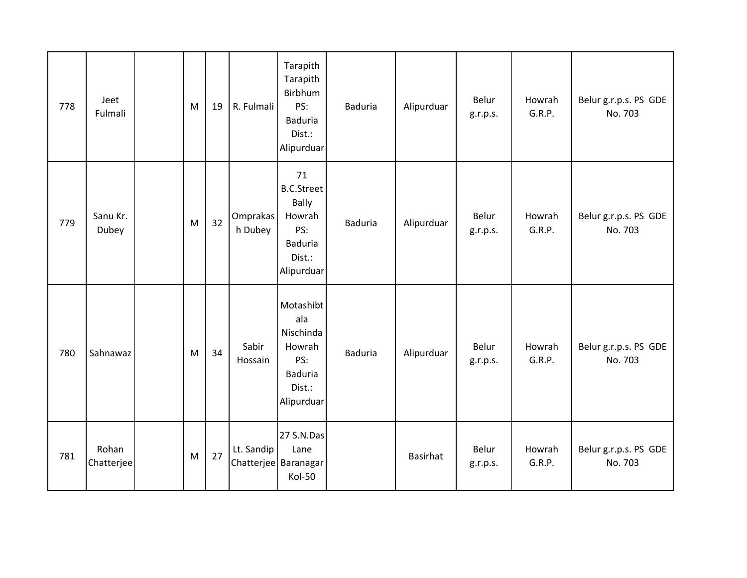| 778 | Jeet<br>Fulmali     | M         | 19 | R. Fulmali          | Tarapith<br>Tarapith<br>Birbhum<br>PS:<br><b>Baduria</b><br>Dist.:<br>Alipurduar                   | <b>Baduria</b> | Alipurduar | Belur<br>g.r.p.s. | Howrah<br>G.R.P. | Belur g.r.p.s. PS GDE<br>No. 703 |
|-----|---------------------|-----------|----|---------------------|----------------------------------------------------------------------------------------------------|----------------|------------|-------------------|------------------|----------------------------------|
| 779 | Sanu Kr.<br>Dubey   | M         | 32 | Omprakas<br>h Dubey | 71<br><b>B.C.Street</b><br><b>Bally</b><br>Howrah<br>PS:<br><b>Baduria</b><br>Dist.:<br>Alipurduar | <b>Baduria</b> | Alipurduar | Belur<br>g.r.p.s. | Howrah<br>G.R.P. | Belur g.r.p.s. PS GDE<br>No. 703 |
| 780 | Sahnawaz            | ${\sf M}$ | 34 | Sabir<br>Hossain    | Motashibt<br>ala<br>Nischinda<br>Howrah<br>PS:<br><b>Baduria</b><br>Dist.:<br>Alipurduar           | <b>Baduria</b> | Alipurduar | Belur<br>g.r.p.s. | Howrah<br>G.R.P. | Belur g.r.p.s. PS GDE<br>No. 703 |
| 781 | Rohan<br>Chatterjee | M         | 27 | Lt. Sandip          | 27 S.N.Das<br>Lane<br>Chatterjee Baranagar<br>Kol-50                                               |                | Basirhat   | Belur<br>g.r.p.s. | Howrah<br>G.R.P. | Belur g.r.p.s. PS GDE<br>No. 703 |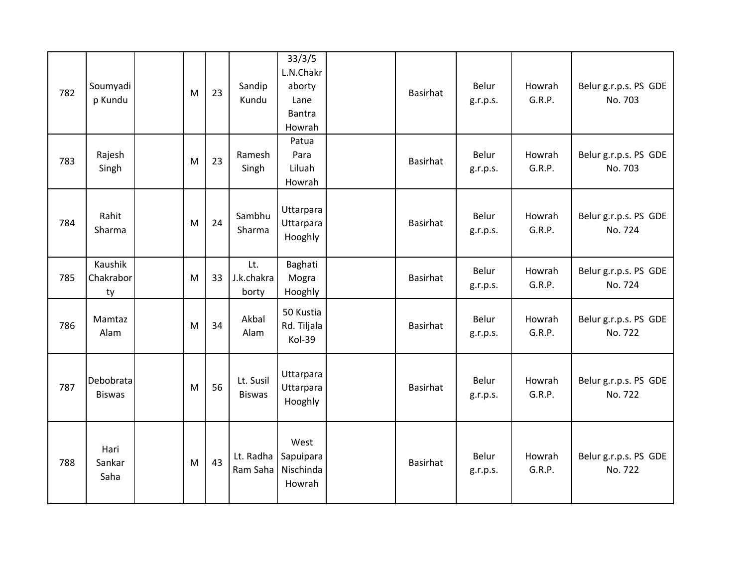| 782 | Soumyadi<br>p Kundu        | M | 23 | Sandip<br>Kundu            | 33/3/5<br>L.N.Chakr<br>aborty<br>Lane<br><b>Bantra</b><br>Howrah | Basirhat        | Belur<br>g.r.p.s. | Howrah<br>G.R.P. | Belur g.r.p.s. PS GDE<br>No. 703 |
|-----|----------------------------|---|----|----------------------------|------------------------------------------------------------------|-----------------|-------------------|------------------|----------------------------------|
| 783 | Rajesh<br>Singh            | M | 23 | Ramesh<br>Singh            | Patua<br>Para<br>Liluah<br>Howrah                                | Basirhat        | Belur<br>g.r.p.s. | Howrah<br>G.R.P. | Belur g.r.p.s. PS GDE<br>No. 703 |
| 784 | Rahit<br>Sharma            | M | 24 | Sambhu<br>Sharma           | Uttarpara<br>Uttarpara<br>Hooghly                                | <b>Basirhat</b> | Belur<br>g.r.p.s. | Howrah<br>G.R.P. | Belur g.r.p.s. PS GDE<br>No. 724 |
| 785 | Kaushik<br>Chakrabor<br>ty | M | 33 | Lt.<br>J.k.chakra<br>borty | Baghati<br>Mogra<br>Hooghly                                      | Basirhat        | Belur<br>g.r.p.s. | Howrah<br>G.R.P. | Belur g.r.p.s. PS GDE<br>No. 724 |
| 786 | Mamtaz<br>Alam             | M | 34 | Akbal<br>Alam              | 50 Kustia<br>Rd. Tiljala<br>Kol-39                               | <b>Basirhat</b> | Belur<br>g.r.p.s. | Howrah<br>G.R.P. | Belur g.r.p.s. PS GDE<br>No. 722 |
| 787 | Debobrata<br><b>Biswas</b> | M | 56 | Lt. Susil<br><b>Biswas</b> | Uttarpara<br>Uttarpara<br>Hooghly                                | <b>Basirhat</b> | Belur<br>g.r.p.s. | Howrah<br>G.R.P. | Belur g.r.p.s. PS GDE<br>No. 722 |
| 788 | Hari<br>Sankar<br>Saha     | M | 43 | Ram Saha                   | West<br>Lt. Radha   Sapuipara<br>Nischinda<br>Howrah             | <b>Basirhat</b> | Belur<br>g.r.p.s. | Howrah<br>G.R.P. | Belur g.r.p.s. PS GDE<br>No. 722 |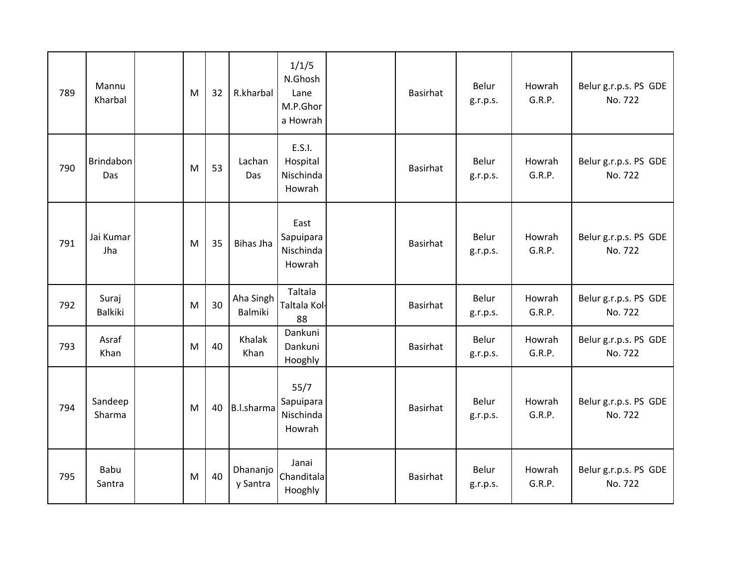| 789 | Mannu<br>Kharbal  | M | 32 | R.kharbal            | 1/1/5<br>N.Ghosh<br>Lane<br>M.P.Ghor<br>a Howrah | Basirhat        | Belur<br>g.r.p.s. | Howrah<br>G.R.P. | Belur g.r.p.s. PS GDE<br>No. 722 |
|-----|-------------------|---|----|----------------------|--------------------------------------------------|-----------------|-------------------|------------------|----------------------------------|
| 790 | Brindabon<br>Das  | M | 53 | Lachan<br>Das        | E.S.I.<br>Hospital<br>Nischinda<br>Howrah        | <b>Basirhat</b> | Belur<br>g.r.p.s. | Howrah<br>G.R.P. | Belur g.r.p.s. PS GDE<br>No. 722 |
| 791 | Jai Kumar<br>Jha  | M | 35 | <b>Bihas Jha</b>     | East<br>Sapuipara<br>Nischinda<br>Howrah         | Basirhat        | Belur<br>g.r.p.s. | Howrah<br>G.R.P. | Belur g.r.p.s. PS GDE<br>No. 722 |
| 792 | Suraj<br>Balkiki  | M | 30 | Aha Singh<br>Balmiki | Taltala<br>Taltala Kol-<br>88                    | <b>Basirhat</b> | Belur<br>g.r.p.s. | Howrah<br>G.R.P. | Belur g.r.p.s. PS GDE<br>No. 722 |
| 793 | Asraf<br>Khan     | M | 40 | Khalak<br>Khan       | Dankuni<br>Dankuni<br>Hooghly                    | Basirhat        | Belur<br>g.r.p.s. | Howrah<br>G.R.P. | Belur g.r.p.s. PS GDE<br>No. 722 |
| 794 | Sandeep<br>Sharma | M | 40 | B.I.sharma           | 55/7<br>Sapuipara<br>Nischinda<br>Howrah         | <b>Basirhat</b> | Belur<br>g.r.p.s. | Howrah<br>G.R.P. | Belur g.r.p.s. PS GDE<br>No. 722 |
| 795 | Babu<br>Santra    | M | 40 | Dhananjo<br>y Santra | Janai<br>Chanditala<br>Hooghly                   | Basirhat        | Belur<br>g.r.p.s. | Howrah<br>G.R.P. | Belur g.r.p.s. PS GDE<br>No. 722 |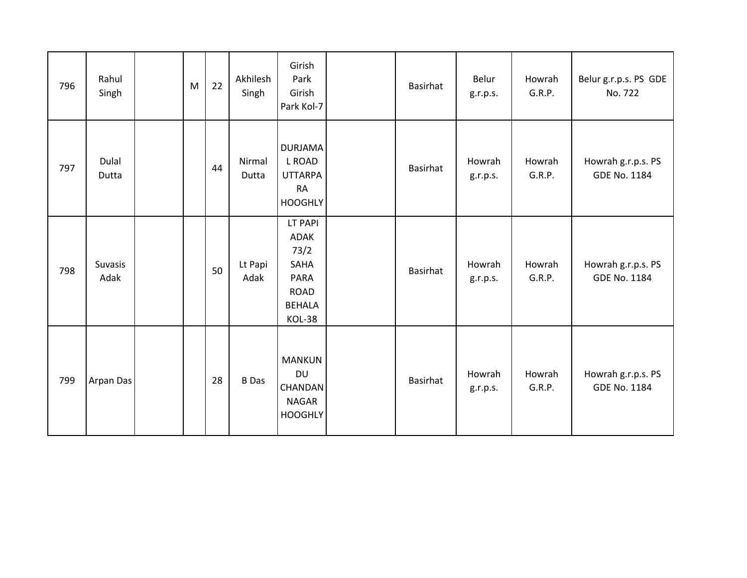| 796 | Rahul<br>Singh         | M | 22 | Akhilesh<br>Singh | Girish<br>Park<br>Girish<br>Park Kol-7                                                          | Basirhat        | Belur<br>g.r.p.s.  | Howrah<br>G.R.P. | Belur g.r.p.s. PS GDE<br>No. 722          |
|-----|------------------------|---|----|-------------------|-------------------------------------------------------------------------------------------------|-----------------|--------------------|------------------|-------------------------------------------|
| 797 | Dulal<br>Dutta         |   | 44 | Nirmal<br>Dutta   | <b>DURJAMA</b><br>L ROAD<br><b>UTTARPA</b><br><b>RA</b><br><b>HOOGHLY</b>                       | Basirhat        | Howrah<br>g.r.p.s. | Howrah<br>G.R.P. | Howrah g.r.p.s. PS<br>GDE No. 1184        |
| 798 | <b>Suvasis</b><br>Adak |   | 50 | Lt Papi<br>Adak   | LT PAPI<br><b>ADAK</b><br>73/2<br>SAHA<br><b>PARA</b><br><b>ROAD</b><br><b>BEHALA</b><br>KOL-38 | Basirhat        | Howrah<br>g.r.p.s. | Howrah<br>G.R.P. | Howrah g.r.p.s. PS<br><b>GDE No. 1184</b> |
| 799 | Arpan Das              |   | 28 | <b>B</b> Das      | <b>MANKUN</b><br><b>DU</b><br>CHANDAN<br><b>NAGAR</b><br><b>HOOGHLY</b>                         | <b>Basirhat</b> | Howrah<br>g.r.p.s. | Howrah<br>G.R.P. | Howrah g.r.p.s. PS<br><b>GDE No. 1184</b> |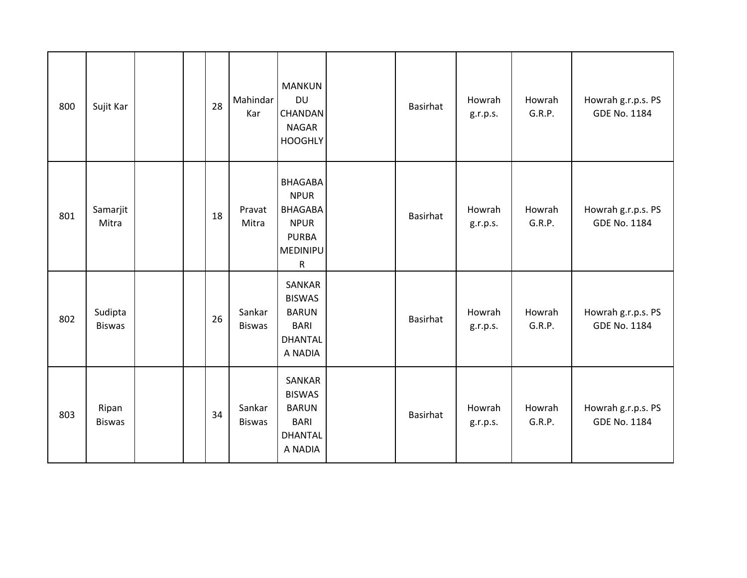| 800 | Sujit Kar                |  | 28 | Mahindar<br>Kar         | <b>MANKUN</b><br><b>DU</b><br>CHANDAN<br><b>NAGAR</b><br><b>HOOGHLY</b>                                 | Basirhat | Howrah<br>g.r.p.s. | Howrah<br>G.R.P. | Howrah g.r.p.s. PS<br><b>GDE No. 1184</b> |
|-----|--------------------------|--|----|-------------------------|---------------------------------------------------------------------------------------------------------|----------|--------------------|------------------|-------------------------------------------|
| 801 | Samarjit<br>Mitra        |  | 18 | Pravat<br>Mitra         | <b>BHAGABA</b><br><b>NPUR</b><br><b>BHAGABA</b><br><b>NPUR</b><br><b>PURBA</b><br>MEDINIPU<br>${\sf R}$ | Basirhat | Howrah<br>g.r.p.s. | Howrah<br>G.R.P. | Howrah g.r.p.s. PS<br><b>GDE No. 1184</b> |
| 802 | Sudipta<br><b>Biswas</b> |  | 26 | Sankar<br><b>Biswas</b> | SANKAR<br><b>BISWAS</b><br><b>BARUN</b><br><b>BARI</b><br><b>DHANTAL</b><br>A NADIA                     | Basirhat | Howrah<br>g.r.p.s. | Howrah<br>G.R.P. | Howrah g.r.p.s. PS<br><b>GDE No. 1184</b> |
| 803 | Ripan<br><b>Biswas</b>   |  | 34 | Sankar<br><b>Biswas</b> | SANKAR<br><b>BISWAS</b><br><b>BARUN</b><br><b>BARI</b><br><b>DHANTAL</b><br>A NADIA                     | Basirhat | Howrah<br>g.r.p.s. | Howrah<br>G.R.P. | Howrah g.r.p.s. PS<br><b>GDE No. 1184</b> |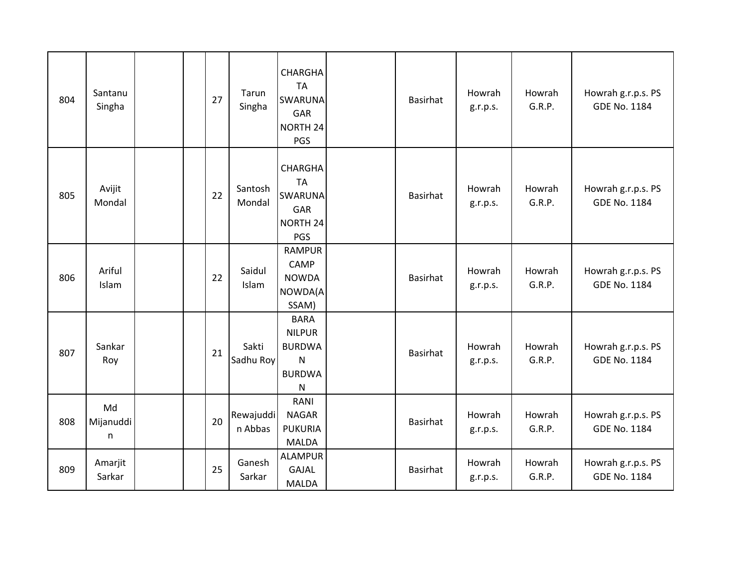| 804 | Santanu<br>Singha     | 27 | Tarun<br>Singha      | <b>CHARGHA</b><br><b>TA</b><br><b>SWARUNA</b><br>GAR<br>NORTH 24<br>PGS                     | <b>Basirhat</b> | Howrah<br>g.r.p.s. | Howrah<br>G.R.P. | Howrah g.r.p.s. PS<br><b>GDE No. 1184</b> |
|-----|-----------------------|----|----------------------|---------------------------------------------------------------------------------------------|-----------------|--------------------|------------------|-------------------------------------------|
| 805 | Avijit<br>Mondal      | 22 | Santosh<br>Mondal    | <b>CHARGHA</b><br><b>TA</b><br><b>SWARUNA</b><br>GAR<br>NORTH <sub>24</sub><br>PGS          | Basirhat        | Howrah<br>g.r.p.s. | Howrah<br>G.R.P. | Howrah g.r.p.s. PS<br><b>GDE No. 1184</b> |
| 806 | Ariful<br>Islam       | 22 | Saidul<br>Islam      | <b>RAMPUR</b><br><b>CAMP</b><br><b>NOWDA</b><br>NOWDA(A<br>SSAM)                            | <b>Basirhat</b> | Howrah<br>g.r.p.s. | Howrah<br>G.R.P. | Howrah g.r.p.s. PS<br><b>GDE No. 1184</b> |
| 807 | Sankar<br>Roy         | 21 | Sakti<br>Sadhu Roy   | <b>BARA</b><br><b>NILPUR</b><br><b>BURDWA</b><br>${\sf N}$<br><b>BURDWA</b><br>$\mathsf{N}$ | Basirhat        | Howrah<br>g.r.p.s. | Howrah<br>G.R.P. | Howrah g.r.p.s. PS<br><b>GDE No. 1184</b> |
| 808 | Md<br>Mijanuddi<br>n. | 20 | Rewajuddi<br>n Abbas | RANI<br><b>NAGAR</b><br><b>PUKURIA</b><br><b>MALDA</b>                                      | <b>Basirhat</b> | Howrah<br>g.r.p.s. | Howrah<br>G.R.P. | Howrah g.r.p.s. PS<br><b>GDE No. 1184</b> |
| 809 | Amarjit<br>Sarkar     | 25 | Ganesh<br>Sarkar     | <b>ALAMPUR</b><br>GAJAL<br><b>MALDA</b>                                                     | Basirhat        | Howrah<br>g.r.p.s. | Howrah<br>G.R.P. | Howrah g.r.p.s. PS<br><b>GDE No. 1184</b> |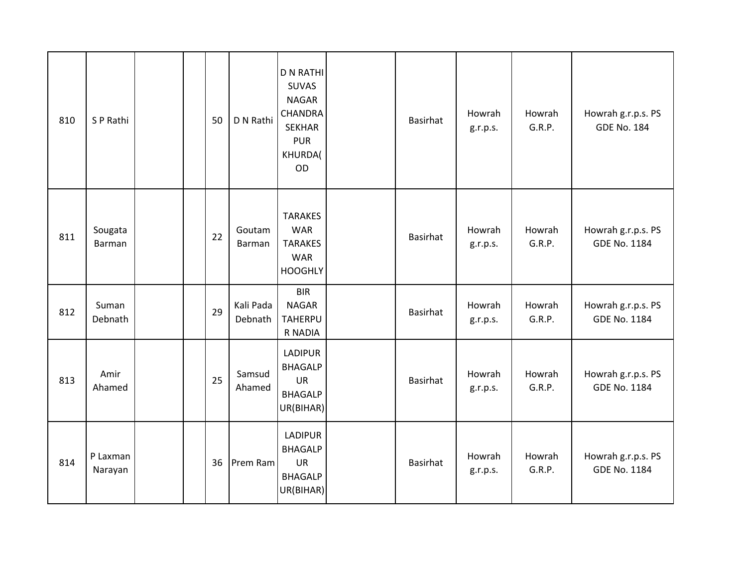| 810 | S P Rathi           |  | 50 | D N Rathi            | <b>D N RATHI</b><br><b>SUVAS</b><br><b>NAGAR</b><br><b>CHANDRA</b><br><b>SEKHAR</b><br><b>PUR</b><br>KHURDA(<br>OD | Basirhat        | Howrah<br>g.r.p.s. | Howrah<br>G.R.P. | Howrah g.r.p.s. PS<br><b>GDE No. 184</b>  |
|-----|---------------------|--|----|----------------------|--------------------------------------------------------------------------------------------------------------------|-----------------|--------------------|------------------|-------------------------------------------|
| 811 | Sougata<br>Barman   |  | 22 | Goutam<br>Barman     | <b>TARAKES</b><br><b>WAR</b><br><b>TARAKES</b><br><b>WAR</b><br><b>HOOGHLY</b>                                     | <b>Basirhat</b> | Howrah<br>g.r.p.s. | Howrah<br>G.R.P. | Howrah g.r.p.s. PS<br><b>GDE No. 1184</b> |
| 812 | Suman<br>Debnath    |  | 29 | Kali Pada<br>Debnath | <b>BIR</b><br><b>NAGAR</b><br><b>TAHERPU</b><br>R NADIA                                                            | <b>Basirhat</b> | Howrah<br>g.r.p.s. | Howrah<br>G.R.P. | Howrah g.r.p.s. PS<br>GDE No. 1184        |
| 813 | Amir<br>Ahamed      |  | 25 | Samsud<br>Ahamed     | <b>LADIPUR</b><br><b>BHAGALP</b><br>UR<br><b>BHAGALP</b><br>UR(BIHAR)                                              | <b>Basirhat</b> | Howrah<br>g.r.p.s. | Howrah<br>G.R.P. | Howrah g.r.p.s. PS<br><b>GDE No. 1184</b> |
| 814 | P Laxman<br>Narayan |  | 36 | Prem Ram             | LADIPUR<br><b>BHAGALP</b><br>UR<br><b>BHAGALP</b><br>UR(BIHAR)                                                     | Basirhat        | Howrah<br>g.r.p.s. | Howrah<br>G.R.P. | Howrah g.r.p.s. PS<br><b>GDE No. 1184</b> |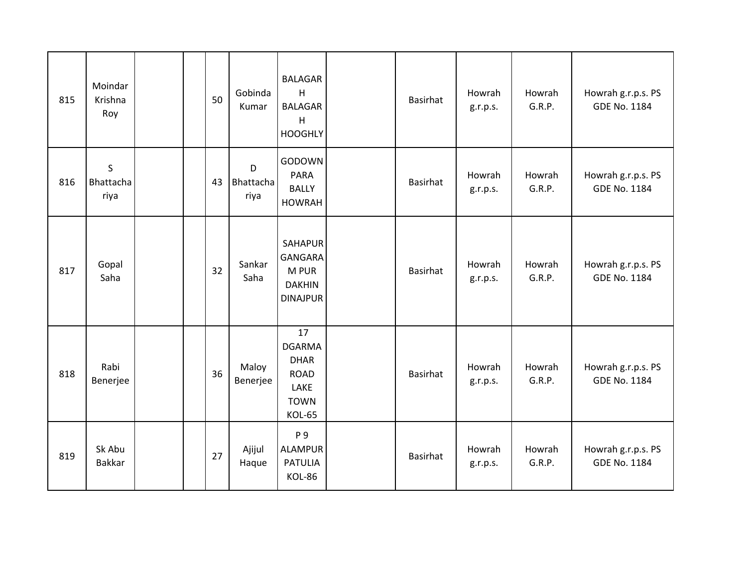| 815 | Moindar<br>Krishna<br>Roy        |  | 50 | Gobinda<br>Kumar       | <b>BALAGAR</b><br>H<br><b>BALAGAR</b><br>H<br><b>HOOGHLY</b>                              | <b>Basirhat</b> | Howrah<br>g.r.p.s. | Howrah<br>G.R.P. | Howrah g.r.p.s. PS<br><b>GDE No. 1184</b> |
|-----|----------------------------------|--|----|------------------------|-------------------------------------------------------------------------------------------|-----------------|--------------------|------------------|-------------------------------------------|
| 816 | $\mathsf S$<br>Bhattacha<br>riya |  | 43 | D<br>Bhattacha<br>riya | GODOWN<br><b>PARA</b><br><b>BALLY</b><br><b>HOWRAH</b>                                    | <b>Basirhat</b> | Howrah<br>g.r.p.s. | Howrah<br>G.R.P. | Howrah g.r.p.s. PS<br><b>GDE No. 1184</b> |
| 817 | Gopal<br>Saha                    |  | 32 | Sankar<br>Saha         | SAHAPUR<br><b>GANGARA</b><br>M PUR<br><b>DAKHIN</b><br><b>DINAJPUR</b>                    | Basirhat        | Howrah<br>g.r.p.s. | Howrah<br>G.R.P. | Howrah g.r.p.s. PS<br><b>GDE No. 1184</b> |
| 818 | Rabi<br>Benerjee                 |  | 36 | Maloy<br>Benerjee      | 17<br><b>DGARMA</b><br><b>DHAR</b><br><b>ROAD</b><br>LAKE<br><b>TOWN</b><br><b>KOL-65</b> | <b>Basirhat</b> | Howrah<br>g.r.p.s. | Howrah<br>G.R.P. | Howrah g.r.p.s. PS<br><b>GDE No. 1184</b> |
| 819 | Sk Abu<br><b>Bakkar</b>          |  | 27 | Ajijul<br>Haque        | P 9<br><b>ALAMPUR</b><br><b>PATULIA</b><br>KOL-86                                         | Basirhat        | Howrah<br>g.r.p.s. | Howrah<br>G.R.P. | Howrah g.r.p.s. PS<br><b>GDE No. 1184</b> |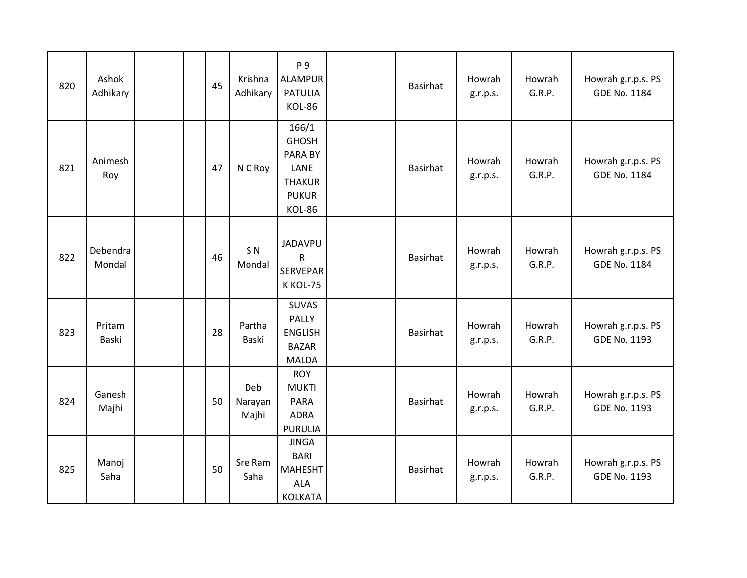| 820 | Ashok<br>Adhikary  |  | 45 | Krishna<br>Adhikary      | P 9<br><b>ALAMPUR</b><br><b>PATULIA</b><br>KOL-86                                   | Basirhat        | Howrah<br>g.r.p.s. | Howrah<br>G.R.P. | Howrah g.r.p.s. PS<br><b>GDE No. 1184</b> |
|-----|--------------------|--|----|--------------------------|-------------------------------------------------------------------------------------|-----------------|--------------------|------------------|-------------------------------------------|
| 821 | Animesh<br>Roy     |  | 47 | N C Roy                  | 166/1<br><b>GHOSH</b><br>PARA BY<br>LANE<br><b>THAKUR</b><br><b>PUKUR</b><br>KOL-86 | Basirhat        | Howrah<br>g.r.p.s. | Howrah<br>G.R.P. | Howrah g.r.p.s. PS<br><b>GDE No. 1184</b> |
| 822 | Debendra<br>Mondal |  | 46 | S <sub>N</sub><br>Mondal | <b>JADAVPU</b><br>$\mathsf{R}$<br><b>SERVEPAR</b><br>K KOL-75                       | Basirhat        | Howrah<br>g.r.p.s. | Howrah<br>G.R.P. | Howrah g.r.p.s. PS<br><b>GDE No. 1184</b> |
| 823 | Pritam<br>Baski    |  | 28 | Partha<br>Baski          | <b>SUVAS</b><br>PALLY<br><b>ENGLISH</b><br><b>BAZAR</b><br>MALDA                    | <b>Basirhat</b> | Howrah<br>g.r.p.s. | Howrah<br>G.R.P. | Howrah g.r.p.s. PS<br><b>GDE No. 1193</b> |
| 824 | Ganesh<br>Majhi    |  | 50 | Deb<br>Narayan<br>Majhi  | <b>ROY</b><br><b>MUKTI</b><br><b>PARA</b><br><b>ADRA</b><br><b>PURULIA</b>          | Basirhat        | Howrah<br>g.r.p.s. | Howrah<br>G.R.P. | Howrah g.r.p.s. PS<br><b>GDE No. 1193</b> |
| 825 | Manoj<br>Saha      |  | 50 | Sre Ram<br>Saha          | <b>JINGA</b><br><b>BARI</b><br><b>MAHESHT</b><br><b>ALA</b><br><b>KOLKATA</b>       | Basirhat        | Howrah<br>g.r.p.s. | Howrah<br>G.R.P. | Howrah g.r.p.s. PS<br><b>GDE No. 1193</b> |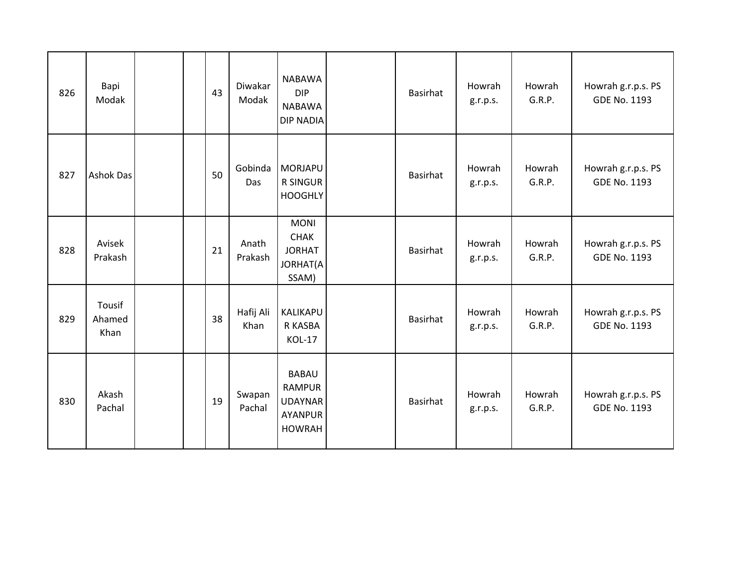| 826 | Bapi<br>Modak            |  | 43 | Diwakar<br>Modak  | <b>NABAWA</b><br><b>DIP</b><br><b>NABAWA</b><br><b>DIP NADIA</b>                   | Basirhat        | Howrah<br>g.r.p.s. | Howrah<br>G.R.P. | Howrah g.r.p.s. PS<br><b>GDE No. 1193</b> |
|-----|--------------------------|--|----|-------------------|------------------------------------------------------------------------------------|-----------------|--------------------|------------------|-------------------------------------------|
| 827 | <b>Ashok Das</b>         |  | 50 | Gobinda<br>Das    | <b>MORJAPU</b><br><b>R SINGUR</b><br><b>HOOGHLY</b>                                | Basirhat        | Howrah<br>g.r.p.s. | Howrah<br>G.R.P. | Howrah g.r.p.s. PS<br><b>GDE No. 1193</b> |
| 828 | Avisek<br>Prakash        |  | 21 | Anath<br>Prakash  | <b>MONI</b><br><b>CHAK</b><br><b>JORHAT</b><br><b>JORHAT(A</b><br>SSAM)            | Basirhat        | Howrah<br>g.r.p.s. | Howrah<br>G.R.P. | Howrah g.r.p.s. PS<br><b>GDE No. 1193</b> |
| 829 | Tousif<br>Ahamed<br>Khan |  | 38 | Hafij Ali<br>Khan | KALIKAPU<br>R KASBA<br>KOL-17                                                      | <b>Basirhat</b> | Howrah<br>g.r.p.s. | Howrah<br>G.R.P. | Howrah g.r.p.s. PS<br><b>GDE No. 1193</b> |
| 830 | Akash<br>Pachal          |  | 19 | Swapan<br>Pachal  | <b>BABAU</b><br><b>RAMPUR</b><br><b>UDAYNAR</b><br><b>AYANPUR</b><br><b>HOWRAH</b> | Basirhat        | Howrah<br>g.r.p.s. | Howrah<br>G.R.P. | Howrah g.r.p.s. PS<br><b>GDE No. 1193</b> |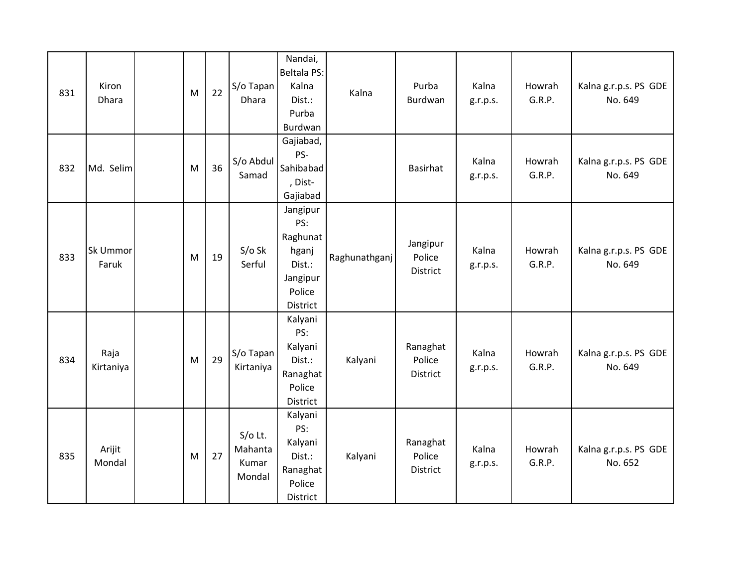| 831 | Kiron<br>Dhara    | M | 22 | S/o Tapan<br><b>Dhara</b>               | Nandai,<br><b>Beltala PS:</b><br>Kalna<br>Dist.:<br>Purba<br>Burdwan             | Kalna         | Purba<br>Burdwan               | Kalna<br>g.r.p.s. | Howrah<br>G.R.P. | Kalna g.r.p.s. PS GDE<br>No. 649 |
|-----|-------------------|---|----|-----------------------------------------|----------------------------------------------------------------------------------|---------------|--------------------------------|-------------------|------------------|----------------------------------|
| 832 | Md. Selim         | M | 36 | S/o Abdul<br>Samad                      | Gajiabad,<br>PS-<br>Sahibabad<br>, Dist-<br>Gajiabad                             |               | Basirhat                       | Kalna<br>g.r.p.s. | Howrah<br>G.R.P. | Kalna g.r.p.s. PS GDE<br>No. 649 |
| 833 | Sk Ummor<br>Faruk | M | 19 | $S/O$ Sk<br>Serful                      | Jangipur<br>PS:<br>Raghunat<br>hganj<br>Dist.:<br>Jangipur<br>Police<br>District | Raghunathganj | Jangipur<br>Police<br>District | Kalna<br>g.r.p.s. | Howrah<br>G.R.P. | Kalna g.r.p.s. PS GDE<br>No. 649 |
| 834 | Raja<br>Kirtaniya | M | 29 | S/o Tapan<br>Kirtaniya                  | Kalyani<br>PS:<br>Kalyani<br>Dist.:<br>Ranaghat<br>Police<br>District            | Kalyani       | Ranaghat<br>Police<br>District | Kalna<br>g.r.p.s. | Howrah<br>G.R.P. | Kalna g.r.p.s. PS GDE<br>No. 649 |
| 835 | Arijit<br>Mondal  | M | 27 | $S/O$ Lt.<br>Mahanta<br>Kumar<br>Mondal | Kalyani<br>PS:<br>Kalyani<br>Dist.:<br>Ranaghat<br>Police<br>District            | Kalyani       | Ranaghat<br>Police<br>District | Kalna<br>g.r.p.s. | Howrah<br>G.R.P. | Kalna g.r.p.s. PS GDE<br>No. 652 |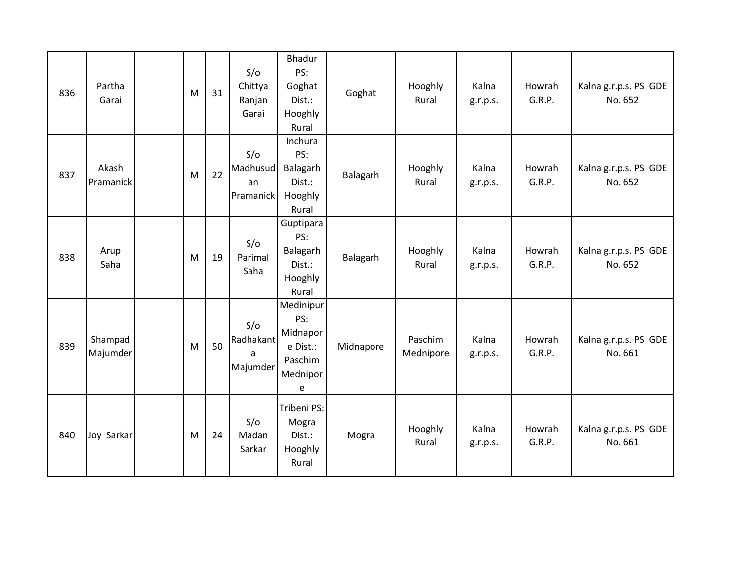| 836 | Partha<br>Garai     | M | 31 | S/O<br>Chittya<br>Ranjan<br>Garai  | <b>Bhadur</b><br>PS:<br>Goghat<br>Dist.:<br>Hooghly<br>Rural         | Goghat    | Hooghly<br>Rural     | Kalna<br>g.r.p.s. | Howrah<br>G.R.P. | Kalna g.r.p.s. PS GDE<br>No. 652 |
|-----|---------------------|---|----|------------------------------------|----------------------------------------------------------------------|-----------|----------------------|-------------------|------------------|----------------------------------|
| 837 | Akash<br>Pramanick  | M | 22 | S/O<br>Madhusud<br>an<br>Pramanick | Inchura<br>PS:<br>Balagarh<br>Dist.:<br>Hooghly<br>Rural             | Balagarh  | Hooghly<br>Rural     | Kalna<br>g.r.p.s. | Howrah<br>G.R.P. | Kalna g.r.p.s. PS GDE<br>No. 652 |
| 838 | Arup<br>Saha        | M | 19 | S/O<br>Parimal<br>Saha             | Guptipara<br>PS:<br>Balagarh<br>Dist.:<br>Hooghly<br>Rural           | Balagarh  | Hooghly<br>Rural     | Kalna<br>g.r.p.s. | Howrah<br>G.R.P. | Kalna g.r.p.s. PS GDE<br>No. 652 |
| 839 | Shampad<br>Majumder | M | 50 | S/O<br>Radhakant<br>a<br>Majumder  | Medinipur<br>PS:<br>Midnapor<br>e Dist.:<br>Paschim<br>Mednipor<br>e | Midnapore | Paschim<br>Mednipore | Kalna<br>g.r.p.s. | Howrah<br>G.R.P. | Kalna g.r.p.s. PS GDE<br>No. 661 |
| 840 | Joy Sarkar          | M | 24 | S/O<br>Madan<br>Sarkar             | Tribeni PS:<br>Mogra<br>Dist.:<br>Hooghly<br>Rural                   | Mogra     | Hooghly<br>Rural     | Kalna<br>g.r.p.s. | Howrah<br>G.R.P. | Kalna g.r.p.s. PS GDE<br>No. 661 |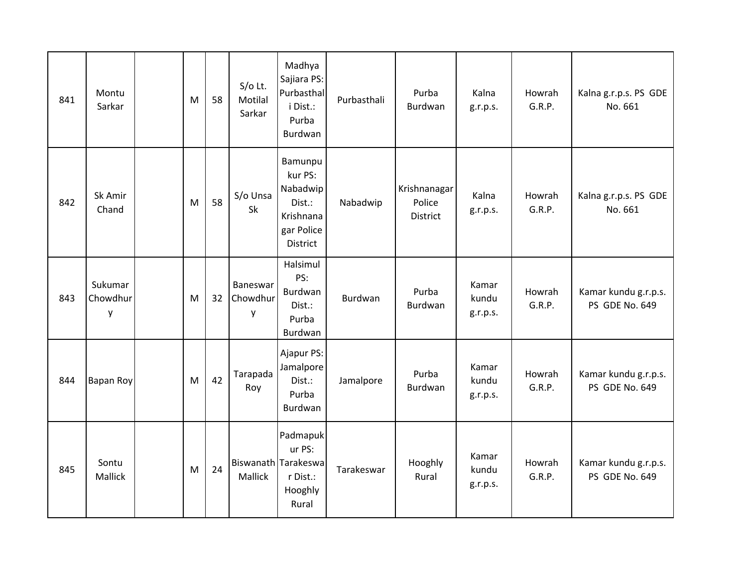| 841 | Montu<br>Sarkar          | M | 58 | $S/O$ Lt.<br>Motilal<br>Sarkar | Madhya<br>Sajiara PS:<br>Purbasthal<br>i Dist.:<br>Purba<br>Burdwan             | Purbasthali    | Purba<br>Burdwan                          | Kalna<br>g.r.p.s.          | Howrah<br>G.R.P. | Kalna g.r.p.s. PS GDE<br>No. 661              |
|-----|--------------------------|---|----|--------------------------------|---------------------------------------------------------------------------------|----------------|-------------------------------------------|----------------------------|------------------|-----------------------------------------------|
| 842 | Sk Amir<br>Chand         | M | 58 | S/o Unsa<br>Sk                 | Bamunpu<br>kur PS:<br>Nabadwip<br>Dist.:<br>Krishnana<br>gar Police<br>District | Nabadwip       | Krishnanagar<br>Police<br><b>District</b> | Kalna<br>g.r.p.s.          | Howrah<br>G.R.P. | Kalna g.r.p.s. PS GDE<br>No. 661              |
| 843 | Sukumar<br>Chowdhur<br>y | M | 32 | Baneswar<br>Chowdhur<br>y      | Halsimul<br>PS:<br>Burdwan<br>Dist.:<br>Purba<br>Burdwan                        | <b>Burdwan</b> | Purba<br>Burdwan                          | Kamar<br>kundu<br>g.r.p.s. | Howrah<br>G.R.P. | Kamar kundu g.r.p.s.<br><b>PS GDE No. 649</b> |
| 844 | <b>Bapan Roy</b>         | M | 42 | Tarapada<br>Roy                | Ajapur PS:<br>Jamalpore<br>Dist.:<br>Purba<br>Burdwan                           | Jamalpore      | Purba<br>Burdwan                          | Kamar<br>kundu<br>g.r.p.s. | Howrah<br>G.R.P. | Kamar kundu g.r.p.s.<br>PS GDE No. 649        |
| 845 | Sontu<br>Mallick         | M | 24 | Mallick                        | Padmapuk<br>ur PS:<br>Biswanath Tarakeswa<br>r Dist.:<br>Hooghly<br>Rural       | Tarakeswar     | Hooghly<br>Rural                          | Kamar<br>kundu<br>g.r.p.s. | Howrah<br>G.R.P. | Kamar kundu g.r.p.s.<br>PS GDE No. 649        |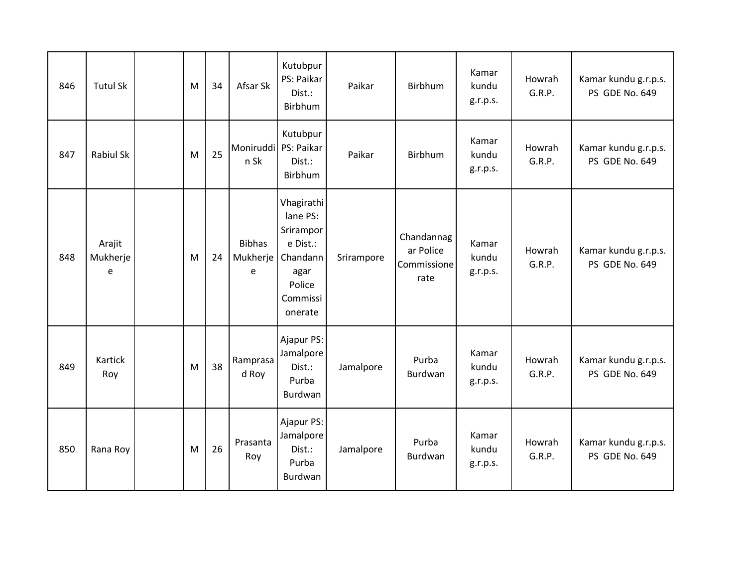| 846 | <b>Tutul Sk</b>         | M | 34 | Afsar Sk                       | Kutubpur<br>PS: Paikar<br>Dist.:<br>Birbhum                                                          | Paikar     | Birbhum                                        | Kamar<br>kundu<br>g.r.p.s. | Howrah<br>G.R.P. | Kamar kundu g.r.p.s.<br>PS GDE No. 649 |
|-----|-------------------------|---|----|--------------------------------|------------------------------------------------------------------------------------------------------|------------|------------------------------------------------|----------------------------|------------------|----------------------------------------|
| 847 | <b>Rabiul Sk</b>        | M | 25 | Moniruddi PS: Paikar<br>n Sk   | Kutubpur<br>Dist.:<br>Birbhum                                                                        | Paikar     | Birbhum                                        | Kamar<br>kundu<br>g.r.p.s. | Howrah<br>G.R.P. | Kamar kundu g.r.p.s.<br>PS GDE No. 649 |
| 848 | Arajit<br>Mukherje<br>e | M | 24 | <b>Bibhas</b><br>Mukherje<br>e | Vhagirathi<br>lane PS:<br>Srirampor<br>e Dist.:<br>Chandann<br>agar<br>Police<br>Commissi<br>onerate | Srirampore | Chandannag<br>ar Police<br>Commissione<br>rate | Kamar<br>kundu<br>g.r.p.s. | Howrah<br>G.R.P. | Kamar kundu g.r.p.s.<br>PS GDE No. 649 |
| 849 | Kartick<br>Roy          | M | 38 | Ramprasa<br>d Roy              | Ajapur PS:<br>Jamalpore<br>Dist.:<br>Purba<br>Burdwan                                                | Jamalpore  | Purba<br>Burdwan                               | Kamar<br>kundu<br>g.r.p.s. | Howrah<br>G.R.P. | Kamar kundu g.r.p.s.<br>PS GDE No. 649 |
| 850 | Rana Roy                | M | 26 | Prasanta<br>Roy                | Ajapur PS:<br>Jamalpore<br>Dist.:<br>Purba<br>Burdwan                                                | Jamalpore  | Purba<br>Burdwan                               | Kamar<br>kundu<br>g.r.p.s. | Howrah<br>G.R.P. | Kamar kundu g.r.p.s.<br>PS GDE No. 649 |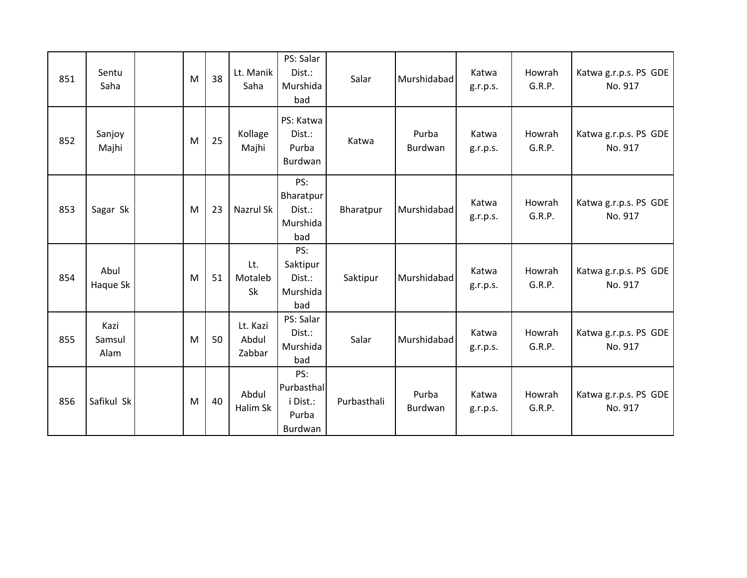| 851 | Sentu<br>Saha          | M | 38 | Lt. Manik<br>Saha           | PS: Salar<br>Dist.:<br>Murshida<br>bad            | Salar       | Murshidabad      | Katwa<br>g.r.p.s. | Howrah<br>G.R.P. | Katwa g.r.p.s. PS GDE<br>No. 917 |
|-----|------------------------|---|----|-----------------------------|---------------------------------------------------|-------------|------------------|-------------------|------------------|----------------------------------|
| 852 | Sanjoy<br>Majhi        | M | 25 | Kollage<br>Majhi            | PS: Katwa<br>Dist.:<br>Purba<br>Burdwan           | Katwa       | Purba<br>Burdwan | Katwa<br>g.r.p.s. | Howrah<br>G.R.P. | Katwa g.r.p.s. PS GDE<br>No. 917 |
| 853 | Sagar Sk               | M | 23 | Nazrul Sk                   | PS:<br>Bharatpur<br>Dist.:<br>Murshida<br>bad     | Bharatpur   | Murshidabad      | Katwa<br>g.r.p.s. | Howrah<br>G.R.P. | Katwa g.r.p.s. PS GDE<br>No. 917 |
| 854 | Abul<br>Haque Sk       | M | 51 | Lt.<br>Motaleb<br>Sk        | PS:<br>Saktipur<br>Dist.:<br>Murshida<br>bad      | Saktipur    | Murshidabad      | Katwa<br>g.r.p.s. | Howrah<br>G.R.P. | Katwa g.r.p.s. PS GDE<br>No. 917 |
| 855 | Kazi<br>Samsul<br>Alam | M | 50 | Lt. Kazi<br>Abdul<br>Zabbar | PS: Salar<br>Dist.:<br>Murshida<br>bad            | Salar       | Murshidabad      | Katwa<br>g.r.p.s. | Howrah<br>G.R.P. | Katwa g.r.p.s. PS GDE<br>No. 917 |
| 856 | Safikul Sk             | M | 40 | Abdul<br>Halim Sk           | PS:<br>Purbasthal<br>i Dist.:<br>Purba<br>Burdwan | Purbasthali | Purba<br>Burdwan | Katwa<br>g.r.p.s. | Howrah<br>G.R.P. | Katwa g.r.p.s. PS GDE<br>No. 917 |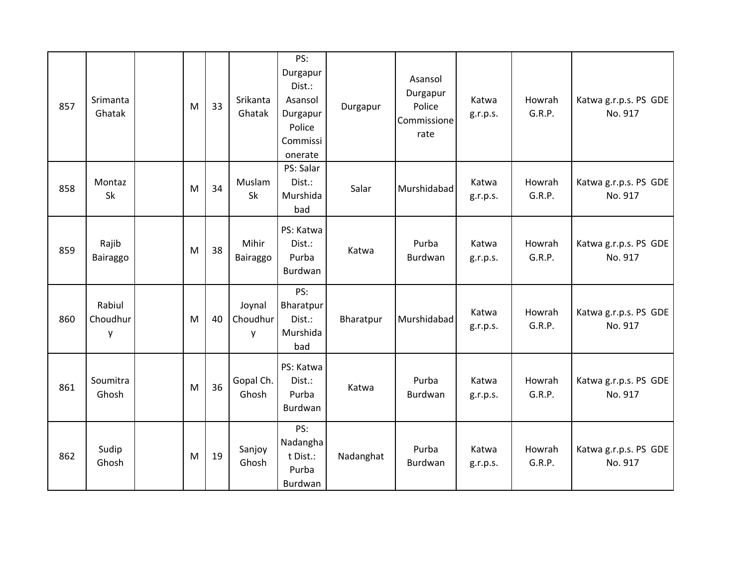| 857 | Srimanta<br>Ghatak      | M | 33 | Srikanta<br>Ghatak      | PS:<br>Durgapur<br>Dist.:<br>Asansol<br>Durgapur<br>Police<br>Commissi<br>onerate | Durgapur  | Asansol<br>Durgapur<br>Police<br>Commissione<br>rate | Katwa<br>g.r.p.s. | Howrah<br>G.R.P. | Katwa g.r.p.s. PS GDE<br>No. 917 |
|-----|-------------------------|---|----|-------------------------|-----------------------------------------------------------------------------------|-----------|------------------------------------------------------|-------------------|------------------|----------------------------------|
| 858 | Montaz<br>Sk            | M | 34 | Muslam<br><b>Sk</b>     | PS: Salar<br>Dist.:<br>Murshida<br>bad                                            | Salar     | Murshidabad                                          | Katwa<br>g.r.p.s. | Howrah<br>G.R.P. | Katwa g.r.p.s. PS GDE<br>No. 917 |
| 859 | Rajib<br>Bairaggo       | M | 38 | Mihir<br>Bairaggo       | PS: Katwa<br>Dist.:<br>Purba<br>Burdwan                                           | Katwa     | Purba<br>Burdwan                                     | Katwa<br>g.r.p.s. | Howrah<br>G.R.P. | Katwa g.r.p.s. PS GDE<br>No. 917 |
| 860 | Rabiul<br>Choudhur<br>y | M | 40 | Joynal<br>Choudhur<br>y | PS:<br>Bharatpur<br>Dist.:<br>Murshida<br>bad                                     | Bharatpur | Murshidabad                                          | Katwa<br>g.r.p.s. | Howrah<br>G.R.P. | Katwa g.r.p.s. PS GDE<br>No. 917 |
| 861 | Soumitra<br>Ghosh       | M | 36 | Gopal Ch.<br>Ghosh      | PS: Katwa<br>Dist.:<br>Purba<br>Burdwan                                           | Katwa     | Purba<br>Burdwan                                     | Katwa<br>g.r.p.s. | Howrah<br>G.R.P. | Katwa g.r.p.s. PS GDE<br>No. 917 |
| 862 | Sudip<br>Ghosh          | M | 19 | Sanjoy<br>Ghosh         | PS:<br>Nadangha<br>t Dist.:<br>Purba<br>Burdwan                                   | Nadanghat | Purba<br>Burdwan                                     | Katwa<br>g.r.p.s. | Howrah<br>G.R.P. | Katwa g.r.p.s. PS GDE<br>No. 917 |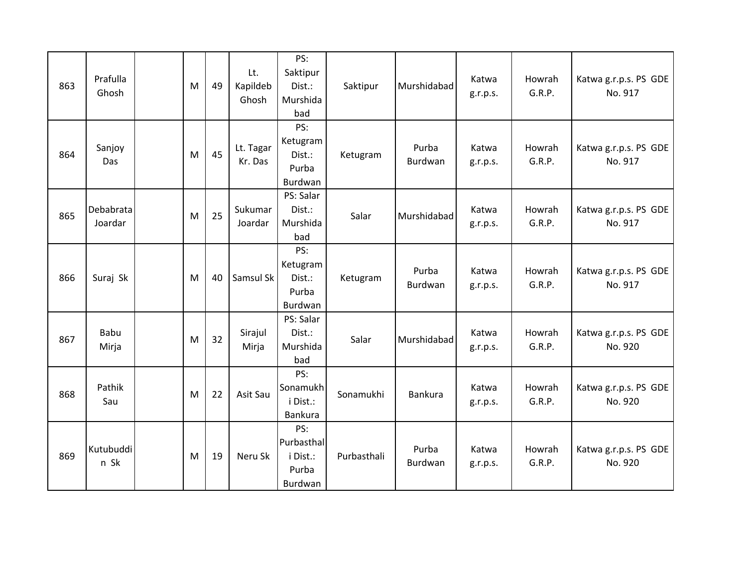| 863 | Prafulla<br>Ghosh    | M | 49 | Lt.<br>Kapildeb<br>Ghosh | PS:<br>Saktipur<br>Dist.:<br>Murshida<br>bad      | Saktipur    | Murshidabad      | Katwa<br>g.r.p.s. | Howrah<br>G.R.P. | Katwa g.r.p.s. PS GDE<br>No. 917 |
|-----|----------------------|---|----|--------------------------|---------------------------------------------------|-------------|------------------|-------------------|------------------|----------------------------------|
| 864 | Sanjoy<br>Das        | M | 45 | Lt. Tagar<br>Kr. Das     | PS:<br>Ketugram<br>Dist.:<br>Purba<br>Burdwan     | Ketugram    | Purba<br>Burdwan | Katwa<br>g.r.p.s. | Howrah<br>G.R.P. | Katwa g.r.p.s. PS GDE<br>No. 917 |
| 865 | Debabrata<br>Joardar | M | 25 | Sukumar<br>Joardar       | PS: Salar<br>Dist.:<br>Murshida<br>bad            | Salar       | Murshidabad      | Katwa<br>g.r.p.s. | Howrah<br>G.R.P. | Katwa g.r.p.s. PS GDE<br>No. 917 |
| 866 | Suraj Sk             | M | 40 | Samsul Sk                | PS:<br>Ketugram<br>Dist.:<br>Purba<br>Burdwan     | Ketugram    | Purba<br>Burdwan | Katwa<br>g.r.p.s. | Howrah<br>G.R.P. | Katwa g.r.p.s. PS GDE<br>No. 917 |
| 867 | Babu<br>Mirja        | M | 32 | Sirajul<br>Mirja         | PS: Salar<br>Dist.:<br>Murshida<br>bad            | Salar       | Murshidabad      | Katwa<br>g.r.p.s. | Howrah<br>G.R.P. | Katwa g.r.p.s. PS GDE<br>No. 920 |
| 868 | Pathik<br>Sau        | M | 22 | Asit Sau                 | PS:<br>Sonamukh<br>i Dist.:<br>Bankura            | Sonamukhi   | <b>Bankura</b>   | Katwa<br>g.r.p.s. | Howrah<br>G.R.P. | Katwa g.r.p.s. PS GDE<br>No. 920 |
| 869 | Kutubuddi<br>n Sk    | M | 19 | Neru Sk                  | PS:<br>Purbasthal<br>i Dist.:<br>Purba<br>Burdwan | Purbasthali | Purba<br>Burdwan | Katwa<br>g.r.p.s. | Howrah<br>G.R.P. | Katwa g.r.p.s. PS GDE<br>No. 920 |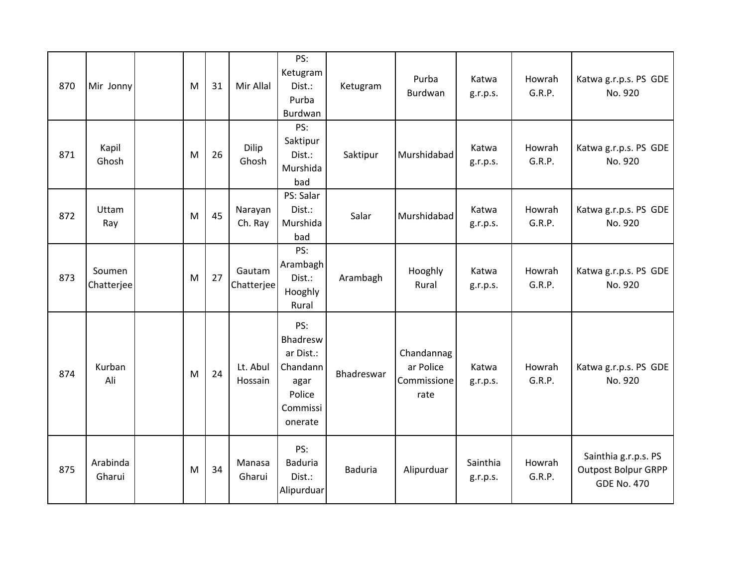| 870 | Mir Jonny            | M | 31 | Mir Allal            | PS:<br>Ketugram<br>Dist.:<br>Purba<br>Burdwan                                     | Ketugram       | Purba<br>Burdwan                               | Katwa<br>g.r.p.s.    | Howrah<br>G.R.P. | Katwa g.r.p.s. PS GDE<br>No. 920                                         |
|-----|----------------------|---|----|----------------------|-----------------------------------------------------------------------------------|----------------|------------------------------------------------|----------------------|------------------|--------------------------------------------------------------------------|
| 871 | Kapil<br>Ghosh       | M | 26 | Dilip<br>Ghosh       | PS:<br>Saktipur<br>Dist.:<br>Murshida<br>bad                                      | Saktipur       | Murshidabad                                    | Katwa<br>g.r.p.s.    | Howrah<br>G.R.P. | Katwa g.r.p.s. PS GDE<br>No. 920                                         |
| 872 | Uttam<br>Ray         | M | 45 | Narayan<br>Ch. Ray   | PS: Salar<br>Dist.:<br>Murshida<br>bad                                            | Salar          | Murshidabad                                    | Katwa<br>g.r.p.s.    | Howrah<br>G.R.P. | Katwa g.r.p.s. PS GDE<br>No. 920                                         |
| 873 | Soumen<br>Chatterjee | M | 27 | Gautam<br>Chatterjee | PS:<br>Arambagh<br>Dist.:<br>Hooghly<br>Rural                                     | Arambagh       | Hooghly<br>Rural                               | Katwa<br>g.r.p.s.    | Howrah<br>G.R.P. | Katwa g.r.p.s. PS GDE<br>No. 920                                         |
| 874 | Kurban<br>Ali        | M | 24 | Lt. Abul<br>Hossain  | PS:<br>Bhadresw<br>ar Dist.:<br>Chandann<br>agar<br>Police<br>Commissi<br>onerate | Bhadreswar     | Chandannag<br>ar Police<br>Commissione<br>rate | Katwa<br>g.r.p.s.    | Howrah<br>G.R.P. | Katwa g.r.p.s. PS GDE<br>No. 920                                         |
| 875 | Arabinda<br>Gharui   | M | 34 | Manasa<br>Gharui     | PS:<br><b>Baduria</b><br>Dist.:<br>Alipurduar                                     | <b>Baduria</b> | Alipurduar                                     | Sainthia<br>g.r.p.s. | Howrah<br>G.R.P. | Sainthia g.r.p.s. PS<br><b>Outpost Bolpur GRPP</b><br><b>GDE No. 470</b> |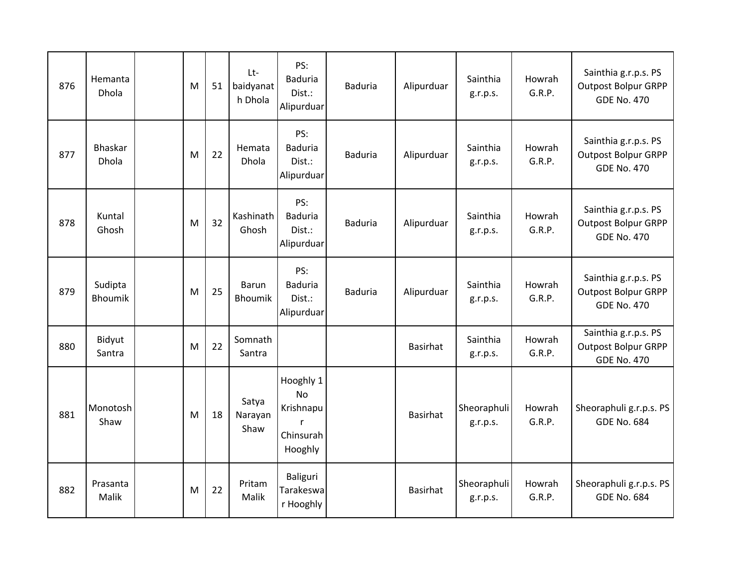| 876 | Hemanta<br><b>Dhola</b>   | M | 51 | Lt-<br>baidyanat<br>h Dhola    | PS:<br><b>Baduria</b><br>Dist.:<br>Alipurduar                    | <b>Baduria</b> | Alipurduar      | Sainthia<br>g.r.p.s.    | Howrah<br>G.R.P. | Sainthia g.r.p.s. PS<br><b>Outpost Bolpur GRPP</b><br><b>GDE No. 470</b> |
|-----|---------------------------|---|----|--------------------------------|------------------------------------------------------------------|----------------|-----------------|-------------------------|------------------|--------------------------------------------------------------------------|
| 877 | Bhaskar<br>Dhola          | M | 22 | Hemata<br><b>Dhola</b>         | PS:<br><b>Baduria</b><br>Dist.:<br>Alipurduar                    | <b>Baduria</b> | Alipurduar      | Sainthia<br>g.r.p.s.    | Howrah<br>G.R.P. | Sainthia g.r.p.s. PS<br><b>Outpost Bolpur GRPP</b><br><b>GDE No. 470</b> |
| 878 | Kuntal<br>Ghosh           | M | 32 | Kashinath<br>Ghosh             | PS:<br><b>Baduria</b><br>Dist.:<br>Alipurduar                    | <b>Baduria</b> | Alipurduar      | Sainthia<br>g.r.p.s.    | Howrah<br>G.R.P. | Sainthia g.r.p.s. PS<br><b>Outpost Bolpur GRPP</b><br><b>GDE No. 470</b> |
| 879 | Sudipta<br><b>Bhoumik</b> | M | 25 | <b>Barun</b><br><b>Bhoumik</b> | PS:<br><b>Baduria</b><br>Dist.:<br>Alipurduar                    | <b>Baduria</b> | Alipurduar      | Sainthia<br>g.r.p.s.    | Howrah<br>G.R.P. | Sainthia g.r.p.s. PS<br><b>Outpost Bolpur GRPP</b><br><b>GDE No. 470</b> |
| 880 | Bidyut<br>Santra          | M | 22 | Somnath<br>Santra              |                                                                  |                | Basirhat        | Sainthia<br>g.r.p.s.    | Howrah<br>G.R.P. | Sainthia g.r.p.s. PS<br><b>Outpost Bolpur GRPP</b><br><b>GDE No. 470</b> |
| 881 | Monotosh<br>Shaw          | M | 18 | Satya<br>Narayan<br>Shaw       | Hooghly 1<br><b>No</b><br>Krishnapu<br>r<br>Chinsurah<br>Hooghly |                | <b>Basirhat</b> | Sheoraphuli<br>g.r.p.s. | Howrah<br>G.R.P. | Sheoraphuli g.r.p.s. PS<br><b>GDE No. 684</b>                            |
| 882 | Prasanta<br>Malik         | M | 22 | Pritam<br>Malik                | Baliguri<br>Tarakeswa<br>r Hooghly                               |                | Basirhat        | Sheoraphuli<br>g.r.p.s. | Howrah<br>G.R.P. | Sheoraphuli g.r.p.s. PS<br><b>GDE No. 684</b>                            |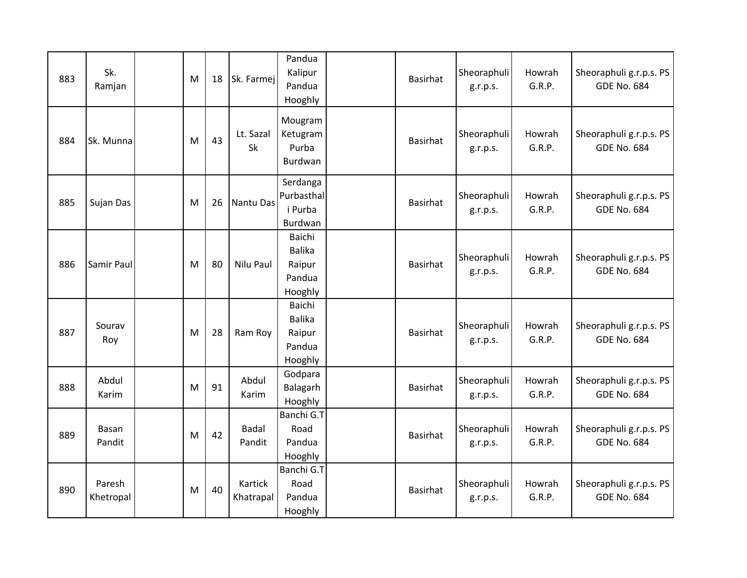| 883 | Sk.<br>Ramjan       | M | 18 | Sk. Farmej             | Pandua<br>Kalipur<br>Pandua<br>Hooghly                 | <b>Basirhat</b> | Sheoraphuli<br>g.r.p.s. | Howrah<br>G.R.P. | Sheoraphuli g.r.p.s. PS<br><b>GDE No. 684</b> |
|-----|---------------------|---|----|------------------------|--------------------------------------------------------|-----------------|-------------------------|------------------|-----------------------------------------------|
| 884 | Sk. Munna           | M | 43 | Lt. Sazal<br>Sk        | Mougram<br>Ketugram<br>Purba<br>Burdwan                | Basirhat        | Sheoraphuli<br>g.r.p.s. | Howrah<br>G.R.P. | Sheoraphuli g.r.p.s. PS<br><b>GDE No. 684</b> |
| 885 | Sujan Das           | M | 26 | Nantu Das              | Serdanga<br>Purbasthal<br>i Purba<br>Burdwan           | Basirhat        | Sheoraphuli<br>g.r.p.s. | Howrah<br>G.R.P. | Sheoraphuli g.r.p.s. PS<br><b>GDE No. 684</b> |
| 886 | Samir Paul          | M | 80 | Nilu Paul              | Baichi<br><b>Balika</b><br>Raipur<br>Pandua<br>Hooghly | <b>Basirhat</b> | Sheoraphuli<br>g.r.p.s. | Howrah<br>G.R.P. | Sheoraphuli g.r.p.s. PS<br><b>GDE No. 684</b> |
| 887 | Sourav<br>Roy       | M | 28 | Ram Roy                | Baichi<br><b>Balika</b><br>Raipur<br>Pandua<br>Hooghly | <b>Basirhat</b> | Sheoraphuli<br>g.r.p.s. | Howrah<br>G.R.P. | Sheoraphuli g.r.p.s. PS<br><b>GDE No. 684</b> |
| 888 | Abdul<br>Karim      | M | 91 | Abdul<br>Karim         | Godpara<br>Balagarh<br>Hooghly                         | <b>Basirhat</b> | Sheoraphuli<br>g.r.p.s. | Howrah<br>G.R.P. | Sheoraphuli g.r.p.s. PS<br><b>GDE No. 684</b> |
| 889 | Basan<br>Pandit     | M | 42 | <b>Badal</b><br>Pandit | Banchi G.T<br>Road<br>Pandua<br>Hooghly                | Basirhat        | Sheoraphuli<br>g.r.p.s. | Howrah<br>G.R.P. | Sheoraphuli g.r.p.s. PS<br><b>GDE No. 684</b> |
| 890 | Paresh<br>Khetropal | M | 40 | Kartick<br>Khatrapal   | Banchi G.T<br>Road<br>Pandua<br>Hooghly                | <b>Basirhat</b> | Sheoraphuli<br>g.r.p.s. | Howrah<br>G.R.P. | Sheoraphuli g.r.p.s. PS<br><b>GDE No. 684</b> |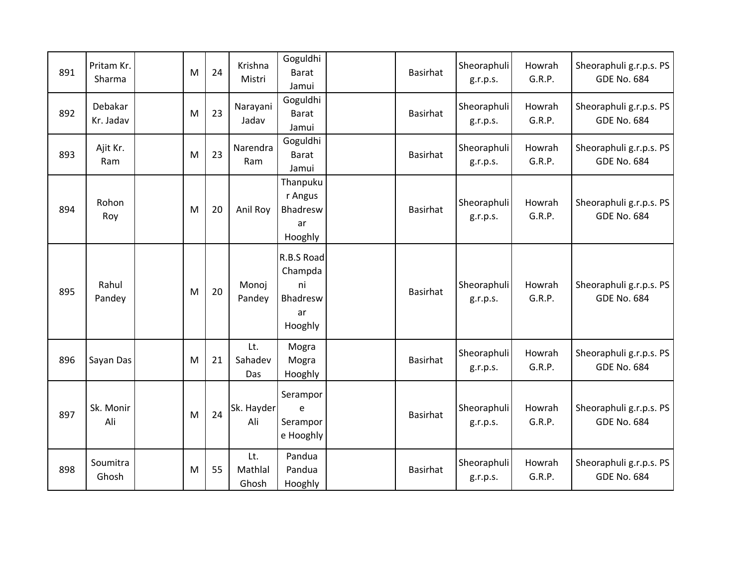| 891 | Pritam Kr.<br>Sharma | M | 24 | Krishna<br>Mistri       | Goguldhi<br><b>Barat</b><br>Jamui                        | <b>Basirhat</b> | Sheoraphuli<br>g.r.p.s. | Howrah<br>G.R.P. | Sheoraphuli g.r.p.s. PS<br><b>GDE No. 684</b> |
|-----|----------------------|---|----|-------------------------|----------------------------------------------------------|-----------------|-------------------------|------------------|-----------------------------------------------|
| 892 | Debakar<br>Kr. Jadav | M | 23 | Narayani<br>Jadav       | Goguldhi<br><b>Barat</b><br>Jamui                        | Basirhat        | Sheoraphuli<br>g.r.p.s. | Howrah<br>G.R.P. | Sheoraphuli g.r.p.s. PS<br><b>GDE No. 684</b> |
| 893 | Ajit Kr.<br>Ram      | M | 23 | Narendra<br>Ram         | Goguldhi<br><b>Barat</b><br>Jamui                        | Basirhat        | Sheoraphuli<br>g.r.p.s. | Howrah<br>G.R.P. | Sheoraphuli g.r.p.s. PS<br><b>GDE No. 684</b> |
| 894 | Rohon<br>Roy         | M | 20 | Anil Roy                | Thanpuku<br>r Angus<br><b>Bhadresw</b><br>ar<br>Hooghly  | <b>Basirhat</b> | Sheoraphuli<br>g.r.p.s. | Howrah<br>G.R.P. | Sheoraphuli g.r.p.s. PS<br><b>GDE No. 684</b> |
| 895 | Rahul<br>Pandey      | M | 20 | Monoj<br>Pandey         | R.B.S Road<br>Champda<br>ni<br>Bhadresw<br>ar<br>Hooghly | <b>Basirhat</b> | Sheoraphuli<br>g.r.p.s. | Howrah<br>G.R.P. | Sheoraphuli g.r.p.s. PS<br><b>GDE No. 684</b> |
| 896 | Sayan Das            | M | 21 | Lt.<br>Sahadev<br>Das   | Mogra<br>Mogra<br>Hooghly                                | <b>Basirhat</b> | Sheoraphuli<br>g.r.p.s. | Howrah<br>G.R.P. | Sheoraphuli g.r.p.s. PS<br><b>GDE No. 684</b> |
| 897 | Sk. Monir<br>Ali     | M | 24 | Sk. Hayder<br>Ali       | Serampor<br>e<br>Serampor<br>e Hooghly                   | <b>Basirhat</b> | Sheoraphuli<br>g.r.p.s. | Howrah<br>G.R.P. | Sheoraphuli g.r.p.s. PS<br><b>GDE No. 684</b> |
| 898 | Soumitra<br>Ghosh    | M | 55 | Lt.<br>Mathlal<br>Ghosh | Pandua<br>Pandua<br>Hooghly                              | <b>Basirhat</b> | Sheoraphuli<br>g.r.p.s. | Howrah<br>G.R.P. | Sheoraphuli g.r.p.s. PS<br><b>GDE No. 684</b> |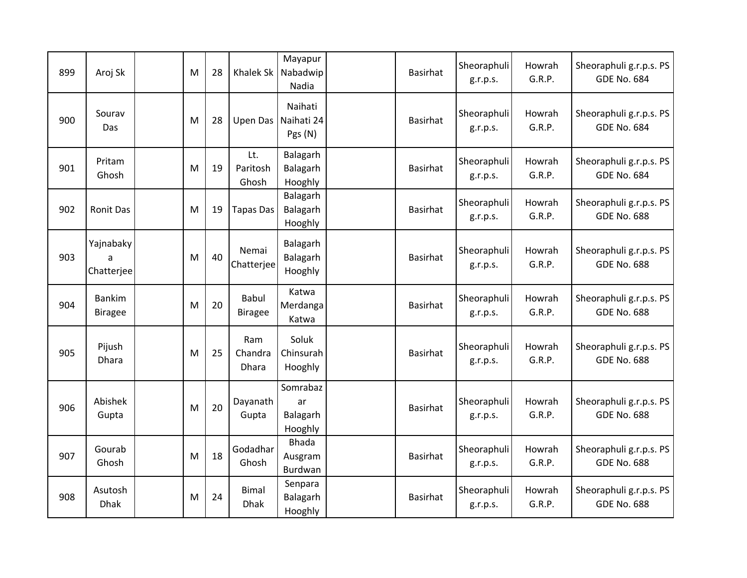| 899 | Aroj Sk                         | M | 28 | Khalek Sk                   | Mayapur<br>Nabadwip<br>Nadia              | Basirhat        | Sheoraphuli<br>g.r.p.s. | Howrah<br>G.R.P. | Sheoraphuli g.r.p.s. PS<br><b>GDE No. 684</b> |
|-----|---------------------------------|---|----|-----------------------------|-------------------------------------------|-----------------|-------------------------|------------------|-----------------------------------------------|
| 900 | Sourav<br>Das                   | M | 28 |                             | Naihati<br>Upen Das Naihati 24<br>Pgs (N) | <b>Basirhat</b> | Sheoraphuli<br>g.r.p.s. | Howrah<br>G.R.P. | Sheoraphuli g.r.p.s. PS<br><b>GDE No. 684</b> |
| 901 | Pritam<br>Ghosh                 | M | 19 | Lt.<br>Paritosh<br>Ghosh    | Balagarh<br>Balagarh<br>Hooghly           | <b>Basirhat</b> | Sheoraphuli<br>g.r.p.s. | Howrah<br>G.R.P. | Sheoraphuli g.r.p.s. PS<br><b>GDE No. 684</b> |
| 902 | <b>Ronit Das</b>                | M | 19 | <b>Tapas Das</b>            | Balagarh<br>Balagarh<br>Hooghly           | Basirhat        | Sheoraphuli<br>g.r.p.s. | Howrah<br>G.R.P. | Sheoraphuli g.r.p.s. PS<br><b>GDE No. 688</b> |
| 903 | Yajnabaky<br>a<br>Chatterjee    | M | 40 | Nemai<br>Chatterjee         | Balagarh<br>Balagarh<br>Hooghly           | <b>Basirhat</b> | Sheoraphuli<br>g.r.p.s. | Howrah<br>G.R.P. | Sheoraphuli g.r.p.s. PS<br><b>GDE No. 688</b> |
| 904 | <b>Bankim</b><br><b>Biragee</b> | M | 20 | Babul<br><b>Biragee</b>     | Katwa<br>Merdanga<br>Katwa                | Basirhat        | Sheoraphuli<br>g.r.p.s. | Howrah<br>G.R.P. | Sheoraphuli g.r.p.s. PS<br><b>GDE No. 688</b> |
| 905 | Pijush<br><b>Dhara</b>          | M | 25 | Ram<br>Chandra<br>Dhara     | Soluk<br>Chinsurah<br>Hooghly             | <b>Basirhat</b> | Sheoraphuli<br>g.r.p.s. | Howrah<br>G.R.P. | Sheoraphuli g.r.p.s. PS<br><b>GDE No. 688</b> |
| 906 | Abishek<br>Gupta                | M | 20 | Dayanath<br>Gupta           | Somrabaz<br>ar<br>Balagarh<br>Hooghly     | Basirhat        | Sheoraphuli<br>g.r.p.s. | Howrah<br>G.R.P. | Sheoraphuli g.r.p.s. PS<br><b>GDE No. 688</b> |
| 907 | Gourab<br>Ghosh                 | M | 18 | Godadhar<br>Ghosh           | <b>Bhada</b><br>Ausgram<br>Burdwan        | <b>Basirhat</b> | Sheoraphuli<br>g.r.p.s. | Howrah<br>G.R.P. | Sheoraphuli g.r.p.s. PS<br><b>GDE No. 688</b> |
| 908 | Asutosh<br><b>Dhak</b>          | M | 24 | <b>Bimal</b><br><b>Dhak</b> | Senpara<br>Balagarh<br>Hooghly            | Basirhat        | Sheoraphuli<br>g.r.p.s. | Howrah<br>G.R.P. | Sheoraphuli g.r.p.s. PS<br><b>GDE No. 688</b> |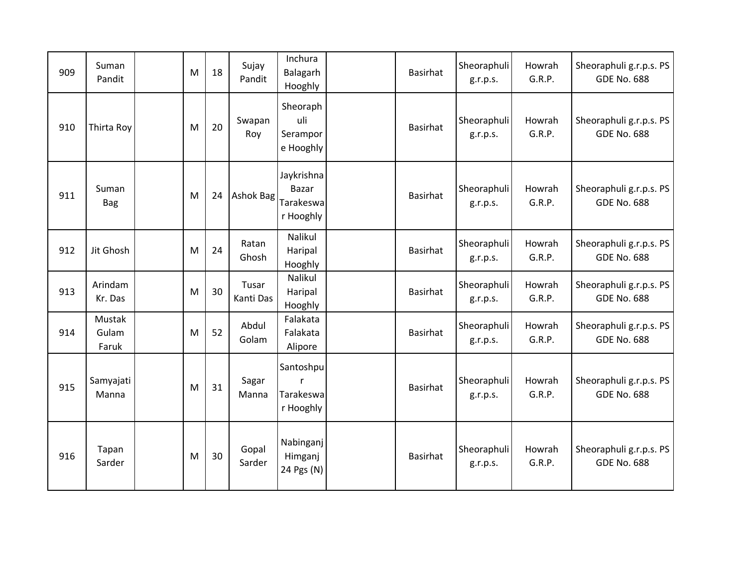| 909 | Suman<br>Pandit          | M | 18 | Sujay<br>Pandit    | Inchura<br>Balagarh<br>Hooghly                       | Basirhat        | Sheoraphuli<br>g.r.p.s. | Howrah<br>G.R.P. | Sheoraphuli g.r.p.s. PS<br><b>GDE No. 688</b> |
|-----|--------------------------|---|----|--------------------|------------------------------------------------------|-----------------|-------------------------|------------------|-----------------------------------------------|
| 910 | Thirta Roy               | M | 20 | Swapan<br>Roy      | Sheoraph<br>uli<br>Serampor<br>e Hooghly             | <b>Basirhat</b> | Sheoraphuli<br>g.r.p.s. | Howrah<br>G.R.P. | Sheoraphuli g.r.p.s. PS<br><b>GDE No. 688</b> |
| 911 | Suman<br>Bag             | M | 24 | Ashok Bag          | Jaykrishna<br><b>Bazar</b><br>Tarakeswa<br>r Hooghly | <b>Basirhat</b> | Sheoraphuli<br>g.r.p.s. | Howrah<br>G.R.P. | Sheoraphuli g.r.p.s. PS<br><b>GDE No. 688</b> |
| 912 | Jit Ghosh                | M | 24 | Ratan<br>Ghosh     | Nalikul<br>Haripal<br>Hooghly                        | <b>Basirhat</b> | Sheoraphuli<br>g.r.p.s. | Howrah<br>G.R.P. | Sheoraphuli g.r.p.s. PS<br><b>GDE No. 688</b> |
| 913 | Arindam<br>Kr. Das       | M | 30 | Tusar<br>Kanti Das | Nalikul<br>Haripal<br>Hooghly                        | <b>Basirhat</b> | Sheoraphuli<br>g.r.p.s. | Howrah<br>G.R.P. | Sheoraphuli g.r.p.s. PS<br><b>GDE No. 688</b> |
| 914 | Mustak<br>Gulam<br>Faruk | M | 52 | Abdul<br>Golam     | Falakata<br>Falakata<br>Alipore                      | <b>Basirhat</b> | Sheoraphuli<br>g.r.p.s. | Howrah<br>G.R.P. | Sheoraphuli g.r.p.s. PS<br><b>GDE No. 688</b> |
| 915 | Samyajati<br>Manna       | M | 31 | Sagar<br>Manna     | Santoshpu<br>r<br>Tarakeswa<br>r Hooghly             | Basirhat        | Sheoraphuli<br>g.r.p.s. | Howrah<br>G.R.P. | Sheoraphuli g.r.p.s. PS<br><b>GDE No. 688</b> |
| 916 | Tapan<br>Sarder          | M | 30 | Gopal<br>Sarder    | Nabinganj<br>Himganj<br>24 Pgs (N)                   | <b>Basirhat</b> | Sheoraphuli<br>g.r.p.s. | Howrah<br>G.R.P. | Sheoraphuli g.r.p.s. PS<br><b>GDE No. 688</b> |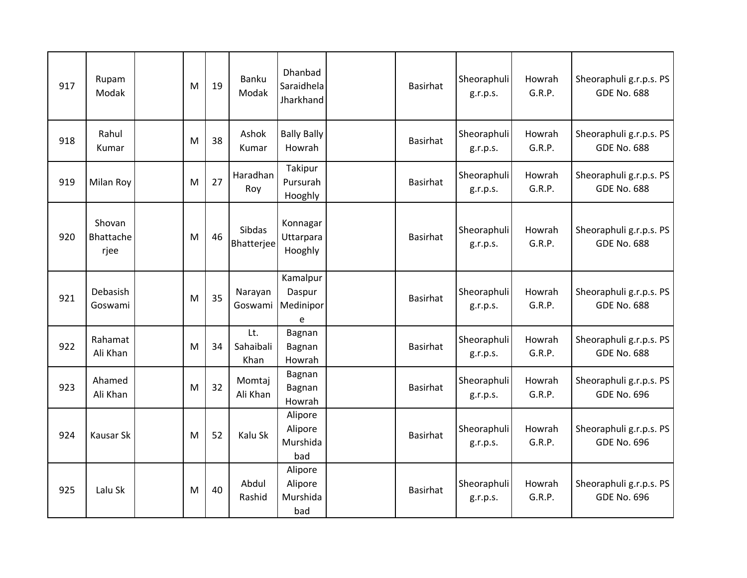| 917 | Rupam<br>Modak              | M | 19 | <b>Banku</b><br>Modak    | Dhanbad<br>Saraidhela<br>Jharkhand    | <b>Basirhat</b> | Sheoraphuli<br>g.r.p.s. | Howrah<br>G.R.P. | Sheoraphuli g.r.p.s. PS<br><b>GDE No. 688</b> |
|-----|-----------------------------|---|----|--------------------------|---------------------------------------|-----------------|-------------------------|------------------|-----------------------------------------------|
| 918 | Rahul<br>Kumar              | M | 38 | Ashok<br>Kumar           | <b>Bally Bally</b><br>Howrah          | <b>Basirhat</b> | Sheoraphuli<br>g.r.p.s. | Howrah<br>G.R.P. | Sheoraphuli g.r.p.s. PS<br><b>GDE No. 688</b> |
| 919 | Milan Roy                   | M | 27 | Haradhan<br>Roy          | Takipur<br>Pursurah<br>Hooghly        | Basirhat        | Sheoraphuli<br>g.r.p.s. | Howrah<br>G.R.P. | Sheoraphuli g.r.p.s. PS<br><b>GDE No. 688</b> |
| 920 | Shovan<br>Bhattache<br>rjee | M | 46 | Sibdas<br>Bhatterjee     | Konnagar<br>Uttarpara<br>Hooghly      | <b>Basirhat</b> | Sheoraphuli<br>g.r.p.s. | Howrah<br>G.R.P. | Sheoraphuli g.r.p.s. PS<br><b>GDE No. 688</b> |
| 921 | Debasish<br>Goswami         | M | 35 | Narayan<br>Goswami       | Kamalpur<br>Daspur<br>Medinipor<br>e  | <b>Basirhat</b> | Sheoraphuli<br>g.r.p.s. | Howrah<br>G.R.P. | Sheoraphuli g.r.p.s. PS<br><b>GDE No. 688</b> |
| 922 | Rahamat<br>Ali Khan         | M | 34 | Lt.<br>Sahaibali<br>Khan | Bagnan<br>Bagnan<br>Howrah            | Basirhat        | Sheoraphuli<br>g.r.p.s. | Howrah<br>G.R.P. | Sheoraphuli g.r.p.s. PS<br><b>GDE No. 688</b> |
| 923 | Ahamed<br>Ali Khan          | M | 32 | Momtaj<br>Ali Khan       | Bagnan<br>Bagnan<br>Howrah            | <b>Basirhat</b> | Sheoraphuli<br>g.r.p.s. | Howrah<br>G.R.P. | Sheoraphuli g.r.p.s. PS<br><b>GDE No. 696</b> |
| 924 | <b>Kausar Sk</b>            | M | 52 | Kalu Sk                  | Alipore<br>Alipore<br>Murshida<br>bad | <b>Basirhat</b> | Sheoraphuli<br>g.r.p.s. | Howrah<br>G.R.P. | Sheoraphuli g.r.p.s. PS<br><b>GDE No. 696</b> |
| 925 | Lalu Sk                     | M | 40 | Abdul<br>Rashid          | Alipore<br>Alipore<br>Murshida<br>bad | <b>Basirhat</b> | Sheoraphuli<br>g.r.p.s. | Howrah<br>G.R.P. | Sheoraphuli g.r.p.s. PS<br><b>GDE No. 696</b> |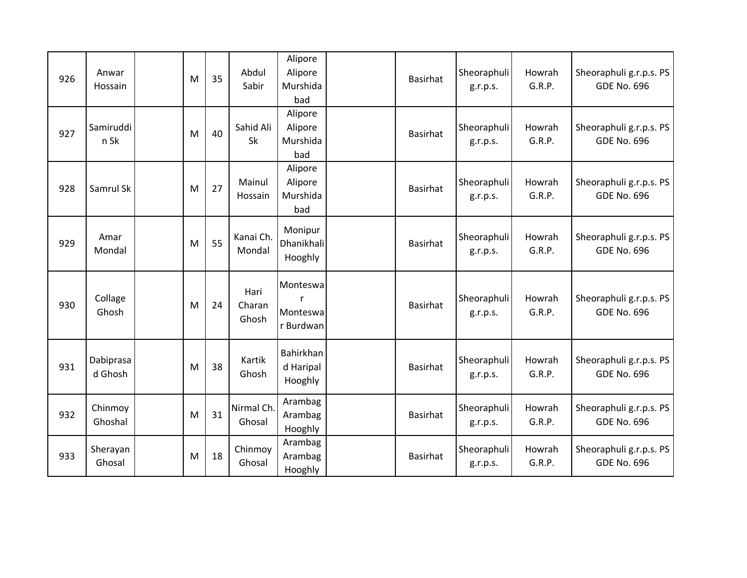| 926 | Anwar<br>Hossain     | M | 35 | Abdul<br>Sabir          | Alipore<br>Alipore<br>Murshida<br>bad  | <b>Basirhat</b> | Sheoraphuli<br>g.r.p.s. | Howrah<br>G.R.P. | Sheoraphuli g.r.p.s. PS<br><b>GDE No. 696</b> |
|-----|----------------------|---|----|-------------------------|----------------------------------------|-----------------|-------------------------|------------------|-----------------------------------------------|
| 927 | Samiruddi<br>n Sk    | M | 40 | Sahid Ali<br>Sk         | Alipore<br>Alipore<br>Murshida<br>bad  | <b>Basirhat</b> | Sheoraphuli<br>g.r.p.s. | Howrah<br>G.R.P. | Sheoraphuli g.r.p.s. PS<br><b>GDE No. 696</b> |
| 928 | Samrul Sk            | M | 27 | Mainul<br>Hossain       | Alipore<br>Alipore<br>Murshida<br>bad  | <b>Basirhat</b> | Sheoraphuli<br>g.r.p.s. | Howrah<br>G.R.P. | Sheoraphuli g.r.p.s. PS<br><b>GDE No. 696</b> |
| 929 | Amar<br>Mondal       | M | 55 | Kanai Ch.<br>Mondal     | Monipur<br>Dhanikhali<br>Hooghly       | <b>Basirhat</b> | Sheoraphuli<br>g.r.p.s. | Howrah<br>G.R.P. | Sheoraphuli g.r.p.s. PS<br><b>GDE No. 696</b> |
| 930 | Collage<br>Ghosh     | M | 24 | Hari<br>Charan<br>Ghosh | Monteswa<br>r<br>Monteswa<br>r Burdwan | <b>Basirhat</b> | Sheoraphuli<br>g.r.p.s. | Howrah<br>G.R.P. | Sheoraphuli g.r.p.s. PS<br><b>GDE No. 696</b> |
| 931 | Dabiprasa<br>d Ghosh | M | 38 | Kartik<br>Ghosh         | Bahirkhan<br>d Haripal<br>Hooghly      | <b>Basirhat</b> | Sheoraphuli<br>g.r.p.s. | Howrah<br>G.R.P. | Sheoraphuli g.r.p.s. PS<br><b>GDE No. 696</b> |
| 932 | Chinmoy<br>Ghoshal   | M | 31 | Nirmal Ch.<br>Ghosal    | Arambag<br>Arambag<br>Hooghly          | <b>Basirhat</b> | Sheoraphuli<br>g.r.p.s. | Howrah<br>G.R.P. | Sheoraphuli g.r.p.s. PS<br><b>GDE No. 696</b> |
| 933 | Sherayan<br>Ghosal   | M | 18 | Chinmoy<br>Ghosal       | Arambag<br>Arambag<br>Hooghly          | <b>Basirhat</b> | Sheoraphuli<br>g.r.p.s. | Howrah<br>G.R.P. | Sheoraphuli g.r.p.s. PS<br><b>GDE No. 696</b> |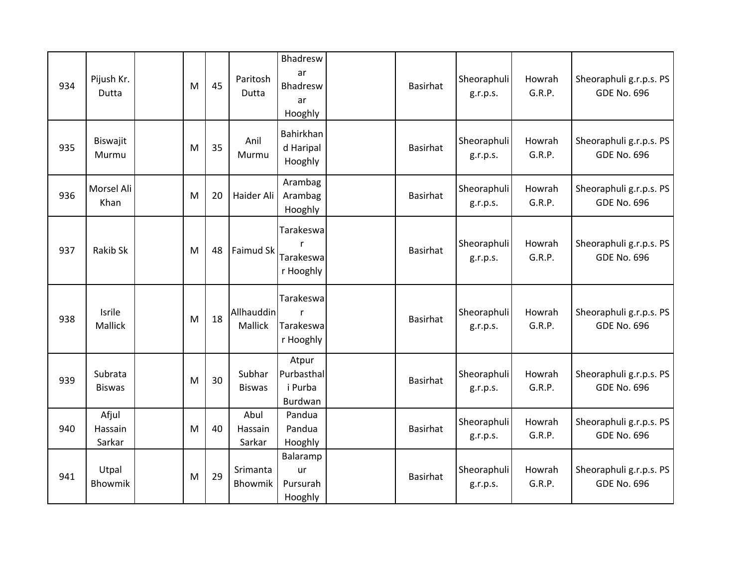| 934 | Pijush Kr.<br>Dutta        | M | 45 | Paritosh<br>Dutta         | Bhadresw<br>ar<br>Bhadresw<br>ar<br>Hooghly | <b>Basirhat</b> | Sheoraphuli<br>g.r.p.s. | Howrah<br>G.R.P. | Sheoraphuli g.r.p.s. PS<br><b>GDE No. 696</b> |
|-----|----------------------------|---|----|---------------------------|---------------------------------------------|-----------------|-------------------------|------------------|-----------------------------------------------|
| 935 | Biswajit<br>Murmu          | M | 35 | Anil<br>Murmu             | Bahirkhan<br>d Haripal<br>Hooghly           | <b>Basirhat</b> | Sheoraphuli<br>g.r.p.s. | Howrah<br>G.R.P. | Sheoraphuli g.r.p.s. PS<br><b>GDE No. 696</b> |
| 936 | Morsel Ali<br>Khan         | M | 20 | Haider Ali                | Arambag<br>Arambag<br>Hooghly               | <b>Basirhat</b> | Sheoraphuli<br>g.r.p.s. | Howrah<br>G.R.P. | Sheoraphuli g.r.p.s. PS<br><b>GDE No. 696</b> |
| 937 | Rakib Sk                   | M | 48 | Faimud Sk                 | Tarakeswa<br>r<br>Tarakeswa<br>r Hooghly    | <b>Basirhat</b> | Sheoraphuli<br>g.r.p.s. | Howrah<br>G.R.P. | Sheoraphuli g.r.p.s. PS<br><b>GDE No. 696</b> |
| 938 | Isrile<br><b>Mallick</b>   | M | 18 | Allhauddin<br>Mallick     | Tarakeswa<br>Tarakeswa<br>r Hooghly         | <b>Basirhat</b> | Sheoraphuli<br>g.r.p.s. | Howrah<br>G.R.P. | Sheoraphuli g.r.p.s. PS<br><b>GDE No. 696</b> |
| 939 | Subrata<br><b>Biswas</b>   | M | 30 | Subhar<br><b>Biswas</b>   | Atpur<br>Purbasthal<br>i Purba<br>Burdwan   | <b>Basirhat</b> | Sheoraphuli<br>g.r.p.s. | Howrah<br>G.R.P. | Sheoraphuli g.r.p.s. PS<br><b>GDE No. 696</b> |
| 940 | Afjul<br>Hassain<br>Sarkar | M | 40 | Abul<br>Hassain<br>Sarkar | Pandua<br>Pandua<br>Hooghly                 | <b>Basirhat</b> | Sheoraphuli<br>g.r.p.s. | Howrah<br>G.R.P. | Sheoraphuli g.r.p.s. PS<br><b>GDE No. 696</b> |
| 941 | Utpal<br>Bhowmik           | M | 29 | Srimanta<br>Bhowmik       | Balaramp<br>ur<br>Pursurah<br>Hooghly       | <b>Basirhat</b> | Sheoraphuli<br>g.r.p.s. | Howrah<br>G.R.P. | Sheoraphuli g.r.p.s. PS<br><b>GDE No. 696</b> |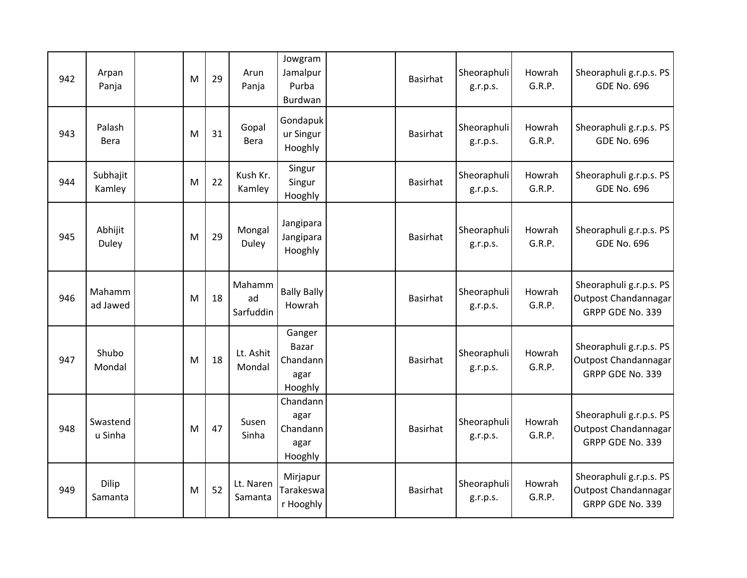| 942 | Arpan<br>Panja      | M | 29 | Arun<br>Panja             | Jowgram<br>Jamalpur<br>Purba<br>Burdwan               | <b>Basirhat</b> | Sheoraphuli<br>g.r.p.s. | Howrah<br>G.R.P. | Sheoraphuli g.r.p.s. PS<br><b>GDE No. 696</b>                       |
|-----|---------------------|---|----|---------------------------|-------------------------------------------------------|-----------------|-------------------------|------------------|---------------------------------------------------------------------|
| 943 | Palash<br>Bera      | M | 31 | Gopal<br>Bera             | Gondapuk<br>ur Singur<br>Hooghly                      | <b>Basirhat</b> | Sheoraphuli<br>g.r.p.s. | Howrah<br>G.R.P. | Sheoraphuli g.r.p.s. PS<br><b>GDE No. 696</b>                       |
| 944 | Subhajit<br>Kamley  | M | 22 | Kush Kr.<br>Kamley        | Singur<br>Singur<br>Hooghly                           | <b>Basirhat</b> | Sheoraphuli<br>g.r.p.s. | Howrah<br>G.R.P. | Sheoraphuli g.r.p.s. PS<br><b>GDE No. 696</b>                       |
| 945 | Abhijit<br>Duley    | M | 29 | Mongal<br>Duley           | Jangipara<br>Jangipara<br>Hooghly                     | <b>Basirhat</b> | Sheoraphuli<br>g.r.p.s. | Howrah<br>G.R.P. | Sheoraphuli g.r.p.s. PS<br><b>GDE No. 696</b>                       |
| 946 | Mahamm<br>ad Jawed  | M | 18 | Mahamm<br>ad<br>Sarfuddin | <b>Bally Bally</b><br>Howrah                          | <b>Basirhat</b> | Sheoraphuli<br>g.r.p.s. | Howrah<br>G.R.P. | Sheoraphuli g.r.p.s. PS<br>Outpost Chandannagar<br>GRPP GDE No. 339 |
| 947 | Shubo<br>Mondal     | M | 18 | Lt. Ashit<br>Mondal       | Ganger<br><b>Bazar</b><br>Chandann<br>agar<br>Hooghly | <b>Basirhat</b> | Sheoraphuli<br>g.r.p.s. | Howrah<br>G.R.P. | Sheoraphuli g.r.p.s. PS<br>Outpost Chandannagar<br>GRPP GDE No. 339 |
| 948 | Swastend<br>u Sinha | M | 47 | Susen<br>Sinha            | Chandann<br>agar<br>Chandann<br>agar<br>Hooghly       | Basirhat        | Sheoraphuli<br>g.r.p.s. | Howrah<br>G.R.P. | Sheoraphuli g.r.p.s. PS<br>Outpost Chandannagar<br>GRPP GDE No. 339 |
| 949 | Dilip<br>Samanta    | M | 52 | Lt. Naren<br>Samanta      | Mirjapur<br>Tarakeswa<br>r Hooghly                    | Basirhat        | Sheoraphuli<br>g.r.p.s. | Howrah<br>G.R.P. | Sheoraphuli g.r.p.s. PS<br>Outpost Chandannagar<br>GRPP GDE No. 339 |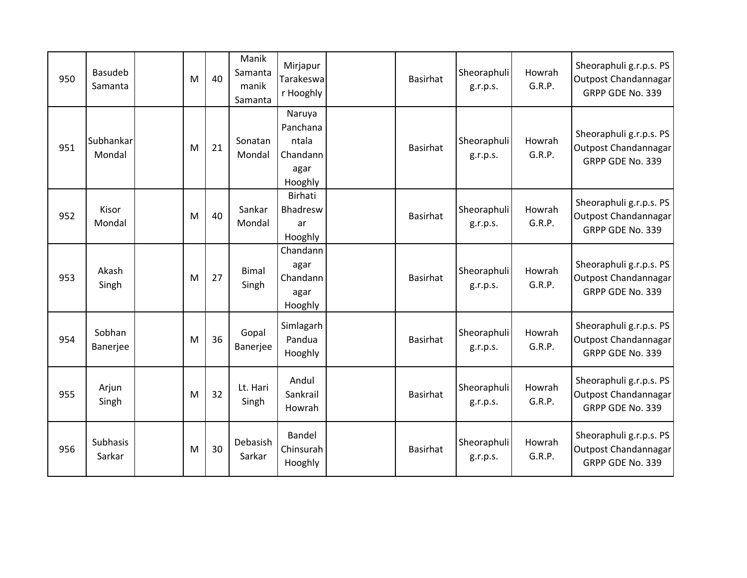| 950 | <b>Basudeb</b><br>Samanta | M | 40 | Manik<br>Samanta<br>manik<br>Samanta | Mirjapur<br>Tarakeswa<br>r Hooghly                         | Basirhat        | Sheoraphuli<br>g.r.p.s. | Howrah<br>G.R.P. | Sheoraphuli g.r.p.s. PS<br>Outpost Chandannagar<br>GRPP GDE No. 339 |
|-----|---------------------------|---|----|--------------------------------------|------------------------------------------------------------|-----------------|-------------------------|------------------|---------------------------------------------------------------------|
| 951 | Subhankar<br>Mondal       | M | 21 | Sonatan<br>Mondal                    | Naruya<br>Panchana<br>ntala<br>Chandann<br>agar<br>Hooghly | Basirhat        | Sheoraphuli<br>g.r.p.s. | Howrah<br>G.R.P. | Sheoraphuli g.r.p.s. PS<br>Outpost Chandannagar<br>GRPP GDE No. 339 |
| 952 | Kisor<br>Mondal           | M | 40 | Sankar<br>Mondal                     | <b>Birhati</b><br>Bhadresw<br>ar<br>Hooghly                | <b>Basirhat</b> | Sheoraphuli<br>g.r.p.s. | Howrah<br>G.R.P. | Sheoraphuli g.r.p.s. PS<br>Outpost Chandannagar<br>GRPP GDE No. 339 |
| 953 | Akash<br>Singh            | M | 27 | <b>Bimal</b><br>Singh                | Chandann<br>agar<br>Chandann<br>agar<br>Hooghly            | Basirhat        | Sheoraphuli<br>g.r.p.s. | Howrah<br>G.R.P. | Sheoraphuli g.r.p.s. PS<br>Outpost Chandannagar<br>GRPP GDE No. 339 |
| 954 | Sobhan<br>Banerjee        | M | 36 | Gopal<br>Banerjee                    | Simlagarh<br>Pandua<br>Hooghly                             | <b>Basirhat</b> | Sheoraphuli<br>g.r.p.s. | Howrah<br>G.R.P. | Sheoraphuli g.r.p.s. PS<br>Outpost Chandannagar<br>GRPP GDE No. 339 |
| 955 | Arjun<br>Singh            | M | 32 | Lt. Hari<br>Singh                    | Andul<br>Sankrail<br>Howrah                                | Basirhat        | Sheoraphuli<br>g.r.p.s. | Howrah<br>G.R.P. | Sheoraphuli g.r.p.s. PS<br>Outpost Chandannagar<br>GRPP GDE No. 339 |
| 956 | Subhasis<br>Sarkar        | M | 30 | Debasish<br>Sarkar                   | Bandel<br>Chinsurah<br>Hooghly                             | <b>Basirhat</b> | Sheoraphuli<br>g.r.p.s. | Howrah<br>G.R.P. | Sheoraphuli g.r.p.s. PS<br>Outpost Chandannagar<br>GRPP GDE No. 339 |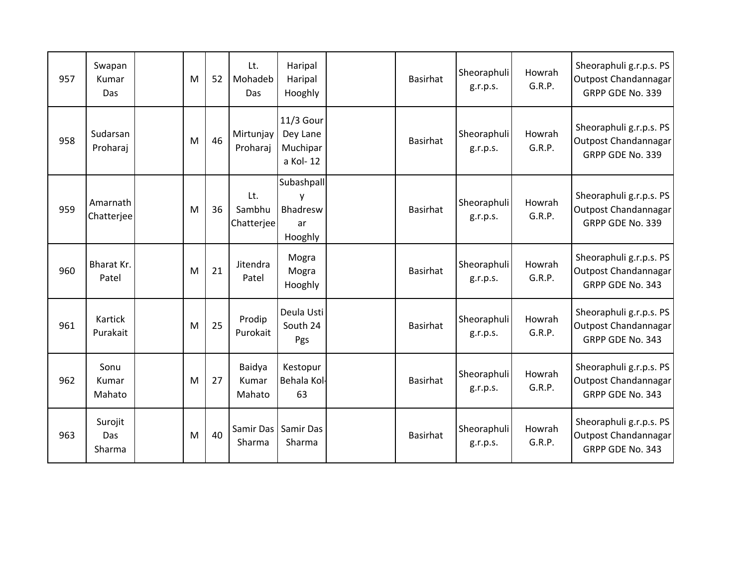| 957 | Swapan<br>Kumar<br>Das   | M | 52 | Lt.<br>Mohadeb<br>Das       | Haripal<br>Haripal<br>Hooghly                 | Basirhat        | Sheoraphuli<br>g.r.p.s. | Howrah<br>G.R.P. | Sheoraphuli g.r.p.s. PS<br>Outpost Chandannagar<br>GRPP GDE No. 339 |
|-----|--------------------------|---|----|-----------------------------|-----------------------------------------------|-----------------|-------------------------|------------------|---------------------------------------------------------------------|
| 958 | Sudarsan<br>Proharaj     | M | 46 | Mirtunjay<br>Proharaj       | 11/3 Gour<br>Dey Lane<br>Muchipar<br>a Kol-12 | <b>Basirhat</b> | Sheoraphuli<br>g.r.p.s. | Howrah<br>G.R.P. | Sheoraphuli g.r.p.s. PS<br>Outpost Chandannagar<br>GRPP GDE No. 339 |
| 959 | Amarnath<br>Chatterjee   | M | 36 | Lt.<br>Sambhu<br>Chatterjee | Subashpall<br>y<br>Bhadresw<br>ar<br>Hooghly  | Basirhat        | Sheoraphuli<br>g.r.p.s. | Howrah<br>G.R.P. | Sheoraphuli g.r.p.s. PS<br>Outpost Chandannagar<br>GRPP GDE No. 339 |
| 960 | Bharat Kr.<br>Patel      | M | 21 | Jitendra<br>Patel           | Mogra<br>Mogra<br>Hooghly                     | Basirhat        | Sheoraphuli<br>g.r.p.s. | Howrah<br>G.R.P. | Sheoraphuli g.r.p.s. PS<br>Outpost Chandannagar<br>GRPP GDE No. 343 |
| 961 | Kartick<br>Purakait      | M | 25 | Prodip<br>Purokait          | Deula Usti<br>South 24<br>Pgs                 | <b>Basirhat</b> | Sheoraphuli<br>g.r.p.s. | Howrah<br>G.R.P. | Sheoraphuli g.r.p.s. PS<br>Outpost Chandannagar<br>GRPP GDE No. 343 |
| 962 | Sonu<br>Kumar<br>Mahato  | M | 27 | Baidya<br>Kumar<br>Mahato   | Kestopur<br>Behala Kol<br>63                  | <b>Basirhat</b> | Sheoraphuli<br>g.r.p.s. | Howrah<br>G.R.P. | Sheoraphuli g.r.p.s. PS<br>Outpost Chandannagar<br>GRPP GDE No. 343 |
| 963 | Surojit<br>Das<br>Sharma | M | 40 | Samir Das<br>Sharma         | <b>Samir Das</b><br>Sharma                    | Basirhat        | Sheoraphuli<br>g.r.p.s. | Howrah<br>G.R.P. | Sheoraphuli g.r.p.s. PS<br>Outpost Chandannagar<br>GRPP GDE No. 343 |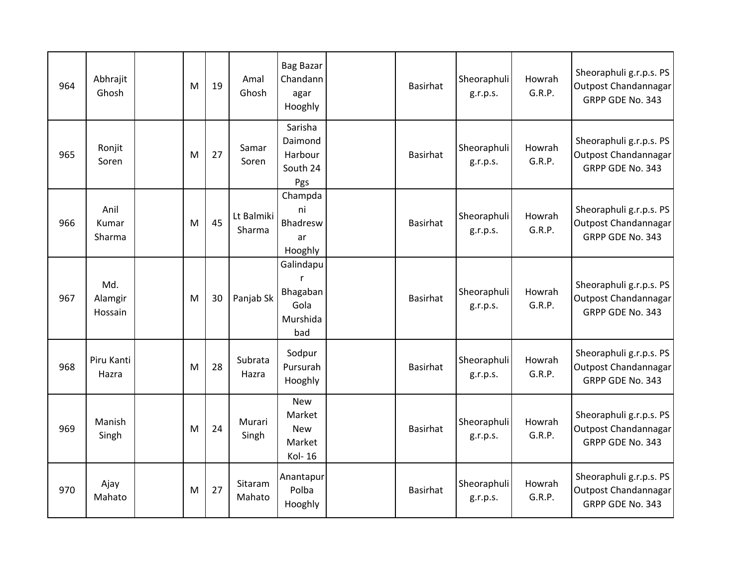| 964 | Abhrajit<br>Ghosh         | M | 19 | Amal<br>Ghosh        | <b>Bag Bazar</b><br>Chandann<br>agar<br>Hooghly                  | Basirhat        | Sheoraphuli<br>g.r.p.s. | Howrah<br>G.R.P. | Sheoraphuli g.r.p.s. PS<br>Outpost Chandannagar<br>GRPP GDE No. 343 |
|-----|---------------------------|---|----|----------------------|------------------------------------------------------------------|-----------------|-------------------------|------------------|---------------------------------------------------------------------|
| 965 | Ronjit<br>Soren           | M | 27 | Samar<br>Soren       | Sarisha<br>Daimond<br>Harbour<br>South 24<br>Pgs                 | <b>Basirhat</b> | Sheoraphuli<br>g.r.p.s. | Howrah<br>G.R.P. | Sheoraphuli g.r.p.s. PS<br>Outpost Chandannagar<br>GRPP GDE No. 343 |
| 966 | Anil<br>Kumar<br>Sharma   | M | 45 | Lt Balmiki<br>Sharma | Champda<br>ni<br>Bhadresw<br>ar<br>Hooghly                       | Basirhat        | Sheoraphuli<br>g.r.p.s. | Howrah<br>G.R.P. | Sheoraphuli g.r.p.s. PS<br>Outpost Chandannagar<br>GRPP GDE No. 343 |
| 967 | Md.<br>Alamgir<br>Hossain | M | 30 | Panjab Sk            | Galindapu<br>$\mathsf{r}$<br>Bhagaban<br>Gola<br>Murshida<br>bad | Basirhat        | Sheoraphuli<br>g.r.p.s. | Howrah<br>G.R.P. | Sheoraphuli g.r.p.s. PS<br>Outpost Chandannagar<br>GRPP GDE No. 343 |
| 968 | Piru Kanti<br>Hazra       | M | 28 | Subrata<br>Hazra     | Sodpur<br>Pursurah<br>Hooghly                                    | <b>Basirhat</b> | Sheoraphuli<br>g.r.p.s. | Howrah<br>G.R.P. | Sheoraphuli g.r.p.s. PS<br>Outpost Chandannagar<br>GRPP GDE No. 343 |
| 969 | Manish<br>Singh           | M | 24 | Murari<br>Singh      | New<br>Market<br><b>New</b><br>Market<br>Kol-16                  | <b>Basirhat</b> | Sheoraphuli<br>g.r.p.s. | Howrah<br>G.R.P. | Sheoraphuli g.r.p.s. PS<br>Outpost Chandannagar<br>GRPP GDE No. 343 |
| 970 | Ajay<br>Mahato            | M | 27 | Sitaram<br>Mahato    | Anantapur<br>Polba<br>Hooghly                                    | <b>Basirhat</b> | Sheoraphuli<br>g.r.p.s. | Howrah<br>G.R.P. | Sheoraphuli g.r.p.s. PS<br>Outpost Chandannagar<br>GRPP GDE No. 343 |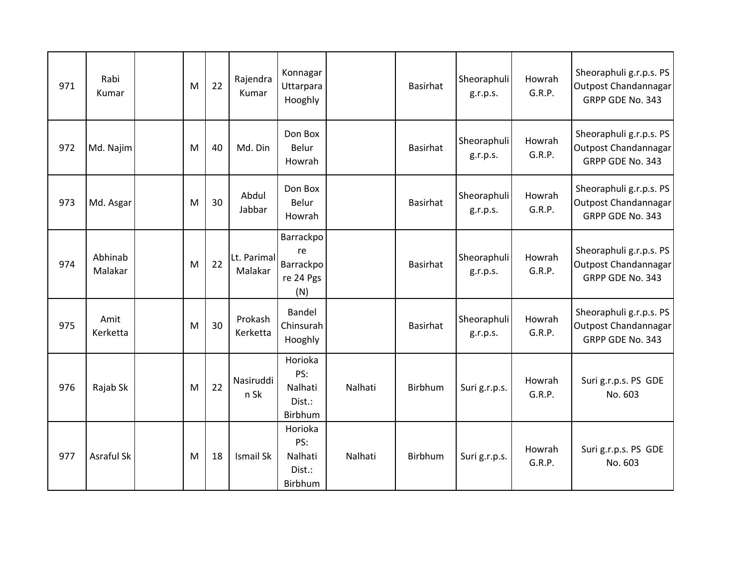| 971 | Rabi<br>Kumar      | M | 22 | Rajendra<br>Kumar      | Konnagar<br>Uttarpara<br>Hooghly                 |         | <b>Basirhat</b> | Sheoraphuli<br>g.r.p.s. | Howrah<br>G.R.P. | Sheoraphuli g.r.p.s. PS<br>Outpost Chandannagar<br>GRPP GDE No. 343 |
|-----|--------------------|---|----|------------------------|--------------------------------------------------|---------|-----------------|-------------------------|------------------|---------------------------------------------------------------------|
| 972 | Md. Najim          | M | 40 | Md. Din                | Don Box<br>Belur<br>Howrah                       |         | <b>Basirhat</b> | Sheoraphuli<br>g.r.p.s. | Howrah<br>G.R.P. | Sheoraphuli g.r.p.s. PS<br>Outpost Chandannagar<br>GRPP GDE No. 343 |
| 973 | Md. Asgar          | M | 30 | Abdul<br>Jabbar        | Don Box<br>Belur<br>Howrah                       |         | <b>Basirhat</b> | Sheoraphuli<br>g.r.p.s. | Howrah<br>G.R.P. | Sheoraphuli g.r.p.s. PS<br>Outpost Chandannagar<br>GRPP GDE No. 343 |
| 974 | Abhinab<br>Malakar | M | 22 | Lt. Parimal<br>Malakar | Barrackpo<br>re<br>Barrackpo<br>re 24 Pgs<br>(N) |         | <b>Basirhat</b> | Sheoraphuli<br>g.r.p.s. | Howrah<br>G.R.P. | Sheoraphuli g.r.p.s. PS<br>Outpost Chandannagar<br>GRPP GDE No. 343 |
| 975 | Amit<br>Kerketta   | M | 30 | Prokash<br>Kerketta    | Bandel<br>Chinsurah<br>Hooghly                   |         | <b>Basirhat</b> | Sheoraphuli<br>g.r.p.s. | Howrah<br>G.R.P. | Sheoraphuli g.r.p.s. PS<br>Outpost Chandannagar<br>GRPP GDE No. 343 |
| 976 | Rajab Sk           | M | 22 | Nasiruddi<br>n Sk      | Horioka<br>PS:<br>Nalhati<br>Dist.:<br>Birbhum   | Nalhati | Birbhum         | Suri g.r.p.s.           | Howrah<br>G.R.P. | Suri g.r.p.s. PS GDE<br>No. 603                                     |
| 977 | Asraful Sk         | M | 18 | Ismail Sk              | Horioka<br>PS:<br>Nalhati<br>Dist.:<br>Birbhum   | Nalhati | Birbhum         | Suri g.r.p.s.           | Howrah<br>G.R.P. | Suri g.r.p.s. PS GDE<br>No. 603                                     |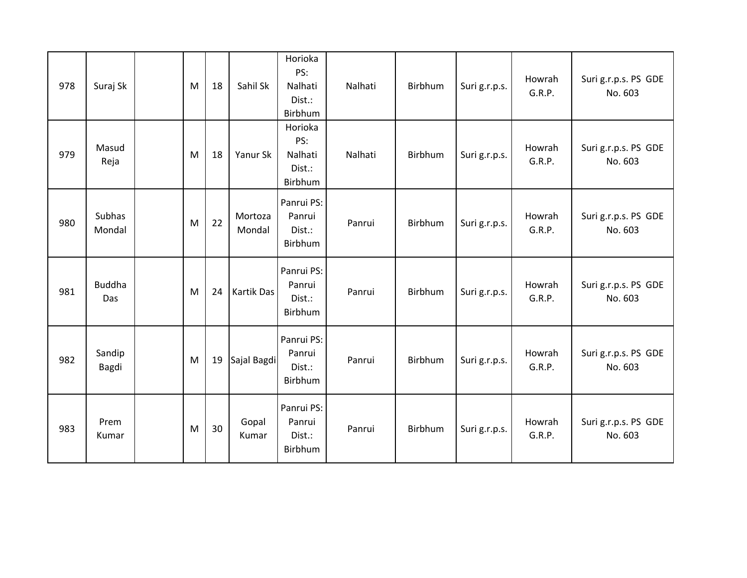| 978 | Suraj Sk             | M | 18 | Sahil Sk          | Horioka<br>PS:<br>Nalhati<br>Dist.:<br>Birbhum | Nalhati | Birbhum | Suri g.r.p.s. | Howrah<br>G.R.P. | Suri g.r.p.s. PS GDE<br>No. 603 |
|-----|----------------------|---|----|-------------------|------------------------------------------------|---------|---------|---------------|------------------|---------------------------------|
| 979 | Masud<br>Reja        | M | 18 | Yanur Sk          | Horioka<br>PS:<br>Nalhati<br>Dist.:<br>Birbhum | Nalhati | Birbhum | Suri g.r.p.s. | Howrah<br>G.R.P. | Suri g.r.p.s. PS GDE<br>No. 603 |
| 980 | Subhas<br>Mondal     | M | 22 | Mortoza<br>Mondal | Panrui PS:<br>Panrui<br>Dist.:<br>Birbhum      | Panrui  | Birbhum | Suri g.r.p.s. | Howrah<br>G.R.P. | Suri g.r.p.s. PS GDE<br>No. 603 |
| 981 | <b>Buddha</b><br>Das | M | 24 | Kartik Das        | Panrui PS:<br>Panrui<br>Dist.:<br>Birbhum      | Panrui  | Birbhum | Suri g.r.p.s. | Howrah<br>G.R.P. | Suri g.r.p.s. PS GDE<br>No. 603 |
| 982 | Sandip<br>Bagdi      | M | 19 | Sajal Bagdi       | Panrui PS:<br>Panrui<br>Dist.:<br>Birbhum      | Panrui  | Birbhum | Suri g.r.p.s. | Howrah<br>G.R.P. | Suri g.r.p.s. PS GDE<br>No. 603 |
| 983 | Prem<br>Kumar        | M | 30 | Gopal<br>Kumar    | Panrui PS:<br>Panrui<br>Dist.:<br>Birbhum      | Panrui  | Birbhum | Suri g.r.p.s. | Howrah<br>G.R.P. | Suri g.r.p.s. PS GDE<br>No. 603 |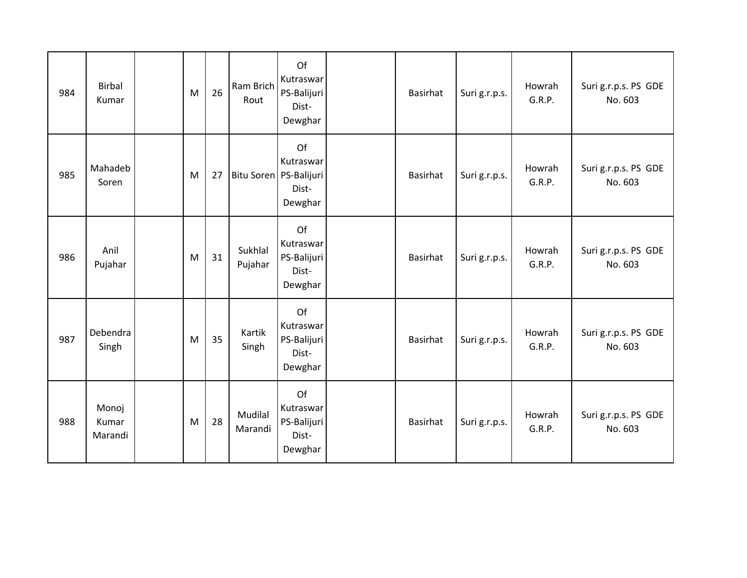| 984 | <b>Birbal</b><br>Kumar    | M | 26 | Ram Brich<br>Rout  | Of<br>Kutraswar<br>PS-Balijuri<br>Dist-<br>Dewghar              | Basirhat        | Suri g.r.p.s. | Howrah<br>G.R.P. | Suri g.r.p.s. PS GDE<br>No. 603 |
|-----|---------------------------|---|----|--------------------|-----------------------------------------------------------------|-----------------|---------------|------------------|---------------------------------|
| 985 | Mahadeb<br>Soren          | M | 27 |                    | Of<br>Kutraswar<br>Bitu Soren   PS-Balijuri<br>Dist-<br>Dewghar | <b>Basirhat</b> | Suri g.r.p.s. | Howrah<br>G.R.P. | Suri g.r.p.s. PS GDE<br>No. 603 |
| 986 | Anil<br>Pujahar           | M | 31 | Sukhlal<br>Pujahar | Of<br>Kutraswar<br>PS-Balijuri<br>Dist-<br>Dewghar              | Basirhat        | Suri g.r.p.s. | Howrah<br>G.R.P. | Suri g.r.p.s. PS GDE<br>No. 603 |
| 987 | Debendra<br>Singh         | M | 35 | Kartik<br>Singh    | Of<br>Kutraswar<br>PS-Balijuri<br>Dist-<br>Dewghar              | <b>Basirhat</b> | Suri g.r.p.s. | Howrah<br>G.R.P. | Suri g.r.p.s. PS GDE<br>No. 603 |
| 988 | Monoj<br>Kumar<br>Marandi | M | 28 | Mudilal<br>Marandi | Of<br>Kutraswar<br>PS-Balijuri<br>Dist-<br>Dewghar              | <b>Basirhat</b> | Suri g.r.p.s. | Howrah<br>G.R.P. | Suri g.r.p.s. PS GDE<br>No. 603 |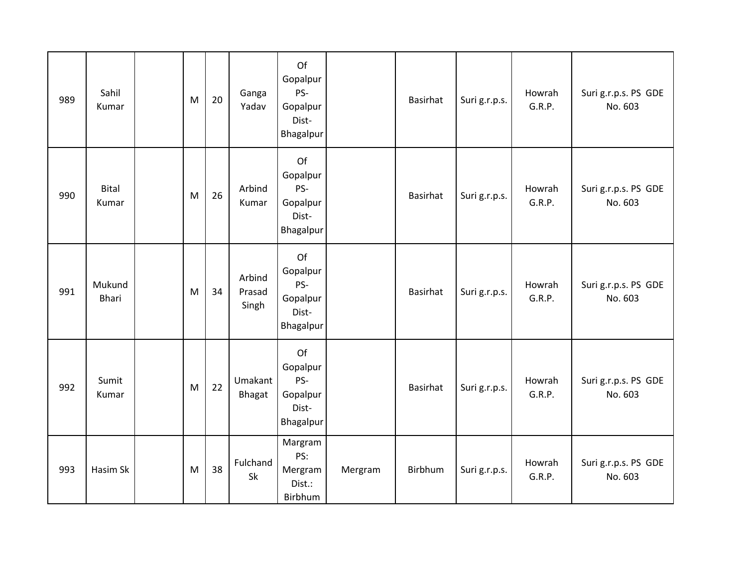| 989 | Sahil<br>Kumar        | M | 20 | Ganga<br>Yadav            | Of<br>Gopalpur<br>PS-<br>Gopalpur<br>Dist-<br>Bhagalpur |         | <b>Basirhat</b> | Suri g.r.p.s. | Howrah<br>G.R.P. | Suri g.r.p.s. PS GDE<br>No. 603 |
|-----|-----------------------|---|----|---------------------------|---------------------------------------------------------|---------|-----------------|---------------|------------------|---------------------------------|
| 990 | <b>Bital</b><br>Kumar | M | 26 | Arbind<br>Kumar           | Of<br>Gopalpur<br>PS-<br>Gopalpur<br>Dist-<br>Bhagalpur |         | <b>Basirhat</b> | Suri g.r.p.s. | Howrah<br>G.R.P. | Suri g.r.p.s. PS GDE<br>No. 603 |
| 991 | Mukund<br>Bhari       | M | 34 | Arbind<br>Prasad<br>Singh | Of<br>Gopalpur<br>PS-<br>Gopalpur<br>Dist-<br>Bhagalpur |         | <b>Basirhat</b> | Suri g.r.p.s. | Howrah<br>G.R.P. | Suri g.r.p.s. PS GDE<br>No. 603 |
| 992 | Sumit<br>Kumar        | M | 22 | Umakant<br>Bhagat         | Of<br>Gopalpur<br>PS-<br>Gopalpur<br>Dist-<br>Bhagalpur |         | Basirhat        | Suri g.r.p.s. | Howrah<br>G.R.P. | Suri g.r.p.s. PS GDE<br>No. 603 |
| 993 | Hasim Sk              | M | 38 | Fulchand<br>Sk            | Margram<br>PS:<br>Mergram<br>Dist.:<br>Birbhum          | Mergram | Birbhum         | Suri g.r.p.s. | Howrah<br>G.R.P. | Suri g.r.p.s. PS GDE<br>No. 603 |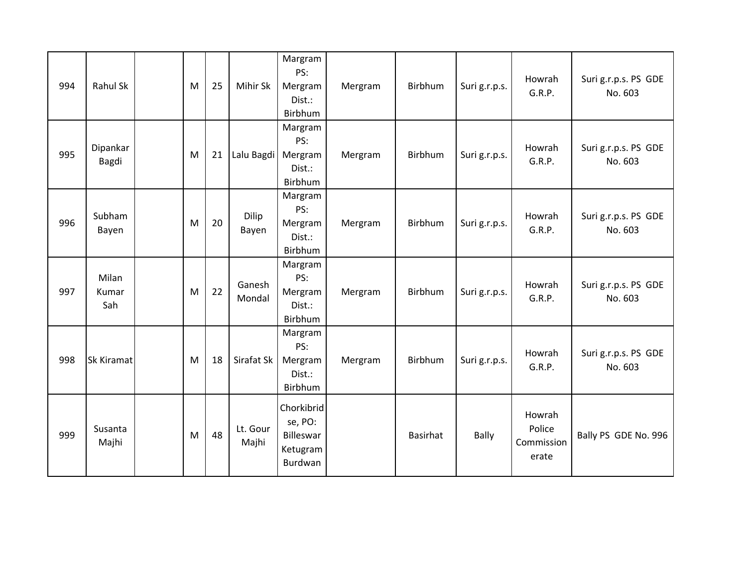| 994 | Rahul Sk              | M | 25 | Mihir Sk          | Margram<br>PS:<br>Mergram<br>Dist.:<br>Birbhum            | Mergram | Birbhum  | Suri g.r.p.s. | Howrah<br>G.R.P.                        | Suri g.r.p.s. PS GDE<br>No. 603 |
|-----|-----------------------|---|----|-------------------|-----------------------------------------------------------|---------|----------|---------------|-----------------------------------------|---------------------------------|
| 995 | Dipankar<br>Bagdi     | M | 21 | Lalu Bagdi        | Margram<br>PS:<br>Mergram<br>Dist.:<br>Birbhum            | Mergram | Birbhum  | Suri g.r.p.s. | Howrah<br>G.R.P.                        | Suri g.r.p.s. PS GDE<br>No. 603 |
| 996 | Subham<br>Bayen       | M | 20 | Dilip<br>Bayen    | Margram<br>PS:<br>Mergram<br>Dist.:<br>Birbhum            | Mergram | Birbhum  | Suri g.r.p.s. | Howrah<br>G.R.P.                        | Suri g.r.p.s. PS GDE<br>No. 603 |
| 997 | Milan<br>Kumar<br>Sah | M | 22 | Ganesh<br>Mondal  | Margram<br>PS:<br>Mergram<br>Dist.:<br>Birbhum            | Mergram | Birbhum  | Suri g.r.p.s. | Howrah<br>G.R.P.                        | Suri g.r.p.s. PS GDE<br>No. 603 |
| 998 | Sk Kiramat            | M | 18 | Sirafat Sk        | Margram<br>PS:<br>Mergram<br>Dist.:<br>Birbhum            | Mergram | Birbhum  | Suri g.r.p.s. | Howrah<br>G.R.P.                        | Suri g.r.p.s. PS GDE<br>No. 603 |
| 999 | Susanta<br>Majhi      | M | 48 | Lt. Gour<br>Majhi | Chorkibrid<br>se, PO:<br>Billeswar<br>Ketugram<br>Burdwan |         | Basirhat | <b>Bally</b>  | Howrah<br>Police<br>Commission<br>erate | Bally PS GDE No. 996            |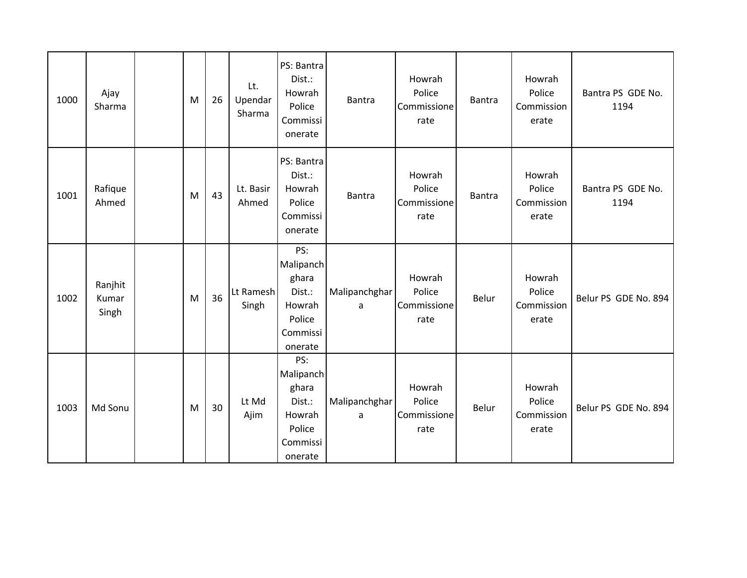| 1000 | Ajay<br>Sharma            | M | 26 | Lt.<br>Upendar<br>Sharma | PS: Bantra<br>Dist.:<br>Howrah<br>Police<br>Commissi<br>onerate                | <b>Bantra</b>      | Howrah<br>Police<br>Commissione<br>rate | <b>Bantra</b> | Howrah<br>Police<br>Commission<br>erate | Bantra PS GDE No.<br>1194 |
|------|---------------------------|---|----|--------------------------|--------------------------------------------------------------------------------|--------------------|-----------------------------------------|---------------|-----------------------------------------|---------------------------|
| 1001 | Rafique<br>Ahmed          | M | 43 | Lt. Basir<br>Ahmed       | PS: Bantra<br>Dist.:<br>Howrah<br>Police<br>Commissi<br>onerate                | <b>Bantra</b>      | Howrah<br>Police<br>Commissione<br>rate | <b>Bantra</b> | Howrah<br>Police<br>Commission<br>erate | Bantra PS GDE No.<br>1194 |
| 1002 | Ranjhit<br>Kumar<br>Singh | M | 36 | Lt Ramesh<br>Singh       | PS:<br>Malipanch<br>ghara<br>Dist.:<br>Howrah<br>Police<br>Commissi<br>onerate | Malipanchghar<br>a | Howrah<br>Police<br>Commissione<br>rate | Belur         | Howrah<br>Police<br>Commission<br>erate | Belur PS GDE No. 894      |
| 1003 | Md Sonu                   | M | 30 | Lt Md<br>Ajim            | PS:<br>Malipanch<br>ghara<br>Dist.:<br>Howrah<br>Police<br>Commissi<br>onerate | Malipanchghar<br>a | Howrah<br>Police<br>Commissione<br>rate | Belur         | Howrah<br>Police<br>Commission<br>erate | Belur PS GDE No. 894      |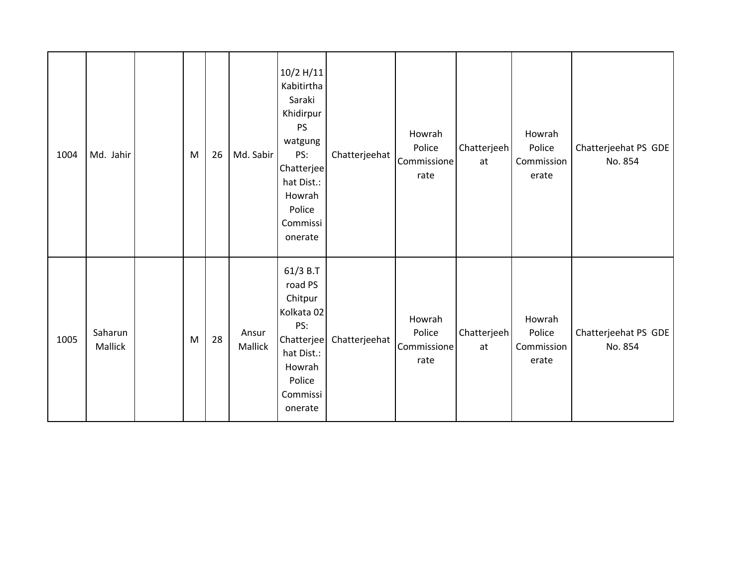| 1004 | Md. Jahir          | M | 26 | Md. Sabir        | 10/2 H/11<br>Kabitirtha<br>Saraki<br>Khidirpur<br><b>PS</b><br>watgung<br>PS:<br>Chatterjee<br>hat Dist.:<br>Howrah<br>Police<br>Commissi<br>onerate | Chatterjeehat | Howrah<br>Police<br>Commissione<br>rate | Chatterjeeh<br>at | Howrah<br>Police<br>Commission<br>erate | Chatterjeehat PS GDE<br>No. 854 |
|------|--------------------|---|----|------------------|------------------------------------------------------------------------------------------------------------------------------------------------------|---------------|-----------------------------------------|-------------------|-----------------------------------------|---------------------------------|
| 1005 | Saharun<br>Mallick | M | 28 | Ansur<br>Mallick | 61/3 B.T<br>road PS<br>Chitpur<br>Kolkata 02<br>PS:<br>Chatterjee<br>hat Dist.:<br>Howrah<br>Police<br>Commissi<br>onerate                           | Chatterjeehat | Howrah<br>Police<br>Commissione<br>rate | Chatterjeeh<br>at | Howrah<br>Police<br>Commission<br>erate | Chatterjeehat PS GDE<br>No. 854 |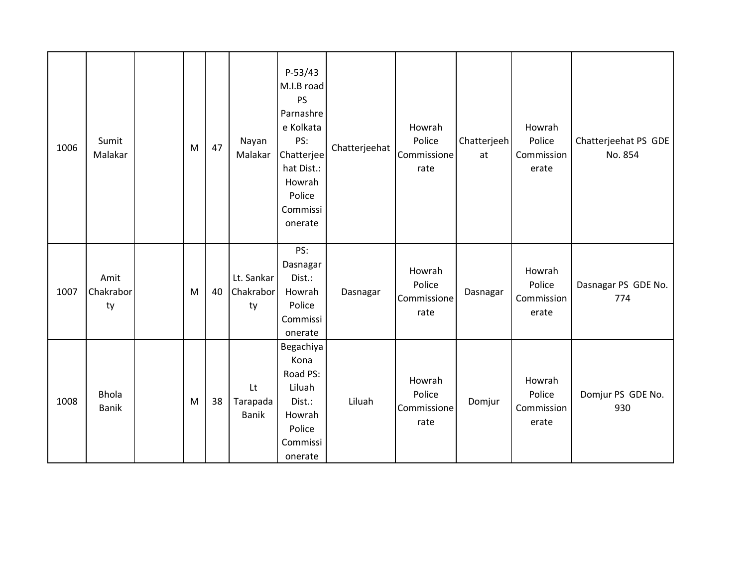| 1006 | Sumit<br>Malakar             | M | 47 | Nayan<br>Malakar               | $P-53/43$<br>M.I.B road<br><b>PS</b><br>Parnashre<br>e Kolkata<br>PS:<br>Chatterjee<br>hat Dist.:<br>Howrah<br>Police<br>Commissi<br>onerate | Chatterjeehat | Howrah<br>Police<br>Commissione<br>rate | Chatterjeeh<br>at | Howrah<br>Police<br>Commission<br>erate | Chatterjeehat PS GDE<br>No. 854 |
|------|------------------------------|---|----|--------------------------------|----------------------------------------------------------------------------------------------------------------------------------------------|---------------|-----------------------------------------|-------------------|-----------------------------------------|---------------------------------|
| 1007 | Amit<br>Chakrabor<br>ty      | M | 40 | Lt. Sankar<br>Chakrabor<br>ty  | PS:<br>Dasnagar<br>Dist.:<br>Howrah<br>Police<br>Commissi<br>onerate                                                                         | Dasnagar      | Howrah<br>Police<br>Commissione<br>rate | Dasnagar          | Howrah<br>Police<br>Commission<br>erate | Dasnagar PS GDE No.<br>774      |
| 1008 | <b>Bhola</b><br><b>Banik</b> | M | 38 | Lt<br>Tarapada<br><b>Banik</b> | Begachiya<br>Kona<br>Road PS:<br>Liluah<br>Dist.:<br>Howrah<br>Police<br>Commissi<br>onerate                                                 | Liluah        | Howrah<br>Police<br>Commissione<br>rate | Domjur            | Howrah<br>Police<br>Commission<br>erate | Domjur PS GDE No.<br>930        |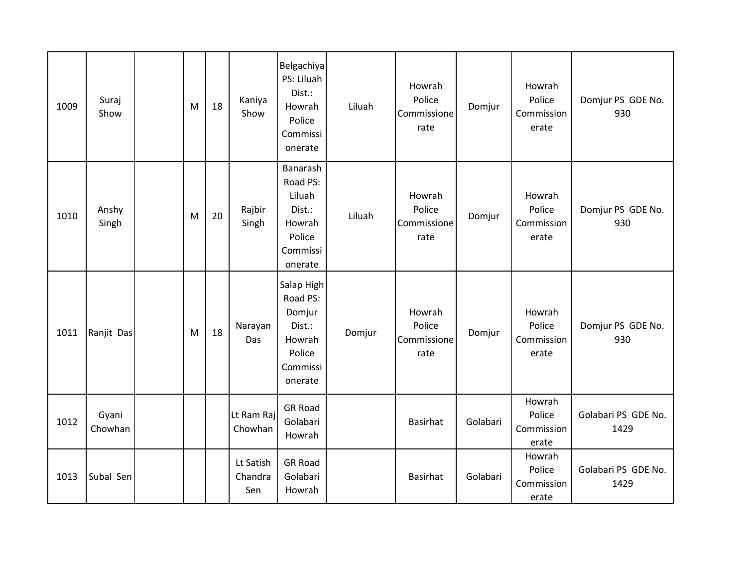| 1009 | Suraj<br>Show    | M | 18 | Kaniya<br>Show              | Belgachiya<br>PS: Liluah<br>Dist.:<br>Howrah<br>Police<br>Commissi<br>onerate         | Liluah | Howrah<br>Police<br>Commissione<br>rate | Domjur   | Howrah<br>Police<br>Commission<br>erate | Domjur PS GDE No.<br>930    |
|------|------------------|---|----|-----------------------------|---------------------------------------------------------------------------------------|--------|-----------------------------------------|----------|-----------------------------------------|-----------------------------|
| 1010 | Anshy<br>Singh   | M | 20 | Rajbir<br>Singh             | Banarash<br>Road PS:<br>Liluah<br>Dist.:<br>Howrah<br>Police<br>Commissi<br>onerate   | Liluah | Howrah<br>Police<br>Commissione<br>rate | Domjur   | Howrah<br>Police<br>Commission<br>erate | Domjur PS GDE No.<br>930    |
| 1011 | Ranjit Das       | M | 18 | Narayan<br>Das              | Salap High<br>Road PS:<br>Domjur<br>Dist.:<br>Howrah<br>Police<br>Commissi<br>onerate | Domjur | Howrah<br>Police<br>Commissione<br>rate | Domjur   | Howrah<br>Police<br>Commission<br>erate | Domjur PS GDE No.<br>930    |
| 1012 | Gyani<br>Chowhan |   |    | Lt Ram Raj<br>Chowhan       | <b>GR Road</b><br>Golabari<br>Howrah                                                  |        | <b>Basirhat</b>                         | Golabari | Howrah<br>Police<br>Commission<br>erate | Golabari PS GDE No.<br>1429 |
| 1013 | Subal Sen        |   |    | Lt Satish<br>Chandra<br>Sen | <b>GR Road</b><br>Golabari<br>Howrah                                                  |        | Basirhat                                | Golabari | Howrah<br>Police<br>Commission<br>erate | Golabari PS GDE No.<br>1429 |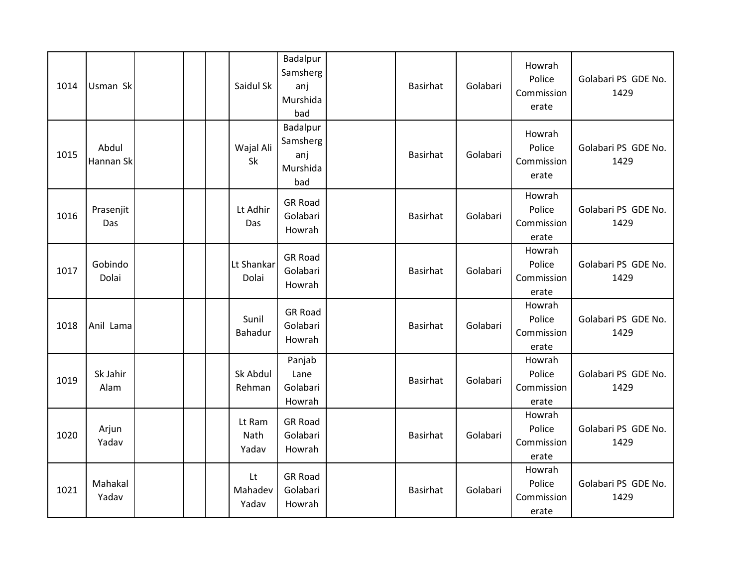| 1014 | Usman Sk           |  | Saidul Sk               | Badalpur<br>Samsherg<br>anj<br>Murshida<br>bad | Basirhat        | Golabari | Howrah<br>Police<br>Commission<br>erate | Golabari PS GDE No.<br>1429 |
|------|--------------------|--|-------------------------|------------------------------------------------|-----------------|----------|-----------------------------------------|-----------------------------|
| 1015 | Abdul<br>Hannan Sk |  | Wajal Ali<br>Sk         | Badalpur<br>Samsherg<br>anj<br>Murshida<br>bad | Basirhat        | Golabari | Howrah<br>Police<br>Commission<br>erate | Golabari PS GDE No.<br>1429 |
| 1016 | Prasenjit<br>Das   |  | Lt Adhir<br>Das         | <b>GR Road</b><br>Golabari<br>Howrah           | <b>Basirhat</b> | Golabari | Howrah<br>Police<br>Commission<br>erate | Golabari PS GDE No.<br>1429 |
| 1017 | Gobindo<br>Dolai   |  | Lt Shankar<br>Dolai     | <b>GR Road</b><br>Golabari<br>Howrah           | Basirhat        | Golabari | Howrah<br>Police<br>Commission<br>erate | Golabari PS GDE No.<br>1429 |
| 1018 | Anil Lama          |  | Sunil<br>Bahadur        | <b>GR Road</b><br>Golabari<br>Howrah           | <b>Basirhat</b> | Golabari | Howrah<br>Police<br>Commission<br>erate | Golabari PS GDE No.<br>1429 |
| 1019 | Sk Jahir<br>Alam   |  | Sk Abdul<br>Rehman      | Panjab<br>Lane<br>Golabari<br>Howrah           | Basirhat        | Golabari | Howrah<br>Police<br>Commission<br>erate | Golabari PS GDE No.<br>1429 |
| 1020 | Arjun<br>Yadav     |  | Lt Ram<br>Nath<br>Yadav | <b>GR Road</b><br>Golabari<br>Howrah           | <b>Basirhat</b> | Golabari | Howrah<br>Police<br>Commission<br>erate | Golabari PS GDE No.<br>1429 |
| 1021 | Mahakal<br>Yadav   |  | Lt<br>Mahadev<br>Yadav  | <b>GR Road</b><br>Golabari<br>Howrah           | Basirhat        | Golabari | Howrah<br>Police<br>Commission<br>erate | Golabari PS GDE No.<br>1429 |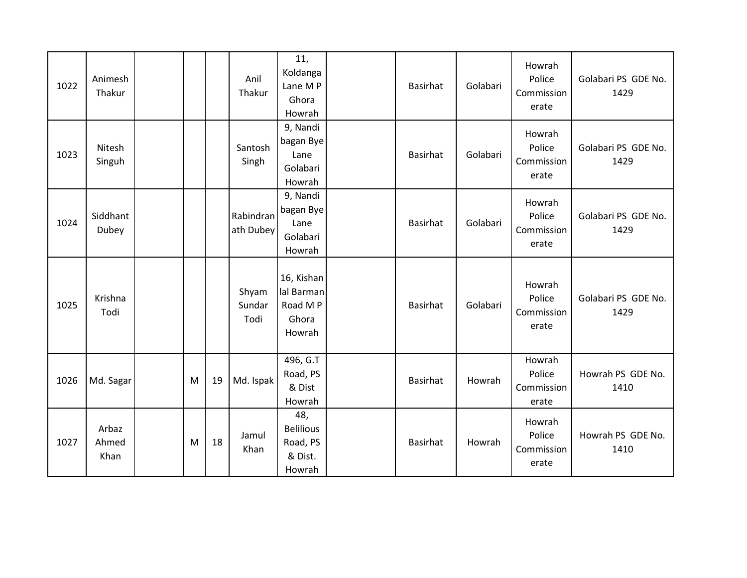| 1022 | Animesh<br>Thakur      |   |    | Anil<br>Thakur          | 11,<br>Koldanga<br>Lane M P<br>Ghora<br>Howrah           | <b>Basirhat</b> | Golabari | Howrah<br>Police<br>Commission<br>erate | Golabari PS GDE No.<br>1429 |
|------|------------------------|---|----|-------------------------|----------------------------------------------------------|-----------------|----------|-----------------------------------------|-----------------------------|
| 1023 | Nitesh<br>Singuh       |   |    | Santosh<br>Singh        | 9, Nandi<br>bagan Bye<br>Lane<br>Golabari<br>Howrah      | <b>Basirhat</b> | Golabari | Howrah<br>Police<br>Commission<br>erate | Golabari PS GDE No.<br>1429 |
| 1024 | Siddhant<br>Dubey      |   |    | Rabindran<br>ath Dubey  | 9, Nandi<br>bagan Bye<br>Lane<br>Golabari<br>Howrah      | <b>Basirhat</b> | Golabari | Howrah<br>Police<br>Commission<br>erate | Golabari PS GDE No.<br>1429 |
| 1025 | Krishna<br>Todi        |   |    | Shyam<br>Sundar<br>Todi | 16, Kishan<br>lal Barman<br>Road M P<br>Ghora<br>Howrah  | <b>Basirhat</b> | Golabari | Howrah<br>Police<br>Commission<br>erate | Golabari PS GDE No.<br>1429 |
| 1026 | Md. Sagar              | M | 19 | Md. Ispak               | 496, G.T<br>Road, PS<br>& Dist<br>Howrah                 | <b>Basirhat</b> | Howrah   | Howrah<br>Police<br>Commission<br>erate | Howrah PS GDE No.<br>1410   |
| 1027 | Arbaz<br>Ahmed<br>Khan | M | 18 | Jamul<br>Khan           | 48,<br><b>Belilious</b><br>Road, PS<br>& Dist.<br>Howrah | <b>Basirhat</b> | Howrah   | Howrah<br>Police<br>Commission<br>erate | Howrah PS GDE No.<br>1410   |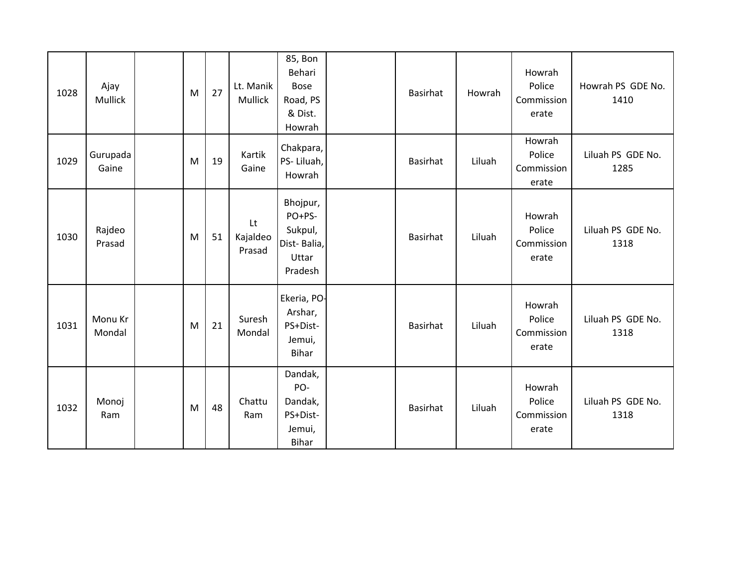| 1028 | Ajay<br>Mullick   | M | 27 | Lt. Manik<br>Mullick     | 85, Bon<br>Behari<br><b>Bose</b><br>Road, PS<br>& Dist.<br>Howrah | Basirhat        | Howrah | Howrah<br>Police<br>Commission<br>erate | Howrah PS GDE No.<br>1410 |
|------|-------------------|---|----|--------------------------|-------------------------------------------------------------------|-----------------|--------|-----------------------------------------|---------------------------|
| 1029 | Gurupada<br>Gaine | M | 19 | Kartik<br>Gaine          | Chakpara,<br>PS-Liluah,<br>Howrah                                 | Basirhat        | Liluah | Howrah<br>Police<br>Commission<br>erate | Liluah PS GDE No.<br>1285 |
| 1030 | Rajdeo<br>Prasad  | M | 51 | Lt<br>Kajaldeo<br>Prasad | Bhojpur,<br>PO+PS-<br>Sukpul,<br>Dist-Balia,<br>Uttar<br>Pradesh  | Basirhat        | Liluah | Howrah<br>Police<br>Commission<br>erate | Liluah PS GDE No.<br>1318 |
| 1031 | Monu Kr<br>Mondal | M | 21 | Suresh<br>Mondal         | Ekeria, PO-<br>Arshar,<br>PS+Dist-<br>Jemui,<br><b>Bihar</b>      | Basirhat        | Liluah | Howrah<br>Police<br>Commission<br>erate | Liluah PS GDE No.<br>1318 |
| 1032 | Monoj<br>Ram      | M | 48 | Chattu<br>Ram            | Dandak,<br>PO-<br>Dandak,<br>PS+Dist-<br>Jemui,<br><b>Bihar</b>   | <b>Basirhat</b> | Liluah | Howrah<br>Police<br>Commission<br>erate | Liluah PS GDE No.<br>1318 |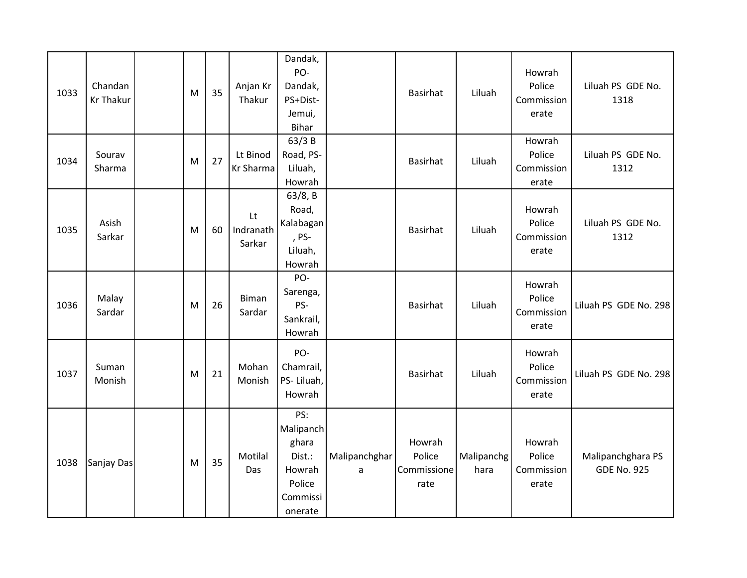| 1033 | Chandan<br><b>Kr Thakur</b> | M | 35 | Anjan Kr<br>Thakur        | Dandak,<br>PO-<br>Dandak,<br>PS+Dist-<br>Jemui,<br><b>Bihar</b>                |                    | Basirhat                                | Liluah             | Howrah<br>Police<br>Commission<br>erate | Liluah PS GDE No.<br>1318               |
|------|-----------------------------|---|----|---------------------------|--------------------------------------------------------------------------------|--------------------|-----------------------------------------|--------------------|-----------------------------------------|-----------------------------------------|
| 1034 | Sourav<br>Sharma            | M | 27 | Lt Binod<br>Kr Sharma     | 63/3B<br>Road, PS-<br>Liluah,<br>Howrah                                        |                    | Basirhat                                | Liluah             | Howrah<br>Police<br>Commission<br>erate | Liluah PS GDE No.<br>1312               |
| 1035 | Asish<br>Sarkar             | M | 60 | Lt<br>Indranath<br>Sarkar | 63/8, B<br>Road,<br>Kalabagan<br>, PS-<br>Liluah,<br>Howrah                    |                    | <b>Basirhat</b>                         | Liluah             | Howrah<br>Police<br>Commission<br>erate | Liluah PS GDE No.<br>1312               |
| 1036 | Malay<br>Sardar             | M | 26 | Biman<br>Sardar           | PO-<br>Sarenga,<br>PS-<br>Sankrail,<br>Howrah                                  |                    | Basirhat                                | Liluah             | Howrah<br>Police<br>Commission<br>erate | Liluah PS GDE No. 298                   |
| 1037 | Suman<br>Monish             | M | 21 | Mohan<br>Monish           | PO-<br>Chamrail,<br>PS-Liluah,<br>Howrah                                       |                    | Basirhat                                | Liluah             | Howrah<br>Police<br>Commission<br>erate | Liluah PS GDE No. 298                   |
| 1038 | Sanjay Das                  | M | 35 | Motilal<br>Das            | PS:<br>Malipanch<br>ghara<br>Dist.:<br>Howrah<br>Police<br>Commissi<br>onerate | Malipanchghar<br>a | Howrah<br>Police<br>Commissione<br>rate | Malipanchg<br>hara | Howrah<br>Police<br>Commission<br>erate | Malipanchghara PS<br><b>GDE No. 925</b> |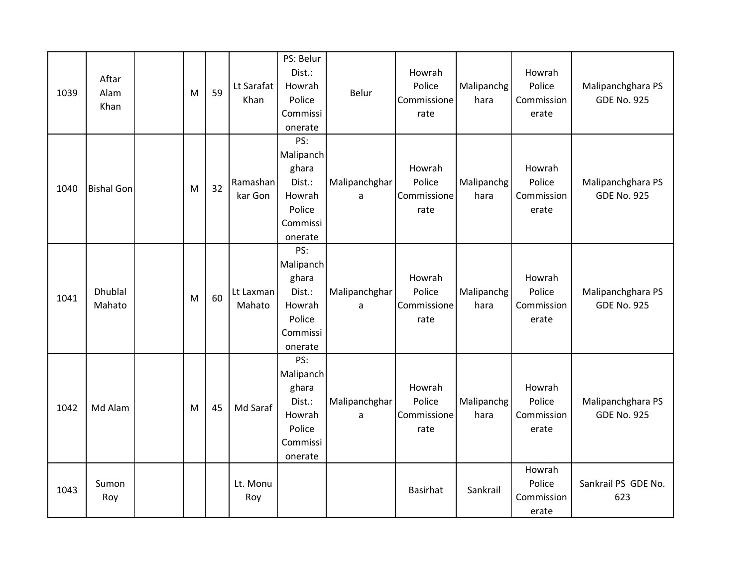| 1039 | Aftar<br>Alam<br>Khan    | M | 59 | Lt Sarafat<br>Khan  | PS: Belur<br>Dist.:<br>Howrah<br>Police<br>Commissi<br>onerate                 | Belur              | Howrah<br>Police<br>Commissione<br>rate | Malipanchg<br>hara | Howrah<br>Police<br>Commission<br>erate | Malipanchghara PS<br><b>GDE No. 925</b> |
|------|--------------------------|---|----|---------------------|--------------------------------------------------------------------------------|--------------------|-----------------------------------------|--------------------|-----------------------------------------|-----------------------------------------|
| 1040 | <b>Bishal Gon</b>        | M | 32 | Ramashan<br>kar Gon | PS:<br>Malipanch<br>ghara<br>Dist.:<br>Howrah<br>Police<br>Commissi<br>onerate | Malipanchghar<br>a | Howrah<br>Police<br>Commissione<br>rate | Malipanchg<br>hara | Howrah<br>Police<br>Commission<br>erate | Malipanchghara PS<br><b>GDE No. 925</b> |
| 1041 | <b>Dhublal</b><br>Mahato | M | 60 | Lt Laxman<br>Mahato | PS:<br>Malipanch<br>ghara<br>Dist.:<br>Howrah<br>Police<br>Commissi<br>onerate | Malipanchghar<br>a | Howrah<br>Police<br>Commissione<br>rate | Malipanchg<br>hara | Howrah<br>Police<br>Commission<br>erate | Malipanchghara PS<br><b>GDE No. 925</b> |
| 1042 | Md Alam                  | M | 45 | Md Saraf            | PS:<br>Malipanch<br>ghara<br>Dist.:<br>Howrah<br>Police<br>Commissi<br>onerate | Malipanchghar<br>a | Howrah<br>Police<br>Commissione<br>rate | Malipanchg<br>hara | Howrah<br>Police<br>Commission<br>erate | Malipanchghara PS<br><b>GDE No. 925</b> |
| 1043 | Sumon<br>Roy             |   |    | Lt. Monu<br>Roy     |                                                                                |                    | Basirhat                                | Sankrail           | Howrah<br>Police<br>Commission<br>erate | Sankrail PS GDE No.<br>623              |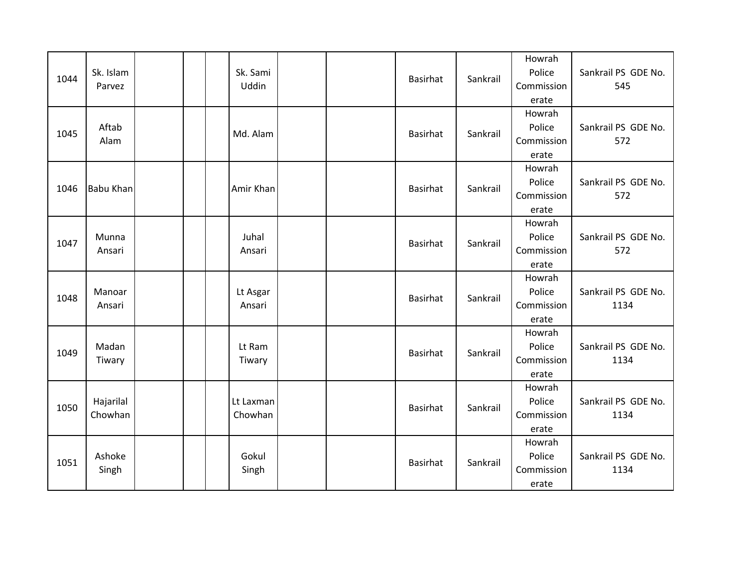| 1044 | Sk. Islam<br>Parvez  |  | Sk. Sami<br>Uddin    |  | Basirhat | Sankrail | Howrah<br>Police<br>Commission<br>erate | Sankrail PS GDE No.<br>545  |
|------|----------------------|--|----------------------|--|----------|----------|-----------------------------------------|-----------------------------|
| 1045 | Aftab<br>Alam        |  | Md. Alam             |  | Basirhat | Sankrail | Howrah<br>Police<br>Commission<br>erate | Sankrail PS GDE No.<br>572  |
| 1046 | <b>Babu Khan</b>     |  | Amir Khan            |  | Basirhat | Sankrail | Howrah<br>Police<br>Commission<br>erate | Sankrail PS GDE No.<br>572  |
| 1047 | Munna<br>Ansari      |  | Juhal<br>Ansari      |  | Basirhat | Sankrail | Howrah<br>Police<br>Commission<br>erate | Sankrail PS GDE No.<br>572  |
| 1048 | Manoar<br>Ansari     |  | Lt Asgar<br>Ansari   |  | Basirhat | Sankrail | Howrah<br>Police<br>Commission<br>erate | Sankrail PS GDE No.<br>1134 |
| 1049 | Madan<br>Tiwary      |  | Lt Ram<br>Tiwary     |  | Basirhat | Sankrail | Howrah<br>Police<br>Commission<br>erate | Sankrail PS GDE No.<br>1134 |
| 1050 | Hajarilal<br>Chowhan |  | Lt Laxman<br>Chowhan |  | Basirhat | Sankrail | Howrah<br>Police<br>Commission<br>erate | Sankrail PS GDE No.<br>1134 |
| 1051 | Ashoke<br>Singh      |  | Gokul<br>Singh       |  | Basirhat | Sankrail | Howrah<br>Police<br>Commission<br>erate | Sankrail PS GDE No.<br>1134 |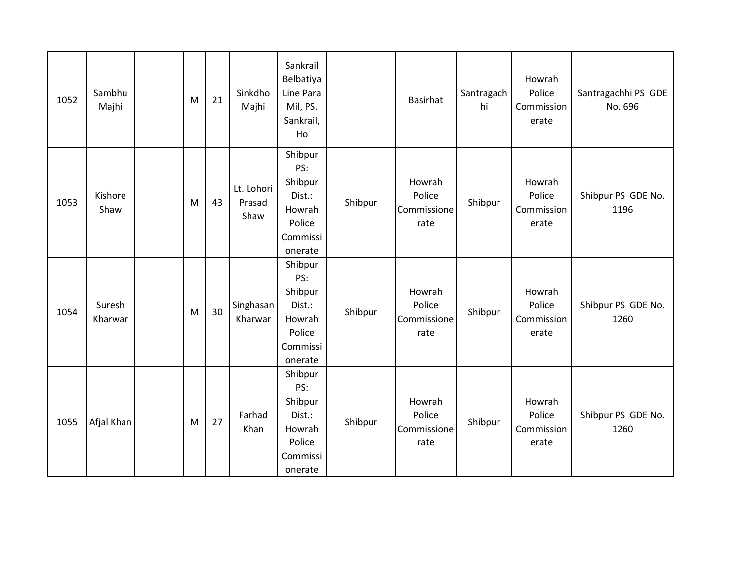| 1052 | Sambhu<br>Majhi   | M | 21 | Sinkdho<br>Majhi             | Sankrail<br>Belbatiya<br>Line Para<br>Mil, PS.<br>Sankrail,<br>Ho              |         | Basirhat                                | Santragach<br>hi | Howrah<br>Police<br>Commission<br>erate | Santragachhi PS GDE<br>No. 696 |
|------|-------------------|---|----|------------------------------|--------------------------------------------------------------------------------|---------|-----------------------------------------|------------------|-----------------------------------------|--------------------------------|
| 1053 | Kishore<br>Shaw   | M | 43 | Lt. Lohori<br>Prasad<br>Shaw | Shibpur<br>PS:<br>Shibpur<br>Dist.:<br>Howrah<br>Police<br>Commissi<br>onerate | Shibpur | Howrah<br>Police<br>Commissione<br>rate | Shibpur          | Howrah<br>Police<br>Commission<br>erate | Shibpur PS GDE No.<br>1196     |
| 1054 | Suresh<br>Kharwar | M | 30 | Singhasan<br>Kharwar         | Shibpur<br>PS:<br>Shibpur<br>Dist.:<br>Howrah<br>Police<br>Commissi<br>onerate | Shibpur | Howrah<br>Police<br>Commissione<br>rate | Shibpur          | Howrah<br>Police<br>Commission<br>erate | Shibpur PS GDE No.<br>1260     |
| 1055 | Afjal Khan        | M | 27 | Farhad<br>Khan               | Shibpur<br>PS:<br>Shibpur<br>Dist.:<br>Howrah<br>Police<br>Commissi<br>onerate | Shibpur | Howrah<br>Police<br>Commissione<br>rate | Shibpur          | Howrah<br>Police<br>Commission<br>erate | Shibpur PS GDE No.<br>1260     |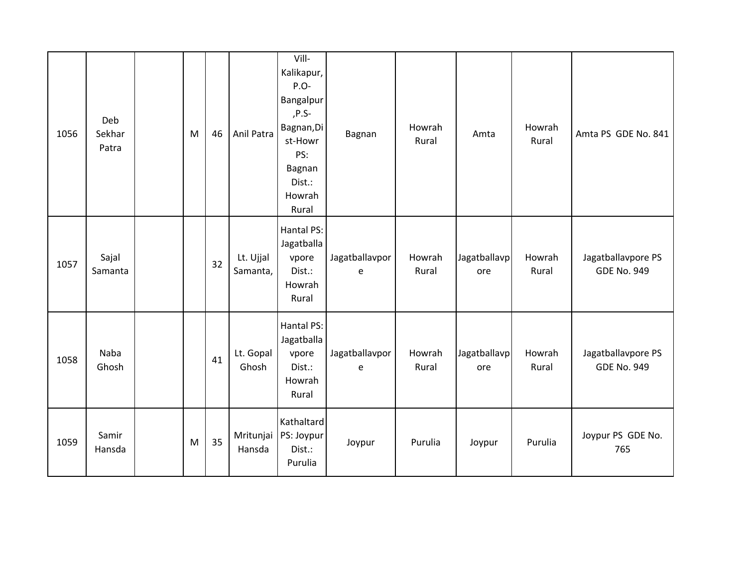| 1056 | Deb<br>Sekhar<br>Patra | M | 46 | Anil Patra            | Vill-<br>Kalikapur,<br>P.O-<br>Bangalpur<br>,P.S-<br>Bagnan, Di<br>st-Howr<br>PS:<br>Bagnan<br>Dist.:<br>Howrah<br>Rural | Bagnan              | Howrah<br>Rural | Amta                | Howrah<br>Rural | Amta PS GDE No. 841                      |
|------|------------------------|---|----|-----------------------|--------------------------------------------------------------------------------------------------------------------------|---------------------|-----------------|---------------------|-----------------|------------------------------------------|
| 1057 | Sajal<br>Samanta       |   | 32 | Lt. Ujjal<br>Samanta, | Hantal PS:<br>Jagatballa<br>vpore<br>Dist.:<br>Howrah<br>Rural                                                           | Jagatballavpor<br>e | Howrah<br>Rural | Jagatballavp<br>ore | Howrah<br>Rural | Jagatballavpore PS<br><b>GDE No. 949</b> |
| 1058 | Naba<br>Ghosh          |   | 41 | Lt. Gopal<br>Ghosh    | Hantal PS:<br>Jagatballa<br>vpore<br>Dist.:<br>Howrah<br>Rural                                                           | Jagatballavpor<br>e | Howrah<br>Rural | Jagatballavp<br>ore | Howrah<br>Rural | Jagatballavpore PS<br><b>GDE No. 949</b> |
| 1059 | Samir<br>Hansda        | M | 35 | Mritunjai<br>Hansda   | Kathaltard<br>PS: Joypur<br>Dist.:<br>Purulia                                                                            | Joypur              | Purulia         | Joypur              | Purulia         | Joypur PS GDE No.<br>765                 |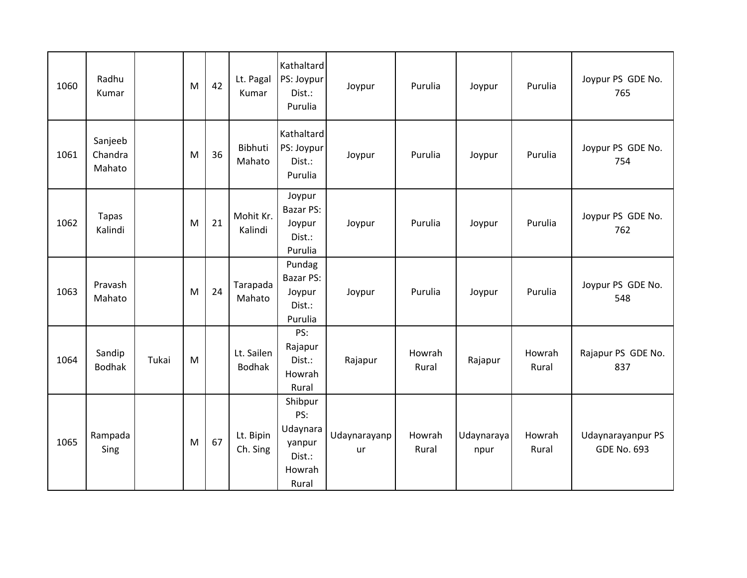| 1060 | Radhu<br>Kumar               |       | M | 42 | Lt. Pagal<br>Kumar          | Kathaltard<br>PS: Joypur<br>Dist.:<br>Purulia                     | Joypur             | Purulia         | Joypur             | Purulia         | Joypur PS GDE No.<br>765                |
|------|------------------------------|-------|---|----|-----------------------------|-------------------------------------------------------------------|--------------------|-----------------|--------------------|-----------------|-----------------------------------------|
| 1061 | Sanjeeb<br>Chandra<br>Mahato |       | M | 36 | Bibhuti<br>Mahato           | Kathaltard<br>PS: Joypur<br>Dist.:<br>Purulia                     | Joypur             | Purulia         | Joypur             | Purulia         | Joypur PS GDE No.<br>754                |
| 1062 | <b>Tapas</b><br>Kalindi      |       | M | 21 | Mohit Kr.<br>Kalindi        | Joypur<br><b>Bazar PS:</b><br>Joypur<br>Dist.:<br>Purulia         | Joypur             | Purulia         | Joypur             | Purulia         | Joypur PS GDE No.<br>762                |
| 1063 | Pravash<br>Mahato            |       | M | 24 | Tarapada<br>Mahato          | Pundag<br><b>Bazar PS:</b><br>Joypur<br>Dist.:<br>Purulia         | Joypur             | Purulia         | Joypur             | Purulia         | Joypur PS GDE No.<br>548                |
| 1064 | Sandip<br><b>Bodhak</b>      | Tukai | M |    | Lt. Sailen<br><b>Bodhak</b> | PS:<br>Rajapur<br>Dist.:<br>Howrah<br>Rural                       | Rajapur            | Howrah<br>Rural | Rajapur            | Howrah<br>Rural | Rajapur PS GDE No.<br>837               |
| 1065 | Rampada<br>Sing              |       | M | 67 | Lt. Bipin<br>Ch. Sing       | Shibpur<br>PS:<br>Udaynara<br>yanpur<br>Dist.:<br>Howrah<br>Rural | Udaynarayanp<br>ur | Howrah<br>Rural | Udaynaraya<br>npur | Howrah<br>Rural | Udaynarayanpur PS<br><b>GDE No. 693</b> |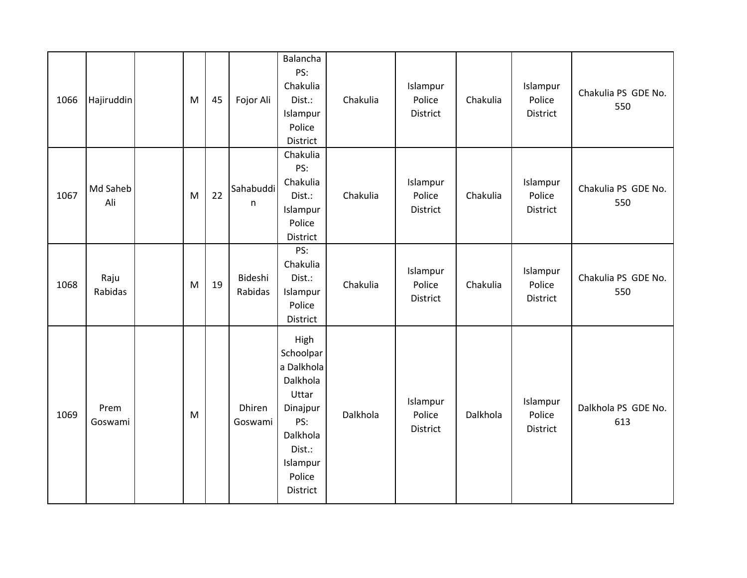| 1066 | Hajiruddin      | M | 45 | Fojor Ali                 | Balancha<br>PS:<br>Chakulia<br>Dist.:<br>Islampur<br>Police<br>District                                                                | Chakulia | Islampur<br>Police<br><b>District</b> | Chakulia | Islampur<br>Police<br>District | Chakulia PS GDE No.<br>550 |
|------|-----------------|---|----|---------------------------|----------------------------------------------------------------------------------------------------------------------------------------|----------|---------------------------------------|----------|--------------------------------|----------------------------|
| 1067 | Md Saheb<br>Ali | M | 22 | Sahabuddi<br>$\mathsf{n}$ | Chakulia<br>PS:<br>Chakulia<br>Dist.:<br>Islampur<br>Police<br>District                                                                | Chakulia | Islampur<br>Police<br>District        | Chakulia | Islampur<br>Police<br>District | Chakulia PS GDE No.<br>550 |
| 1068 | Raju<br>Rabidas | M | 19 | Bideshi<br>Rabidas        | PS:<br>Chakulia<br>Dist.:<br>Islampur<br>Police<br><b>District</b>                                                                     | Chakulia | Islampur<br>Police<br>District        | Chakulia | Islampur<br>Police<br>District | Chakulia PS GDE No.<br>550 |
| 1069 | Prem<br>Goswami | M |    | <b>Dhiren</b><br>Goswami  | High<br>Schoolpar<br>a Dalkhola<br>Dalkhola<br>Uttar<br>Dinajpur<br>PS:<br>Dalkhola<br>Dist.:<br>Islampur<br>Police<br><b>District</b> | Dalkhola | Islampur<br>Police<br>District        | Dalkhola | Islampur<br>Police<br>District | Dalkhola PS GDE No.<br>613 |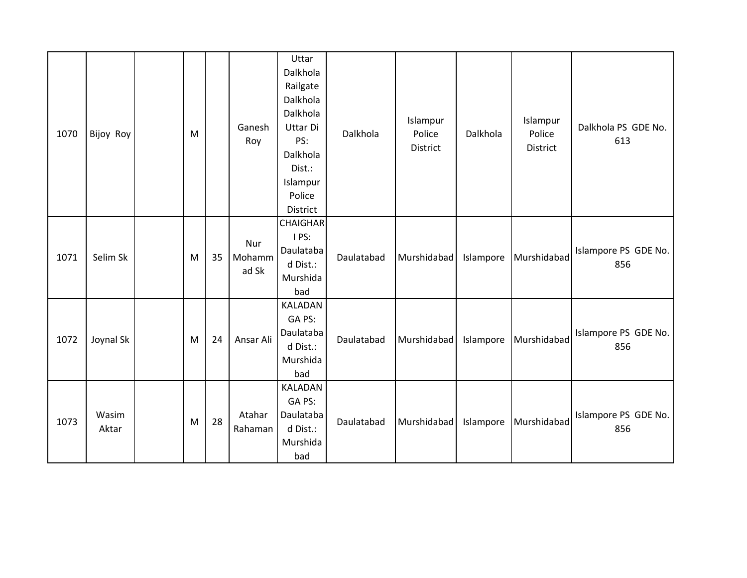| 1070 | Bijoy Roy      | M |    | Ganesh<br>Roy          | Uttar<br>Dalkhola<br>Railgate<br>Dalkhola<br>Dalkhola<br>Uttar Di<br>PS:<br>Dalkhola<br>Dist.:<br>Islampur<br>Police<br>District | Dalkhola   | Islampur<br>Police<br>District | Dalkhola  | Islampur<br>Police<br>District | Dalkhola PS GDE No.<br>613  |
|------|----------------|---|----|------------------------|----------------------------------------------------------------------------------------------------------------------------------|------------|--------------------------------|-----------|--------------------------------|-----------------------------|
| 1071 | Selim Sk       | M | 35 | Nur<br>Mohamm<br>ad Sk | <b>CHAIGHAR</b><br>I PS:<br>Daulataba<br>d Dist.:<br>Murshida<br>bad                                                             | Daulatabad | Murshidabad                    | Islampore | Murshidabad                    | Islampore PS GDE No.<br>856 |
| 1072 | Joynal Sk      | M | 24 | Ansar Ali              | KALADAN<br>GA PS:<br>Daulataba<br>d Dist.:<br>Murshida<br>bad                                                                    | Daulatabad | Murshidabad                    | Islampore | Murshidabad                    | Islampore PS GDE No.<br>856 |
| 1073 | Wasim<br>Aktar | M | 28 | Atahar<br>Rahaman      | KALADAN<br>GA PS:<br>Daulataba<br>d Dist.:<br>Murshida<br>bad                                                                    | Daulatabad | Murshidabad                    | Islampore | Murshidabad                    | Islampore PS GDE No.<br>856 |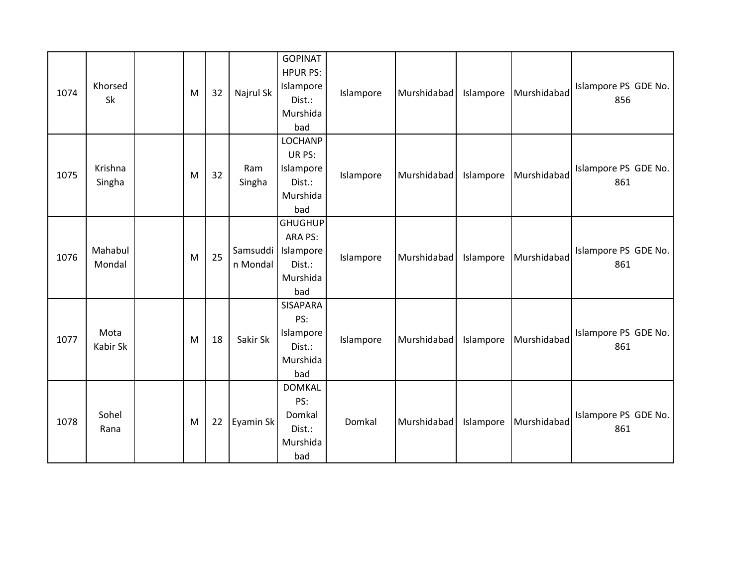| 1074 | Khorsed<br>Sk     | M | 32 | Najrul Sk     | <b>GOPINAT</b><br><b>HPUR PS:</b><br>Islampore<br>Dist.:<br>Murshida<br>bad    | Islampore | Murshidabad | Islampore | Murshidabad | Islampore PS GDE No.<br>856 |
|------|-------------------|---|----|---------------|--------------------------------------------------------------------------------|-----------|-------------|-----------|-------------|-----------------------------|
| 1075 | Krishna<br>Singha | M | 32 | Ram<br>Singha | <b>LOCHANP</b><br>UR PS:<br>Islampore<br>Dist.:<br>Murshida<br>bad             | Islampore | Murshidabad | Islampore | Murshidabad | Islampore PS GDE No.<br>861 |
| 1076 | Mahabul<br>Mondal | M | 25 | n Mondal      | <b>GHUGHUP</b><br>ARA PS:<br>Samsuddi   Islampore<br>Dist.:<br>Murshida<br>bad | Islampore | Murshidabad | Islampore | Murshidabad | Islampore PS GDE No.<br>861 |
| 1077 | Mota<br>Kabir Sk  | M | 18 | Sakir Sk      | <b>SISAPARA</b><br>PS:<br>Islampore<br>Dist.:<br>Murshida<br>bad               | Islampore | Murshidabad | Islampore | Murshidabad | Islampore PS GDE No.<br>861 |
| 1078 | Sohel<br>Rana     | M | 22 | Eyamin Sk     | <b>DOMKAL</b><br>PS:<br>Domkal<br>Dist.:<br>Murshida<br>bad                    | Domkal    | Murshidabad | Islampore | Murshidabad | Islampore PS GDE No.<br>861 |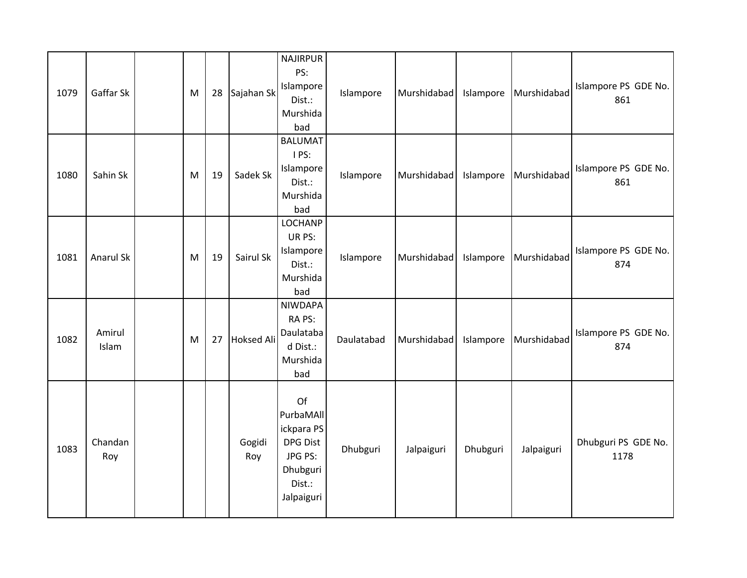| 1079 | Gaffar Sk       | M | 28 | Sajahan Sk        | <b>NAJIRPUR</b><br>PS:<br>Islampore<br>Dist.:<br>Murshida<br>bad                                | Islampore  | Murshidabad | Islampore | Murshidabad | Islampore PS GDE No.<br>861 |
|------|-----------------|---|----|-------------------|-------------------------------------------------------------------------------------------------|------------|-------------|-----------|-------------|-----------------------------|
| 1080 | Sahin Sk        | M | 19 | Sadek Sk          | <b>BALUMAT</b><br>I PS:<br>Islampore<br>Dist.:<br>Murshida<br>bad                               | Islampore  | Murshidabad | Islampore | Murshidabad | Islampore PS GDE No.<br>861 |
| 1081 | Anarul Sk       | M | 19 | Sairul Sk         | LOCHANP<br>UR PS:<br>Islampore<br>Dist.:<br>Murshida<br>bad                                     | Islampore  | Murshidabad | Islampore | Murshidabad | Islampore PS GDE No.<br>874 |
| 1082 | Amirul<br>Islam | M | 27 | <b>Hoksed Ali</b> | <b>NIWDAPA</b><br>RA PS:<br>Daulataba<br>d Dist.:<br>Murshida<br>bad                            | Daulatabad | Murshidabad | Islampore | Murshidabad | Islampore PS GDE No.<br>874 |
| 1083 | Chandan<br>Roy  |   |    | Gogidi<br>Roy     | Of<br>PurbaMAll<br>ickpara PS<br><b>DPG Dist</b><br>JPG PS:<br>Dhubguri<br>Dist.:<br>Jalpaiguri | Dhubguri   | Jalpaiguri  | Dhubguri  | Jalpaiguri  | Dhubguri PS GDE No.<br>1178 |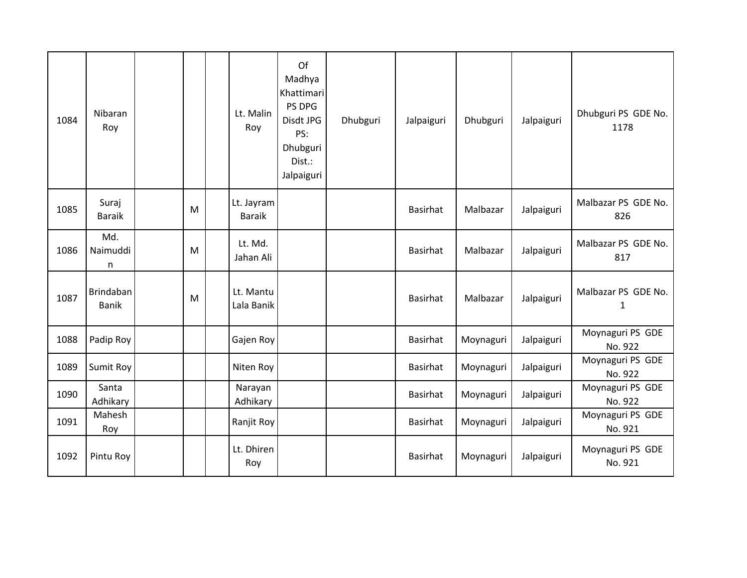| 1084 | Nibaran<br>Roy            |   | Lt. Malin<br>Roy            | Of<br>Madhya<br>Khattimari<br>PS DPG<br>Disdt JPG<br>PS:<br>Dhubguri<br>Dist.:<br>Jalpaiguri | Dhubguri | Jalpaiguri      | Dhubguri  | Jalpaiguri | Dhubguri PS GDE No.<br>1178         |
|------|---------------------------|---|-----------------------------|----------------------------------------------------------------------------------------------|----------|-----------------|-----------|------------|-------------------------------------|
| 1085 | Suraj<br><b>Baraik</b>    | M | Lt. Jayram<br><b>Baraik</b> |                                                                                              |          | Basirhat        | Malbazar  | Jalpaiguri | Malbazar PS GDE No.<br>826          |
| 1086 | Md.<br>Naimuddi<br>n      | M | Lt. Md.<br>Jahan Ali        |                                                                                              |          | Basirhat        | Malbazar  | Jalpaiguri | Malbazar PS GDE No.<br>817          |
| 1087 | Brindaban<br><b>Banik</b> | M | Lt. Mantu<br>Lala Banik     |                                                                                              |          | Basirhat        | Malbazar  | Jalpaiguri | Malbazar PS GDE No.<br>$\mathbf{1}$ |
| 1088 | Padip Roy                 |   | Gajen Roy                   |                                                                                              |          | <b>Basirhat</b> | Moynaguri | Jalpaiguri | Moynaguri PS GDE<br>No. 922         |
| 1089 | Sumit Roy                 |   | Niten Roy                   |                                                                                              |          | <b>Basirhat</b> | Moynaguri | Jalpaiguri | Moynaguri PS GDE<br>No. 922         |
| 1090 | Santa<br>Adhikary         |   | Narayan<br>Adhikary         |                                                                                              |          | Basirhat        | Moynaguri | Jalpaiguri | Moynaguri PS GDE<br>No. 922         |
| 1091 | Mahesh<br>Roy             |   | Ranjit Roy                  |                                                                                              |          | <b>Basirhat</b> | Moynaguri | Jalpaiguri | Moynaguri PS GDE<br>No. 921         |
| 1092 | Pintu Roy                 |   | Lt. Dhiren<br>Roy           |                                                                                              |          | <b>Basirhat</b> | Moynaguri | Jalpaiguri | Moynaguri PS GDE<br>No. 921         |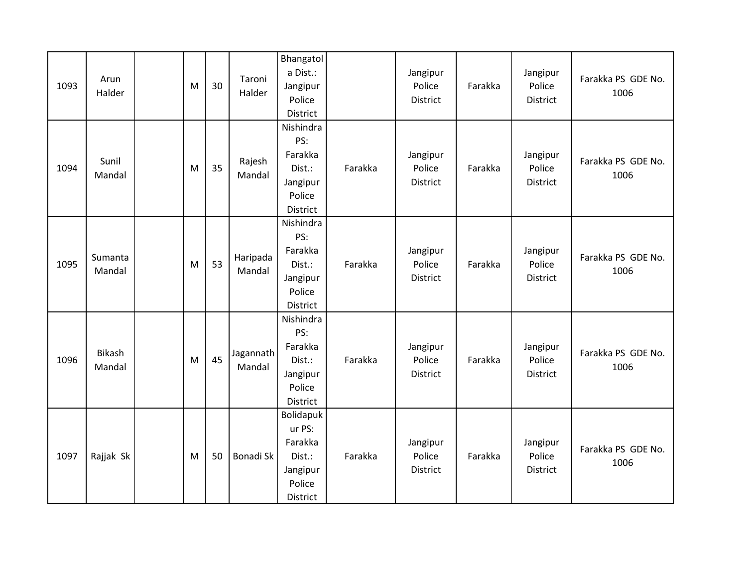| 1093 | Arun<br>Halder    | M | 30 | Taroni<br>Halder    | Bhangatol<br>a Dist.:<br>Jangipur<br>Police<br>District                    |         | Jangipur<br>Police<br><b>District</b> | Farakka | Jangipur<br>Police<br>District | Farakka PS GDE No.<br>1006 |
|------|-------------------|---|----|---------------------|----------------------------------------------------------------------------|---------|---------------------------------------|---------|--------------------------------|----------------------------|
| 1094 | Sunil<br>Mandal   | M | 35 | Rajesh<br>Mandal    | Nishindra<br>PS:<br>Farakka<br>Dist.:<br>Jangipur<br>Police<br>District    | Farakka | Jangipur<br>Police<br>District        | Farakka | Jangipur<br>Police<br>District | Farakka PS GDE No.<br>1006 |
| 1095 | Sumanta<br>Mandal | M | 53 | Haripada<br>Mandal  | Nishindra<br>PS:<br>Farakka<br>Dist.:<br>Jangipur<br>Police<br>District    | Farakka | Jangipur<br>Police<br>District        | Farakka | Jangipur<br>Police<br>District | Farakka PS GDE No.<br>1006 |
| 1096 | Bikash<br>Mandal  | M | 45 | Jagannath<br>Mandal | Nishindra<br>PS:<br>Farakka<br>Dist.:<br>Jangipur<br>Police<br>District    | Farakka | Jangipur<br>Police<br>District        | Farakka | Jangipur<br>Police<br>District | Farakka PS GDE No.<br>1006 |
| 1097 | Rajjak Sk         | M | 50 | Bonadi Sk           | Bolidapuk<br>ur PS:<br>Farakka<br>Dist.:<br>Jangipur<br>Police<br>District | Farakka | Jangipur<br>Police<br><b>District</b> | Farakka | Jangipur<br>Police<br>District | Farakka PS GDE No.<br>1006 |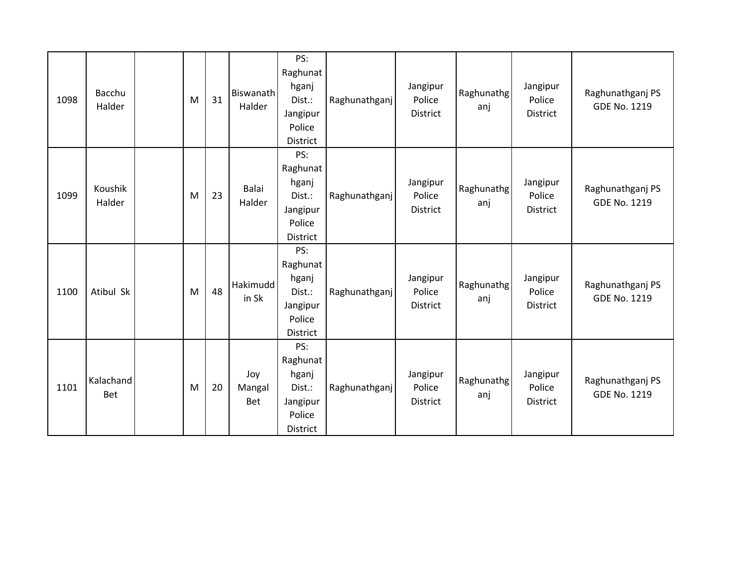| 1098 | Bacchu<br>Halder  | M | 31 | <b>Biswanath</b><br>Halder | PS:<br>Raghunat<br>hganj<br>Dist.:<br>Jangipur<br>Police<br><b>District</b> | Raghunathganj | Jangipur<br>Police<br>District        | Raghunathg<br>anj | Jangipur<br>Police<br>District        | Raghunathganj PS<br><b>GDE No. 1219</b> |
|------|-------------------|---|----|----------------------------|-----------------------------------------------------------------------------|---------------|---------------------------------------|-------------------|---------------------------------------|-----------------------------------------|
| 1099 | Koushik<br>Halder | M | 23 | <b>Balai</b><br>Halder     | PS:<br>Raghunat<br>hganj<br>Dist.:<br>Jangipur<br>Police<br>District        | Raghunathganj | Jangipur<br>Police<br>District        | Raghunathg<br>anj | Jangipur<br>Police<br>District        | Raghunathganj PS<br><b>GDE No. 1219</b> |
| 1100 | Atibul Sk         | M | 48 | <b>Hakimudd</b><br>in Sk   | PS:<br>Raghunat<br>hganj<br>Dist.:<br>Jangipur<br>Police<br>District        | Raghunathganj | Jangipur<br>Police<br>District        | Raghunathg<br>anj | Jangipur<br>Police<br>District        | Raghunathganj PS<br>GDE No. 1219        |
| 1101 | Kalachand<br>Bet  | M | 20 | Joy<br>Mangal<br>Bet       | PS:<br>Raghunat<br>hganj<br>Dist.:<br>Jangipur<br>Police<br>District        | Raghunathganj | Jangipur<br>Police<br><b>District</b> | Raghunathg<br>anj | Jangipur<br>Police<br><b>District</b> | Raghunathganj PS<br><b>GDE No. 1219</b> |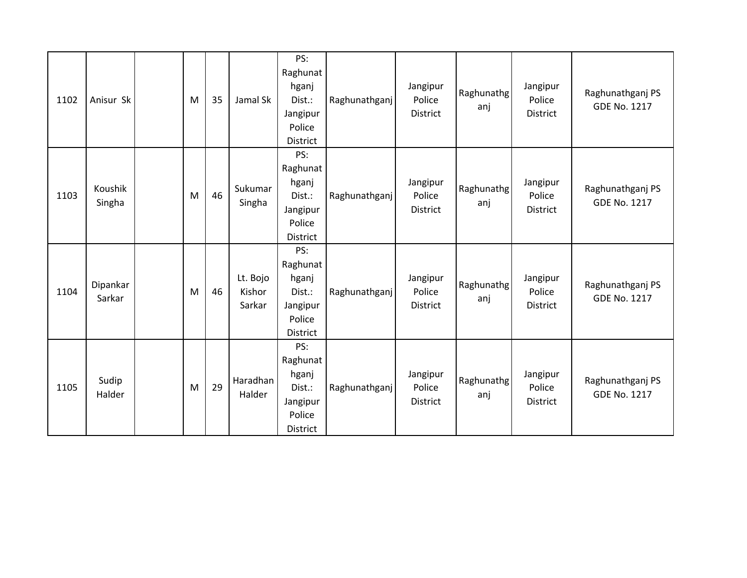| 1102 | Anisur Sk          | M | 35 | Jamal Sk                     | PS:<br>Raghunat<br>hganj<br>Dist.:<br>Jangipur<br>Police<br>District        | Raghunathganj | Jangipur<br>Police<br>District        | Raghunathg<br>anj | Jangipur<br>Police<br>District        | Raghunathganj PS<br><b>GDE No. 1217</b> |
|------|--------------------|---|----|------------------------------|-----------------------------------------------------------------------------|---------------|---------------------------------------|-------------------|---------------------------------------|-----------------------------------------|
| 1103 | Koushik<br>Singha  | M | 46 | Sukumar<br>Singha            | PS:<br>Raghunat<br>hganj<br>Dist.:<br>Jangipur<br>Police<br>District        | Raghunathganj | Jangipur<br>Police<br><b>District</b> | Raghunathg<br>anj | Jangipur<br>Police<br><b>District</b> | Raghunathganj PS<br><b>GDE No. 1217</b> |
| 1104 | Dipankar<br>Sarkar | M | 46 | Lt. Bojo<br>Kishor<br>Sarkar | PS:<br>Raghunat<br>hganj<br>Dist.:<br>Jangipur<br>Police<br><b>District</b> | Raghunathganj | Jangipur<br>Police<br><b>District</b> | Raghunathg<br>anj | Jangipur<br>Police<br><b>District</b> | Raghunathganj PS<br><b>GDE No. 1217</b> |
| 1105 | Sudip<br>Halder    | M | 29 | Haradhan<br>Halder           | PS:<br>Raghunat<br>hganj<br>Dist.:<br>Jangipur<br>Police<br><b>District</b> | Raghunathganj | Jangipur<br>Police<br><b>District</b> | Raghunathg<br>anj | Jangipur<br>Police<br><b>District</b> | Raghunathganj PS<br><b>GDE No. 1217</b> |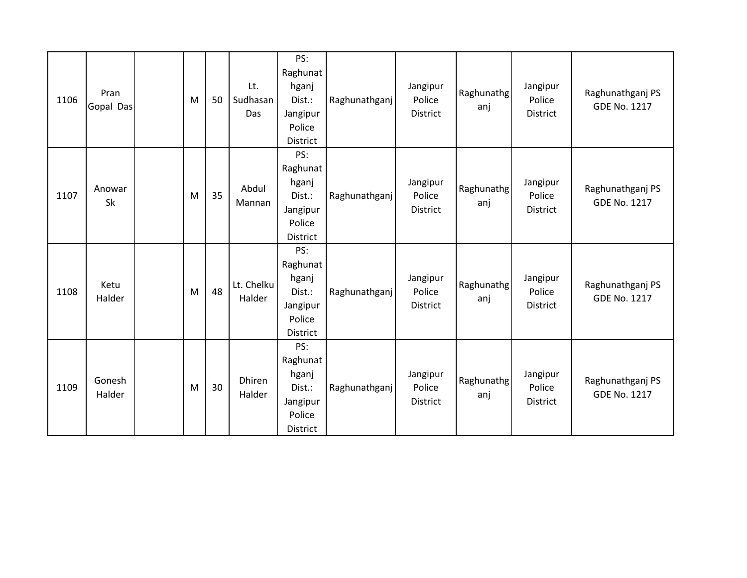| 1106 | Pran<br>Gopal Das   | M | 50 | Lt.<br>Sudhasan<br>Das  | PS:<br>Raghunat<br>hganj<br>Dist.:<br>Jangipur<br>Police<br>District | Raghunathganj | Jangipur<br>Police<br>District        | Raghunathg<br>anj | Jangipur<br>Police<br>District        | Raghunathganj PS<br><b>GDE No. 1217</b> |
|------|---------------------|---|----|-------------------------|----------------------------------------------------------------------|---------------|---------------------------------------|-------------------|---------------------------------------|-----------------------------------------|
| 1107 | Anowar<br><b>Sk</b> | M | 35 | Abdul<br>Mannan         | PS:<br>Raghunat<br>hganj<br>Dist.:<br>Jangipur<br>Police<br>District | Raghunathganj | Jangipur<br>Police<br><b>District</b> | Raghunathg<br>anj | Jangipur<br>Police<br>District        | Raghunathganj PS<br><b>GDE No. 1217</b> |
| 1108 | Ketu<br>Halder      | M | 48 | Lt. Chelku<br>Halder    | PS:<br>Raghunat<br>hganj<br>Dist.:<br>Jangipur<br>Police<br>District | Raghunathganj | Jangipur<br>Police<br>District        | Raghunathg<br>anj | Jangipur<br>Police<br><b>District</b> | Raghunathganj PS<br><b>GDE No. 1217</b> |
| 1109 | Gonesh<br>Halder    | M | 30 | <b>Dhiren</b><br>Halder | PS:<br>Raghunat<br>hganj<br>Dist.:<br>Jangipur<br>Police<br>District | Raghunathganj | Jangipur<br>Police<br><b>District</b> | Raghunathg<br>anj | Jangipur<br>Police<br>District        | Raghunathganj PS<br><b>GDE No. 1217</b> |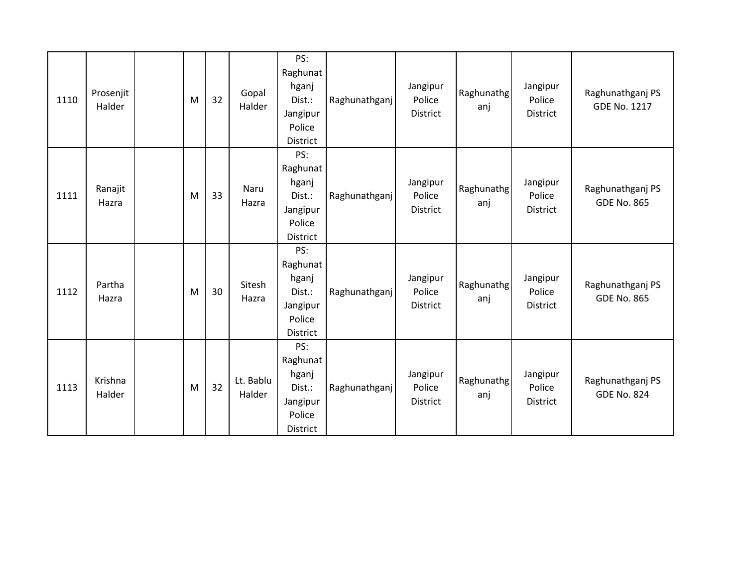| 1110 | Prosenjit<br>Halder | M | 32 | Gopal<br>Halder     | PS:<br>Raghunat<br>hganj<br>Dist.:<br>Jangipur<br>Police<br>District | Raghunathganj | Jangipur<br>Police<br><b>District</b> | Raghunathg<br>anj | Jangipur<br>Police<br>District        | Raghunathganj PS<br><b>GDE No. 1217</b> |
|------|---------------------|---|----|---------------------|----------------------------------------------------------------------|---------------|---------------------------------------|-------------------|---------------------------------------|-----------------------------------------|
| 1111 | Ranajit<br>Hazra    | M | 33 | Naru<br>Hazra       | PS:<br>Raghunat<br>hganj<br>Dist.:<br>Jangipur<br>Police<br>District | Raghunathganj | Jangipur<br>Police<br><b>District</b> | Raghunathg<br>anj | Jangipur<br>Police<br><b>District</b> | Raghunathganj PS<br><b>GDE No. 865</b>  |
| 1112 | Partha<br>Hazra     | M | 30 | Sitesh<br>Hazra     | PS:<br>Raghunat<br>hganj<br>Dist.:<br>Jangipur<br>Police<br>District | Raghunathganj | Jangipur<br>Police<br><b>District</b> | Raghunathg<br>anj | Jangipur<br>Police<br><b>District</b> | Raghunathganj PS<br><b>GDE No. 865</b>  |
| 1113 | Krishna<br>Halder   | M | 32 | Lt. Bablu<br>Halder | PS:<br>Raghunat<br>hganj<br>Dist.:<br>Jangipur<br>Police<br>District | Raghunathganj | Jangipur<br>Police<br><b>District</b> | Raghunathg<br>anj | Jangipur<br>Police<br><b>District</b> | Raghunathganj PS<br><b>GDE No. 824</b>  |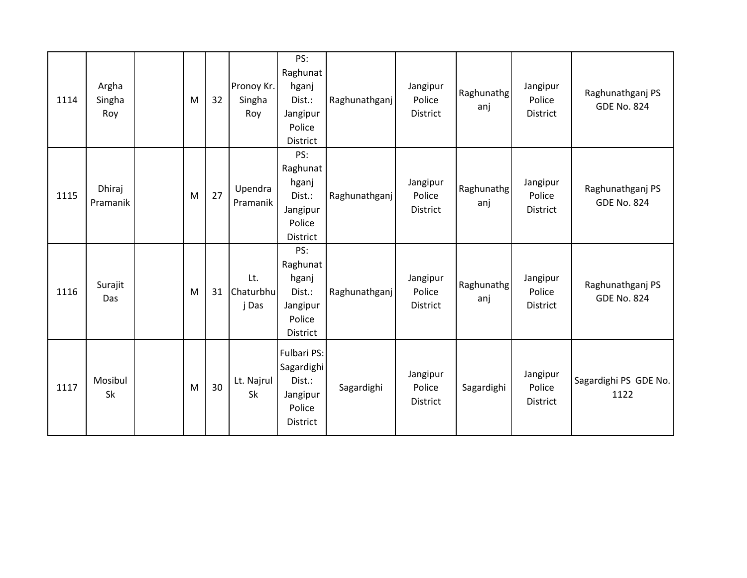| 1114 | Argha<br>Singha<br>Roy | M | 32 | Pronoy Kr.<br>Singha<br>Roy | PS:<br>Raghunat<br>hganj<br>Dist.:<br>Jangipur<br>Police<br>District        | Raghunathganj | Jangipur<br>Police<br>District        | Raghunathg<br>anj | Jangipur<br>Police<br>District        | Raghunathganj PS<br><b>GDE No. 824</b> |
|------|------------------------|---|----|-----------------------------|-----------------------------------------------------------------------------|---------------|---------------------------------------|-------------------|---------------------------------------|----------------------------------------|
| 1115 | Dhiraj<br>Pramanik     | M | 27 | Upendra<br>Pramanik         | PS:<br>Raghunat<br>hganj<br>Dist.:<br>Jangipur<br>Police<br><b>District</b> | Raghunathganj | Jangipur<br>Police<br><b>District</b> | Raghunathg<br>anj | Jangipur<br>Police<br>District        | Raghunathganj PS<br><b>GDE No. 824</b> |
| 1116 | Surajit<br>Das         | M | 31 | Lt.<br>Chaturbhu<br>j Das   | PS:<br>Raghunat<br>hganj<br>Dist.:<br>Jangipur<br>Police<br>District        | Raghunathganj | Jangipur<br>Police<br><b>District</b> | Raghunathg<br>anj | Jangipur<br>Police<br><b>District</b> | Raghunathganj PS<br><b>GDE No. 824</b> |
| 1117 | Mosibul<br><b>Sk</b>   | M | 30 | Lt. Najrul<br><b>Sk</b>     | Fulbari PS:<br>Sagardighi<br>Dist.:<br>Jangipur<br>Police<br>District       | Sagardighi    | Jangipur<br>Police<br>District        | Sagardighi        | Jangipur<br>Police<br>District        | Sagardighi PS GDE No.<br>1122          |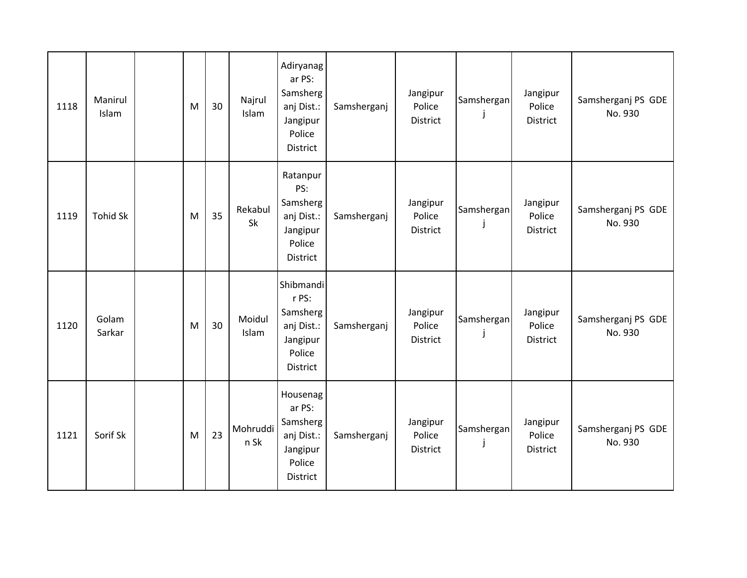| 1118 | Manirul<br>Islam | M | 30 | Najrul<br>Islam  | Adiryanag<br>ar PS:<br>Samsherg<br>anj Dist.:<br>Jangipur<br>Police<br><b>District</b> | Samsherganj | Jangipur<br>Police<br>District | Samshergan | Jangipur<br>Police<br>District        | Samsherganj PS GDE<br>No. 930 |
|------|------------------|---|----|------------------|----------------------------------------------------------------------------------------|-------------|--------------------------------|------------|---------------------------------------|-------------------------------|
| 1119 | <b>Tohid Sk</b>  | M | 35 | Rekabul<br>Sk    | Ratanpur<br>PS:<br>Samsherg<br>anj Dist.:<br>Jangipur<br>Police<br>District            | Samsherganj | Jangipur<br>Police<br>District | Samshergan | Jangipur<br>Police<br>District        | Samsherganj PS GDE<br>No. 930 |
| 1120 | Golam<br>Sarkar  | M | 30 | Moidul<br>Islam  | Shibmandi<br>r PS:<br>Samsherg<br>anj Dist.:<br>Jangipur<br>Police<br>District         | Samsherganj | Jangipur<br>Police<br>District | Samshergan | Jangipur<br>Police<br><b>District</b> | Samsherganj PS GDE<br>No. 930 |
| 1121 | Sorif Sk         | M | 23 | Mohruddi<br>n Sk | Housenag<br>ar PS:<br>Samsherg<br>anj Dist.:<br>Jangipur<br>Police<br>District         | Samsherganj | Jangipur<br>Police<br>District | Samshergan | Jangipur<br>Police<br>District        | Samsherganj PS GDE<br>No. 930 |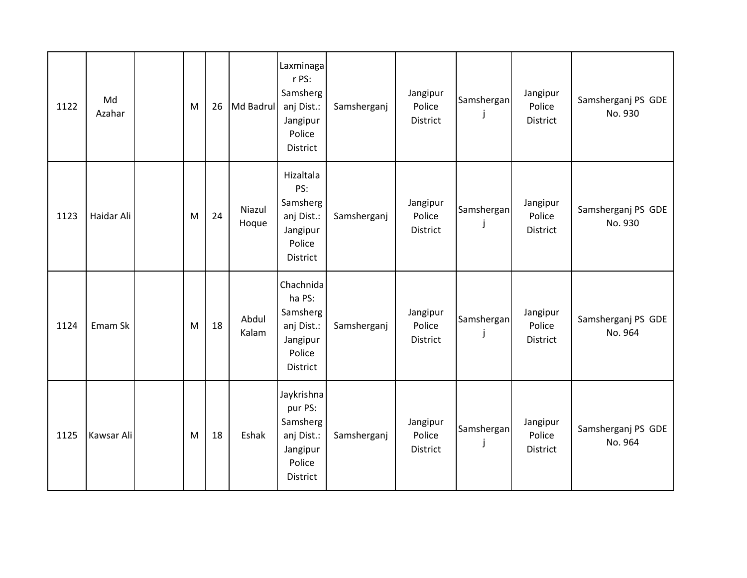| 1122 | Md<br>Azahar | M | 26 | Md Badrul       | Laxminaga<br>r PS:<br>Samsherg<br>anj Dist.:<br>Jangipur<br>Police<br><b>District</b> | Samsherganj | Jangipur<br>Police<br>District        | Samshergan | Jangipur<br>Police<br>District        | Samsherganj PS GDE<br>No. 930 |
|------|--------------|---|----|-----------------|---------------------------------------------------------------------------------------|-------------|---------------------------------------|------------|---------------------------------------|-------------------------------|
| 1123 | Haidar Ali   | M | 24 | Niazul<br>Hoque | Hizaltala<br>PS:<br>Samsherg<br>anj Dist.:<br>Jangipur<br>Police<br><b>District</b>   | Samsherganj | Jangipur<br>Police<br><b>District</b> | Samshergan | Jangipur<br>Police<br><b>District</b> | Samsherganj PS GDE<br>No. 930 |
| 1124 | Emam Sk      | M | 18 | Abdul<br>Kalam  | Chachnida<br>ha PS:<br>Samsherg<br>anj Dist.:<br>Jangipur<br>Police<br>District       | Samsherganj | Jangipur<br>Police<br><b>District</b> | Samshergan | Jangipur<br>Police<br><b>District</b> | Samsherganj PS GDE<br>No. 964 |
| 1125 | Kawsar Ali   | M | 18 | Eshak           | Jaykrishna<br>pur PS:<br>Samsherg<br>anj Dist.:<br>Jangipur<br>Police<br>District     | Samsherganj | Jangipur<br>Police<br>District        | Samshergan | Jangipur<br>Police<br>District        | Samsherganj PS GDE<br>No. 964 |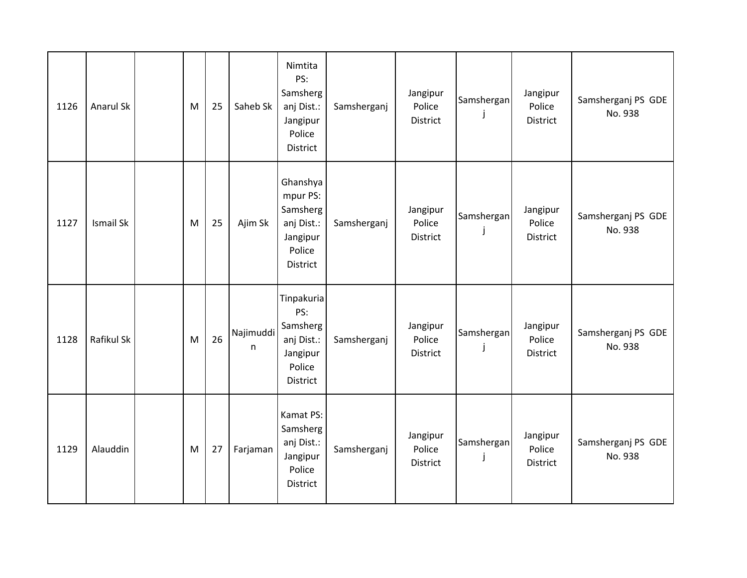| 1126 | Anarul Sk        | M | 25 | Saheb Sk       | Nimtita<br>PS:<br>Samsherg<br>anj Dist.:<br>Jangipur<br>Police<br><b>District</b>       | Samsherganj | Jangipur<br>Police<br><b>District</b> | Samshergan      | Jangipur<br>Police<br>District        | Samsherganj PS GDE<br>No. 938 |
|------|------------------|---|----|----------------|-----------------------------------------------------------------------------------------|-------------|---------------------------------------|-----------------|---------------------------------------|-------------------------------|
| 1127 | <b>Ismail Sk</b> | M | 25 | Ajim Sk        | Ghanshya<br>mpur PS:<br>Samsherg<br>anj Dist.:<br>Jangipur<br>Police<br><b>District</b> | Samsherganj | Jangipur<br>Police<br><b>District</b> | Samshergan<br>J | Jangipur<br>Police<br><b>District</b> | Samsherganj PS GDE<br>No. 938 |
| 1128 | Rafikul Sk       | M | 26 | Najimuddi<br>n | Tinpakuria<br>PS:<br>Samsherg<br>anj Dist.:<br>Jangipur<br>Police<br>District           | Samsherganj | Jangipur<br>Police<br>District        | Samshergan      | Jangipur<br>Police<br>District        | Samsherganj PS GDE<br>No. 938 |
| 1129 | Alauddin         | M | 27 | Farjaman       | Kamat PS:<br>Samsherg<br>anj Dist.:<br>Jangipur<br>Police<br><b>District</b>            | Samsherganj | Jangipur<br>Police<br>District        | Samshergan      | Jangipur<br>Police<br>District        | Samsherganj PS GDE<br>No. 938 |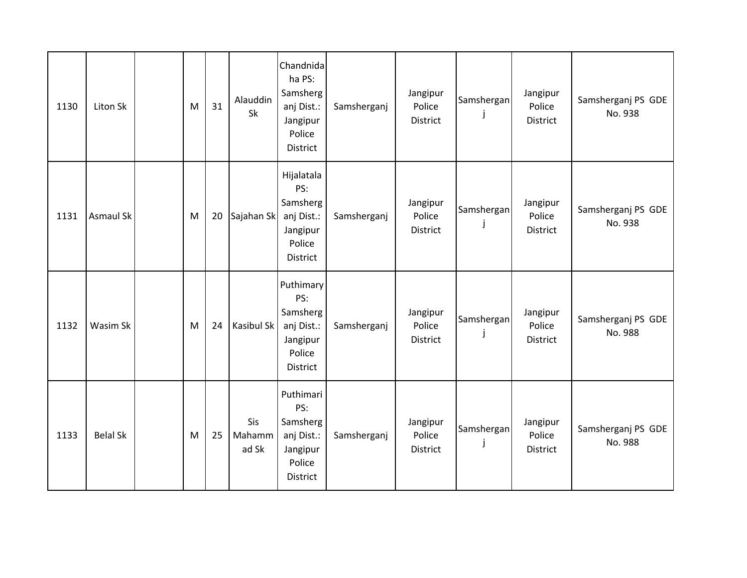| 1130 | Liton Sk         | M | 31 | Alauddin<br>Sk         | Chandnida<br>ha PS:<br>Samsherg<br>anj Dist.:<br>Jangipur<br>Police<br>District      | Samsherganj | Jangipur<br>Police<br>District        | Samshergan | Jangipur<br>Police<br>District        | Samsherganj PS GDE<br>No. 938 |
|------|------------------|---|----|------------------------|--------------------------------------------------------------------------------------|-------------|---------------------------------------|------------|---------------------------------------|-------------------------------|
| 1131 | <b>Asmaul Sk</b> | M | 20 | Sajahan Sk             | Hijalatala<br>PS:<br>Samsherg<br>anj Dist.:<br>Jangipur<br>Police<br><b>District</b> | Samsherganj | Jangipur<br>Police<br><b>District</b> | Samshergan | Jangipur<br>Police<br><b>District</b> | Samsherganj PS GDE<br>No. 938 |
| 1132 | Wasim Sk         | M | 24 | Kasibul Sk             | Puthimary<br>PS:<br>Samsherg<br>anj Dist.:<br>Jangipur<br>Police<br><b>District</b>  | Samsherganj | Jangipur<br>Police<br>District        | Samshergan | Jangipur<br>Police<br>District        | Samsherganj PS GDE<br>No. 988 |
| 1133 | <b>Belal Sk</b>  | M | 25 | Sis<br>Mahamm<br>ad Sk | Puthimari<br>PS:<br>Samsherg<br>anj Dist.:<br>Jangipur<br>Police<br>District         | Samsherganj | Jangipur<br>Police<br>District        | Samshergan | Jangipur<br>Police<br>District        | Samsherganj PS GDE<br>No. 988 |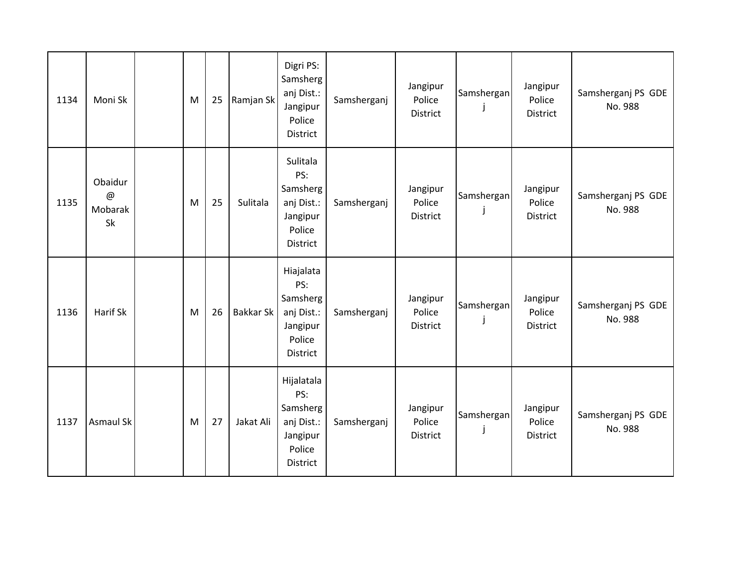| 1134 | Moni Sk                                               | M | 25 | Ramjan Sk        | Digri PS:<br>Samsherg<br>anj Dist.:<br>Jangipur<br>Police<br><b>District</b>  | Samsherganj | Jangipur<br>Police<br><b>District</b> | Samshergan | Jangipur<br>Police<br>District        | Samsherganj PS GDE<br>No. 988 |
|------|-------------------------------------------------------|---|----|------------------|-------------------------------------------------------------------------------|-------------|---------------------------------------|------------|---------------------------------------|-------------------------------|
| 1135 | Obaidur<br>$^\text{\textregistered}$<br>Mobarak<br>Sk | M | 25 | Sulitala         | Sulitala<br>PS:<br>Samsherg<br>anj Dist.:<br>Jangipur<br>Police<br>District   | Samsherganj | Jangipur<br>Police<br>District        | Samshergan | Jangipur<br>Police<br><b>District</b> | Samsherganj PS GDE<br>No. 988 |
| 1136 | Harif Sk                                              | M | 26 | <b>Bakkar Sk</b> | Hiajalata<br>PS:<br>Samsherg<br>anj Dist.:<br>Jangipur<br>Police<br>District  | Samsherganj | Jangipur<br>Police<br>District        | Samshergan | Jangipur<br>Police<br>District        | Samsherganj PS GDE<br>No. 988 |
| 1137 | <b>Asmaul Sk</b>                                      | M | 27 | Jakat Ali        | Hijalatala<br>PS:<br>Samsherg<br>anj Dist.:<br>Jangipur<br>Police<br>District | Samsherganj | Jangipur<br>Police<br>District        | Samshergan | Jangipur<br>Police<br>District        | Samsherganj PS GDE<br>No. 988 |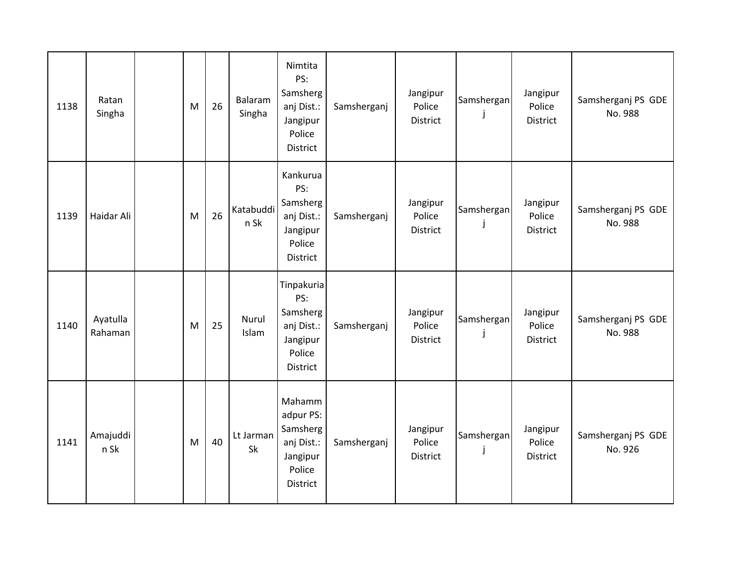| 1138 | Ratan<br>Singha     | M | 26 | Balaram<br>Singha | Nimtita<br>PS:<br>Samsherg<br>anj Dist.:<br>Jangipur<br>Police<br>District           | Samsherganj | Jangipur<br>Police<br>District | Samshergan      | Jangipur<br>Police<br>District        | Samsherganj PS GDE<br>No. 988 |
|------|---------------------|---|----|-------------------|--------------------------------------------------------------------------------------|-------------|--------------------------------|-----------------|---------------------------------------|-------------------------------|
| 1139 | Haidar Ali          | M | 26 | Katabuddi<br>n Sk | Kankurua<br>PS:<br>Samsherg<br>anj Dist.:<br>Jangipur<br>Police<br><b>District</b>   | Samsherganj | Jangipur<br>Police<br>District | Samshergan      | Jangipur<br>Police<br><b>District</b> | Samsherganj PS GDE<br>No. 988 |
| 1140 | Ayatulla<br>Rahaman | M | 25 | Nurul<br>Islam    | Tinpakuria<br>PS:<br>Samsherg<br>anj Dist.:<br>Jangipur<br>Police<br><b>District</b> | Samsherganj | Jangipur<br>Police<br>District | Samshergan      | Jangipur<br>Police<br>District        | Samsherganj PS GDE<br>No. 988 |
| 1141 | Amajuddi<br>n Sk    | M | 40 | Lt Jarman<br>Sk   | Mahamm<br>adpur PS:<br>Samsherg<br>anj Dist.:<br>Jangipur<br>Police<br>District      | Samsherganj | Jangipur<br>Police<br>District | Samshergan<br>J | Jangipur<br>Police<br>District        | Samsherganj PS GDE<br>No. 926 |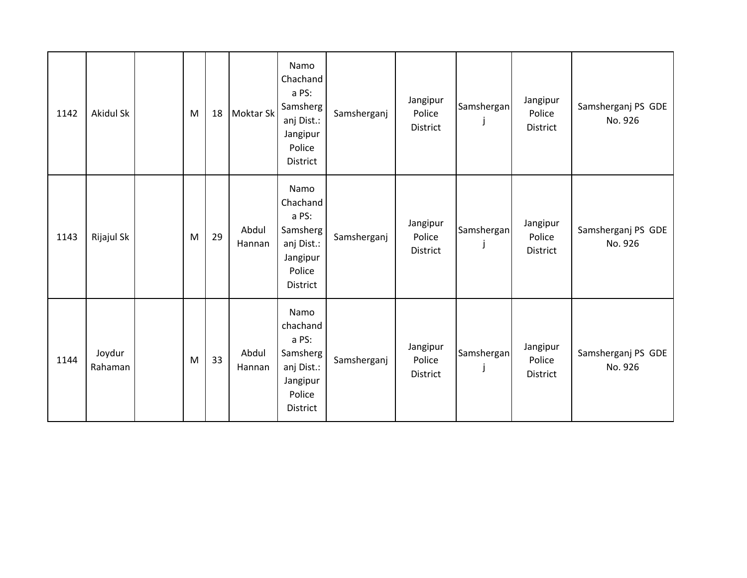| 1142 | Akidul Sk         | M | 18 | Moktar Sk       | Namo<br>Chachand<br>a PS:<br>Samsherg<br>anj Dist.:<br>Jangipur<br>Police<br><b>District</b> | Samsherganj | Jangipur<br>Police<br>District | Samshergan      | Jangipur<br>Police<br>District | Samsherganj PS GDE<br>No. 926 |
|------|-------------------|---|----|-----------------|----------------------------------------------------------------------------------------------|-------------|--------------------------------|-----------------|--------------------------------|-------------------------------|
| 1143 | Rijajul Sk        | M | 29 | Abdul<br>Hannan | Namo<br>Chachand<br>a PS:<br>Samsherg<br>anj Dist.:<br>Jangipur<br>Police<br>District        | Samsherganj | Jangipur<br>Police<br>District | Samshergan      | Jangipur<br>Police<br>District | Samsherganj PS GDE<br>No. 926 |
| 1144 | Joydur<br>Rahaman | M | 33 | Abdul<br>Hannan | Namo<br>chachand<br>a PS:<br>Samsherg<br>anj Dist.:<br>Jangipur<br>Police<br>District        | Samsherganj | Jangipur<br>Police<br>District | Samshergan<br>j | Jangipur<br>Police<br>District | Samsherganj PS GDE<br>No. 926 |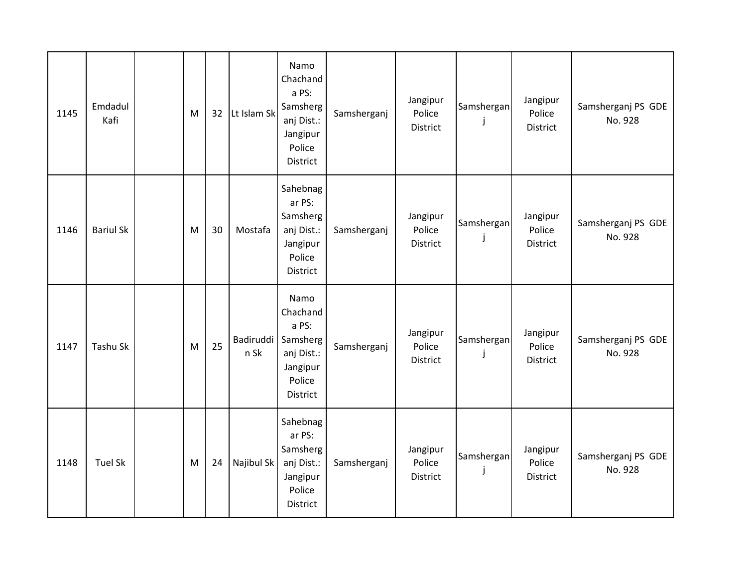| 1145 | Emdadul<br>Kafi  | M | 32 | Lt Islam Sk              | Namo<br>Chachand<br>a PS:<br>Samsherg<br>anj Dist.:<br>Jangipur<br>Police<br><b>District</b> | Samsherganj | Jangipur<br>Police<br>District | Samshergan      | Jangipur<br>Police<br>District        | Samsherganj PS GDE<br>No. 928 |
|------|------------------|---|----|--------------------------|----------------------------------------------------------------------------------------------|-------------|--------------------------------|-----------------|---------------------------------------|-------------------------------|
| 1146 | <b>Bariul Sk</b> | M | 30 | Mostafa                  | Sahebnag<br>ar PS:<br>Samsherg<br>anj Dist.:<br>Jangipur<br>Police<br>District               | Samsherganj | Jangipur<br>Police<br>District | Samshergan<br>J | Jangipur<br>Police<br><b>District</b> | Samsherganj PS GDE<br>No. 928 |
| 1147 | Tashu Sk         | M | 25 | <b>Badiruddi</b><br>n Sk | Namo<br>Chachand<br>a PS:<br>Samsherg<br>anj Dist.:<br>Jangipur<br>Police<br>District        | Samsherganj | Jangipur<br>Police<br>District | Samshergan      | Jangipur<br>Police<br>District        | Samsherganj PS GDE<br>No. 928 |
| 1148 | <b>Tuel Sk</b>   | M | 24 | Najibul Sk               | Sahebnag<br>ar PS:<br>Samsherg<br>anj Dist.:<br>Jangipur<br>Police<br>District               | Samsherganj | Jangipur<br>Police<br>District | Samshergan<br>J | Jangipur<br>Police<br><b>District</b> | Samsherganj PS GDE<br>No. 928 |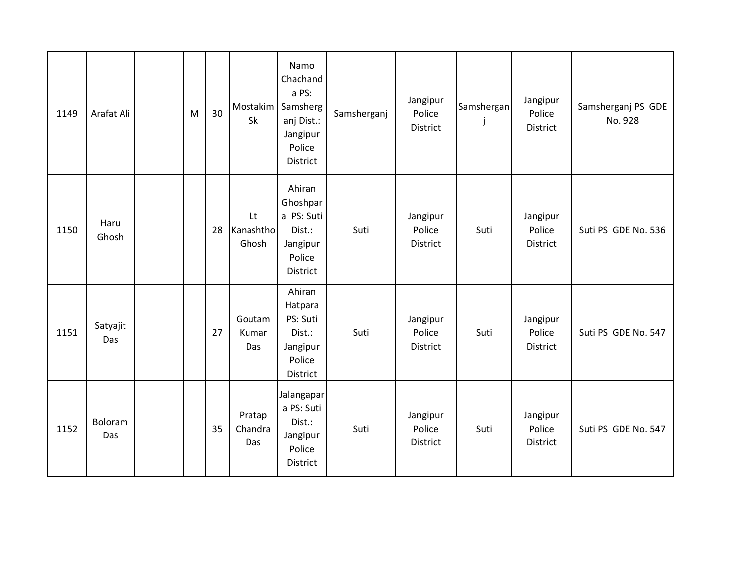| 1149 | Arafat Ali      | M | 30 | <b>Mostakim</b><br>Sk    | Namo<br>Chachand<br>a PS:<br>Samsherg<br>anj Dist.:<br>Jangipur<br>Police<br>District | Samsherganj | Jangipur<br>Police<br><b>District</b> | Samshergan | Jangipur<br>Police<br>District | Samsherganj PS GDE<br>No. 928 |
|------|-----------------|---|----|--------------------------|---------------------------------------------------------------------------------------|-------------|---------------------------------------|------------|--------------------------------|-------------------------------|
| 1150 | Haru<br>Ghosh   |   | 28 | Lt<br>Kanashtho<br>Ghosh | Ahiran<br>Ghoshpar<br>a PS: Suti<br>Dist.:<br>Jangipur<br>Police<br>District          | Suti        | Jangipur<br>Police<br>District        | Suti       | Jangipur<br>Police<br>District | Suti PS GDE No. 536           |
| 1151 | Satyajit<br>Das |   | 27 | Goutam<br>Kumar<br>Das   | Ahiran<br>Hatpara<br>PS: Suti<br>Dist.:<br>Jangipur<br>Police<br>District             | Suti        | Jangipur<br>Police<br>District        | Suti       | Jangipur<br>Police<br>District | Suti PS GDE No. 547           |
| 1152 | Boloram<br>Das  |   | 35 | Pratap<br>Chandra<br>Das | Jalangapar<br>a PS: Suti<br>Dist.:<br>Jangipur<br>Police<br>District                  | Suti        | Jangipur<br>Police<br>District        | Suti       | Jangipur<br>Police<br>District | Suti PS GDE No. 547           |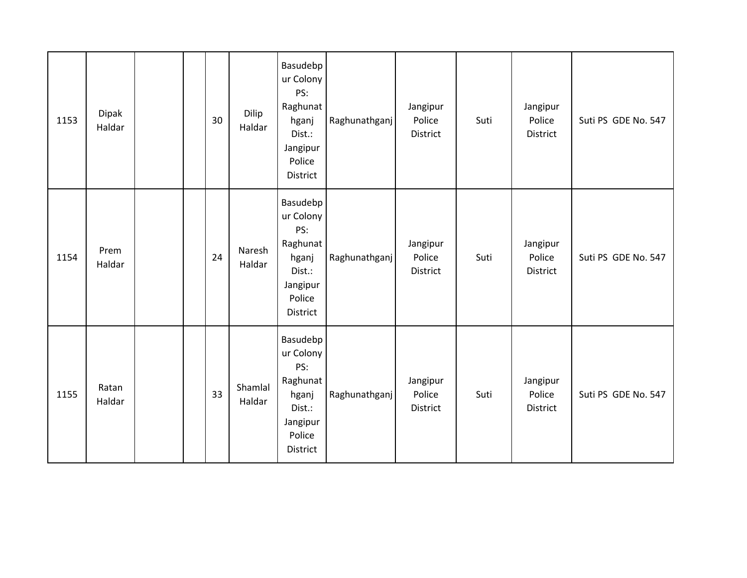| 1153 | Dipak<br>Haldar |  | 30 | Dilip<br>Haldar   | Basudebp<br>ur Colony<br>PS:<br>Raghunat<br>hganj<br>Dist.:<br>Jangipur<br>Police<br>District        | Raghunathganj | Jangipur<br>Police<br>District | Suti | Jangipur<br>Police<br>District | Suti PS GDE No. 547 |
|------|-----------------|--|----|-------------------|------------------------------------------------------------------------------------------------------|---------------|--------------------------------|------|--------------------------------|---------------------|
| 1154 | Prem<br>Haldar  |  | 24 | Naresh<br>Haldar  | Basudebp<br>ur Colony<br>PS:<br>Raghunat<br>hganj<br>Dist.:<br>Jangipur<br>Police<br><b>District</b> | Raghunathganj | Jangipur<br>Police<br>District | Suti | Jangipur<br>Police<br>District | Suti PS GDE No. 547 |
| 1155 | Ratan<br>Haldar |  | 33 | Shamlal<br>Haldar | Basudebp<br>ur Colony<br>PS:<br>Raghunat<br>hganj<br>Dist.:<br>Jangipur<br>Police<br>District        | Raghunathganj | Jangipur<br>Police<br>District | Suti | Jangipur<br>Police<br>District | Suti PS GDE No. 547 |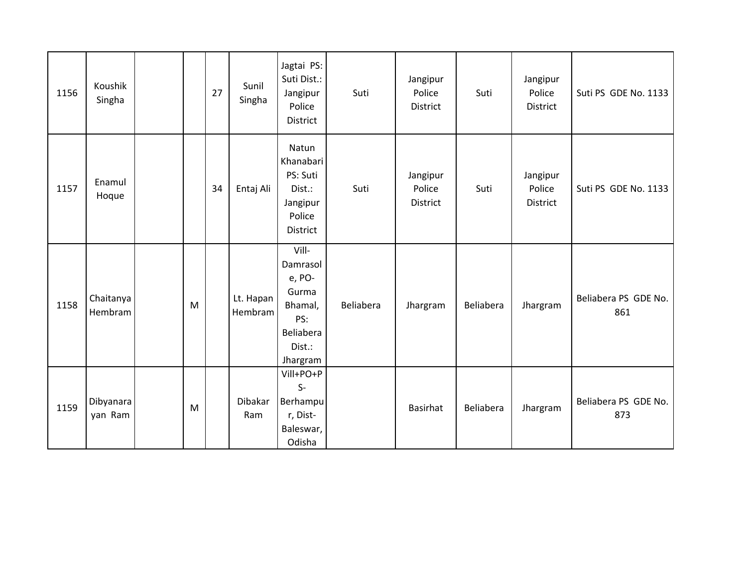| 1156 | Koushik<br>Singha    |   | 27 | Sunil<br>Singha      | Jagtai PS:<br>Suti Dist.:<br>Jangipur<br>Police<br>District                               | Suti      | Jangipur<br>Police<br>District | Suti      | Jangipur<br>Police<br>District | Suti PS GDE No. 1133        |
|------|----------------------|---|----|----------------------|-------------------------------------------------------------------------------------------|-----------|--------------------------------|-----------|--------------------------------|-----------------------------|
| 1157 | Enamul<br>Hoque      |   | 34 | Entaj Ali            | Natun<br>Khanabari<br>PS: Suti<br>Dist.:<br>Jangipur<br>Police<br>District                | Suti      | Jangipur<br>Police<br>District | Suti      | Jangipur<br>Police<br>District | Suti PS GDE No. 1133        |
| 1158 | Chaitanya<br>Hembram | M |    | Lt. Hapan<br>Hembram | Vill-<br>Damrasol<br>e, PO-<br>Gurma<br>Bhamal,<br>PS:<br>Beliabera<br>Dist.:<br>Jhargram | Beliabera | Jhargram                       | Beliabera | Jhargram                       | Beliabera PS GDE No.<br>861 |
| 1159 | Dibyanara<br>yan Ram | M |    | Dibakar<br>Ram       | Vill+PO+P<br>$S-$<br>Berhampu<br>r, Dist-<br>Baleswar,<br>Odisha                          |           | Basirhat                       | Beliabera | Jhargram                       | Beliabera PS GDE No.<br>873 |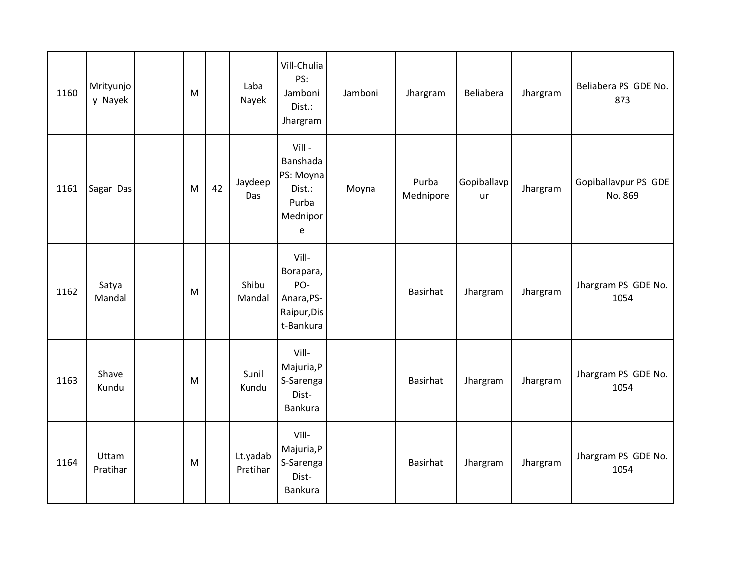| 1160 | Mrityunjo<br>y Nayek | M |    | Laba<br>Nayek        | Vill-Chulia<br>PS:<br>Jamboni<br>Dist.:<br>Jhargram                 | Jamboni | Jhargram           | Beliabera         | Jhargram | Beliabera PS GDE No.<br>873     |
|------|----------------------|---|----|----------------------|---------------------------------------------------------------------|---------|--------------------|-------------------|----------|---------------------------------|
| 1161 | Sagar Das            | M | 42 | Jaydeep<br>Das       | Vill -<br>Banshada<br>PS: Moyna<br>Dist.:<br>Purba<br>Mednipor<br>e | Moyna   | Purba<br>Mednipore | Gopiballavp<br>ur | Jhargram | Gopiballavpur PS GDE<br>No. 869 |
| 1162 | Satya<br>Mandal      | M |    | Shibu<br>Mandal      | Vill-<br>Borapara,<br>PO-<br>Anara, PS-<br>Raipur, Dis<br>t-Bankura |         | Basirhat           | Jhargram          | Jhargram | Jhargram PS GDE No.<br>1054     |
| 1163 | Shave<br>Kundu       | M |    | Sunil<br>Kundu       | Vill-<br>Majuria, P<br>S-Sarenga<br>Dist-<br>Bankura                |         | Basirhat           | Jhargram          | Jhargram | Jhargram PS GDE No.<br>1054     |
| 1164 | Uttam<br>Pratihar    | M |    | Lt.yadab<br>Pratihar | Vill-<br>Majuria, P<br>S-Sarenga<br>Dist-<br>Bankura                |         | Basirhat           | Jhargram          | Jhargram | Jhargram PS GDE No.<br>1054     |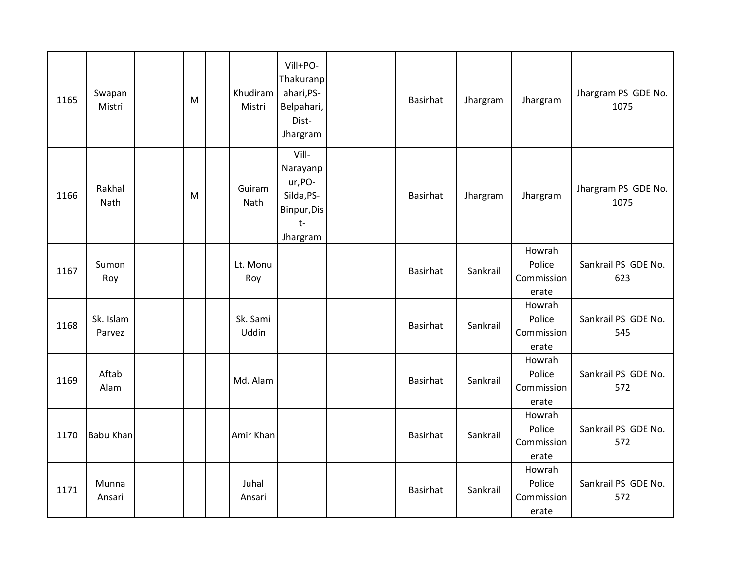| 1165 | Swapan<br>Mistri    | M | Khudiram<br>Mistri | Vill+PO-<br>Thakuranp<br>ahari, PS-<br>Belpahari,<br>Dist-<br>Jhargram        | Basirhat        | Jhargram | Jhargram                                | Jhargram PS GDE No.<br>1075 |
|------|---------------------|---|--------------------|-------------------------------------------------------------------------------|-----------------|----------|-----------------------------------------|-----------------------------|
| 1166 | Rakhal<br>Nath      | M | Guiram<br>Nath     | Vill-<br>Narayanp<br>ur, PO-<br>Silda, PS-<br>Binpur, Dis<br>$t-$<br>Jhargram | Basirhat        | Jhargram | Jhargram                                | Jhargram PS GDE No.<br>1075 |
| 1167 | Sumon<br>Roy        |   | Lt. Monu<br>Roy    |                                                                               | Basirhat        | Sankrail | Howrah<br>Police<br>Commission<br>erate | Sankrail PS GDE No.<br>623  |
| 1168 | Sk. Islam<br>Parvez |   | Sk. Sami<br>Uddin  |                                                                               | Basirhat        | Sankrail | Howrah<br>Police<br>Commission<br>erate | Sankrail PS GDE No.<br>545  |
| 1169 | Aftab<br>Alam       |   | Md. Alam           |                                                                               | <b>Basirhat</b> | Sankrail | Howrah<br>Police<br>Commission<br>erate | Sankrail PS GDE No.<br>572  |
| 1170 | <b>Babu Khan</b>    |   | Amir Khan          |                                                                               | Basirhat        | Sankrail | Howrah<br>Police<br>Commission<br>erate | Sankrail PS GDE No.<br>572  |
| 1171 | Munna<br>Ansari     |   | Juhal<br>Ansari    |                                                                               | <b>Basirhat</b> | Sankrail | Howrah<br>Police<br>Commission<br>erate | Sankrail PS GDE No.<br>572  |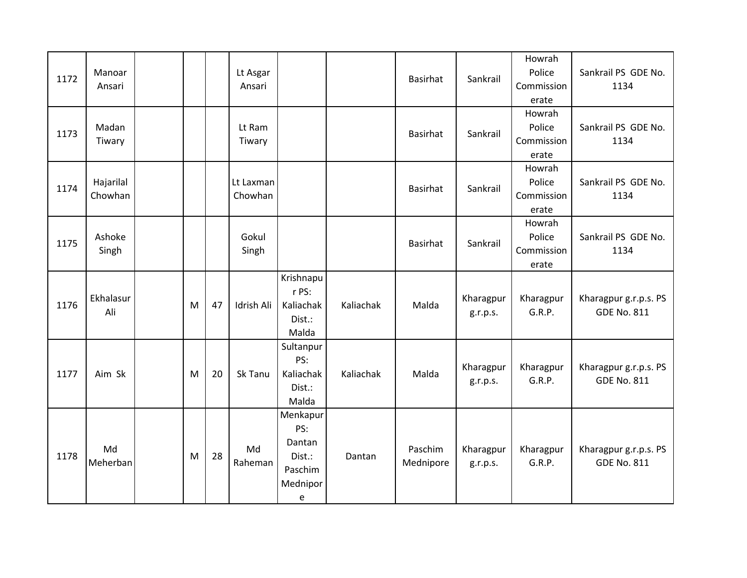| 1172 | Manoar<br>Ansari     |   |    | Lt Asgar<br>Ansari   |                                                                                                 |           | Basirhat             | Sankrail              | Howrah<br>Police<br>Commission<br>erate | Sankrail PS GDE No.<br>1134                 |
|------|----------------------|---|----|----------------------|-------------------------------------------------------------------------------------------------|-----------|----------------------|-----------------------|-----------------------------------------|---------------------------------------------|
| 1173 | Madan<br>Tiwary      |   |    | Lt Ram<br>Tiwary     |                                                                                                 |           | Basirhat             | Sankrail              | Howrah<br>Police<br>Commission<br>erate | Sankrail PS GDE No.<br>1134                 |
| 1174 | Hajarilal<br>Chowhan |   |    | Lt Laxman<br>Chowhan |                                                                                                 |           | Basirhat             | Sankrail              | Howrah<br>Police<br>Commission<br>erate | Sankrail PS GDE No.<br>1134                 |
| 1175 | Ashoke<br>Singh      |   |    | Gokul<br>Singh       |                                                                                                 |           | Basirhat             | Sankrail              | Howrah<br>Police<br>Commission<br>erate | Sankrail PS GDE No.<br>1134                 |
| 1176 | Ekhalasur<br>Ali     | M | 47 | Idrish Ali           | Krishnapu<br>r PS:<br>Kaliachak<br>Dist.:<br>Malda                                              | Kaliachak | Malda                | Kharagpur<br>g.r.p.s. | Kharagpur<br>G.R.P.                     | Kharagpur g.r.p.s. PS<br><b>GDE No. 811</b> |
| 1177 | Aim Sk               | M | 20 | Sk Tanu              | Sultanpur<br>PS:<br>Kaliachak<br>Dist.:<br>Malda                                                | Kaliachak | Malda                | Kharagpur<br>g.r.p.s. | Kharagpur<br>G.R.P.                     | Kharagpur g.r.p.s. PS<br><b>GDE No. 811</b> |
| 1178 | Md<br>Meherban       | M | 28 | Md<br>Raheman        | Menkapur<br>PS:<br>Dantan<br>Dist.:<br>Paschim<br>Mednipor<br>$\mathsf{e}% _{t}\left( t\right)$ | Dantan    | Paschim<br>Mednipore | Kharagpur<br>g.r.p.s. | Kharagpur<br>G.R.P.                     | Kharagpur g.r.p.s. PS<br><b>GDE No. 811</b> |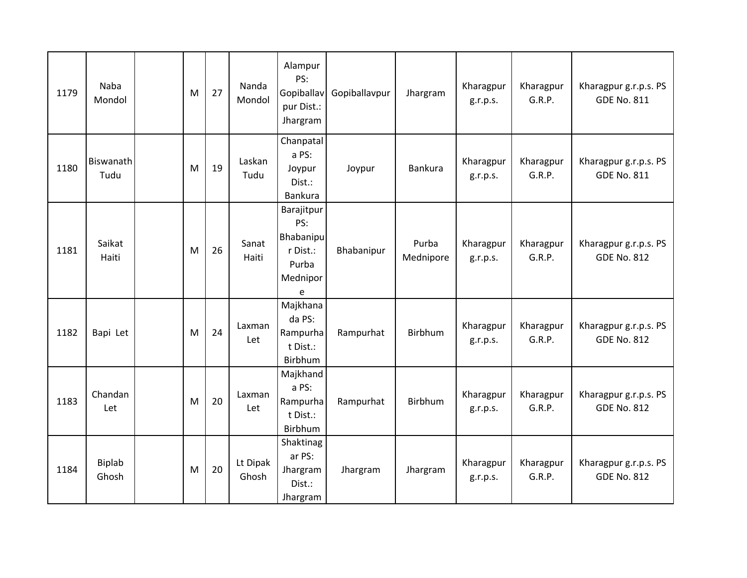| 1179 | Naba<br>Mondol    | M | 27 | Nanda<br>Mondol   | Alampur<br>PS:<br>Gopiballav<br>pur Dist.:<br>Jhargram               | Gopiballavpur | Jhargram           | Kharagpur<br>g.r.p.s. | Kharagpur<br>G.R.P. | Kharagpur g.r.p.s. PS<br><b>GDE No. 811</b> |
|------|-------------------|---|----|-------------------|----------------------------------------------------------------------|---------------|--------------------|-----------------------|---------------------|---------------------------------------------|
| 1180 | Biswanath<br>Tudu | M | 19 | Laskan<br>Tudu    | Chanpatal<br>a PS:<br>Joypur<br>Dist.:<br>Bankura                    | Joypur        | Bankura            | Kharagpur<br>g.r.p.s. | Kharagpur<br>G.R.P. | Kharagpur g.r.p.s. PS<br><b>GDE No. 811</b> |
| 1181 | Saikat<br>Haiti   | M | 26 | Sanat<br>Haiti    | Barajitpur<br>PS:<br>Bhabanipu<br>r Dist.:<br>Purba<br>Mednipor<br>e | Bhabanipur    | Purba<br>Mednipore | Kharagpur<br>g.r.p.s. | Kharagpur<br>G.R.P. | Kharagpur g.r.p.s. PS<br><b>GDE No. 812</b> |
| 1182 | Bapi Let          | M | 24 | Laxman<br>Let     | Majkhana<br>da PS:<br>Rampurha<br>t Dist.:<br>Birbhum                | Rampurhat     | Birbhum            | Kharagpur<br>g.r.p.s. | Kharagpur<br>G.R.P. | Kharagpur g.r.p.s. PS<br><b>GDE No. 812</b> |
| 1183 | Chandan<br>Let    | M | 20 | Laxman<br>Let     | Majkhand<br>a PS:<br>Rampurha<br>t Dist.:<br>Birbhum                 | Rampurhat     | <b>Birbhum</b>     | Kharagpur<br>g.r.p.s. | Kharagpur<br>G.R.P. | Kharagpur g.r.p.s. PS<br><b>GDE No. 812</b> |
| 1184 | Biplab<br>Ghosh   | M | 20 | Lt Dipak<br>Ghosh | Shaktinag<br>ar PS:<br>Jhargram<br>Dist.:<br>Jhargram                | Jhargram      | Jhargram           | Kharagpur<br>g.r.p.s. | Kharagpur<br>G.R.P. | Kharagpur g.r.p.s. PS<br><b>GDE No. 812</b> |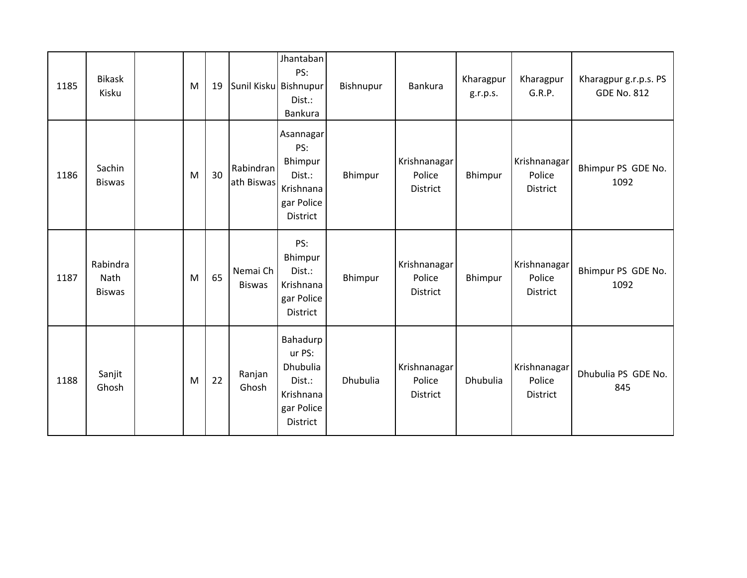| 1185 | <b>Bikask</b><br>Kisku            | M | 19 |                           | Jhantaban<br>PS:<br>Sunil Kisku Bishnupur<br>Dist.:<br>Bankura                  | Bishnupur | Bankura                            | Kharagpur<br>g.r.p.s. | Kharagpur<br>G.R.P.                       | Kharagpur g.r.p.s. PS<br><b>GDE No. 812</b> |
|------|-----------------------------------|---|----|---------------------------|---------------------------------------------------------------------------------|-----------|------------------------------------|-----------------------|-------------------------------------------|---------------------------------------------|
| 1186 | Sachin<br><b>Biswas</b>           | M | 30 | Rabindran<br>ath Biswas   | Asannagar<br>PS:<br>Bhimpur<br>Dist.:<br>Krishnana<br>gar Police<br>District    | Bhimpur   | Krishnanagar<br>Police<br>District | Bhimpur               | Krishnanagar<br>Police<br>District        | Bhimpur PS GDE No.<br>1092                  |
| 1187 | Rabindra<br>Nath<br><b>Biswas</b> | M | 65 | Nemai Ch<br><b>Biswas</b> | PS:<br>Bhimpur<br>Dist.:<br>Krishnana<br>gar Police<br>District                 | Bhimpur   | Krishnanagar<br>Police<br>District | Bhimpur               | Krishnanagar<br>Police<br>District        | Bhimpur PS GDE No.<br>1092                  |
| 1188 | Sanjit<br>Ghosh                   | M | 22 | Ranjan<br>Ghosh           | Bahadurp<br>ur PS:<br>Dhubulia<br>Dist.:<br>Krishnana<br>gar Police<br>District | Dhubulia  | Krishnanagar<br>Police<br>District | Dhubulia              | Krishnanagar<br>Police<br><b>District</b> | Dhubulia PS GDE No.<br>845                  |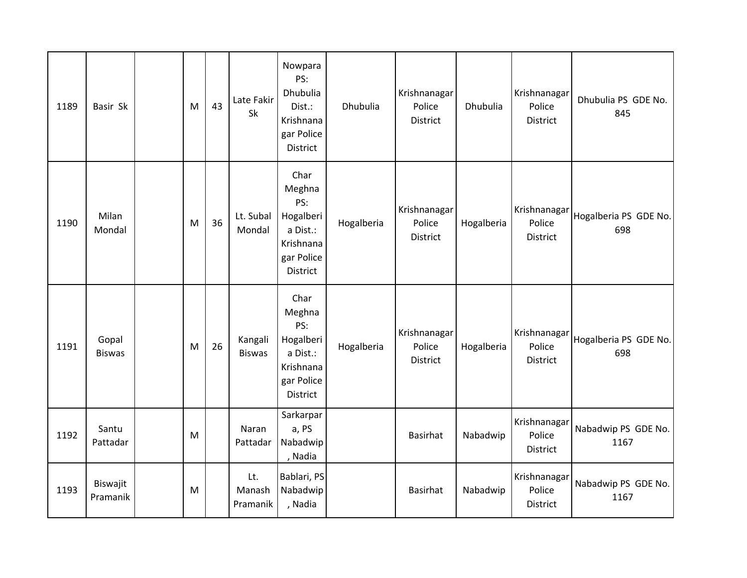| 1189 | Basir Sk               | M | 43 | Late Fakir<br>Sk          | Nowpara<br>PS:<br>Dhubulia<br>Dist.:<br>Krishnana<br>gar Police<br><b>District</b>           | Dhubulia   | Krishnanagar<br>Police<br><b>District</b> | <b>Dhubulia</b> | Krishnanagar<br>Police<br><b>District</b> | Dhubulia PS GDE No.<br>845   |
|------|------------------------|---|----|---------------------------|----------------------------------------------------------------------------------------------|------------|-------------------------------------------|-----------------|-------------------------------------------|------------------------------|
| 1190 | Milan<br>Mondal        | M | 36 | Lt. Subal<br>Mondal       | Char<br>Meghna<br>PS:<br>Hogalberi<br>a Dist.:<br>Krishnana<br>gar Police<br><b>District</b> | Hogalberia | Krishnanagar<br>Police<br><b>District</b> | Hogalberia      | Krishnanagar<br>Police<br><b>District</b> | Hogalberia PS GDE No.<br>698 |
| 1191 | Gopal<br><b>Biswas</b> | M | 26 | Kangali<br><b>Biswas</b>  | Char<br>Meghna<br>PS:<br>Hogalberi<br>a Dist.:<br>Krishnana<br>gar Police<br><b>District</b> | Hogalberia | Krishnanagar<br>Police<br><b>District</b> | Hogalberia      | Krishnanagar<br>Police<br><b>District</b> | Hogalberia PS GDE No.<br>698 |
| 1192 | Santu<br>Pattadar      | M |    | Naran<br>Pattadar         | Sarkarpar<br>a, PS<br>Nabadwip<br>, Nadia                                                    |            | Basirhat                                  | Nabadwip        | Krishnanagar<br>Police<br>District        | Nabadwip PS GDE No.<br>1167  |
| 1193 | Biswajit<br>Pramanik   | M |    | Lt.<br>Manash<br>Pramanik | Bablari, PS<br>Nabadwip<br>, Nadia                                                           |            | Basirhat                                  | Nabadwip        | Krishnanagar<br>Police<br>District        | Nabadwip PS GDE No.<br>1167  |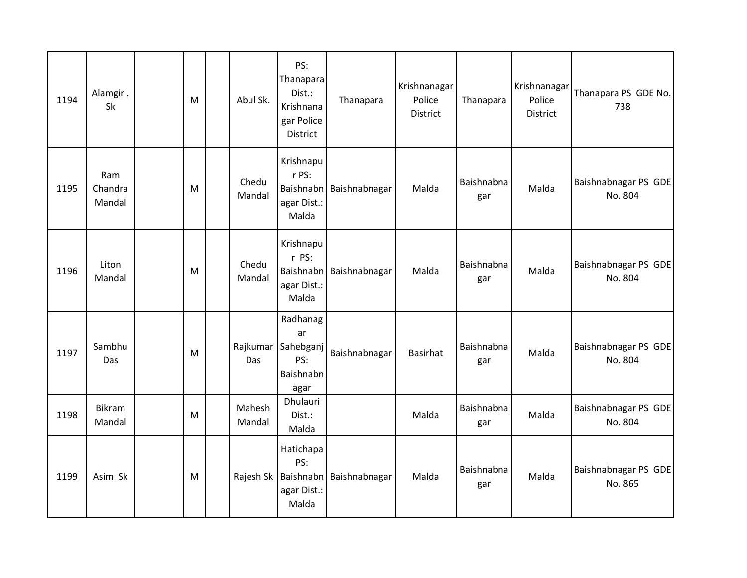| 1194 | Alamgir.<br>Sk           | M | Abul Sk.         | PS:<br>Thanapara<br>Dist.:<br>Krishnana<br>gar Police<br>District   | Thanapara     | Krishnanagar<br>Police<br>District | Thanapara         | Krishnanagar<br>Police<br>District | Thanapara PS GDE No.<br>738     |
|------|--------------------------|---|------------------|---------------------------------------------------------------------|---------------|------------------------------------|-------------------|------------------------------------|---------------------------------|
| 1195 | Ram<br>Chandra<br>Mandal | M | Chedu<br>Mandal  | Krishnapu<br>r PS:<br><b>Baishnabn</b><br>agar Dist.:<br>Malda      | Baishnabnagar | Malda                              | Baishnabna<br>gar | Malda                              | Baishnabnagar PS GDE<br>No. 804 |
| 1196 | Liton<br>Mandal          | M | Chedu<br>Mandal  | Krishnapu<br>r PS:<br><b>Baishnabn</b><br>agar Dist.:<br>Malda      | Baishnabnagar | Malda                              | Baishnabna<br>gar | Malda                              | Baishnabnagar PS GDE<br>No. 804 |
| 1197 | Sambhu<br>Das            | M | Rajkumar<br>Das  | Radhanag<br>ar<br>Sahebganj<br>PS:<br>Baishnabn<br>agar             | Baishnabnagar | <b>Basirhat</b>                    | Baishnabna<br>gar | Malda                              | Baishnabnagar PS GDE<br>No. 804 |
| 1198 | Bikram<br>Mandal         | M | Mahesh<br>Mandal | Dhulauri<br>Dist.:<br>Malda                                         |               | Malda                              | Baishnabna<br>gar | Malda                              | Baishnabnagar PS GDE<br>No. 804 |
| 1199 | Asim Sk                  | M |                  | Hatichapa<br>PS:<br>Rajesh Sk   Baishnabn  <br>agar Dist.:<br>Malda | Baishnabnagar | Malda                              | Baishnabna<br>gar | Malda                              | Baishnabnagar PS GDE<br>No. 865 |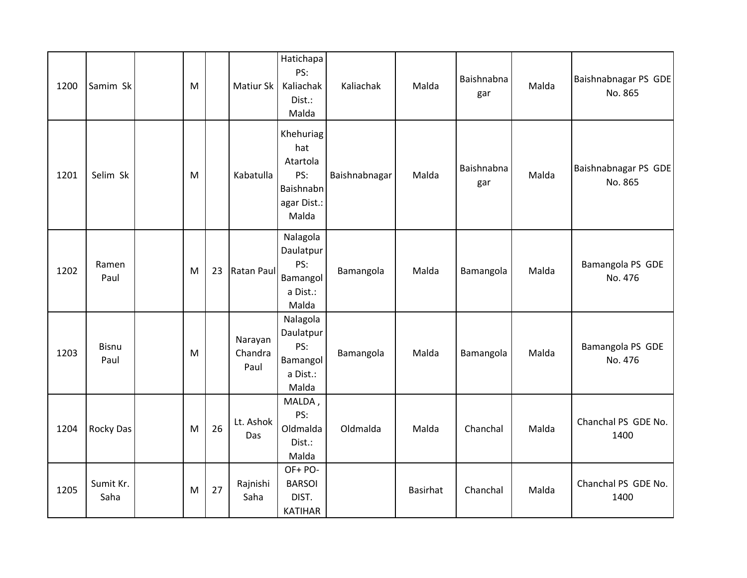| 1200 | Samim Sk             | M |    | Matiur Sk                  | Hatichapa<br>PS:<br>Kaliachak<br>Dist.:<br>Malda                         | Kaliachak     | Malda    | Baishnabna<br>gar | Malda | Baishnabnagar PS GDE<br>No. 865 |
|------|----------------------|---|----|----------------------------|--------------------------------------------------------------------------|---------------|----------|-------------------|-------|---------------------------------|
| 1201 | Selim Sk             | M |    | Kabatulla                  | Khehuriag<br>hat<br>Atartola<br>PS:<br>Baishnabn<br>agar Dist.:<br>Malda | Baishnabnagar | Malda    | Baishnabna<br>gar | Malda | Baishnabnagar PS GDE<br>No. 865 |
| 1202 | Ramen<br>Paul        | M | 23 | <b>Ratan Paul</b>          | Nalagola<br>Daulatpur<br>PS:<br>Bamangol<br>a Dist.:<br>Malda            | Bamangola     | Malda    | Bamangola         | Malda | Bamangola PS GDE<br>No. 476     |
| 1203 | <b>Bisnu</b><br>Paul | M |    | Narayan<br>Chandra<br>Paul | Nalagola<br>Daulatpur<br>PS:<br>Bamangol<br>a Dist.:<br>Malda            | Bamangola     | Malda    | Bamangola         | Malda | Bamangola PS GDE<br>No. 476     |
| 1204 | Rocky Das            | M | 26 | Lt. Ashok<br>Das           | MALDA,<br>PS:<br>Oldmalda<br>Dist.:<br>Malda                             | Oldmalda      | Malda    | Chanchal          | Malda | Chanchal PS GDE No.<br>1400     |
| 1205 | Sumit Kr.<br>Saha    | M | 27 | Rajnishi<br>Saha           | OF+PO-<br><b>BARSOI</b><br>DIST.<br><b>KATIHAR</b>                       |               | Basirhat | Chanchal          | Malda | Chanchal PS GDE No.<br>1400     |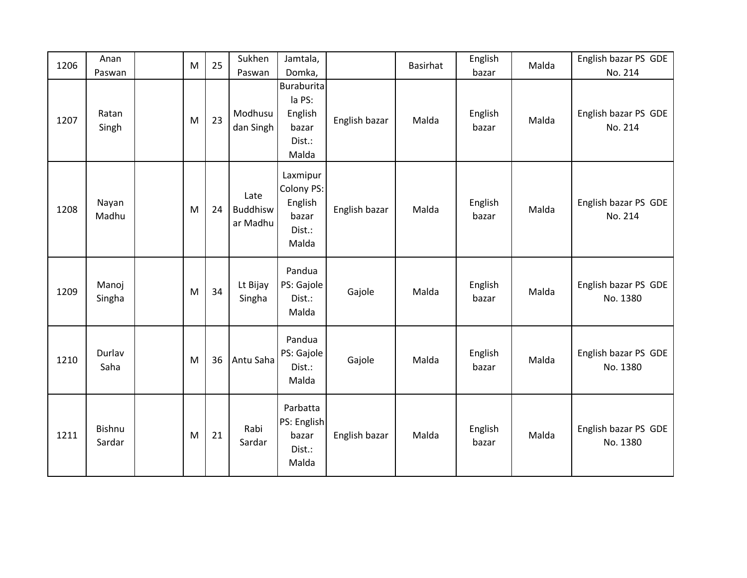| 1206 | Anan             | M | 25 | Sukhen                              | Jamtala,                                                           |               | <b>Basirhat</b> | English          | Malda | English bazar PS GDE             |
|------|------------------|---|----|-------------------------------------|--------------------------------------------------------------------|---------------|-----------------|------------------|-------|----------------------------------|
|      | Paswan           |   |    | Paswan                              | Domka,                                                             |               |                 | bazar            |       | No. 214                          |
| 1207 | Ratan<br>Singh   | M | 23 | Modhusu<br>dan Singh                | <b>Buraburita</b><br>la PS:<br>English<br>bazar<br>Dist.:<br>Malda | English bazar | Malda           | English<br>bazar | Malda | English bazar PS GDE<br>No. 214  |
| 1208 | Nayan<br>Madhu   | M | 24 | Late<br><b>Buddhisw</b><br>ar Madhu | Laxmipur<br>Colony PS:<br>English<br>bazar<br>Dist.:<br>Malda      | English bazar | Malda           | English<br>bazar | Malda | English bazar PS GDE<br>No. 214  |
| 1209 | Manoj<br>Singha  | M | 34 | Lt Bijay<br>Singha                  | Pandua<br>PS: Gajole<br>Dist.:<br>Malda                            | Gajole        | Malda           | English<br>bazar | Malda | English bazar PS GDE<br>No. 1380 |
| 1210 | Durlav<br>Saha   | M | 36 | Antu Saha                           | Pandua<br>PS: Gajole<br>Dist.:<br>Malda                            | Gajole        | Malda           | English<br>bazar | Malda | English bazar PS GDE<br>No. 1380 |
| 1211 | Bishnu<br>Sardar | M | 21 | Rabi<br>Sardar                      | Parbatta<br>PS: English<br>bazar<br>Dist.:<br>Malda                | English bazar | Malda           | English<br>bazar | Malda | English bazar PS GDE<br>No. 1380 |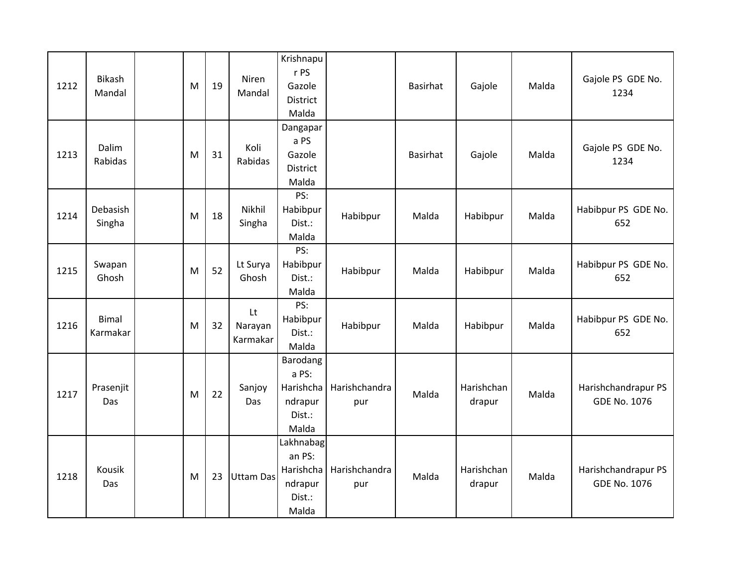| 1212 | Bikash<br>Mandal         | M | 19 | Niren<br>Mandal           | Krishnapu<br>r PS<br>Gazole<br>District<br>Malda               |                      | Basirhat        | Gajole               | Malda | Gajole PS GDE No.<br>1234                  |
|------|--------------------------|---|----|---------------------------|----------------------------------------------------------------|----------------------|-----------------|----------------------|-------|--------------------------------------------|
| 1213 | Dalim<br>Rabidas         | M | 31 | Koli<br>Rabidas           | Dangapar<br>a PS<br>Gazole<br><b>District</b><br>Malda         |                      | <b>Basirhat</b> | Gajole               | Malda | Gajole PS GDE No.<br>1234                  |
| 1214 | Debasish<br>Singha       | M | 18 | Nikhil<br>Singha          | PS:<br>Habibpur<br>Dist.:<br>Malda                             | Habibpur             | Malda           | Habibpur             | Malda | Habibpur PS GDE No.<br>652                 |
| 1215 | Swapan<br>Ghosh          | M | 52 | Lt Surya<br>Ghosh         | PS:<br>Habibpur<br>Dist.:<br>Malda                             | Habibpur             | Malda           | Habibpur             | Malda | Habibpur PS GDE No.<br>652                 |
| 1216 | <b>Bimal</b><br>Karmakar | M | 32 | Lt<br>Narayan<br>Karmakar | PS:<br>Habibpur<br>Dist.:<br>Malda                             | Habibpur             | Malda           | Habibpur             | Malda | Habibpur PS GDE No.<br>652                 |
| 1217 | Prasenjit<br>Das         | M | 22 | Sanjoy<br>Das             | Barodang<br>a PS:<br>Harishcha<br>ndrapur<br>Dist.:<br>Malda   | Harishchandra<br>pur | Malda           | Harishchan<br>drapur | Malda | Harishchandrapur PS<br><b>GDE No. 1076</b> |
| 1218 | Kousik<br>Das            | M | 23 | <b>Uttam Das</b>          | Lakhnabag<br>an PS:<br>Harishcha<br>ndrapur<br>Dist.:<br>Malda | Harishchandra<br>pur | Malda           | Harishchan<br>drapur | Malda | Harishchandrapur PS<br><b>GDE No. 1076</b> |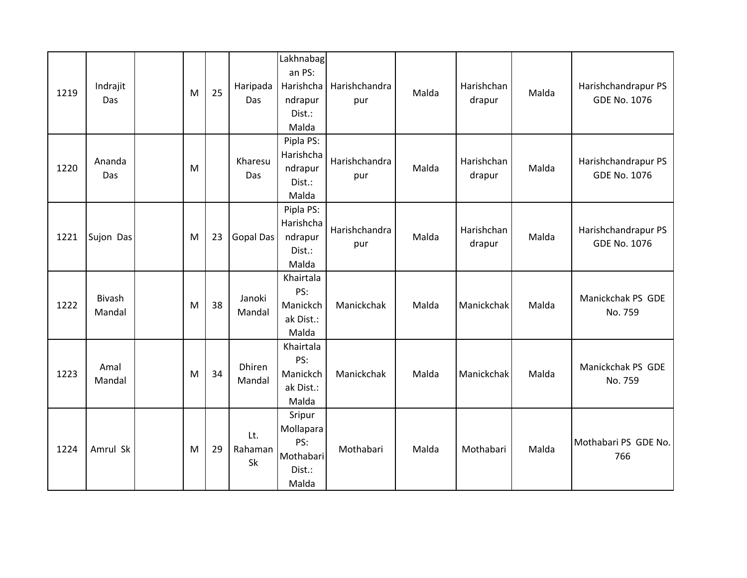| 1219 | Indrajit<br>Das         | M | 25 | Haripada<br>Das      | Lakhnabag<br>an PS:<br>Harishcha<br>ndrapur<br>Dist.:<br>Malda | Harishchandra<br>pur | Malda | Harishchan<br>drapur | Malda | Harishchandrapur PS<br><b>GDE No. 1076</b> |
|------|-------------------------|---|----|----------------------|----------------------------------------------------------------|----------------------|-------|----------------------|-------|--------------------------------------------|
| 1220 | Ananda<br>Das           | M |    | Kharesu<br>Das       | Pipla PS:<br>Harishcha<br>ndrapur<br>Dist.:<br>Malda           | Harishchandra<br>pur | Malda | Harishchan<br>drapur | Malda | Harishchandrapur PS<br><b>GDE No. 1076</b> |
| 1221 | Sujon Das               | M | 23 | Gopal Das            | Pipla PS:<br>Harishcha<br>ndrapur<br>Dist.:<br>Malda           | Harishchandra<br>pur | Malda | Harishchan<br>drapur | Malda | Harishchandrapur PS<br><b>GDE No. 1076</b> |
| 1222 | <b>Bivash</b><br>Mandal | M | 38 | Janoki<br>Mandal     | Khairtala<br>PS:<br>Manickch<br>ak Dist.:<br>Malda             | Manickchak           | Malda | Manickchak           | Malda | Manickchak PS GDE<br>No. 759               |
| 1223 | Amal<br>Mandal          | M | 34 | Dhiren<br>Mandal     | Khairtala<br>PS:<br>Manickch<br>ak Dist.:<br>Malda             | Manickchak           | Malda | Manickchak           | Malda | Manickchak PS GDE<br>No. 759               |
| 1224 | Amrul Sk                | M | 29 | Lt.<br>Rahaman<br>Sk | Sripur<br>Mollapara<br>PS:<br>Mothabari<br>Dist.:<br>Malda     | Mothabari            | Malda | Mothabari            | Malda | Mothabari PS GDE No.<br>766                |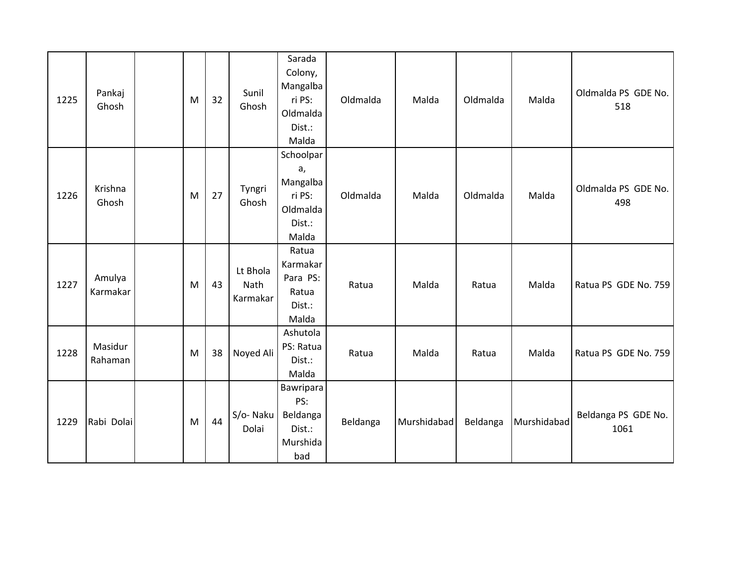| 1225 | Pankaj<br>Ghosh    | M | 32 | Sunil<br>Ghosh               | Sarada<br>Colony,<br>Mangalba<br>ri PS:<br>Oldmalda<br>Dist.:<br>Malda | Oldmalda | Malda       | Oldmalda | Malda       | Oldmalda PS GDE No.<br>518  |
|------|--------------------|---|----|------------------------------|------------------------------------------------------------------------|----------|-------------|----------|-------------|-----------------------------|
| 1226 | Krishna<br>Ghosh   | M | 27 | Tyngri<br>Ghosh              | Schoolpar<br>a,<br>Mangalba<br>ri PS:<br>Oldmalda<br>Dist.:<br>Malda   | Oldmalda | Malda       | Oldmalda | Malda       | Oldmalda PS GDE No.<br>498  |
| 1227 | Amulya<br>Karmakar | M | 43 | Lt Bhola<br>Nath<br>Karmakar | Ratua<br>Karmakar<br>Para PS:<br>Ratua<br>Dist.:<br>Malda              | Ratua    | Malda       | Ratua    | Malda       | Ratua PS GDE No. 759        |
| 1228 | Masidur<br>Rahaman | M | 38 | Noyed Ali                    | Ashutola<br>PS: Ratua<br>Dist.:<br>Malda                               | Ratua    | Malda       | Ratua    | Malda       | Ratua PS GDE No. 759        |
| 1229 | Rabi Dolai         | M | 44 | S/o-Naku<br>Dolai            | Bawripara<br>PS:<br>Beldanga<br>Dist.:<br>Murshida<br>bad              | Beldanga | Murshidabad | Beldanga | Murshidabad | Beldanga PS GDE No.<br>1061 |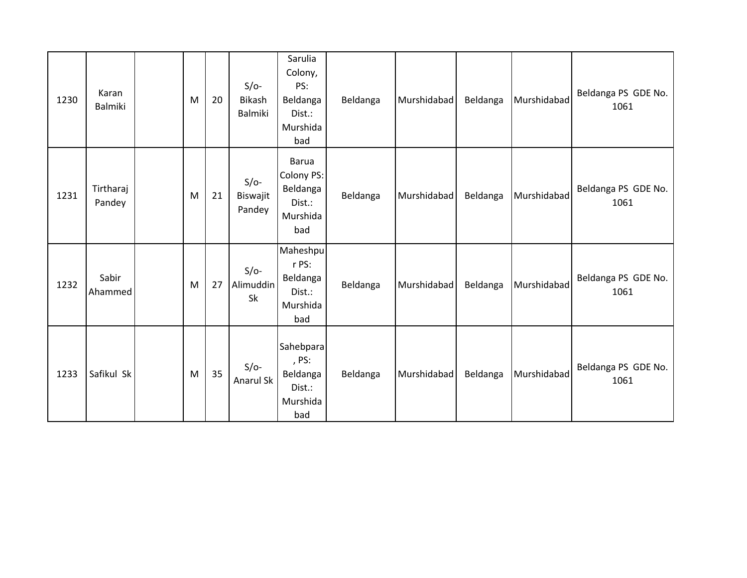| 1230 | Karan<br><b>Balmiki</b> | M | 20 | $S/O-$<br><b>Bikash</b><br><b>Balmiki</b> | Sarulia<br>Colony,<br>PS:<br>Beldanga<br>Dist.:<br>Murshida<br>bad  | Beldanga | Murshidabad | Beldanga | Murshidabad | Beldanga PS GDE No.<br>1061 |
|------|-------------------------|---|----|-------------------------------------------|---------------------------------------------------------------------|----------|-------------|----------|-------------|-----------------------------|
| 1231 | Tirtharaj<br>Pandey     | M | 21 | $S/O-$<br>Biswajit<br>Pandey              | <b>Barua</b><br>Colony PS:<br>Beldanga<br>Dist.:<br>Murshida<br>bad | Beldanga | Murshidabad | Beldanga | Murshidabad | Beldanga PS GDE No.<br>1061 |
| 1232 | Sabir<br>Ahammed        | M | 27 | $S/O-$<br>Alimuddin<br>Sk                 | Maheshpu<br>r PS:<br>Beldanga<br>Dist.:<br>Murshida<br>bad          | Beldanga | Murshidabad | Beldanga | Murshidabad | Beldanga PS GDE No.<br>1061 |
| 1233 | Safikul Sk              | M | 35 | $S/O-$<br>Anarul Sk                       | Sahebpara<br>, PS:<br>Beldanga<br>Dist.:<br>Murshida<br>bad         | Beldanga | Murshidabad | Beldanga | Murshidabad | Beldanga PS GDE No.<br>1061 |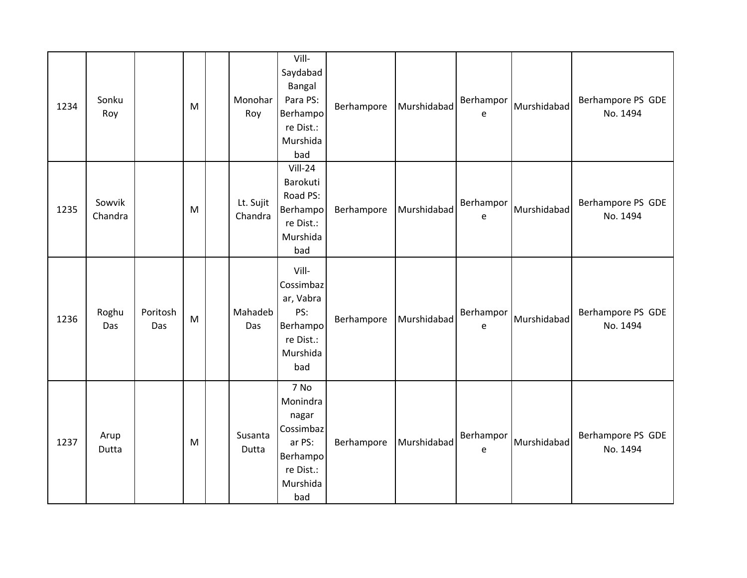| 1234 | Sonku<br>Roy      |                 | M | Monohar<br>Roy       | Vill-<br>Saydabad<br>Bangal<br>Para PS:<br>Berhampo<br>re Dist.:<br>Murshida<br>bad          | Berhampore | Murshidabad | Berhampor<br>e | Murshidabad | Berhampore PS GDE<br>No. 1494 |
|------|-------------------|-----------------|---|----------------------|----------------------------------------------------------------------------------------------|------------|-------------|----------------|-------------|-------------------------------|
| 1235 | Sowvik<br>Chandra |                 | M | Lt. Sujit<br>Chandra | Vill-24<br>Barokuti<br>Road PS:<br>Berhampo<br>re Dist.:<br>Murshida<br>bad                  | Berhampore | Murshidabad | Berhampor<br>e | Murshidabad | Berhampore PS GDE<br>No. 1494 |
| 1236 | Roghu<br>Das      | Poritosh<br>Das | M | Mahadeb<br>Das       | Vill-<br>Cossimbaz<br>ar, Vabra<br>PS:<br>Berhampo<br>re Dist.:<br>Murshida<br>bad           | Berhampore | Murshidabad | Berhampor<br>e | Murshidabad | Berhampore PS GDE<br>No. 1494 |
| 1237 | Arup<br>Dutta     |                 | M | Susanta<br>Dutta     | 7 No<br>Monindra<br>nagar<br>Cossimbaz<br>ar PS:<br>Berhampo<br>re Dist.:<br>Murshida<br>bad | Berhampore | Murshidabad | Berhampor<br>e | Murshidabad | Berhampore PS GDE<br>No. 1494 |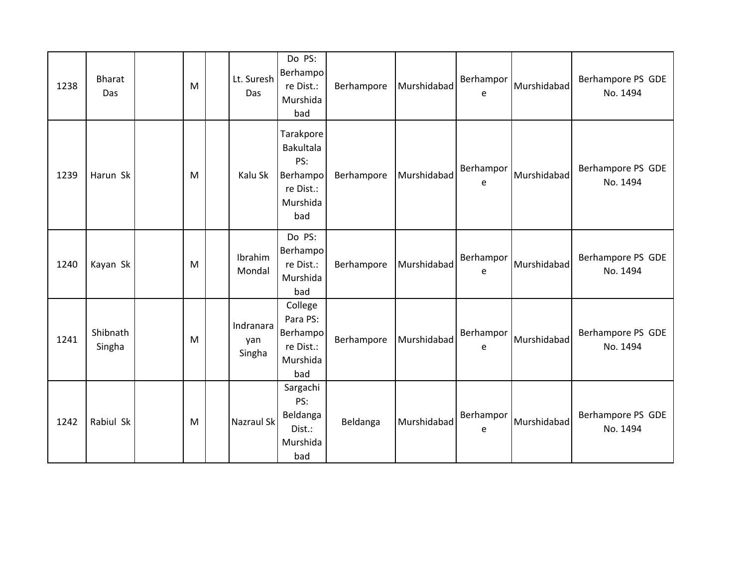| 1238 | <b>Bharat</b><br>Das | M | Lt. Suresh<br>Das          | Do PS:<br>Berhampo<br>re Dist.:<br>Murshida<br>bad                               | Berhampore | Murshidabad | Berhampor<br>e | Murshidabad | Berhampore PS GDE<br>No. 1494 |
|------|----------------------|---|----------------------------|----------------------------------------------------------------------------------|------------|-------------|----------------|-------------|-------------------------------|
| 1239 | Harun Sk             | M | Kalu Sk                    | Tarakpore<br><b>Bakultala</b><br>PS:<br>Berhampo<br>re Dist.:<br>Murshida<br>bad | Berhampore | Murshidabad | Berhampor<br>e | Murshidabad | Berhampore PS GDE<br>No. 1494 |
| 1240 | Kayan Sk             | M | Ibrahim<br>Mondal          | Do PS:<br>Berhampo<br>re Dist.:<br>Murshida<br>bad                               | Berhampore | Murshidabad | Berhampor<br>e | Murshidabad | Berhampore PS GDE<br>No. 1494 |
| 1241 | Shibnath<br>Singha   | M | Indranara<br>yan<br>Singha | College<br>Para PS:<br>Berhampo<br>re Dist.:<br>Murshida<br>bad                  | Berhampore | Murshidabad | Berhampor<br>e | Murshidabad | Berhampore PS GDE<br>No. 1494 |
| 1242 | Rabiul Sk            | M | Nazraul Sk                 | Sargachi<br>PS:<br>Beldanga<br>Dist.:<br>Murshida<br>bad                         | Beldanga   | Murshidabad | Berhampor<br>e | Murshidabad | Berhampore PS GDE<br>No. 1494 |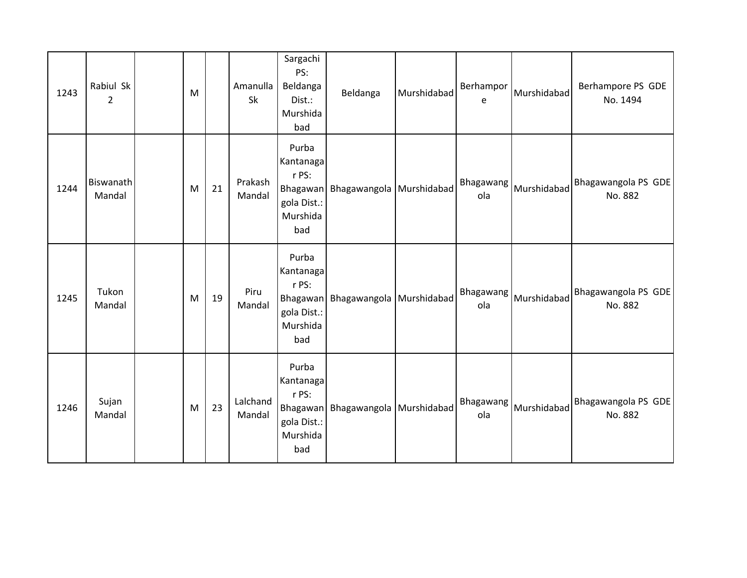| 1243 | Rabiul Sk<br>$\overline{2}$ | M |    | Amanulla<br>Sk     | Sargachi<br>PS:<br>Beldanga<br>Dist.:<br>Murshida<br>bad                  | Beldanga                 | Murshidabad | Berhampor<br>e   | Murshidabad | Berhampore PS GDE<br>No. 1494  |
|------|-----------------------------|---|----|--------------------|---------------------------------------------------------------------------|--------------------------|-------------|------------------|-------------|--------------------------------|
| 1244 | Biswanath<br>Mandal         | M | 21 | Prakash<br>Mandal  | Purba<br>Kantanaga<br>r PS:<br>Bhagawan<br>gola Dist.:<br>Murshida<br>bad | Bhagawangola Murshidabad |             | Bhagawang<br>ola | Murshidabad | Bhagawangola PS GDE<br>No. 882 |
| 1245 | Tukon<br>Mandal             | M | 19 | Piru<br>Mandal     | Purba<br>Kantanaga<br>r PS:<br>Bhagawan<br>gola Dist.:<br>Murshida<br>bad | Bhagawangola Murshidabad |             | Bhagawang<br>ola | Murshidabad | Bhagawangola PS GDE<br>No. 882 |
| 1246 | Sujan<br>Mandal             | M | 23 | Lalchand<br>Mandal | Purba<br>Kantanaga<br>r PS:<br>Bhagawan<br>gola Dist.:<br>Murshida<br>bad | Bhagawangola Murshidabad |             | Bhagawang<br>ola | Murshidabad | Bhagawangola PS GDE<br>No. 882 |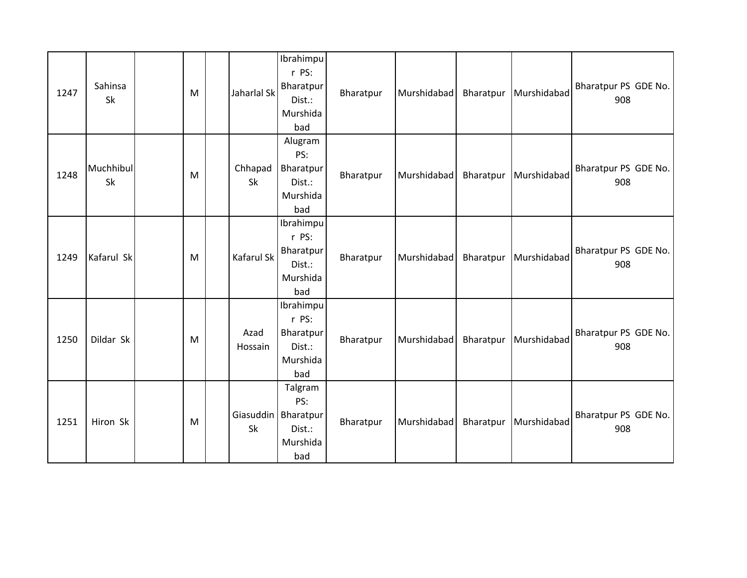| 1247 | Sahinsa<br>Sk   | M | Jaharlal Sk     | Ibrahimpu<br>r PS:<br>Bharatpur<br>Dist.:<br>Murshida<br>bad         | Bharatpur | Murshidabad | Bharatpur | Murshidabad | Bharatpur PS GDE No.<br>908 |
|------|-----------------|---|-----------------|----------------------------------------------------------------------|-----------|-------------|-----------|-------------|-----------------------------|
| 1248 | Muchhibul<br>Sk | M | Chhapad<br>Sk   | Alugram<br>PS:<br>Bharatpur<br>Dist.:<br>Murshida<br>bad             | Bharatpur | Murshidabad | Bharatpur | Murshidabad | Bharatpur PS GDE No.<br>908 |
| 1249 | Kafarul Sk      | M | Kafarul Sk      | Ibrahimpu<br>r PS:<br>Bharatpur<br>Dist.:<br>Murshida<br>bad         | Bharatpur | Murshidabad | Bharatpur | Murshidabad | Bharatpur PS GDE No.<br>908 |
| 1250 | Dildar Sk       | M | Azad<br>Hossain | Ibrahimpu<br>r PS:<br>Bharatpur<br>Dist.:<br>Murshida<br>bad         | Bharatpur | Murshidabad | Bharatpur | Murshidabad | Bharatpur PS GDE No.<br>908 |
| 1251 | Hiron Sk        | M | Sk              | Talgram<br>PS:<br>Giasuddin   Bharatpur<br>Dist.:<br>Murshida<br>bad | Bharatpur | Murshidabad | Bharatpur | Murshidabad | Bharatpur PS GDE No.<br>908 |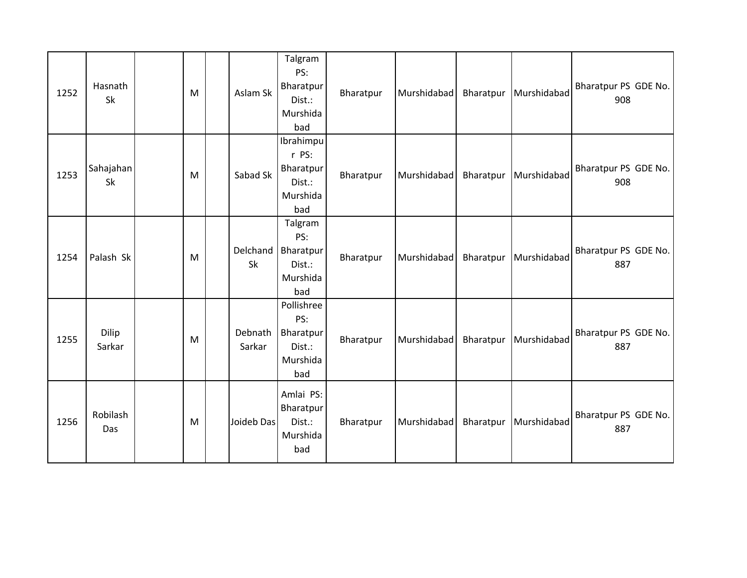| 1252 | Hasnath<br>Sk   | M | Aslam Sk          | Talgram<br>PS:<br>Bharatpur<br>Dist.:<br>Murshida<br>bad     | Bharatpur | Murshidabad | Bharatpur | Murshidabad | Bharatpur PS GDE No.<br>908 |
|------|-----------------|---|-------------------|--------------------------------------------------------------|-----------|-------------|-----------|-------------|-----------------------------|
| 1253 | Sahajahan<br>Sk | M | Sabad Sk          | Ibrahimpu<br>r PS:<br>Bharatpur<br>Dist.:<br>Murshida<br>bad | Bharatpur | Murshidabad | Bharatpur | Murshidabad | Bharatpur PS GDE No.<br>908 |
| 1254 | Palash Sk       | M | Delchand<br>Sk    | Talgram<br>PS:<br>Bharatpur<br>Dist.:<br>Murshida<br>bad     | Bharatpur | Murshidabad | Bharatpur | Murshidabad | Bharatpur PS GDE No.<br>887 |
| 1255 | Dilip<br>Sarkar | M | Debnath<br>Sarkar | Pollishree<br>PS:<br>Bharatpur<br>Dist.:<br>Murshida<br>bad  | Bharatpur | Murshidabad | Bharatpur | Murshidabad | Bharatpur PS GDE No.<br>887 |
| 1256 | Robilash<br>Das | M | Joideb Das        | Amlai PS:<br>Bharatpur<br>Dist.:<br>Murshida<br>bad          | Bharatpur | Murshidabad | Bharatpur | Murshidabad | Bharatpur PS GDE No.<br>887 |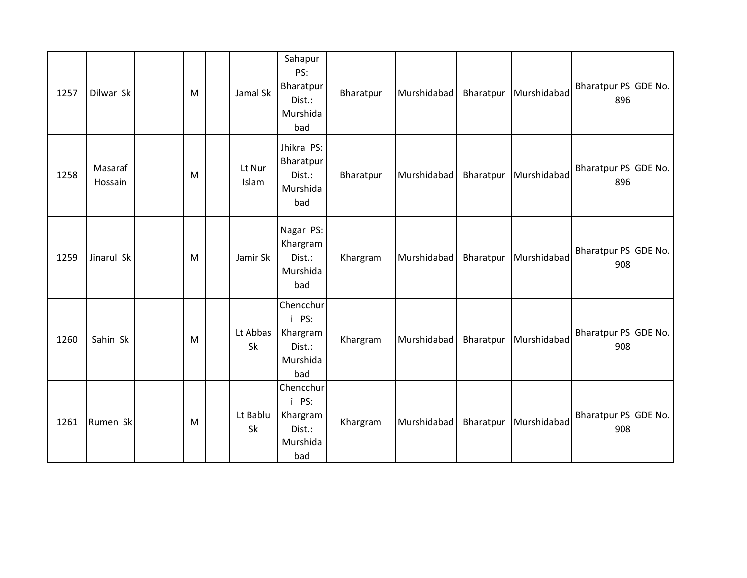| 1257 | Dilwar Sk          | M | Jamal Sk        | Sahapur<br>PS:<br>Bharatpur<br>Dist.:<br>Murshida<br>bad    | Bharatpur | Murshidabad | Bharatpur | Murshidabad | Bharatpur PS GDE No.<br>896 |
|------|--------------------|---|-----------------|-------------------------------------------------------------|-----------|-------------|-----------|-------------|-----------------------------|
| 1258 | Masaraf<br>Hossain | M | Lt Nur<br>Islam | Jhikra PS:<br>Bharatpur<br>Dist.:<br>Murshida<br>bad        | Bharatpur | Murshidabad | Bharatpur | Murshidabad | Bharatpur PS GDE No.<br>896 |
| 1259 | Jinarul Sk         | M | Jamir Sk        | Nagar PS:<br>Khargram<br>Dist.:<br>Murshida<br>bad          | Khargram  | Murshidabad | Bharatpur | Murshidabad | Bharatpur PS GDE No.<br>908 |
| 1260 | Sahin Sk           | M | Lt Abbas<br>Sk  | Chencchur<br>i PS:<br>Khargram<br>Dist.:<br>Murshida<br>bad | Khargram  | Murshidabad | Bharatpur | Murshidabad | Bharatpur PS GDE No.<br>908 |
| 1261 | Rumen Sk           | M | Lt Bablu<br>Sk  | Chencchur<br>i PS:<br>Khargram<br>Dist.:<br>Murshida<br>bad | Khargram  | Murshidabad | Bharatpur | Murshidabad | Bharatpur PS GDE No.<br>908 |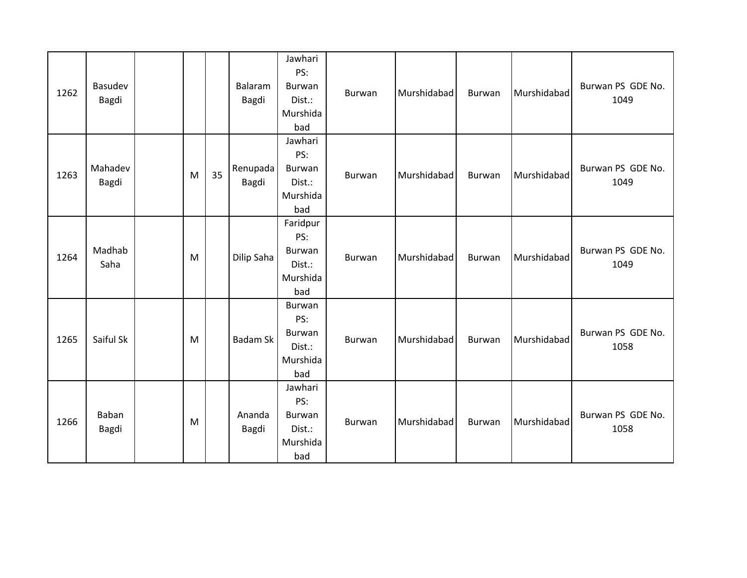| 1262 | Basudev<br>Bagdi |   |    | Balaram<br>Bagdi  | Jawhari<br>PS:<br>Burwan<br>Dist.:<br>Murshida<br>bad        | Burwan        | Murshidabad | Burwan | Murshidabad | Burwan PS GDE No.<br>1049 |
|------|------------------|---|----|-------------------|--------------------------------------------------------------|---------------|-------------|--------|-------------|---------------------------|
| 1263 | Mahadev<br>Bagdi | M | 35 | Renupada<br>Bagdi | Jawhari<br>PS:<br><b>Burwan</b><br>Dist.:<br>Murshida<br>bad | Burwan        | Murshidabad | Burwan | Murshidabad | Burwan PS GDE No.<br>1049 |
| 1264 | Madhab<br>Saha   | M |    | Dilip Saha        | Faridpur<br>PS:<br>Burwan<br>Dist.:<br>Murshida<br>bad       | Burwan        | Murshidabad | Burwan | Murshidabad | Burwan PS GDE No.<br>1049 |
| 1265 | Saiful Sk        | M |    | <b>Badam Sk</b>   | Burwan<br>PS:<br>Burwan<br>Dist.:<br>Murshida<br>bad         | <b>Burwan</b> | Murshidabad | Burwan | Murshidabad | Burwan PS GDE No.<br>1058 |
| 1266 | Baban<br>Bagdi   | M |    | Ananda<br>Bagdi   | Jawhari<br>PS:<br>Burwan<br>Dist.:<br>Murshida<br>bad        | Burwan        | Murshidabad | Burwan | Murshidabad | Burwan PS GDE No.<br>1058 |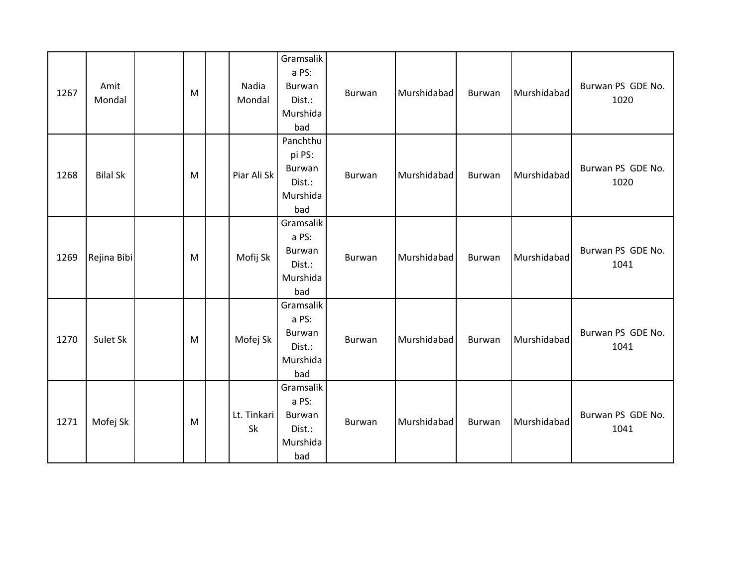| 1267 | Amit<br>Mondal  | M | Nadia<br>Mondal   | Gramsalik<br>a PS:<br><b>Burwan</b><br>Dist.:<br>Murshida<br>bad | Burwan        | Murshidabad | Burwan | Murshidabad | Burwan PS GDE No.<br>1020 |
|------|-----------------|---|-------------------|------------------------------------------------------------------|---------------|-------------|--------|-------------|---------------------------|
| 1268 | <b>Bilal Sk</b> | M | Piar Ali Sk       | Panchthu<br>pi PS:<br>Burwan<br>Dist.:<br>Murshida<br>bad        | Burwan        | Murshidabad | Burwan | Murshidabad | Burwan PS GDE No.<br>1020 |
| 1269 | Rejina Bibi     | M | Mofij Sk          | Gramsalik<br>a PS:<br>Burwan<br>Dist.:<br>Murshida<br>bad        | Burwan        | Murshidabad | Burwan | Murshidabad | Burwan PS GDE No.<br>1041 |
| 1270 | Sulet Sk        | M | Mofej Sk          | Gramsalik<br>a PS:<br>Burwan<br>Dist.:<br>Murshida<br>bad        | <b>Burwan</b> | Murshidabad | Burwan | Murshidabad | Burwan PS GDE No.<br>1041 |
| 1271 | Mofej Sk        | M | Lt. Tinkari<br>Sk | Gramsalik<br>a PS:<br><b>Burwan</b><br>Dist.:<br>Murshida<br>bad | <b>Burwan</b> | Murshidabad | Burwan | Murshidabad | Burwan PS GDE No.<br>1041 |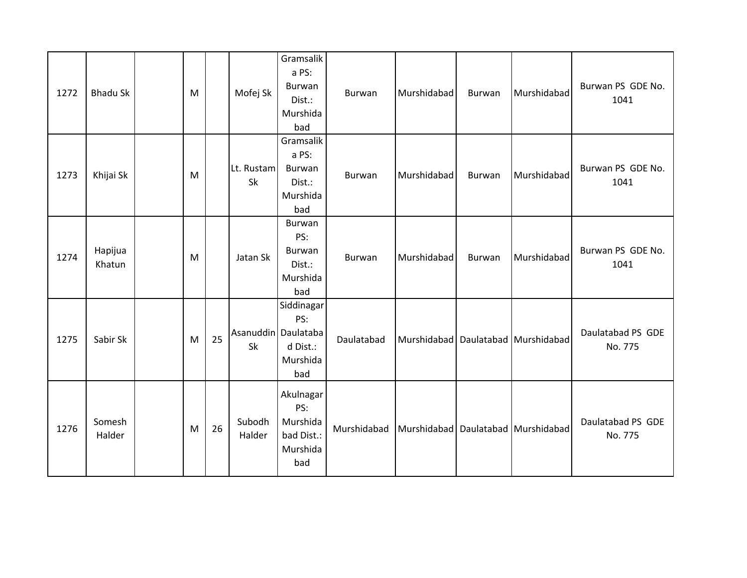| 1272 | <b>Bhadu Sk</b>   | M |    | Mofej Sk         | Gramsalik<br>a PS:<br>Burwan<br>Dist.:<br>Murshida<br>bad               | Burwan        | Murshidabad | <b>Burwan</b> | Murshidabad                            | Burwan PS GDE No.<br>1041    |
|------|-------------------|---|----|------------------|-------------------------------------------------------------------------|---------------|-------------|---------------|----------------------------------------|------------------------------|
| 1273 | Khijai Sk         | M |    | Lt. Rustam<br>Sk | Gramsalik<br>a PS:<br>Burwan<br>Dist.:<br>Murshida<br>bad               | <b>Burwan</b> | Murshidabad | Burwan        | Murshidabad                            | Burwan PS GDE No.<br>1041    |
| 1274 | Hapijua<br>Khatun | M |    | Jatan Sk         | Burwan<br>PS:<br>Burwan<br>Dist.:<br>Murshida<br>bad                    | <b>Burwan</b> | Murshidabad | Burwan        | Murshidabad                            | Burwan PS GDE No.<br>1041    |
| 1275 | Sabir Sk          | M | 25 | Sk               | Siddinagar<br>PS:<br>Asanuddin Daulataba<br>d Dist.:<br>Murshida<br>bad | Daulatabad    |             |               | Murshidabad   Daulatabad   Murshidabad | Daulatabad PS GDE<br>No. 775 |
| 1276 | Somesh<br>Halder  | M | 26 | Subodh<br>Halder | Akulnagar<br>PS:<br>Murshida<br>bad Dist.:<br>Murshida<br>bad           | Murshidabad   |             |               | Murshidabad   Daulatabad   Murshidabad | Daulatabad PS GDE<br>No. 775 |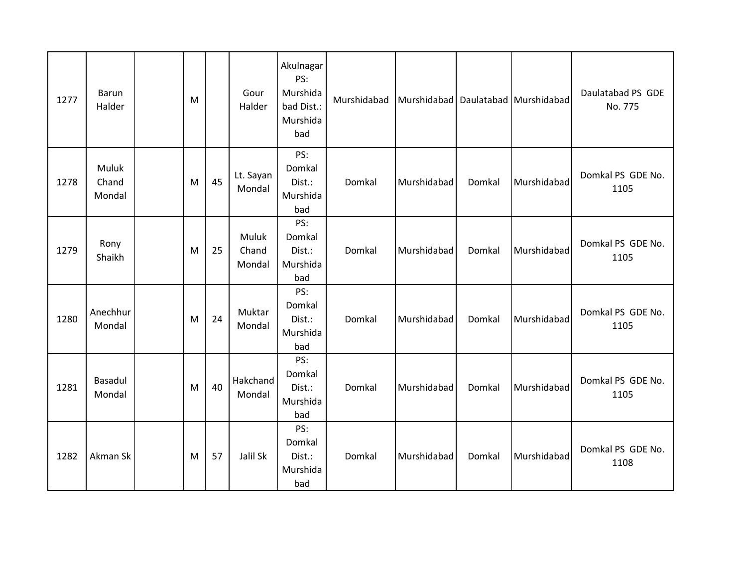| 1277 | Barun<br>Halder          | M |    | Gour<br>Halder           | Akulnagar<br>PS:<br>Murshida<br>bad Dist.:<br>Murshida<br>bad | Murshidabad | Murshidabad |        | Daulatabad Murshidabad | Daulatabad PS GDE<br>No. 775 |
|------|--------------------------|---|----|--------------------------|---------------------------------------------------------------|-------------|-------------|--------|------------------------|------------------------------|
| 1278 | Muluk<br>Chand<br>Mondal | M | 45 | Lt. Sayan<br>Mondal      | PS:<br>Domkal<br>Dist.:<br>Murshida<br>bad                    | Domkal      | Murshidabad | Domkal | Murshidabad            | Domkal PS GDE No.<br>1105    |
| 1279 | Rony<br>Shaikh           | M | 25 | Muluk<br>Chand<br>Mondal | PS:<br>Domkal<br>Dist.:<br>Murshida<br>bad                    | Domkal      | Murshidabad | Domkal | Murshidabad            | Domkal PS GDE No.<br>1105    |
| 1280 | Anechhur<br>Mondal       | M | 24 | Muktar<br>Mondal         | PS:<br>Domkal<br>Dist.:<br>Murshida<br>bad                    | Domkal      | Murshidabad | Domkal | Murshidabad            | Domkal PS GDE No.<br>1105    |
| 1281 | Basadul<br>Mondal        | M | 40 | Hakchand<br>Mondal       | PS:<br>Domkal<br>Dist.:<br>Murshida<br>bad                    | Domkal      | Murshidabad | Domkal | Murshidabad            | Domkal PS GDE No.<br>1105    |
| 1282 | Akman Sk                 | M | 57 | Jalil Sk                 | PS:<br>Domkal<br>Dist.:<br>Murshida<br>bad                    | Domkal      | Murshidabad | Domkal | Murshidabad            | Domkal PS GDE No.<br>1108    |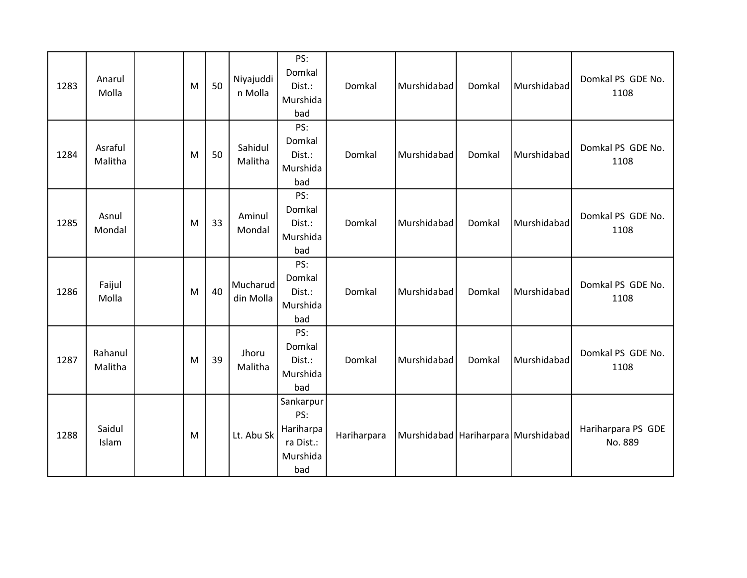| 1283 | Anarul<br>Molla    | M | 50 | Niyajuddi<br>n Molla  | PS:<br>Domkal<br>Dist.:<br>Murshida<br>bad                    | Domkal      | Murshidabad                         | Domkal | Murshidabad | Domkal PS GDE No.<br>1108     |
|------|--------------------|---|----|-----------------------|---------------------------------------------------------------|-------------|-------------------------------------|--------|-------------|-------------------------------|
| 1284 | Asraful<br>Malitha | M | 50 | Sahidul<br>Malitha    | PS:<br>Domkal<br>Dist.:<br>Murshida<br>bad                    | Domkal      | Murshidabad                         | Domkal | Murshidabad | Domkal PS GDE No.<br>1108     |
| 1285 | Asnul<br>Mondal    | M | 33 | Aminul<br>Mondal      | PS:<br>Domkal<br>Dist.:<br>Murshida<br>bad                    | Domkal      | Murshidabad                         | Domkal | Murshidabad | Domkal PS GDE No.<br>1108     |
| 1286 | Faijul<br>Molla    | M | 40 | Mucharud<br>din Molla | PS:<br>Domkal<br>Dist.:<br>Murshida<br>bad                    | Domkal      | Murshidabad                         | Domkal | Murshidabad | Domkal PS GDE No.<br>1108     |
| 1287 | Rahanul<br>Malitha | M | 39 | Jhoru<br>Malitha      | PS:<br>Domkal<br>Dist.:<br>Murshida<br>bad                    | Domkal      | Murshidabad                         | Domkal | Murshidabad | Domkal PS GDE No.<br>1108     |
| 1288 | Saidul<br>Islam    | M |    | Lt. Abu Sk            | Sankarpur<br>PS:<br>Hariharpa<br>ra Dist.:<br>Murshida<br>bad | Hariharpara | Murshidabad Hariharpara Murshidabad |        |             | Hariharpara PS GDE<br>No. 889 |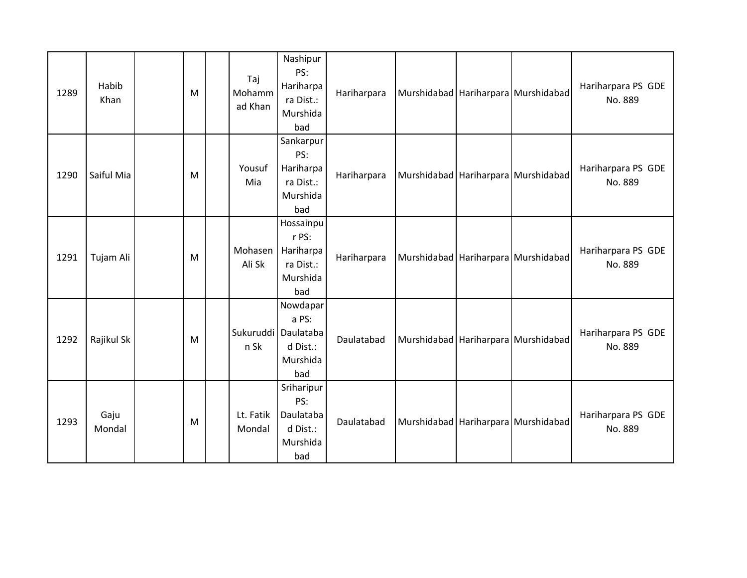| 1289 | Habib<br>Khan  | M | Taj<br>Mohamm<br>ad Khan    | Nashipur<br>PS:<br>Hariharpa<br>ra Dist.:<br>Murshida<br>bad    | Hariharpara |                                         | Murshidabad Hariharpara Murshidabad     | Hariharpara PS GDE<br>No. 889 |
|------|----------------|---|-----------------------------|-----------------------------------------------------------------|-------------|-----------------------------------------|-----------------------------------------|-------------------------------|
| 1290 | Saiful Mia     | M | Yousuf<br>Mia               | Sankarpur<br>PS:<br>Hariharpa<br>ra Dist.:<br>Murshida<br>bad   | Hariharpara | Murshidabad Hariharpara Murshidabad     |                                         | Hariharpara PS GDE<br>No. 889 |
| 1291 | Tujam Ali      | M | Mohasen<br>Ali Sk           | Hossainpu<br>r PS:<br>Hariharpa<br>ra Dist.:<br>Murshida<br>bad | Hariharpara | Murshidabad   Hariharpara   Murshidabad |                                         | Hariharpara PS GDE<br>No. 889 |
| 1292 | Rajikul Sk     | M | Sukuruddi Daulataba<br>n Sk | Nowdapar<br>a PS:<br>d Dist.:<br>Murshida<br>bad                | Daulatabad  |                                         | Murshidabad Hariharpara Murshidabad     | Hariharpara PS GDE<br>No. 889 |
| 1293 | Gaju<br>Mondal | M | Lt. Fatik<br>Mondal         | Sriharipur<br>PS:<br>Daulataba<br>d Dist.:<br>Murshida<br>bad   | Daulatabad  |                                         | Murshidabad   Hariharpara   Murshidabad | Hariharpara PS GDE<br>No. 889 |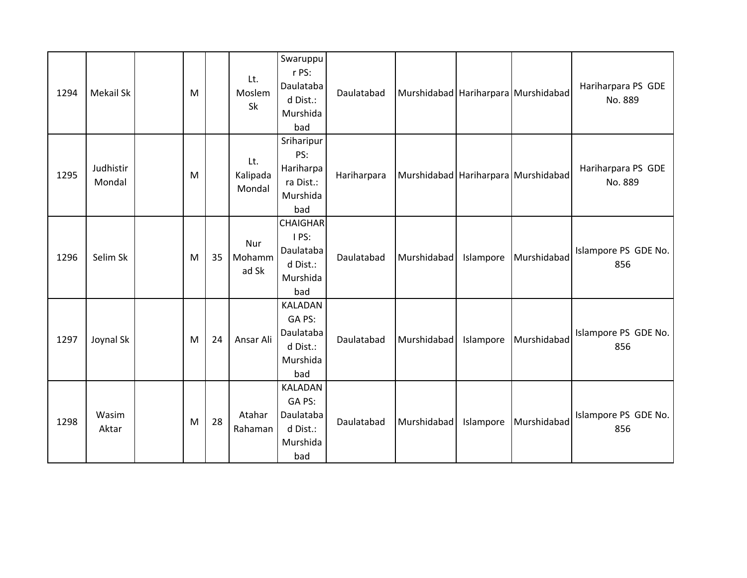| 1294 | Mekail Sk           | M |    | Lt.<br>Moslem<br>Sk       | Swaruppu<br>r PS:<br>Daulataba<br>d Dist.:<br>Murshida<br>bad        | Daulatabad  |             |           | Murshidabad   Hariharpara   Murshidabad | Hariharpara PS GDE<br>No. 889 |
|------|---------------------|---|----|---------------------------|----------------------------------------------------------------------|-------------|-------------|-----------|-----------------------------------------|-------------------------------|
| 1295 | Judhistir<br>Mondal | M |    | Lt.<br>Kalipada<br>Mondal | Sriharipur<br>PS:<br>Hariharpa<br>ra Dist.:<br>Murshida<br>bad       | Hariharpara |             |           | Murshidabad Hariharpara Murshidabad     | Hariharpara PS GDE<br>No. 889 |
| 1296 | Selim Sk            | M | 35 | Nur<br>Mohamm<br>ad Sk    | <b>CHAIGHAR</b><br>I PS:<br>Daulataba<br>d Dist.:<br>Murshida<br>bad | Daulatabad  | Murshidabad | Islampore | Murshidabad                             | Islampore PS GDE No.<br>856   |
| 1297 | Joynal Sk           | M | 24 | Ansar Ali                 | <b>KALADAN</b><br>GA PS:<br>Daulataba<br>d Dist.:<br>Murshida<br>bad | Daulatabad  | Murshidabad | Islampore | Murshidabad                             | Islampore PS GDE No.<br>856   |
| 1298 | Wasim<br>Aktar      | M | 28 | Atahar<br>Rahaman         | <b>KALADAN</b><br>GA PS:<br>Daulataba<br>d Dist.:<br>Murshida<br>bad | Daulatabad  | Murshidabad | Islampore | Murshidabad                             | Islampore PS GDE No.<br>856   |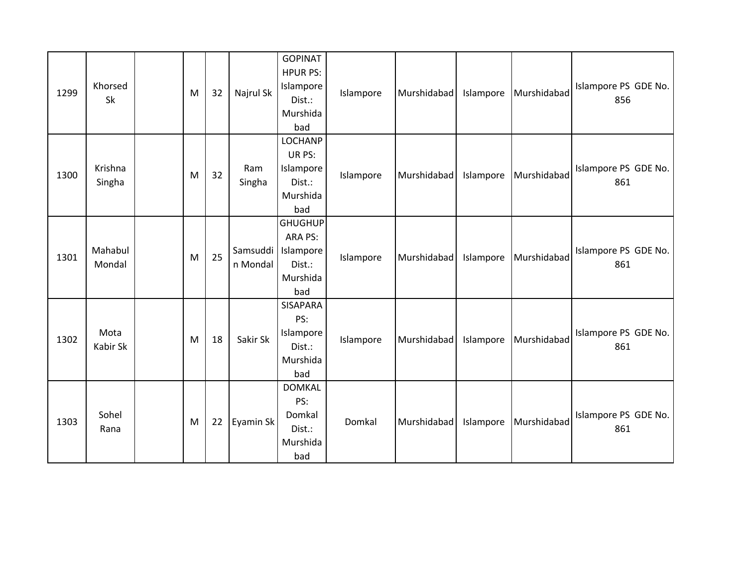| 1299 | Khorsed<br>Sk     | M | 32 | Najrul Sk            | <b>GOPINAT</b><br><b>HPUR PS:</b><br>Islampore<br>Dist.:<br>Murshida<br>bad | Islampore | Murshidabad | Islampore | Murshidabad | Islampore PS GDE No.<br>856 |
|------|-------------------|---|----|----------------------|-----------------------------------------------------------------------------|-----------|-------------|-----------|-------------|-----------------------------|
| 1300 | Krishna<br>Singha | M | 32 | Ram<br>Singha        | <b>LOCHANP</b><br>UR PS:<br>Islampore<br>Dist.:<br>Murshida<br>bad          | Islampore | Murshidabad | Islampore | Murshidabad | Islampore PS GDE No.<br>861 |
| 1301 | Mahabul<br>Mondal | M | 25 | Samsuddi<br>n Mondal | <b>GHUGHUP</b><br>ARA PS:<br>Islampore<br>Dist.:<br>Murshida<br>bad         | Islampore | Murshidabad | Islampore | Murshidabad | Islampore PS GDE No.<br>861 |
| 1302 | Mota<br>Kabir Sk  | M | 18 | Sakir Sk             | <b>SISAPARA</b><br>PS:<br>Islampore<br>Dist.:<br>Murshida<br>bad            | Islampore | Murshidabad | Islampore | Murshidabad | Islampore PS GDE No.<br>861 |
| 1303 | Sohel<br>Rana     | M | 22 | Eyamin Sk            | <b>DOMKAL</b><br>PS:<br>Domkal<br>Dist.:<br>Murshida<br>bad                 | Domkal    | Murshidabad | Islampore | Murshidabad | Islampore PS GDE No.<br>861 |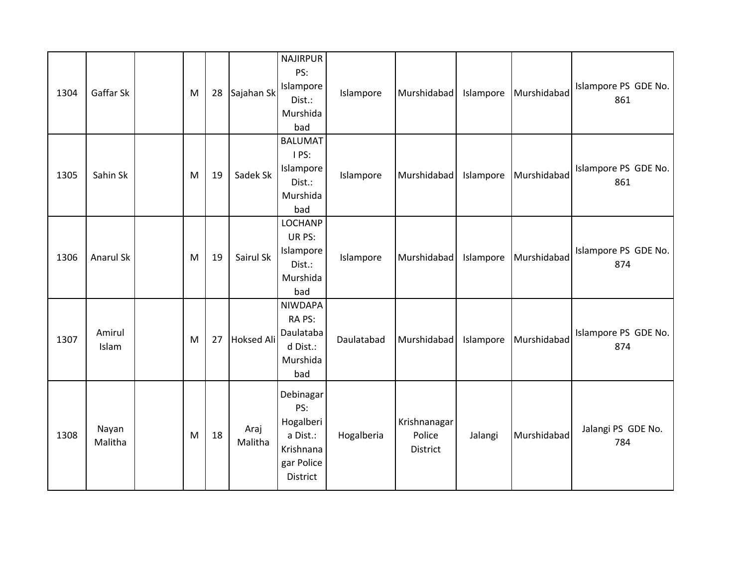| 1304 | Gaffar Sk        | M | 28 | Sajahan Sk        | <b>NAJIRPUR</b><br>PS:<br>Islampore<br>Dist.:<br>Murshida<br>bad                 | Islampore  | Murshidabad                        | Islampore | Murshidabad | Islampore PS GDE No.<br>861 |
|------|------------------|---|----|-------------------|----------------------------------------------------------------------------------|------------|------------------------------------|-----------|-------------|-----------------------------|
| 1305 | Sahin Sk         | M | 19 | Sadek Sk          | <b>BALUMAT</b><br>I PS:<br>Islampore<br>Dist.:<br>Murshida<br>bad                | Islampore  | Murshidabad                        | Islampore | Murshidabad | Islampore PS GDE No.<br>861 |
| 1306 | Anarul Sk        | M | 19 | Sairul Sk         | <b>LOCHANP</b><br>UR PS:<br>Islampore<br>Dist.:<br>Murshida<br>bad               | Islampore  | Murshidabad                        | Islampore | Murshidabad | Islampore PS GDE No.<br>874 |
| 1307 | Amirul<br>Islam  | M | 27 | <b>Hoksed Ali</b> | <b>NIWDAPA</b><br>RA PS:<br>Daulataba<br>d Dist.:<br>Murshida<br>bad             | Daulatabad | Murshidabad                        | Islampore | Murshidabad | Islampore PS GDE No.<br>874 |
| 1308 | Nayan<br>Malitha | M | 18 | Araj<br>Malitha   | Debinagar<br>PS:<br>Hogalberi<br>a Dist.:<br>Krishnana<br>gar Police<br>District | Hogalberia | Krishnanagar<br>Police<br>District | Jalangi   | Murshidabad | Jalangi PS GDE No.<br>784   |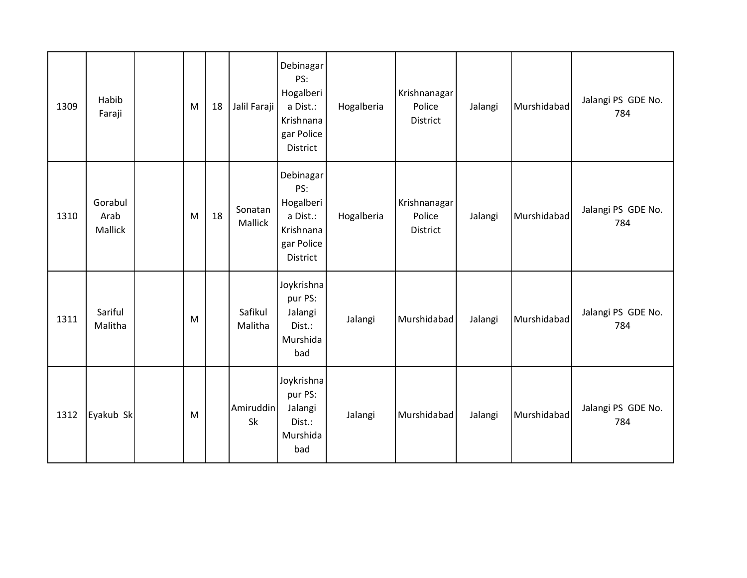| 1309 | Habib<br>Faraji            | M | 18 | Jalil Faraji       | Debinagar<br>PS:<br>Hogalberi<br>a Dist.:<br>Krishnana<br>gar Police<br>District        | Hogalberia | Krishnanagar<br>Police<br>District | Jalangi | Murshidabad | Jalangi PS GDE No.<br>784 |
|------|----------------------------|---|----|--------------------|-----------------------------------------------------------------------------------------|------------|------------------------------------|---------|-------------|---------------------------|
| 1310 | Gorabul<br>Arab<br>Mallick | M | 18 | Sonatan<br>Mallick | Debinagar<br>PS:<br>Hogalberi<br>a Dist.:<br>Krishnana<br>gar Police<br><b>District</b> | Hogalberia | Krishnanagar<br>Police<br>District | Jalangi | Murshidabad | Jalangi PS GDE No.<br>784 |
| 1311 | Sariful<br>Malitha         | M |    | Safikul<br>Malitha | Joykrishna<br>pur PS:<br>Jalangi<br>Dist.:<br>Murshida<br>bad                           | Jalangi    | Murshidabad                        | Jalangi | Murshidabad | Jalangi PS GDE No.<br>784 |
| 1312 | Eyakub Sk                  | M |    | Amiruddin<br>Sk    | Joykrishna<br>pur PS:<br>Jalangi<br>Dist.:<br>Murshida<br>bad                           | Jalangi    | Murshidabad                        | Jalangi | Murshidabad | Jalangi PS GDE No.<br>784 |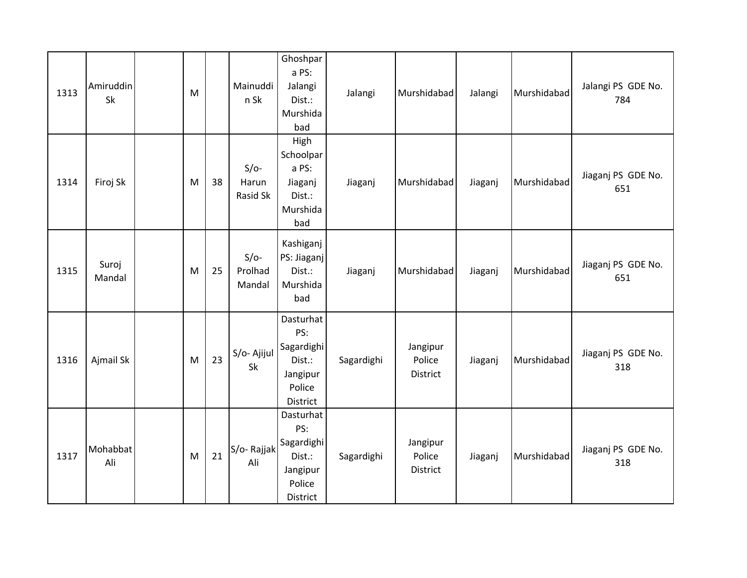| 1313 | Amiruddin<br>Sk | M |    | Mainuddi<br>n Sk            | Ghoshpar<br>a PS:<br>Jalangi<br>Dist.:<br>Murshida<br>bad                  | Jalangi    | Murshidabad                    | Jalangi | Murshidabad | Jalangi PS GDE No.<br>784 |
|------|-----------------|---|----|-----------------------------|----------------------------------------------------------------------------|------------|--------------------------------|---------|-------------|---------------------------|
| 1314 | Firoj Sk        | M | 38 | $S/O-$<br>Harun<br>Rasid Sk | High<br>Schoolpar<br>a PS:<br>Jiaganj<br>Dist.:<br>Murshida<br>bad         | Jiaganj    | Murshidabad                    | Jiaganj | Murshidabad | Jiaganj PS GDE No.<br>651 |
| 1315 | Suroj<br>Mandal | M | 25 | $S/O-$<br>Prolhad<br>Mandal | Kashiganj<br>PS: Jiaganj<br>Dist.:<br>Murshida<br>bad                      | Jiaganj    | Murshidabad                    | Jiaganj | Murshidabad | Jiaganj PS GDE No.<br>651 |
| 1316 | Ajmail Sk       | M | 23 | S/o- Ajijul<br>Sk           | Dasturhat<br>PS:<br>Sagardighi<br>Dist.:<br>Jangipur<br>Police<br>District | Sagardighi | Jangipur<br>Police<br>District | Jiaganj | Murshidabad | Jiaganj PS GDE No.<br>318 |
| 1317 | Mohabbat<br>Ali | M | 21 | S/o-Rajjak<br>Ali           | Dasturhat<br>PS:<br>Sagardighi<br>Dist.:<br>Jangipur<br>Police<br>District | Sagardighi | Jangipur<br>Police<br>District | Jiaganj | Murshidabad | Jiaganj PS GDE No.<br>318 |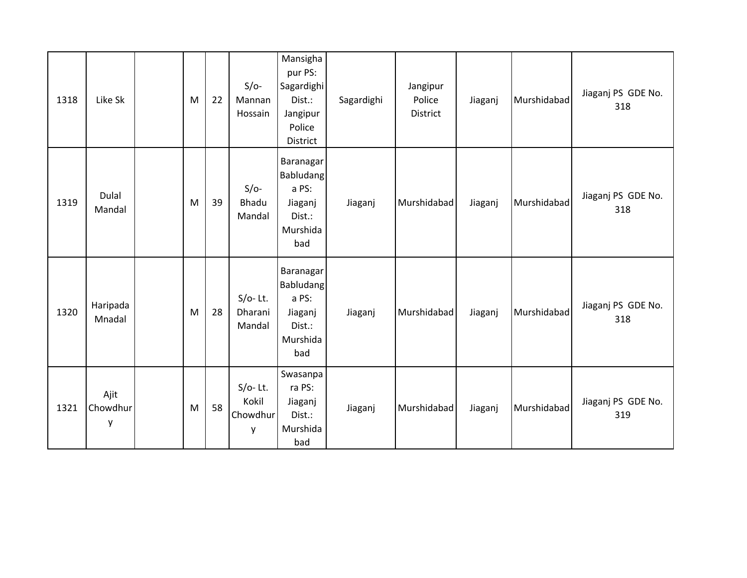| 1318 | Like Sk               | M | 22 | $S/O-$<br>Mannan<br>Hossain          | Mansigha<br>pur PS:<br>Sagardighi<br>Dist.:<br>Jangipur<br>Police<br>District  | Sagardighi | Jangipur<br>Police<br>District | Jiaganj | Murshidabad | Jiaganj PS GDE No.<br>318 |
|------|-----------------------|---|----|--------------------------------------|--------------------------------------------------------------------------------|------------|--------------------------------|---------|-------------|---------------------------|
| 1319 | Dulal<br>Mandal       | M | 39 | $S/O-$<br>Bhadu<br>Mandal            | Baranagar<br><b>Babludang</b><br>a PS:<br>Jiaganj<br>Dist.:<br>Murshida<br>bad | Jiaganj    | Murshidabad                    | Jiaganj | Murshidabad | Jiaganj PS GDE No.<br>318 |
| 1320 | Haripada<br>Mnadal    | M | 28 | $S/O-Lt.$<br>Dharani<br>Mandal       | Baranagar<br>Babludang<br>a PS:<br>Jiaganj<br>Dist.:<br>Murshida<br>bad        | Jiaganj    | Murshidabad                    | Jiaganj | Murshidabad | Jiaganj PS GDE No.<br>318 |
| 1321 | Ajit<br>Chowdhur<br>y | M | 58 | $S/O-$ Lt.<br>Kokil<br>Chowdhur<br>y | Swasanpa<br>ra PS:<br>Jiaganj<br>Dist.:<br>Murshida<br>bad                     | Jiaganj    | Murshidabad                    | Jiaganj | Murshidabad | Jiaganj PS GDE No.<br>319 |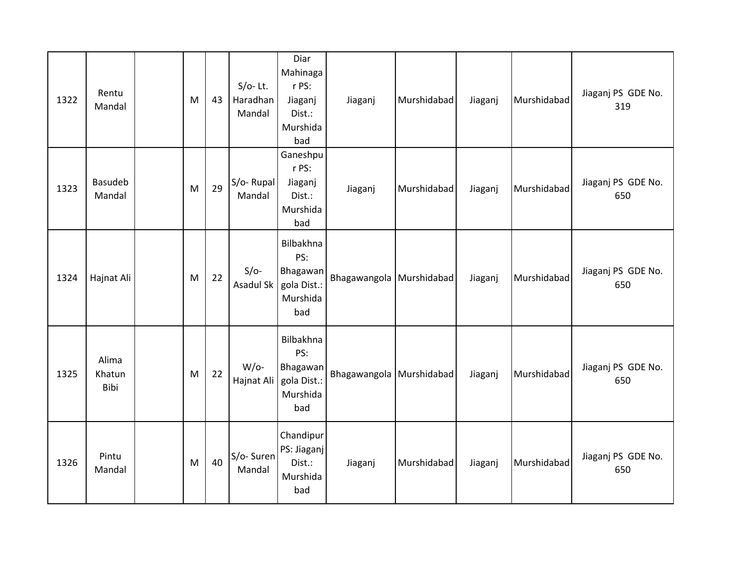| 1322 | Rentu<br>Mandal         | M | 43 | $S/O-$ Lt.<br>Haradhan<br>Mandal | Diar<br>Mahinaga<br>r PS:<br>Jiaganj<br>Dist.:<br>Murshida<br>bad | Jiaganj                  | Murshidabad | Jiaganj | Murshidabad | Jiaganj PS GDE No.<br>319 |
|------|-------------------------|---|----|----------------------------------|-------------------------------------------------------------------|--------------------------|-------------|---------|-------------|---------------------------|
| 1323 | Basudeb<br>Mandal       | M | 29 | $S/O-Rupal$<br>Mandal            | Ganeshpu<br>r PS:<br>Jiaganj<br>Dist.:<br>Murshida<br>bad         | Jiaganj                  | Murshidabad | Jiaganj | Murshidabad | Jiaganj PS GDE No.<br>650 |
| 1324 | Hajnat Ali              | M | 22 | $S/O-$<br>Asadul Sk              | Bilbakhna<br>PS:<br>Bhagawan<br>gola Dist.:<br>Murshida<br>bad    | Bhagawangola Murshidabad |             | Jiaganj | Murshidabad | Jiaganj PS GDE No.<br>650 |
| 1325 | Alima<br>Khatun<br>Bibi | M | 22 | $W$ /o-<br>Hajnat Ali            | Bilbakhna<br>PS:<br>Bhagawan<br>gola Dist.:<br>Murshida<br>bad    | Bhagawangola Murshidabad |             | Jiaganj | Murshidabad | Jiaganj PS GDE No.<br>650 |
| 1326 | Pintu<br>Mandal         | M | 40 | S/o-Suren<br>Mandal              | Chandipur<br>PS: Jiaganj<br>Dist.:<br>Murshida<br>bad             | Jiaganj                  | Murshidabad | Jiaganj | Murshidabad | Jiaganj PS GDE No.<br>650 |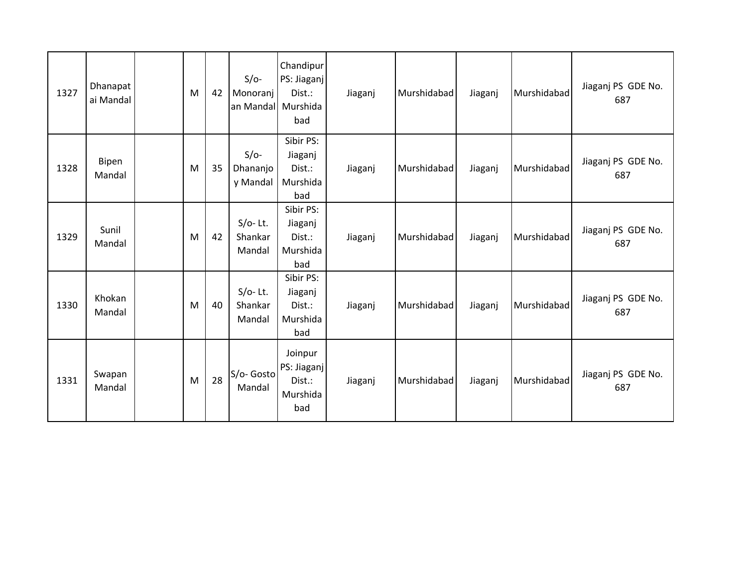| 1327 | Dhanapat<br>ai Mandal | M | 42 | $S/O-$<br>Monoranj<br>an Mandal Murshida | Chandipur<br>PS: Jiaganj<br>Dist.:<br>bad           | Jiaganj | Murshidabad | Jiaganj | Murshidabad | Jiaganj PS GDE No.<br>687 |
|------|-----------------------|---|----|------------------------------------------|-----------------------------------------------------|---------|-------------|---------|-------------|---------------------------|
| 1328 | Bipen<br>Mandal       | M | 35 | $S/O-$<br>Dhananjo<br>y Mandal           | Sibir PS:<br>Jiaganj<br>Dist.:<br>Murshida<br>bad   | Jiaganj | Murshidabad | Jiaganj | Murshidabad | Jiaganj PS GDE No.<br>687 |
| 1329 | Sunil<br>Mandal       | M | 42 | $S/O-$ Lt.<br>Shankar<br>Mandal          | Sibir PS:<br>Jiaganj<br>Dist.:<br>Murshida<br>bad   | Jiaganj | Murshidabad | Jiaganj | Murshidabad | Jiaganj PS GDE No.<br>687 |
| 1330 | Khokan<br>Mandal      | M | 40 | $S/O-$ Lt.<br>Shankar<br>Mandal          | Sibir PS:<br>Jiaganj<br>Dist.:<br>Murshida<br>bad   | Jiaganj | Murshidabad | Jiaganj | Murshidabad | Jiaganj PS GDE No.<br>687 |
| 1331 | Swapan<br>Mandal      | M | 28 | S/o- Gosto<br>Mandal                     | Joinpur<br>PS: Jiaganj<br>Dist.:<br>Murshida<br>bad | Jiaganj | Murshidabad | Jiaganj | Murshidabad | Jiaganj PS GDE No.<br>687 |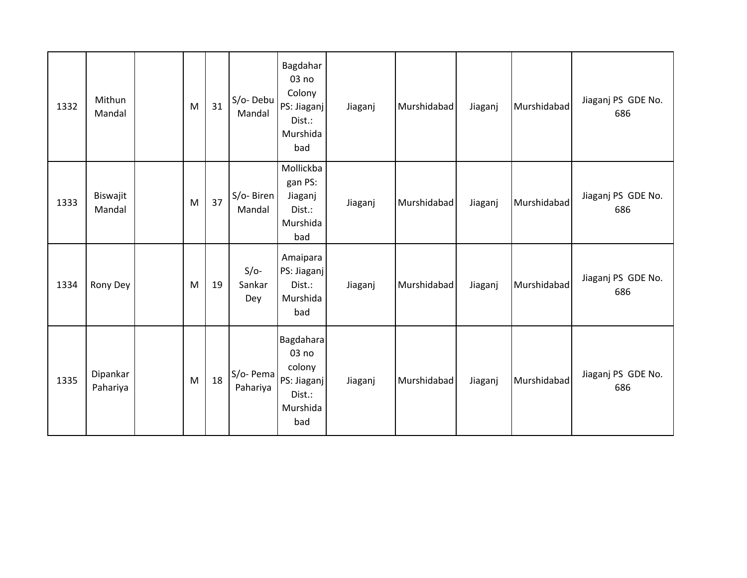| 1332 | Mithun<br>Mandal     | M | 31 | S/o-Debu<br>Mandal      | Bagdahar<br>03 no<br>Colony<br>PS: Jiaganj<br>Dist.:<br>Murshida<br>bad  | Jiaganj | Murshidabad | Jiaganj | Murshidabad | Jiaganj PS GDE No.<br>686 |
|------|----------------------|---|----|-------------------------|--------------------------------------------------------------------------|---------|-------------|---------|-------------|---------------------------|
| 1333 | Biswajit<br>Mandal   | M | 37 | S/o-Biren<br>Mandal     | Mollickba<br>gan PS:<br>Jiaganj<br>Dist.:<br>Murshida<br>bad             | Jiaganj | Murshidabad | Jiaganj | Murshidabad | Jiaganj PS GDE No.<br>686 |
| 1334 | Rony Dey             | M | 19 | $S/O-$<br>Sankar<br>Dey | Amaipara<br>PS: Jiaganj<br>Dist.:<br>Murshida<br>bad                     | Jiaganj | Murshidabad | Jiaganj | Murshidabad | Jiaganj PS GDE No.<br>686 |
| 1335 | Dipankar<br>Pahariya | M | 18 | S/o- Pema<br>Pahariya   | Bagdahara<br>03 no<br>colony<br>PS: Jiaganj<br>Dist.:<br>Murshida<br>bad | Jiaganj | Murshidabad | Jiaganj | Murshidabad | Jiaganj PS GDE No.<br>686 |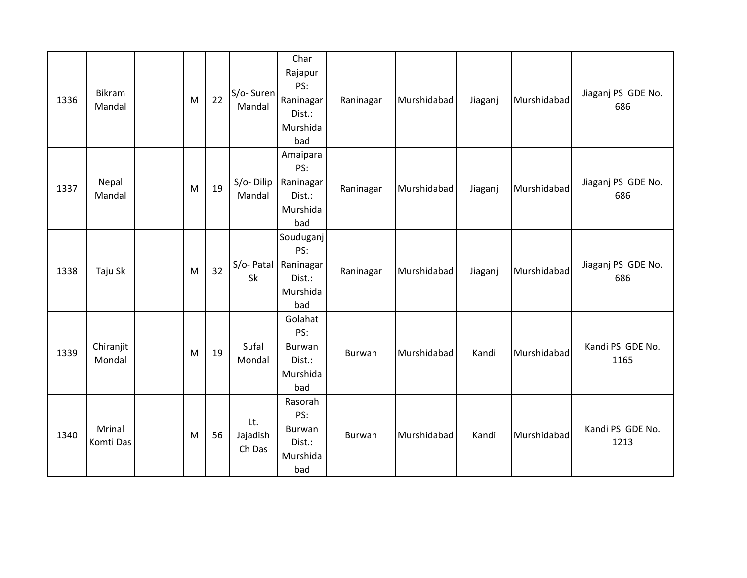| 1336 | Bikram<br>Mandal    | M | 22 | S/o-Suren<br>Mandal       | Char<br>Rajapur<br>PS:<br>Raninagar<br>Dist.:<br>Murshida<br>bad        | Raninagar     | Murshidabad | Jiaganj | Murshidabad | Jiaganj PS GDE No.<br>686 |
|------|---------------------|---|----|---------------------------|-------------------------------------------------------------------------|---------------|-------------|---------|-------------|---------------------------|
| 1337 | Nepal<br>Mandal     | M | 19 | $S/O-Dilip$<br>Mandal     | Amaipara<br>PS:<br>Raninagar<br>Dist.:<br>Murshida<br>bad               | Raninagar     | Murshidabad | Jiaganj | Murshidabad | Jiaganj PS GDE No.<br>686 |
| 1338 | Taju Sk             | M | 32 | Sk                        | Souduganj<br>PS:<br>S/o- Patal   Raninagar<br>Dist.:<br>Murshida<br>bad | Raninagar     | Murshidabad | Jiaganj | Murshidabad | Jiaganj PS GDE No.<br>686 |
| 1339 | Chiranjit<br>Mondal | M | 19 | Sufal<br>Mondal           | Golahat<br>PS:<br>Burwan<br>Dist.:<br>Murshida<br>bad                   | <b>Burwan</b> | Murshidabad | Kandi   | Murshidabad | Kandi PS GDE No.<br>1165  |
| 1340 | Mrinal<br>Komti Das | M | 56 | Lt.<br>Jajadish<br>Ch Das | Rasorah<br>PS:<br>Burwan<br>Dist.:<br>Murshida<br>bad                   | <b>Burwan</b> | Murshidabad | Kandi   | Murshidabad | Kandi PS GDE No.<br>1213  |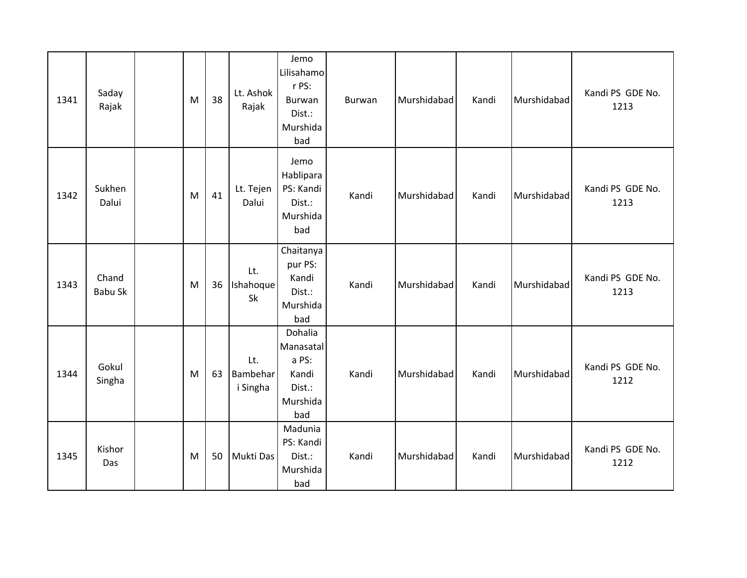| 1341 | Saday<br>Rajak          | M | 38 | Lt. Ashok<br>Rajak          | Jemo<br>Lilisahamo<br>r PS:<br>Burwan<br>Dist.:<br>Murshida<br>bad  | Burwan | Murshidabad | Kandi | Murshidabad | Kandi PS GDE No.<br>1213 |
|------|-------------------------|---|----|-----------------------------|---------------------------------------------------------------------|--------|-------------|-------|-------------|--------------------------|
| 1342 | Sukhen<br>Dalui         | M | 41 | Lt. Tejen<br>Dalui          | Jemo<br>Hablipara<br>PS: Kandi<br>Dist.:<br>Murshida<br>bad         | Kandi  | Murshidabad | Kandi | Murshidabad | Kandi PS GDE No.<br>1213 |
| 1343 | Chand<br><b>Babu Sk</b> | M | 36 | Lt.<br>Ishahoque<br>Sk      | Chaitanya<br>pur PS:<br>Kandi<br>Dist.:<br>Murshida<br>bad          | Kandi  | Murshidabad | Kandi | Murshidabad | Kandi PS GDE No.<br>1213 |
| 1344 | Gokul<br>Singha         | M | 63 | Lt.<br>Bambehar<br>i Singha | Dohalia<br>Manasatal<br>a PS:<br>Kandi<br>Dist.:<br>Murshida<br>bad | Kandi  | Murshidabad | Kandi | Murshidabad | Kandi PS GDE No.<br>1212 |
| 1345 | Kishor<br>Das           | M | 50 | Mukti Das                   | Madunia<br>PS: Kandi<br>Dist.:<br>Murshida<br>bad                   | Kandi  | Murshidabad | Kandi | Murshidabad | Kandi PS GDE No.<br>1212 |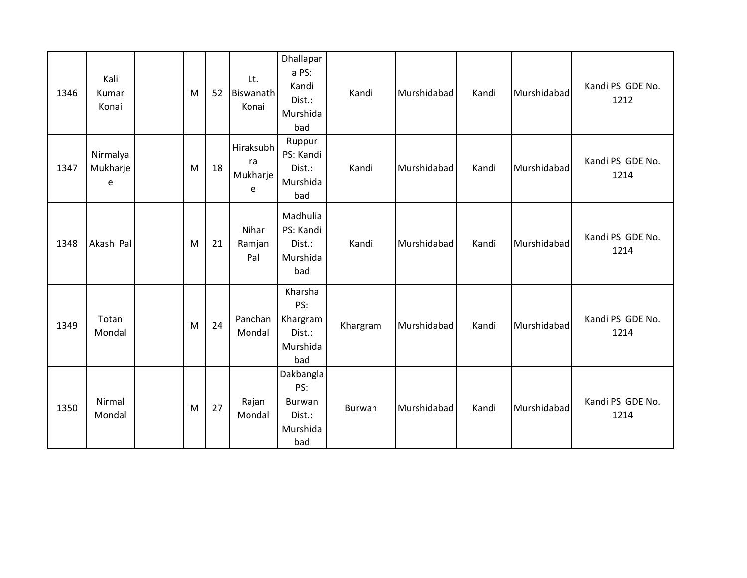| 1346 | Kali<br>Kumar<br>Konai    | M | 52 | Lt.<br>Biswanath<br>Konai        | Dhallapar<br>a PS:<br>Kandi<br>Dist.:<br>Murshida<br>bad | Kandi    | Murshidabad | Kandi | Murshidabad | Kandi PS GDE No.<br>1212 |
|------|---------------------------|---|----|----------------------------------|----------------------------------------------------------|----------|-------------|-------|-------------|--------------------------|
| 1347 | Nirmalya<br>Mukharje<br>e | M | 18 | Hiraksubh<br>ra<br>Mukharje<br>e | Ruppur<br>PS: Kandi<br>Dist.:<br>Murshida<br>bad         | Kandi    | Murshidabad | Kandi | Murshidabad | Kandi PS GDE No.<br>1214 |
| 1348 | Akash Pal                 | M | 21 | Nihar<br>Ramjan<br>Pal           | Madhulia<br>PS: Kandi<br>Dist.:<br>Murshida<br>bad       | Kandi    | Murshidabad | Kandi | Murshidabad | Kandi PS GDE No.<br>1214 |
| 1349 | Totan<br>Mondal           | M | 24 | Panchan<br>Mondal                | Kharsha<br>PS:<br>Khargram<br>Dist.:<br>Murshida<br>bad  | Khargram | Murshidabad | Kandi | Murshidabad | Kandi PS GDE No.<br>1214 |
| 1350 | Nirmal<br>Mondal          | M | 27 | Rajan<br>Mondal                  | Dakbangla<br>PS:<br>Burwan<br>Dist.:<br>Murshida<br>bad  | Burwan   | Murshidabad | Kandi | Murshidabad | Kandi PS GDE No.<br>1214 |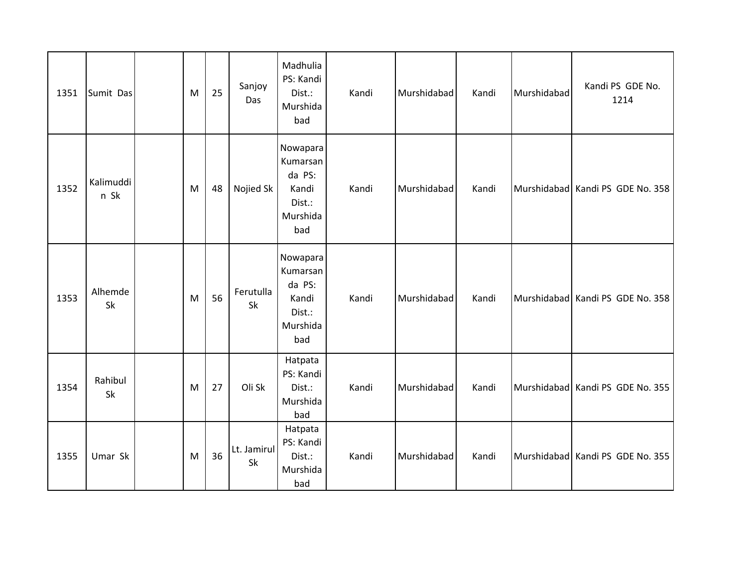| 1351 | Sumit Das         | M | 25 | Sanjoy<br>Das     | Madhulia<br>PS: Kandi<br>Dist.:<br>Murshida<br>bad                   | Kandi | Murshidabad | Kandi | Murshidabad | Kandi PS GDE No.<br>1214         |
|------|-------------------|---|----|-------------------|----------------------------------------------------------------------|-------|-------------|-------|-------------|----------------------------------|
| 1352 | Kalimuddi<br>n Sk | M | 48 | Nojied Sk         | Nowapara<br>Kumarsan<br>da PS:<br>Kandi<br>Dist.:<br>Murshida<br>bad | Kandi | Murshidabad | Kandi |             | Murshidabad Kandi PS GDE No. 358 |
| 1353 | Alhemde<br>Sk     | M | 56 | Ferutulla<br>Sk   | Nowapara<br>Kumarsan<br>da PS:<br>Kandi<br>Dist.:<br>Murshida<br>bad | Kandi | Murshidabad | Kandi |             | Murshidabad Kandi PS GDE No. 358 |
| 1354 | Rahibul<br>Sk     | M | 27 | Oli Sk            | Hatpata<br>PS: Kandi<br>Dist.:<br>Murshida<br>bad                    | Kandi | Murshidabad | Kandi |             | Murshidabad Kandi PS GDE No. 355 |
| 1355 | Umar Sk           | M | 36 | Lt. Jamirul<br>Sk | Hatpata<br>PS: Kandi<br>Dist.:<br>Murshida<br>bad                    | Kandi | Murshidabad | Kandi |             | Murshidabad Kandi PS GDE No. 355 |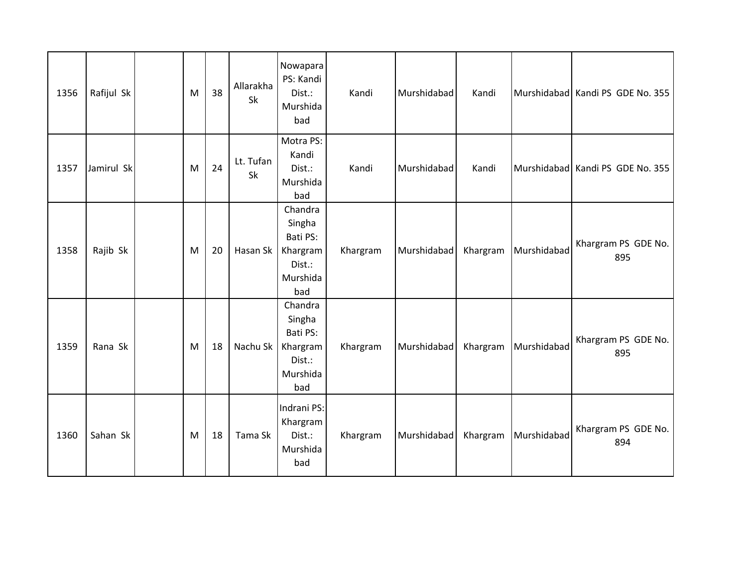| 1356 | Rafijul Sk | M | 38 | Allarakha<br>Sk | Nowapara<br>PS: Kandi<br>Dist.:<br>Murshida<br>bad                     | Kandi    | Murshidabad | Kandi    |             | Murshidabad Kandi PS GDE No. 355 |
|------|------------|---|----|-----------------|------------------------------------------------------------------------|----------|-------------|----------|-------------|----------------------------------|
| 1357 | Jamirul Sk | M | 24 | Lt. Tufan<br>Sk | Motra PS:<br>Kandi<br>Dist.:<br>Murshida<br>bad                        | Kandi    | Murshidabad | Kandi    |             | Murshidabad Kandi PS GDE No. 355 |
| 1358 | Rajib Sk   | M | 20 | Hasan Sk        | Chandra<br>Singha<br>Bati PS:<br>Khargram<br>Dist.:<br>Murshida<br>bad | Khargram | Murshidabad | Khargram | Murshidabad | Khargram PS GDE No.<br>895       |
| 1359 | Rana Sk    | M | 18 | Nachu Sk        | Chandra<br>Singha<br>Bati PS:<br>Khargram<br>Dist.:<br>Murshida<br>bad | Khargram | Murshidabad | Khargram | Murshidabad | Khargram PS GDE No.<br>895       |
| 1360 | Sahan Sk   | M | 18 | Tama Sk         | Indrani PS:<br>Khargram<br>Dist.:<br>Murshida<br>bad                   | Khargram | Murshidabad | Khargram | Murshidabad | Khargram PS GDE No.<br>894       |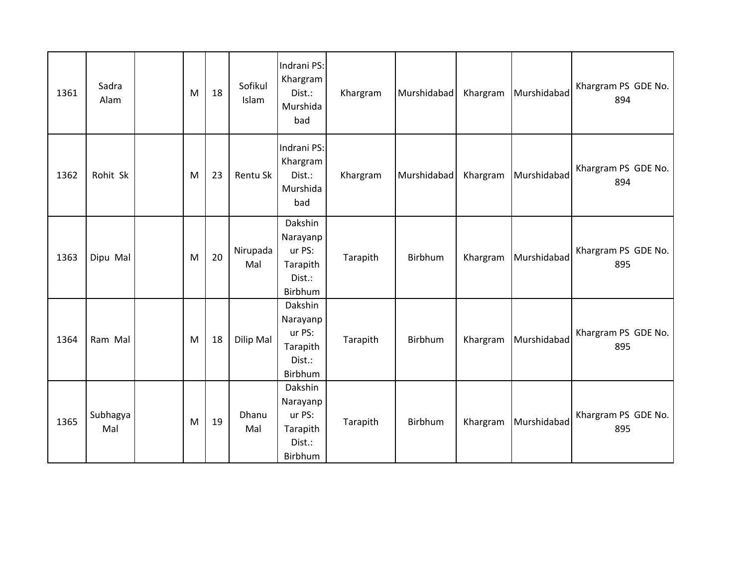| 1361 | Sadra<br>Alam   | M | 18 | Sofikul<br>Islam | Indrani PS:<br>Khargram<br>Dist.:<br>Murshida<br>bad           | Khargram | Murshidabad | Khargram | Murshidabad | Khargram PS GDE No.<br>894 |
|------|-----------------|---|----|------------------|----------------------------------------------------------------|----------|-------------|----------|-------------|----------------------------|
| 1362 | Rohit Sk        | M | 23 | Rentu Sk         | Indrani PS:<br>Khargram<br>Dist.:<br>Murshida<br>bad           | Khargram | Murshidabad | Khargram | Murshidabad | Khargram PS GDE No.<br>894 |
| 1363 | Dipu Mal        | M | 20 | Nirupada<br>Mal  | Dakshin<br>Narayanp<br>ur PS:<br>Tarapith<br>Dist.:<br>Birbhum | Tarapith | Birbhum     | Khargram | Murshidabad | Khargram PS GDE No.<br>895 |
| 1364 | Ram Mal         | M | 18 | Dilip Mal        | Dakshin<br>Narayanp<br>ur PS:<br>Tarapith<br>Dist.:<br>Birbhum | Tarapith | Birbhum     | Khargram | Murshidabad | Khargram PS GDE No.<br>895 |
| 1365 | Subhagya<br>Mal | M | 19 | Dhanu<br>Mal     | Dakshin<br>Narayanp<br>ur PS:<br>Tarapith<br>Dist.:<br>Birbhum | Tarapith | Birbhum     | Khargram | Murshidabad | Khargram PS GDE No.<br>895 |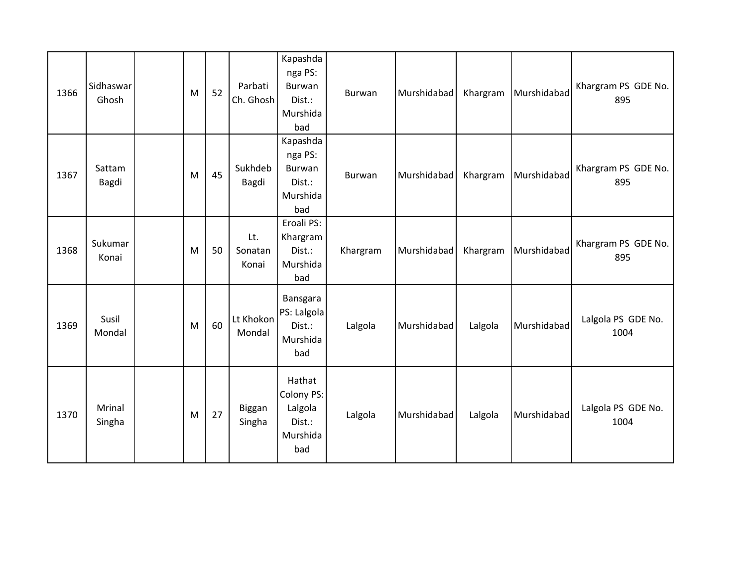| 1366 | Sidhaswar<br>Ghosh | M | 52 | Parbati<br>Ch. Ghosh    | Kapashda<br>nga PS:<br>Burwan<br>Dist.:<br>Murshida<br>bad   | <b>Burwan</b> | Murshidabad | Khargram | Murshidabad | Khargram PS GDE No.<br>895 |
|------|--------------------|---|----|-------------------------|--------------------------------------------------------------|---------------|-------------|----------|-------------|----------------------------|
| 1367 | Sattam<br>Bagdi    | M | 45 | Sukhdeb<br>Bagdi        | Kapashda<br>nga PS:<br>Burwan<br>Dist.:<br>Murshida<br>bad   | Burwan        | Murshidabad | Khargram | Murshidabad | Khargram PS GDE No.<br>895 |
| 1368 | Sukumar<br>Konai   | M | 50 | Lt.<br>Sonatan<br>Konai | Eroali PS:<br>Khargram<br>Dist.:<br>Murshida<br>bad          | Khargram      | Murshidabad | Khargram | Murshidabad | Khargram PS GDE No.<br>895 |
| 1369 | Susil<br>Mondal    | M | 60 | Lt Khokon<br>Mondal     | Bansgara<br>PS: Lalgola<br>Dist.:<br>Murshida<br>bad         | Lalgola       | Murshidabad | Lalgola  | Murshidabad | Lalgola PS GDE No.<br>1004 |
| 1370 | Mrinal<br>Singha   | M | 27 | Biggan<br>Singha        | Hathat<br>Colony PS:<br>Lalgola<br>Dist.:<br>Murshida<br>bad | Lalgola       | Murshidabad | Lalgola  | Murshidabad | Lalgola PS GDE No.<br>1004 |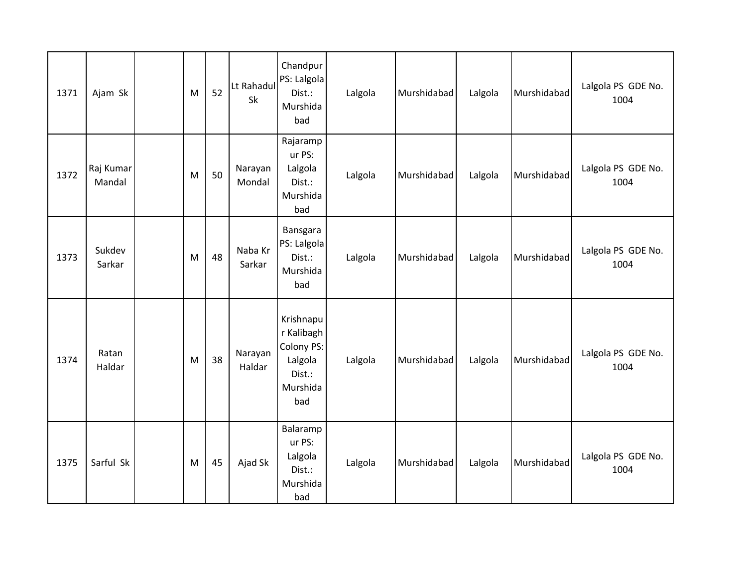| 1371 | Ajam Sk             | M | 52 | Lt Rahadul<br>Sk  | Chandpur<br>PS: Lalgola<br>Dist.:<br>Murshida<br>bad                          | Lalgola | Murshidabad | Lalgola | Murshidabad | Lalgola PS GDE No.<br>1004 |
|------|---------------------|---|----|-------------------|-------------------------------------------------------------------------------|---------|-------------|---------|-------------|----------------------------|
| 1372 | Raj Kumar<br>Mandal | M | 50 | Narayan<br>Mondal | Rajaramp<br>ur PS:<br>Lalgola<br>Dist.:<br>Murshida<br>bad                    | Lalgola | Murshidabad | Lalgola | Murshidabad | Lalgola PS GDE No.<br>1004 |
| 1373 | Sukdev<br>Sarkar    | M | 48 | Naba Kr<br>Sarkar | Bansgara<br>PS: Lalgola<br>Dist.:<br>Murshida<br>bad                          | Lalgola | Murshidabad | Lalgola | Murshidabad | Lalgola PS GDE No.<br>1004 |
| 1374 | Ratan<br>Haldar     | M | 38 | Narayan<br>Haldar | Krishnapu<br>r Kalibagh<br>Colony PS:<br>Lalgola<br>Dist.:<br>Murshida<br>bad | Lalgola | Murshidabad | Lalgola | Murshidabad | Lalgola PS GDE No.<br>1004 |
| 1375 | Sarful Sk           | M | 45 | Ajad Sk           | Balaramp<br>ur PS:<br>Lalgola<br>Dist.:<br>Murshida<br>bad                    | Lalgola | Murshidabad | Lalgola | Murshidabad | Lalgola PS GDE No.<br>1004 |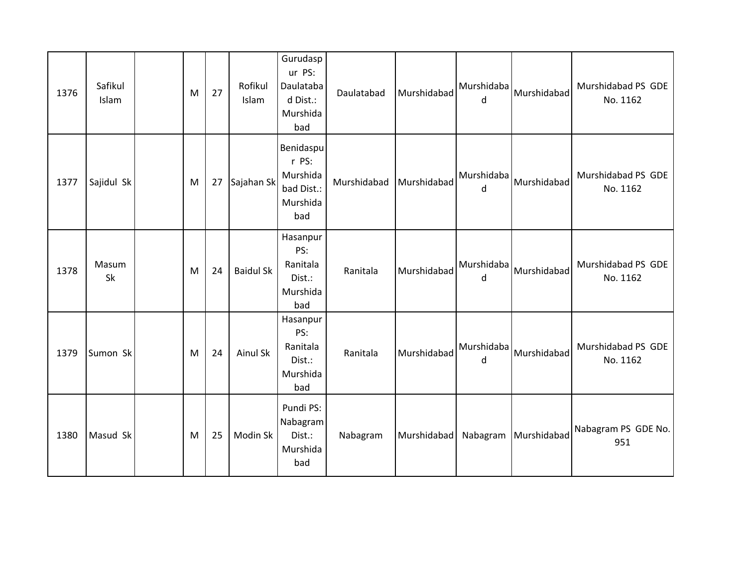| 1376 | Safikul<br>Islam | M | 27 | Rofikul<br>Islam | Gurudasp<br>ur PS:<br>Daulataba<br>d Dist.:<br>Murshida<br>bad  | Daulatabad  | Murshidabad | Murshidaba<br>d | Murshidabad          | Murshidabad PS GDE<br>No. 1162 |
|------|------------------|---|----|------------------|-----------------------------------------------------------------|-------------|-------------|-----------------|----------------------|--------------------------------|
| 1377 | Sajidul Sk       | M | 27 | Sajahan Sk       | Benidaspu<br>r PS:<br>Murshida<br>bad Dist.:<br>Murshida<br>bad | Murshidabad | Murshidabad | Murshidaba<br>d | Murshidabad          | Murshidabad PS GDE<br>No. 1162 |
| 1378 | Masum<br>Sk      | M | 24 | <b>Baidul Sk</b> | Hasanpur<br>PS:<br>Ranitala<br>Dist.:<br>Murshida<br>bad        | Ranitala    | Murshidabad | Murshidaba<br>d | Murshidabad          | Murshidabad PS GDE<br>No. 1162 |
| 1379 | Sumon Sk         | M | 24 | Ainul Sk         | Hasanpur<br>PS:<br>Ranitala<br>Dist.:<br>Murshida<br>bad        | Ranitala    | Murshidabad | Murshidaba<br>d | Murshidabad          | Murshidabad PS GDE<br>No. 1162 |
| 1380 | Masud Sk         | M | 25 | Modin Sk         | Pundi PS:<br>Nabagram<br>Dist.:<br>Murshida<br>bad              | Nabagram    | Murshidabad |                 | Nabagram Murshidabad | Nabagram PS GDE No.<br>951     |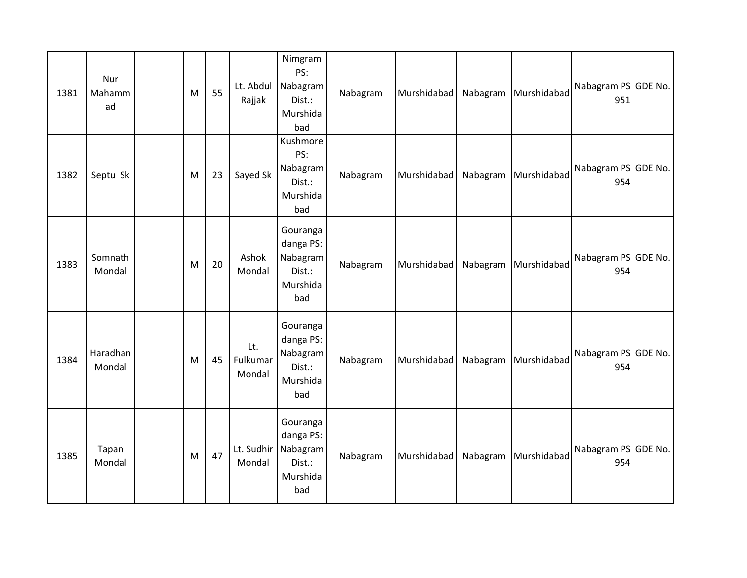| 1381 | Nur<br>Mahamm<br>ad | M | 55 | Lt. Abdul<br>Rajjak       | Nimgram<br>PS:<br>Nabagram<br>Dist.:<br>Murshida<br>bad        | Nabagram | Murshidabad |          | Nabagram Murshidabad | Nabagram PS GDE No.<br>951 |
|------|---------------------|---|----|---------------------------|----------------------------------------------------------------|----------|-------------|----------|----------------------|----------------------------|
| 1382 | Septu Sk            | M | 23 | Sayed Sk                  | Kushmore<br>PS:<br>Nabagram<br>Dist.:<br>Murshida<br>bad       | Nabagram | Murshidabad |          | Nabagram Murshidabad | Nabagram PS GDE No.<br>954 |
| 1383 | Somnath<br>Mondal   | M | 20 | Ashok<br>Mondal           | Gouranga<br>danga PS:<br>Nabagram<br>Dist.:<br>Murshida<br>bad | Nabagram | Murshidabad | Nabagram | Murshidabad          | Nabagram PS GDE No.<br>954 |
| 1384 | Haradhan<br>Mondal  | M | 45 | Lt.<br>Fulkumar<br>Mondal | Gouranga<br>danga PS:<br>Nabagram<br>Dist.:<br>Murshida<br>bad | Nabagram | Murshidabad |          | Nabagram Murshidabad | Nabagram PS GDE No.<br>954 |
| 1385 | Tapan<br>Mondal     | M | 47 | Lt. Sudhir<br>Mondal      | Gouranga<br>danga PS:<br>Nabagram<br>Dist.:<br>Murshida<br>bad | Nabagram | Murshidabad |          | Nabagram Murshidabad | Nabagram PS GDE No.<br>954 |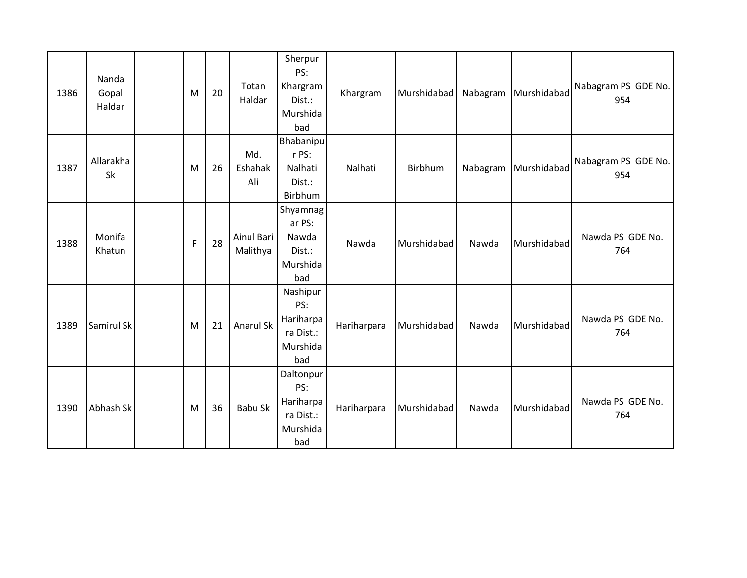| 1386 | Nanda<br>Gopal<br>Haldar | M            | 20 | Totan<br>Haldar        | Sherpur<br>PS:<br>Khargram<br>Dist.:<br>Murshida<br>bad       | Khargram    | Murshidabad | Nabagram | Murshidabad | Nabagram PS GDE No.<br>954 |
|------|--------------------------|--------------|----|------------------------|---------------------------------------------------------------|-------------|-------------|----------|-------------|----------------------------|
| 1387 | Allarakha<br>Sk          | M            | 26 | Md.<br>Eshahak<br>Ali  | Bhabanipu<br>r PS:<br>Nalhati<br>Dist.:<br>Birbhum            | Nalhati     | Birbhum     | Nabagram | Murshidabad | Nabagram PS GDE No.<br>954 |
| 1388 | Monifa<br>Khatun         | $\mathsf{F}$ | 28 | Ainul Bari<br>Malithya | Shyamnag<br>ar PS:<br>Nawda<br>Dist.:<br>Murshida<br>bad      | Nawda       | Murshidabad | Nawda    | Murshidabad | Nawda PS GDE No.<br>764    |
| 1389 | Samirul Sk               | M            | 21 | Anarul Sk              | Nashipur<br>PS:<br>Hariharpa<br>ra Dist.:<br>Murshida<br>bad  | Hariharpara | Murshidabad | Nawda    | Murshidabad | Nawda PS GDE No.<br>764    |
| 1390 | Abhash Sk                | M            | 36 | Babu Sk                | Daltonpur<br>PS:<br>Hariharpa<br>ra Dist.:<br>Murshida<br>bad | Hariharpara | Murshidabad | Nawda    | Murshidabad | Nawda PS GDE No.<br>764    |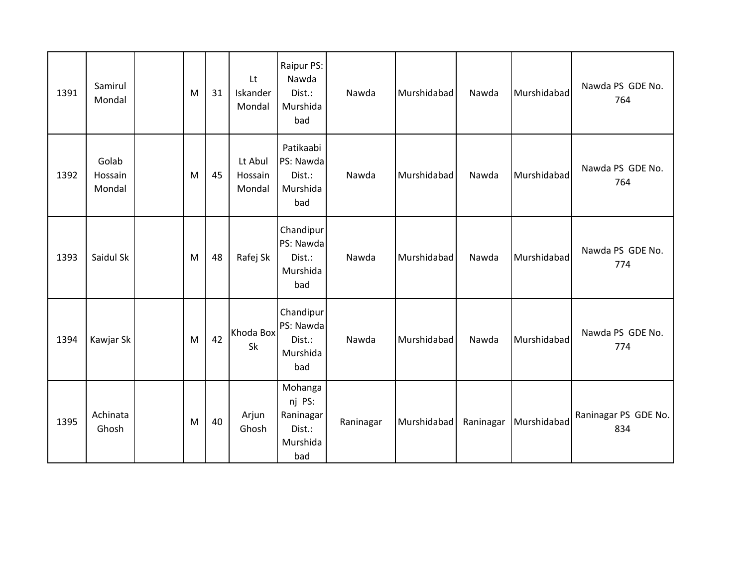| 1391 | Samirul<br>Mondal          | M | 31 | Lt<br>Iskander<br>Mondal     | Raipur PS:<br>Nawda<br>Dist.:<br>Murshida<br>bad            | Nawda     | Murshidabad | Nawda     | Murshidabad | Nawda PS GDE No.<br>764     |
|------|----------------------------|---|----|------------------------------|-------------------------------------------------------------|-----------|-------------|-----------|-------------|-----------------------------|
| 1392 | Golab<br>Hossain<br>Mondal | M | 45 | Lt Abul<br>Hossain<br>Mondal | Patikaabi<br>PS: Nawda<br>Dist.:<br>Murshida<br>bad         | Nawda     | Murshidabad | Nawda     | Murshidabad | Nawda PS GDE No.<br>764     |
| 1393 | Saidul Sk                  | M | 48 | Rafej Sk                     | Chandipur<br>PS: Nawda<br>Dist.:<br>Murshida<br>bad         | Nawda     | Murshidabad | Nawda     | Murshidabad | Nawda PS GDE No.<br>774     |
| 1394 | Kawjar Sk                  | M | 42 | Khoda Box<br>Sk              | Chandipur<br>PS: Nawda<br>Dist.:<br>Murshida<br>bad         | Nawda     | Murshidabad | Nawda     | Murshidabad | Nawda PS GDE No.<br>774     |
| 1395 | Achinata<br>Ghosh          | M | 40 | Arjun<br>Ghosh               | Mohanga<br>nj PS:<br>Raninagar<br>Dist.:<br>Murshida<br>bad | Raninagar | Murshidabad | Raninagar | Murshidabad | Raninagar PS GDE No.<br>834 |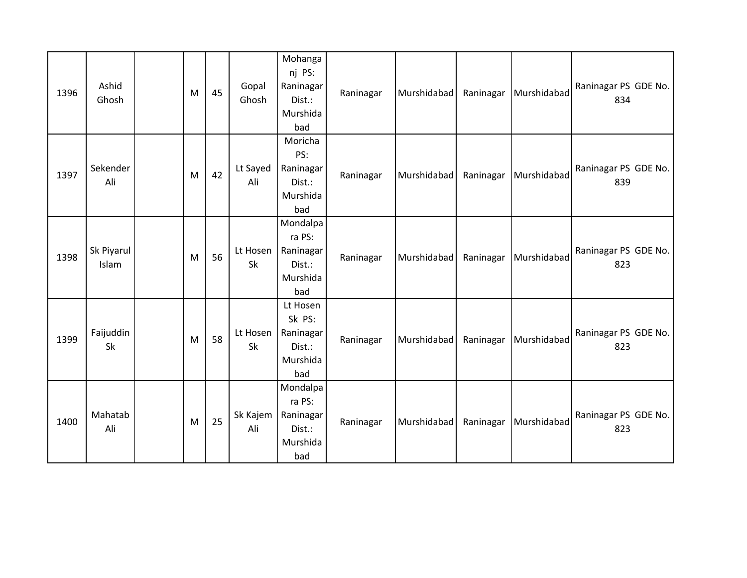| 1396 | Ashid<br>Ghosh      | M | 45 | Gopal<br>Ghosh  | Mohanga<br>nj PS:<br>Raninagar<br>Dist.:<br>Murshida<br>bad  | Raninagar | Murshidabad | Raninagar | Murshidabad | Raninagar PS GDE No.<br>834 |
|------|---------------------|---|----|-----------------|--------------------------------------------------------------|-----------|-------------|-----------|-------------|-----------------------------|
| 1397 | Sekender<br>Ali     | M | 42 | Lt Sayed<br>Ali | Moricha<br>PS:<br>Raninagar<br>Dist.:<br>Murshida<br>bad     | Raninagar | Murshidabad | Raninagar | Murshidabad | Raninagar PS GDE No.<br>839 |
| 1398 | Sk Piyarul<br>Islam | M | 56 | Lt Hosen<br>Sk  | Mondalpa<br>ra PS:<br>Raninagar<br>Dist.:<br>Murshida<br>bad | Raninagar | Murshidabad | Raninagar | Murshidabad | Raninagar PS GDE No.<br>823 |
| 1399 | Faijuddin<br>Sk     | M | 58 | Lt Hosen<br>Sk  | Lt Hosen<br>Sk PS:<br>Raninagar<br>Dist.:<br>Murshida<br>bad | Raninagar | Murshidabad | Raninagar | Murshidabad | Raninagar PS GDE No.<br>823 |
| 1400 | Mahatab<br>Ali      | M | 25 | Sk Kajem<br>Ali | Mondalpa<br>ra PS:<br>Raninagar<br>Dist.:<br>Murshida<br>bad | Raninagar | Murshidabad | Raninagar | Murshidabad | Raninagar PS GDE No.<br>823 |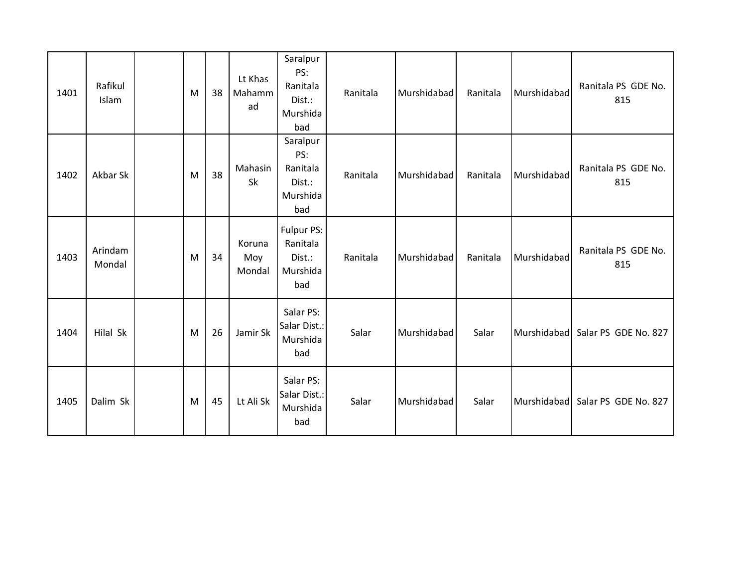| 1401 | Rafikul<br>Islam  | M | 38 | Lt Khas<br>Mahamm<br>ad | Saralpur<br>PS:<br>Ranitala<br>Dist.:<br>Murshida<br>bad | Ranitala | Murshidabad | Ranitala | Murshidabad | Ranitala PS GDE No.<br>815 |
|------|-------------------|---|----|-------------------------|----------------------------------------------------------|----------|-------------|----------|-------------|----------------------------|
| 1402 | Akbar Sk          | M | 38 | Mahasin<br>Sk           | Saralpur<br>PS:<br>Ranitala<br>Dist.:<br>Murshida<br>bad | Ranitala | Murshidabad | Ranitala | Murshidabad | Ranitala PS GDE No.<br>815 |
| 1403 | Arindam<br>Mondal | M | 34 | Koruna<br>Moy<br>Mondal | Fulpur PS:<br>Ranitala<br>Dist.:<br>Murshida<br>bad      | Ranitala | Murshidabad | Ranitala | Murshidabad | Ranitala PS GDE No.<br>815 |
| 1404 | Hilal Sk          | M | 26 | Jamir Sk                | Salar PS:<br>Salar Dist.:<br>Murshida<br>bad             | Salar    | Murshidabad | Salar    | Murshidabad | Salar PS GDE No. 827       |
| 1405 | Dalim Sk          | M | 45 | Lt Ali Sk               | Salar PS:<br>Salar Dist.:<br>Murshida<br>bad             | Salar    | Murshidabad | Salar    | Murshidabad | Salar PS GDE No. 827       |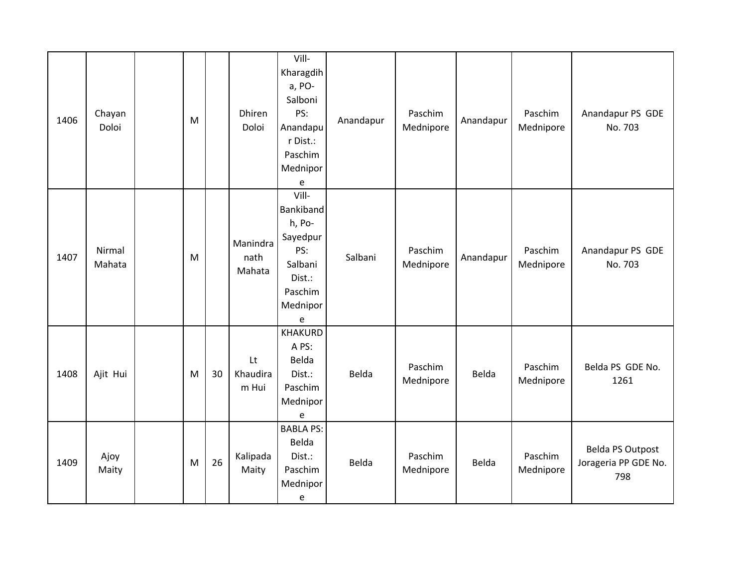| 1406 | Chayan<br>Doloi  | M |    | <b>Dhiren</b><br>Doloi     | Vill-<br>Kharagdih<br>a, PO-<br>Salboni<br>PS:<br>Anandapu<br>r Dist.:<br>Paschim<br>Mednipor<br>e | Anandapur | Paschim<br>Mednipore | Anandapur | Paschim<br>Mednipore | Anandapur PS GDE<br>No. 703                            |
|------|------------------|---|----|----------------------------|----------------------------------------------------------------------------------------------------|-----------|----------------------|-----------|----------------------|--------------------------------------------------------|
| 1407 | Nirmal<br>Mahata | M |    | Manindra<br>nath<br>Mahata | Vill-<br>Bankiband<br>h, Po-<br>Sayedpur<br>PS:<br>Salbani<br>Dist.:<br>Paschim<br>Mednipor<br>e   | Salbani   | Paschim<br>Mednipore | Anandapur | Paschim<br>Mednipore | Anandapur PS GDE<br>No. 703                            |
| 1408 | Ajit Hui         | M | 30 | Lt<br>Khaudira<br>m Hui    | <b>KHAKURD</b><br>A PS:<br>Belda<br>Dist.:<br>Paschim<br>Mednipor<br>e                             | Belda     | Paschim<br>Mednipore | Belda     | Paschim<br>Mednipore | Belda PS GDE No.<br>1261                               |
| 1409 | Ajoy<br>Maity    | M | 26 | Kalipada<br>Maity          | <b>BABLA PS:</b><br>Belda<br>Dist.:<br>Paschim<br>Mednipor<br>e                                    | Belda     | Paschim<br>Mednipore | Belda     | Paschim<br>Mednipore | <b>Belda PS Outpost</b><br>Jorageria PP GDE No.<br>798 |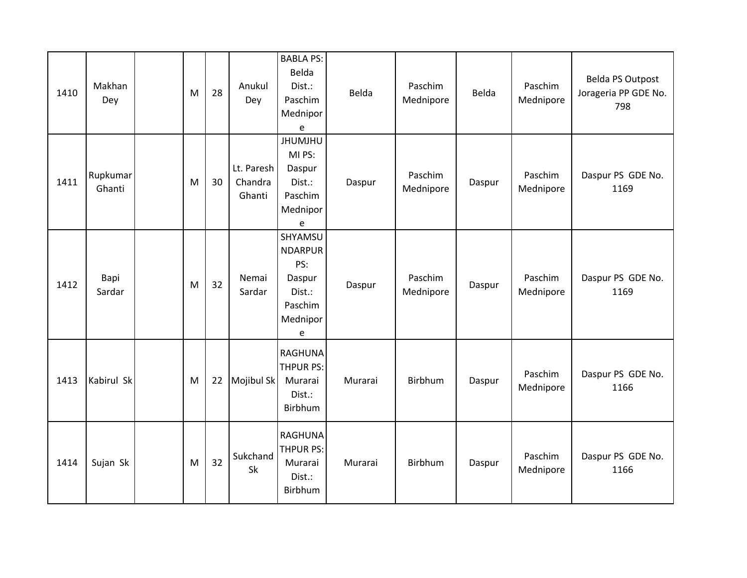| 1410 | Makhan<br>Dey      | M | 28 | Anukul<br>Dey                   | <b>BABLA PS:</b><br>Belda<br>Dist.:<br>Paschim<br>Mednipor<br>e                    | Belda   | Paschim<br>Mednipore | Belda  | Paschim<br>Mednipore | Belda PS Outpost<br>Jorageria PP GDE No.<br>798 |
|------|--------------------|---|----|---------------------------------|------------------------------------------------------------------------------------|---------|----------------------|--------|----------------------|-------------------------------------------------|
| 1411 | Rupkumar<br>Ghanti | M | 30 | Lt. Paresh<br>Chandra<br>Ghanti | <b>JHUMJHU</b><br>MI PS:<br>Daspur<br>Dist.:<br>Paschim<br>Mednipor<br>$\mathsf e$ | Daspur  | Paschim<br>Mednipore | Daspur | Paschim<br>Mednipore | Daspur PS GDE No.<br>1169                       |
| 1412 | Bapi<br>Sardar     | M | 32 | Nemai<br>Sardar                 | SHYAMSU<br><b>NDARPUR</b><br>PS:<br>Daspur<br>Dist.:<br>Paschim<br>Mednipor<br>e   | Daspur  | Paschim<br>Mednipore | Daspur | Paschim<br>Mednipore | Daspur PS GDE No.<br>1169                       |
| 1413 | Kabirul Sk         | M | 22 | Mojibul Sk                      | <b>RAGHUNA</b><br><b>THPUR PS:</b><br>Murarai<br>Dist.:<br>Birbhum                 | Murarai | Birbhum              | Daspur | Paschim<br>Mednipore | Daspur PS GDE No.<br>1166                       |
| 1414 | Sujan Sk           | M | 32 | Sukchand<br>Sk                  | <b>RAGHUNA</b><br><b>THPUR PS:</b><br>Murarai<br>Dist.:<br>Birbhum                 | Murarai | Birbhum              | Daspur | Paschim<br>Mednipore | Daspur PS GDE No.<br>1166                       |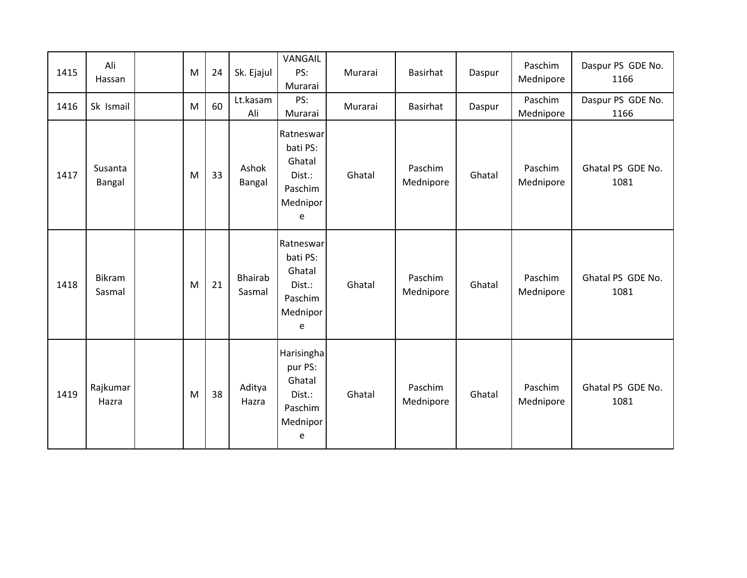| 1415 | Ali<br>Hassan           | M | 24 | Sk. Ejajul               | VANGAIL<br>PS:<br>Murarai                                             | Murarai | Basirhat             | Daspur | Paschim<br>Mednipore | Daspur PS GDE No.<br>1166 |
|------|-------------------------|---|----|--------------------------|-----------------------------------------------------------------------|---------|----------------------|--------|----------------------|---------------------------|
| 1416 | Sk Ismail               | M | 60 | Lt.kasam<br>Ali          | PS:<br>Murarai                                                        | Murarai | <b>Basirhat</b>      | Daspur | Paschim<br>Mednipore | Daspur PS GDE No.<br>1166 |
| 1417 | Susanta<br>Bangal       | M | 33 | Ashok<br>Bangal          | Ratneswar<br>bati PS:<br>Ghatal<br>Dist.:<br>Paschim<br>Mednipor<br>e | Ghatal  | Paschim<br>Mednipore | Ghatal | Paschim<br>Mednipore | Ghatal PS GDE No.<br>1081 |
| 1418 | <b>Bikram</b><br>Sasmal | M | 21 | <b>Bhairab</b><br>Sasmal | Ratneswar<br>bati PS:<br>Ghatal<br>Dist.:<br>Paschim<br>Mednipor<br>e | Ghatal  | Paschim<br>Mednipore | Ghatal | Paschim<br>Mednipore | Ghatal PS GDE No.<br>1081 |
| 1419 | Rajkumar<br>Hazra       | M | 38 | Aditya<br>Hazra          | Harisingha<br>pur PS:<br>Ghatal<br>Dist.:<br>Paschim<br>Mednipor<br>e | Ghatal  | Paschim<br>Mednipore | Ghatal | Paschim<br>Mednipore | Ghatal PS GDE No.<br>1081 |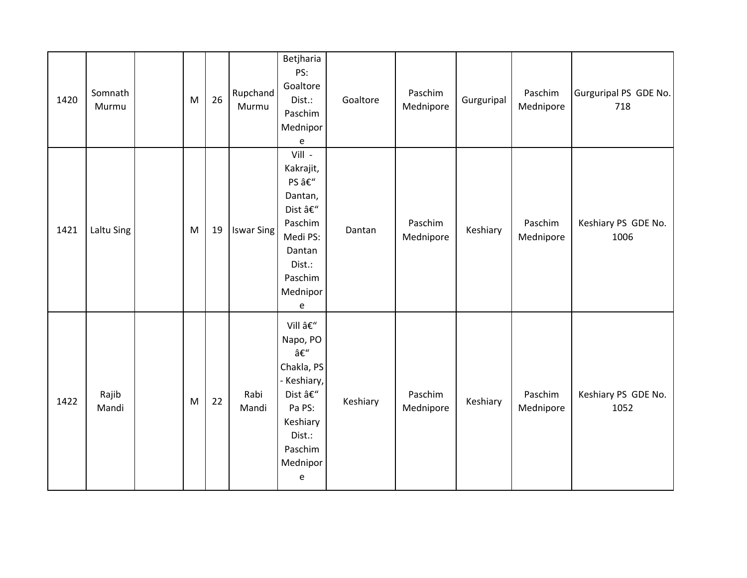| 1420 | Somnath<br>Murmu | M | 26 | Rupchand<br>Murmu | Betjharia<br>PS:<br>Goaltore<br>Dist.:<br>Paschim<br>Mednipor<br>e                                                       | Goaltore | Paschim<br>Mednipore | Gurguripal | Paschim<br>Mednipore | Gurguripal PS GDE No.<br>718 |
|------|------------------|---|----|-------------------|--------------------------------------------------------------------------------------------------------------------------|----------|----------------------|------------|----------------------|------------------------------|
| 1421 | Laltu Sing       | M | 19 | <b>Iswar Sing</b> | Vill -<br>Kakrajit,<br>PS –<br>Dantan,<br>Dist –<br>Paschim<br>Medi PS:<br>Dantan<br>Dist.:<br>Paschim<br>Mednipor<br>e  | Dantan   | Paschim<br>Mednipore | Keshiary   | Paschim<br>Mednipore | Keshiary PS GDE No.<br>1006  |
| 1422 | Rajib<br>Mandi   | M | 22 | Rabi<br>Mandi     | Vill –<br>Napo, PO<br>–<br>Chakla, PS<br>Keshiary,<br>Dist –<br>Pa PS:<br>Keshiary<br>Dist.:<br>Paschim<br>Mednipor<br>e | Keshiary | Paschim<br>Mednipore | Keshiary   | Paschim<br>Mednipore | Keshiary PS GDE No.<br>1052  |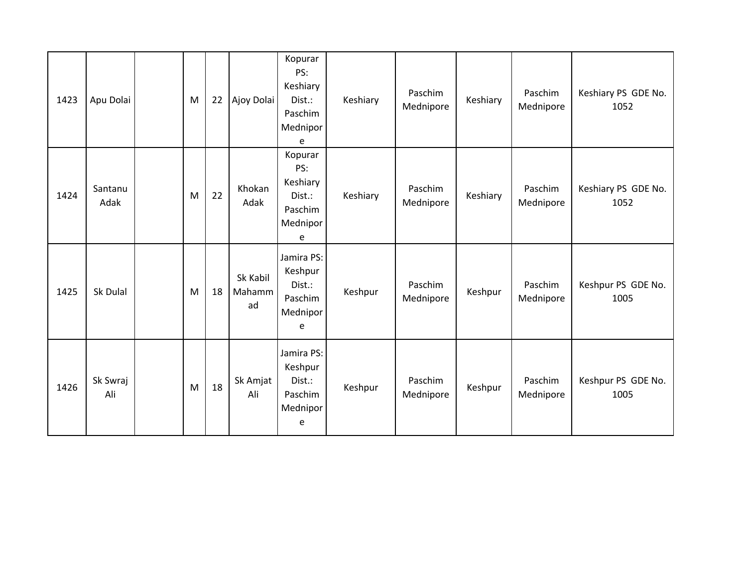| 1423 | Apu Dolai       | M | 22 | Ajoy Dolai               | Kopurar<br>PS:<br>Keshiary<br>Dist.:<br>Paschim<br>Mednipor<br>e | Keshiary | Paschim<br>Mednipore | Keshiary | Paschim<br>Mednipore | Keshiary PS GDE No.<br>1052 |
|------|-----------------|---|----|--------------------------|------------------------------------------------------------------|----------|----------------------|----------|----------------------|-----------------------------|
| 1424 | Santanu<br>Adak | M | 22 | Khokan<br>Adak           | Kopurar<br>PS:<br>Keshiary<br>Dist.:<br>Paschim<br>Mednipor<br>e | Keshiary | Paschim<br>Mednipore | Keshiary | Paschim<br>Mednipore | Keshiary PS GDE No.<br>1052 |
| 1425 | Sk Dulal        | M | 18 | Sk Kabil<br>Mahamm<br>ad | Jamira PS:<br>Keshpur<br>Dist.:<br>Paschim<br>Mednipor<br>e      | Keshpur  | Paschim<br>Mednipore | Keshpur  | Paschim<br>Mednipore | Keshpur PS GDE No.<br>1005  |
| 1426 | Sk Swraj<br>Ali | M | 18 | Sk Amjat<br>Ali          | Jamira PS:<br>Keshpur<br>Dist.:<br>Paschim<br>Mednipor<br>e      | Keshpur  | Paschim<br>Mednipore | Keshpur  | Paschim<br>Mednipore | Keshpur PS GDE No.<br>1005  |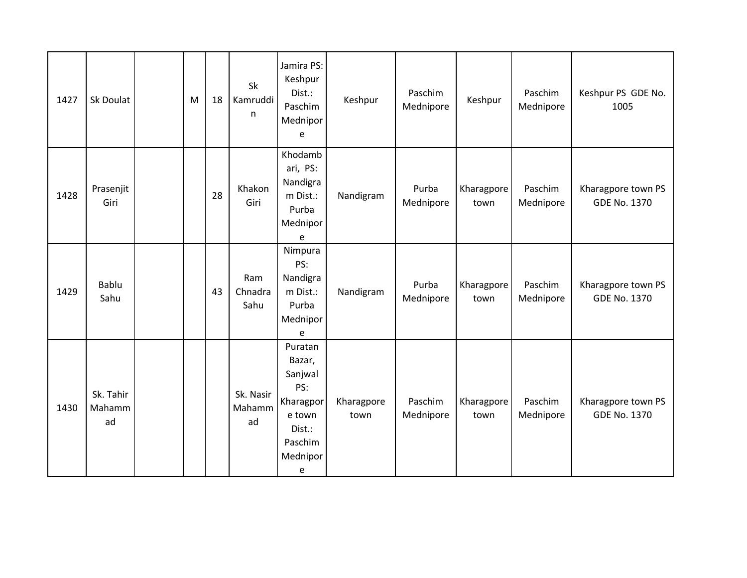| 1427 | Sk Doulat                 | M | 18 | Sk<br>Kamruddi<br>n       | Jamira PS:<br>Keshpur<br>Dist.:<br>Paschim<br>Mednipor<br>e                                      | Keshpur            | Paschim<br>Mednipore | Keshpur            | Paschim<br>Mednipore | Keshpur PS GDE No.<br>1005                |
|------|---------------------------|---|----|---------------------------|--------------------------------------------------------------------------------------------------|--------------------|----------------------|--------------------|----------------------|-------------------------------------------|
| 1428 | Prasenjit<br>Giri         |   | 28 | Khakon<br>Giri            | Khodamb<br>ari, PS:<br>Nandigra<br>m Dist.:<br>Purba<br>Mednipor<br>e                            | Nandigram          | Purba<br>Mednipore   | Kharagpore<br>town | Paschim<br>Mednipore | Kharagpore town PS<br><b>GDE No. 1370</b> |
| 1429 | <b>Bablu</b><br>Sahu      |   | 43 | Ram<br>Chnadra<br>Sahu    | Nimpura<br>PS:<br>Nandigra<br>m Dist.:<br>Purba<br>Mednipor<br>e                                 | Nandigram          | Purba<br>Mednipore   | Kharagpore<br>town | Paschim<br>Mednipore | Kharagpore town PS<br><b>GDE No. 1370</b> |
| 1430 | Sk. Tahir<br>Mahamm<br>ad |   |    | Sk. Nasir<br>Mahamm<br>ad | Puratan<br>Bazar,<br>Sanjwal<br>PS:<br>Kharagpor<br>e town<br>Dist.:<br>Paschim<br>Mednipor<br>e | Kharagpore<br>town | Paschim<br>Mednipore | Kharagpore<br>town | Paschim<br>Mednipore | Kharagpore town PS<br><b>GDE No. 1370</b> |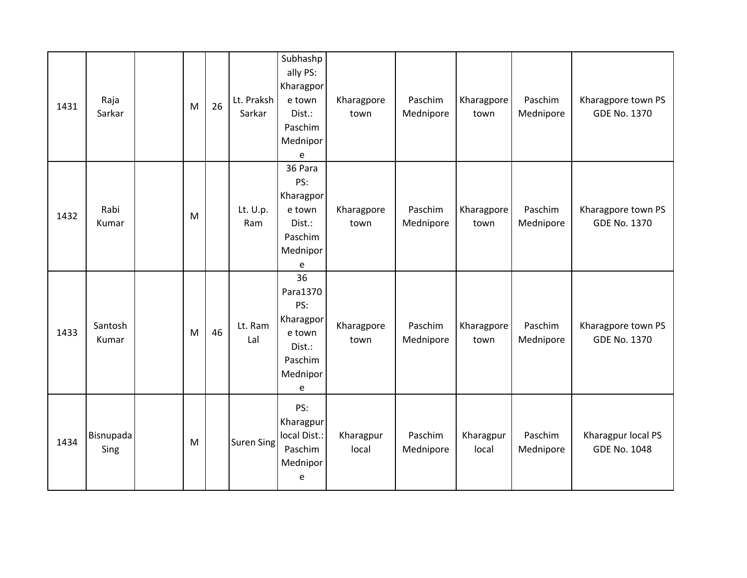| 1431 | Raja<br>Sarkar    | M | 26 | Lt. Praksh<br>Sarkar | Subhashp<br>ally PS:<br>Kharagpor<br>e town<br>Dist.:<br>Paschim<br>Mednipor<br>e  | Kharagpore<br>town | Paschim<br>Mednipore | Kharagpore<br>town | Paschim<br>Mednipore | Kharagpore town PS<br><b>GDE No. 1370</b> |
|------|-------------------|---|----|----------------------|------------------------------------------------------------------------------------|--------------------|----------------------|--------------------|----------------------|-------------------------------------------|
| 1432 | Rabi<br>Kumar     | M |    | Lt. U.p.<br>Ram      | 36 Para<br>PS:<br>Kharagpor<br>e town<br>Dist.:<br>Paschim<br>Mednipor<br>e        | Kharagpore<br>town | Paschim<br>Mednipore | Kharagpore<br>town | Paschim<br>Mednipore | Kharagpore town PS<br><b>GDE No. 1370</b> |
| 1433 | Santosh<br>Kumar  | M | 46 | Lt. Ram<br>Lal       | 36<br>Para1370<br>PS:<br>Kharagpor<br>e town<br>Dist.:<br>Paschim<br>Mednipor<br>e | Kharagpore<br>town | Paschim<br>Mednipore | Kharagpore<br>town | Paschim<br>Mednipore | Kharagpore town PS<br><b>GDE No. 1370</b> |
| 1434 | Bisnupada<br>Sing | M |    | <b>Suren Sing</b>    | PS:<br>Kharagpur<br>local Dist.:<br>Paschim<br>Mednipor<br>e                       | Kharagpur<br>local | Paschim<br>Mednipore | Kharagpur<br>local | Paschim<br>Mednipore | Kharagpur local PS<br><b>GDE No. 1048</b> |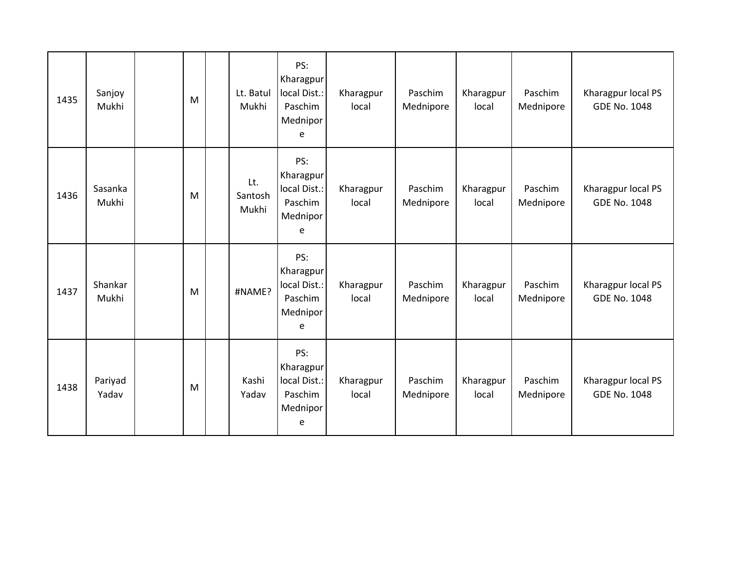| 1435 | Sanjoy<br>Mukhi  | M | Lt. Batul<br>Mukhi      | PS:<br>Kharagpur<br>local Dist.:<br>Paschim<br>Mednipor<br>e | Kharagpur<br>local | Paschim<br>Mednipore | Kharagpur<br>local | Paschim<br>Mednipore | Kharagpur local PS<br><b>GDE No. 1048</b> |
|------|------------------|---|-------------------------|--------------------------------------------------------------|--------------------|----------------------|--------------------|----------------------|-------------------------------------------|
| 1436 | Sasanka<br>Mukhi | M | Lt.<br>Santosh<br>Mukhi | PS:<br>Kharagpur<br>local Dist.:<br>Paschim<br>Mednipor<br>e | Kharagpur<br>local | Paschim<br>Mednipore | Kharagpur<br>local | Paschim<br>Mednipore | Kharagpur local PS<br><b>GDE No. 1048</b> |
| 1437 | Shankar<br>Mukhi | M | #NAME?                  | PS:<br>Kharagpur<br>local Dist.:<br>Paschim<br>Mednipor<br>e | Kharagpur<br>local | Paschim<br>Mednipore | Kharagpur<br>local | Paschim<br>Mednipore | Kharagpur local PS<br><b>GDE No. 1048</b> |
| 1438 | Pariyad<br>Yadav | M | Kashi<br>Yadav          | PS:<br>Kharagpur<br>local Dist.:<br>Paschim<br>Mednipor<br>e | Kharagpur<br>local | Paschim<br>Mednipore | Kharagpur<br>local | Paschim<br>Mednipore | Kharagpur local PS<br><b>GDE No. 1048</b> |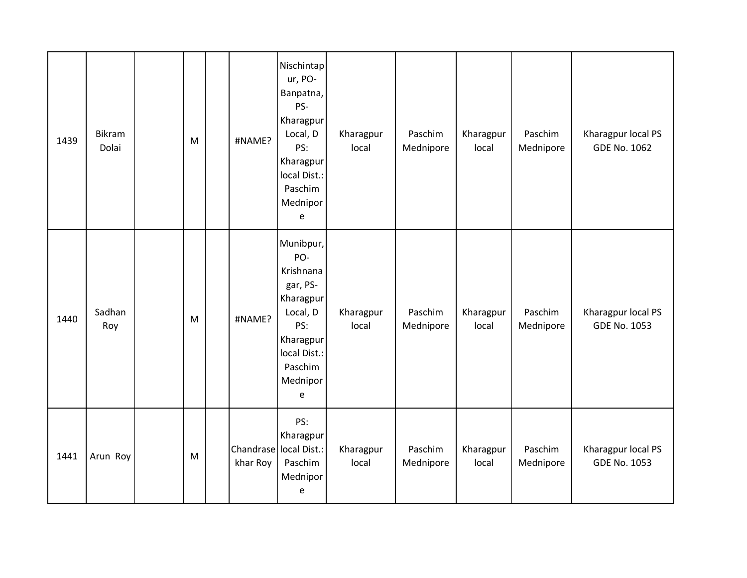| 1439 | Bikram<br>Dolai | M | #NAME?   | Nischintap<br>ur, PO-<br>Banpatna,<br>PS-<br>Kharagpur<br>Local, D<br>PS:<br>Kharagpur<br>local Dist.:<br>Paschim<br>Mednipor<br>e | Kharagpur<br>local | Paschim<br>Mednipore | Kharagpur<br>local | Paschim<br>Mednipore | Kharagpur local PS<br><b>GDE No. 1062</b> |
|------|-----------------|---|----------|------------------------------------------------------------------------------------------------------------------------------------|--------------------|----------------------|--------------------|----------------------|-------------------------------------------|
| 1440 | Sadhan<br>Roy   | M | #NAME?   | Munibpur,<br>PO-<br>Krishnana<br>gar, PS-<br>Kharagpur<br>Local, D<br>PS:<br>Kharagpur<br>local Dist.:<br>Paschim<br>Mednipor<br>e | Kharagpur<br>local | Paschim<br>Mednipore | Kharagpur<br>local | Paschim<br>Mednipore | Kharagpur local PS<br><b>GDE No. 1053</b> |
| 1441 | Arun Roy        | M | khar Roy | PS:<br>Kharagpur<br>Chandrase local Dist.:<br>Paschim<br>Mednipor<br>e                                                             | Kharagpur<br>local | Paschim<br>Mednipore | Kharagpur<br>local | Paschim<br>Mednipore | Kharagpur local PS<br><b>GDE No. 1053</b> |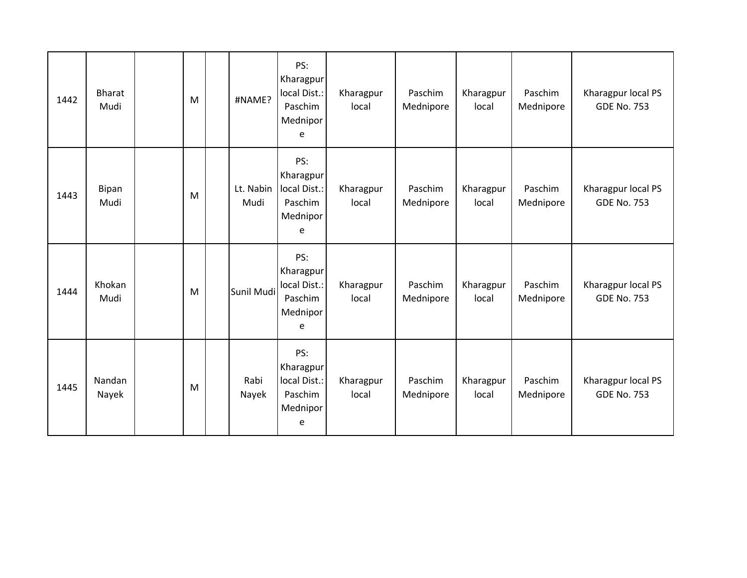| 1442 | <b>Bharat</b><br>Mudi | M | #NAME?            | PS:<br>Kharagpur<br>local Dist.:<br>Paschim<br>Mednipor<br>e | Kharagpur<br>local | Paschim<br>Mednipore | Kharagpur<br>local | Paschim<br>Mednipore | Kharagpur local PS<br><b>GDE No. 753</b> |
|------|-----------------------|---|-------------------|--------------------------------------------------------------|--------------------|----------------------|--------------------|----------------------|------------------------------------------|
| 1443 | Bipan<br>Mudi         | M | Lt. Nabin<br>Mudi | PS:<br>Kharagpur<br>local Dist.:<br>Paschim<br>Mednipor<br>e | Kharagpur<br>local | Paschim<br>Mednipore | Kharagpur<br>local | Paschim<br>Mednipore | Kharagpur local PS<br><b>GDE No. 753</b> |
| 1444 | Khokan<br>Mudi        | M | Sunil Mudi        | PS:<br>Kharagpur<br>local Dist.:<br>Paschim<br>Mednipor<br>e | Kharagpur<br>local | Paschim<br>Mednipore | Kharagpur<br>local | Paschim<br>Mednipore | Kharagpur local PS<br><b>GDE No. 753</b> |
| 1445 | Nandan<br>Nayek       | M | Rabi<br>Nayek     | PS:<br>Kharagpur<br>local Dist.:<br>Paschim<br>Mednipor<br>e | Kharagpur<br>local | Paschim<br>Mednipore | Kharagpur<br>local | Paschim<br>Mednipore | Kharagpur local PS<br><b>GDE No. 753</b> |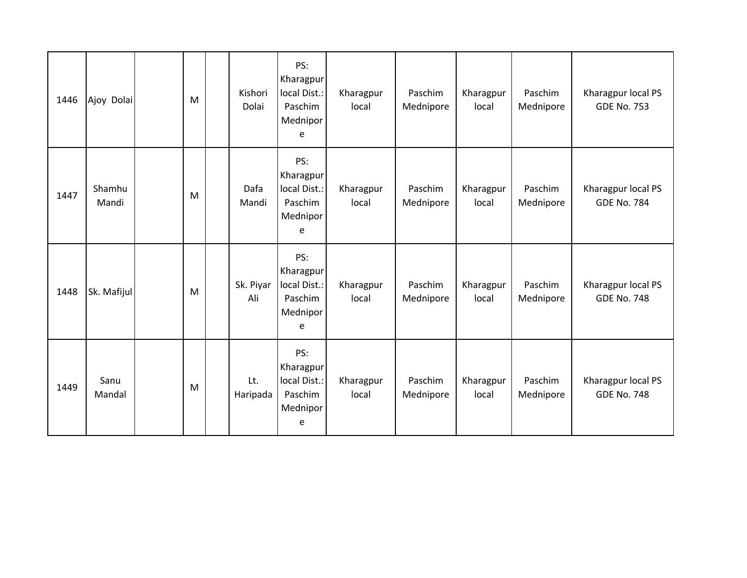| 1446 | Ajoy Dolai      | M | Kishori<br>Dolai | PS:<br>Kharagpur<br>local Dist.:<br>Paschim<br>Mednipor<br>e | Kharagpur<br>local | Paschim<br>Mednipore | Kharagpur<br>local | Paschim<br>Mednipore | Kharagpur local PS<br><b>GDE No. 753</b> |
|------|-----------------|---|------------------|--------------------------------------------------------------|--------------------|----------------------|--------------------|----------------------|------------------------------------------|
| 1447 | Shamhu<br>Mandi | M | Dafa<br>Mandi    | PS:<br>Kharagpur<br>local Dist.:<br>Paschim<br>Mednipor<br>e | Kharagpur<br>local | Paschim<br>Mednipore | Kharagpur<br>local | Paschim<br>Mednipore | Kharagpur local PS<br><b>GDE No. 784</b> |
| 1448 | Sk. Mafijul     | M | Sk. Piyar<br>Ali | PS:<br>Kharagpur<br>local Dist.:<br>Paschim<br>Mednipor<br>e | Kharagpur<br>local | Paschim<br>Mednipore | Kharagpur<br>local | Paschim<br>Mednipore | Kharagpur local PS<br><b>GDE No. 748</b> |
| 1449 | Sanu<br>Mandal  | M | Lt.<br>Haripada  | PS:<br>Kharagpur<br>local Dist.:<br>Paschim<br>Mednipor<br>e | Kharagpur<br>local | Paschim<br>Mednipore | Kharagpur<br>local | Paschim<br>Mednipore | Kharagpur local PS<br><b>GDE No. 748</b> |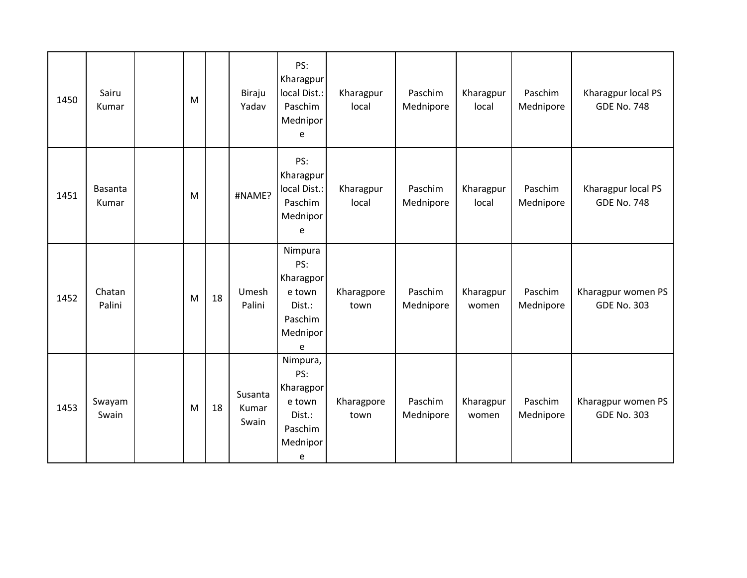| 1450 | Sairu<br>Kumar          | M |    | Biraju<br>Yadav           | PS:<br>Kharagpur<br>local Dist.:<br>Paschim<br>Mednipor<br>e                 | Kharagpur<br>local | Paschim<br>Mednipore | Kharagpur<br>local | Paschim<br>Mednipore | Kharagpur local PS<br><b>GDE No. 748</b> |
|------|-------------------------|---|----|---------------------------|------------------------------------------------------------------------------|--------------------|----------------------|--------------------|----------------------|------------------------------------------|
| 1451 | <b>Basanta</b><br>Kumar | M |    | #NAME?                    | PS:<br>Kharagpur<br>local Dist.:<br>Paschim<br>Mednipor<br>e                 | Kharagpur<br>local | Paschim<br>Mednipore | Kharagpur<br>local | Paschim<br>Mednipore | Kharagpur local PS<br><b>GDE No. 748</b> |
| 1452 | Chatan<br>Palini        | M | 18 | Umesh<br>Palini           | Nimpura<br>PS:<br>Kharagpor<br>e town<br>Dist.:<br>Paschim<br>Mednipor<br>e  | Kharagpore<br>town | Paschim<br>Mednipore | Kharagpur<br>women | Paschim<br>Mednipore | Kharagpur women PS<br><b>GDE No. 303</b> |
| 1453 | Swayam<br>Swain         | M | 18 | Susanta<br>Kumar<br>Swain | Nimpura,<br>PS:<br>Kharagpor<br>e town<br>Dist.:<br>Paschim<br>Mednipor<br>e | Kharagpore<br>town | Paschim<br>Mednipore | Kharagpur<br>women | Paschim<br>Mednipore | Kharagpur women PS<br><b>GDE No. 303</b> |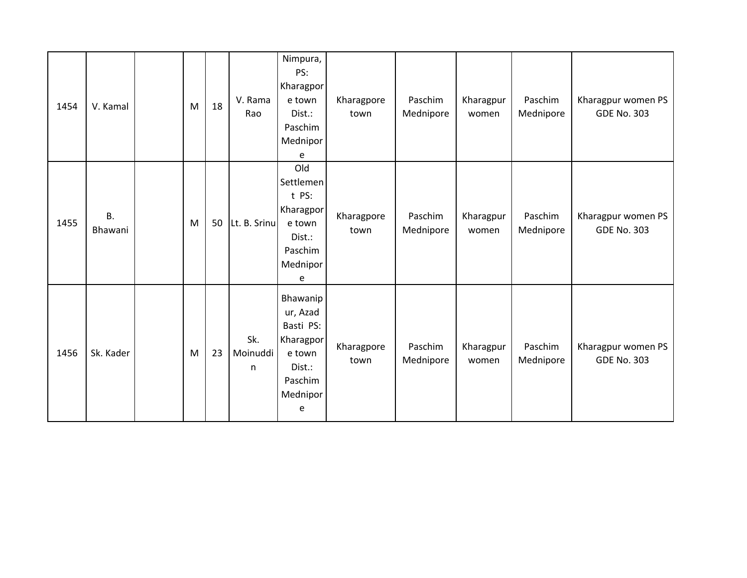| 1454 | V. Kamal             | M | 18 | V. Rama<br>Rao       | Nimpura,<br>PS:<br>Kharagpor<br>e town<br>Dist.:<br>Paschim<br>Mednipor<br>e                   | Kharagpore<br>town | Paschim<br>Mednipore | Kharagpur<br>women | Paschim<br>Mednipore | Kharagpur women PS<br><b>GDE No. 303</b> |
|------|----------------------|---|----|----------------------|------------------------------------------------------------------------------------------------|--------------------|----------------------|--------------------|----------------------|------------------------------------------|
| 1455 | <b>B.</b><br>Bhawani | M | 50 | Lt. B. Srinu         | Old<br>Settlemen<br>t PS:<br>Kharagpor<br>e town<br>Dist.:<br>Paschim<br>Mednipor<br>e         | Kharagpore<br>town | Paschim<br>Mednipore | Kharagpur<br>women | Paschim<br>Mednipore | Kharagpur women PS<br><b>GDE No. 303</b> |
| 1456 | Sk. Kader            | M | 23 | Sk.<br>Moinuddi<br>n | Bhawanip<br>ur, Azad<br>Basti PS:<br>Kharagpor<br>e town<br>Dist.:<br>Paschim<br>Mednipor<br>e | Kharagpore<br>town | Paschim<br>Mednipore | Kharagpur<br>women | Paschim<br>Mednipore | Kharagpur women PS<br><b>GDE No. 303</b> |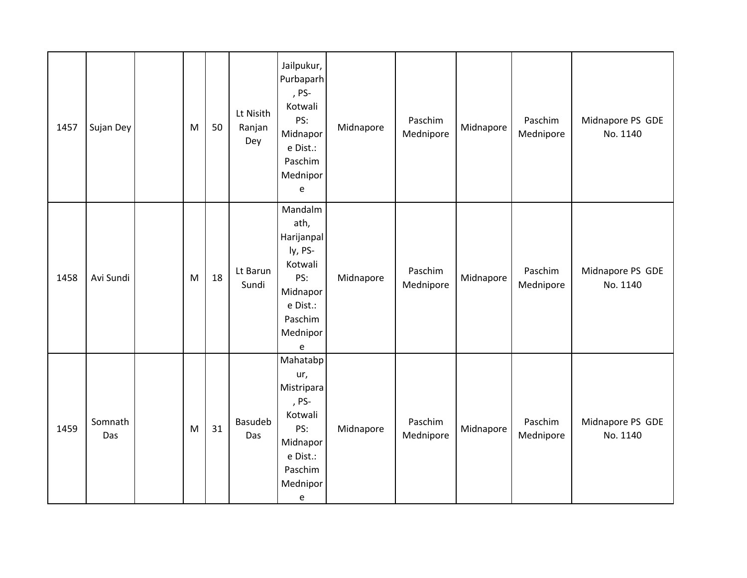| 1457 | Sujan Dey      | M | 50 | Lt Nisith<br>Ranjan<br>Dey | Jailpukur,<br>Purbaparh<br>, PS-<br>Kotwali<br>PS:<br>Midnapor<br>e Dist.:<br>Paschim<br>Mednipor<br>e                                       | Midnapore | Paschim<br>Mednipore | Midnapore | Paschim<br>Mednipore | Midnapore PS GDE<br>No. 1140 |
|------|----------------|---|----|----------------------------|----------------------------------------------------------------------------------------------------------------------------------------------|-----------|----------------------|-----------|----------------------|------------------------------|
| 1458 | Avi Sundi      | M | 18 | Lt Barun<br>Sundi          | Mandalm<br>ath,<br>Harijanpal<br>ly, PS-<br>Kotwali<br>PS:<br>Midnapor<br>e Dist.:<br>Paschim<br>Mednipor<br>e                               | Midnapore | Paschim<br>Mednipore | Midnapore | Paschim<br>Mednipore | Midnapore PS GDE<br>No. 1140 |
| 1459 | Somnath<br>Das | M | 31 | Basudeb<br>Das             | Mahatabp<br>ur,<br>Mistripara<br>, PS-<br>Kotwali<br>PS:<br>Midnapor<br>e Dist.:<br>Paschim<br>Mednipor<br>$\mathsf{e}% _{t}\left( t\right)$ | Midnapore | Paschim<br>Mednipore | Midnapore | Paschim<br>Mednipore | Midnapore PS GDE<br>No. 1140 |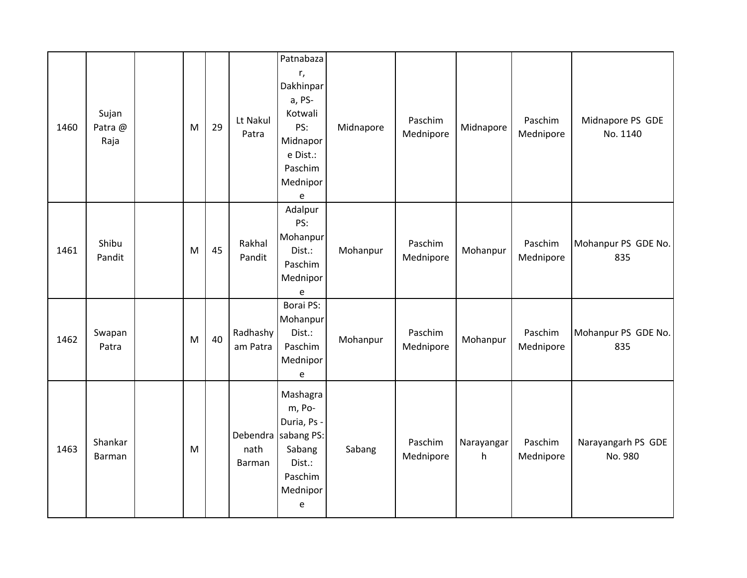| 1460 | Sujan<br>Patra @<br>Raja | M | 29 | Lt Nakul<br>Patra    | Patnabaza<br>r,<br>Dakhinpar<br>a, PS-<br>Kotwali<br>PS:<br>Midnapor<br>e Dist.:<br>Paschim<br>Mednipor<br>e | Midnapore | Paschim<br>Mednipore | Midnapore       | Paschim<br>Mednipore | Midnapore PS GDE<br>No. 1140  |
|------|--------------------------|---|----|----------------------|--------------------------------------------------------------------------------------------------------------|-----------|----------------------|-----------------|----------------------|-------------------------------|
| 1461 | Shibu<br>Pandit          | M | 45 | Rakhal<br>Pandit     | Adalpur<br>PS:<br>Mohanpur<br>Dist.:<br>Paschim<br>Mednipor<br>e                                             | Mohanpur  | Paschim<br>Mednipore | Mohanpur        | Paschim<br>Mednipore | Mohanpur PS GDE No.<br>835    |
| 1462 | Swapan<br>Patra          | M | 40 | Radhashy<br>am Patra | Borai PS:<br>Mohanpur<br>Dist.:<br>Paschim<br>Mednipor<br>e                                                  | Mohanpur  | Paschim<br>Mednipore | Mohanpur        | Paschim<br>Mednipore | Mohanpur PS GDE No.<br>835    |
| 1463 | Shankar<br>Barman        | M |    | nath<br>Barman       | Mashagra<br>m, Po-<br>Duria, Ps -<br>Debendra sabang PS:<br>Sabang<br>Dist.:<br>Paschim<br>Mednipor<br>e     | Sabang    | Paschim<br>Mednipore | Narayangar<br>h | Paschim<br>Mednipore | Narayangarh PS GDE<br>No. 980 |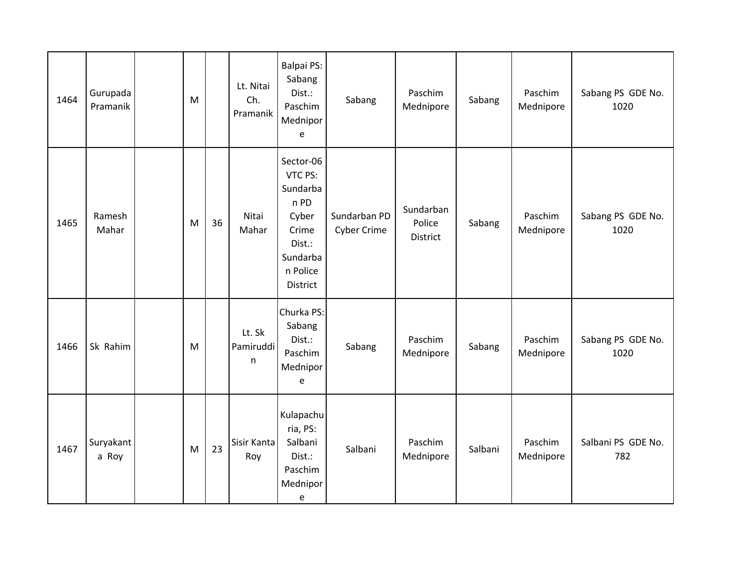| 1464 | Gurupada<br>Pramanik | M |    | Lt. Nitai<br>Ch.<br>Pramanik        | <b>Balpai PS:</b><br>Sabang<br>Dist.:<br>Paschim<br>Mednipor<br>e                                        | Sabang                             | Paschim<br>Mednipore            | Sabang  | Paschim<br>Mednipore | Sabang PS GDE No.<br>1020 |
|------|----------------------|---|----|-------------------------------------|----------------------------------------------------------------------------------------------------------|------------------------------------|---------------------------------|---------|----------------------|---------------------------|
| 1465 | Ramesh<br>Mahar      | M | 36 | Nitai<br>Mahar                      | Sector-06<br>VTC PS:<br>Sundarba<br>n PD<br>Cyber<br>Crime<br>Dist.:<br>Sundarba<br>n Police<br>District | Sundarban PD<br><b>Cyber Crime</b> | Sundarban<br>Police<br>District | Sabang  | Paschim<br>Mednipore | Sabang PS GDE No.<br>1020 |
| 1466 | Sk Rahim             | M |    | Lt. Sk<br>Pamiruddi<br>$\mathsf{n}$ | Churka PS:<br>Sabang<br>Dist.:<br>Paschim<br>Mednipor<br>e                                               | Sabang                             | Paschim<br>Mednipore            | Sabang  | Paschim<br>Mednipore | Sabang PS GDE No.<br>1020 |
| 1467 | Suryakant<br>a Roy   | M | 23 | Sisir Kanta<br>Roy                  | Kulapachu<br>ria, PS:<br>Salbani<br>Dist.:<br>Paschim<br>Mednipor<br>e                                   | Salbani                            | Paschim<br>Mednipore            | Salbani | Paschim<br>Mednipore | Salbani PS GDE No.<br>782 |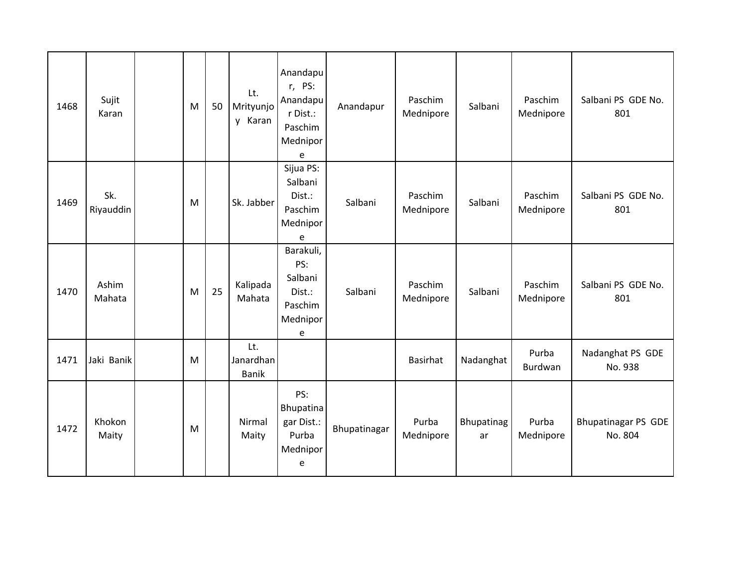| 1468 | Sujit<br>Karan   | M | 50 | Lt.<br>Mrityunjo<br>y Karan      | Anandapu<br>r, PS:<br>Anandapu<br>r Dist.:<br>Paschim<br>Mednipor<br>e | Anandapur    | Paschim<br>Mednipore | Salbani          | Paschim<br>Mednipore | Salbani PS GDE No.<br>801             |
|------|------------------|---|----|----------------------------------|------------------------------------------------------------------------|--------------|----------------------|------------------|----------------------|---------------------------------------|
| 1469 | Sk.<br>Riyauddin | M |    | Sk. Jabber                       | Sijua PS:<br>Salbani<br>Dist.:<br>Paschim<br>Mednipor<br>e             | Salbani      | Paschim<br>Mednipore | Salbani          | Paschim<br>Mednipore | Salbani PS GDE No.<br>801             |
| 1470 | Ashim<br>Mahata  | M | 25 | Kalipada<br>Mahata               | Barakuli,<br>PS:<br>Salbani<br>Dist.:<br>Paschim<br>Mednipor<br>e      | Salbani      | Paschim<br>Mednipore | Salbani          | Paschim<br>Mednipore | Salbani PS GDE No.<br>801             |
| 1471 | Jaki Banik       | M |    | Lt.<br>Janardhan<br><b>Banik</b> |                                                                        |              | Basirhat             | Nadanghat        | Purba<br>Burdwan     | Nadanghat PS GDE<br>No. 938           |
| 1472 | Khokon<br>Maity  | M |    | Nirmal<br>Maity                  | PS:<br>Bhupatina<br>gar Dist.:<br>Purba<br>Mednipor<br>e               | Bhupatinagar | Purba<br>Mednipore   | Bhupatinag<br>ar | Purba<br>Mednipore   | <b>Bhupatinagar PS GDE</b><br>No. 804 |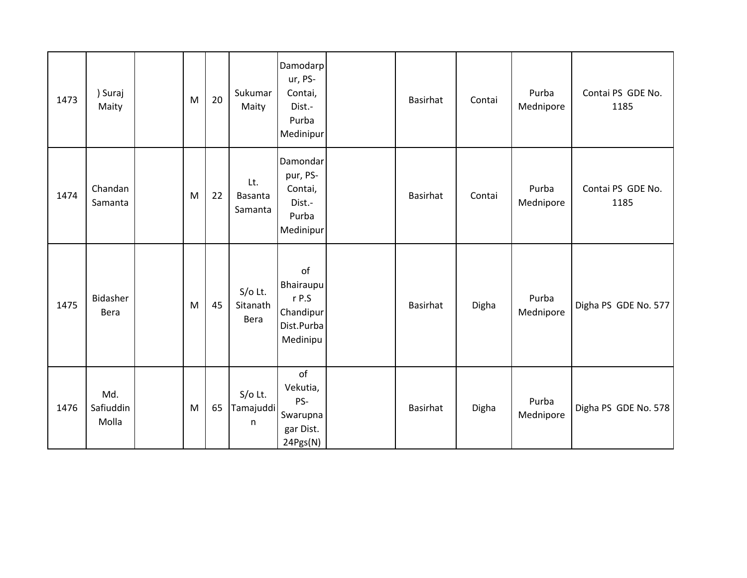| 1473 | ) Suraj<br>Maity          | M | 20 | Sukumar<br>Maity                 | Damodarp<br>ur, PS-<br>Contai,<br>Dist.-<br>Purba<br>Medinipur  | Basirhat        | Contai | Purba<br>Mednipore | Contai PS GDE No.<br>1185 |
|------|---------------------------|---|----|----------------------------------|-----------------------------------------------------------------|-----------------|--------|--------------------|---------------------------|
| 1474 | Chandan<br>Samanta        | M | 22 | Lt.<br><b>Basanta</b><br>Samanta | Damondar<br>pur, PS-<br>Contai,<br>Dist.-<br>Purba<br>Medinipur | Basirhat        | Contai | Purba<br>Mednipore | Contai PS GDE No.<br>1185 |
| 1475 | Bidasher<br>Bera          | M | 45 | $S/O$ Lt.<br>Sitanath<br>Bera    | of<br>Bhairaupu<br>r P.S<br>Chandipur<br>Dist.Purba<br>Medinipu | <b>Basirhat</b> | Digha  | Purba<br>Mednipore | Digha PS GDE No. 577      |
| 1476 | Md.<br>Safiuddin<br>Molla | M | 65 | $S/O$ Lt.<br>Tamajuddi<br>n      | of<br>Vekutia,<br>PS-<br>Swarupna<br>gar Dist.<br>24Pgs(N)      | <b>Basirhat</b> | Digha  | Purba<br>Mednipore | Digha PS GDE No. 578      |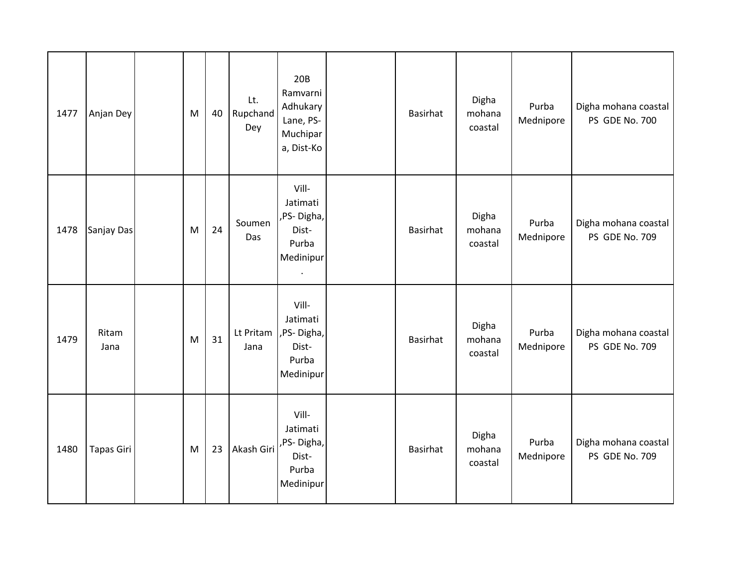| 1477 | Anjan Dey         | M | 40 | Lt.<br>Rupchand<br>Dey | 20B<br>Ramvarni<br>Adhukary<br>Lane, PS-<br>Muchipar<br>a, Dist-Ko | Basirhat | Digha<br>mohana<br>coastal | Purba<br>Mednipore | Digha mohana coastal<br>PS GDE No. 700 |
|------|-------------------|---|----|------------------------|--------------------------------------------------------------------|----------|----------------------------|--------------------|----------------------------------------|
| 1478 | Sanjay Das        | M | 24 | Soumen<br>Das          | Vill-<br>Jatimati<br>,PS-Digha,<br>Dist-<br>Purba<br>Medinipur     | Basirhat | Digha<br>mohana<br>coastal | Purba<br>Mednipore | Digha mohana coastal<br>PS GDE No. 709 |
| 1479 | Ritam<br>Jana     | M | 31 | Lt Pritam<br>Jana      | Vill-<br>Jatimati<br>,PS-Digha,<br>Dist-<br>Purba<br>Medinipur     | Basirhat | Digha<br>mohana<br>coastal | Purba<br>Mednipore | Digha mohana coastal<br>PS GDE No. 709 |
| 1480 | <b>Tapas Giri</b> | M | 23 | Akash Giri             | Vill-<br>Jatimati<br>,PS-Digha,<br>Dist-<br>Purba<br>Medinipur     | Basirhat | Digha<br>mohana<br>coastal | Purba<br>Mednipore | Digha mohana coastal<br>PS GDE No. 709 |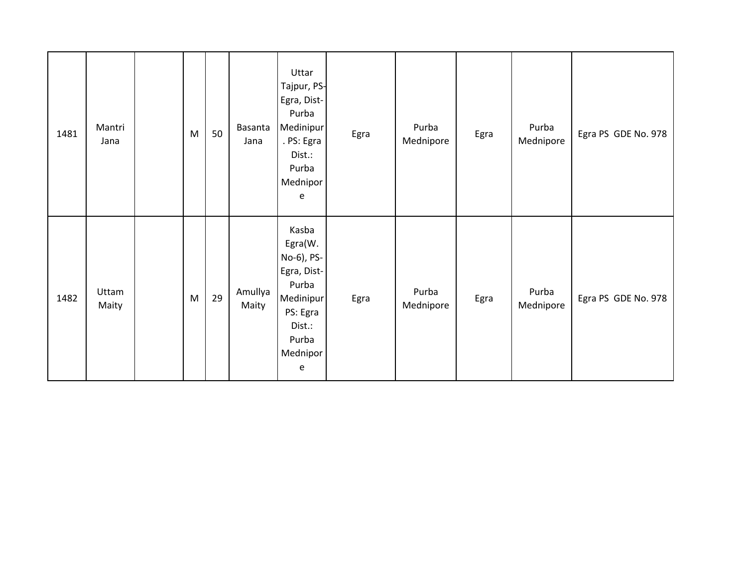| 1481 | Mantri<br>Jana | M | 50 | Basanta<br>Jana  | Uttar<br>Tajpur, PS-<br>Egra, Dist-<br>Purba<br>Medinipur<br>. PS: Egra<br>Dist.:<br>Purba<br>Mednipor<br>e         | Egra | Purba<br>Mednipore | Egra | Purba<br>Mednipore | Egra PS GDE No. 978 |
|------|----------------|---|----|------------------|---------------------------------------------------------------------------------------------------------------------|------|--------------------|------|--------------------|---------------------|
| 1482 | Uttam<br>Maity | M | 29 | Amullya<br>Maity | Kasba<br>Egra(W.<br>No-6), PS-<br>Egra, Dist-<br>Purba<br>Medinipur<br>PS: Egra<br>Dist.:<br>Purba<br>Mednipor<br>e | Egra | Purba<br>Mednipore | Egra | Purba<br>Mednipore | Egra PS GDE No. 978 |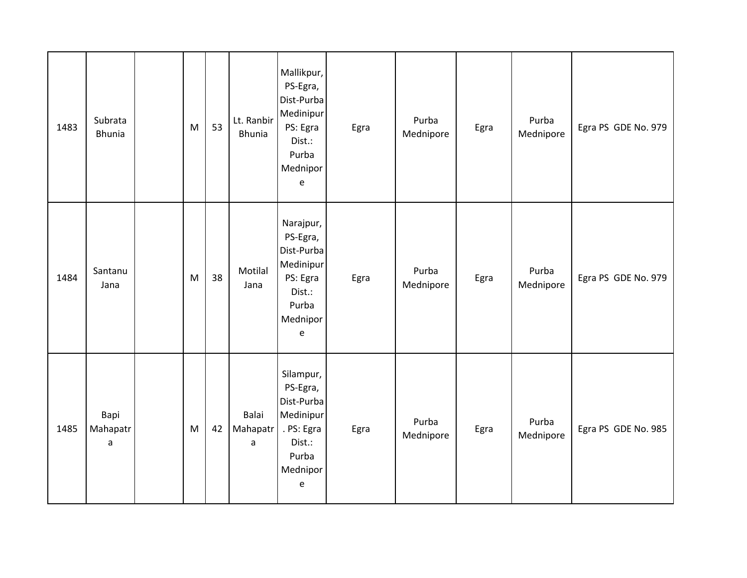| 1483 | Subrata<br><b>Bhunia</b> | M | 53 | Lt. Ranbir<br><b>Bhunia</b> | Mallikpur,<br>PS-Egra,<br>Dist-Purba<br>Medinipur<br>PS: Egra<br>Dist.:<br>Purba<br>Mednipor<br>$\mathsf{e}% _{t}\left( t\right)$ | Egra | Purba<br>Mednipore | Egra | Purba<br>Mednipore | Egra PS GDE No. 979 |
|------|--------------------------|---|----|-----------------------------|-----------------------------------------------------------------------------------------------------------------------------------|------|--------------------|------|--------------------|---------------------|
| 1484 | Santanu<br>Jana          | M | 38 | Motilal<br>Jana             | Narajpur,<br>PS-Egra,<br>Dist-Purba<br>Medinipur<br>PS: Egra<br>Dist.:<br>Purba<br>Mednipor<br>$\mathsf{e}% _{t}\left( t\right)$  | Egra | Purba<br>Mednipore | Egra | Purba<br>Mednipore | Egra PS GDE No. 979 |
| 1485 | Bapi<br>Mahapatr<br>a    | M | 42 | Balai<br>Mahapatr<br>a      | Silampur,<br>PS-Egra,<br>Dist-Purba<br>Medinipur<br>. PS: Egra<br>Dist.:<br>Purba<br>Mednipor<br>e                                | Egra | Purba<br>Mednipore | Egra | Purba<br>Mednipore | Egra PS GDE No. 985 |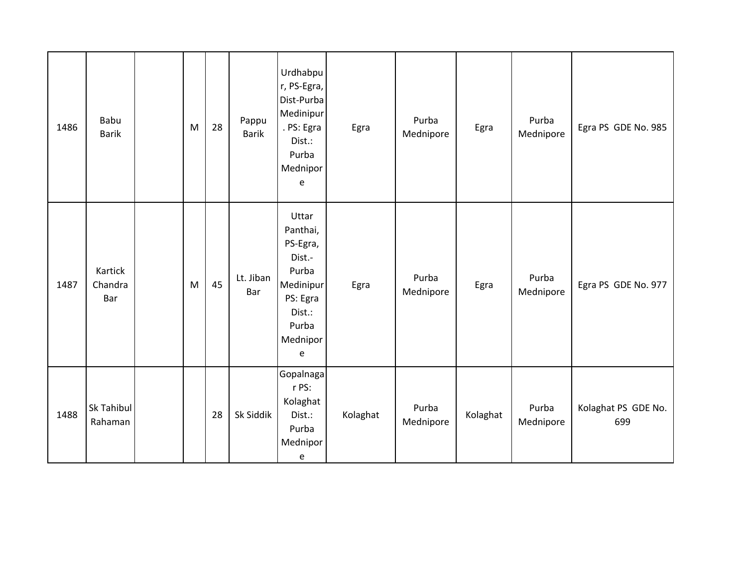| 1486 | Babu<br><b>Barik</b>      | M | 28 | Pappu<br><b>Barik</b> | Urdhabpu<br>r, PS-Egra,<br>Dist-Purba<br>Medinipur<br>. PS: Egra<br>Dist.:<br>Purba<br>Mednipor<br>$\mathsf{e}% _{t}\left( t\right)$ | Egra     | Purba<br>Mednipore | Egra     | Purba<br>Mednipore | Egra PS GDE No. 985        |
|------|---------------------------|---|----|-----------------------|--------------------------------------------------------------------------------------------------------------------------------------|----------|--------------------|----------|--------------------|----------------------------|
| 1487 | Kartick<br>Chandra<br>Bar | M | 45 | Lt. Jiban<br>Bar      | Uttar<br>Panthai,<br>PS-Egra,<br>Dist.-<br>Purba<br>Medinipur<br>PS: Egra<br>Dist.:<br>Purba<br>Mednipor<br>e                        | Egra     | Purba<br>Mednipore | Egra     | Purba<br>Mednipore | Egra PS GDE No. 977        |
| 1488 | Sk Tahibul<br>Rahaman     |   | 28 | Sk Siddik             | Gopalnaga<br>r PS:<br>Kolaghat<br>Dist.:<br>Purba<br>Mednipor<br>e                                                                   | Kolaghat | Purba<br>Mednipore | Kolaghat | Purba<br>Mednipore | Kolaghat PS GDE No.<br>699 |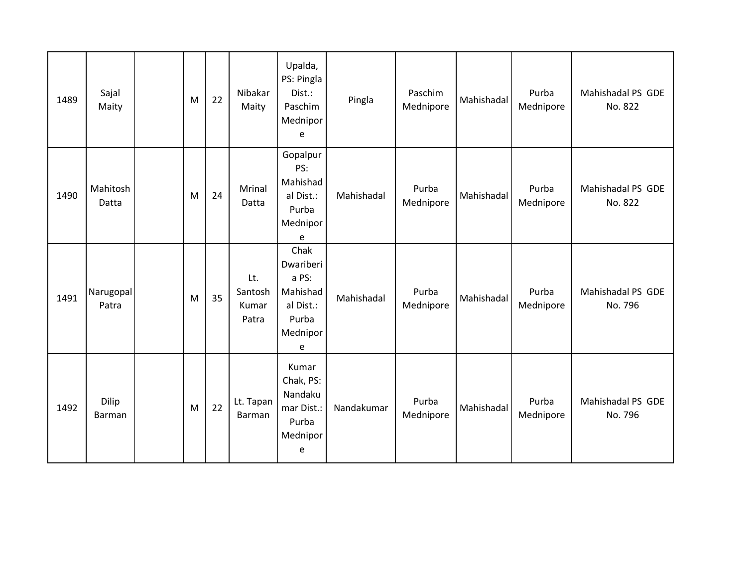| 1489 | Sajal<br>Maity     | M | 22 | Nibakar<br>Maity                 | Upalda,<br>PS: Pingla<br>Dist.:<br>Paschim<br>Mednipor<br>e                   | Pingla     | Paschim<br>Mednipore | Mahishadal | Purba<br>Mednipore | Mahishadal PS GDE<br>No. 822 |
|------|--------------------|---|----|----------------------------------|-------------------------------------------------------------------------------|------------|----------------------|------------|--------------------|------------------------------|
| 1490 | Mahitosh<br>Datta  | M | 24 | Mrinal<br>Datta                  | Gopalpur<br>PS:<br>Mahishad<br>al Dist.:<br>Purba<br>Mednipor<br>e            | Mahishadal | Purba<br>Mednipore   | Mahishadal | Purba<br>Mednipore | Mahishadal PS GDE<br>No. 822 |
| 1491 | Narugopal<br>Patra | M | 35 | Lt.<br>Santosh<br>Kumar<br>Patra | Chak<br>Dwariberi<br>a PS:<br>Mahishad<br>al Dist.:<br>Purba<br>Mednipor<br>e | Mahishadal | Purba<br>Mednipore   | Mahishadal | Purba<br>Mednipore | Mahishadal PS GDE<br>No. 796 |
| 1492 | Dilip<br>Barman    | M | 22 | Lt. Tapan<br>Barman              | Kumar<br>Chak, PS:<br>Nandaku<br>mar Dist.:<br>Purba<br>Mednipor<br>e         | Nandakumar | Purba<br>Mednipore   | Mahishadal | Purba<br>Mednipore | Mahishadal PS GDE<br>No. 796 |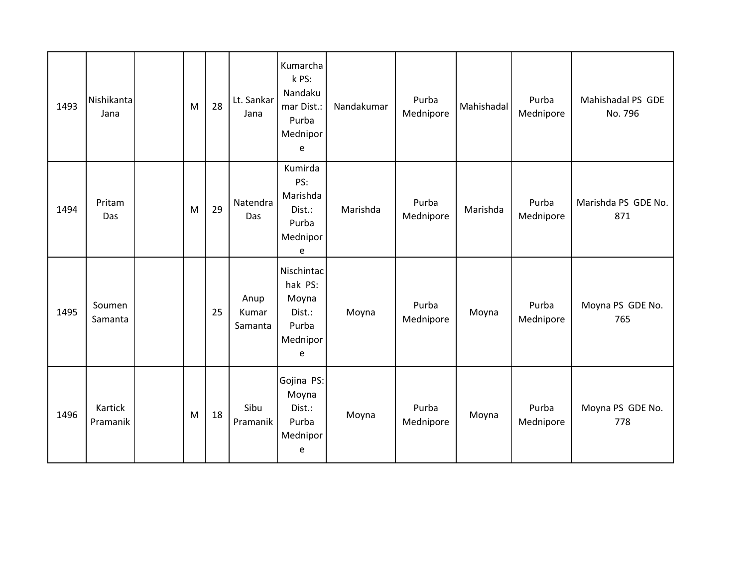| 1493 | Nishikanta<br>Jana  | M | 28 | Lt. Sankar<br>Jana       | Kumarcha<br>k PS:<br>Nandaku<br>mar Dist.:<br>Purba<br>Mednipor<br>e | Nandakumar | Purba<br>Mednipore | Mahishadal | Purba<br>Mednipore | Mahishadal PS GDE<br>No. 796 |
|------|---------------------|---|----|--------------------------|----------------------------------------------------------------------|------------|--------------------|------------|--------------------|------------------------------|
| 1494 | Pritam<br>Das       | M | 29 | Natendra<br>Das          | Kumirda<br>PS:<br>Marishda<br>Dist.:<br>Purba<br>Mednipor<br>e       | Marishda   | Purba<br>Mednipore | Marishda   | Purba<br>Mednipore | Marishda PS GDE No.<br>871   |
| 1495 | Soumen<br>Samanta   |   | 25 | Anup<br>Kumar<br>Samanta | Nischintac<br>hak PS:<br>Moyna<br>Dist.:<br>Purba<br>Mednipor<br>e   | Moyna      | Purba<br>Mednipore | Moyna      | Purba<br>Mednipore | Moyna PS GDE No.<br>765      |
| 1496 | Kartick<br>Pramanik | M | 18 | Sibu<br>Pramanik         | Gojina PS:<br>Moyna<br>Dist.:<br>Purba<br>Mednipor<br>e              | Moyna      | Purba<br>Mednipore | Moyna      | Purba<br>Mednipore | Moyna PS GDE No.<br>778      |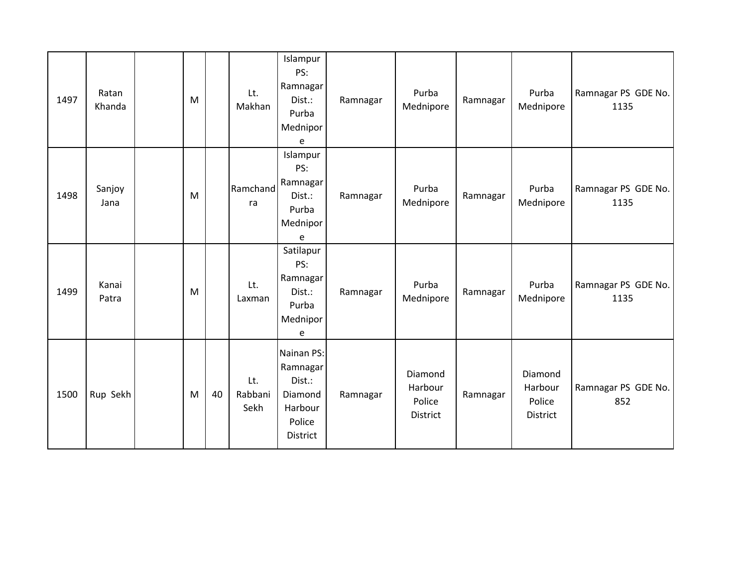| 1497 | Ratan<br>Khanda | M |    | Lt.<br>Makhan          | Islampur<br>PS:<br>Ramnagar<br>Dist.:<br>Purba<br>Mednipor<br>e              | Ramnagar | Purba<br>Mednipore                       | Ramnagar | Purba<br>Mednipore                       | Ramnagar PS GDE No.<br>1135 |
|------|-----------------|---|----|------------------------|------------------------------------------------------------------------------|----------|------------------------------------------|----------|------------------------------------------|-----------------------------|
| 1498 | Sanjoy<br>Jana  | M |    | Ramchand<br>ra         | Islampur<br>PS:<br>Ramnagar<br>Dist.:<br>Purba<br>Mednipor<br>e              | Ramnagar | Purba<br>Mednipore                       | Ramnagar | Purba<br>Mednipore                       | Ramnagar PS GDE No.<br>1135 |
| 1499 | Kanai<br>Patra  | M |    | Lt.<br>Laxman          | Satilapur<br>PS:<br>Ramnagar<br>Dist.:<br>Purba<br>Mednipor<br>e             | Ramnagar | Purba<br>Mednipore                       | Ramnagar | Purba<br>Mednipore                       | Ramnagar PS GDE No.<br>1135 |
| 1500 | Rup Sekh        | M | 40 | Lt.<br>Rabbani<br>Sekh | Nainan PS:<br>Ramnagar<br>Dist.:<br>Diamond<br>Harbour<br>Police<br>District | Ramnagar | Diamond<br>Harbour<br>Police<br>District | Ramnagar | Diamond<br>Harbour<br>Police<br>District | Ramnagar PS GDE No.<br>852  |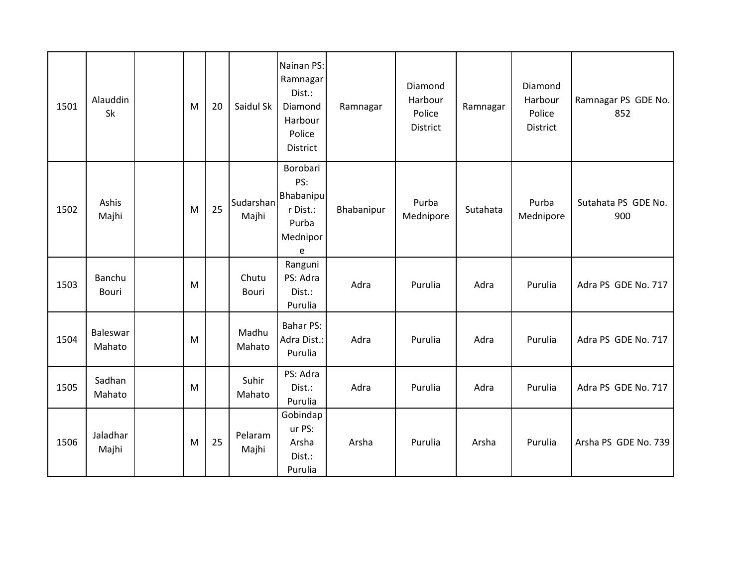| 1501 | Alauddin<br>Sk     | M | 20 | Saidul Sk          | Nainan PS:<br>Ramnagar<br>Dist.:<br>Diamond<br>Harbour<br>Police<br><b>District</b> | Ramnagar   | Diamond<br>Harbour<br>Police<br>District | Ramnagar | Diamond<br>Harbour<br>Police<br>District | Ramnagar PS GDE No.<br>852 |
|------|--------------------|---|----|--------------------|-------------------------------------------------------------------------------------|------------|------------------------------------------|----------|------------------------------------------|----------------------------|
| 1502 | Ashis<br>Majhi     | M | 25 | Sudarshan<br>Majhi | Borobari<br>PS:<br>Bhabanipu<br>r Dist.:<br>Purba<br>Mednipor<br>e                  | Bhabanipur | Purba<br>Mednipore                       | Sutahata | Purba<br>Mednipore                       | Sutahata PS GDE No.<br>900 |
| 1503 | Banchu<br>Bouri    | M |    | Chutu<br>Bouri     | Ranguni<br>PS: Adra<br>Dist.:<br>Purulia                                            | Adra       | Purulia                                  | Adra     | Purulia                                  | Adra PS GDE No. 717        |
| 1504 | Baleswar<br>Mahato | M |    | Madhu<br>Mahato    | <b>Bahar PS:</b><br>Adra Dist.:<br>Purulia                                          | Adra       | Purulia                                  | Adra     | Purulia                                  | Adra PS GDE No. 717        |
| 1505 | Sadhan<br>Mahato   | M |    | Suhir<br>Mahato    | PS: Adra<br>Dist.:<br>Purulia                                                       | Adra       | Purulia                                  | Adra     | Purulia                                  | Adra PS GDE No. 717        |
| 1506 | Jaladhar<br>Majhi  | M | 25 | Pelaram<br>Majhi   | Gobindap<br>ur PS:<br>Arsha<br>Dist.:<br>Purulia                                    | Arsha      | Purulia                                  | Arsha    | Purulia                                  | Arsha PS GDE No. 739       |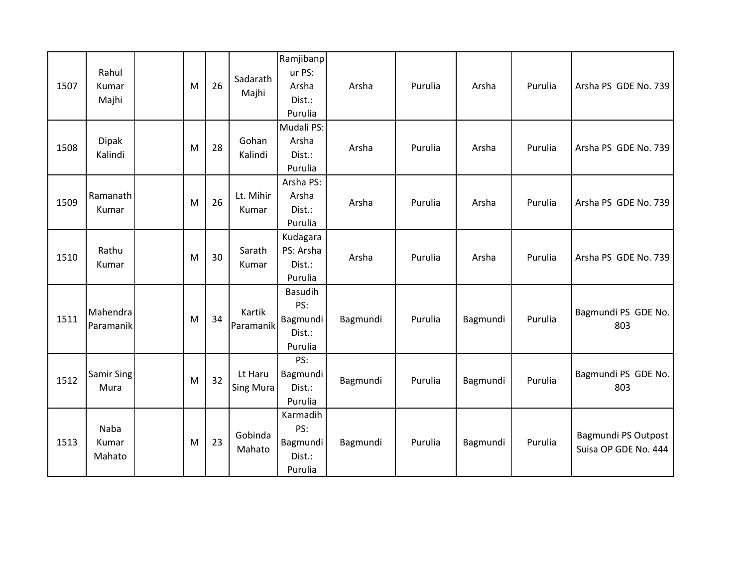| 1507 | Rahul<br>Kumar<br>Majhi   | M | 26 | Sadarath<br>Majhi    | Ramjibanp<br>ur PS:<br>Arsha<br>Dist.:<br>Purulia      | Arsha    | Purulia | Arsha    | Purulia | Arsha PS GDE No. 739                        |
|------|---------------------------|---|----|----------------------|--------------------------------------------------------|----------|---------|----------|---------|---------------------------------------------|
| 1508 | <b>Dipak</b><br>Kalindi   | M | 28 | Gohan<br>Kalindi     | Mudali PS:<br>Arsha<br>Dist.:<br>Purulia               | Arsha    | Purulia | Arsha    | Purulia | Arsha PS GDE No. 739                        |
| 1509 | Ramanath<br>Kumar         | M | 26 | Lt. Mihir<br>Kumar   | Arsha PS:<br>Arsha<br>Dist.:<br>Purulia                | Arsha    | Purulia | Arsha    | Purulia | Arsha PS GDE No. 739                        |
| 1510 | Rathu<br>Kumar            | M | 30 | Sarath<br>Kumar      | Kudagara<br>PS: Arsha<br>Dist.:<br>Purulia             | Arsha    | Purulia | Arsha    | Purulia | Arsha PS GDE No. 739                        |
| 1511 | Mahendra<br>Paramanik     | M | 34 | Kartik<br>Paramanik  | <b>Basudih</b><br>PS:<br>Bagmundi<br>Dist.:<br>Purulia | Bagmundi | Purulia | Bagmundi | Purulia | Bagmundi PS GDE No.<br>803                  |
| 1512 | <b>Samir Sing</b><br>Mura | M | 32 | Lt Haru<br>Sing Mura | PS:<br>Bagmundi<br>Dist.:<br>Purulia                   | Bagmundi | Purulia | Bagmundi | Purulia | Bagmundi PS GDE No.<br>803                  |
| 1513 | Naba<br>Kumar<br>Mahato   | M | 23 | Gobinda<br>Mahato    | Karmadih<br>PS:<br>Bagmundi<br>Dist.:<br>Purulia       | Bagmundi | Purulia | Bagmundi | Purulia | Bagmundi PS Outpost<br>Suisa OP GDE No. 444 |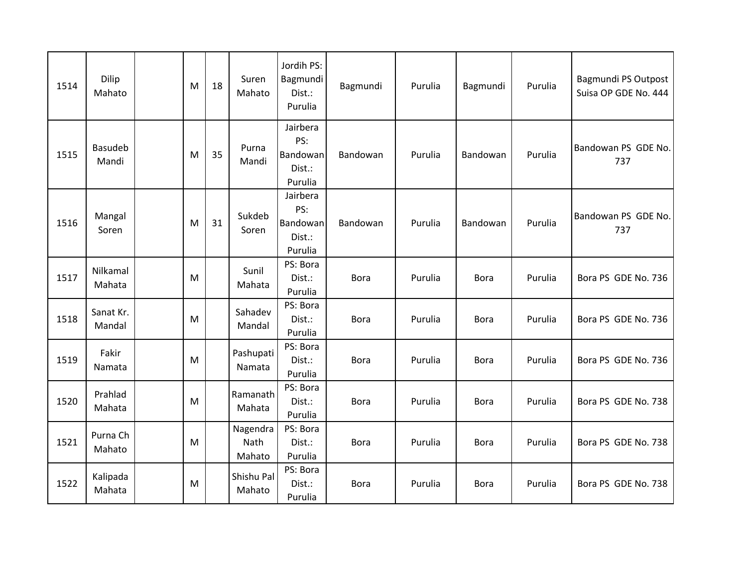| 1514 | Dilip<br>Mahato     | M | 18 | Suren<br>Mahato            | Jordih PS:<br>Bagmundi<br>Dist.:<br>Purulia      | Bagmundi    | Purulia | Bagmundi    | Purulia | <b>Bagmundi PS Outpost</b><br>Suisa OP GDE No. 444 |
|------|---------------------|---|----|----------------------------|--------------------------------------------------|-------------|---------|-------------|---------|----------------------------------------------------|
| 1515 | Basudeb<br>Mandi    | M | 35 | Purna<br>Mandi             | Jairbera<br>PS:<br>Bandowan<br>Dist.:<br>Purulia | Bandowan    | Purulia | Bandowan    | Purulia | Bandowan PS GDE No.<br>737                         |
| 1516 | Mangal<br>Soren     | M | 31 | Sukdeb<br>Soren            | Jairbera<br>PS:<br>Bandowan<br>Dist.:<br>Purulia | Bandowan    | Purulia | Bandowan    | Purulia | Bandowan PS GDE No.<br>737                         |
| 1517 | Nilkamal<br>Mahata  | M |    | Sunil<br>Mahata            | PS: Bora<br>Dist.:<br>Purulia                    | <b>Bora</b> | Purulia | <b>Bora</b> | Purulia | Bora PS GDE No. 736                                |
| 1518 | Sanat Kr.<br>Mandal | M |    | Sahadev<br>Mandal          | PS: Bora<br>Dist.:<br>Purulia                    | <b>Bora</b> | Purulia | <b>Bora</b> | Purulia | Bora PS GDE No. 736                                |
| 1519 | Fakir<br>Namata     | M |    | Pashupati<br>Namata        | PS: Bora<br>Dist.:<br>Purulia                    | <b>Bora</b> | Purulia | <b>Bora</b> | Purulia | Bora PS GDE No. 736                                |
| 1520 | Prahlad<br>Mahata   | M |    | Ramanath<br>Mahata         | PS: Bora<br>Dist.:<br>Purulia                    | <b>Bora</b> | Purulia | <b>Bora</b> | Purulia | Bora PS GDE No. 738                                |
| 1521 | Purna Ch<br>Mahato  | M |    | Nagendra<br>Nath<br>Mahato | PS: Bora<br>Dist.:<br>Purulia                    | <b>Bora</b> | Purulia | <b>Bora</b> | Purulia | Bora PS GDE No. 738                                |
| 1522 | Kalipada<br>Mahata  | M |    | Shishu Pal<br>Mahato       | PS: Bora<br>Dist.:<br>Purulia                    | <b>Bora</b> | Purulia | <b>Bora</b> | Purulia | Bora PS GDE No. 738                                |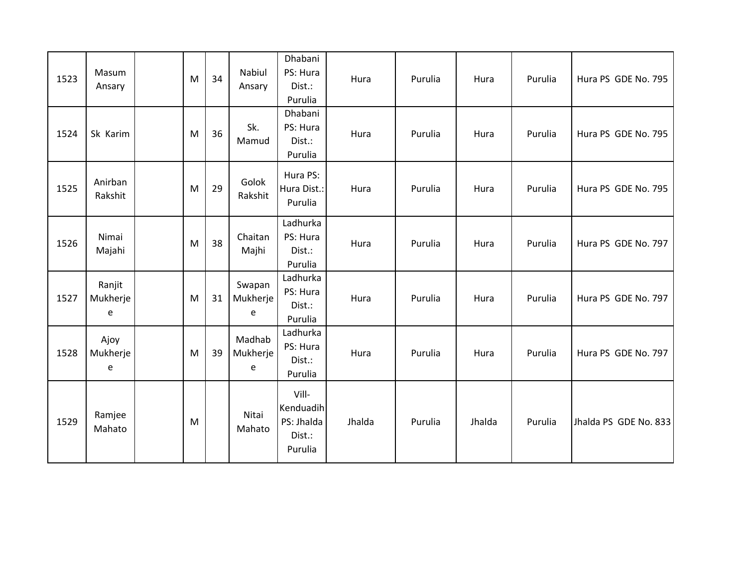| 1523 | Masum<br>Ansary         | M | 34 | Nabiul<br>Ansary        | Dhabani<br>PS: Hura<br>Dist.:<br>Purulia              | Hura   | Purulia | Hura   | Purulia | Hura PS GDE No. 795   |
|------|-------------------------|---|----|-------------------------|-------------------------------------------------------|--------|---------|--------|---------|-----------------------|
| 1524 | Sk Karim                | M | 36 | Sk.<br>Mamud            | Dhabani<br>PS: Hura<br>Dist.:<br>Purulia              | Hura   | Purulia | Hura   | Purulia | Hura PS GDE No. 795   |
| 1525 | Anirban<br>Rakshit      | M | 29 | Golok<br>Rakshit        | Hura PS:<br>Hura Dist.:<br>Purulia                    | Hura   | Purulia | Hura   | Purulia | Hura PS GDE No. 795   |
| 1526 | Nimai<br>Majahi         | M | 38 | Chaitan<br>Majhi        | Ladhurka<br>PS: Hura<br>Dist.:<br>Purulia             | Hura   | Purulia | Hura   | Purulia | Hura PS GDE No. 797   |
| 1527 | Ranjit<br>Mukherje<br>e | M | 31 | Swapan<br>Mukherje<br>e | Ladhurka<br>PS: Hura<br>Dist.:<br>Purulia             | Hura   | Purulia | Hura   | Purulia | Hura PS GDE No. 797   |
| 1528 | Ajoy<br>Mukherje<br>e   | M | 39 | Madhab<br>Mukherje<br>e | Ladhurka<br>PS: Hura<br>Dist.:<br>Purulia             | Hura   | Purulia | Hura   | Purulia | Hura PS GDE No. 797   |
| 1529 | Ramjee<br>Mahato        | M |    | Nitai<br>Mahato         | Vill-<br>Kenduadih<br>PS: Jhalda<br>Dist.:<br>Purulia | Jhalda | Purulia | Jhalda | Purulia | Jhalda PS GDE No. 833 |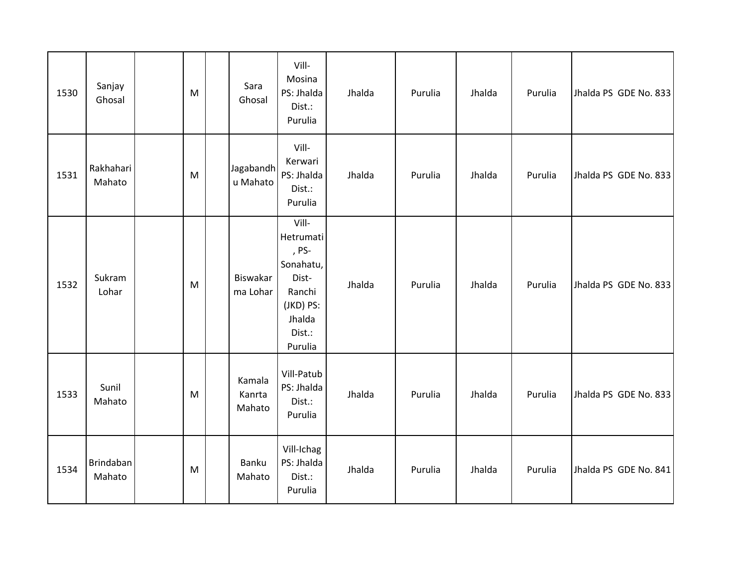| 1530 | Sanjay<br>Ghosal    | M | Sara<br>Ghosal             | Vill-<br>Mosina<br>PS: Jhalda<br>Dist.:<br>Purulia                                                      | Jhalda | Purulia | Jhalda | Purulia | Jhalda PS GDE No. 833 |
|------|---------------------|---|----------------------------|---------------------------------------------------------------------------------------------------------|--------|---------|--------|---------|-----------------------|
| 1531 | Rakhahari<br>Mahato | M | Jagabandh<br>u Mahato      | Vill-<br>Kerwari<br>PS: Jhalda<br>Dist.:<br>Purulia                                                     | Jhalda | Purulia | Jhalda | Purulia | Jhalda PS GDE No. 833 |
| 1532 | Sukram<br>Lohar     | M | Biswakar<br>ma Lohar       | Vill-<br>Hetrumati<br>, PS-<br>Sonahatu,<br>Dist-<br>Ranchi<br>(JKD) PS:<br>Jhalda<br>Dist.:<br>Purulia | Jhalda | Purulia | Jhalda | Purulia | Jhalda PS GDE No. 833 |
| 1533 | Sunil<br>Mahato     | M | Kamala<br>Kanrta<br>Mahato | Vill-Patub<br>PS: Jhalda<br>Dist.:<br>Purulia                                                           | Jhalda | Purulia | Jhalda | Purulia | Jhalda PS GDE No. 833 |
| 1534 | Brindaban<br>Mahato | M | Banku<br>Mahato            | Vill-Ichag<br>PS: Jhalda<br>Dist.:<br>Purulia                                                           | Jhalda | Purulia | Jhalda | Purulia | Jhalda PS GDE No. 841 |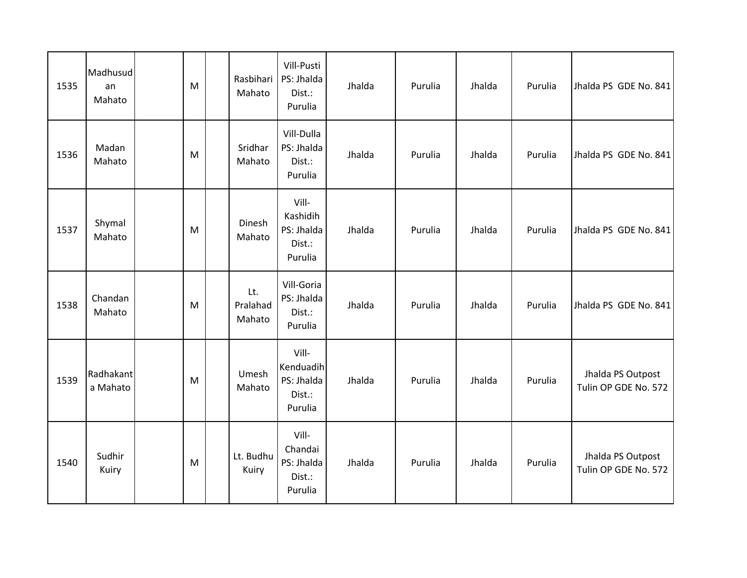| 1535 | Madhusud<br>an<br>Mahato | M | Rasbihari<br>Mahato       | Vill-Pusti<br>PS: Jhalda<br>Dist.:<br>Purulia         | Jhalda | Purulia | Jhalda | Purulia | Jhalda PS GDE No. 841                     |
|------|--------------------------|---|---------------------------|-------------------------------------------------------|--------|---------|--------|---------|-------------------------------------------|
| 1536 | Madan<br>Mahato          | M | Sridhar<br>Mahato         | Vill-Dulla<br>PS: Jhalda<br>Dist.:<br>Purulia         | Jhalda | Purulia | Jhalda | Purulia | Jhalda PS GDE No. 841                     |
| 1537 | Shymal<br>Mahato         | M | Dinesh<br>Mahato          | Vill-<br>Kashidih<br>PS: Jhalda<br>Dist.:<br>Purulia  | Jhalda | Purulia | Jhalda | Purulia | Jhalda PS GDE No. 841                     |
| 1538 | Chandan<br>Mahato        | M | Lt.<br>Pralahad<br>Mahato | Vill-Goria<br>PS: Jhalda<br>Dist.:<br>Purulia         | Jhalda | Purulia | Jhalda | Purulia | Jhalda PS GDE No. 841                     |
| 1539 | Radhakant<br>a Mahato    | M | Umesh<br>Mahato           | Vill-<br>Kenduadih<br>PS: Jhalda<br>Dist.:<br>Purulia | Jhalda | Purulia | Jhalda | Purulia | Jhalda PS Outpost<br>Tulin OP GDE No. 572 |
| 1540 | Sudhir<br>Kuiry          | M | Lt. Budhu<br>Kuiry        | Vill-<br>Chandai<br>PS: Jhalda<br>Dist.:<br>Purulia   | Jhalda | Purulia | Jhalda | Purulia | Jhalda PS Outpost<br>Tulin OP GDE No. 572 |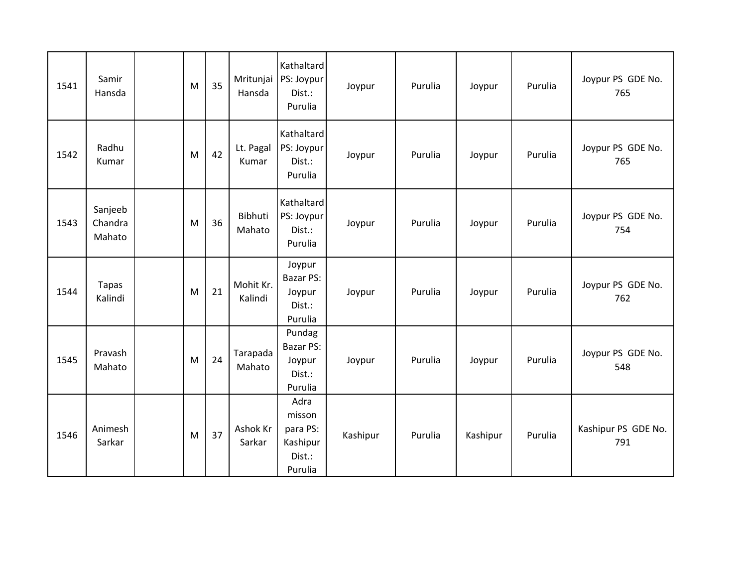| 1541 | Samir<br>Hansda              | M | 35 | Mritunjai<br>Hansda  | Kathaltard<br>PS: Joypur<br>Dist.:<br>Purulia               | Joypur   | Purulia | Joypur   | Purulia | Joypur PS GDE No.<br>765   |
|------|------------------------------|---|----|----------------------|-------------------------------------------------------------|----------|---------|----------|---------|----------------------------|
| 1542 | Radhu<br>Kumar               | M | 42 | Lt. Pagal<br>Kumar   | Kathaltard<br>PS: Joypur<br>Dist.:<br>Purulia               | Joypur   | Purulia | Joypur   | Purulia | Joypur PS GDE No.<br>765   |
| 1543 | Sanjeeb<br>Chandra<br>Mahato | M | 36 | Bibhuti<br>Mahato    | Kathaltard<br>PS: Joypur<br>Dist.:<br>Purulia               | Joypur   | Purulia | Joypur   | Purulia | Joypur PS GDE No.<br>754   |
| 1544 | <b>Tapas</b><br>Kalindi      | M | 21 | Mohit Kr.<br>Kalindi | Joypur<br>Bazar PS:<br>Joypur<br>Dist.:<br>Purulia          | Joypur   | Purulia | Joypur   | Purulia | Joypur PS GDE No.<br>762   |
| 1545 | Pravash<br>Mahato            | M | 24 | Tarapada<br>Mahato   | Pundag<br><b>Bazar PS:</b><br>Joypur<br>Dist.:<br>Purulia   | Joypur   | Purulia | Joypur   | Purulia | Joypur PS GDE No.<br>548   |
| 1546 | Animesh<br>Sarkar            | M | 37 | Ashok Kr<br>Sarkar   | Adra<br>misson<br>para PS:<br>Kashipur<br>Dist.:<br>Purulia | Kashipur | Purulia | Kashipur | Purulia | Kashipur PS GDE No.<br>791 |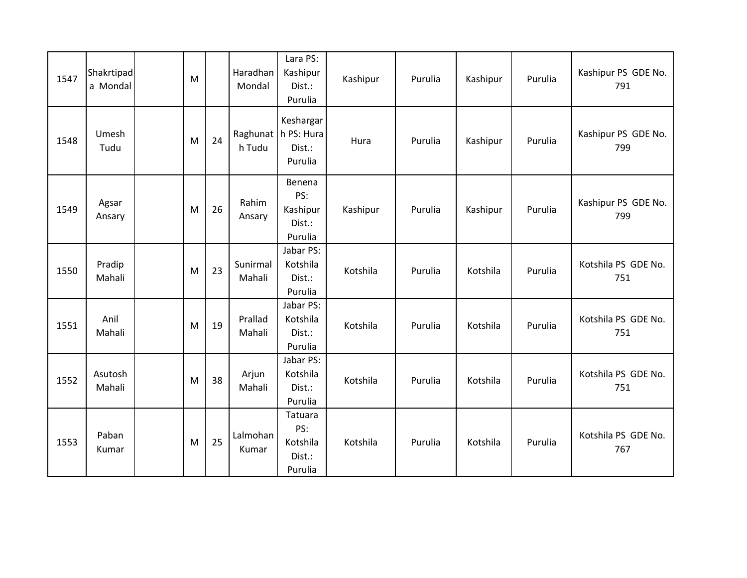| 1547 | Shakrtipad<br>a Mondal | M |    | Haradhan<br>Mondal | Lara PS:<br>Kashipur<br>Dist.:<br>Purulia               | Kashipur | Purulia | Kashipur | Purulia | Kashipur PS GDE No.<br>791 |
|------|------------------------|---|----|--------------------|---------------------------------------------------------|----------|---------|----------|---------|----------------------------|
| 1548 | Umesh<br>Tudu          | M | 24 | h Tudu             | Keshargar<br>Raghunat   h PS: Hura<br>Dist.:<br>Purulia | Hura     | Purulia | Kashipur | Purulia | Kashipur PS GDE No.<br>799 |
| 1549 | Agsar<br>Ansary        | M | 26 | Rahim<br>Ansary    | Benena<br>PS:<br>Kashipur<br>Dist.:<br>Purulia          | Kashipur | Purulia | Kashipur | Purulia | Kashipur PS GDE No.<br>799 |
| 1550 | Pradip<br>Mahali       | M | 23 | Sunirmal<br>Mahali | Jabar PS:<br>Kotshila<br>Dist.:<br>Purulia              | Kotshila | Purulia | Kotshila | Purulia | Kotshila PS GDE No.<br>751 |
| 1551 | Anil<br>Mahali         | M | 19 | Prallad<br>Mahali  | Jabar PS:<br>Kotshila<br>Dist.:<br>Purulia              | Kotshila | Purulia | Kotshila | Purulia | Kotshila PS GDE No.<br>751 |
| 1552 | Asutosh<br>Mahali      | M | 38 | Arjun<br>Mahali    | Jabar PS:<br>Kotshila<br>Dist.:<br>Purulia              | Kotshila | Purulia | Kotshila | Purulia | Kotshila PS GDE No.<br>751 |
| 1553 | Paban<br>Kumar         | M | 25 | Lalmohan<br>Kumar  | Tatuara<br>PS:<br>Kotshila<br>Dist.:<br>Purulia         | Kotshila | Purulia | Kotshila | Purulia | Kotshila PS GDE No.<br>767 |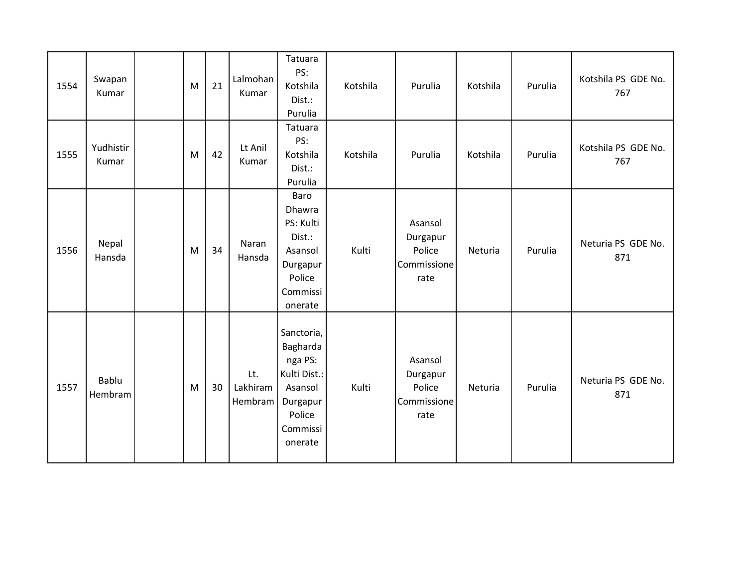| 1554 | Swapan<br>Kumar    | M | 21 | Lalmohan<br>Kumar          | Tatuara<br>PS:<br>Kotshila<br>Dist.:<br>Purulia                                                           | Kotshila | Purulia                                              | Kotshila | Purulia | Kotshila PS GDE No.<br>767 |
|------|--------------------|---|----|----------------------------|-----------------------------------------------------------------------------------------------------------|----------|------------------------------------------------------|----------|---------|----------------------------|
| 1555 | Yudhistir<br>Kumar | M | 42 | Lt Anil<br>Kumar           | Tatuara<br>PS:<br>Kotshila<br>Dist.:<br>Purulia                                                           | Kotshila | Purulia                                              | Kotshila | Purulia | Kotshila PS GDE No.<br>767 |
| 1556 | Nepal<br>Hansda    | M | 34 | Naran<br>Hansda            | Baro<br>Dhawra<br>PS: Kulti<br>Dist.:<br>Asansol<br>Durgapur<br>Police<br>Commissi<br>onerate             | Kulti    | Asansol<br>Durgapur<br>Police<br>Commissione<br>rate | Neturia  | Purulia | Neturia PS GDE No.<br>871  |
| 1557 | Bablu<br>Hembram   | M | 30 | Lt.<br>Lakhiram<br>Hembram | Sanctoria,<br>Bagharda<br>nga PS:<br>Kulti Dist.:<br>Asansol<br>Durgapur<br>Police<br>Commissi<br>onerate | Kulti    | Asansol<br>Durgapur<br>Police<br>Commissione<br>rate | Neturia  | Purulia | Neturia PS GDE No.<br>871  |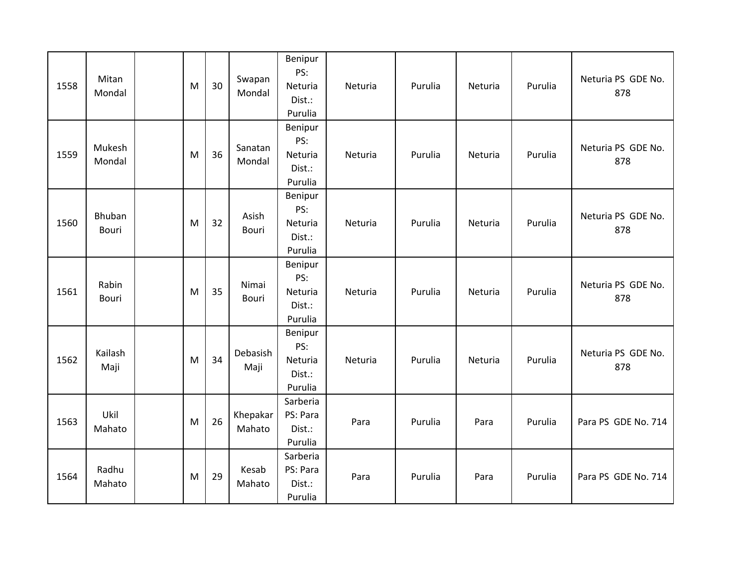| 1558 | Mitan<br>Mondal        | M | 30 | Swapan<br>Mondal      | Benipur<br>PS:<br>Neturia<br>Dist.:<br>Purulia | Neturia | Purulia | Neturia | Purulia | Neturia PS GDE No.<br>878 |
|------|------------------------|---|----|-----------------------|------------------------------------------------|---------|---------|---------|---------|---------------------------|
| 1559 | Mukesh<br>Mondal       | M | 36 | Sanatan<br>Mondal     | Benipur<br>PS:<br>Neturia<br>Dist.:<br>Purulia | Neturia | Purulia | Neturia | Purulia | Neturia PS GDE No.<br>878 |
| 1560 | Bhuban<br><b>Bouri</b> | M | 32 | Asish<br><b>Bouri</b> | Benipur<br>PS:<br>Neturia<br>Dist.:<br>Purulia | Neturia | Purulia | Neturia | Purulia | Neturia PS GDE No.<br>878 |
| 1561 | Rabin<br>Bouri         | M | 35 | Nimai<br>Bouri        | Benipur<br>PS:<br>Neturia<br>Dist.:<br>Purulia | Neturia | Purulia | Neturia | Purulia | Neturia PS GDE No.<br>878 |
| 1562 | Kailash<br>Maji        | M | 34 | Debasish<br>Maji      | Benipur<br>PS:<br>Neturia<br>Dist.:<br>Purulia | Neturia | Purulia | Neturia | Purulia | Neturia PS GDE No.<br>878 |
| 1563 | Ukil<br>Mahato         | M | 26 | Khepakar<br>Mahato    | Sarberia<br>PS: Para<br>Dist.:<br>Purulia      | Para    | Purulia | Para    | Purulia | Para PS GDE No. 714       |
| 1564 | Radhu<br>Mahato        | M | 29 | Kesab<br>Mahato       | Sarberia<br>PS: Para<br>Dist.:<br>Purulia      | Para    | Purulia | Para    | Purulia | Para PS GDE No. 714       |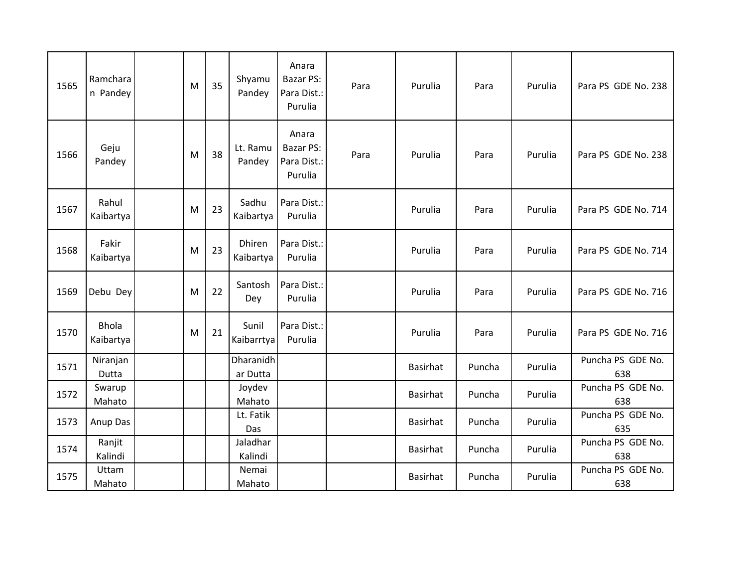| 1565 | Ramchara<br>n Pandey      | M | 35 | Shyamu<br>Pandey      | Anara<br>Bazar PS:<br>Para Dist.:<br>Purulia        | Para | Purulia         | Para   | Purulia | Para PS GDE No. 238      |
|------|---------------------------|---|----|-----------------------|-----------------------------------------------------|------|-----------------|--------|---------|--------------------------|
| 1566 | Geju<br>Pandey            | M | 38 | Lt. Ramu<br>Pandey    | Anara<br><b>Bazar PS:</b><br>Para Dist.:<br>Purulia | Para | Purulia         | Para   | Purulia | Para PS GDE No. 238      |
| 1567 | Rahul<br>Kaibartya        | M | 23 | Sadhu<br>Kaibartya    | Para Dist.:<br>Purulia                              |      | Purulia         | Para   | Purulia | Para PS GDE No. 714      |
| 1568 | Fakir<br>Kaibartya        | M | 23 | Dhiren<br>Kaibartya   | Para Dist.:<br>Purulia                              |      | Purulia         | Para   | Purulia | Para PS GDE No. 714      |
| 1569 | Debu Dey                  | M | 22 | Santosh<br>Dey        | Para Dist.:<br>Purulia                              |      | Purulia         | Para   | Purulia | Para PS GDE No. 716      |
| 1570 | <b>Bhola</b><br>Kaibartya | M | 21 | Sunil<br>Kaibarrtya   | Para Dist.:<br>Purulia                              |      | Purulia         | Para   | Purulia | Para PS GDE No. 716      |
| 1571 | Niranjan<br>Dutta         |   |    | Dharanidh<br>ar Dutta |                                                     |      | <b>Basirhat</b> | Puncha | Purulia | Puncha PS GDE No.<br>638 |
| 1572 | Swarup<br>Mahato          |   |    | Joydev<br>Mahato      |                                                     |      | <b>Basirhat</b> | Puncha | Purulia | Puncha PS GDE No.<br>638 |
| 1573 | Anup Das                  |   |    | Lt. Fatik<br>Das      |                                                     |      | <b>Basirhat</b> | Puncha | Purulia | Puncha PS GDE No.<br>635 |
| 1574 | Ranjit<br>Kalindi         |   |    | Jaladhar<br>Kalindi   |                                                     |      | <b>Basirhat</b> | Puncha | Purulia | Puncha PS GDE No.<br>638 |
| 1575 | Uttam<br>Mahato           |   |    | Nemai<br>Mahato       |                                                     |      | <b>Basirhat</b> | Puncha | Purulia | Puncha PS GDE No.<br>638 |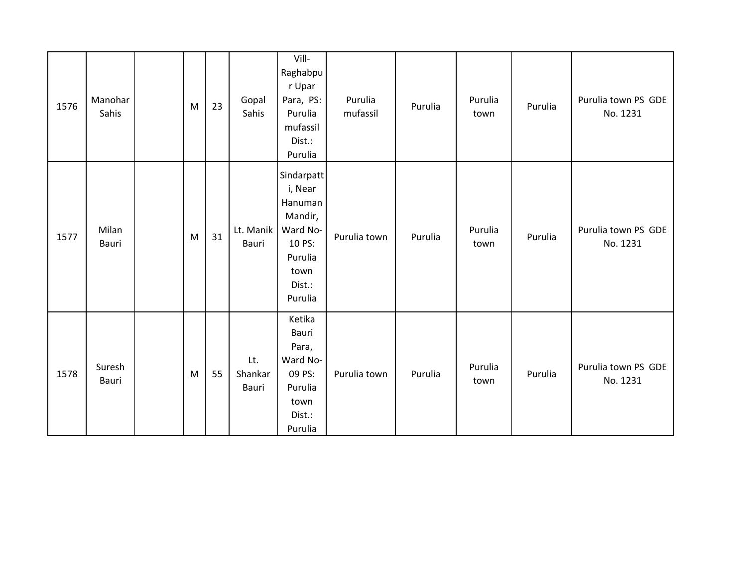| 1576 | Manohar<br>Sahis | M | 23 | Gopal<br>Sahis          | Vill-<br>Raghabpu<br>r Upar<br>Para, PS:<br>Purulia<br>mufassil<br>Dist.:<br>Purulia                      | Purulia<br>mufassil | Purulia | Purulia<br>town | Purulia | Purulia town PS GDE<br>No. 1231 |
|------|------------------|---|----|-------------------------|-----------------------------------------------------------------------------------------------------------|---------------------|---------|-----------------|---------|---------------------------------|
| 1577 | Milan<br>Bauri   | M | 31 | Lt. Manik<br>Bauri      | Sindarpatt<br>i, Near<br>Hanuman<br>Mandir,<br>Ward No-<br>10 PS:<br>Purulia<br>town<br>Dist.:<br>Purulia | Purulia town        | Purulia | Purulia<br>town | Purulia | Purulia town PS GDE<br>No. 1231 |
| 1578 | Suresh<br>Bauri  | M | 55 | Lt.<br>Shankar<br>Bauri | Ketika<br>Bauri<br>Para,<br>Ward No-<br>09 PS:<br>Purulia<br>town<br>Dist.:<br>Purulia                    | Purulia town        | Purulia | Purulia<br>town | Purulia | Purulia town PS GDE<br>No. 1231 |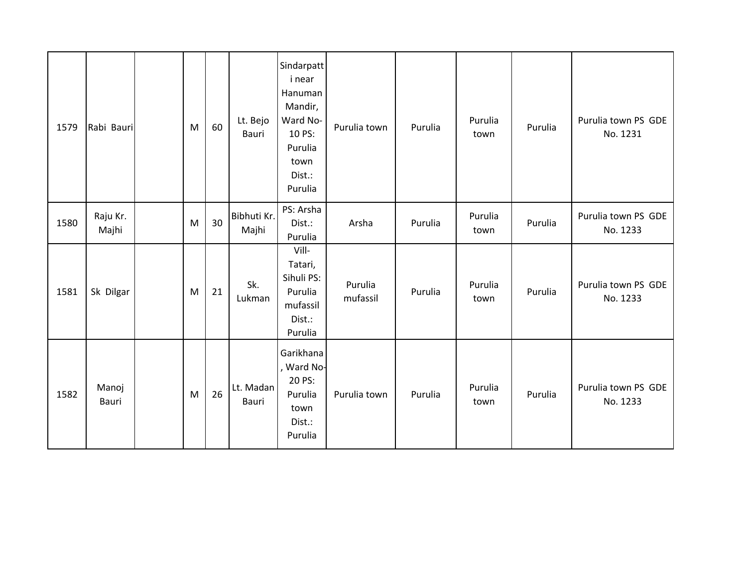| 1579 | Rabi Bauri        | M | 60 | Lt. Bejo<br>Bauri    | Sindarpatt<br>i near<br>Hanuman<br>Mandir,<br>Ward No-<br>10 PS:<br>Purulia<br>town<br>Dist.:<br>Purulia | Purulia town        | Purulia | Purulia<br>town | Purulia | Purulia town PS GDE<br>No. 1231 |
|------|-------------------|---|----|----------------------|----------------------------------------------------------------------------------------------------------|---------------------|---------|-----------------|---------|---------------------------------|
| 1580 | Raju Kr.<br>Majhi | M | 30 | Bibhuti Kr.<br>Majhi | PS: Arsha<br>Dist.:<br>Purulia                                                                           | Arsha               | Purulia | Purulia<br>town | Purulia | Purulia town PS GDE<br>No. 1233 |
| 1581 | Sk Dilgar         | M | 21 | Sk.<br>Lukman        | Vill-<br>Tatari,<br>Sihuli PS:<br>Purulia<br>mufassil<br>Dist.:<br>Purulia                               | Purulia<br>mufassil | Purulia | Purulia<br>town | Purulia | Purulia town PS GDE<br>No. 1233 |
| 1582 | Manoj<br>Bauri    | M | 26 | Lt. Madan<br>Bauri   | Garikhana<br>, Ward No-<br>20 PS:<br>Purulia<br>town<br>Dist.:<br>Purulia                                | Purulia town        | Purulia | Purulia<br>town | Purulia | Purulia town PS GDE<br>No. 1233 |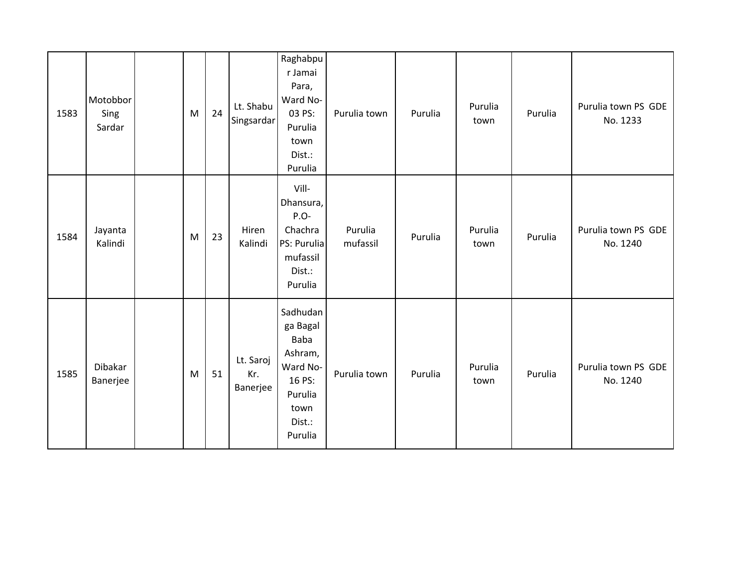| 1583 | Motobbor<br>Sing<br>Sardar | M | 24 | Lt. Shabu<br>Singsardar      | Raghabpu<br>r Jamai<br>Para,<br>Ward No-<br>03 PS:<br>Purulia<br>town<br>Dist.:<br>Purulia                   | Purulia town        | Purulia | Purulia<br>town | Purulia | Purulia town PS GDE<br>No. 1233 |
|------|----------------------------|---|----|------------------------------|--------------------------------------------------------------------------------------------------------------|---------------------|---------|-----------------|---------|---------------------------------|
| 1584 | Jayanta<br>Kalindi         | M | 23 | Hiren<br>Kalindi             | Vill-<br>Dhansura,<br>$P.O-$<br>Chachra<br>PS: Purulia<br>mufassil<br>Dist.:<br>Purulia                      | Purulia<br>mufassil | Purulia | Purulia<br>town | Purulia | Purulia town PS GDE<br>No. 1240 |
| 1585 | Dibakar<br>Banerjee        | M | 51 | Lt. Saroj<br>Kr.<br>Banerjee | Sadhudan<br>ga Bagal<br><b>Baba</b><br>Ashram,<br>Ward No-<br>16 PS:<br>Purulia<br>town<br>Dist.:<br>Purulia | Purulia town        | Purulia | Purulia<br>town | Purulia | Purulia town PS GDE<br>No. 1240 |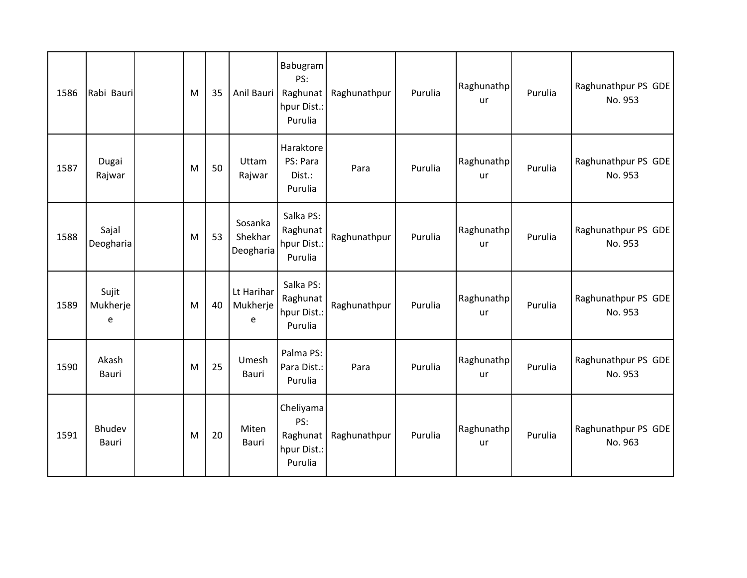| 1586 | Rabi Bauri             | M | 35 | Anil Bauri                      | Babugram<br>PS:<br>Raghunat<br>hpur Dist.:<br>Purulia  | Raghunathpur | Purulia | Raghunathp<br>ur | Purulia | Raghunathpur PS GDE<br>No. 953 |
|------|------------------------|---|----|---------------------------------|--------------------------------------------------------|--------------|---------|------------------|---------|--------------------------------|
| 1587 | Dugai<br>Rajwar        | M | 50 | Uttam<br>Rajwar                 | Haraktore<br>PS: Para<br>Dist.:<br>Purulia             | Para         | Purulia | Raghunathp<br>ur | Purulia | Raghunathpur PS GDE<br>No. 953 |
| 1588 | Sajal<br>Deogharia     | M | 53 | Sosanka<br>Shekhar<br>Deogharia | Salka PS:<br>Raghunat<br>hpur Dist.:<br>Purulia        | Raghunathpur | Purulia | Raghunathp<br>ur | Purulia | Raghunathpur PS GDE<br>No. 953 |
| 1589 | Sujit<br>Mukherje<br>e | M | 40 | Lt Harihar<br>Mukherje<br>e     | Salka PS:<br>Raghunat<br>hpur Dist.:<br>Purulia        | Raghunathpur | Purulia | Raghunathp<br>ur | Purulia | Raghunathpur PS GDE<br>No. 953 |
| 1590 | Akash<br>Bauri         | M | 25 | Umesh<br>Bauri                  | Palma PS:<br>Para Dist.:<br>Purulia                    | Para         | Purulia | Raghunathp<br>ur | Purulia | Raghunathpur PS GDE<br>No. 953 |
| 1591 | Bhudev<br>Bauri        | M | 20 | Miten<br>Bauri                  | Cheliyama<br>PS:<br>Raghunat<br>hpur Dist.:<br>Purulia | Raghunathpur | Purulia | Raghunathp<br>ur | Purulia | Raghunathpur PS GDE<br>No. 963 |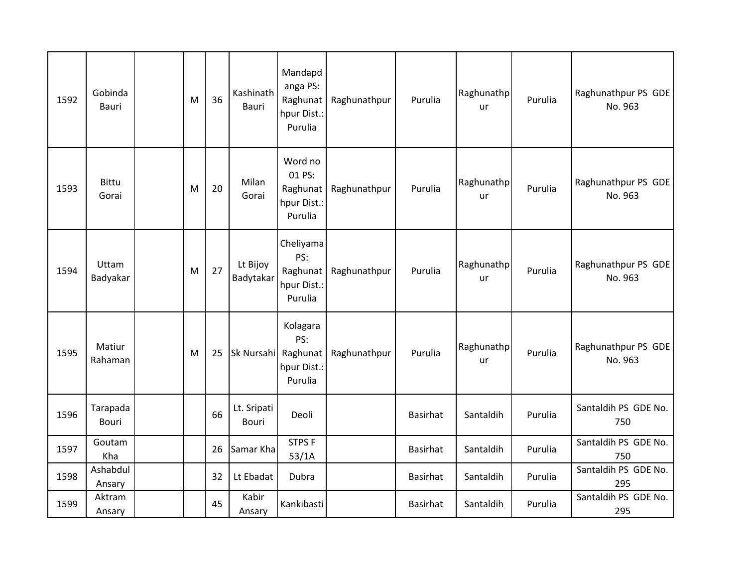| 1592 | Gobinda<br><b>Bauri</b> | M | 36 | Kashinath<br><b>Bauri</b> | Mandapd<br>anga PS:<br>Raghunat<br>hpur Dist.:<br>Purulia | Raghunathpur | Purulia         | Raghunathp<br>ur        | Purulia | Raghunathpur PS GDE<br>No. 963 |
|------|-------------------------|---|----|---------------------------|-----------------------------------------------------------|--------------|-----------------|-------------------------|---------|--------------------------------|
| 1593 | <b>Bittu</b><br>Gorai   | M | 20 | Milan<br>Gorai            | Word no<br>01 PS:<br>Raghunat<br>hpur Dist.:<br>Purulia   | Raghunathpur | Purulia         | Raghunathp<br><b>ur</b> | Purulia | Raghunathpur PS GDE<br>No. 963 |
| 1594 | Uttam<br>Badyakar       | M | 27 | Lt Bijoy<br>Badytakar     | Cheliyama<br>PS:<br>Raghunat<br>hpur Dist.:<br>Purulia    | Raghunathpur | Purulia         | Raghunathp<br>ur        | Purulia | Raghunathpur PS GDE<br>No. 963 |
| 1595 | Matiur<br>Rahaman       | M | 25 | Sk Nursahi Raghunat       | Kolagara<br>PS:<br>hpur Dist.:<br>Purulia                 | Raghunathpur | Purulia         | Raghunathp<br>ur        | Purulia | Raghunathpur PS GDE<br>No. 963 |
| 1596 | Tarapada<br>Bouri       |   | 66 | Lt. Sripati<br>Bouri      | Deoli                                                     |              | <b>Basirhat</b> | Santaldih               | Purulia | Santaldih PS GDE No.<br>750    |
| 1597 | Goutam<br>Kha           |   | 26 | Samar Kha                 | <b>STPSF</b><br>53/1A                                     |              | <b>Basirhat</b> | Santaldih               | Purulia | Santaldih PS GDE No.<br>750    |
| 1598 | Ashabdul<br>Ansary      |   | 32 | Lt Ebadat                 | Dubra                                                     |              | Basirhat        | Santaldih               | Purulia | Santaldih PS GDE No.<br>295    |
| 1599 | Aktram<br>Ansary        |   | 45 | Kabir<br>Ansary           | Kankibasti                                                |              | Basirhat        | Santaldih               | Purulia | Santaldih PS GDE No.<br>295    |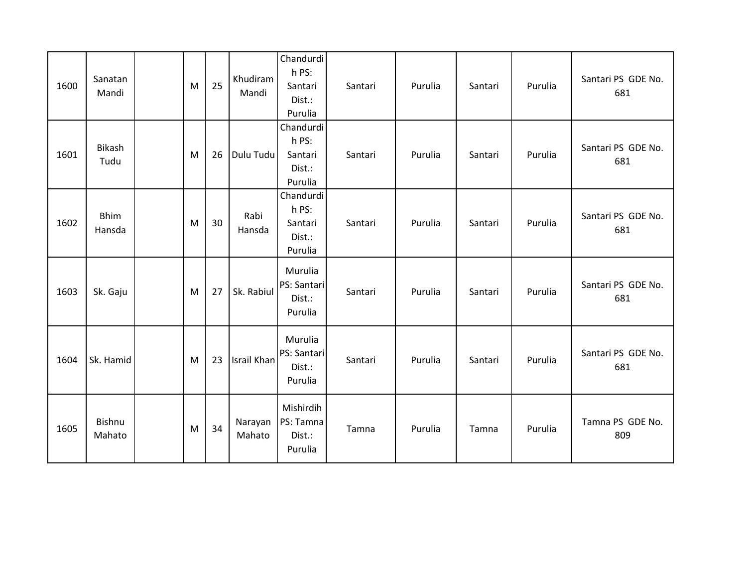| 1600 | Sanatan<br>Mandi      | M | 25 | Khudiram<br>Mandi | Chandurdi<br>h PS:<br>Santari<br>Dist.:<br>Purulia | Santari | Purulia | Santari | Purulia | Santari PS GDE No.<br>681 |
|------|-----------------------|---|----|-------------------|----------------------------------------------------|---------|---------|---------|---------|---------------------------|
| 1601 | Bikash<br>Tudu        | M | 26 | Dulu Tudu         | Chandurdi<br>h PS:<br>Santari<br>Dist.:<br>Purulia | Santari | Purulia | Santari | Purulia | Santari PS GDE No.<br>681 |
| 1602 | <b>Bhim</b><br>Hansda | M | 30 | Rabi<br>Hansda    | Chandurdi<br>h PS:<br>Santari<br>Dist.:<br>Purulia | Santari | Purulia | Santari | Purulia | Santari PS GDE No.<br>681 |
| 1603 | Sk. Gaju              | M | 27 | Sk. Rabiul        | Murulia<br>PS: Santari<br>Dist.:<br>Purulia        | Santari | Purulia | Santari | Purulia | Santari PS GDE No.<br>681 |
| 1604 | Sk. Hamid             | M | 23 | Israil Khan       | Murulia<br>PS: Santari<br>Dist.:<br>Purulia        | Santari | Purulia | Santari | Purulia | Santari PS GDE No.<br>681 |
| 1605 | Bishnu<br>Mahato      | M | 34 | Narayan<br>Mahato | Mishirdih<br>PS: Tamna<br>Dist.:<br>Purulia        | Tamna   | Purulia | Tamna   | Purulia | Tamna PS GDE No.<br>809   |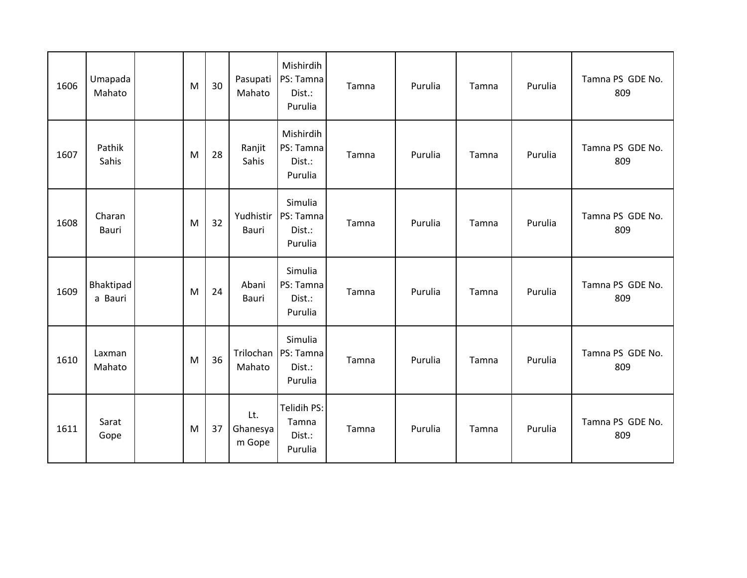| 1606 | Umapada<br>Mahato    | M | 30 | Pasupati<br>Mahato        | Mishirdih<br>PS: Tamna<br>Dist.:<br>Purulia | Tamna | Purulia | Tamna | Purulia | Tamna PS GDE No.<br>809 |
|------|----------------------|---|----|---------------------------|---------------------------------------------|-------|---------|-------|---------|-------------------------|
| 1607 | Pathik<br>Sahis      | M | 28 | Ranjit<br>Sahis           | Mishirdih<br>PS: Tamna<br>Dist.:<br>Purulia | Tamna | Purulia | Tamna | Purulia | Tamna PS GDE No.<br>809 |
| 1608 | Charan<br>Bauri      | M | 32 | Yudhistir<br>Bauri        | Simulia<br>PS: Tamna<br>Dist.:<br>Purulia   | Tamna | Purulia | Tamna | Purulia | Tamna PS GDE No.<br>809 |
| 1609 | Bhaktipad<br>a Bauri | M | 24 | Abani<br>Bauri            | Simulia<br>PS: Tamna<br>Dist.:<br>Purulia   | Tamna | Purulia | Tamna | Purulia | Tamna PS GDE No.<br>809 |
| 1610 | Laxman<br>Mahato     | M | 36 | Trilochan<br>Mahato       | Simulia<br>PS: Tamna<br>Dist.:<br>Purulia   | Tamna | Purulia | Tamna | Purulia | Tamna PS GDE No.<br>809 |
| 1611 | Sarat<br>Gope        | M | 37 | Lt.<br>Ghanesya<br>m Gope | Telidih PS:<br>Tamna<br>Dist.:<br>Purulia   | Tamna | Purulia | Tamna | Purulia | Tamna PS GDE No.<br>809 |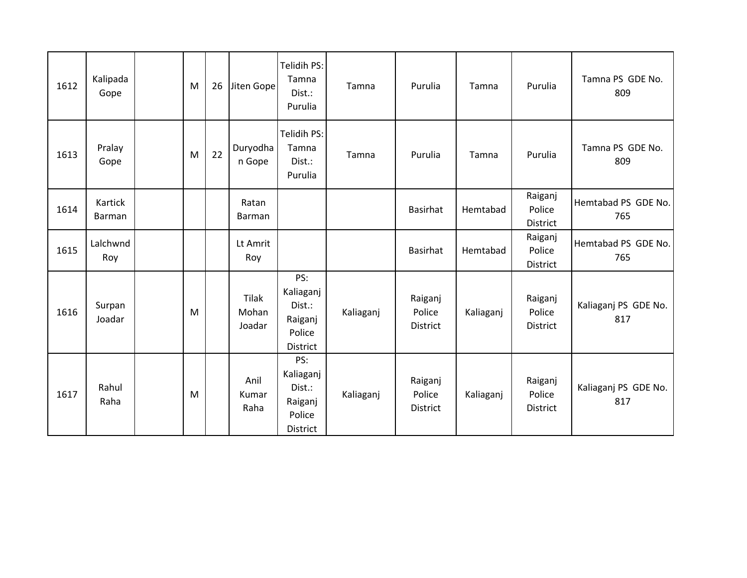| 1612 | Kalipada<br>Gope  | M | 26 | Jiten Gope               | Telidih PS:<br>Tamna<br>Dist.:<br>Purulia                          | Tamna     | Purulia                       | Tamna     | Purulia                       | Tamna PS GDE No.<br>809     |
|------|-------------------|---|----|--------------------------|--------------------------------------------------------------------|-----------|-------------------------------|-----------|-------------------------------|-----------------------------|
| 1613 | Pralay<br>Gope    | M | 22 | Duryodha<br>n Gope       | Telidih PS:<br>Tamna<br>Dist.:<br>Purulia                          | Tamna     | Purulia                       | Tamna     | Purulia                       | Tamna PS GDE No.<br>809     |
| 1614 | Kartick<br>Barman |   |    | Ratan<br>Barman          |                                                                    |           | <b>Basirhat</b>               | Hemtabad  | Raiganj<br>Police<br>District | Hemtabad PS GDE No.<br>765  |
| 1615 | Lalchwnd<br>Roy   |   |    | Lt Amrit<br>Roy          |                                                                    |           | <b>Basirhat</b>               | Hemtabad  | Raiganj<br>Police<br>District | Hemtabad PS GDE No.<br>765  |
| 1616 | Surpan<br>Joadar  | M |    | Tilak<br>Mohan<br>Joadar | PS:<br>Kaliaganj<br>Dist.:<br>Raiganj<br>Police<br>District        | Kaliaganj | Raiganj<br>Police<br>District | Kaliaganj | Raiganj<br>Police<br>District | Kaliaganj PS GDE No.<br>817 |
| 1617 | Rahul<br>Raha     | M |    | Anil<br>Kumar<br>Raha    | PS:<br>Kaliaganj<br>Dist.:<br>Raiganj<br>Police<br><b>District</b> | Kaliaganj | Raiganj<br>Police<br>District | Kaliaganj | Raiganj<br>Police<br>District | Kaliaganj PS GDE No.<br>817 |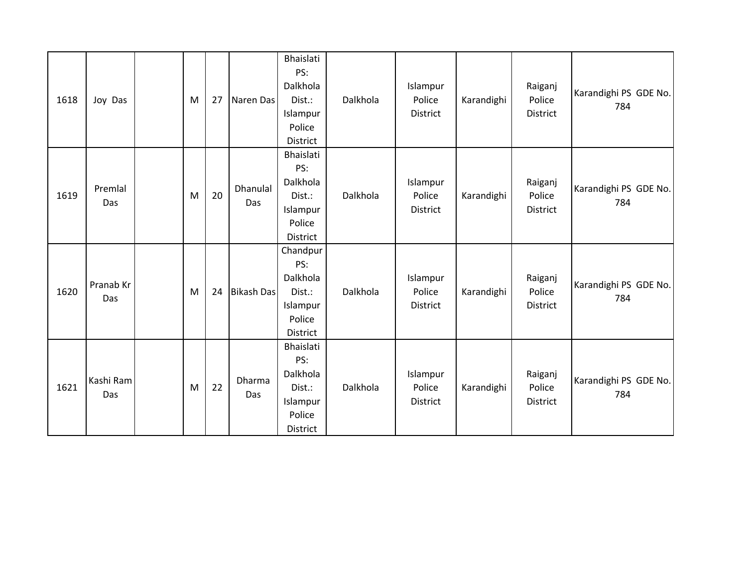| 1618 | Joy Das          | M | 27 | Naren Das              | Bhaislati<br>PS:<br>Dalkhola<br>Dist.:<br>Islampur<br>Police<br>District | Dalkhola | Islampur<br>Police<br>District | Karandighi | Raiganj<br>Police<br>District | Karandighi PS GDE No.<br>784 |
|------|------------------|---|----|------------------------|--------------------------------------------------------------------------|----------|--------------------------------|------------|-------------------------------|------------------------------|
| 1619 | Premlal<br>Das   | M | 20 | <b>Dhanulal</b><br>Das | Bhaislati<br>PS:<br>Dalkhola<br>Dist.:<br>Islampur<br>Police<br>District | Dalkhola | Islampur<br>Police<br>District | Karandighi | Raiganj<br>Police<br>District | Karandighi PS GDE No.<br>784 |
| 1620 | Pranab Kr<br>Das | M | 24 | <b>Bikash Das</b>      | Chandpur<br>PS:<br>Dalkhola<br>Dist.:<br>Islampur<br>Police<br>District  | Dalkhola | Islampur<br>Police<br>District | Karandighi | Raiganj<br>Police<br>District | Karandighi PS GDE No.<br>784 |
| 1621 | Kashi Ram<br>Das | M | 22 | Dharma<br>Das          | Bhaislati<br>PS:<br>Dalkhola<br>Dist.:<br>Islampur<br>Police<br>District | Dalkhola | Islampur<br>Police<br>District | Karandighi | Raiganj<br>Police<br>District | Karandighi PS GDE No.<br>784 |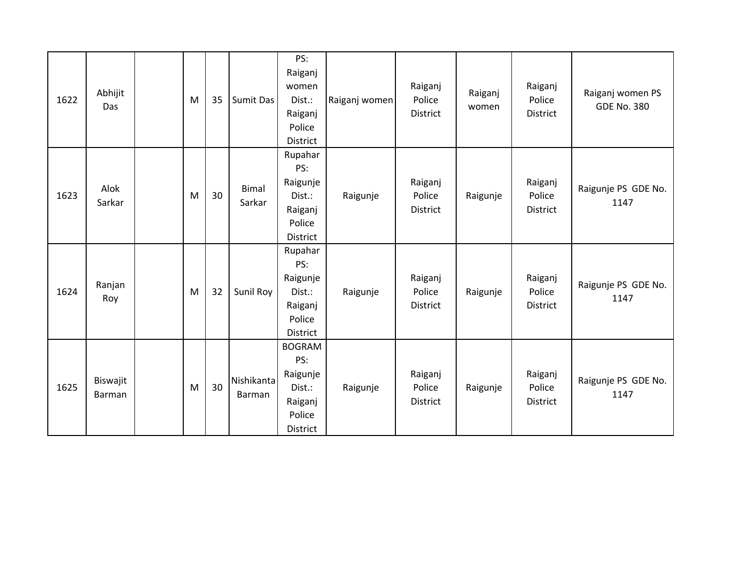| 1622 | Abhijit<br>Das     | M | 35 | Sumit Das              | PS:<br>Raiganj<br>women<br>Dist.:<br>Raiganj<br>Police<br>District                 | Raiganj women | Raiganj<br>Police<br>District        | Raiganj<br>women | Raiganj<br>Police<br>District        | Raiganj women PS<br><b>GDE No. 380</b> |
|------|--------------------|---|----|------------------------|------------------------------------------------------------------------------------|---------------|--------------------------------------|------------------|--------------------------------------|----------------------------------------|
| 1623 | Alok<br>Sarkar     | M | 30 | <b>Bimal</b><br>Sarkar | Rupahar<br>PS:<br>Raigunje<br>Dist.:<br>Raiganj<br>Police<br>District              | Raigunje      | Raiganj<br>Police<br><b>District</b> | Raigunje         | Raiganj<br>Police<br><b>District</b> | Raigunje PS GDE No.<br>1147            |
| 1624 | Ranjan<br>Roy      | M | 32 | Sunil Roy              | Rupahar<br>PS:<br>Raigunje<br>Dist.:<br>Raiganj<br>Police<br>District              | Raigunje      | Raiganj<br>Police<br><b>District</b> | Raigunje         | Raiganj<br>Police<br><b>District</b> | Raigunje PS GDE No.<br>1147            |
| 1625 | Biswajit<br>Barman | M | 30 | Nishikanta<br>Barman   | <b>BOGRAM</b><br>PS:<br>Raigunje<br>Dist.:<br>Raiganj<br>Police<br><b>District</b> | Raigunje      | Raiganj<br>Police<br>District        | Raigunje         | Raiganj<br>Police<br>District        | Raigunje PS GDE No.<br>1147            |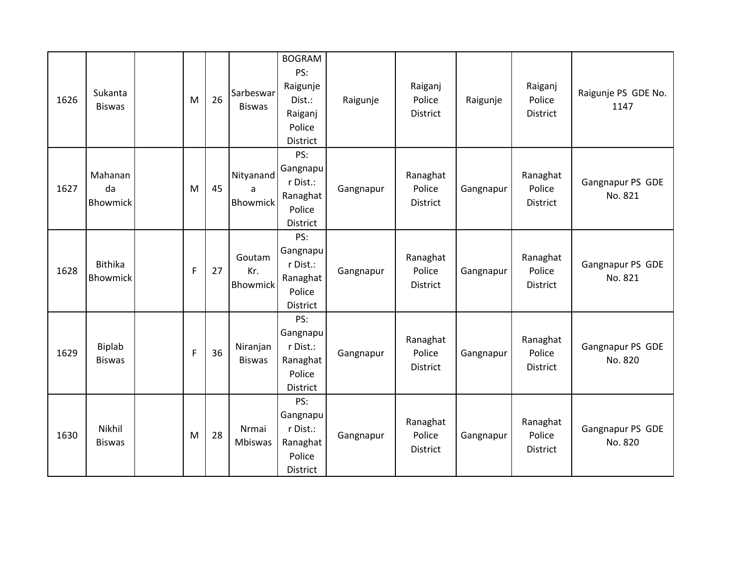| 1626 | Sukanta<br><b>Biswas</b>         | M | 26 | Sarbeswar<br><b>Biswas</b> | <b>BOGRAM</b><br>PS:<br>Raigunje<br>Dist.:<br>Raiganj<br>Police<br>District | Raigunje  | Raiganj<br>Police<br><b>District</b>  | Raigunje  | Raiganj<br>Police<br><b>District</b>  | Raigunje PS GDE No.<br>1147 |
|------|----------------------------------|---|----|----------------------------|-----------------------------------------------------------------------------|-----------|---------------------------------------|-----------|---------------------------------------|-----------------------------|
| 1627 | Mahanan<br>da<br><b>Bhowmick</b> | M | 45 | Nityanand<br>a<br>Bhowmick | PS:<br>Gangnapu<br>r Dist.:<br>Ranaghat<br>Police<br><b>District</b>        | Gangnapur | Ranaghat<br>Police<br><b>District</b> | Gangnapur | Ranaghat<br>Police<br><b>District</b> | Gangnapur PS GDE<br>No. 821 |
| 1628 | <b>Bithika</b><br>Bhowmick       | F | 27 | Goutam<br>Kr.<br>Bhowmick  | PS:<br>Gangnapu<br>r Dist.:<br>Ranaghat<br>Police<br><b>District</b>        | Gangnapur | Ranaghat<br>Police<br>District        | Gangnapur | Ranaghat<br>Police<br>District        | Gangnapur PS GDE<br>No. 821 |
| 1629 | <b>Biplab</b><br><b>Biswas</b>   | F | 36 | Niranjan<br><b>Biswas</b>  | PS:<br>Gangnapu<br>r Dist.:<br>Ranaghat<br>Police<br>District               | Gangnapur | Ranaghat<br>Police<br>District        | Gangnapur | Ranaghat<br>Police<br>District        | Gangnapur PS GDE<br>No. 820 |
| 1630 | Nikhil<br><b>Biswas</b>          | M | 28 | Nrmai<br>Mbiswas           | PS:<br>Gangnapu<br>r Dist.:<br>Ranaghat<br>Police<br>District               | Gangnapur | Ranaghat<br>Police<br>District        | Gangnapur | Ranaghat<br>Police<br>District        | Gangnapur PS GDE<br>No. 820 |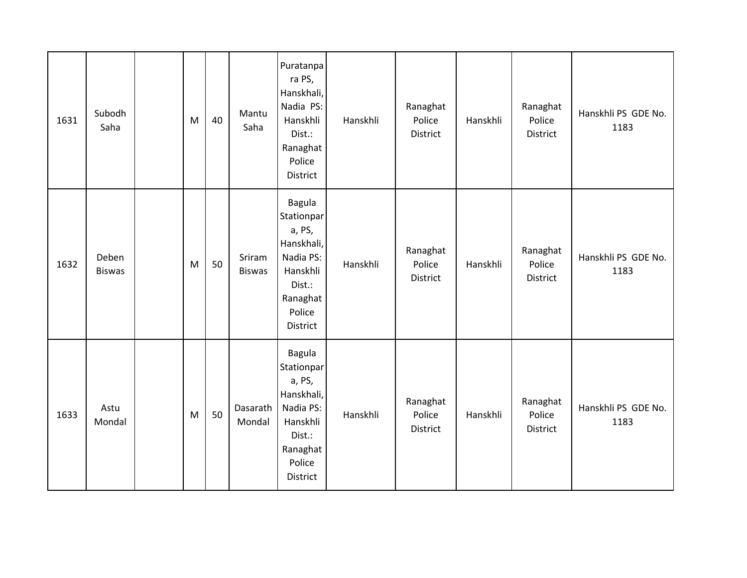| 1631 | Subodh<br>Saha         | M | 40 | Mantu<br>Saha           | Puratanpa<br>ra PS,<br>Hanskhali,<br>Nadia PS:<br>Hanskhli<br>Dist.:<br>Ranaghat<br>Police<br>District                   | Hanskhli | Ranaghat<br>Police<br>District | Hanskhli | Ranaghat<br>Police<br>District | Hanskhli PS GDE No.<br>1183 |
|------|------------------------|---|----|-------------------------|--------------------------------------------------------------------------------------------------------------------------|----------|--------------------------------|----------|--------------------------------|-----------------------------|
| 1632 | Deben<br><b>Biswas</b> | M | 50 | Sriram<br><b>Biswas</b> | <b>Bagula</b><br>Stationpar<br>a, PS,<br>Hanskhali,<br>Nadia PS:<br>Hanskhli<br>Dist.:<br>Ranaghat<br>Police<br>District | Hanskhli | Ranaghat<br>Police<br>District | Hanskhli | Ranaghat<br>Police<br>District | Hanskhli PS GDE No.<br>1183 |
| 1633 | Astu<br>Mondal         | M | 50 | Dasarath<br>Mondal      | <b>Bagula</b><br>Stationpar<br>a, PS,<br>Hanskhali,<br>Nadia PS:<br>Hanskhli<br>Dist.:<br>Ranaghat<br>Police<br>District | Hanskhli | Ranaghat<br>Police<br>District | Hanskhli | Ranaghat<br>Police<br>District | Hanskhli PS GDE No.<br>1183 |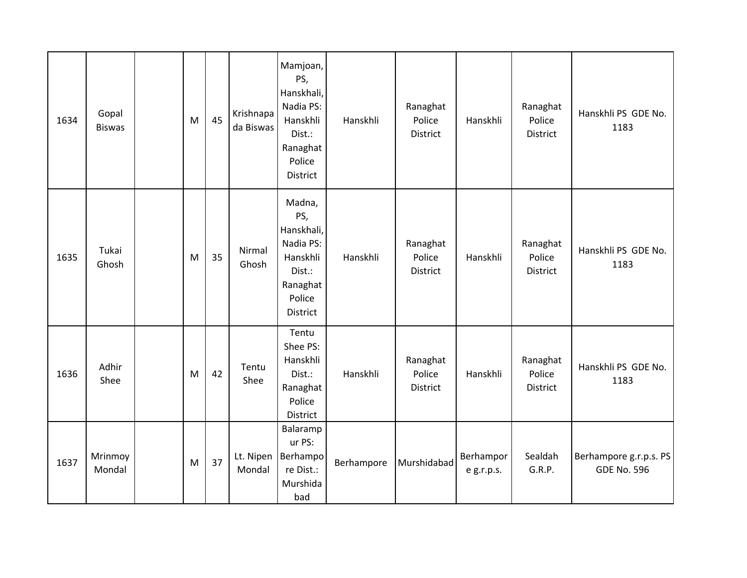| 1634 | Gopal<br><b>Biswas</b> | M | 45 | Krishnapa<br>da Biswas | Mamjoan,<br>PS,<br>Hanskhali,<br>Nadia PS:<br>Hanskhli<br>Dist.:<br>Ranaghat<br>Police<br><b>District</b> | Hanskhli   | Ranaghat<br>Police<br>District | Hanskhli                | Ranaghat<br>Police<br>District        | Hanskhli PS GDE No.<br>1183                  |
|------|------------------------|---|----|------------------------|-----------------------------------------------------------------------------------------------------------|------------|--------------------------------|-------------------------|---------------------------------------|----------------------------------------------|
| 1635 | Tukai<br>Ghosh         | M | 35 | Nirmal<br>Ghosh        | Madna,<br>PS,<br>Hanskhali,<br>Nadia PS:<br>Hanskhli<br>Dist.:<br>Ranaghat<br>Police<br>District          | Hanskhli   | Ranaghat<br>Police<br>District | Hanskhli                | Ranaghat<br>Police<br><b>District</b> | Hanskhli PS GDE No.<br>1183                  |
| 1636 | Adhir<br>Shee          | M | 42 | Tentu<br>Shee          | Tentu<br>Shee PS:<br>Hanskhli<br>Dist.:<br>Ranaghat<br>Police<br>District                                 | Hanskhli   | Ranaghat<br>Police<br>District | Hanskhli                | Ranaghat<br>Police<br>District        | Hanskhli PS GDE No.<br>1183                  |
| 1637 | Mrinmoy<br>Mondal      | M | 37 | Mondal                 | Balaramp<br>ur PS:<br>Lt. Nipen   Berhampo<br>re Dist.:<br>Murshida<br>bad                                | Berhampore | Murshidabad                    | Berhampor<br>e g.r.p.s. | Sealdah<br>G.R.P.                     | Berhampore g.r.p.s. PS<br><b>GDE No. 596</b> |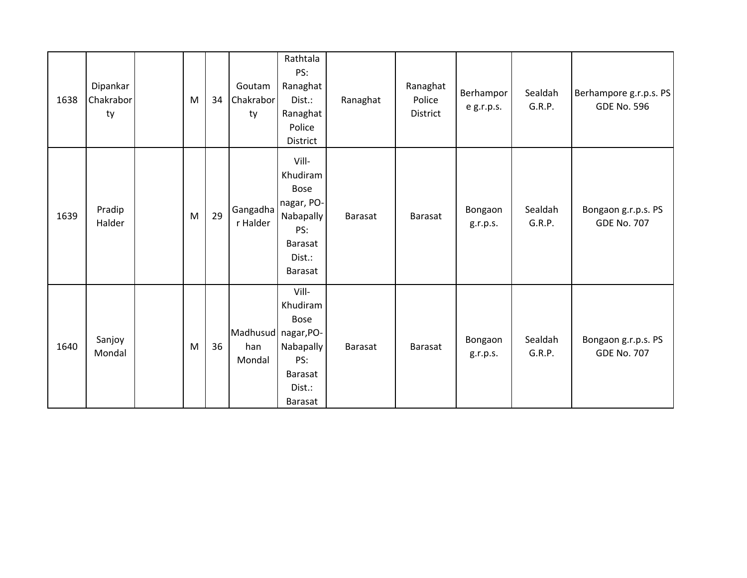| 1638 | Dipankar<br>Chakrabor<br>ty | M | 34 | Goutam<br>Chakrabor<br>ty            | Rathtala<br>PS:<br>Ranaghat<br>Dist.:<br>Ranaghat<br>Police<br>District                            | Ranaghat | Ranaghat<br>Police<br>District | Berhampor<br>e g.r.p.s. | Sealdah<br>G.R.P. | Berhampore g.r.p.s. PS<br><b>GDE No. 596</b> |
|------|-----------------------------|---|----|--------------------------------------|----------------------------------------------------------------------------------------------------|----------|--------------------------------|-------------------------|-------------------|----------------------------------------------|
| 1639 | Pradip<br>Halder            | M | 29 | Gangadha<br>r Halder                 | Vill-<br>Khudiram<br><b>Bose</b><br>nagar, PO-<br>Nabapally<br>PS:<br>Barasat<br>Dist.:<br>Barasat | Barasat  | Barasat                        | Bongaon<br>g.r.p.s.     | Sealdah<br>G.R.P. | Bongaon g.r.p.s. PS<br><b>GDE No. 707</b>    |
| 1640 | Sanjoy<br>Mondal            | M | 36 | Madhusud nagar, PO-<br>han<br>Mondal | Vill-<br>Khudiram<br><b>Bose</b><br>Nabapally<br>PS:<br>Barasat<br>Dist.:<br><b>Barasat</b>        | Barasat  | Barasat                        | Bongaon<br>g.r.p.s.     | Sealdah<br>G.R.P. | Bongaon g.r.p.s. PS<br><b>GDE No. 707</b>    |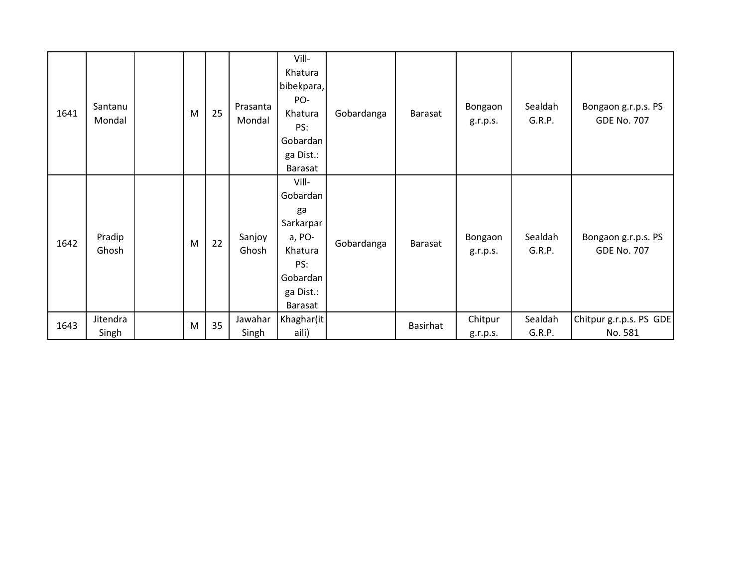| 1641 | Santanu<br>Mondal | M         | 25 | Prasanta<br>Mondal | Vill-<br>Khatura<br>bibekpara,<br>PO-<br>Khatura<br>PS:<br>Gobardan<br>ga Dist.:<br>Barasat          | Gobardanga | Barasat  | Bongaon<br>g.r.p.s. | Sealdah<br>G.R.P. | Bongaon g.r.p.s. PS<br><b>GDE No. 707</b> |
|------|-------------------|-----------|----|--------------------|------------------------------------------------------------------------------------------------------|------------|----------|---------------------|-------------------|-------------------------------------------|
| 1642 | Pradip<br>Ghosh   | M         | 22 | Sanjoy<br>Ghosh    | Vill-<br>Gobardan<br>ga<br>Sarkarpar<br>a, PO-<br>Khatura<br>PS:<br>Gobardan<br>ga Dist.:<br>Barasat | Gobardanga | Barasat  | Bongaon<br>g.r.p.s. | Sealdah<br>G.R.P. | Bongaon g.r.p.s. PS<br><b>GDE No. 707</b> |
| 1643 | Jitendra<br>Singh | ${\sf M}$ | 35 | Jawahar<br>Singh   | Khaghar(it<br>aili)                                                                                  |            | Basirhat | Chitpur<br>g.r.p.s. | Sealdah<br>G.R.P. | Chitpur g.r.p.s. PS GDE<br>No. 581        |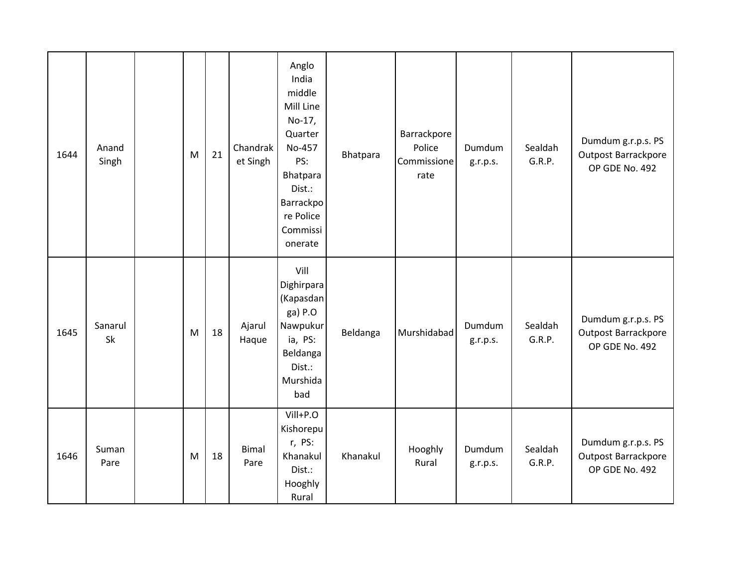| 1644 | Anand<br>Singh | M | 21 | Chandrak<br>et Singh | Anglo<br>India<br>middle<br>Mill Line<br>No-17,<br>Quarter<br>No-457<br>PS:<br>Bhatpara<br>Dist.:<br>Barrackpo<br>re Police<br>Commissi<br>onerate | Bhatpara | Barrackpore<br>Police<br>Commissione<br>rate | Dumdum<br>g.r.p.s. | Sealdah<br>G.R.P. | Dumdum g.r.p.s. PS<br>Outpost Barrackpore<br>OP GDE No. 492 |
|------|----------------|---|----|----------------------|----------------------------------------------------------------------------------------------------------------------------------------------------|----------|----------------------------------------------|--------------------|-------------------|-------------------------------------------------------------|
| 1645 | Sanarul<br>Sk  | M | 18 | Ajarul<br>Haque      | Vill<br>Dighirpara<br>(Kapasdan<br>ga) P.O<br>Nawpukur<br>ia, PS:<br>Beldanga<br>Dist.:<br>Murshida<br>bad                                         | Beldanga | Murshidabad                                  | Dumdum<br>g.r.p.s. | Sealdah<br>G.R.P. | Dumdum g.r.p.s. PS<br>Outpost Barrackpore<br>OP GDE No. 492 |
| 1646 | Suman<br>Pare  | M | 18 | <b>Bimal</b><br>Pare | Vill+P.O<br>Kishorepu<br>r, PS:<br>Khanakul<br>Dist.:<br>Hooghly<br>Rural                                                                          | Khanakul | Hooghly<br>Rural                             | Dumdum<br>g.r.p.s. | Sealdah<br>G.R.P. | Dumdum g.r.p.s. PS<br>Outpost Barrackpore<br>OP GDE No. 492 |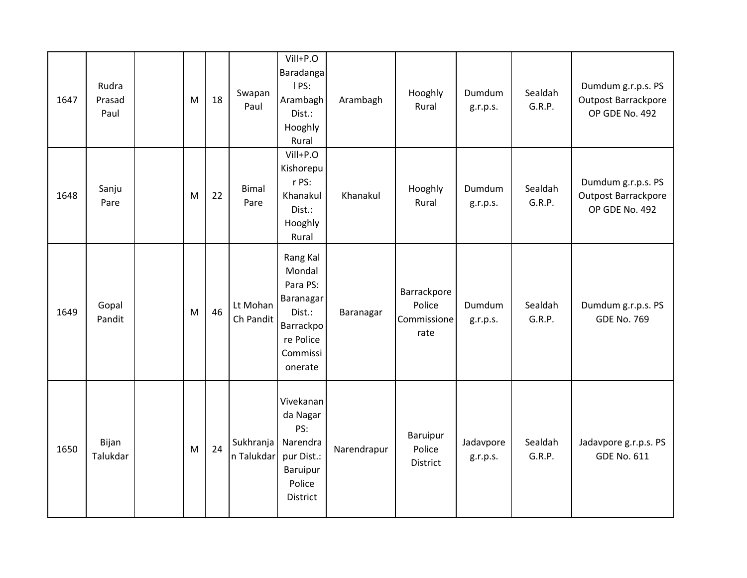| 1647 | Rudra<br>Prasad<br>Paul | M | 18 | Swapan<br>Paul          | Vill+P.O<br>Baradanga<br>I PS:<br>Arambagh<br>Dist.:<br>Hooghly<br>Rural                               | Arambagh    | Hooghly<br>Rural                             | Dumdum<br>g.r.p.s.    | Sealdah<br>G.R.P. | Dumdum g.r.p.s. PS<br><b>Outpost Barrackpore</b><br>OP GDE No. 492 |
|------|-------------------------|---|----|-------------------------|--------------------------------------------------------------------------------------------------------|-------------|----------------------------------------------|-----------------------|-------------------|--------------------------------------------------------------------|
| 1648 | Sanju<br>Pare           | M | 22 | <b>Bimal</b><br>Pare    | Vill+P.O<br>Kishorepu<br>r PS:<br>Khanakul<br>Dist.:<br>Hooghly<br>Rural                               | Khanakul    | Hooghly<br>Rural                             | Dumdum<br>g.r.p.s.    | Sealdah<br>G.R.P. | Dumdum g.r.p.s. PS<br><b>Outpost Barrackpore</b><br>OP GDE No. 492 |
| 1649 | Gopal<br>Pandit         | M | 46 | Lt Mohan<br>Ch Pandit   | Rang Kal<br>Mondal<br>Para PS:<br>Baranagar<br>Dist.:<br>Barrackpo<br>re Police<br>Commissi<br>onerate | Baranagar   | Barrackpore<br>Police<br>Commissione<br>rate | Dumdum<br>g.r.p.s.    | Sealdah<br>G.R.P. | Dumdum g.r.p.s. PS<br><b>GDE No. 769</b>                           |
| 1650 | Bijan<br>Talukdar       | M | 24 | Sukhranja<br>n Talukdar | Vivekanan<br>da Nagar<br>PS:<br>Narendra<br>pur Dist.:<br>Baruipur<br>Police<br>District               | Narendrapur | Baruipur<br>Police<br>District               | Jadavpore<br>g.r.p.s. | Sealdah<br>G.R.P. | Jadavpore g.r.p.s. PS<br><b>GDE No. 611</b>                        |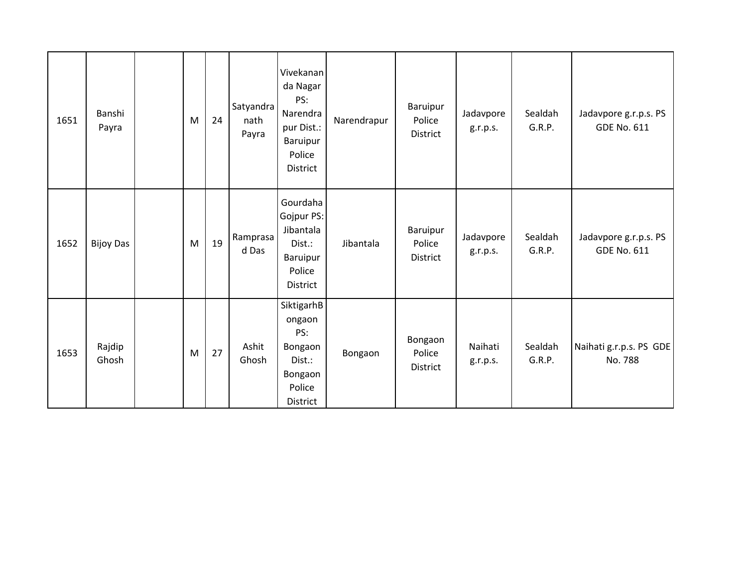| 1651 | Banshi<br>Payra  | M | 24 | Satyandra<br>nath<br>Payra | Vivekanan<br>da Nagar<br>PS:<br>Narendra<br>pur Dist.:<br>Baruipur<br>Police<br><b>District</b> | Narendrapur | Baruipur<br>Police<br>District        | Jadavpore<br>g.r.p.s. | Sealdah<br>G.R.P. | Jadavpore g.r.p.s. PS<br><b>GDE No. 611</b> |
|------|------------------|---|----|----------------------------|-------------------------------------------------------------------------------------------------|-------------|---------------------------------------|-----------------------|-------------------|---------------------------------------------|
| 1652 | <b>Bijoy Das</b> | M | 19 | Ramprasa<br>d Das          | Gourdaha<br>Gojpur PS:<br>Jibantala<br>Dist.:<br>Baruipur<br>Police<br>District                 | Jibantala   | Baruipur<br>Police<br><b>District</b> | Jadavpore<br>g.r.p.s. | Sealdah<br>G.R.P. | Jadavpore g.r.p.s. PS<br><b>GDE No. 611</b> |
| 1653 | Rajdip<br>Ghosh  | M | 27 | Ashit<br>Ghosh             | SiktigarhB<br>ongaon<br>PS:<br>Bongaon<br>Dist.:<br>Bongaon<br>Police<br>District               | Bongaon     | Bongaon<br>Police<br><b>District</b>  | Naihati<br>g.r.p.s.   | Sealdah<br>G.R.P. | Naihati g.r.p.s. PS GDE<br>No. 788          |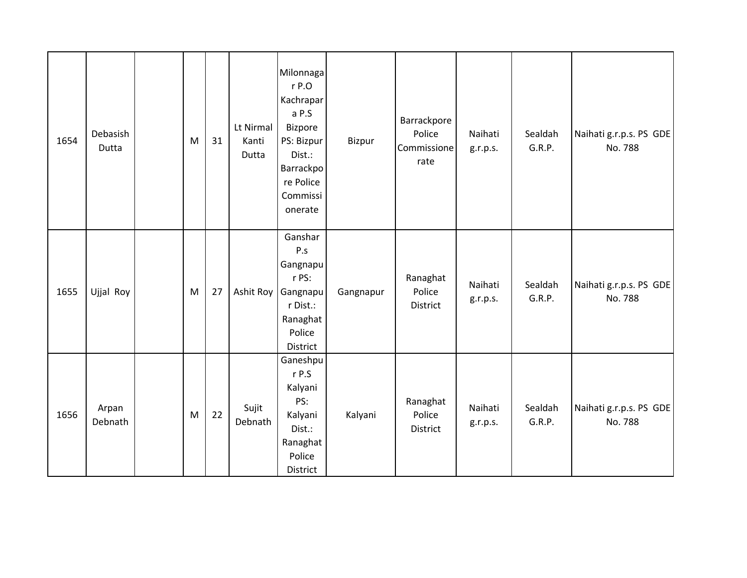| 1654 | Debasish<br>Dutta | M | 31 | Lt Nirmal<br>Kanti<br>Dutta | Milonnaga<br>$r$ P.O<br>Kachrapar<br>a P.S<br><b>Bizpore</b><br>PS: Bizpur<br>Dist.:<br>Barrackpo<br>re Police<br>Commissi<br>onerate | Bizpur    | Barrackpore<br>Police<br>Commissione<br>rate | Naihati<br>g.r.p.s. | Sealdah<br>G.R.P. | Naihati g.r.p.s. PS GDE<br>No. 788 |
|------|-------------------|---|----|-----------------------------|---------------------------------------------------------------------------------------------------------------------------------------|-----------|----------------------------------------------|---------------------|-------------------|------------------------------------|
| 1655 | Ujjal Roy         | M | 27 | Ashit Roy                   | Ganshar<br>P.s<br>Gangnapu<br>r PS:<br>Gangnapu<br>r Dist.:<br>Ranaghat<br>Police<br>District                                         | Gangnapur | Ranaghat<br>Police<br>District               | Naihati<br>g.r.p.s. | Sealdah<br>G.R.P. | Naihati g.r.p.s. PS GDE<br>No. 788 |
| 1656 | Arpan<br>Debnath  | M | 22 | Sujit<br>Debnath            | Ganeshpu<br>r P.S<br>Kalyani<br>PS:<br>Kalyani<br>Dist.:<br>Ranaghat<br>Police<br>District                                            | Kalyani   | Ranaghat<br>Police<br>District               | Naihati<br>g.r.p.s. | Sealdah<br>G.R.P. | Naihati g.r.p.s. PS GDE<br>No. 788 |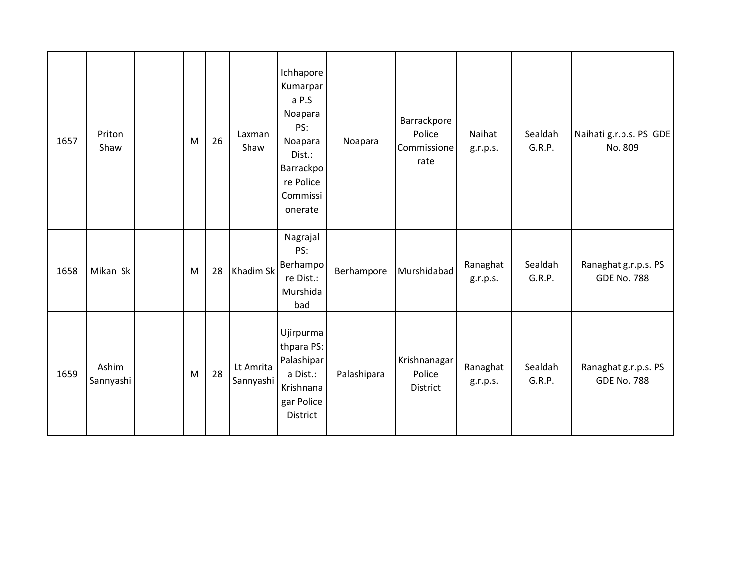| 1657 | Priton<br>Shaw     | M | 26 | Laxman<br>Shaw         | Ichhapore<br>Kumarpar<br>a P.S<br>Noapara<br>PS:<br>Noapara<br>Dist.:<br>Barrackpo<br>re Police<br>Commissi<br>onerate | Noapara     | Barrackpore<br>Police<br>Commissione<br>rate | Naihati<br>g.r.p.s.  | Sealdah<br>G.R.P. | Naihati g.r.p.s. PS GDE<br>No. 809         |
|------|--------------------|---|----|------------------------|------------------------------------------------------------------------------------------------------------------------|-------------|----------------------------------------------|----------------------|-------------------|--------------------------------------------|
| 1658 | Mikan Sk           | M | 28 | Khadim Sk              | Nagrajal<br>PS:<br>Berhampo<br>re Dist.:<br>Murshida<br>bad                                                            | Berhampore  | Murshidabad                                  | Ranaghat<br>g.r.p.s. | Sealdah<br>G.R.P. | Ranaghat g.r.p.s. PS<br><b>GDE No. 788</b> |
| 1659 | Ashim<br>Sannyashi | M | 28 | Lt Amrita<br>Sannyashi | Ujirpurma<br>thpara PS:<br>Palashipar<br>a Dist.:<br>Krishnana<br>gar Police<br>District                               | Palashipara | Krishnanagar<br>Police<br>District           | Ranaghat<br>g.r.p.s. | Sealdah<br>G.R.P. | Ranaghat g.r.p.s. PS<br><b>GDE No. 788</b> |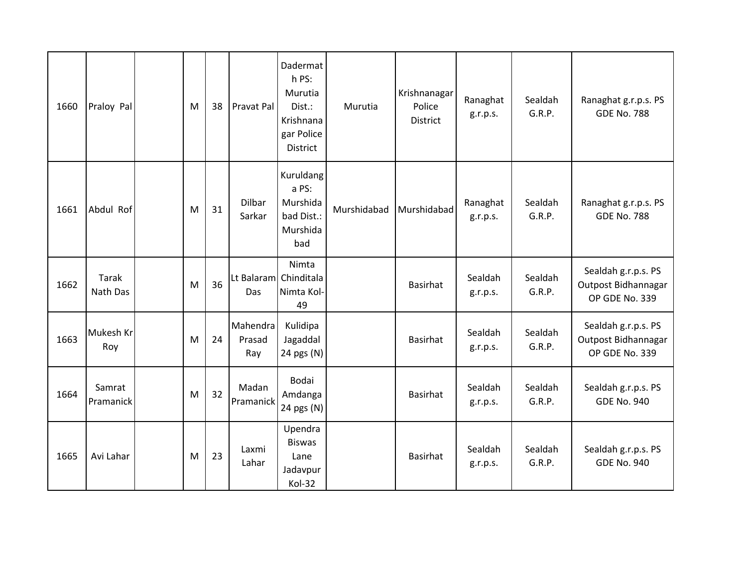| 1660 | Praloy Pal               | M | 38 | Pravat Pal                | Dadermat<br>h PS:<br>Murutia<br>Dist.:<br>Krishnana<br>gar Police<br>District | Murutia     | Krishnanagar<br>Police<br><b>District</b> | Ranaghat<br>g.r.p.s. | Sealdah<br>G.R.P. | Ranaghat g.r.p.s. PS<br><b>GDE No. 788</b>                   |
|------|--------------------------|---|----|---------------------------|-------------------------------------------------------------------------------|-------------|-------------------------------------------|----------------------|-------------------|--------------------------------------------------------------|
| 1661 | Abdul Rof                | M | 31 | Dilbar<br>Sarkar          | Kuruldang<br>a PS:<br>Murshida<br>bad Dist.:<br>Murshida<br>bad               | Murshidabad | Murshidabad                               | Ranaghat<br>g.r.p.s. | Sealdah<br>G.R.P. | Ranaghat g.r.p.s. PS<br><b>GDE No. 788</b>                   |
| 1662 | <b>Tarak</b><br>Nath Das | M | 36 | Das                       | Nimta<br>Lt Balaram Chinditala<br>Nimta Kol-<br>49                            |             | <b>Basirhat</b>                           | Sealdah<br>g.r.p.s.  | Sealdah<br>G.R.P. | Sealdah g.r.p.s. PS<br>Outpost Bidhannagar<br>OP GDE No. 339 |
| 1663 | Mukesh Kr<br>Roy         | M | 24 | Mahendra<br>Prasad<br>Ray | Kulidipa<br>Jagaddal<br>24 pgs (N)                                            |             | <b>Basirhat</b>                           | Sealdah<br>g.r.p.s.  | Sealdah<br>G.R.P. | Sealdah g.r.p.s. PS<br>Outpost Bidhannagar<br>OP GDE No. 339 |
| 1664 | Samrat<br>Pramanick      | M | 32 | Madan<br>Pramanick        | Bodai<br>Amdanga<br>24 pgs (N)                                                |             | <b>Basirhat</b>                           | Sealdah<br>g.r.p.s.  | Sealdah<br>G.R.P. | Sealdah g.r.p.s. PS<br><b>GDE No. 940</b>                    |
| 1665 | Avi Lahar                | M | 23 | Laxmi<br>Lahar            | Upendra<br><b>Biswas</b><br>Lane<br>Jadavpur<br>Kol-32                        |             | <b>Basirhat</b>                           | Sealdah<br>g.r.p.s.  | Sealdah<br>G.R.P. | Sealdah g.r.p.s. PS<br><b>GDE No. 940</b>                    |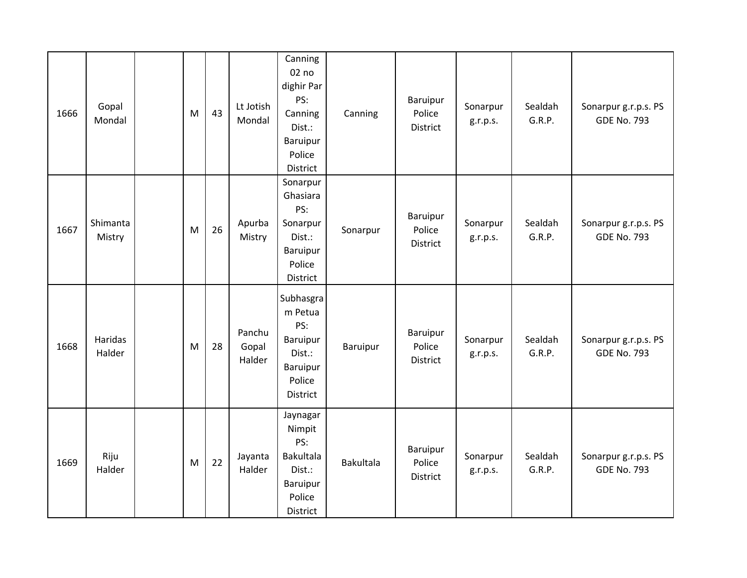| 1666 | Gopal<br>Mondal    | M | 43 | Lt Jotish<br>Mondal       | Canning<br>02 no<br>dighir Par<br>PS:<br>Canning<br>Dist.:<br>Baruipur<br>Police<br>District | Canning          | Baruipur<br>Police<br><b>District</b> | Sonarpur<br>g.r.p.s. | Sealdah<br>G.R.P. | Sonarpur g.r.p.s. PS<br><b>GDE No. 793</b> |
|------|--------------------|---|----|---------------------------|----------------------------------------------------------------------------------------------|------------------|---------------------------------------|----------------------|-------------------|--------------------------------------------|
| 1667 | Shimanta<br>Mistry | M | 26 | Apurba<br>Mistry          | Sonarpur<br>Ghasiara<br>PS:<br>Sonarpur<br>Dist.:<br>Baruipur<br>Police<br>District          | Sonarpur         | Baruipur<br>Police<br><b>District</b> | Sonarpur<br>g.r.p.s. | Sealdah<br>G.R.P. | Sonarpur g.r.p.s. PS<br><b>GDE No. 793</b> |
| 1668 | Haridas<br>Halder  | M | 28 | Panchu<br>Gopal<br>Halder | Subhasgra<br>m Petua<br>PS:<br>Baruipur<br>Dist.:<br>Baruipur<br>Police<br>District          | <b>Baruipur</b>  | Baruipur<br>Police<br>District        | Sonarpur<br>g.r.p.s. | Sealdah<br>G.R.P. | Sonarpur g.r.p.s. PS<br><b>GDE No. 793</b> |
| 1669 | Riju<br>Halder     | M | 22 | Jayanta<br>Halder         | Jaynagar<br>Nimpit<br>PS:<br><b>Bakultala</b><br>Dist.:<br>Baruipur<br>Police<br>District    | <b>Bakultala</b> | Baruipur<br>Police<br>District        | Sonarpur<br>g.r.p.s. | Sealdah<br>G.R.P. | Sonarpur g.r.p.s. PS<br><b>GDE No. 793</b> |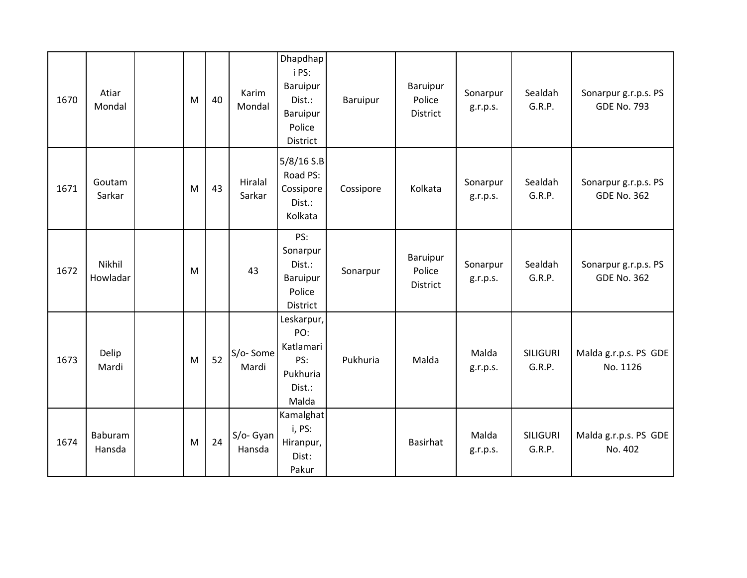| 1670 | Atiar<br>Mondal    | M | 40 | Karim<br>Mondal     | Dhapdhap<br>i PS:<br>Baruipur<br>Dist.:<br>Baruipur<br>Police<br>District | Baruipur  | Baruipur<br>Police<br>District | Sonarpur<br>g.r.p.s. | Sealdah<br>G.R.P.         | Sonarpur g.r.p.s. PS<br><b>GDE No. 793</b> |
|------|--------------------|---|----|---------------------|---------------------------------------------------------------------------|-----------|--------------------------------|----------------------|---------------------------|--------------------------------------------|
| 1671 | Goutam<br>Sarkar   | M | 43 | Hiralal<br>Sarkar   | 5/8/16 S.B<br>Road PS:<br>Cossipore<br>Dist.:<br>Kolkata                  | Cossipore | Kolkata                        | Sonarpur<br>g.r.p.s. | Sealdah<br>G.R.P.         | Sonarpur g.r.p.s. PS<br><b>GDE No. 362</b> |
| 1672 | Nikhil<br>Howladar | M |    | 43                  | PS:<br>Sonarpur<br>Dist.:<br>Baruipur<br>Police<br>District               | Sonarpur  | Baruipur<br>Police<br>District | Sonarpur<br>g.r.p.s. | Sealdah<br>G.R.P.         | Sonarpur g.r.p.s. PS<br><b>GDE No. 362</b> |
| 1673 | Delip<br>Mardi     | M | 52 | S/o-Some<br>Mardi   | Leskarpur,<br>PO:<br>Katlamari<br>PS:<br>Pukhuria<br>Dist.:<br>Malda      | Pukhuria  | Malda                          | Malda<br>g.r.p.s.    | <b>SILIGURI</b><br>G.R.P. | Malda g.r.p.s. PS GDE<br>No. 1126          |
| 1674 | Baburam<br>Hansda  | M | 24 | S/o- Gyan<br>Hansda | Kamalghat<br>i, PS:<br>Hiranpur,<br>Dist:<br>Pakur                        |           | Basirhat                       | Malda<br>g.r.p.s.    | <b>SILIGURI</b><br>G.R.P. | Malda g.r.p.s. PS GDE<br>No. 402           |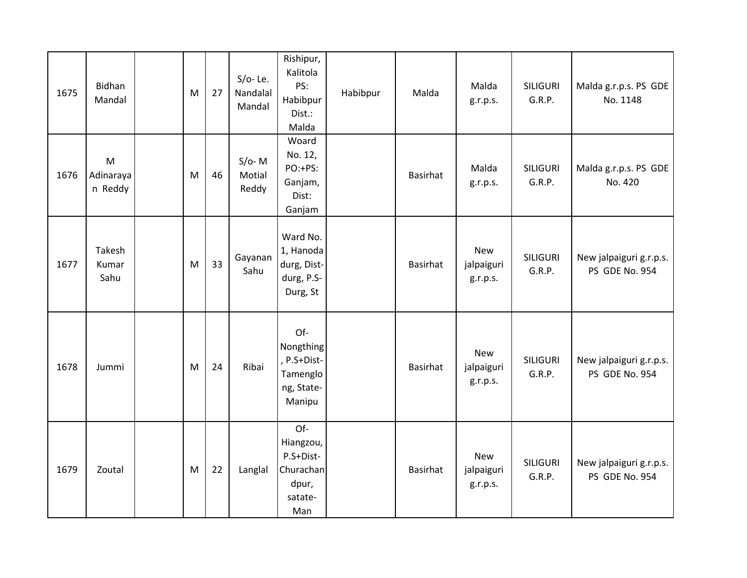| 1675 | Bidhan<br>Mandal          | M | 27 | $S/O - Le.$<br>Nandalal<br>Mandal | Rishipur,<br>Kalitola<br>PS:<br>Habibpur<br>Dist.:<br>Malda           | Habibpur | Malda           | Malda<br>g.r.p.s.                    | <b>SILIGURI</b><br>G.R.P. | Malda g.r.p.s. PS GDE<br>No. 1148         |
|------|---------------------------|---|----|-----------------------------------|-----------------------------------------------------------------------|----------|-----------------|--------------------------------------|---------------------------|-------------------------------------------|
| 1676 | M<br>Adinaraya<br>n Reddy | M | 46 | $S/O-$ M<br>Motial<br>Reddy       | Woard<br>No. 12,<br>PO:+PS:<br>Ganjam,<br>Dist:<br>Ganjam             |          | <b>Basirhat</b> | Malda<br>g.r.p.s.                    | <b>SILIGURI</b><br>G.R.P. | Malda g.r.p.s. PS GDE<br>No. 420          |
| 1677 | Takesh<br>Kumar<br>Sahu   | M | 33 | Gayanan<br>Sahu                   | Ward No.<br>1, Hanoda<br>durg, Dist-<br>durg, P.S-<br>Durg, St        |          | Basirhat        | <b>New</b><br>jalpaiguri<br>g.r.p.s. | <b>SILIGURI</b><br>G.R.P. | New jalpaiguri g.r.p.s.<br>PS GDE No. 954 |
| 1678 | Jummi                     | M | 24 | Ribai                             | Of-<br>Nongthing<br>, P.S+Dist-<br>Tamenglo<br>ng, State-<br>Manipu   |          | Basirhat        | <b>New</b><br>jalpaiguri<br>g.r.p.s. | <b>SILIGURI</b><br>G.R.P. | New jalpaiguri g.r.p.s.<br>PS GDE No. 954 |
| 1679 | Zoutal                    | M | 22 | Langlal                           | Of-<br>Hiangzou,<br>P.S+Dist-<br>Churachan<br>dpur,<br>satate-<br>Man |          | Basirhat        | <b>New</b><br>jalpaiguri<br>g.r.p.s. | <b>SILIGURI</b><br>G.R.P. | New jalpaiguri g.r.p.s.<br>PS GDE No. 954 |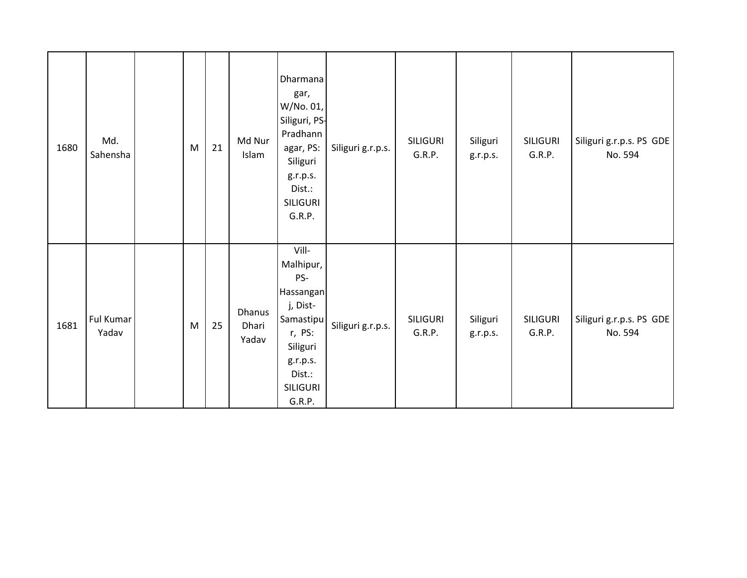| 1680 | Md.<br>Sahensha    | M | 21 | Md Nur<br>Islam                 | Dharmana<br>gar,<br>W/No. 01,<br>Siliguri, PS-<br>Pradhann<br>agar, PS:<br>Siliguri<br>g.r.p.s.<br>Dist.:<br><b>SILIGURI</b><br>G.R.P. | Siliguri g.r.p.s. | SILIGURI<br>G.R.P. | Siliguri<br>g.r.p.s. | <b>SILIGURI</b><br>G.R.P. | Siliguri g.r.p.s. PS GDE<br>No. 594 |
|------|--------------------|---|----|---------------------------------|----------------------------------------------------------------------------------------------------------------------------------------|-------------------|--------------------|----------------------|---------------------------|-------------------------------------|
| 1681 | Ful Kumar<br>Yadav | M | 25 | <b>Dhanus</b><br>Dhari<br>Yadav | Vill-<br>Malhipur,<br>PS-<br>Hassangan<br>j, Dist-<br>Samastipu<br>r, PS:<br>Siliguri<br>g.r.p.s.<br>Dist.:<br>SILIGURI<br>G.R.P.      | Siliguri g.r.p.s. | SILIGURI<br>G.R.P. | Siliguri<br>g.r.p.s. | SILIGURI<br>G.R.P.        | Siliguri g.r.p.s. PS GDE<br>No. 594 |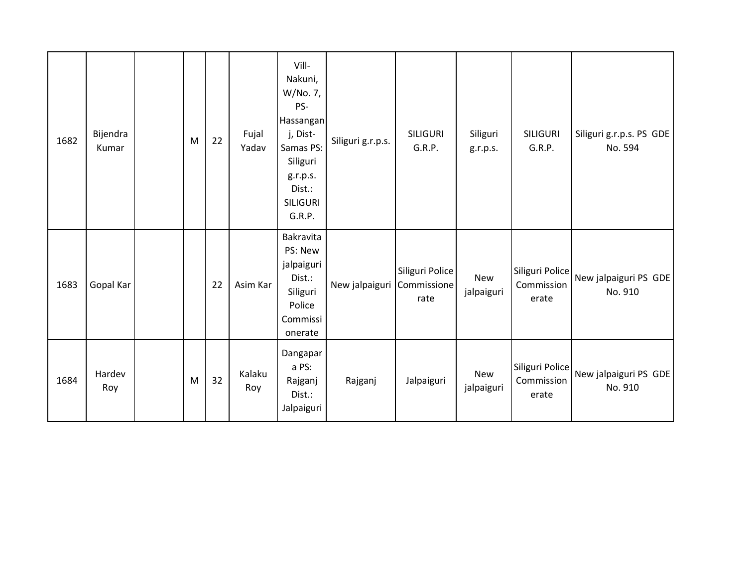| 1682 | Bijendra<br>Kumar | M | 22 | Fujal<br>Yadav | Vill-<br>Nakuni,<br>W/No. 7,<br>PS-<br>Hassangan<br>j, Dist-<br>Samas PS:<br>Siliguri<br>g.r.p.s.<br>Dist.:<br><b>SILIGURI</b><br>G.R.P. | Siliguri g.r.p.s. | <b>SILIGURI</b><br>G.R.P.              | Siliguri<br>g.r.p.s.     | <b>SILIGURI</b><br>G.R.P.              | Siliguri g.r.p.s. PS GDE<br>No. 594 |
|------|-------------------|---|----|----------------|------------------------------------------------------------------------------------------------------------------------------------------|-------------------|----------------------------------------|--------------------------|----------------------------------------|-------------------------------------|
| 1683 | Gopal Kar         |   | 22 | Asim Kar       | Bakravita<br>PS: New<br>jalpaiguri<br>Dist.:<br>Siliguri<br>Police<br>Commissi<br>onerate                                                | New jalpaiguri    | Siliguri Police<br>Commissione<br>rate | <b>New</b><br>jalpaiguri | Siliguri Police<br>Commission<br>erate | New jalpaiguri PS GDE<br>No. 910    |
| 1684 | Hardev<br>Roy     | M | 32 | Kalaku<br>Roy  | Dangapar<br>a PS:<br>Rajganj<br>Dist.:<br>Jalpaiguri                                                                                     | Rajganj           | Jalpaiguri                             | New<br>jalpaiguri        | Siliguri Police<br>Commission<br>erate | New jalpaiguri PS GDE<br>No. 910    |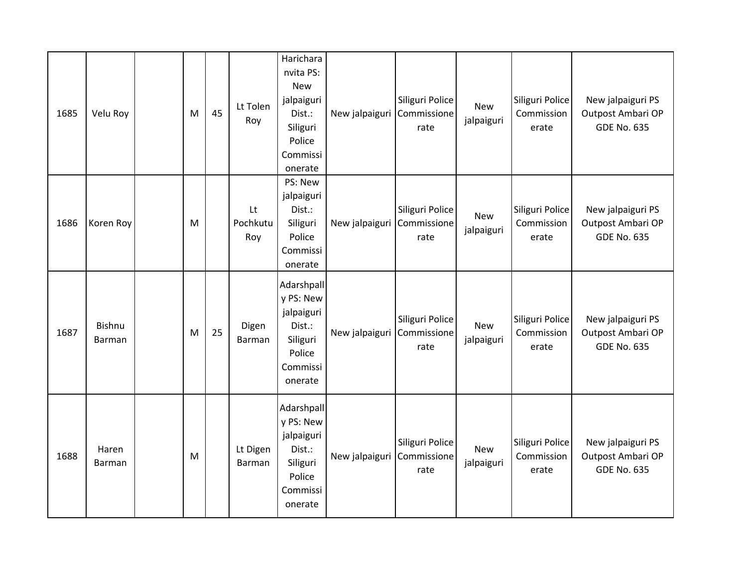| 1685 | Velu Roy         | M | 45 | Lt Tolen<br>Roy       | Harichara<br>nvita PS:<br><b>New</b><br>jalpaiguri<br>Dist.:<br>Siliguri<br>Police<br>Commissi<br>onerate | New jalpaiguri | Siliguri Police<br>Commissione<br>rate | New<br>jalpaiguri        | Siliguri Police<br>Commission<br>erate | New jalpaiguri PS<br>Outpost Ambari OP<br><b>GDE No. 635</b> |
|------|------------------|---|----|-----------------------|-----------------------------------------------------------------------------------------------------------|----------------|----------------------------------------|--------------------------|----------------------------------------|--------------------------------------------------------------|
| 1686 | Koren Roy        | M |    | Lt<br>Pochkutu<br>Roy | PS: New<br>jalpaiguri<br>Dist.:<br>Siliguri<br>Police<br>Commissi<br>onerate                              | New jalpaiguri | Siliguri Police<br>Commissione<br>rate | <b>New</b><br>jalpaiguri | Siliguri Police<br>Commission<br>erate | New jalpaiguri PS<br>Outpost Ambari OP<br><b>GDE No. 635</b> |
| 1687 | Bishnu<br>Barman | M | 25 | Digen<br>Barman       | Adarshpall<br>y PS: New<br>jalpaiguri<br>Dist.:<br>Siliguri<br>Police<br>Commissi<br>onerate              | New jalpaiguri | Siliguri Police<br>Commissione<br>rate | New<br>jalpaiguri        | Siliguri Police<br>Commission<br>erate | New jalpaiguri PS<br>Outpost Ambari OP<br><b>GDE No. 635</b> |
| 1688 | Haren<br>Barman  | M |    | Lt Digen<br>Barman    | Adarshpall<br>y PS: New<br>jalpaiguri<br>Dist.:<br>Siliguri<br>Police<br>Commissi<br>onerate              | New jalpaiguri | Siliguri Police<br>Commissione<br>rate | New<br>jalpaiguri        | Siliguri Police<br>Commission<br>erate | New jalpaiguri PS<br>Outpost Ambari OP<br><b>GDE No. 635</b> |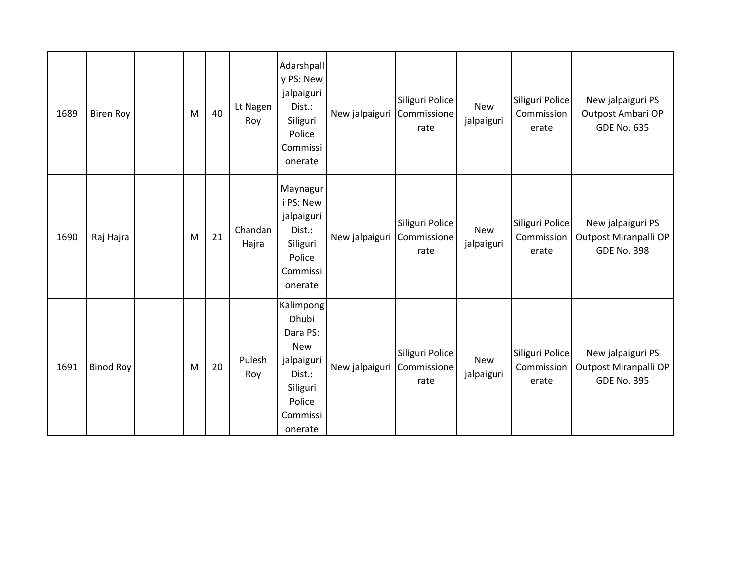| 1689 | <b>Biren Roy</b> | M | 40 | Lt Nagen<br>Roy  | Adarshpall<br>y PS: New<br>jalpaiguri<br>Dist.:<br>Siliguri<br>Police<br>Commissi<br>onerate                      | New jalpaiguri | Siliguri Police<br>Commissione<br>rate | New<br>jalpaiguri | Siliguri Police<br>Commission<br>erate | New jalpaiguri PS<br>Outpost Ambari OP<br><b>GDE No. 635</b>     |
|------|------------------|---|----|------------------|-------------------------------------------------------------------------------------------------------------------|----------------|----------------------------------------|-------------------|----------------------------------------|------------------------------------------------------------------|
| 1690 | Raj Hajra        | M | 21 | Chandan<br>Hajra | Maynagur<br>i PS: New<br>jalpaiguri<br>Dist.:<br>Siliguri<br>Police<br>Commissi<br>onerate                        | New jalpaiguri | Siliguri Police<br>Commissione<br>rate | New<br>jalpaiguri | Siliguri Police<br>Commission<br>erate | New jalpaiguri PS<br>Outpost Miranpalli OP<br><b>GDE No. 398</b> |
| 1691 | <b>Binod Roy</b> | M | 20 | Pulesh<br>Roy    | Kalimpong<br>Dhubi<br>Dara PS:<br><b>New</b><br>jalpaiguri<br>Dist.:<br>Siliguri<br>Police<br>Commissi<br>onerate | New jalpaiguri | Siliguri Police<br>Commissione<br>rate | New<br>jalpaiguri | Siliguri Police<br>Commission<br>erate | New jalpaiguri PS<br>Outpost Miranpalli OP<br><b>GDE No. 395</b> |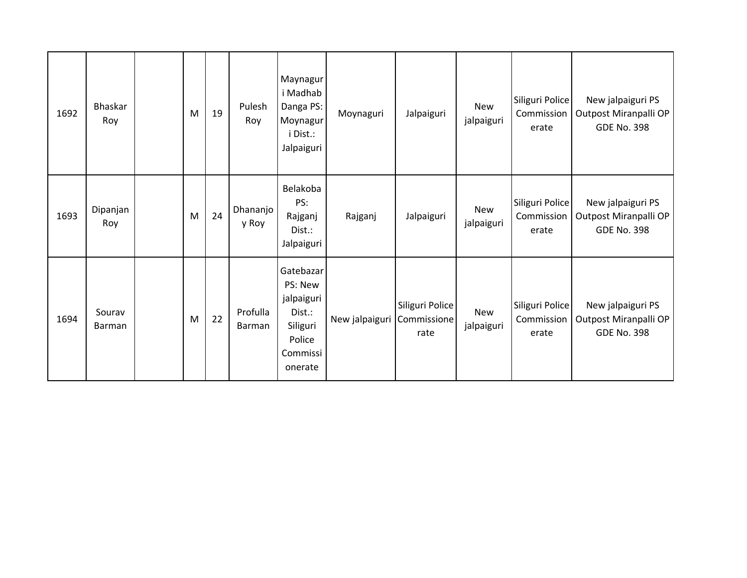| 1692 | <b>Bhaskar</b><br>Roy   | M | 19 | Pulesh<br>Roy      | Maynagur<br>i Madhab<br>Danga PS:<br>Moynagur<br>i Dist.:<br>Jalpaiguri                   | Moynaguri      | Jalpaiguri                             | <b>New</b><br>jalpaiguri | Siliguri Police<br>Commission<br>erate | New jalpaiguri PS<br>Outpost Miranpalli OP<br><b>GDE No. 398</b> |
|------|-------------------------|---|----|--------------------|-------------------------------------------------------------------------------------------|----------------|----------------------------------------|--------------------------|----------------------------------------|------------------------------------------------------------------|
| 1693 | Dipanjan<br>Roy         | M | 24 | Dhananjo<br>y Roy  | Belakoba<br>PS:<br>Rajganj<br>Dist.:<br>Jalpaiguri                                        | Rajganj        | Jalpaiguri                             | <b>New</b><br>jalpaiguri | Siliguri Police<br>Commission<br>erate | New jalpaiguri PS<br>Outpost Miranpalli OP<br><b>GDE No. 398</b> |
| 1694 | Sourav<br><b>Barman</b> | M | 22 | Profulla<br>Barman | Gatebazar<br>PS: New<br>jalpaiguri<br>Dist.:<br>Siliguri<br>Police<br>Commissi<br>onerate | New jalpaiguri | Siliguri Police<br>Commissione<br>rate | New<br>jalpaiguri        | Siliguri Police<br>Commission<br>erate | New jalpaiguri PS<br>Outpost Miranpalli OP<br><b>GDE No. 398</b> |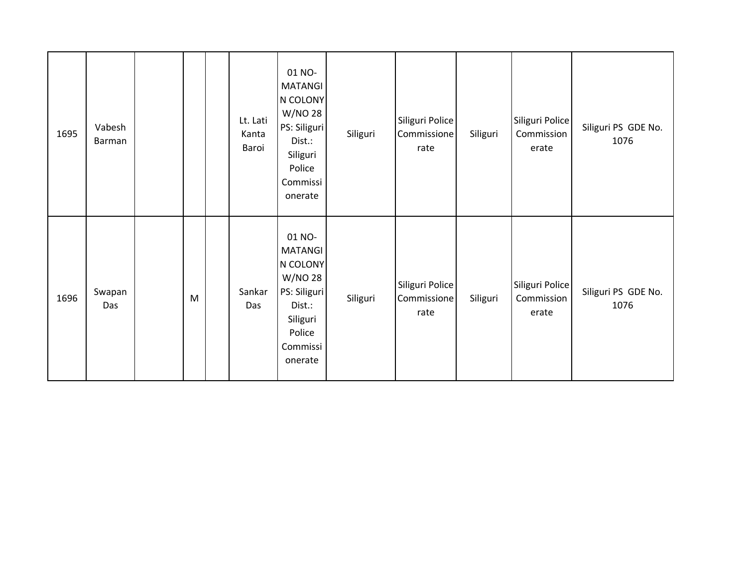| 1695 | Vabesh<br>Barman |   | Lt. Lati<br>Kanta<br>Baroi | 01 NO-<br><b>MATANGI</b><br>N COLONY<br>W/NO 28<br>PS: Siliguri<br>Dist.:<br>Siliguri<br>Police<br>Commissi<br>onerate | Siliguri | Siliguri Police<br>Commissione<br>rate | Siliguri | Siliguri Police<br>Commission<br>erate | Siliguri PS GDE No.<br>1076 |
|------|------------------|---|----------------------------|------------------------------------------------------------------------------------------------------------------------|----------|----------------------------------------|----------|----------------------------------------|-----------------------------|
| 1696 | Swapan<br>Das    | M | Sankar<br>Das              | 01 NO-<br><b>MATANGI</b><br>N COLONY<br>W/NO 28<br>PS: Siliguri<br>Dist.:<br>Siliguri<br>Police<br>Commissi<br>onerate | Siliguri | Siliguri Police<br>Commissione<br>rate | Siliguri | Siliguri Police<br>Commission<br>erate | Siliguri PS GDE No.<br>1076 |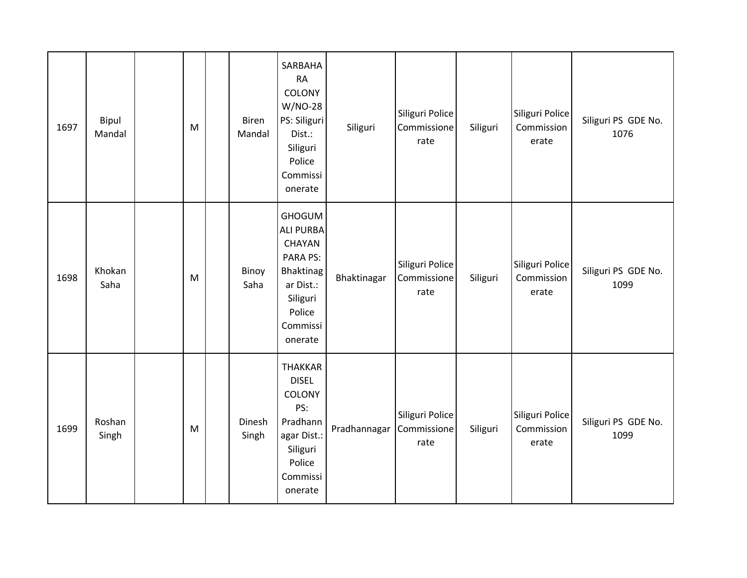| 1697 | Bipul<br>Mandal | M         | Biren<br>Mandal | SARBAHA<br><b>RA</b><br>COLONY<br>W/NO-28<br>PS: Siliguri<br>Dist.:<br>Siliguri<br>Police<br>Commissi<br>onerate                      | Siliguri     | Siliguri Police<br>Commissione<br>rate | Siliguri | Siliguri Police<br>Commission<br>erate | Siliguri PS GDE No.<br>1076 |
|------|-----------------|-----------|-----------------|---------------------------------------------------------------------------------------------------------------------------------------|--------------|----------------------------------------|----------|----------------------------------------|-----------------------------|
| 1698 | Khokan<br>Saha  | ${\sf M}$ | Binoy<br>Saha   | <b>GHOGUM</b><br><b>ALI PURBA</b><br>CHAYAN<br><b>PARA PS:</b><br>Bhaktinag<br>ar Dist.:<br>Siliguri<br>Police<br>Commissi<br>onerate | Bhaktinagar  | Siliguri Police<br>Commissione<br>rate | Siliguri | Siliguri Police<br>Commission<br>erate | Siliguri PS GDE No.<br>1099 |
| 1699 | Roshan<br>Singh | M         | Dinesh<br>Singh | <b>THAKKAR</b><br><b>DISEL</b><br>COLONY<br>PS:<br>Pradhann<br>agar Dist.:<br>Siliguri<br>Police<br>Commissi<br>onerate               | Pradhannagar | Siliguri Police<br>Commissione<br>rate | Siliguri | Siliguri Police<br>Commission<br>erate | Siliguri PS GDE No.<br>1099 |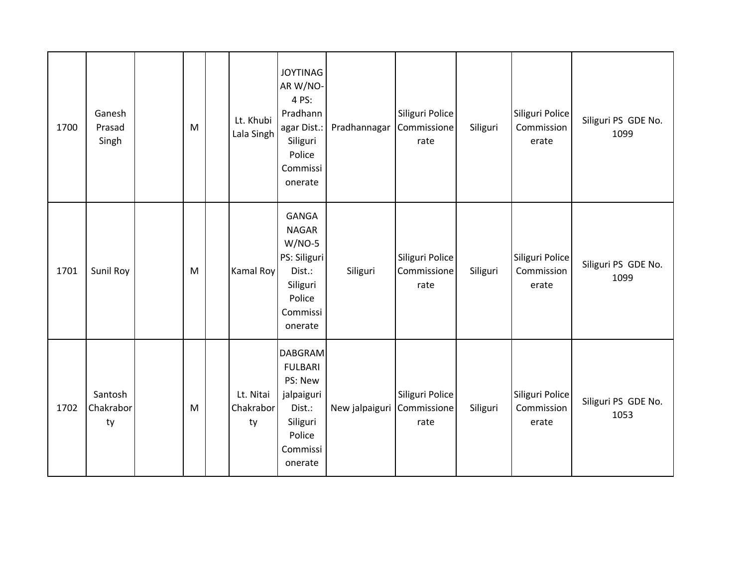| 1700 | Ganesh<br>Prasad<br>Singh  | M | Lt. Khubi<br>Lala Singh      | <b>JOYTINAG</b><br>AR W/NO-<br>4 PS:<br>Pradhann<br>agar Dist.:<br>Siliguri<br>Police<br>Commissi<br>onerate     | Pradhannagar   | Siliguri Police<br>Commissione<br>rate | Siliguri | Siliguri Police<br>Commission<br>erate | Siliguri PS GDE No.<br>1099 |
|------|----------------------------|---|------------------------------|------------------------------------------------------------------------------------------------------------------|----------------|----------------------------------------|----------|----------------------------------------|-----------------------------|
| 1701 | Sunil Roy                  | M | Kamal Roy                    | GANGA<br><b>NAGAR</b><br>$W/NO-5$<br>PS: Siliguri<br>Dist.:<br>Siliguri<br>Police<br>Commissi<br>onerate         | Siliguri       | Siliguri Police<br>Commissione<br>rate | Siliguri | Siliguri Police<br>Commission<br>erate | Siliguri PS GDE No.<br>1099 |
| 1702 | Santosh<br>Chakrabor<br>ty | M | Lt. Nitai<br>Chakrabor<br>ty | <b>DABGRAM</b><br><b>FULBARI</b><br>PS: New<br>jalpaiguri<br>Dist.:<br>Siliguri<br>Police<br>Commissi<br>onerate | New jalpaiguri | Siliguri Police<br>Commissione<br>rate | Siliguri | Siliguri Police<br>Commission<br>erate | Siliguri PS GDE No.<br>1053 |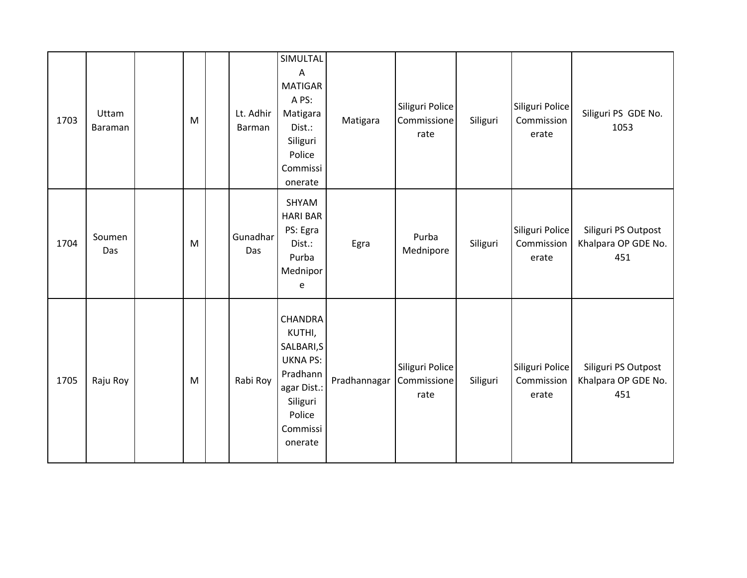| 1703 | Uttam<br>Baraman | M | Lt. Adhir<br>Barman | SIMULTAL<br>Α<br><b>MATIGAR</b><br>A PS:<br>Matigara<br>Dist.:<br>Siliguri<br>Police<br>Commissi<br>onerate                       | Matigara     | Siliguri Police<br>Commissione<br>rate | Siliguri | Siliguri Police<br>Commission<br>erate | Siliguri PS GDE No.<br>1053                       |
|------|------------------|---|---------------------|-----------------------------------------------------------------------------------------------------------------------------------|--------------|----------------------------------------|----------|----------------------------------------|---------------------------------------------------|
| 1704 | Soumen<br>Das    | M | Gunadhar<br>Das     | SHYAM<br><b>HARI BAR</b><br>PS: Egra<br>Dist.:<br>Purba<br>Mednipor<br>e                                                          | Egra         | Purba<br>Mednipore                     | Siliguri | Siliguri Police<br>Commission<br>erate | Siliguri PS Outpost<br>Khalpara OP GDE No.<br>451 |
| 1705 | Raju Roy         | M | Rabi Roy            | <b>CHANDRA</b><br>KUTHI,<br>SALBARI, S<br><b>UKNA PS:</b><br>Pradhann<br>agar Dist.:<br>Siliguri<br>Police<br>Commissi<br>onerate | Pradhannagar | Siliguri Police<br>Commissione<br>rate | Siliguri | Siliguri Police<br>Commission<br>erate | Siliguri PS Outpost<br>Khalpara OP GDE No.<br>451 |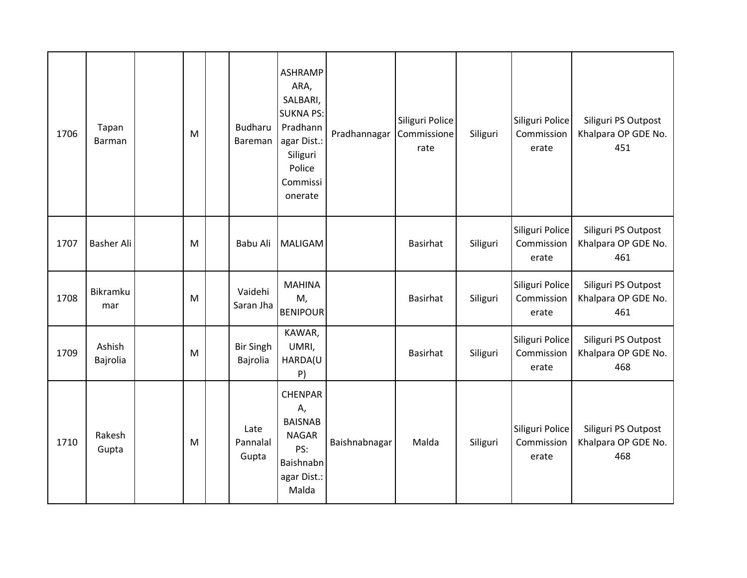| 1706 | Tapan<br>Barman    | M | Budharu<br>Bareman           | <b>ASHRAMP</b><br>ARA,<br>SALBARI,<br><b>SUKNA PS:</b><br>Pradhann<br>agar Dist.:<br>Siliguri<br>Police<br>Commissi<br>onerate | Pradhannagar  | Siliguri Police<br>Commissione<br>rate | Siliguri | Siliguri Police<br>Commission<br>erate | Siliguri PS Outpost<br>Khalpara OP GDE No.<br>451 |
|------|--------------------|---|------------------------------|--------------------------------------------------------------------------------------------------------------------------------|---------------|----------------------------------------|----------|----------------------------------------|---------------------------------------------------|
| 1707 | <b>Basher Ali</b>  | M | Babu Ali                     | MALIGAM                                                                                                                        |               | <b>Basirhat</b>                        | Siliguri | Siliguri Police<br>Commission<br>erate | Siliguri PS Outpost<br>Khalpara OP GDE No.<br>461 |
| 1708 | Bikramku<br>mar    | M | Vaidehi<br>Saran Jha         | <b>MAHINA</b><br>M,<br><b>BENIPOUR</b>                                                                                         |               | <b>Basirhat</b>                        | Siliguri | Siliguri Police<br>Commission<br>erate | Siliguri PS Outpost<br>Khalpara OP GDE No.<br>461 |
| 1709 | Ashish<br>Bajrolia | M | <b>Bir Singh</b><br>Bajrolia | KAWAR,<br>UMRI,<br>HARDA(U<br>P)                                                                                               |               | <b>Basirhat</b>                        | Siliguri | Siliguri Police<br>Commission<br>erate | Siliguri PS Outpost<br>Khalpara OP GDE No.<br>468 |
| 1710 | Rakesh<br>Gupta    | M | Late<br>Pannalal<br>Gupta    | <b>CHENPAR</b><br>Α,<br><b>BAISNAB</b><br><b>NAGAR</b><br>PS:<br>Baishnabn<br>agar Dist.:<br>Malda                             | Baishnabnagar | Malda                                  | Siliguri | Siliguri Police<br>Commission<br>erate | Siliguri PS Outpost<br>Khalpara OP GDE No.<br>468 |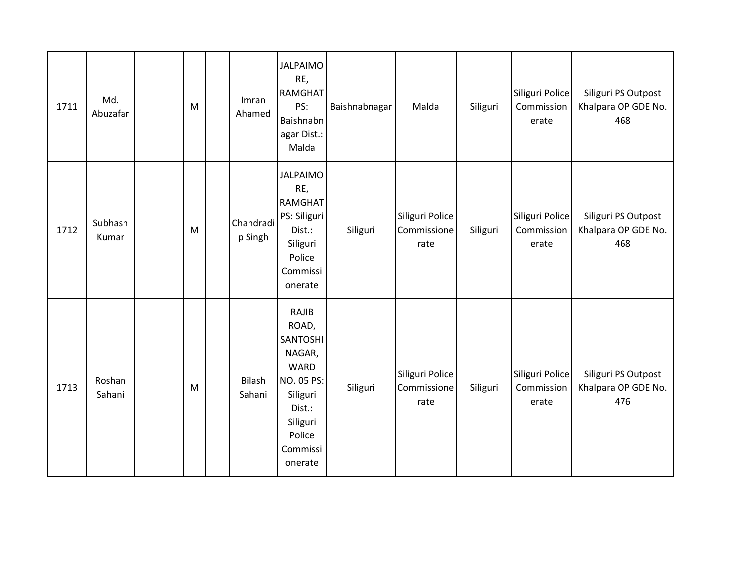| 1711 | Md.<br>Abuzafar  | M | Imran<br>Ahamed         | <b>JALPAIMO</b><br>RE,<br><b>RAMGHAT</b><br>PS:<br>Baishnabn<br>agar Dist.:<br>Malda                                                 | Baishnabnagar | Malda                                  | Siliguri | Siliguri Police<br>Commission<br>erate | Siliguri PS Outpost<br>Khalpara OP GDE No.<br>468 |
|------|------------------|---|-------------------------|--------------------------------------------------------------------------------------------------------------------------------------|---------------|----------------------------------------|----------|----------------------------------------|---------------------------------------------------|
| 1712 | Subhash<br>Kumar | M | Chandradi<br>p Singh    | <b>JALPAIMO</b><br>RE,<br>RAMGHAT<br>PS: Siliguri<br>Dist.:<br>Siliguri<br>Police<br>Commissi<br>onerate                             | Siliguri      | Siliguri Police<br>Commissione<br>rate | Siliguri | Siliguri Police<br>Commission<br>erate | Siliguri PS Outpost<br>Khalpara OP GDE No.<br>468 |
| 1713 | Roshan<br>Sahani | M | <b>Bilash</b><br>Sahani | RAJIB<br>ROAD,<br>SANTOSHI<br>NAGAR,<br><b>WARD</b><br>NO. 05 PS:<br>Siliguri<br>Dist.:<br>Siliguri<br>Police<br>Commissi<br>onerate | Siliguri      | Siliguri Police<br>Commissione<br>rate | Siliguri | Siliguri Police<br>Commission<br>erate | Siliguri PS Outpost<br>Khalpara OP GDE No.<br>476 |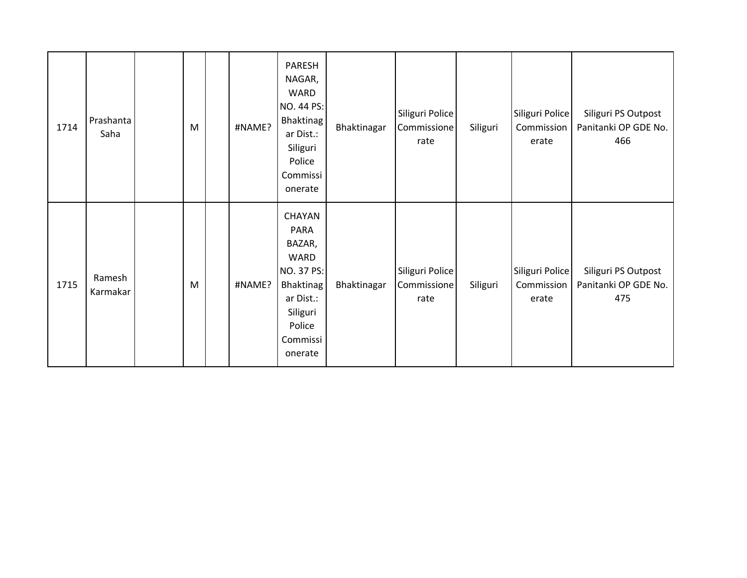| 1714 | Prashanta<br>Saha  | M | #NAME? | PARESH<br>NAGAR,<br><b>WARD</b><br>NO. 44 PS:<br>Bhaktinag<br>ar Dist.:<br>Siliguri<br>Police<br>Commissi<br>onerate         | Bhaktinagar | Siliguri Police<br>Commissione<br>rate | Siliguri | Siliguri Police<br>Commission<br>erate | Siliguri PS Outpost<br>Panitanki OP GDE No.<br>466 |
|------|--------------------|---|--------|------------------------------------------------------------------------------------------------------------------------------|-------------|----------------------------------------|----------|----------------------------------------|----------------------------------------------------|
| 1715 | Ramesh<br>Karmakar | M | #NAME? | CHAYAN<br>PARA<br>BAZAR,<br>WARD<br>NO. 37 PS:<br><b>Bhaktinag</b><br>ar Dist.:<br>Siliguri<br>Police<br>Commissi<br>onerate | Bhaktinagar | Siliguri Police<br>Commissione<br>rate | Siliguri | Siliguri Police<br>Commission<br>erate | Siliguri PS Outpost<br>Panitanki OP GDE No.<br>475 |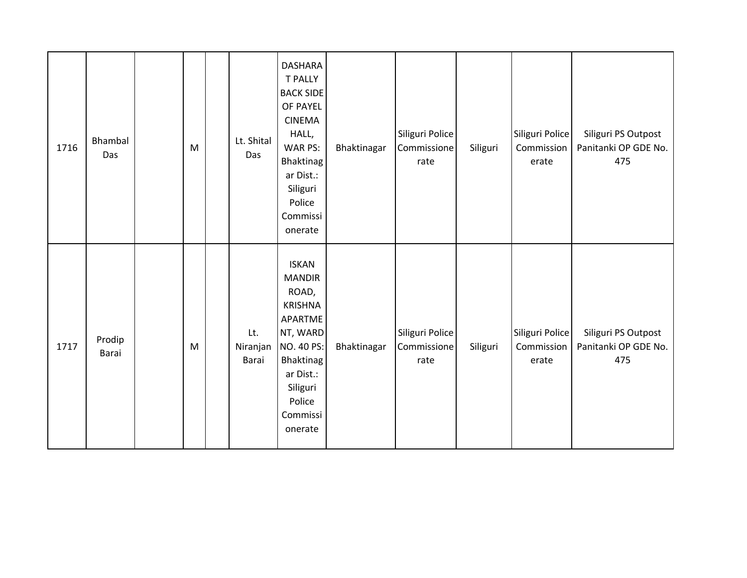| 1716 | Bhambal<br>Das  | M | Lt. Shital<br>Das        | <b>DASHARA</b><br><b>T PALLY</b><br><b>BACK SIDE</b><br>OF PAYEL<br><b>CINEMA</b><br>HALL,<br>WAR PS:<br>Bhaktinag<br>ar Dist.:<br>Siliguri<br>Police<br>Commissi<br>onerate | Bhaktinagar | Siliguri Police<br>Commissione<br>rate | Siliguri | Siliguri Police<br>Commission<br>erate | Siliguri PS Outpost<br>Panitanki OP GDE No.<br>475 |
|------|-----------------|---|--------------------------|------------------------------------------------------------------------------------------------------------------------------------------------------------------------------|-------------|----------------------------------------|----------|----------------------------------------|----------------------------------------------------|
| 1717 | Prodip<br>Barai | M | Lt.<br>Niranjan<br>Barai | <b>ISKAN</b><br><b>MANDIR</b><br>ROAD,<br><b>KRISHNA</b><br>APARTME<br>NT, WARD<br>NO. 40 PS:<br>Bhaktinag<br>ar Dist.:<br>Siliguri<br>Police<br>Commissi<br>onerate         | Bhaktinagar | Siliguri Police<br>Commissione<br>rate | Siliguri | Siliguri Police<br>Commission<br>erate | Siliguri PS Outpost<br>Panitanki OP GDE No.<br>475 |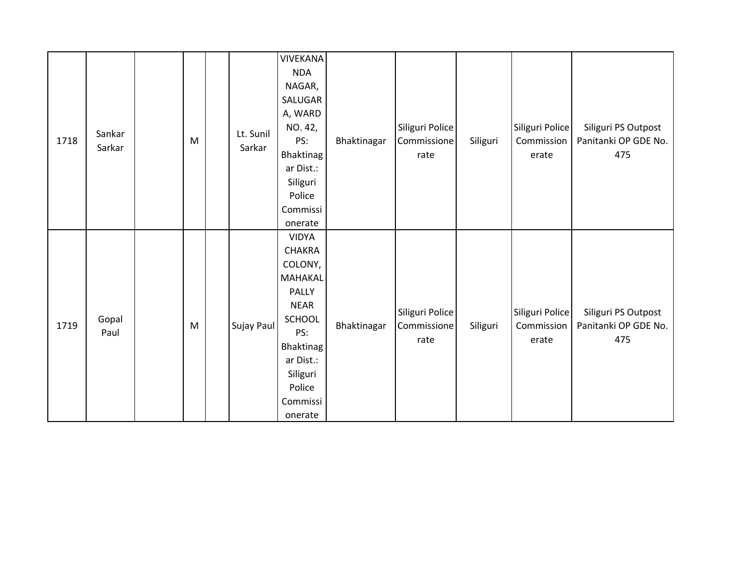| 1718 | Sankar<br>Sarkar | M | Lt. Sunil<br>Sarkar | VIVEKANA<br><b>NDA</b><br>NAGAR,<br>SALUGAR<br>A, WARD<br>NO. 42,<br>PS:<br><b>Bhaktinag</b><br>ar Dist.:<br>Siliguri<br>Police<br>Commissi<br>onerate                            | Bhaktinagar | Siliguri Police<br>Commissione<br>rate | Siliguri | Siliguri Police<br>Commission<br>erate | Siliguri PS Outpost<br>Panitanki OP GDE No.<br>475 |
|------|------------------|---|---------------------|-----------------------------------------------------------------------------------------------------------------------------------------------------------------------------------|-------------|----------------------------------------|----------|----------------------------------------|----------------------------------------------------|
| 1719 | Gopal<br>Paul    | M | Sujay Paul          | <b>VIDYA</b><br><b>CHAKRA</b><br>COLONY,<br><b>MAHAKAL</b><br>PALLY<br><b>NEAR</b><br><b>SCHOOL</b><br>PS:<br>Bhaktinag<br>ar Dist.:<br>Siliguri<br>Police<br>Commissi<br>onerate | Bhaktinagar | Siliguri Police<br>Commissione<br>rate | Siliguri | Siliguri Police<br>Commission<br>erate | Siliguri PS Outpost<br>Panitanki OP GDE No.<br>475 |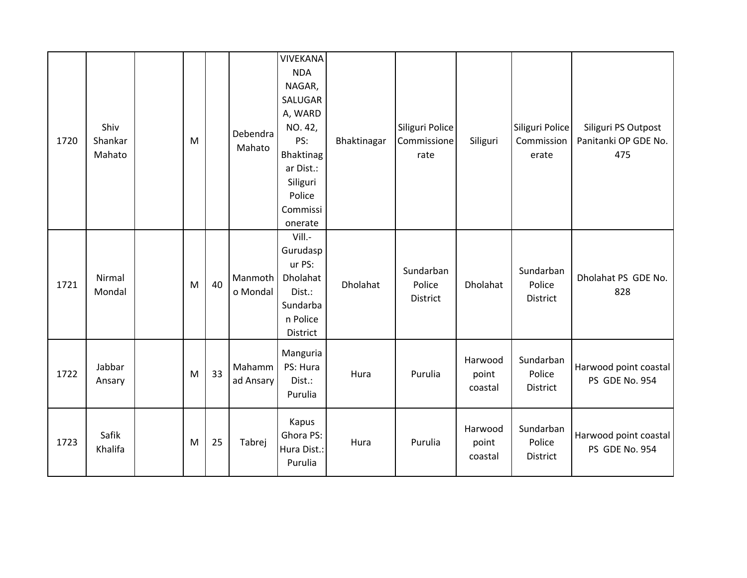| 1720 | Shiv<br>Shankar<br>Mahato | M |    | Debendra<br>Mahato  | <b>VIVEKANA</b><br><b>NDA</b><br>NAGAR,<br>SALUGAR<br>A, WARD<br>NO. 42,<br>PS:<br>Bhaktinag<br>ar Dist.:<br>Siliguri<br>Police<br>Commissi<br>onerate | Bhaktinagar | Siliguri Police<br>Commissione<br>rate | Siliguri                    | Siliguri Police<br>Commission<br>erate | Siliguri PS Outpost<br>Panitanki OP GDE No.<br>475 |
|------|---------------------------|---|----|---------------------|--------------------------------------------------------------------------------------------------------------------------------------------------------|-------------|----------------------------------------|-----------------------------|----------------------------------------|----------------------------------------------------|
| 1721 | Nirmal<br>Mondal          | M | 40 | Manmoth<br>o Mondal | Vill.-<br>Gurudasp<br>ur PS:<br>Dholahat<br>Dist.:<br>Sundarba<br>n Police<br>District                                                                 | Dholahat    | Sundarban<br>Police<br>District        | Dholahat                    | Sundarban<br>Police<br>District        | Dholahat PS GDE No.<br>828                         |
| 1722 | Jabbar<br>Ansary          | M | 33 | Mahamm<br>ad Ansary | Manguria<br>PS: Hura<br>Dist.:<br>Purulia                                                                                                              | Hura        | Purulia                                | Harwood<br>point<br>coastal | Sundarban<br>Police<br>District        | Harwood point coastal<br>PS GDE No. 954            |
| 1723 | Safik<br>Khalifa          | M | 25 | Tabrej              | Kapus<br>Ghora PS:<br>Hura Dist.:<br>Purulia                                                                                                           | Hura        | Purulia                                | Harwood<br>point<br>coastal | Sundarban<br>Police<br>District        | Harwood point coastal<br>PS GDE No. 954            |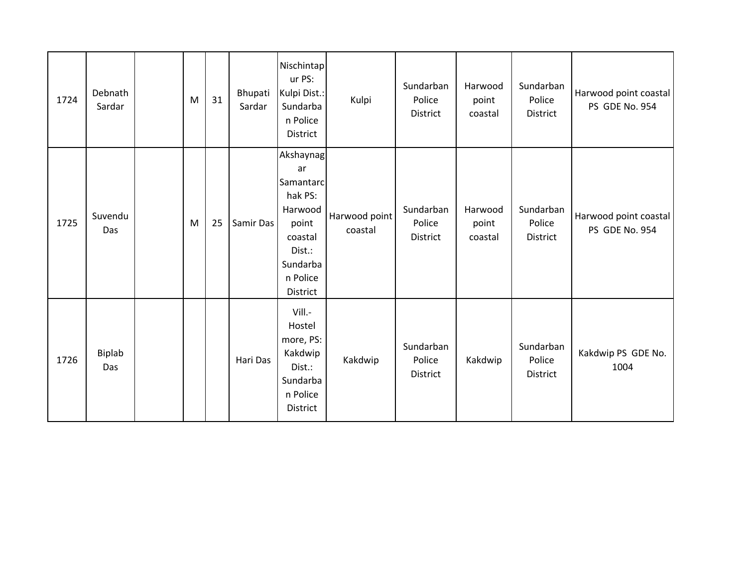| 1724 | Debnath<br>Sardar    | M | 31 | Bhupati<br>Sardar | Nischintap<br>ur PS:<br>Kulpi Dist.:<br>Sundarba<br>n Police<br>District                                             | Kulpi                    | Sundarban<br>Police<br>District | Harwood<br>point<br>coastal | Sundarban<br>Police<br>District | Harwood point coastal<br>PS GDE No. 954 |
|------|----------------------|---|----|-------------------|----------------------------------------------------------------------------------------------------------------------|--------------------------|---------------------------------|-----------------------------|---------------------------------|-----------------------------------------|
| 1725 | Suvendu<br>Das       | M | 25 | Samir Das         | Akshaynag<br>ar<br>Samantarc<br>hak PS:<br>Harwood<br>point<br>coastal<br>Dist.:<br>Sundarba<br>n Police<br>District | Harwood point<br>coastal | Sundarban<br>Police<br>District | Harwood<br>point<br>coastal | Sundarban<br>Police<br>District | Harwood point coastal<br>PS GDE No. 954 |
| 1726 | <b>Biplab</b><br>Das |   |    | Hari Das          | Vill.-<br>Hostel<br>more, PS:<br>Kakdwip<br>Dist.:<br>Sundarba<br>n Police<br>District                               | Kakdwip                  | Sundarban<br>Police<br>District | Kakdwip                     | Sundarban<br>Police<br>District | Kakdwip PS GDE No.<br>1004              |